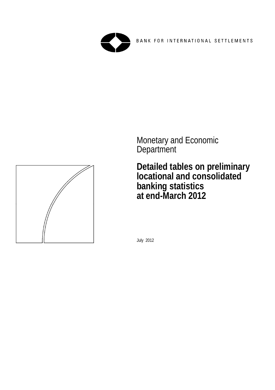



 Monetary and Economic **Department** 

> **Detailed tables on preliminary locational and consolidated banking statistics at end-March 2012**

July 2012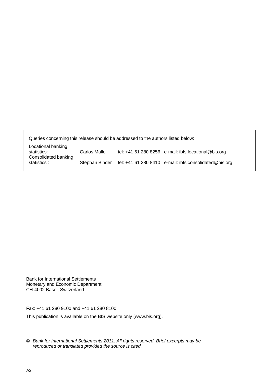Queries concerning this release should be addressed to the authors listed below: Locational banking statistics: Carlos Mallo tel: +41 61 280 8256 e-mail: ibfs.locational@bis.org Consolidated banking

statistics : Stephan Binder tel: +41 61 280 8410 e-mail: ibfs.consolidated@bis.org

Bank for International Settlements Monetary and Economic Department CH-4002 Basel, Switzerland

Fax: +41 61 280 9100 and +41 61 280 8100

This publication is available on the BIS website only (www.bis.org).

*© Bank for International Settlements 2011. All rights reserved. Brief excerpts may be reproduced or translated provided the source is cited.*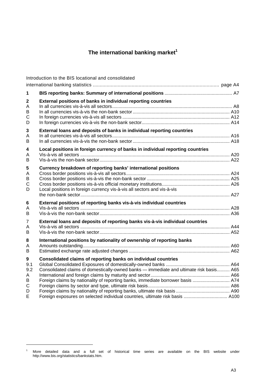# The international banking market<sup>1</sup>

|                                           | Introduction to the BIS locational and consolidated                                                                                                                                                                                                                                                                           |  |
|-------------------------------------------|-------------------------------------------------------------------------------------------------------------------------------------------------------------------------------------------------------------------------------------------------------------------------------------------------------------------------------|--|
|                                           |                                                                                                                                                                                                                                                                                                                               |  |
| 1                                         |                                                                                                                                                                                                                                                                                                                               |  |
| $\mathbf 2$<br>Α<br>B<br>$\mathsf C$<br>D | External positions of banks in individual reporting countries                                                                                                                                                                                                                                                                 |  |
| 3<br>Α<br>B                               | External loans and deposits of banks in individual reporting countries                                                                                                                                                                                                                                                        |  |
| $\overline{\mathbf{4}}$<br>A<br>B         | Local positions in foreign currency of banks in individual reporting countries                                                                                                                                                                                                                                                |  |
| $5\phantom{.0}$<br>A<br>В<br>C<br>D       | Currency breakdown of reporting banks' international positions<br>Local positions in foreign currency vis-à-vis all sectors and vis-à-vis                                                                                                                                                                                     |  |
| 6<br>Α<br>B                               | External positions of reporting banks vis-à-vis individual countries                                                                                                                                                                                                                                                          |  |
| $\overline{7}$<br>A<br>B                  | External loans and deposits of reporting banks vis-à-vis individual countries                                                                                                                                                                                                                                                 |  |
| 8<br>A<br>B                               | International positions by nationality of ownership of reporting banks                                                                                                                                                                                                                                                        |  |
| 9<br>9.1<br>9.2<br>A<br>В<br>C<br>D<br>E  | Consolidated claims of reporting banks on individual countries<br>Consolidated claims of domestically-owned banks - immediate and ultimate risk basis A65<br>Foreign claims by nationality of reporting banks, immediate borrower basis  A74<br>Foreign exposures on selected individual countries, ultimate risk basis  A100 |  |

l

<sup>&</sup>lt;sup>1</sup> More detailed data and a full set of historical time series are available on the BIS website under http://www.bis.org/statistics/bankstats.htm.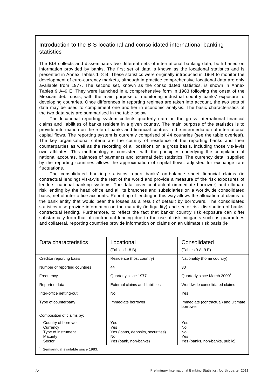## Introduction to the BIS locational and consolidated international banking statistics

The BIS collects and disseminates two different sets of international banking data, both based on information provided by banks. The first set of data is known as the locational statistics and is presented in Annex Tables 1–8 B. These statistics were originally introduced in 1964 to monitor the development of euro-currency markets, although in practice comprehensive locational data are only available from 1977. The second set, known as the consolidated statistics, is shown in Annex Tables 9 A–9 E. They were launched in a comprehensive form in 1983 following the onset of the Mexican debt crisis, with the main purpose of monitoring industrial country banks' exposure to developing countries. Once differences in reporting regimes are taken into account, the two sets of data may be used to complement one another in economic analysis. The basic characteristics of the two data sets are summarised in the table below.

The locational reporting system collects quarterly data on the gross international financial claims and liabilities of banks resident in a given country. The main purpose of the statistics is to provide information on the role of banks and financial centres in the intermediation of international capital flows. The reporting system is currently comprised of 44 countries (see the table overleaf). The key organisational criteria are the country of residence of the reporting banks and their counterparties as well as the recording of all positions on a gross basis, including those vis-à-vis own affiliates. This methodology is consistent with the principles underlying the compilation of national accounts, balances of payments and external debt statistics. The currency detail supplied by the reporting countries allows the approximation of capital flows, adjusted for exchange rate fluctuations.

The consolidated banking statistics report banks' on-balance sheet financial claims (ie contractual lending) vis-à-vis the rest of the world and provide a measure of the risk exposures of lenders' national banking systems. The data cover contractual (immediate borrower) and ultimate risk lending by the head office and all its branches and subsidiaries on a worldwide consolidated basis, net of inter-office accounts. Reporting of lending in this way allows the allocation of claims to the bank entity that would bear the losses as a result of default by borrowers. The consolidated statistics also provide information on the maturity (ie liquidity) and sector risk distribution of banks' contractual lending. Furthermore, to reflect the fact that banks' country risk exposure can differ substantially from that of contractual lending due to the use of risk mitigants such as guarantees and collateral, reporting countries provide information on claims on an ultimate risk basis (ie

| Data characteristics                                                        | Locational<br>$(Tables 1-8 B)$                                                 | Consolidated<br>(Tables $9$ A-9 E)                       |
|-----------------------------------------------------------------------------|--------------------------------------------------------------------------------|----------------------------------------------------------|
| Creditor reporting basis                                                    | Residence (host country)                                                       | Nationality (home country)                               |
| Number of reporting countries                                               | 44                                                                             | 30                                                       |
| Frequency                                                                   | Quarterly since 1977                                                           | Quarterly since March 2000 <sup>1</sup>                  |
| Reported data                                                               | External claims and liabilities                                                | Worldwide consolidated claims                            |
| Inter-office netting-out                                                    | <b>No</b>                                                                      | Yes                                                      |
| Type of counterparty                                                        | Immediate borrower                                                             | Immediate (contractual) and ultimate<br>borrower         |
| Composition of claims by:                                                   |                                                                                |                                                          |
| Country of borrower<br>Currency<br>Type of instrument<br>Maturity<br>Sector | Yes<br>Yes<br>Yes (loans, deposits, securities)<br>No<br>Yes (bank, non-banks) | Yes<br>No<br>No<br>Yes<br>Yes (banks, non-banks, public) |
| Semiannual available since 1983.                                            |                                                                                |                                                          |

A4 Preliminary International Banking Statistics, fourth quarter 2011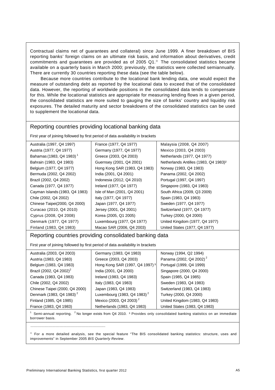Contractual claims net of guarantees and collateral) since June 1999. A finer breakdown of BIS reporting banks' foreign claims on an ultimate risk basis, and information about derivatives, credit commitments and guarantees are provided as of 2005  $Q1.^{\circ}$  The consolidated statistics became available on a quarterly basis in March 2000; previously, the statistics were collected semiannually. There are currently 30 countries reporting these data (see the table below).

Because more countries contribute to the locational bank lending data, one would expect the measure of outstanding debt as reported by the locational data to exceed that of the consolidated data. However, the reporting of worldwide positions in the consolidated data tends to compensate for this. While the locational statistics are appropriate for measuring lending flows in a given period, the consolidated statistics are more suited to gauging the size of banks' country and liquidity risk exposures. The detailed maturity and sector breakdowns of the consolidated statistics can be used to supplement the locational data.

### Reporting countries providing locational banking data

First year of joining followed by first period of data availability in brackets

| Australia (1997, Q4 1997)                                                             | France (1977, Q4 1977)        | Malaysia (2008, Q4 2007)                          |  |  |  |  |  |  |
|---------------------------------------------------------------------------------------|-------------------------------|---------------------------------------------------|--|--|--|--|--|--|
| Austria (1977, Q4 1977)                                                               | Germany (1977, Q4 1977)       | Mexico (2003, Q4 2003)                            |  |  |  |  |  |  |
| Bahamas (1983, Q4 1983) <sup>1</sup>                                                  | Greece (2003, Q4 2003)        | Netherlands (1977, Q4 1977)                       |  |  |  |  |  |  |
| Bahrain (1983, Q4 1983)                                                               | Guernsey (2001, Q4 2001)      | Netherlands Antilles (1983, Q4 1983) <sup>2</sup> |  |  |  |  |  |  |
| Belgium (1977, Q4 1977)                                                               | Hong Kong SAR (1983, Q4 1983) | Norway (1983, Q4 1983)                            |  |  |  |  |  |  |
| Bermuda (2002, Q4 2002)                                                               | India (2001, Q4 2001)         | Panama (2002, Q4 2002)                            |  |  |  |  |  |  |
| Brazil (2002, Q4 2002)                                                                | Indonesia (2012, Q4 2010)     | Portugal (1997, Q4 1997)                          |  |  |  |  |  |  |
| Canada (1977, Q4 1977)                                                                | Ireland (1977, Q4 1977)       | Singapore (1983, Q4 1983)                         |  |  |  |  |  |  |
| Cayman Islands (1983, Q4 1983)                                                        | Isle of Man (2001, Q4 2001)   | South Africa (2009, Q3 2009)                      |  |  |  |  |  |  |
| Chile (2002, Q4 2002)                                                                 | Italy (1977, Q4 1977)         | Spain (1983, Q4 1983)                             |  |  |  |  |  |  |
| Chinese Taipei(2000, Q4 2000)                                                         | Japan (1977, Q4 1977)         | Sweden (1977, Q4 1977)                            |  |  |  |  |  |  |
| Curacao (2010, Q4 2010)                                                               | Jersey (2001, Q4 2001)        | Switzerland (1977, Q4 1977)                       |  |  |  |  |  |  |
| Cyprus (2008, Q4 2008)                                                                | Korea (2005, Q1 2005)         | Turkey (2000, Q4 2000)                            |  |  |  |  |  |  |
| Denmark (1977, Q4 1977)                                                               | Luxembourg (1977, Q4 1977)    | United Kingdom (1977, Q4 1977)                    |  |  |  |  |  |  |
| Finland (1983, Q4 1983)<br>Macao SAR (2006, Q4 2003)<br>United States (1977, Q4 1977) |                               |                                                   |  |  |  |  |  |  |
| Reporting countries providing consolidated banking data                               |                               |                                                   |  |  |  |  |  |  |

First year of joining followed by first period of data availability in brackets

| Australia (2003, Q4 2003)            | Germany (1983, Q4 1983)                    | Norway (1994, Q2 1994)              |
|--------------------------------------|--------------------------------------------|-------------------------------------|
| Austria (1983, Q4 1983)              | Greece (2003, Q4 2003)                     | Panama (2002, Q4 2002) <sup>2</sup> |
| Belgium (1983, Q4 1983)              | Hong Kong SAR (1997, Q4 1997) <sup>3</sup> | Portugal (1999, Q4 1999)            |
| Brazil (2002, Q4 2002) <sup>2</sup>  | India (2001, Q4 2000)                      | Singapore (2000, Q4 2000)           |
| Canada (1983, Q4 1983)               | Ireland (1983, Q4 1983)                    | Spain (1985, Q4 1985)               |
| Chile (2002, Q4 2002)                | Italy (1983, Q4 1983)                      | Sweden (1983, Q4 1983)              |
| Chinese Taipei (2000, Q4 2000)       | Japan (1983, Q4 1983)                      | Switzerland (1983, Q4 1983)         |
| Denmark (1983, Q4 1983) <sup>2</sup> | Luxembourg (1983, Q4 1983) <sup>2</sup>    | Turkey (2000, Q4 2000)              |
| Finland (1985, Q4 1985)              | Mexico (2003, Q4 2003) <sup>2</sup>        | United Kingdom (1983, Q4 1983)      |
| France (1983, Q4 1983)               | Netherlands (1983, Q4 1983)                | United States (1983, Q4 1983)       |
|                                      |                                            |                                     |

<sup>1</sup> Semi-annual reporting. <sup>2</sup> No longer exists from Q4 2010. <sup>3</sup> Provides only consolidated banking statistics on an immediate borrower basis.

 $\degree$  For a more detailed analysis, see the special feature "The BIS consolidated banking statistics: structure, uses and improvements" in September 2005 *BIS Quarterly Review*.

\_\_\_\_\_\_\_\_\_\_\_\_\_\_\_\_\_\_\_\_\_\_\_\_\_\_\_\_\_\_\_\_\_\_\_\_\_\_\_\_\_\_\_\_\_\_\_\_\_\_\_\_\_\_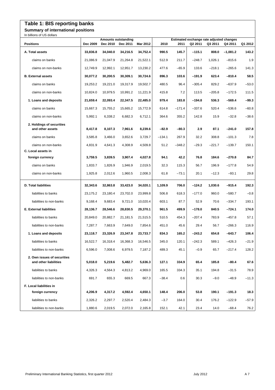## **Table 1: BIS reporting banks**

## **Summary of international positions**

| In billions of US dollars                            |          |                                        |          |          |          |          |          |                                                     |            |         |
|------------------------------------------------------|----------|----------------------------------------|----------|----------|----------|----------|----------|-----------------------------------------------------|------------|---------|
| <b>Positions</b>                                     | Dec 2009 | <b>Amounts outstanding</b><br>Dec 2010 | Dec 2011 | Mar 2012 | 2010     | 2011     | Q2 2011  | Estimated exchange rate adjusted changes<br>Q3 2011 | Q4 2011    | Q1 2012 |
| A. Total assets                                      | 33,836.8 | 34,040.0                               | 34,216.5 | 34,752.4 | 990.5    | 145.7    | $-115.1$ | 808.0                                               | $-1,081.2$ | 143.2   |
| claims on banks                                      | 21,086.9 | 21,047.9                               | 21,264.8 | 21,522.1 | 512.9    | 211.7    | $-248.7$ | 1,026.1                                             | $-815.6$   | 1.9     |
| claims on non-banks                                  | 12,749.9 | 12,992.1                               | 12,951.7 | 13,230.2 | 477.6    | $-65.9$  | 133.6    | $-218.1$                                            | $-265.6$   | 141.3   |
| <b>B.</b> External assets                            | 30,077.2 | 30,200.5                               | 30,309.1 | 30,724.6 | 896.3    | 103.6    | $-191.9$ | 623.4                                               | $-810.4$   | 58.5    |
| claims on banks                                      | 19,253.2 | 19,221.0                               | 19,317.9 | 19,502.7 | 480.5    | 96.4     | $-305.4$ | 829.2                                               | $-637.9$   | $-53.0$ |
| claims on non-banks                                  | 10,824.0 | 10,979.5                               | 10.991.2 | 11,221.9 | 415.8    | 7.2      | 113.5    | $-205.8$                                            | $-172.5$   | 111.5   |
| 1. Loans and deposits                                | 21,659.4 | 22,093.4                               | 22,347.5 | 22,485.0 | 979.4    | 183.8    | $-194.8$ | 536.3                                               | -569.4     | $-99.3$ |
| claims on banks                                      | 15,667.3 | 15,755.2                               | 15,665.2 | 15,772.9 | 614.8    | $-171.4$ | $-337.6$ | 520.4                                               | $-536.6$   | $-60.8$ |
| claims on non-banks                                  | 5,992.1  | 6,338.2                                | 6,682.3  | 6,712.1  | 364.6    | 355.2    | 142.8    | 15.9                                                | $-32.8$    | $-38.6$ |
| 2. Holdings of securities<br>and other assets        | 8,417.8  | 8,107.3                                | 7,961.6  | 8,239.6  | -82.9    | $-80.3$  | 2.9      | 87.1                                                | $-241.0$   | 157.8   |
| claims on banks                                      | 3,585.8  | 3,466.0                                | 3,652.6  | 3.729.7  | $-134.1$ | 267.9    | 32.2     | 308.8                                               | $-101.3$   | 7.8     |
| claims on non-banks                                  | 4,831.9  | 4,641.3                                | 4,308.9  | 4,509.8  | 51.2     | $-348.2$ | $-29.3$  | $-221.7$                                            | $-139.7$   | 150.1   |
| C. Local assets in                                   |          |                                        |          |          |          |          |          |                                                     |            |         |
| foreign currency                                     | 3,759.5  | 3,839.5                                | 3,907.4  | 4,027.8  | 94.1     | 42.2     | 76.8     | 184.6                                               | $-270.8$   | 84.7    |
| claims on banks                                      | 1,833.7  | 1,826.9                                | 1,946.9  | 2,019.5  | 32.3     | 115.3    | 56.7     | 196.9                                               | $-177.8$   | 54.9    |
| claims on non-banks                                  | 1,925.8  | 2,012.6                                | 1,960.5  | 2,008.3  | 61.8     | $-73.1$  | 20.1     | $-12.3$                                             | $-93.1$    | 29.8    |
| <b>D. Total liabilities</b>                          | 32,343.6 | 32,863.8                               | 33,423.0 | 34,020.1 | 1,109.9  | 706.0    | $-124.2$ | 1,030.6                                             | $-915.4$   | 192.3   |
| liabilities to banks                                 | 23,175.2 | 23,180.4                               | 23,702.0 | 23,999.8 | 506.8    | 618.3    | $-177.0$ | 960.0                                               | $-580.7$   | $-0.8$  |
| liabilities to non-banks                             | 9,168.4  | 9,683.4                                | 9,721.0  | 10,020.4 | 603.1    | 87.7     | 52.9     | 70.6                                                | $-334.7$   | 193.1   |
| <b>E. External liabilities</b>                       | 28,136.7 | 28,546.6                               | 28,830.5 | 29,370.1 | 961.5    | 499.9    | $-178.0$ | 840.5                                               | -724.1     | 174.0   |
| liabilities to banks                                 | 20,849.0 | 20,882.7                               | 21.181.5 | 21,515.5 | 510.5    | 454.3    | $-207.4$ | 783.9                                               | $-457.8$   | 57.1    |
| liabilities to non-banks                             | 7,287.7  | 7.663.9                                | 7,649.0  | 7,854.6  | 451.0    | 45.6     | 29.4     | 56.7                                                | $-266.3$   | 116.9   |
| 1. Loans and deposits                                | 23,118.7 | 23,326.9                               | 23,347.8 | 23,733.7 | 834.3    | 165.2    | -243.2   | 654.8                                               | $-643.7$   | 106.4   |
| liabilities to banks                                 |          | 16,522.7  16,318.4  16,368.3  16,546.5 |          |          | 345.0    | 120.1    | $-242.3$ | 589.1                                               | $-426.3$   | $-21.9$ |
| liabilities to non-banks                             | 6,596.0  | 7,008.6                                | 6,979.5  | 7,187.2  | 489.3    | 45.1     | $-0.9$   | 65.7                                                | $-217.4$   | 128.2   |
| 2. Own issues of securities<br>and other liabilities | 5,018.0  | 5,219.6                                | 5,482.7  | 5,636.3  | 127.1    | 334.9    | 65.4     | 185.8                                               | $-80.4$    | 67.6    |
| liabilities to banks                                 | 4,326.3  | 4,564.3                                | 4,813.2  | 4,969.0  | 165.5    | 334.3    | 35.1     | 194.8                                               | $-31.5$    | 78.9    |
| liabilities to non-banks                             | 691.7    | 655.3                                  | 669.5    | 667.3    | $-38.4$  | 0.6      | 30.3     | $-9.0$                                              | $-48.9$    | $-11.3$ |
| <b>F. Local liabilities in</b>                       |          |                                        |          |          |          |          |          |                                                     |            |         |
| foreign currency                                     | 4,206.9  | 4,317.2                                | 4,592.4  | 4,650.1  | 148.4    | 206.0    | 53.8     | 190.1                                               | $-191.3$   | 18.3    |
| liabilities to banks                                 | 2,326.2  | 2,297.7                                | 2,520.4  | 2,484.3  | $-3.7$   | 164.0    | 30.4     | 176.2                                               | $-122.9$   | $-57.9$ |
| liabilities to non-banks                             | 1,880.6  | 2,019.5                                | 2,072.0  | 2,165.8  | 152.1    | 42.1     | 23.4     | 14.0                                                | $-68.4$    | 76.2    |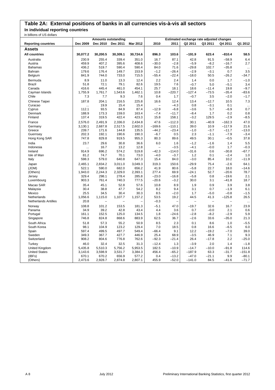## **Table 2A: External positions of banks in all currencies vis-à-vis all sectors**

**In individual reporting countries**

| in billions of US dollars   |           |                            |          |          |                          |                          |                          |                                          |          |           |
|-----------------------------|-----------|----------------------------|----------|----------|--------------------------|--------------------------|--------------------------|------------------------------------------|----------|-----------|
|                             |           | <b>Amounts outstanding</b> |          |          |                          |                          |                          | Estimated exchange rate adjusted changes |          |           |
| <b>Reporting countries</b>  | Dec 2009  | Dec 2010                   | Dec 2011 | Mar 2012 | 2010                     | 2011                     | Q2 2011                  | Q3 2011                                  | Q4 2011  | Q1 2012   |
| Assets                      |           |                            |          |          |                          |                          |                          |                                          |          |           |
| <b>All countries</b>        | 30,077.2  | 30,200.5                   | 30,309.1 | 30,724.6 | 896.3                    | 103.6                    | $-191.9$                 | 623.4                                    | $-810.4$ | 58.5      |
| Australia                   | 230.9     | 255.4                      | 339.4    | 351.0    | 16.7                     | 87.1                     | 42.8                     | 91.5                                     | $-58.9$  | 6.4       |
| Austria                     | 459.9     | 407.2                      | 395.6    | 408.6    | $-30.0$                  | $-2.8$                   | $-5.9$                   | $-8.2$                                   | $-16.7$  | 2.7       |
| Bahamas                     | 436.2     | 519.7                      | 590.4    | 590.4    | 84.0                     | 71.6                     | $-29.8$                  | 102.7                                    | $-35.8$  |           |
| <b>Bahrain</b>              | 179.6     | 176.4                      | 149.7    | 153.9    | $-1.2$                   | $-26.4$                  | $-2.9$                   | $-3.1$                                   | 0.7      | 3.5       |
| Belgium                     | 841.9     | 744.0                      | 733.0    | 715.5    | $-55.4$                  | $-22.4$                  | $-18.0$                  | 50.5                                     | $-26.2$  | $-34.7$   |
| Bermuda                     | 8.9       | 11.0                       | 13.3     | 12.4     | 2.2                      | 2.4                      | 1.4                      | 0.0                                      | 1.7      | $-1.0$    |
| <b>Brazil</b>               | 51.8      | 72.1                       | 79.1     | 82.6     | 19.5                     | 7.6                      | $-0.7$                   | 5.0                                      | $-5.1$   | 3.4       |
| Canada                      | 416.6     | 445.4                      | 461.0    | 454.1    | 25.7                     | 18.1                     | 18.6                     | $-11.4$                                  | 19.8     | $-9.7$    |
| Cayman Islands              | 1,755.9   | 1,761.7                    | 1,543.6  | 1,462.1  | 10.8                     | $-220.7$                 | $-127.4$                 | $-73.5$                                  | $-35.4$  | $-83.6$   |
| Chile                       | 7.3       | 7.7                        | 9.3      | 7.6      | 0.4                      | 1.7                      | $-0.7$                   | 3.5                                      | $-2.0$   | $-1.7$    |
| Chinese Taipei              | 187.8     | 204.1                      | 216.5    | 225.8    | 16.6                     | 12.4                     | 13.4                     | $-12.7$                                  | 10.5     | 7.3       |
| Curacao                     | $\cdots$  | 19.9                       | 15.4     | 15.4     | $\overline{\phantom{0}}$ | $-4.3$                   | 0.8                      | $-3.1$                                   | 0.1      | $\ddotsc$ |
| Cyprus                      | 112.1     | 93.5                       | 84.9     | 87.4     | $-12.9$                  | $-6.8$                   | $-3.6$                   | 5.7                                      | $-6.9$   | 0.7       |
| Denmark                     | 188.9     | 173.3                      | 159.0    | 163.4    | $-7.4$                   | $-11.7$                  | $-8.4$                   | 1.7                                      | 0.2      | 0.8       |
| Finland                     | 137.4     | 319.5                      | 422.4    | 423.3    | 15.8                     | 158.1                    | $-3.2$                   | 129.5                                    | $-2.9$   | $-8.5$    |
| France                      | 2,576.0   | 2,491.9                    | 2,336.0  | 2,434.8  | 47.6                     | $-112.3$                 | 30.1                     | $-40.9$                                  | $-162.3$ | 47.0      |
| Germany                     | 3,130.1   | 2,687.8                    | 2,517.5  | 2,602.0  | $-169.6$                 | $-110.1$                 | 39.0                     | 10.9                                     | $-117.9$ | 21.6      |
| Greece                      | 239.7     | 171.6                      | 144.8    | 135.5    | $-44.2$                  | $-23.4$                  | $-1.0$                   | $-3.7$                                   | $-11.7$  | $-13.0$   |
| Guernsey                    | 202.3     | 192.1                      | 190.6    | 190.3    | $-6.7$                   | 0.5                      | 2.3                      | $-1.1$                                   | $-7.9$   | $-3.4$    |
| Hong Kong SAR               | 747.8     | 829.8                      | 919.5    | 955.3    | 80.3                     | 89.6                     | 49.5                     | 30.1                                     | $-0.5$   | 37.8      |
| India                       | 23.7      | 29.6                       | 30.8     | 36.6     | 6.0                      | 1.6                      | $-1.2$                   | $-1.6$                                   | 1.4      | 5.5       |
| Indonesia                   | $\ddotsc$ | 16.7                       | 13.2     | 12.8     |                          | $-3.5$                   | $-4.1$                   | $-0.0$                                   | 1.7      | $-0.3$    |
| Ireland                     | 914.9     | 696.2                      | 574.2    | 519.8    | $-42.3$                  | $-114.0$                 | $-31.6$                  | 0.6                                      | $-30.8$  | $-67.7$   |
| Isle of Man                 | 81.2      | 74.7                       | 70.1     | 73.0     | $-4.0$                   | $-3.7$                   | 1.2                      | 0.1                                      | $-2.4$   | 1.0       |
| Italy                       | 598.3     | 579.0                      | 640.8    | 647.3    | 15.4                     | 84.0                     | $-3.0$                   | 85.4                                     | 10.2     | $-11.9$   |
| Japan                       | 2,465.1   | 2,834.2                    | 3,011.0  | 3,049.3  | 319.3                    | 150.6                    | $-29.9$                  | 75.4                                     | $-2.6$   | 64.1      |
| (JOM)                       | 522.1     | 590.0                      | 682.0    | 656.2    | 41.9                     | 80.6                     | $-5.8$                   | 22.7                                     | 18.0     | $-14.6$   |
| (Others)                    | 1,943.0   | 2,244.3                    | 2,329.0  | 2,393.1  | 277.4                    | 69.9                     | $-24.1$                  | 52.7                                     | $-20.6$  | 78.7      |
| Jersey                      | 329.4     | 298.1                      | 278.4    | 285.8    | $-23.0$                  | $-16.8$                  | $-5.8$                   | 0.8                                      | $-19.6$  | 2.1       |
| Luxembourg                  | 903.3     | 761.4                      | 740.3    | 777.5    | $-20.6$                  | $-3.2$                   | 30.0                     | 3.1                                      | $-41.8$  | 18.7      |
| Macao SAR                   | 35.4      | 45.1                       | 52.8     | 57.6     | 10.8                     | 8.9                      | 1.9                      | 0.9                                      | 3.9      | 3.8       |
| Malaysia                    | 30.4      | 38.8                       | 47.7     | 54.2     | 8.2                      | 9.4                      | 3.1                      | 0.7                                      | $-1.9$   | 6.1       |
| Mexico                      | 25.5      | 34.5                       | 30.4     | 30.3     | 8.5                      | $-2.0$                   | 1.7                      | $-5.0$                                   | $-0.8$   | $-1.5$    |
| Netherlands                 | 1.056.6   | 1,115.0                    | 1,107.7  | 1,157.2  | 53.5                     | 19.2                     | 44.5                     | 41.3                                     | $-125.8$ | 26.5      |
| <b>Netherlands Antilles</b> | 20.8      | ÷                          |          |          | $-0.3$                   | $\overline{\phantom{0}}$ | $\overline{\phantom{0}}$ | $\qquad \qquad -$                        |          |           |
| Norway                      | 108.8     | 101.2                      | 153.5    | 181.3    | $-5.1$                   | 47.0                     | $-19.7$                  | 32.6                                     | 16.7     | 23.9      |
| Panama                      | 34.9      | 39.2                       | 42.8     | 43.4     | 4.4                      | 3.6                      | 0.7                      | $-0.0$                                   | 2.1      | 0.6       |
| Portugal                    | 161.1     | 152.5                      | 125.0    | 134.5    | 1.8                      | $-24.6$                  | $-2.8$                   | $-8.2$                                   | $-2.9$   | 5.9       |
| Singapore                   | 746.8     | 824.8                      | 868.6    | 883.9    | 62.5                     | 36.7                     | $-2.6$                   | 33.6                                     | $-35.0$  | 21.3      |
| South Africa                | 51.8      | 57.3                       | 55.2     | 50.9     | 8.5                      | 2.3                      | 0.1                      | 8.6                                      | 1.0      | $-5.5$    |
| South Korea                 | 98.1      | 104.9                      | 123.2    | 129.4    | 7.0                      | 18.5                     | 0.8                      | 16.6                                     | $-6.5$   | 6.0       |
| Spain                       | 597.4     | 499.5                      | 497.7    | 549.4    | $-66.4$                  | 9.1                      | 12.2                     | $-19.2$                                  | $-7.0$   | 39.0      |
| Sweden                      | 349.3     | 367.7                      | 427.7    | 446.9    | 25.4                     | 68.9                     | $-3.5$                   | 46.9                                     | 7.1      | 9.3       |
| Switzerland                 | 908.2     | 804.6                      | 776.8    | 762.6    | $-92.3$                  | $-21.4$                  | 26.4                     | $-17.8$                                  | 2.2      | $-25.0$   |
| Turkey                      | 46.0      | 32.4                       | 32.5     | 31.3     | $-12.4$                  | 1.3                      | $-3.9$                   | 2.0                                      | 1.4      | $-1.8$    |
| United Kingdom              | 5,435.8   | 5,510.3                    | 5,756.2  | 5,953.5  | 182.5                    | $-10.9$                  | $-14.7$                  | $-10.0$                                  | $-91.8$  | 114.6     |
| <b>United States</b>        | 3,143.6   | 3,598.9                    | 3,531.7  | 3,384.3  | 456.4                    | $-65.2$                  | $-187.9$                 | 63.3                                     | $-31.7$  | $-151.8$  |
| (IBFs)                      | 670.1     | 670.2                      | 656.9    | 577.2    | 0.4                      | $-13.2$                  | $-47.0$                  | $-21.1$                                  | 9.9      | $-80.1$   |
| (Others)                    | 2,473.6   | 2,928.7                    | 2,874.8  | 2,807.1  | 455.9                    | $-52.0$                  | $-141.0$                 | 84.5                                     | $-41.6$  | $-71.7$   |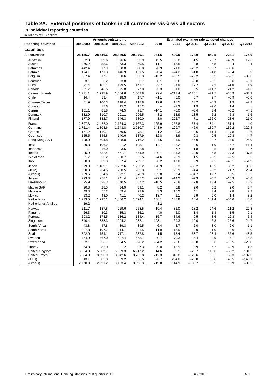# **Table 2A: External positions of banks in all currencies vis-à-vis all sectors**

**In individual reporting countries**

| in billions of US dollars   |                |                            |                |                |                          |              |                                          |                          |                          |                     |
|-----------------------------|----------------|----------------------------|----------------|----------------|--------------------------|--------------|------------------------------------------|--------------------------|--------------------------|---------------------|
|                             |                | <b>Amounts outstanding</b> |                |                |                          |              | Estimated exchange rate adjusted changes |                          |                          |                     |
| <b>Reporting countries</b>  | Dec 2009       | Dec 2010                   | Dec 2011       | Mar 2012       | 2010                     | 2011         | Q2 2011                                  | Q3 2011                  | Q4 2011                  | Q1 2012             |
| <b>Liabilities</b>          |                |                            |                |                |                          |              |                                          |                          |                          |                     |
| <b>All countries</b>        | 28,136.7       | 28,546.6                   | 28,830.5       | 29,370.1       | 961.5                    | 499.9        | $-178.0$                                 | 840.5                    | $-724.1$                 | 174.0               |
| Australia                   | 592.0          | 639.6                      | 676.6          | 693.9          | 45.5                     | 38.8         | 51.5                                     | 29.7                     | $-48.9$                  | 12.6                |
| Austria                     | 276.2          | 253.6                      | 263.3          | 269.5          | $-11.1$                  | 15.5         | $-4.8$                                   | 6.8                      | $-0.4$                   | $-0.4$              |
| <b>Bahamas</b>              | 442.4          | 517.9                      | 588.8          | 588.8          | 76.9                     | 71.0         | $-29.2$                                  | 102.7                    | $-36.6$                  | $\ldots$            |
| Bahrain                     | 174.1          | 171.3                      | 146.9          | 151.5          | $-0.4$                   | $-24.2$      | $-1.8$                                   | $-1.8$                   | $-0.4$                   | 3.9                 |
| Belgium                     | 657.4          | 617.7                      | 580.6          | 553.3          | $-13.2$                  | $-55.5$      | $-22.2$                                  | 63.5                     | $-62.1$                  | $-39.6$             |
| Bermuda                     | 3.1            | 3.2                        | 3.8            | 3.7            | 0.1                      | 0.6          | $-0.0$                                   | $-0.1$                   | 0.6                      | $-0.1$              |
| <b>Brazil</b>               | 71.4           | 105.1                      | 139.5          | 141.7          | 33.7                     | 34.9         | 12.7                                     | 7.2                      | $-1.8$                   | 1.9                 |
| Canada                      | 321.7          | 346.5                      | 375.8          | 377.0          | 23.3                     | 31.0         | 5.5                                      | $-11.7$                  | 24.2                     | $-1.6$              |
| Cayman Islands              | 1,771.1        | 1,795.9                    | 1,584.6        | 1,502.8        | 29.4                     | $-213.4$     | $-125.1$                                 | $-71.7$                  | $-36.9$                  | $-83.9$             |
| Chile                       | 14.4           | 13.4                       | 18.3           | 17.7           | $-1.1$                   | 5.0          | 0.7                                      | 2.7                      | $-0.9$                   | $-0.6$              |
| Chinese Taipei              | 81.9           | 100.3                      | 118.4          | 118.8          | 17.6                     | 18.5         | 13.2                                     | $-0.3$                   | 1.9                      | $-2.2$              |
|                             |                | 17.6                       | 15.2           | 15.2           | $\overline{\phantom{0}}$ | $-2.3$       | 1.9                                      | $-2.6$                   | 1.4                      |                     |
| Curacao                     | <br>101.1      | 81.8                       |                |                | $-14.1$                  |              | $-3.4$                                   | 3.4                      | $-6.2$                   | $\ddotsc$<br>$-4.1$ |
| Cyprus                      |                |                            | 74.5           | 71.7           |                          | $-6.0$       |                                          |                          |                          |                     |
| Denmark                     | 332.9          | 310.7                      | 291.1          | 296.5          | $-8.2$                   | $-13.9$      | $-18.5$                                  | 6.2                      | 5.8                      | $-1.6$              |
| Finland                     | 177.9          | 382.7                      | 546.3          | 580.0          | 8.0                      | 222.7        | 7.1                                      | 166.0                    | 23.6                     | 21.0                |
| France                      | 2,397.3        | 2,422.0                    | 2,124.3        | 2,167.3        | 125.9                    | $-252.8$     | 37.4                                     | $-184.1$                 | $-151.4$                 | $-4.0$              |
| Germany                     | 1,721.4        | 1,803.6                    | 1,643.8        | 2,010.7        | 148.9                    | $-129.7$     | $-46.0$                                  | 130.7                    | $-152.2$                 | 329.4               |
| Greece                      | 161.2          | 110.1                      | 79.5           | 78.7           | $-41.2$                  | $-29.3$      | $-3.6$                                   | $-11.4$                  | $-17.8$                  | $-2.6$              |
| Guernsey                    | 155.5          | 145.8                      | 140.6          | 137.9          | $-12.8$                  | $-3.9$       | 0.3                                      | 0.5                      | $-10.8$                  | $-4.7$              |
| Hong Kong SAR               | 498.0          | 604.8                      | 688.0          | 716.2          | 107.5                    | 84.9         | 56.9                                     | 38.7                     | $-24.5$                  | 26.9                |
| India                       | 89.3           | 106.2                      | 91.2           | 105.1          | 14.7                     | $-5.2$       | 0.6                                      | $-1.9$                   | $-5.7$                   | 11.4                |
| Indonesia                   | ă.             | 16.0                       | 23.6           | 22.8           | L.                       | 7.7          | 1.8                                      | 3.5                      | 1.8                      | $-0.7$              |
| Ireland                     | 905.9          | 582.4                      | 471.1          | 444.9          | $-120.1$                 | $-104.3$     | $-28.0$                                  | 6.8                      | $-27.3$                  | $-37.5$             |
| Isle of Man                 | 61.7           | 55.2                       | 50.7           | 52.5           | $-4.6$                   | $-3.9$       | 1.5                                      | $-0.5$                   | $-2.5$                   | 0.5                 |
| Italy                       | 858.9          | 839.3                      | 827.4          | 799.7          | 26.2                     | 17.0         | 2.9                                      | 37.1                     | $-48.1$                  | $-51.9$             |
| Japan                       | 979.9          | 1,189.1                    | 1,232.6        | 1,253.2        | 170.9                    | 30.3         | $-39.2$                                  | 45.5                     | 33.2                     | 35.6                |
| (JOM)                       | 220.3          | 234.5                      | 260.5          | 282.3          | 5.1                      | 22.9         | $-4.4$                                   | $-2.2$                   | 24.7                     | 25.4                |
| (Others)                    | 759.6          | 954.6                      | 972.1          | 970.9          | 165.8                    | 7.4          | $-34.7$                                  | 47.7                     | 8.5                      | 10.2                |
| Jersey                      | 293.3          | 258.1                      | 241.4          | 245.2          | $-27.6$                  | $-14.2$      | $-7.3$                                   | $-0.7$                   | $-16.3$                  | $-0.6$              |
| Luxembourg                  | 625.9          | 528.3                      | 540.5          | 567.2          | $-18.5$                  | 26.8         | 17.8                                     | 13.4                     | $-9.5$                   | 13.3                |
| Macao SAR                   | 20.8           | 28.5                       | 34.9           | 39.1           | 8.2                      | 6.8          | 2.6                                      | 0.2                      | 2.0                      | 3.7                 |
| Malaysia                    | 49.3           | 55.2                       | 69.4           | 72.9           | 3.3                      | 15.2         | 4.1                                      | 3.4                      | 2.8                      | 2.3                 |
| Mexico                      | 23.2           | 43.0                       | 41.1           | 40.2           | 18.7                     | 1.1          | 2.9                                      | $-9.0$                   | 1.4                      | $-3.2$              |
| Netherlands                 | 1,233.5        | 1,297.1                    | 1,406.2        | 1,474.1        | 108.1                    | 138.8        | 18.4                                     | 141.4                    | $-54.6$                  | 40.6                |
| <b>Netherlands Antilles</b> | 19.2           | ۳                          |                |                | $-1.2$                   |              | $\overline{\phantom{0}}$                 | $\overline{\phantom{0}}$ | $\overline{\phantom{0}}$ | $\ddotsc$           |
| Norway                      | 211.7          | 187.8                      | 229.6          | 258.5          | $-19.4$                  | 31.0         | $-18.2$                                  | 24.6                     | 11.2                     | 22.8                |
| Panama                      | 26.3           | 30.3                       | 35.3           | 35.2           | 4.0                      | 5.0          | 1.4                                      | 1.3                      | 1.5                      | $-0.1$              |
| Portugal                    | 203.2          | 173.5                      | 136.2          | 134.4          | $-15.7$                  | $-34.6$      | $-9.5$                                   | $-8.6$                   | $-12.8$                  | $-5.4$              |
| Singapore                   | 740.4          | 838.3                      | 904.2          | 932.1          | 103.1                    | 69.3         | 19.0                                     | 46.8                     | $-25.6$                  | 24.7                |
| South Africa                | 43.8           | 47.8                       |                |                | 6.4                      | $-3.7$       | $-2.0$                                   | 8.0                      | $-2.0$                   |                     |
|                             | 207.8          | 197.7                      | 39.3<br>214.1  | 39.5<br>221.5  | $-11.9$                  | 15.9         | 0.9                                      | 1.0                      | $-3.6$                   | $-1.1$<br>8.0       |
| South Korea<br>Spain        | 792.0          | 754.1                      | 717.1          | 687.8          | 1.5                      | $-13.4$      | 53.7                                     | $-28.4$                  | $-55.6$                  | $-48.5$             |
| Sweden                      |                |                            |                |                |                          |              |                                          |                          |                          |                     |
| Switzerland                 | 474.0<br>892.1 | 467.0<br>826.7             | 527.4<br>834.5 | 553.7<br>820.2 | $-0.7$<br>$-54.2$        | 70.3<br>20.6 | $-5.4$<br>18.8                           | 32.9<br>59.6             | $-5.1$<br>$-16.5$        | 15.8<br>$-29.0$     |
|                             |                |                            |                |                |                          |              |                                          |                          |                          |                     |
| Turkey                      | 54.8           | 82.0                       | 91.2           | 97.3           | 29.0                     | 13.9         | 8.9                                      | 6.2                      | $-0.9$                   | 4.3                 |
| United Kingdom              | 5,994.8        | 5,902.7                    | 6,029.3        | 6,217.2        | 14.6                     | 69.1         | $-26.7$                                  | 115.6                    | $-58.2$                  | 101.2               |
| <b>United States</b>        | 3,384.0        | 3,596.9                    | 3,942.6        | 3,762.8        | 212.3                    | 348.8        | $-129.6$                                 | 68.1                     | 59.3                     | $-182.3$            |
| (IBFs)                      | 613.1          | 605.8                      | 809.2          | 666.5          | $-6.7$                   | 204.0        | $-20.0$                                  | 65.6                     | 45.5                     | $-143.1$            |
| (Others)                    | 2,770.9        | 2,991.2                    | 3,133.4        | 3,096.3        | 219.0                    | 144.9        | $-109.7$                                 | 2.5                      | 13.9                     | $-39.2$             |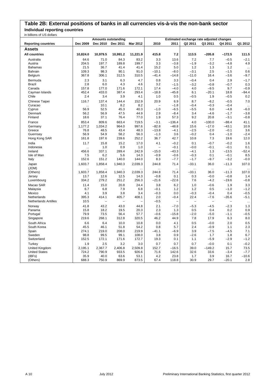### **Table 2B: External positions of banks in all currencies vis-à-vis the non-bank sector Individual reporting countries**

| בושווטט טט וט צוויטוווע     |           | <b>Amounts outstanding</b> |          |          | Estimated exchange rate adjusted changes |            |                |                   |                     |           |
|-----------------------------|-----------|----------------------------|----------|----------|------------------------------------------|------------|----------------|-------------------|---------------------|-----------|
| <b>Reporting countries</b>  | Dec 2009  | Dec 2010                   | Dec 2011 | Mar 2012 | 2010                                     | 2011       | Q2 2011        | Q3 2011           | Q4 2011             | Q1 2012   |
| <b>Assets</b>               |           |                            |          |          |                                          |            |                |                   |                     |           |
| <b>All countries</b>        | 10,824.0  | 10,979.5                   | 10,991.2 | 11,221.9 | 415.8                                    | 7.2        | 113.5          | $-205.8$          | $-172.5$            | 111.5     |
| Australia                   | 64.6      | 71.0                       | 84.3     | 83.2     | 3.3                                      | 13.6       | 7.2            | 7.7               | $-0.5$              | $-2.1$    |
| Austria                     | 204.5     | 197.7                      | 189.8    | 199.7    | 3.3                                      | $-3.8$     | $-1.9$         | $-3.2$            | $-4.8$              | 4.9       |
| <b>Bahamas</b>              | 21.5      | 36.7                       | 41.4     | 41.4     | 15.2                                     | 5.0        | 1.2            | 1.3               | 1.2                 | $\ddotsc$ |
| Bahrain                     | 109.3     | 98.3                       | 90.1     | 91.0     | $-10.1$                                  | $-8.0$     | $-3.1$         | 2.5               | $-1.5$              | 0.6       |
| Belgium                     | 367.8     | 306.1                      | 312.5    | 310.5    | $-41.4$                                  | $-14.8$    | $-11.0$        | 16.4              | $-3.6$              | $-9.7$    |
| Bermuda                     | 2.3       | 3.1                        | 6.3      | 4.7      | 0.8                                      | 3.3        | $-0.4$         | 0.4               | 2.9                 | $-1.7$    |
| <b>Brazil</b>               | 2.8       | 6.0                        | 4.3      | 4.6      | 3.2                                      | $-1.5$     | $-3.2$         | $-0.8$            | $-0.7$              | 0.3       |
| Canada                      | 157.8     | 177.0                      | 171.6    | 172.1    | 17.4                                     | $-4.0$     | 4.0            | $-9.5$            | 9.7                 | $-0.9$    |
| Cayman Islands              | 452.4     | 433.0                      | 387.4    | 293.4    | $-18.8$                                  | $-45.8$    | 6.1            | $-20.1$           | 18.8                | $-94.4$   |
| Chile                       | 2.4       | 3.4                        | 3.9      | 4.1      | 1.0                                      | 0.5        | $-0.5$         | 1.9               | $-0.5$              | 0.2       |
| Chinese Taipei              | 116.7     | 137.4                      | 144.4    | 152.9    | 20.9                                     | 6.9        | 8.7            | $-8.2$            | $-0.5$              | 7.0       |
| Curacao                     | $\ddotsc$ | 10.1                       | 8.2      | 8.2      |                                          | $-1.8$     | $-0.4$         | $-0.3$            | $-0.4$              | $\ddotsc$ |
| Cyprus                      | 56.9      | 52.5                       | 45.3     | 40.3     | $-1.0$                                   | $-6.5$     | $-5.5$         | 6.0               | $-4.8$              | $-6.0$    |
| Denmark                     | 56.2      | 56.9                       | 47.5     | 44.9     | 2.9                                      | $-8.4$     | 3.4            | $-4.6$            | $-1.7$              | $-3.8$    |
| Finland                     | 18.6      | 37.1                       | 76.4     | 77.0     | 1.9                                      | 57.3       | 9.2            | 20.8              | $-3.1$              | $-0.8$    |
| France                      | 853.4     | 809.6                      | 663.4    | 719.5    | $-3.1$                                   | $-136.4$   | 4.0            | $-100.0$          | $-88.4$             | 41.1      |
| Germany                     | 1,177.2   | 1,034.2                    | 964.0    | 997.6    | $-82.8$                                  | $-48.8$    | 15.6           | $-17.0$           | $-43.1$             | 10.9      |
| Greece                      | 76.8      | 48.5                       | 43.4     | 48.3     | $-13.8$                                  | $-4.1$     | $-2.5$         | $-2.0$            | $-0.1$              | 3.6       |
| Guernsey                    | 56.9      | 54.9                       | 58.2     | 56.3     | $-1.3$                                   | 3.6        | $-0.2$         | 0.4               | $-1.0$              | $-2.4$    |
| Hong Kong SAR               | 161.8     | 197.6                      | 239.6    | 252.2    | 36.7                                     | 42.7       | 10.8           | 7.3               | 19.6                | 12.0      |
| India                       | 11.7      | 15.8                       | 15.2     | 17.0     | 4.1                                      | $-0.2$     | 0.1            | $-0.7$            | $-0.2$              | 1.6       |
| Indonesia                   |           | 1.0                        | 0.9      | 1.0      | $\overline{\phantom{0}}$                 | $-0.1$     | $-0.0$         | $-0.1$            | $-0.1$              | 0.1       |
| Ireland                     | 456.6     | 337.1                      | 289.4    | 242.9    | $-15.0$                                  | $-43.3$    | $-4.1$         | 1.3               | $-13.5$             | $-52.4$   |
| Isle of Man                 | 7.5       | 6.2                        | 5.6      | 14.3     | $-0.9$                                   | $-0.6$     | $-0.3$         | 0.1               | $-0.1$              | 8.5       |
| Italy                       | 152.6     | 151.2                      | 140.0    | 144.0    | 8.3                                      | $-7.7$     | $-1.7$         | $-9.7$            | $-3.2$              | $-0.0$    |
| Japan<br>(JOM)              | 1,603.7   | 1,858.4                    | 1,940.3  | 2,039.3  | 244.8                                    | 71.4<br>Ω, | $-33.1$<br>    | 36.0              | $-11.3$<br>$\cdots$ | 107.0     |
| (Others)                    | 1,603.7   | 1,858.4                    | 1,940.3  | 2,039.3  | 244.8                                    | 71.4       | $-33.1$        | 36.0              | $-11.3$             | 107.0     |
| Jersey                      | 13.7      | 12.6                       | 12.5     | 14.3     | $-0.8$                                   | 0.1        | 0.3            | $-0.0$            | $-0.8$              | 1.4       |
| Luxembourg                  | 334.2     | 279.2                      | 251.2    | 256.3    | $-21.6$                                  | $-22.6$    | 7.6            | $-4.2$            | $-19.6$             | $-0.8$    |
| Macao SAR                   | 11.4      | 15.0                       | 20.8     | 24.4     | 3.8                                      | 6.2        | 1.0            | $-0.6$            | 1.9                 | 3.3       |
| Malaysia                    | 6.7       | 6.8                        | 7.9      | 6.8      | $-0.1$                                   | 1.2        | 1.2            | 0.5               | $-1.0$              | $-1.2$    |
| Mexico                      | 4.1       | 3.9                        | 3.8      | 3.4      | $-0.3$                                   | 0.0        | $-0.3$         | $-0.4$            | 0.4                 | $-0.5$    |
| Netherlands                 | 395.3     | 414.1                      | 405.7    | 408.1    | 2.0                                      | $-0.4$     | 22.4           | $-7.6$            | $-35.6$             | $-5.1$    |
| <b>Netherlands Antilles</b> | 10.5      | $\overline{a}$             |          |          | $-0.5$                                   |            | $\overline{a}$ | $\qquad \qquad -$ |                     | $\ddotsc$ |
| Norway                      | 41.8      | 43.2                       | 43.0     | 44.8     | 2.1                                      | $-7.0$     | $-5.3$         | $-4.5$            | $-2.3$              | 1.3       |
| Panama                      | 15.8      | 18.2                       | 19.5     | 20.3     | 2.3                                      | 1.3        | 0.5            | 0.4               | 0.2                 | 0.9       |
| Portugal                    | 79.9      | 73.5                       | 56.4     | 57.7     | $-0.6$                                   | $-15.8$    | $-2.0$         | $-5.0$            | $-1.1$              | $-0.5$    |
| Singapore                   | 219.6     | 268.1                      | 312.8    | 320.5    | 46.2                                     | 44.9       | 7.8            | 17.9              | 6.3                 | 8.0       |
| South Africa                | 6.6       | 6.4                        | 10.0     | 10.8     | 0.0                                      | 4.1        | 0.5            | $-0.0$            | 2.0                 | 0.5       |
| South Korea                 | 45.5      | 46.1                       | 51.8     | 54.2     | 0.8                                      | 5.7        | 2.4            | $-0.9$            | 1.1                 | 2.3       |
| Spain                       | 274.1     | 219.0                      | 208.0    | 219.9    | $-41.1$                                  | $-6.9$     | 3.9            | $-7.5$            | $-4.5$              | 7.1       |
| Sweden                      | 98.8      | 99.5                       | 99.1     | 108.0    | 3.8                                      | 0.9        | $-2.6$         | 1.7               | 1.8                 | 6.7       |
| Switzerland                 | 152.5     | 172.1                      | 171.6    | 172.7    | 19.3                                     | 0.1        | 1.1            | $-5.9$            | $-2.9$              | $-1.2$    |
| Turkey                      | 1.9       | 2.5                        | 3.2      | 3.0      | 0.7                                      | 0.7        | 0.7            | $-0.0$            | 0.1                 | $-0.2$    |
| United Kingdom              | 2,195.1   | 2,367.7                    | 2,406.8  | 2,509.8  | 152.7                                    | $-16.5$    | 39.0           | $-149.2$          | 15.7                | 73.5      |
| <b>United States</b>        | 724.2     | 790.9                      | 933.5    | 926.6    | 71.6                                     | 142.6      | 32.6           | 33.6              | $-3.4$              | $-7.7$    |
| (IBFs)                      | 35.9      | 40.0                       | 63.6     | 53.1     | 4.2                                      | 23.8       | 1.7            | 3.9               | 16.7                | $-10.6$   |
| (Others)                    | 688.3     | 750.9                      | 869.9    | 873.5    | 67.4                                     | 118.8      | 30.9           | 29.7              | $-20.1$             | 2.8       |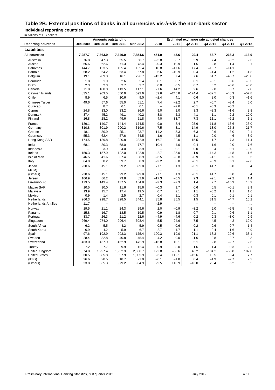## **Table 2B: External positions of banks in all currencies vis-à-vis the non-bank sector Individual reporting countries**

| בוגוווטו טט וט פווטוווע ווו |           | <b>Amounts outstanding</b> |                   | Estimated exchange rate adjusted changes |                          |                          |                   |                   |           |           |
|-----------------------------|-----------|----------------------------|-------------------|------------------------------------------|--------------------------|--------------------------|-------------------|-------------------|-----------|-----------|
| <b>Reporting countries</b>  | Dec 2009  | Dec 2010                   | Dec 2011          | Mar 2012                                 | 2010                     | 2011                     | Q2 2011           | Q3 2011           | Q4 2011   | Q1 2012   |
|                             |           |                            |                   |                                          |                          |                          |                   |                   |           |           |
| <b>Liabilities</b>          |           |                            |                   |                                          |                          |                          |                   |                   |           |           |
| <b>All countries</b>        | 7,287.7   | 7,663.9                    | 7,649.0           | 7,854.6                                  | 451.0                    | 45.6                     | 29.4              | 56.7              | $-266.3$  | 116.9     |
| Australia                   | 76.8      | 47.3                       | 55.5              | 58.7                                     | $-25.8$                  | 8.7                      | 2.9               | 7.4               | $-0.2$    | 2.3       |
| Austria                     | 66.6      | 62.6                       | 71.3              | 73.4                                     | $-0.3$                   | 10.9                     | 1.5               | 2.8               | 1.4       | 0.1       |
| <b>Bahamas</b>              | 144.7     | 153.5                      | 135.4             | 135.4                                    | 10.8                     | $-17.6$                  | 17.4              | $-13.7$           | $-14.1$   | $\ddotsc$ |
| Bahrain                     | 58.2      | 64.2                       | 53.4              | 57.8                                     | 6.6                      | $-10.9$                  | 0.4               | $-1.4$            | 1.2       | 4.3       |
| Belgium                     | 319.1     | 289.3                      | 316.1             | 296.7                                    | $-13.2$                  | 7.4                      | 7.6               | 61.7              | $-45.7$   | $-26.8$   |
| Bermuda                     | 1.8       | 1.9                        | 2.6               | 2.4                                      | 0.1                      | 0.7                      | 0.1               | $-0.1$            | 0.6       | $-0.3$    |
| <b>Brazil</b>               | 2.3       | 2.3                        | 2.7               | 2.7                                      | 0.0                      | 0.5                      | 0.7               | 0.2               | $-0.6$    | $-0.0$    |
| Canada                      | 71.8      | 100.0                      | 113.5             | 117.1                                    | 27.6                     | 14.2                     | 2.6               | 9.0               | 8.7       | 2.8       |
| Cayman Islands              | 835.1     | 903.5                      | 650.9             | 593.6                                    | 69.6                     | $-245.8$                 | $-124.4$          | $-32.5$           | $-48.9$   | $-57.8$   |
| Chile                       | 8.9       | 6.5                        | 10.6              | 9.0                                      | $-2.4$                   | 4.1                      | 0.6               | 2.0               | 0.3       | $-1.6$    |
| Chinese Taipei              | 49.6      | 57.6                       | 55.0              | 61.1                                     | 7.4                      | $-2.2$                   | 2.7               | $-0.7$            | $-3.4$    | 5.0       |
| Curacao                     | $\ddotsc$ | 8.7                        | 6.1               | 6.1                                      | $\overline{\phantom{a}}$ | $-2.6$                   | $-0.1$            | $-0.3$            | $-0.2$    | $\ldots$  |
| Cyprus                      | 24.8      | 33.0                       | 33.2              | 36.6                                     | 9.0                      | 1.0                      | 3.3               | $-2.3$            | $-1.6$    | 2.8       |
| Denmark                     | 37.4      | 45.2                       | 49.1              | 40.2                                     | 8.8                      | 5.3                      | 4.1               | 1.1               | 2.2       | $-10.0$   |
| Finland                     | 16.8      | 28.2                       | 49.6              | 51.8                                     | 4.0                      | 33.7                     | 7.3               | 11.1              | $-6.2$    | 1.1       |
| France                      | 139.1     | 140.7                      | 144.4             | 174.5                                    | 9.0                      | 8.4                      | 25.6              | $-11.8$           | $-13.6$   | 26.0      |
| Germany                     | 310.8     | 301.9                      | 290.2             | 319.6                                    | 7.5                      | $-3.1$                   | 14.9              | 13.0              | $-25.8$   | 21.7      |
| Greece                      | 48.1      | 30.9                       | 25.1              | 23.7                                     | $-14.2$                  | $-5.3$                   | $-6.3$            | $-0.6$            | $-3.0$    | $-2.1$    |
| Guernsey                    | 55.3      | 62.4                       | 57.6              | 54.5                                     | 1.6                      | $-4.5$                   | $-1.1$            | $-0.0$            | $-4.6$    | $-3.9$    |
| Hong Kong SAR               | 174.5     | 189.8                      | 220.8             | 232.9                                    | 16.7                     | 32.0                     | 15.5              | 1.7               | 7.3       | 11.4      |
| India                       | 68.1      | 80.3                       | 68.0              | 77.7                                     | 10.4                     | $-4.0$                   | $-0.4$            | $-1.6$            | $-2.0$    | 7.6       |
| Indonesia                   | $\cdots$  | 3.9                        | 4.0               | 3.9                                      |                          | 0.1                      | 0.0               | 0.4               | 0.1       | $-0.0$    |
| Ireland                     | 150.3     | 157.9                      | 122.0             | 122.8                                    | $-2.7$                   | -35.0                    | $-1.9$            | $-14.3$           | $-4.8$    | $-1.6$    |
| Isle of Man                 | 46.5      | 41.6                       | 37.4              | 38.9                                     | $-3.5$                   | $-3.8$                   | $-0.9$            | $-1.1$            | $-0.5$    | 0.5       |
| Italy                       | 64.0      | 58.2                       | 59.7              | 58.9                                     | $-2.2$                   | 3.0                      | $-6.1$            | $-0.9$            | 3.1       | $-2.6$    |
| Japan                       | 230.6     | 315.1                      | 399.2             | 399.8                                    | 77.1                     | 81.3                     | $-5.1$            | 41.7              | 3.0       | 3.4       |
| (JOM)                       |           | $\ddotsc$                  |                   |                                          |                          |                          | $\ddotsc$         |                   | $\ddotsc$ | $\ddotsc$ |
| (Others)                    | 230.6     | 315.1                      | 399.2             | 399.8                                    | 77.1                     | 81.3                     | $-5.1$            | 41.7              | 3.0       | 3.4       |
| Jersey                      | 106.9     | 86.2                       | 79.8              | 82.9                                     | $-17.3$                  | $-5.5$                   | 2.3               | $-2.1$            | $-7.2$    | 1.4       |
| Luxembourg                  | 173.5     | 143.4                      | 137.5             | 154.8                                    | $-2.3$                   | $-2.3$                   | 1.4               | 7.7               | $-15.9$   | 13.9      |
| Macao SAR                   | 10.5      | 10.0                       | 11.6              | 15.6                                     | $-0.3$                   | 1.7                      | 0.6               | 0.5               | $-0.1$    | 3.9       |
| Malaysia                    | 13.9      | 15.7                       | 17.4              | 19.5                                     | 0.7                      | 2.1                      | 1.1               | $-0.2$            | 1.1       | 1.6       |
| Mexico                      | 0.9       | 1.4                        | 2.5               | 2.7                                      | 0.4                      | 1.1                      | 0.3               | 0.1               | 0.1       | 0.1       |
| Netherlands                 | 266.3     | 298.7                      | 328.5             | 344.1                                    | 35.8                     | 35.5                     | 1.5               | 31.5              | $-4.7$    | 10.2      |
| <b>Netherlands Antilles</b> | 11.7      | $\overline{\phantom{0}}$   | $\qquad \qquad -$ |                                          | $-2.9$                   | $\overline{\phantom{0}}$ | $\qquad \qquad -$ | $\qquad \qquad -$ |           | $\ddotsc$ |
| Norway                      | 19.5      | 21.1                       | 24.3              | 29.6                                     | 2.0                      | $-0.9$                   | $-3.2$            | 5.0               | $-5.5$    | 4.5       |
| Panama                      | 15.8      | 16.7                       | 18.5              | 19.5                                     | 0.9                      | 1.8                      | 0.7               | 0.1               | 0.6       | 1.1       |
| Portugal                    | 33.7      | 26.3                       | 21.2              | 22.6                                     | $-4.9$                   | $-4.6$                   | 0.2               | 0.3               | $-3.0$    | 0.9       |
| Singapore                   | 269.4     | 274.0                      | 296.4             | 308.4                                    | 5.5                      | 24.6                     | 7.5               | 4.5               | 4.2       | 10.0      |
| South Africa                | 6.2       | 5.5                        | 4.2               | 5.9                                      | $-0.5$                   | $-0.6$                   | 0.2               | 0.6               | $-0.7$    | 1.4       |
| South Korea                 | 6.9       | 4.2                        | 5.9               | 6.7                                      | $-2.7$                   | 1.7                      | $-1.1$            | 0.4               | 1.6       | 0.9       |
| Spain                       | 97.6      | 192.9                      | 203.3             | 175.4                                    | 100.3                    | 19.0                     | 21.1              | 18.3              | $-29.6$   | $-33.1$   |
| Sweden                      | 28.4      | 32.8                       | 40.8              | 45.4                                     | 4.2                      | 9.0                      | $-1.6$            | 0.8               | 2.7       | 3.3       |
| Switzerland                 | 483.0     | 457.9                      | 462.9             | 472.9                                    | $-16.8$                  | 10.1                     | 5.1               | 2.8               | $-2.7$    | 2.6       |
| Turkey                      | 7.2       | 7.7                        | 9.9               | 12.4                                     | 0.9                      | 3.0                      | 1.6               | 1.4               | 0.3       | 2.1       |
| United Kingdom              | 1,874.8   | 1,997.4                    | 1,952.9           | 2,080.7                                  | 122.8                    | $-38.6$                  | 46.2              | $-104.2$          | $-63.8$   | 102.0     |
| <b>United States</b>        | 860.5     | 885.8                      | 997.9             | 1,005.9                                  | 23.4                     | 112.1                    | $-15.6$           | 18.5              | 3.4       | 7.7       |
| (IBFs)                      | 26.6      | 20.5                       | 18.7              | 21.0                                     | $-6.1$                   | $-1.8$                   | 0.4               | $-1.9$            | $-2.7$    | 2.2       |
| (Others)                    | 833.8     | 865.3                      | 979.2             | 984.9                                    | 29.5                     | 113.9                    | $-16.0$           | 20.4              | 6.2       | 5.5       |
|                             |           |                            |                   |                                          |                          |                          |                   |                   |           |           |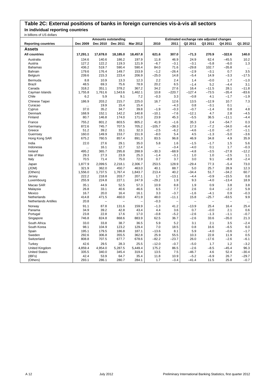# **Table 2C: External positions of banks in foreign currencies vis-à-vis all sectors**

**In individual reporting countries**

| in billions of US dollars   |           |                            |          |          |                |          |                                          |         |          |           |
|-----------------------------|-----------|----------------------------|----------|----------|----------------|----------|------------------------------------------|---------|----------|-----------|
|                             |           | <b>Amounts outstanding</b> |          |          |                |          | Estimated exchange rate adjusted changes |         |          |           |
| <b>Reporting countries</b>  | Dec 2009  | Dec 2010                   | Dec 2011 | Mar 2012 | 2010           | 2011     | Q2 2011                                  | Q3 2011 | Q4 2011  | Q1 2012   |
| Assets                      |           |                            |          |          |                |          |                                          |         |          |           |
| <b>All countries</b>        | 17,291.1  | 17,678.0                   | 18,185.0 | 18,457.8 | 621.6          | 307.0    | $-71.3$                                  | 270.9   | $-322.6$ | 140.0     |
| Australia                   | 134.6     | 140.6                      | 186.2    | 197.9    | 11.8           | 46.9     | 24.9                                     | 62.4    | $-45.5$  | 10.2      |
| Austria                     | 127.2     | 122.2                      | 119.3    | 121.9    | $-6.7$         | $-3.1$   | $-3.1$                                   | $-5.8$  | $-6.0$   | 1.3       |
| <b>Bahamas</b>              | 436.2     | 519.7                      | 590.4    | 590.4    | 84.0           | 71.6     | $-29.8$                                  | 102.7   | $-35.8$  | $\ddotsc$ |
| Bahrain                     | 179.6     | 176.4                      | 149.7    | 153.9    | $-1.2$         | $-26.4$  | $-2.9$                                   | $-3.1$  | 0.7      | 3.5       |
| Belgium                     | 239.6     | 215.3                      | 223.4    | 206.9    | $-25.0$        | 14.8     | $-5.4$                                   | 14.9    | $-3.3$   | $-17.5$   |
| Bermuda                     | 8.8       | 10.9                       | 13.3     | 12.3     | 2.2            | 2.4      | 1.4                                      | $-0.0$  | 1.7      | $-1.0$    |
| <b>Brazil</b>               | 48.5      | 69.3                       | 75.6     | 78.9     | 20.2           | 6.5      | $-1.4$                                   | 5.2     | $-4.4$   | 3.1       |
| Canada                      | 318.2     | 351.1                      | 378.2    | 367.2    | 34.2           | 27.6     | 16.4                                     | $-11.5$ | 28.1     | $-11.8$   |
| Cayman Islands              | 1.755.8   | 1.761.6                    | 1,543.6  | 1,462.1  | 10.8           | $-220.7$ | $-127.4$                                 | $-73.5$ | $-35.4$  | $-83.6$   |
| Chile                       | 6.2       | 5.9                        | 9.1      | 7.2      | $-0.3$         | 3.3      | $-0.8$                                   | 4.1     | $-1.7$   | $-1.9$    |
| Chinese Taipei              | 186.9     | 203.2                      | 215.7    | 225.0    | 16.7           | 12.6     | 13.5                                     | $-12.9$ | 10.7     | 7.3       |
| Curacao                     | $\ddotsc$ | 19.9                       | 15.4     | 15.4     | $\overline{a}$ | $-4.3$   | 0.8                                      | $-3.1$  | 0.1      | $\ldots$  |
| Cyprus                      | 37.0      | 35.2                       | 34.7     | 39.8     | $-1.9$         | $-0.3$   | $-0.7$                                   | $-1.4$  | 0.8      | 4.8       |
| Denmark                     | 168.9     | 152.1                      | 142.2    | 140.8    | $-10.1$        | $-7.6$   | $-12.1$                                  | 4.7     | 2.8      | $-4.5$    |
| Finland                     | 80.7      | 146.8                      | 174.0    | 171.0    | 23.9           | 45.3     | $-5.5$                                   | 36.5    | $-11.1$  | $-4.4$    |
| France                      | 755.2     | 801.2                      | 803.5    | 805.2    | 41.9           | $-1.6$   | 35.3                                     | 2.4     | $-54.7$  | 0.3       |
| Germany                     | 872.6     | 745.7                      | 707.5    | 705.2    | $-105.7$       | $-38.3$  | 17.3                                     | $-7.2$  | $-34.0$  | $-6.4$    |
| Greece                      | 51.2      | 39.2                       | 33.1     | 32.3     | $-2.5$         | $-6.2$   | $-4.6$                                   | $-1.0$  | $-0.7$   | $-1.1$    |
| Guernsey                    | 160.0     | 149.9                      | 153.7    | 151.9    | $-8.0$         | 5.4      | 4.5                                      | $-1.3$  | $-5.0$   | $-3.6$    |
| Hong Kong SAR               | 675.2     | 760.5                      | 857.4    | 891.3    | 83.5           | 96.8     | 46.9                                     | 34.8    | 4.9      | 35.9      |
|                             |           |                            |          |          |                |          |                                          |         |          |           |
| India                       | 22.0      | 27.6                       | 29.1     | 35.0     | 5.8            | 1.6      | $-1.5$                                   | $-1.7$  | 1.5      | 5.6       |
| Indonesia                   | ä.        | 16.1                       | 12.7     | 12.4     |                | $-3.4$   | $-4.0$                                   | 0.1     | 1.7      | $-0.3$    |
| Ireland                     | 495.2     | 365.7                      | 295.8    | 288.9    | $-30.3$        | $-68.9$  | $-4.8$                                   | $-3.5$  | $-27.8$  | $-12.2$   |
| Isle of Man                 | 29.3      | 27.3                       | 23.9     | 25.3     | $-1.4$         | $-3.1$   | 1.0                                      | 1.0     | $-2.5$   | 1.1       |
| Italy                       | 70.5      | 71.4                       | 75.0     | 72.9     | 0.7            | 3.7      | 3.0                                      | 9.1     | $-8.9$   | $-2.4$    |
| Japan                       | 1.877.9   | 2.099.5                    | 2,218.1  | 2.306.7  | 253.5          | 128.9    | $-29.4$                                  | 77.3    | $-5.4$   | 73.0      |
| (JOM)                       | 321.9     | 362.0                      | 450.7    | 463.0    | 40.1           | 88.7     | 5.0                                      | 25.7    | 28.9     | 12.3      |
| (Others)                    | 1,556.0   | 1,737.5                    | 1,767.4  | 1,843.7  | 213.4          | 40.2     | $-34.4$                                  | 51.7    | $-34.2$  | 60.7      |
| Jersey                      | 222.2     | 218.8                      | 203.7    | 207.1    | 1.7            | $-13.1$  | $-4.4$                                   | $-0.9$  | $-15.5$  | 0.8       |
| Luxembourg                  | 255.9     | 224.8                      | 227.1    | 247.9    | $-29.2$        | 1.9      | 9.3                                      | $-4.0$  | $-13.4$  | 18.9      |
| Macao SAR                   | 35.1      | 44.9                       | 52.5     | 57.3     | 10.9           | 8.8      | 1.9                                      | 0.9     | 3.8      | 3.8       |
| Malaysia                    | 26.8      | 33.1                       | 40.6     | 46.6     | 6.5            | 7.7      | 2.6                                      | 0.4     | $-2.2$   | 5.9       |
| Mexico                      | 16.7      | 20.0                       | 16.4     | 16.1     | 3.3            | $-3.7$   | $-1.6$                                   | $-4.1$  | 0.9      | $-0.3$    |
| Netherlands                 | 414.8     | 471.5                      | 460.0    | 471.9    | 48.0           | $-11.1$  | 15.8                                     | $-25.7$ | $-63.5$  | 9.9       |
| <b>Netherlands Antilles</b> | 20.8      | $\overline{\phantom{0}}$   | ÷        |          | $-0.3$         | -        | $\overline{\phantom{0}}$                 | L.      |          | $\ddotsc$ |
| Norway                      | 91.1      | 87.8                       | 131.6    | 159.9    | $-1.3$         | 41.2     | $-13.9$                                  | 25.4    | 16.4     | 25.4      |
| Panama                      | 34.9      | 39.2                       | 42.8     | 43.4     | 4.4            | 3.6      | 0.7                                      | $-0.0$  | 2.1      | 0.6       |
| Portugal                    | 23.8      | 22.8                       | 17.6     | 17.0     | $-0.8$         | $-5.2$   | $-2.6$                                   | $-1.3$  | $-1.1$   | $-0.7$    |
| Singapore                   | 746.8     | 824.8                      | 868.6    | 883.9    | 62.5           | 36.7     | $-2.6$                                   | 33.6    | $-35.0$  | 21.3      |
| South Africa                | 33.0      | 33.8                       | 38.7     | 36.5     | 5.9            | 5.2      | 3.1                                      | 2.1     | 3.5      | $-2.4$    |
| South Korea                 | 98.1      | 104.9                      | 123.2    | 129.4    | 7.0            | 18.5     | 0.8                                      | 16.6    | $-6.5$   | 6.0       |
| Spain                       | 195.1     | 179.5                      | 186.8    | 187.1    | $-13.6$        | 8.1      | 5.9                                      | $-4.0$  | $-0.6$   | $-1.7$    |
| Sweden                      | 292.6     | 306.8                      | 355.5    | 362.8    | 25.9           | 55.5     | 10.3                                     | 22.8    | 11.9     | 0.5       |
| Switzerland                 | 808.8     | 707.5                      | 677.7    | 678.6    | $-82.2$        | $-23.7$  | 26.0                                     | $-17.6$ | $-2.6$   | $-6.1$    |
| Turkey                      | 42.6      | 29.5                       | 28.3     | 25.5     | $-12.0$        | $-0.7$   | $-5.0$                                   | 1.7     | 1.2      | $-3.2$    |
| United Kingdom              | 4,859.4   | 4,954.0                    | 5,287.5  | 5,449.4  | 175.2          | 86.5     | $-2.6$                                   | $-8.5$  | $-45.4$  | 96.3      |
| <b>United States</b>        | 335.5     | 340.0                      | 345.4    | 319.4    | 13.5           | 7.5      | $-46.7$                                  | 4.6     | 52.4     | $-30.4$   |
| (IBFs)                      | 42.4      | 53.9                       | 64.7     | 35.4     | 11.8           | 10.9     | $-5.2$                                   | $-6.9$  | 26.7     | $-29.7$   |
| (Others)                    | 293.1     | 286.1                      | 280.7    | 284.1    | 1.7            | $-3.4$   | $-41.4$                                  | 11.5    | 25.8     | $-0.7$    |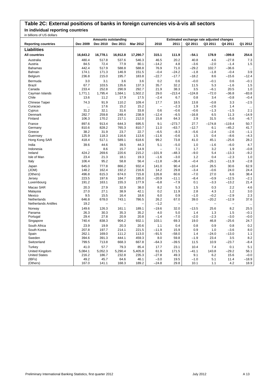# **Table 2C: External positions of banks in foreign currencies vis-à-vis all sectors**

**In individual reporting countries**  $in$  billions of  $U$ 

| III DIIIUIIS UI US UUIIDIS  |                 | <b>Amounts outstanding</b> |                   |          |                 |                          |                          | Estimated exchange rate adjusted changes |          |           |
|-----------------------------|-----------------|----------------------------|-------------------|----------|-----------------|--------------------------|--------------------------|------------------------------------------|----------|-----------|
| <b>Reporting countries</b>  | Dec 2009        | Dec 2010                   | Dec 2011          | Mar 2012 | 2010            | 2011                     | Q2 2011                  | Q3 2011                                  | Q4 2011  | Q1 2012   |
| Liabilities                 |                 |                            |                   |          |                 |                          |                          |                                          |          |           |
|                             |                 |                            |                   |          |                 |                          |                          |                                          |          |           |
| <b>All countries</b>        | 16,643.2        | 16,778.1                   | 16,912.8          | 17,290.7 | 315.1           | 111.9                    | -54.1                    | 178.9                                    | $-399.8$ | 254.6     |
| Australia                   | 480.4           | 517.8                      | 537.6             | 546.3    | 46.5            | 20.2                     | 40.8                     | 4.6                                      | $-27.8$  | 7.3       |
| Austria                     | 84.5            | 72.4                       | 77.9              | 80.1     | $-14.2$         | 4.8                      | $-3.6$                   | $-2.0$                                   | $-1.4$   | 1.5       |
| <b>Bahamas</b>              | 442.4           | 517.9                      | 588.8             | 588.8    | 76.9            | 71.0                     | $-29.2$                  | 102.7                                    | $-36.6$  | $\ddotsc$ |
| Bahrain                     | 174.1<br>236.8  | 171.3                      | 146.9             | 151.5    | $-0.4$          | $-24.2$<br>$-17.7$       | $-1.8$                   | $-1.8$<br>8.6                            | $-0.4$   | 3.9       |
| Belgium                     |                 | 215.0                      | 195.7             | 183.8    | $-22.7$         |                          | $-18.2$                  |                                          | $-15.6$  | $-12.4$   |
| Bermuda                     | 3.0             | 3.1                        | 3.6               | 3.6      | 0.2             | 0.6                      | $-0.0$                   | $-0.1$                                   | 0.6      | $-0.1$    |
| <b>Brazil</b>               | 67.7            | 103.5                      | 135.6             | 137.3    | 35.7            | 32.2                     | 11.5                     | 5.3                                      | $-1.6$   | 1.5       |
| Canada                      | 233.4           | 252.8                      | 290.9             | 292.7    | 21.9            | 38.3                     | 3.5                      | $-6.1$                                   | 20.5     | 1.0       |
| Cayman Islands<br>Chile     | 1,771.1<br>13.6 | 1,795.4                    | 1,584.1           | 1,502.2  | 29.0<br>$-2.4$  | $-213.4$                 | $-124.8$                 | $-72.0$<br>3.4                           | $-36.8$  | $-83.8$   |
|                             |                 | 11.2                       | 17.9              | 17.5     |                 | 6.7                      | 0.8                      |                                          | $-0.8$   | $-0.4$    |
| Chinese Taipei              | 74.3            | 91.9                       | 110.2             | 109.4    | 17.7            | 18.5                     | 13.8                     | $-0.8$                                   | 3.3      | $-2.5$    |
| Curacao                     |                 | 17.6                       | 15.2              | 15.2     | $\qquad \qquad$ | $-2.3$                   | 1.9                      | $-2.6$                                   | 1.4      | $\ldots$  |
| Cyprus                      | 31.2            | 32.1                       | 31.6              | 33.8     | 0.6             | $-0.6$                   | $-0.6$                   | $-1.3$                                   | $-1.5$   | 2.1       |
| Denmark                     | 282.7           | 259.8                      | 248.4             | 238.9    | $-12.4$         | $-6.5$                   | $-16.8$                  | 6.5                                      | 11.3     | $-14.9$   |
| Finland                     | 106.3           | 170.2                      | 217.1             | 212.0    | 15.8            | 64.3                     | 2.9                      | 31.5                                     | $-5.6$   | $-6.7$    |
| France                      | 897.6           | 913.4                      | 644.3             | 695.5    | 9.1             | $-273.7$                 | 27.7                     | $-174.8$                                 | $-119.4$ | 50.7      |
| Germany                     | 810.6           | 828.2                      | 765.3             | 810.7    | 11.0            | $-63.7$                  | $-12.7$                  | 6.1                                      | $-45.2$  | 41.7      |
| Greece                      | 38.2            | 31.9                       | 23.7              | 22.7     | $-6.5$          | $-8.3$                   | $-5.6$                   | $-2.4$                                   | $-2.6$   | $-1.1$    |
| Guernsey                    | 125.9           | 118.3                      | 116.6             | 113.6    | $-11.6$         | $-0.6$                   | 1.5                      | 0.4                                      | $-8.6$   | $-4.3$    |
| Hong Kong SAR               | 418.4           | 517.1                      | 589.1             | 618.6    | 99.2            | 73.8                     | 41.0                     | 45.1                                     | $-25.6$  | 28.2      |
| India                       | 39.6            | 44.6                       | 39.5              | 44.3     | 5.1             | $-5.0$                   | 1.0                      | $-1.6$                                   | $-6.0$   | 4.7       |
| Indonesia                   |                 | 8.6                        | 15.7              | 14.9     |                 | 7.1                      | 1.7                      | 3.2                                      | 1.9      | $-0.8$    |
| Ireland                     | 424.2           | 269.6                      | 220.6             | 215.2    | $-101.9$        | -48.3                    | $-9.0$                   | 5.4                                      | $-13.3$  | $-9.2$    |
| Isle of Man                 | 23.4            | 21.3                       | 18.1              | 19.3     | $-1.6$          | $-3.0$                   | 1.2                      | 0.4                                      | $-2.3$   | 1.0       |
| Italy                       | 106.4           | 95.2                       | 58.8              | 56.4     | $-11.8$         | $-36.4$                  | $-0.4$                   | $-26.1$                                  | $-11.9$  | $-2.8$    |
| Japan                       | 645.0           | 777.8                      | 866.2             | 932.4    | 141.0           | 90.4                     | $-10.4$                  | 26.5                                     | 30.6     | 62.9      |
| (JOM)                       | 148.2           | 162.4                      | 192.2             | 216.6    | 14.2            | 29.8                     | $-3.4$                   | $-0.6$                                   | 24.0     | 24.4      |
| (Others)                    | 496.8           | 615.3                      | 674.0             | 715.8    | 126.8           | 60.6                     | $-7.0$                   | 27.0                                     | 6.6      | 38.4      |
| Jersey                      | 223.5           | 197.6                      | 184.7             | 185.0    | $-20.9$         | $-11.1$                  | $-8.4$                   | $-0.9$                                   | $-12.5$  | $-2.1$    |
| Luxembourg                  | 191.2           | 163.1                      | 155.3             | 177.9    | $-6.8$          | $-7.9$                   | 0.1                      | $-3.3$                                   | $-13.2$  | 21.4      |
| Macao SAR                   | 20.3            | 27.9                       | 32.9              | 38.0     | 8.2             | 5.3                      | 1.5                      | 0.3                                      | 2.2      | 4.6       |
| Malaysia                    | 27.0            | 27.1                       | 38.9              | 42.1     | 0.2             | 11.9                     | 2.8                      | 4.3                                      | 1.2      | 3.0       |
| Mexico                      | 9.5             | 15.5                       | 16.4              | 18.6     | 6.0             | 0.9                      | $-1.0$                   | $-0.2$                                   | $-2.9$   | 2.3       |
| Netherlands                 | 646.8           | 678.0                      | 743.1             | 786.5    | 26.2            | 67.0                     | 39.0                     | $-20.2$                                  | $-12.9$  | 37.6      |
| <b>Netherlands Antilles</b> | 19.2            | $\overline{\phantom{0}}$   | $\qquad \qquad -$ | L,       | $-1.2$          | $\overline{\phantom{0}}$ | $\overline{\phantom{0}}$ | $\equiv$                                 |          |           |
| Norway                      | 149.6           | 126.3                      | 161.1             | 189.1    | $-19.6$         | 32.0                     | $-13.5$                  | 25.6                                     | 8.2      | 25.5      |
| Panama                      | 26.3            | 30.3                       | 35.3              | 35.2     | 4.0             | 5.0                      | 1.4                      | 1.3                                      | 1.5      | $-0.1$    |
| Portugal                    | 29.4            | 27.8                       | 20.9              | 20.8     | $-1.4$          | $-7.0$                   | $-2.0$                   | $-2.3$                                   | $-3.0$   | $-0.0$    |
| Singapore                   | 740.4           | 838.3                      | 904.2             | 932.1    | 103.1           | 69.3                     | 19.0                     | 46.8                                     | $-25.6$  | 24.7      |
| South Africa                | 23.9            | 19.9                       | 20.3              | 20.6     | 1.1             | 0.4                      | 0.8                      | 0.9                                      | 0.8      | 0.2       |
| South Korea                 | 207.8           | 197.7                      | 214.1             | 221.5    | $-11.9$         | 15.9                     | 0.9                      | 1.0                                      | $-3.6$   | 8.0       |
| Spain                       | 262.1           | 169.0                      | 111.2             | 113.0    | $-91.5$         | $-58.0$                  | 1.4                      | $-24.0$                                  | $-13.0$  | 1.1       |
| Sweden                      | 394.6           | 391.3                      | 444.1             | 459.3    | 8.0             | 59.8                     | $-1.9$                   | 23.4                                     | 3.5      | 8.2       |
| Switzerland                 | 799.5           | 713.8                      | 668.3             | 667.8    | $-64.3$         | $-39.5$                  | 11.5                     | 10.9                                     | $-23.7$  | $-8.4$    |
| Turkey                      | 41.0            | 57.7                       | 79.3              | 85.4     | 17.7            | 23.1                     | 10.4                     | 7.4                                      | 0.1      | 5.1       |
| United Kingdom              | 5,084.1         | 5,052.3                    | 5,290.4           | 5,405.8  | 61.9            | 171.5                    | $-41.1$                  | 143.8                                    | $-29.2$  | 56.1      |
| <b>United States</b>        | 216.2           | 186.7                      | 232.8             | 235.3    | $-27.8$         | 49.3                     | 9.1                      | 6.2                                      | 15.6     | $-0.0$    |
| (IBFs)                      | 49.2            | 45.7                       | 64.6              | 46.1     | $-3.0$          | 19.5                     | $-1.0$                   | 5.1                                      | 11.4     | $-18.9$   |
| (Others)                    | 167.0           | 141.1                      | 168.3             | 189.2    | $-24.8$         | 29.8                     | 10.1                     | 1.1                                      | 4.2      | 18.9      |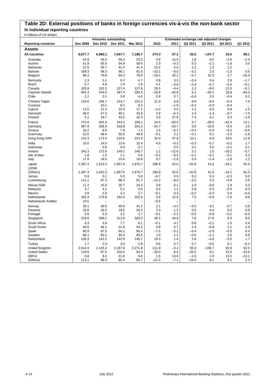### **Table 2D: External positions of banks in foreign currencies vis-à-vis the non-bank sector In individual reporting countries**

|                                        | <b>Amounts outstanding</b><br>Estimated exchange rate adjusted changes |                      |                          |                 |                          |                   |                      |                   |                                 |                    |
|----------------------------------------|------------------------------------------------------------------------|----------------------|--------------------------|-----------------|--------------------------|-------------------|----------------------|-------------------|---------------------------------|--------------------|
| <b>Reporting countries</b>             | Dec 2009                                                               | Dec 2010             | Dec 2011                 | Mar 2012        | 2010                     | 2011              | Q2 2011              | Q3 2011           | Q4 2011                         | Q1 2012            |
| Assets                                 |                                                                        |                      |                          |                 |                          |                   |                      |                   |                                 |                    |
| <b>All countries</b>                   | 6,677.7                                                                | 6,960.1              | 7,047.7                  | 7,186.7         | 374.3                    | 57.3              | 32.6                 | $-147.7$          | 10.0                            | 88.1               |
| Australia                              | 43.9                                                                   | 45.5                 | 55.4                     | 53.3            | 4.9                      | 10.0              | 1.8                  | 8.5               | $-2.6$                          | $-2.4$             |
| Austria                                | 51.9                                                                   | 55.0                 | 54.9                     | 58.5            | 2.3                      | $-0.3$            | 0.3                  | $-2.1$            | $-1.8$                          | 3.0                |
| <b>Bahamas</b>                         | 21.5                                                                   | 36.7                 | 41.4                     | 41.4            | 15.2                     | 5.0               | 1.2                  | 1.3               | 1.2                             | $\ldots$           |
| Bahrain                                | 109.3                                                                  | 98.3                 | 90.1                     | 91.0            | $-10.1$                  | $-8.0$            | $-3.1$               | 2.5               | $-1.5$                          | 0.6                |
| Belgium                                | 96.3                                                                   | 79.8                 | 94.3                     | 78.4            | $-16.1$                  | 20.2              | $-5.7$               | 22.5              | 2.7                             | $-16.4$            |
| Bermuda                                | 2.3                                                                    | 3.1                  | 6.3                      | 4.7             | 0.8                      | 3.3               | $-0.4$               | 0.4               | 2.9                             | $-1.7$             |
| Brazil                                 | 0.7                                                                    | 4.8                  | 1.9                      | 1.8             | 4.1                      | $-3.0$            | $-3.4$               | $-0.7$            | $-0.5$                          | $-0.1$             |
| Canada                                 | 105.9                                                                  | 132.1                | 127.4                    | 127.6           | 26.5                     | $-4.4$            | 1.2                  | $-9.0$            | 13.3                            | $-0.1$             |
| Cayman Islands                         | 452.4                                                                  | 433.0                | 387.4                    | 293.3           | $-18.8$                  | $-45.8$           | 6.1                  | $-20.1$           | 18.8                            | $-94.4$            |
| Chile                                  | 2.2                                                                    | 3.1                  | 3.8                      | 4.0             | 0.9                      | 0.7               | $-0.6$               | 2.0               | $-0.4$                          | 0.2                |
| Chinese Taipei                         | 116.0                                                                  | 136.7                | 143.7                    | 152.2           | 21.0                     | 6.8               | 8.8                  | $-8.4$            | $-0.4$                          | 7.0                |
| Curacao                                |                                                                        | 10.1                 | 8.2                      | 8.2             |                          | $-1.8$            | $-0.4$               | $-0.3$            | $-0.4$                          | $\ldots$           |
| Cyprus                                 | 13.5                                                                   | 11.4                 | 15.4                     | 17.1            | $-2.3$                   | 4.0               | 1.2                  | 0.0               | 0.9                             | 1.5                |
| Denmark                                | 46.0                                                                   | 47.3                 | 40.1                     | 33.9            | 2.9                      | $-6.3$            | 2.4                  | $-1.4$            | $-0.7$                          | $-7.0$             |
| Finland                                | 5.1                                                                    | 18.7                 | 43.5                     | 42.3            | 4.0                      | 27.8              | 7.4                  | 6.1               | 3.3                             | $-1.6$             |
| France                                 | 275.6                                                                  | 302.0                | 243.2                    | 256.1           | 24.5                     | $-60.0$           | 0.7                  | $-39.0$           | $-41.0$                         | 12.1               |
| Germany                                | 397.9                                                                  | 339.4                | 318.8                    | 324.2           | $-54.7$                  | $-20.7$           | 3.5                  | $-13.9$           | $-8.4$                          | 3.6                |
| Greece                                 | 16.2                                                                   | 8.0                  | 7.8                      | 7.2             | 1.4                      | $-0.1$            | $-0.4$               | $-0.4$            | $-0.2$                          | $-0.6$             |
| Guernsey                               | 52.0                                                                   | 48.4                 | 50.5                     | 48.8            | $-3.1$                   | 2.2               | $-0.1$               | 0.1               | $-2.3$                          | $-1.8$             |
| Hong Kong SAR                          | 142.3                                                                  | 173.4                | 210.6                    | 222.9           | 32.0                     | 37.8              | 10.1                 | 6.8               | 18.5                            | 11.8               |
| India                                  | 10.0                                                                   | 14.0                 | 13.6                     | 15.4            | 4.0                      | $-0.3$            | $-0.3$               | $-0.7$            | $-0.2$                          | 1.7                |
| Indonesia                              |                                                                        | 0.6                  | 0.6                      | 0.7             | $\overline{\phantom{0}}$ | 0.0               | 0.1                  | 0.0               | $-0.1$                          | 0.1                |
| Ireland                                | 245.3                                                                  | 172.6                | 149.2                    | 145.7           | 1.2                      | $-22.6$           | 2.2                  | 1.5               | $-18.2$                         | $-5.7$             |
| Isle of Man                            | 1.8<br>17.8                                                            | 1.5<br>18.5          | 1.1<br>15.6              | 5.4<br>16.9     | $-0.2$<br>0.7            | $-0.5$<br>$-2.9$  | $-0.1$<br>0.4        | $-0.1$<br>$-1.4$  | $-0.1$<br>$-1.8$                | 4.3<br>1.2         |
| Italy                                  |                                                                        |                      |                          |                 |                          |                   |                      |                   |                                 |                    |
| Japan<br>(JOM)                         | 1,367.4<br>$\ddotsc$                                                   | 1,522.3<br>$\ddotsc$ | 1,567.6<br>$\ddotsc$     | 1,670.7<br>     | 180.8<br>                | 52.0<br>$\ddotsc$ | $-42.8$<br>$\ddotsc$ | 41.6<br>$\ddotsc$ | $-16.1$<br>$\ddot{\phantom{a}}$ | 91.0<br>$\ddotsc$  |
| (Others)                               | 1,367.4                                                                | 1,522.3              | 1,567.6                  | 1,670.7         | 180.8                    | 52.0              | $-42.8$              | 41.6              | $-16.1$                         | 91.0               |
| Jersey                                 | 5.9                                                                    | 5.1                  | 5.5                      | 5.6             | $-0.7$                   | 0.5               | 0.2                  | 0.3               | $-0.3$                          | 0.0                |
| Luxembourg                             | 111.1                                                                  | 97.3                 | 88.4                     | 91.7            | $-12.2$                  | $-9.0$            | $-2.5$               | 0.3               | $-4.8$                          | 2.6                |
| Macao SAR                              | 11.2                                                                   | 15.0                 | 20.7                     | 24.3            | 3.8                      | 6.1               | 1.0                  | $-0.6$            | 1.8                             | 3.3                |
| Malaysia                               | 3.7                                                                    | 4.1                  | 5.1                      | 5.5             | 0.4                      | 1.1               | 0.9                  | 0.3               | $-0.3$                          | 0.3                |
| Mexico                                 | 2.9                                                                    | 2.9                  | 3.1                      | 2.7             | $-0.1$                   | 0.3               | $-0.2$               | $-0.3$            | 0.4                             | $-0.4$             |
| Netherlands                            | 165.4                                                                  | 179.9                | 192.0                    | 202.5           | 5.9                      | 12.5              | 7.5                  | $-0.9$            | $-7.9$                          | 9.6                |
| <b>Netherlands Antilles</b>            | 10.5                                                                   | $\qquad \qquad -$    | $\overline{\phantom{0}}$ |                 | $-0.5$                   | ۳                 | -                    | $\qquad \qquad -$ | $\qquad \qquad -$               | $\ddotsc$          |
| Norway                                 | 39.1                                                                   | 40.6                 | 40.0                     | 41.2            | 2.1                      | $-4.4$            | $-5.5$               | $-3.2$            | $-0.7$                          | 0.8                |
| Panama                                 | 15.8                                                                   | 18.2                 | 19.5                     | 20.3            | 2.3                      | 1.3               | 0.5                  | 0.4               | 0.2                             | 0.9                |
| Portugal                               | 5.5                                                                    | 5.3                  | 3.2                      | 2.7             | $-0.1$                   | $-2.2$            | $-0.9$               | $-0.9$            | $-0.2$                          | $-0.5$             |
| Singapore                              | 219.6                                                                  | 268.1                | 312.8                    | 320.5           | 46.2                     | 44.9              | 7.8                  | 17.9              | 6.3                             | 8.0                |
| South Africa                           | 4.3                                                                    | 3.6                  | 7.7                      | 8.1             | $-0.1$                   | 4.1               | 0.6                  | $-0.1$            | 1.5                             | 0.4                |
| South Korea                            | 45.5                                                                   | 46.1                 | 51.8                     | 54.2            | 0.8                      | 5.7               | 2.4                  | $-0.9$            | 1.1                             | 2.3                |
| Spain                                  | 95.9                                                                   | 87.5                 | 84.2                     | 85.4            | $-7.5$                   | $-3.2$            | $-0.4$               | $-2.9$            | $-0.5$                          | 0.4                |
| Sweden                                 | 86.1                                                                   | 83.1                 | 83.4                     | 85.6            | 1.0                      | 1.2               | $-0.6$               | $-1.1$            | 2.5                             | 0.8                |
| Switzerland                            | 126.3                                                                  | 142.2                | 142.9                    | 145.7           | 18.3                     | 1.4               | 1.6                  | $-4.6$            | $-2.5$                          | 1.7                |
| Turkey                                 | 1.7                                                                    | 2.3                  | 3.0                      | 2.8             | 0.6                      | 0.7               | 0.7                  | $-0.0$            | 0.1                             | $-0.2$             |
| United Kingdom<br><b>United States</b> | 2,014.0<br>119.9                                                       | 2,145.2<br>97.5      | 2,187.9<br>104.0         | 2,271.8<br>94.3 | 111.9<br>$-20.0$         | $-3.4$<br>6.5     | 55.0<br>$-25.5$      | $-156.7$<br>9.1   | 25.9<br>22.6                    | 62.5               |
| (IBFs)                                 | 6.8                                                                    | 8.2                  | 21.6                     | 8.6             |                          |                   | $-1.0$               | 1.0               | 13.5                            | $-10.6$<br>$-13.1$ |
| (Others)                               | 113.1                                                                  | 89.3                 | 82.4                     | 85.7            | 1.5<br>$-21.5$           | 13.6<br>$-7.1$    | $-24.5$              | 8.1               | 9.1                             | 2.5                |
|                                        |                                                                        |                      |                          |                 |                          |                   |                      |                   |                                 |                    |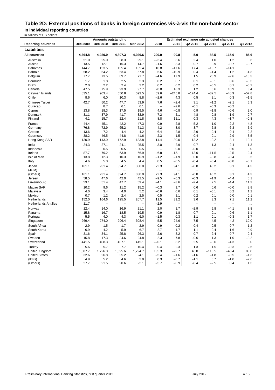## **Table 2D: External positions of banks in foreign currencies vis-à-vis the non-bank sector In individual reporting countries**

|                             | <b>Amounts outstanding</b><br>Estimated exchange rate adjusted changes |                    |                   |             |                          |                          |                    |                   |                  |                  |
|-----------------------------|------------------------------------------------------------------------|--------------------|-------------------|-------------|--------------------------|--------------------------|--------------------|-------------------|------------------|------------------|
| <b>Reporting countries</b>  | Dec 2009                                                               | Dec 2010           | Dec 2011          | Mar 2012    | 2010                     | 2011                     | Q2 2011            | Q3 2011           | Q4 2011          | Q1 2012          |
| Liabilities                 |                                                                        |                    |                   |             |                          |                          |                    |                   |                  |                  |
| <b>All countries</b>        | 4,664.8                                                                | 4,929.9            | 4,807.3           | 4,926.6     | 299.9                    | $-90.8$                  | $-5.0$             | $-88.5$           | $-115.0$         | 85.6             |
| Australia                   | 51.0                                                                   | 25.0               | 28.3              | 29.1        | $-23.4$                  | 3.6                      | 2.4                | 1.0               | 1.2              | 0.6              |
| Austria                     | 13.5                                                                   | 12.1               | 15.3              | 14.7        | $-1.6$                   | 3.3                      | 0.7                | 0.9               | $-0.7$           | $-0.7$           |
| <b>Bahamas</b>              | 144.7                                                                  | 153.5              | 135.4             | 135.4       | 10.8                     | $-17.6$                  | 17.4               | $-13.7$           | $-14.1$          |                  |
| Bahrain                     | 58.2                                                                   | 64.2               | 53.4              | 57.8        | 6.6                      | $-10.9$                  | 0.4                | $-1.4$            | 1.2              | 4.3              |
| Belgium                     | 77.7                                                                   | 73.5               | 89.7              | 71.7        | $-4.6$                   | 17.9                     | 1.5                | 20.9              | $-2.6$           | $-18.3$          |
| Bermuda                     | 1.7                                                                    | 1.8                | 2.5               | 2.3         | 0.2                      | 0.7                      | 0.1                | $-0.1$            | 0.6              | $-0.3$           |
| Brazil                      | 2.0                                                                    | 2.2                | 2.4               | 2.2         | 0.2                      | 0.2                      | 0.2                | $-0.5$            | 0.1              | $-0.2$           |
| Canada                      | 47.5                                                                   | 75.9               | 93.9              | 97.7        | 28.8                     | 18.3                     | 1.2                | 5.6               | 10.9             | 3.4              |
| Cayman Islands              | 835.1                                                                  | 903.4              | 650.8             | 593.5       | 69.6                     | $-245.8$                 | $-124.4$           | $-32.5$           | $-48.9$          | $-57.8$          |
| Chile                       | 8.6                                                                    | 6.0                | 10.3              | 8.8         | $-2.6$                   | 4.3                      | 0.5                | 2.1               | 0.3              | $-1.5$           |
| Chinese Taipei              | 42.7                                                                   | 50.2               | 47.7              | 53.9        | 7.6                      | $-2.4$                   | 3.1                | $-1.2$            | $-2.1$           | 5.3              |
| Curacao                     | $\cdots$                                                               | 8.7                | 6.1               | 6.1         | $\overline{\phantom{0}}$ | $-2.6$                   | $-0.1$             | $-0.3$            | $-0.2$           | $\ddotsc$        |
| Cyprus                      | 13.8                                                                   | 18.3               | 17.5              | 19.5        | 4.6                      | $-0.8$                   | 0.9                | $-1.8$            | $-0.6$           | 2.0              |
| Denmark                     | 31.1                                                                   | 37.9               | 41.7              | 32.9        | 7.2                      | 5.1                      | 4.8                | 0.8               | 1.9              | $-9.7$           |
| Finland                     | 4.1                                                                    | 15.7               | 22.4              | 21.8        | 8.8                      | 11.1                     | 0.3                | 4.3               | $-1.7$           | $-0.8$           |
| France                      | 44.4                                                                   | 45.1               | 42.2              | 47.3        | 0.9                      | $-2.8$                   | 5.2                | $-1.0$            | $-2.2$           | 4.8              |
| Germany                     | 76.8                                                                   | 72.9               | 65.2              | 71.3        | $-4.2$                   | $-8.0$                   | 3.7                | $-6.8$            | $-6.3$           | 5.9              |
| Greece                      | 13.6                                                                   | 7.2                | 4.4               | 4.2         | $-6.4$                   | $-2.8$                   | $-2.9$             | $-0.4$            | $-0.4$           | $-0.2$           |
| Guernsey                    | 38.2                                                                   | 46.5               | 44.8              | 41.6        | 2.3                      | $-1.5$                   | $-0.4$             | 0.1               | $-2.9$           | $-3.5$           |
| Hong Kong SAR               | 130.9                                                                  | 143.9              | 172.9             | 183.8       | 14.4                     | 30.0                     | 13.2               | $-0.2$            | 8.1              | 10.1             |
| India                       | 24.3                                                                   | 27.1               | 24.1              | 25.5        | 3.0                      | $-2.9$                   | 0.7                | $-1.3$            | $-2.4$           | 1.3              |
| Indonesia                   |                                                                        | 0.5                | 0.5               | 0.5         | -                        | 0.0                      | $-0.0$             | 0.1               | 0.0              | 0.0              |
| Ireland                     | 87.7                                                                   | 79.2               | 63.9              | 66.9        | $-6.8$                   | $-15.1$                  | 13.0               | $-11.5$           | $-2.5$           | 2.4              |
| Isle of Man                 | 13.8                                                                   | 12.3               | 10.3              | 10.9        | $-1.2$                   | $-1.9$                   | 0.0                | $-0.8$            | $-0.4$           | 0.5              |
| Italy                       | 4.6                                                                    | 5.0                | 4.5               | 4.4         | 0.5                      | $-0.5$                   | $-0.4$             | $-0.4$            | $-0.8$           | $-0.1$           |
| Japan                       | 161.1                                                                  | 231.4              | 324.7             | 330.0       | 72.3                     | 94.1                     | $-0.8$             | 46.2              | 3.1              | 4.3              |
| (JOM)<br>(Others)           | $\cdots$<br>161.1                                                      | $\ddotsc$<br>231.4 | $\cdots$<br>324.7 | .<br>330.0  | <br>72.3                 | $\ddotsc$<br>94.1        | $\ldots$<br>$-0.8$ | $\ldots$<br>46.2  | $\ddotsc$<br>3.1 | $\ddotsc$<br>4.3 |
| Jersey                      | 58.5                                                                   | 47.6               | 42.0              | 42.5        | $-9.5$                   | $-5.3$                   | $-0.3$             | $-1.9$            | $-4.4$           | 0.1              |
| Luxembourg                  | 53.1                                                                   | 51.4               | 47.7              | 59.4        | $-4.1$                   | $-3.6$                   | $-2.4$             | 2.5               | $-4.4$           | 11.3             |
| Macao SAR                   | 10.2                                                                   | 9.6                | 11.2              |             | $-0.3$                   |                          |                    | 0.6               | $-0.0$           | 3.8              |
| Malaysia                    | 4.0                                                                    | 3.4                | 4.0               | 15.2<br>5.2 | $-0.6$                   | 1.7<br>0.6               | 0.6<br>0.1         | $-0.1$            | 0.2              | 1.2              |
| Mexico                      | 0.7                                                                    | 1.2                | 2.4               | 2.5         | 0.5                      | 1.1                      | 0.2                | 0.1               | 0.0              | 0.1              |
| Netherlands                 | 152.0                                                                  | 164.6              | 195.5             | 207.7       | 11.5                     | 31.2                     | 3.6                | 3.3               | 7.1              | 11.2             |
| <b>Netherlands Antilles</b> | 11.7                                                                   | $\qquad \qquad -$  | $\qquad \qquad -$ | -           | $-2.9$                   | $\overline{\phantom{0}}$ | $\qquad \qquad -$  | $\qquad \qquad -$ |                  | $\ddotsc$        |
| Norway                      | 12.4                                                                   | 14.0               | 16.9              | 21.1        | 2.0                      | 1.7                      | $-2.9$             | 5.8               | $-4.1$           | 3.8              |
| Panama                      | 15.8                                                                   | 16.7               | 18.5              | 19.5        | 0.9                      | 1.8                      | 0.7                | 0.1               | 0.6              | 1.1              |
| Portugal                    | 5.5                                                                    | 4.0                | 4.3               | 6.0         | $-1.5$                   | 0.3                      | 1.1                | 0.1               | $-0.3$           | 1.7              |
| Singapore                   | 269.4                                                                  | 274.0              | 296.4             | 308.4       | 5.5                      | 24.6                     | 7.5                | 4.5               | 4.2              | 10.0             |
| South Africa                | 2.9                                                                    | 1.5                | 1.7               | 2.9         | $-0.9$                   | 0.2                      | 0.4                | 0.5               | $-0.7$           | 1.2              |
| South Korea                 | 6.9                                                                    | 4.2                | 5.9               | 6.7         | $-2.7$                   | 1.7                      | $-1.1$             | 0.4               | 1.6              | 0.9              |
| Spain                       | 31.6                                                                   | 34.1               | 25.8              | 26.3        | 2.6                      | $-8.2$                   | $-0.7$             | $-2.4$            | $-0.7$           | 0.4              |
| Sweden                      | 15.8                                                                   | 17.3               | 24.6              | 24.8        | 2.3                      | 7.8                      | $-0.6$             | 1.3               | 1.0              | $-0.2$           |
| Switzerland                 | 441.5                                                                  | 408.3              | 407.1             | 415.1       | $-20.1$                  | 3.2                      | $2.5\,$            | $-0.6$            | $-4.3$           | 3.0              |
| Turkey                      | 5.6                                                                    | 5.7                | 7.7               | 10.4        | 0.4                      | 2.3                      | 1.3                | 1.5               | $-0.3$           | 2.6              |
| United Kingdom              | 1,607.7                                                                | 1,726.3            | 1,695.6           | 1,794.7     | 135.3                    | $-23.7$                  | 46.0               | $-110.5$          | $-48.4$          | 83.0             |
| <b>United States</b>        | 32.6                                                                   | 26.8               | 25.2              | 24.1        | $-5.4$                   | $-1.6$                   | $-1.6$             | $-1.8$            | $-0.5$           | $-1.3$           |
| (IBFs)                      | 4.9                                                                    | 5.2                | 4.6               | 2.0         | 0.3                      | $-0.7$                   | $-1.1$             | 0.7               | $-1.0$           | $-2.6$           |
| (Others)                    | 27.7                                                                   | 21.5               | 20.6              | 22.1        | $-5.7$                   | $-0.9$                   | $-0.4$             | $-2.5$            | 0.4              | 1.3              |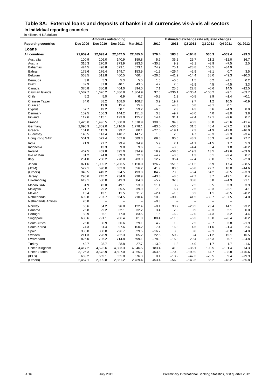### **Table 3A: External loans and deposits of banks in all currencies vis-à-vis all sectors In individual reporting countries**

| in billions of UU dollars   | <b>Amounts outstanding</b><br>Estimated exchange rate adjusted changes |                   |                          |                |                   |                   |                |                |                    |               |
|-----------------------------|------------------------------------------------------------------------|-------------------|--------------------------|----------------|-------------------|-------------------|----------------|----------------|--------------------|---------------|
| <b>Reporting countries</b>  | Dec 2009                                                               | Dec 2010          | Dec 2011                 | Mar 2012       | 2010              | 2011              | Q2 2011        | Q3 2011        | Q4 2011            | Q1 2012       |
| Loans                       |                                                                        |                   |                          |                |                   |                   |                |                |                    |               |
| <b>All countries</b>        | 21,659.4                                                               | 22,093.4          | 22,347.5                 | 22,485.0       | 979.4             | 183.8             | $-194.8$       | 536.3          | $-569.4$           | $-99.3$       |
| Australia                   | 100.9                                                                  | 106.0             | 140.9                    | 159.8          | 5.6               | 36.2              | 25.7           | 11.2           | $-12.0$            | 16.7          |
| Austria                     | 316.3                                                                  | 270.9             | 273.9                    | 283.6          | $-30.8$           | 9.2               | $-3.1$         | $-3.9$         | $-7.5$             | 2.5           |
| <b>Bahamas</b>              | 424.5                                                                  | 498.8             | 573.1                    | 573.1          | 74.9              | 75.1              | $-28.8$        | 103.5          | $-34.9$            | $\ddotsc$     |
| Bahrain                     | 179.6                                                                  | 176.4             | 149.7                    | 153.9          | $-1.2$            | $-26.4$           | $-2.9$         | $-3.1$         | 0.7                | 3.5           |
| Belgium                     | 563.5                                                                  | 511.8             | 460.5                    | 460.4          | $-26.6$           | $-41.9$           | $-14.4$        | 38.0           | $-49.3$            | $-10.3$       |
| Bermuda                     | 3.8                                                                    | 5.3               | 5.3                      | 5.5            | 1.5               | $-0.0$            | 1.5            | 0.2            | $-1.1$             | 0.2           |
| <b>Brazil</b>               | 32.9                                                                   | 37.8              | 40.1                     | 43.5           | 4.2               | 2.6               | $-2.9$         | 4.5            | $-4.5$             | 3.3           |
| Canada                      | 370.8                                                                  | 380.8             | 404.0                    | 394.0          | 7.1               | 25.5              | 22.8           | $-6.6$         | 14.5               | $-12.5$       |
| Cayman Islands              | 1,587.7                                                                | 1,620.2           | 1,386.8                  | 1,304.9        | 37.0              | $-236.1$          | $-130.4$       | $-108.2$       | $-9.1$             | $-83.7$       |
| Chile                       | 5.2                                                                    | 5.0               | 6.9                      | 6.7            | $-0.3$            | 1.9               | $-0.8$         | 2.9            | $-1.4$             | $-0.1$        |
| Chinese Taipei              | 84.0                                                                   | 88.2              | 108.0                    | 108.7          | 3.9               | 19.7              | 9.7            | 1.2            | 10.5               | $-0.9$        |
| Curacao                     | $\cdots$                                                               | 19.9              | 15.4                     | 15.4           | $\overline{a}$    | $-4.3$            | 0.8            | $-3.1$         | 0.1                | $\ddotsc$     |
| Cyprus                      | 57.7                                                                   | 49.2              | 50.1                     | 59.2           | $-6.5$            | 2.3               | 4.3            | 0.6            | $-4.9$             | 8.0           |
| Denmark                     | 159.5                                                                  | 156.3             | 144.2                    | 151.3          | 3.3               | $-9.7$            | $-8.0$         | 4.0            | $-3.0$             | 3.8           |
| Finland                     | 112.6                                                                  | 115.1             | 123.0                    | 125.7          | 14.4              | 31.1              | $-7.4$         | 12.1           | $-9.6$             | 0.7           |
| France                      | 1,425.8                                                                | 1,496.5           | 1,558.8                  | 1,578.9        | 138.0             | 94.3              | 40.3           | 88.8           | $-75.6$            | $-11.4$       |
| Germany                     | 2,096.9                                                                | 1,809.0           | 1,716.6                  | 1,778.1        | $-83.0$           | $-53.5$           | 31.5           | 48.4           | $-87.2$            | 21.9          |
| Greece                      | 161.0                                                                  | 115.3             | 93.7                     | 80.1           | $-27.0$           | $-19.1$           | 2.3            | $-1.9$         | $-12.0$            | $-16.0$       |
| Guernsey                    | 148.5                                                                  | 147.4             | 148.7                    | 147.7          | 1.3               | 2.5               | 4.7            | $-3.3$         | $-2.3$             | $-3.4$        |
| Hong Kong SAR               | 501.3                                                                  | 572.4             | 662.9                    | 689.3          | 69.8              | 90.5              | 43.2           | 38.3           | $-8.6$             | 27.7          |
| India                       | 21.9                                                                   | 27.7              | 29.4                     | 34.9           | 5.9               | 2.1               | $-1.1$         | $-1.5$         | 1.7                | 5.3           |
| Indonesia                   | i.                                                                     | 13.3              | 9.8                      | 9.6            | L                 | $-3.5$            | $-4.4$         | 0.4            | 1.8                | $-0.2$        |
| Ireland                     | 467.5                                                                  | 459.8             | 395.0                    | 334.9          | 19.9              | $-58.6$           | $-19.3$        | 13.5           | $-19.6$            | $-69.0$       |
| Isle of Man                 | 81.2                                                                   | 74.0              | 69.3                     | 72.0           | $-4.7$            | $-3.8$            | 1.3            | 0.1            | $-2.4$             | 0.7           |
| Italy                       | 251.0                                                                  | 250.2             | 278.0                    | 283.0          | 12.7              | 36.4              | $-7.4$         | 30.0           | 2.5                | $-2.8$        |
| Japan                       | 871.6                                                                  | 1,039.2           | 1,206.5                  | 1,150.0        | 126.2             | 151.5             | $-11.2$        | 86.9           | 17.4               | $-38.5$       |
| (JOM)                       | 522.1                                                                  | 590.0             | 682.0                    | 656.2          | 41.9              | 80.6              | $-5.8$         | 22.7           | 18.0               | $-14.6$       |
| (Others)                    | 349.5                                                                  | 449.2             | 524.5                    | 493.8          | 84.2              | 70.8              | $-5.4$         | 64.2           | $-0.5$             | $-23.9$       |
| Jersey                      | 296.6<br>619.1                                                         | 245.2<br>530.8    | 234.0<br>549.3           | 238.9<br>584.0 | $-43.3$<br>$-5.7$ | $-8.6$<br>32.3    | $-2.7$<br>33.8 | 3.7<br>5.8     | $-19.1$<br>$-24.9$ | 0.4<br>21.1   |
| Luxembourg                  |                                                                        |                   |                          |                |                   |                   |                |                |                    |               |
| Macao SAR                   | 31.9                                                                   | 42.0              | 49.1                     | 53.9           | 11.1              | 8.2               | 2.2            | 0.5            | 3.3                | 3.9           |
| Malaysia                    | 21.7<br>15.4                                                           | 29.2              | 35.5                     | 39.9           | 7.3               | 6.7               | 2.5            | $-0.3$         | $-2.1$             | 4.1<br>$-0.2$ |
| Mexico<br>Netherlands       | 699.8                                                                  | 13.1<br>707.7     | 11.5<br>664.5            | 11.7<br>710.4  | $-2.4$<br>10.9    | $-1.0$<br>$-30.9$ | 0.2<br>41.5    | 1.1<br>$-39.7$ | $-0.5$<br>$-107.5$ | 34.0          |
| <b>Netherlands Antilles</b> | 20.8                                                                   | $\qquad \qquad -$ | $\overline{\phantom{a}}$ |                | $-0.3$            |                   | $\overline{a}$ | $\overline{a}$ |                    |               |
|                             |                                                                        |                   |                          |                |                   |                   |                |                |                    |               |
| Norway<br>Panama            | 65.6<br>25.8                                                           | 64.2<br>29.2      | 96.8                     | 122.4<br>32.2  | $-0.1$<br>3.4     | 30.7              | $-20.5$        | 23.4<br>$-0.3$ | 14.1<br>2.1        | 23.2<br>0.0   |
| Portugal                    | 88.9                                                                   | 85.1              | 32.1<br>77.0             | 83.5           | 1.5               | 2.9<br>$-6.2$     | 0.9<br>$-2.0$  | $-4.3$         | 3.2                | 4.4           |
| Singapore                   | 688.6                                                                  | 791.1             | 786.4                    | 801.0          | 88.4              | $-11.6$           | $-6.3$         | 10.8           | $-26.4$            | 20.2          |
| South Africa                | 26.0                                                                   | 30.9              | 30.6                     | 29.1           | 4.2               | 1.0               | 2.5            | $-0.7$         | 3.8                | $-1.9$        |
| South Korea                 | 74.3                                                                   | 81.4              | 97.6                     | 100.2          | 7.4               | 16.3              | 4.5            | 11.6           | $-1.4$             | 2.4           |
| Spain                       | 335.8                                                                  | 300.8             | 296.7                    | 329.5          | $-16.2$           | 3.0               | 0.8            | $-9.1$         | $-0.8$             | 24.8          |
| Sweden                      | 211.3                                                                  | 228.9             | 282.3                    | 305.2          | 22.5              | 59.2              | 3.4            | 21.2           | 15.1               | 16.5          |
| Switzerland                 | 826.0                                                                  | 736.2             | 714.8                    | 699.1          | $-78.9$           | $-15.3$           | 29.4           | $-15.3$        | 5.7                | $-24.8$       |
| Turkey                      | 42.7                                                                   | 28.7              | 28.8                     | 27.7           | $-13.0$           | 1.3               | $-4.0$         | 1.7            | 1.7                | $-1.6$        |
| United Kingdom              | 4,417.2                                                                | 4,523.6           | 4,803.3                  | 4,946.5        | 183.4             | 41.8              | $-36.1$        | 108.5          | $-101.4$           | 74.3          |
| <b>United States</b>        | 3,126.3                                                                | 3,578.9           | 3,507.0                  | 3,365.7        | 453.5             | $-70.0$           | $-190.9$       | 64.7           | $-38.8$            | $-145.6$      |
| (IBFs)                      | 669.2                                                                  | 669.1             | 655.8                    | 576.3          | 0.1               | $-13.2$           | $-47.3$        | $-20.5$        | 9.4                | $-79.9$       |
| (Others)                    | 2,457.1                                                                | 2,909.8           | 2,851.2                  | 2,789.4        | 453.4             | $-56.8$           | $-143.6$       | 85.2           | $-48.2$            | $-65.8$       |
|                             |                                                                        |                   |                          |                |                   |                   |                |                |                    |               |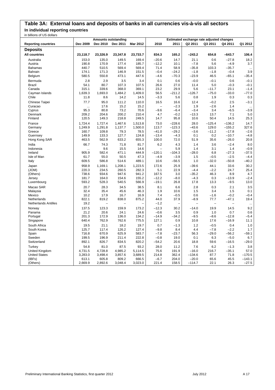## **Table 3A: External loans and deposits of banks in all currencies vis-à-vis all sectors In individual reporting countries**

|                             | <b>Amounts outstanding</b><br>Estimated exchange rate adjusted changes |                          |                          |                          |                          |                          |             |                   |                          |                   |
|-----------------------------|------------------------------------------------------------------------|--------------------------|--------------------------|--------------------------|--------------------------|--------------------------|-------------|-------------------|--------------------------|-------------------|
| <b>Reporting countries</b>  | Dec 2009                                                               | Dec 2010                 | Dec 2011                 | Mar 2012                 | 2010                     | 2011                     | Q2 2011     | Q3 2011           | Q4 2011                  | Q1 2012           |
| <b>Deposits</b>             |                                                                        |                          |                          |                          |                          |                          |             |                   |                          |                   |
| <b>All countries</b>        | 23,118.7                                                               | 23,326.9                 | 23,347.8                 | 23,733.7                 | 834.3                    | 165.2                    | $-243.2$    | 654.8             | $-643.7$                 | 106.4             |
| Australia                   | 153.0                                                                  | 135.0                    | 149.5                    | 169.4                    | $-20.6$                  | 14.7                     | 21.1        | 0.6               | $-27.8$                  | 18.2              |
| Austria                     | 190.8                                                                  | 170.9                    | 177.4                    | 185.7                    | $-12.2$                  | 10.1                     | $-7.8$      | 5.6               | $-4.9$                   | 3.7               |
| <b>Bahamas</b>              | 440.7                                                                  | 510.5                    | 569.4                    | 569.4                    | 71.4                     | 58.9                     | $-35.8$     | 103.3             | $-35.7$                  | $\ldots$          |
| Bahrain                     | 174.1                                                                  | 171.3                    | 146.9                    | 151.5                    | $-0.4$                   | $-24.2$                  | $-1.8$      | $-1.8$            | $-0.4$                   | 3.9               |
| Belgium                     | 580.5                                                                  | 550.8                    | 473.1                    | 447.6                    | $-4.6$                   | $-70.3$                  | $-23.9$     | 46.5              | $-65.1$                  | $-35.4$           |
| Bermuda                     | 2.8                                                                    | 2.9                      | 3.5                      | 3.4                      | 0.1                      | 0.6                      | $-0.0$      | $-0.1$            | 0.6                      | $-0.1$            |
| <b>Brazil</b>               | 54.1                                                                   | 80.7                     | 107.3                    | 107.5                    | 26.6                     | 27.0                     | 11.4        | 5.0               | $-0.3$                   | $-0.1$            |
| Canada                      | 315.1                                                                  | 339.6                    | 368.0                    | 369.1                    | 23.2                     | 29.9                     | 5.6         | $-11.7$           | 23.1                     | $-1.4$            |
| Cayman Islands              | 1,639.3                                                                | 1,693.0                  | 1,484.2                  | 1,409.0                  | 56.5                     | $-211.2$                 | $-126.7$    | $-75.0$           | $-33.0$                  | $-77.0$           |
| Chile                       | 11.8                                                                   | 8.6                      | 14.2                     | 14.5                     | $-3.3$                   | 5.6                      | 0.8         | 1.9               | 0.3                      | 0.3               |
| Chinese Taipei              | 77.7                                                                   | 95.0                     | 111.2                    | 110.0                    | 16.5                     | 16.6                     | 12.4        | $-0.2$            | 2.5                      | $-3.1$            |
| Curacao                     |                                                                        | 17.6                     | 15.2                     | 15.2                     | $\overline{\phantom{0}}$ | $-2.3$                   | 1.9         | $-2.6$            | 1.4                      | $\ddotsc$         |
| Cyprus                      | 95.3                                                                   | 80.8                     | 73.2                     | 70.6                     | $-9.6$                   | $-6.4$                   | $-3.4$      | 3.4               | $-6.5$                   | $-3.9$            |
| Denmark                     | 209.2                                                                  | 204.6                    | 200.2                    | 210.4                    | 4.7                      | $-0.2$                   | $-13.3$     | 13.7              | 7.1                      | 5.0               |
| Finland                     | 120.5                                                                  | 149.3                    | 218.8                    | 249.5                    | 14.7                     | 95.8                     | 10.6        | 50.4              | 14.5                     | 25.3              |
| France                      | 1,724.4                                                                | 1,727.4                  | 1,467.6                  | 1,513.8                  | 73.0                     | $-228.6$                 | 28.0        | $-125.4$          | $-136.2$                 | 14.7              |
| Germany                     | 1,249.9                                                                | 1,291.8                  | 1,137.7                  | 1,500.0                  | 113.7                    | $-123.3$                 | $-43.6$     | 129.0             | $-155.2$                 | 327.6             |
| Greece                      | 160.7                                                                  | 109.8                    | 79.3                     | 78.5                     | $-41.0$                  | $-29.2$                  | $-3.6$      | $-11.2$           | $-17.8$                  | $-2.6$            |
| Guernsey                    | 149.9                                                                  | 133.3                    | 127.7                    | 124.8                    | $-13.4$                  | $-4.3$                   | 0.1         | 0.2               | $-10.7$                  | $-4.8$            |
| Hong Kong SAR               | 463.5                                                                  | 562.9                    | 633.2                    | 655.3                    | 100.0                    | 72.0                     | 51.9        | 35.6              | $-26.0$                  | 20.8              |
| India                       | 66.7                                                                   | 74.3                     | 71.8                     | 81.7                     | 6.2                      | 4.3                      | 1.4         | 3.6               | $-2.4$                   | 8.0               |
| Indonesia                   |                                                                        | 9.6                      | 15.5                     | 14.6                     |                          | 5.9                      | 1.4         | 3.1               | 1.4                      | $-0.9$            |
| Ireland                     | 905.9                                                                  | 582.4                    | 471.1                    | 444.9                    | $-120.1$                 | $-104.3$                 | $-28.0$     | 6.8               | $-27.3$                  | $-37.5$           |
| Isle of Man<br>Italy        | 61.7<br>609.5                                                          | 55.0<br>586.8            | 50.5<br>514.6            | 47.3<br>489.1            | $-4.9$<br>10.6           | $-3.9$<br>$-56.5$        | 1.5<br>1.0  | $-0.5$<br>$-32.0$ | $-2.5$<br>$-50.8$        | $-4.4$<br>$-40.2$ |
| Japan                       | 958.9                                                                  | 1,169.1                  | 1,208.1                  | 1,223.5                  | 172.6                    | 25.9                     | $-39.6$     | 44.1              | 33.6                     | 30.2              |
| (JOM)                       | 220.3                                                                  | 234.5                    | 260.5                    | 282.3                    | 5.1                      | 22.9                     | $-4.4$      | $-2.2$            | 24.7                     | 25.4              |
| (Others)                    | 738.6                                                                  | 934.6                    | 947.6                    | 941.2                    | 167.5                    | 3.0                      | $-35.2$     | 46.3              | 8.9                      | 4.7               |
| Jersey                      | 181.7                                                                  | 164.0                    | 154.6                    | 155.2                    | $-12.2$                  | $-8.0$                   | $-4.3$      | 0.3               | $-13.9$                  | $-2.4$            |
| Luxembourg                  | 593.2                                                                  | 528.3                    | 540.5                    | 566.9                    | $-19.1$                  | 26.8                     | 17.8        | 13.3              | $-9.5$                   | 13.0              |
| Macao SAR                   | 20.7                                                                   | 28.3                     | 34.5                     | 38.5                     | 8.1                      | 6.6                      | 2.8         | 0.3               | 2.1                      | 3.5               |
| Malaysia                    | 32.4                                                                   | 35.4                     | 45.6                     | 46.3                     | 1.9                      | 10.6                     | 1.5         | 3.4               | 1.5                      | 0.1               |
| Mexico                      | 10.2                                                                   | 17.9                     | 16.7                     | 16.9                     | 7.4                      | $-0.5$                   | 0.6         | $-1.6$            | $-0.2$                   | $-0.4$            |
| Netherlands                 | 822.1                                                                  | 819.2                    | 838.0                    | 875.2                    | 44.0                     | 37.9                     | $-8.9$      | 77.7              | $-47.1$                  | 19.4              |
| <b>Netherlands Antilles</b> | 19.2                                                                   | $\overline{\phantom{0}}$ | $\overline{\phantom{a}}$ | $\overline{\phantom{0}}$ | $-1.2$                   | $\overline{\phantom{0}}$ | $\equiv$    | $\equiv$          | $\overline{\phantom{0}}$ |                   |
| Norway                      | 137.5                                                                  | 123.3                    | 159.9                    | 173.2                    | $-12.3$                  | 30.2                     | $-14.0$     | 19.9              | 14.5                     | 9.2               |
| Panama                      | 21.2                                                                   | 20.6                     | 24.1                     | 24.6                     | $-0.6$                   | 3.5                      | 0.9         | 1.0               | 0.7                      | 0.6               |
| Portugal                    | 201.3                                                                  | 172.9                    | 136.0                    | 134.2                    | $-14.9$                  | $-34.2$                  | $-9.5$      | $-8.6$            | $-12.8$                  | $-5.4$            |
| Singapore                   | 640.4                                                                  | 762.9                    | 762.6                    | 775.5                    | 127.1                    | 0.9                      | 10.8        | 17.6              | $-16.9$                  | 11.1              |
| South Africa                | 19.5                                                                   | 21.1                     | 18.2                     | 19.7                     | 0.7                      | $-1.3$                   | 1.2         | $-0.5$            | 0.4                      | 1.0               |
| South Korea                 | 125.7                                                                  | 117.4                    | 126.2                    | 127.4                    | $-9.8$                   | 8.4                      | 4.4         | $-7.8$            | $-2.2$                   | 1.7               |
| Spain<br>Sweden             | 716.8<br>199.5                                                         | 670.9<br>196.9           | 625.9<br>211.4           | 583.7<br>222.8           | $-7.8$<br>$-0.8$         | $-23.7$<br>19.0          | 56.3<br>0.1 | $-29.0$<br>6.3    | $-56.2$<br>$-5.0$        | $-59.1$<br>6.7    |
| Switzerland                 | 892.1                                                                  | 826.7                    | 834.5                    | 820.2                    | $-54.2$                  | 20.6                     | 18.8        | 59.6              | $-16.5$                  | $-29.0$           |
| Turkey                      | 54.8                                                                   | 81.0                     | 87.5                     | 93.2                     | 28.0                     | 11.2                     | 7.6         | 6.2               | $-1.3$                   | 3.8               |
| United Kingdom              | 4,731.5                                                                | 4,728.8                  | 4,985.2                  | 5,114.5                  | 75.6                     | 191.9                    | $-16.0$     | 216.7             | $-35.1$                  | 57.0              |
| <b>United States</b>        | 3,283.0                                                                | 3,498.4                  | 3,857.6                  | 3,689.5                  | 214.8                    | 362.4                    | $-134.6$    | 87.7              | 71.8                     | $-170.5$          |
| (IBFs)                      | 613.1                                                                  | 605.8                    | 809.2                    | 666.5                    | $-6.7$                   | 204.0                    | $-20.0$     | 65.6              | 45.5                     | $-143.1$          |
| (Others)                    | 2,669.9                                                                | 2,892.6                  | 3,048.4                  | 3,023.0                  | 221.4                    | 158.5                    | $-114.7$    | 22.1              | 26.3                     | $-27.5$           |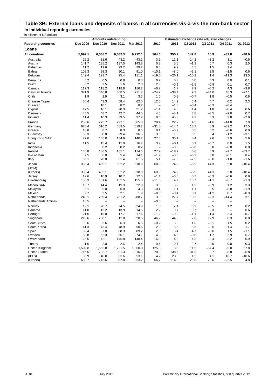### **Table 3B: External loans and deposits of banks in all currencies vis-à-vis the non-bank sector In individual reporting currencies**

|                             |                    | <b>Amounts outstanding</b> |                   |                 |                          |                          | Estimated exchange rate adjusted changes |                   |                          |           |
|-----------------------------|--------------------|----------------------------|-------------------|-----------------|--------------------------|--------------------------|------------------------------------------|-------------------|--------------------------|-----------|
| <b>Reporting countries</b>  | Dec 2009           | Dec 2010                   | Dec 2011          | <b>Mar 2012</b> | 2010                     | 2011                     | Q2 2011                                  | Q3 2011           | Q4 2011                  | Q1 2012   |
| Loans                       |                    |                            |                   |                 |                          |                          |                                          |                   |                          |           |
| <b>All countries</b>        | 5,992.1            | 6,338.2                    | 6,682.3           | 6,712.1         | 364.6                    | 355.2                    | 142.8                                    | 15.9              | $-32.8$                  | $-38.6$   |
| Australia                   | 26.2               | 31.6                       | 43.2              | 43.1            | 3.2                      | 12.1                     | 14.2                                     | $-3.2$            | 3.1                      | $-0.6$    |
| Austria                     | 141.7              | 135.2                      | 137.5             | 143.8           | 0.3                      | 5.6                      | $-1.3$                                   | 0.7               | 0.3                      | 2.5       |
| <b>Bahamas</b>              | 11.2               | 19.6                       | 29.2              | 29.2            | 8.5                      | 9.9                      | 3.5                                      | 1.5               | 1.4                      | $\ldots$  |
| Bahrain                     | 109.3              | 98.3                       | 90.1              | 91.0            | $-10.1$                  | $-8.0$                   | $-3.1$                                   | 2.5               | $-1.5$                   | 0.6       |
| Belgium                     | 149.4              | 123.7                      | 95.4              | 111.1           | $-19.0$                  | $-26.1$                  | $-10.2$                                  | 1.4               | $-11.3$                  | 13.5      |
| Bermuda                     | 0.2                | 0.5                        | 0.8               | 0.8             | 0.2                      | 0.3                      | 0.0                                      | 0.3               | 0.0                      | 0.1       |
| <b>Brazil</b>               | 0.2                | 2.5                        | 1.6               | 2.3             | 2.3                      | $-0.9$                   | $-2.5$                                   | $-0.9$            | 0.1                      | 0.7       |
| Canada                      | 117.3              | 118.2                      | 118.8             | 116.2           | $-0.7$                   | 1.7                      | 7.9                                      | $-5.2$            | 4.3                      | $-3.8$    |
| Cayman Islands              | 371.9              | 346.8                      | 308.5             | 211.7           | $-24.9$                  | $-38.4$                  | 9.2                                      | $-44.0$           | 46.3                     | $-97.1$   |
| Chile                       | 1.9                | 2.9                        | 3.1               | 3.7             | 1.0                      | 0.3                      | $-0.7$                                   | 1.8               | $-0.5$                   | 0.6       |
| Chinese Taipei              | 30.4               | 43.3                       | 58.4              | 62.0            | 12.6                     | 14.9                     | 6.4                                      | 4.7               | 0.2                      | 2.3       |
| Curacao                     |                    | 10.1                       | 8.2               | 8.2             | $\overline{a}$           | $-1.8$                   | $-0.4$                                   | $-0.3$            | $-0.4$                   | $\ddotsc$ |
| Cyprus                      | 17.5               | 16.1                       | 20.3              | 21.2            | $-1.1$                   | 4.6                      | 1.4                                      | 1.8               | $-0.4$                   | 0.6       |
| Denmark                     | 45.5               | 48.7                       | 42.7              | 44.5            | 4.6                      | $-5.1$                   | 3.8                                      | $-3.5$            | $-2.0$                   | 0.7       |
| Finland                     | 11.4               | 10.3                       | 39.5              | 37.2            | 0.0                      | 45.8                     | 4.2                                      | 8.3               | 3.8                      | $-2.9$    |
| France                      | 256.6              | 275.7                      | 292.1             | 305.8           | 28.4                     | 22.2                     | 4.5                                      | $-1.6$            | $-14.8$                  | 7.9       |
| Germany                     | 676.4              | 616.2                      | 589.5             | 619.2           | $-31.8$                  | $-14.4$                  | 13.7                                     | 8.9               | $-32.2$                  | 17.5      |
| Greece                      | 18.8               | 8.7                        | 8.3               | 8.5             | 0.1                      | $-0.2$                   | 0.5                                      | 0.2               | $-0.6$                   | 0.0       |
| Guernsey                    | 35.3               | 38.0                       | 39.4              | 36.5            | 3.0                      | 1.5                      | 0.5                                      | 0.4               | $-1.2$                   | $-3.1$    |
| Hong Kong SAR               | 77.6               | 105.0                      | 134.9             | 140.7           | 27.8                     | 30.1                     | 8.4                                      | 7.6               | 3.9                      | 5.6       |
| India                       | 11.5               | 15.4                       | 15.0              | 16.7            | 3.9                      | $-0.1$                   | 0.1                                      | $-0.7$            | 0.0                      | 1.5       |
| Indonesia                   |                    | 0.2                        | 0.2               | 0.2             | $\overline{\phantom{0}}$ | $-0.0$                   | $-0.0$                                   | 0.0               | $-0.0$                   | 0.0       |
| Ireland                     | 138.8              | 186.5                      | 165.1             | 114.5           | 27.2                     | $-18.2$                  | 0.6                                      | 8.9               | $-7.7$                   | $-53.7$   |
| Isle of Man                 | 7.5                | 6.0                        | 5.4               | 14.1            | $-1.2$                   | $-0.6$                   | $-0.2$                                   | 0.0               | $-0.1$                   | 8.4       |
| Italy                       | 69.1               | 70.0                       | 61.4              | 61.5            | 5.1                      | $-7.5$                   | $-7.5$                                   | $-3.0$            | $-1.0$                   | $-1.6$    |
| Japan<br>(JOM)              | 385.4<br>$\ddotsc$ | 455.1<br>$\ddotsc$         | 532.2<br>         | 518.8<br>.      | 60.9<br>                 | 74.2<br>                 | $-6.9$<br>                               | 44.3<br>$\ddotsc$ | 2.0<br>$\ddotsc$         | $-10.4$   |
| (Others)                    | 385.4              | 455.1                      | 532.2             | 518.8           | 60.9                     | 74.2                     | $-6.9$                                   | 44.3              | 2.0                      | $-10.4$   |
| Jersey                      | 12.6               | 10.9                       | 10.7              | 12.0            | $-1.4$                   | $-0.0$                   | 0.7                                      | $-0.3$            | $-0.6$                   | 0.9       |
| Luxembourg                  | 180.3              | 151.6                      | 152.5             | 155.0           | $-11.0$                  | 4.7                      | 10.7                                     | $-1.1$            | $-6.7$                   | $-1.3$    |
| Macao SAR                   | 10.7               | 14.4                       | 19.3              | 22.8            | 3.8                      | 5.2                      | 1.2                                      | $-0.9$            | 1.2                      | 3.3       |
| Malaysia                    | 5.1                | 5.0                        | 6.0               | 4.3             | $-0.4$                   | 1.1                      | 1.1                                      | 0.5               | $-0.8$                   | $-1.9$    |
| Mexico                      | 2.7                | 2.5                        | 2.1               | 1.9             | $-0.3$                   | $-0.4$                   | 0.1                                      | $-1.2$            | 0.7                      | $-0.3$    |
| Netherlands                 | 248.1              | 259.4                      | 281.2             | 288.7           | 3.0                      | 27.7                     | 18.2                                     | $-2.3$            | $-14.4$                  | 3.1       |
| <b>Netherlands Antilles</b> | 10.5               | $\qquad \qquad -$          | $\qquad \qquad -$ |                 | $-0.5$                   | $\overline{\phantom{0}}$ | $\qquad \qquad -$                        | $\qquad \qquad -$ | $\overline{\phantom{0}}$ | $\ddotsc$ |
| Norway                      | 19.1               | 20.7                       | 24.5              | 24.9            | 1.8                      | 2.1                      | 0.9                                      | $-0.5$            | 1.2                      | 0.2       |
| Panama                      | 11.0               | 13.2                       | 13.9              | 14.5            | 2.2                      | 0.7                      | 0.7                                      | 0.3               | $\qquad \qquad -$        | 0.6       |
| Portugal                    | 21.6               | 19.0                       | 17.7              | 17.6            | $-1.2$                   | $-0.9$                   | $-1.1$                                   | $-1.4$            | 2.4                      | $-0.7$    |
| Singapore                   | 219.6              | 268.1                      | 312.8             | 320.5           | 46.2                     | 44.9                     | 7.8                                      | 17.9              | 6.3                      | 8.0       |
| South Africa                | 3.6                | 3.6                        | 6.3               | 6.5             | $-0.2$                   | 3.0                      | 1.0                                      | $-0.1$            | 1.5                      | 0.2       |
| South Korea                 | 41.3               | 43.4                       | 48.9              | 50.6            | 2.3                      | 5.5                      | 3.5                                      | $-0.6$            | 1.4                      | 1.7       |
| Spain                       | 89.4               | 87.0                       | 88.3              | 89.2            | 2.3                      | 3.4                      | 4.7                                      | $-0.0$            | 1.5                      | $-1.1$    |
| Sweden                      | 58.8               | 62.3                       | 66.1              | 74.1            | 4.9                      | 4.6                      | $-0.8$                                   | 1.7               | 2.9                      | 6.7       |
| Switzerland                 | 125.5              | 142.1                      | 145.8             | 148.4           | 16.0                     | 4.3                      | 4.3                                      | $-3.4$            | $-3.2$                   | 0.9       |
| Turkey                      | 1.6                | 2.0                        | 2.6               | 2.4             | 0.4                      | 0.7                      | 0.7                                      | $-0.0$            | 0.0                      | $-0.3$    |
| United Kingdom              | 1,502.8            | 1,665.8                    | 1,721.5           | 1,800.0         | 125.3                    | 8.0                      | 11.5                                     | $-57.4$           | $-9.0$                   | 57.8      |
| <b>United States</b>        | 716.5              | 782.7                      | 921.3             | 916.3           | 70.9                     | 138.6                    | 31.3                                     | 33.7              | $-8.8$                   | $-5.8$    |
| (IBFs)                      | 35.9               | 40.0                       | 63.6              | 53.1            | 4.2                      | 23.8                     | 1.5                                      | 4.1               | 16.7                     | $-10.6$   |
| (Others)                    | 680.7              | 742.6                      | 857.8             | 863.2           | 66.7                     | 114.8                    | 29.8                                     | 29.6              | $-25.5$                  | 4.8       |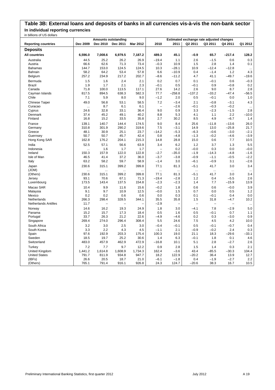## **Table 3B: External loans and deposits of banks in all currencies vis-à-vis the non-bank sector In individual reporting currencies**

| ili biliolis ol os goliais     |                | <b>Amounts outstanding</b><br>Estimated exchange rate adjusted changes |                          |               |                          |                          |                          |                          |                |              |
|--------------------------------|----------------|------------------------------------------------------------------------|--------------------------|---------------|--------------------------|--------------------------|--------------------------|--------------------------|----------------|--------------|
| <b>Reporting countries</b>     | Dec 2009       | Dec 2010                                                               | Dec 2011                 | Mar 2012      | 2010                     | 2011                     | Q2 2011                  | Q3 2011                  | Q4 2011        | Q1 2012      |
|                                |                |                                                                        |                          |               |                          |                          |                          |                          |                |              |
| <b>Deposits</b>                |                |                                                                        |                          |               |                          |                          |                          |                          |                |              |
| <b>All countries</b>           | 6,596.0        | 7,008.6                                                                | 6,979.5                  | 7,187.2       | 489.3                    | 45.1                     | $-0.9$                   | 65.7                     | $-217.4$       | 128.2        |
| Australia                      | 44.5           | 25.2                                                                   | 26.2                     | 26.9          | $-19.4$                  | 1.1                      | 2.6                      | $-1.5$                   | 0.6            | 0.3          |
| Austria                        | 66.6           | 62.6                                                                   | 71.3                     | 73.4          | $-0.3$                   | 10.9                     | 1.5                      | 2.8                      | 1.4            | 0.1          |
| Bahamas                        | 144.7          | 153.0                                                                  | 124.5                    | 124.5         | 10.3                     | $-28.1$                  | 10.9                     | $-12.4$                  | $-12.8$        | $\ddotsc$    |
| Bahrain                        | 58.2           | 64.2                                                                   | 53.4                     | 57.8          | 6.6                      | $-10.9$                  | 0.4                      | $-1.4$                   | 1.2            | 4.3          |
| Belgium                        | 257.2          | 234.9                                                                  | 217.2                    | 202.7         | $-8.6$                   | $-11.2$                  | 4.7                      | 41.1                     | $-49.7$        | $-19.6$      |
| Bermuda                        | 1.5            | 1.6                                                                    | 2.4                      | 2.1           | 0.2                      | 0.7                      | 0.1                      | $-0.1$                   | 0.6            | $-0.3$       |
| <b>Brazil</b>                  | 1.9            | 1.7                                                                    | 2.1                      | 2.3           | $-0.1$                   | 0.5                      | $-0.1$                   | 0.9                      | $-0.8$         | 0.2          |
| Canada                         | 71.8           | 100.0                                                                  | 113.5                    | 117.1         | 27.6                     | 14.2                     | 2.6                      | 9.0                      | 8.7            | 2.8          |
| Cayman Islands                 | 817.5          | 894.5                                                                  | 638.3                    | 582.3         | 77.7                     | $-258.8$                 | $-137.2$                 | $-33.2$                  | $-47.4$        | $-56.5$      |
| Chile                          | 7.1            | 5.9                                                                    | 8.0                      | 9.0           | $-1.2$                   | 2.0                      | 0.5                      | $-0.1$                   | 0.0            | 1.0          |
| Chinese Taipei                 | 49.0           | 56.8                                                                   | 53.1                     | 58.5          | 7.2                      | $-3.4$                   | 2.1                      | $-0.8$                   | $-3.1$         | 4.3          |
| Curacao                        |                | 8.7                                                                    | 6.1                      | 6.1           | $\overline{\phantom{0}}$ | $-2.6$                   | $-0.1$                   | $-0.3$                   | $-0.2$         | $\ldots$     |
| Cyprus                         | 24.6           | 32.8                                                                   | 33.1                     | 36.4          | 9.0                      | 0.9                      | 3.3                      | $-2.3$                   | $-1.5$         | 2.8          |
| Denmark                        | 37.4           | 45.2                                                                   | 49.1                     | 40.2          | 8.8                      | 5.3                      | 4.1                      | 1.1                      | 2.2            | $-10.0$      |
| Finland                        | 16.8           | 15.2                                                                   | 33.5                     | 35.8          | 2.7                      | 30.2                     | 8.5                      | 4.9                      | $-6.7$         | 1.4          |
| France                         | 139.1          | 140.7                                                                  | 144.4                    | 174.5         | 9.0                      | 8.4                      | 25.6                     | $-11.8$                  | $-13.6$        | 26.0         |
| Germany                        | 310.8          | 301.9                                                                  | 290.2                    | 319.6         | 7.5                      | -3.1                     | 14.9                     | 13.0                     | $-25.8$        | 21.7         |
| Greece                         | 48.1           | 30.9                                                                   | 25.1                     | 23.7          | $-14.2$                  | $-5.3$                   | $-6.3$                   | $-0.6$                   | $-3.0$         | $-2.1$       |
| Guernsey                       | 50.7           | 50.7                                                                   | 45.7                     | 42.4          | 0.8                      | $-4.8$                   | $-1.3$                   | $-0.2$                   | $-4.6$         | $-3.9$       |
| Hong Kong SAR                  | 162.8          | 176.2                                                                  | 204.1                    | 215.3         | 14.8                     | 28.8                     | 15.0                     | 0.6                      | 7.7            | 10.5         |
| India                          | 52.5           | 57.1                                                                   | 56.6                     | 63.9          | 3.4                      | 6.2                      | 1.2                      | 3.7                      | 1.3            | 5.5          |
| Indonesia                      |                | 1.6                                                                    | 1.7                      | 1.7           |                          | 0.2                      | $-0.0$                   | 0.3                      | 0.0            | $-0.0$       |
| Ireland                        | 150.3          | 157.9                                                                  | 122.0                    | 122.8         | $-2.7$                   | $-35.0$                  | $-1.9$                   | $-14.3$                  | $-4.8$         | $-1.6$       |
| Isle of Man                    | 46.5           | 41.4                                                                   | 37.2                     | 36.0          | $-3.7$                   | $-3.8$                   | $-0.9$                   | $-1.1$                   | $-0.5$         | $-2.2$       |
| Italy                          | 63.2           | 58.2                                                                   | 59.7                     | 58.9          | $-1.4$                   | 3.0                      | $-6.1$                   | $-0.9$                   | 3.1            | $-2.6$       |
| Japan                          | 230.6          | 315.1                                                                  | 399.2                    | 399.8         | 77.1                     | 81.3                     | $-5.1$                   | 41.7                     | 3.0            | 3.4          |
| (JOM)                          |                |                                                                        |                          |               | $\ddotsc$                |                          | $\ddotsc$                | $\ldots$                 | $\ddotsc$      | $\ddotsc$    |
| (Others)                       | 230.6          | 315.1                                                                  | 399.2                    | 399.8         | 77.1                     | 81.3                     | $-5.1$                   | 41.7                     | 3.0            | 3.4          |
| Jersey                         | 93.1           | 70.6                                                                   | 67.1                     | 71.3          | $-19.4$                  | $-2.8$                   | 1.2                      | 0.4                      | $-5.5$         | 2.6          |
| Luxembourg                     | 173.5          | 143.4                                                                  | 137.5                    | 154.8         | $-2.3$                   | $-2.3$                   | 1.4                      | 7.7                      | $-15.9$        | 13.9         |
| Macao SAR                      | 10.4           | 9.9                                                                    | 11.6                     | 15.6          | $-0.2$                   | 1.8                      | 0.6                      | 0.6                      | $-0.0$         | 3.9          |
| Malaysia                       | 9.1            | 9.7                                                                    | 10.9                     | 12.5          | $-0.0$                   | 1.5                      | 0.7                      | 0.0                      | 0.5            | 1.2          |
| Mexico                         | 0.2            | 0.2                                                                    | 0.6                      | 0.6           | 0.0                      | 0.3                      | 0.1                      | $-0.1$                   | 0.4            | 0.0          |
| Netherlands                    | 266.3          | 298.4                                                                  | 328.5                    | 344.1         | 35.5                     | 35.8                     | 1.5                      | 31.8                     | $-4.7$         | 10.2         |
| <b>Netherlands Antilles</b>    | 11.7           | $\overline{\phantom{0}}$                                               | $\overline{\phantom{0}}$ |               | $-2.9$                   | $\overline{\phantom{0}}$ | $\overline{\phantom{0}}$ | $\overline{\phantom{0}}$ |                | $\ddotsc$    |
| Norway                         | 14.6           | 16.2                                                                   | 19.3                     | 24.9          | 1.8                      | 3.0                      | $-4.1$                   | 7.8                      | $-2.9$         | 5.0          |
| Panama                         | 15.2           | 15.7                                                                   | 17.3                     | 18.4          | 0.5                      | 1.6                      | 0.5                      | $-0.1$                   | 0.7            | 1.1          |
| Portugal                       | 33.7           | 26.3                                                                   | 21.2                     | 22.6          | $-4.9$                   | $-4.6$                   | 0.2                      | 0.3                      | $-3.0$         | 0.9          |
| Singapore                      | 269.4          | 274.0                                                                  | 296.4                    | 308.4         | 5.5                      | 24.6                     | 7.5                      | 4.5                      | 4.2            | 10.0         |
|                                | 3.2            | 3.0                                                                    | 2.5                      |               |                          |                          | 0.5                      | $-0.1$                   | $-0.7$         |              |
| South Africa                   | 3.3            | 2.2                                                                    | 4.3                      | 3.0<br>4.5    | $-0.4$<br>$-1.1$         | $-0.1$<br>2.1            | $-0.9$                   | $-0.2$                   | 2.4            | 0.4<br>0.3   |
| South Korea                    | 97.6           | 192.9                                                                  | 203.3                    | 175.4         | 100.3                    | 19.0                     | 21.1                     | 18.3                     | $-29.6$        | $-33.1$      |
| Spain<br>Sweden                | 18.5           | 19.7                                                                   | 25.2                     | 30.6          | 1.4                      | 6.3                      | $-0.1$                   | 1.8                      | 0.1            | 4.6          |
| Switzerland                    | 483.0          | 457.9                                                                  | 462.9                    | 472.9         | $-16.8$                  | 10.1                     | 5.1                      | 2.8                      | $-2.7$         | 2.6          |
|                                |                |                                                                        |                          |               |                          |                          |                          |                          |                |              |
| Turkey                         | 7.2<br>1,441.2 | 7.7                                                                    | 9.7                      | 12.2          | 0.9<br>162.4             | 2.8<br>$-3.6$            | 1.5<br>43.4              | 1.4<br>$-85.5$           | 0.3<br>$-30.3$ | 2.1<br>104.4 |
| United Kingdom                 | 791.7          | 1,614.8                                                                | 1,608.9                  | 1,734.3       |                          |                          | $-20.2$                  |                          |                |              |
| <b>United States</b><br>(IBFs) | 26.6           | 811.9<br>20.5                                                          | 934.8<br>18.7            | 947.7<br>21.0 | 18.2<br>$-6.1$           | 122.9<br>$-1.8$          | 0.4                      | 36.4<br>$-1.9$           | 13.9<br>$-2.7$ | 12.7<br>2.2  |
| (Others)                       | 765.1          | 791.4                                                                  | 916.1                    | 926.8         | 24.3                     | 124.7                    | $-20.6$                  | 38.3                     | 16.7           | 10.5         |
|                                |                |                                                                        |                          |               |                          |                          |                          |                          |                |              |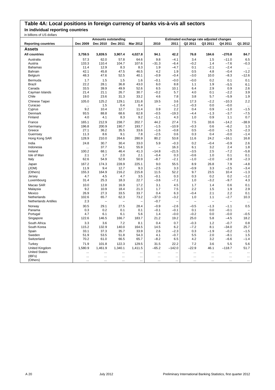## **Table 4A: Local positions in foreign currency of banks vis-à-vis all sectors**

**In individual reporting countries**

| in billions of US dollars   |           |                            |                |                          |                          |                |                                          |                          |           |                      |
|-----------------------------|-----------|----------------------------|----------------|--------------------------|--------------------------|----------------|------------------------------------------|--------------------------|-----------|----------------------|
|                             |           | <b>Amounts outstanding</b> |                |                          |                          |                | Estimated exchange rate adjusted changes |                          |           |                      |
| <b>Reporting countries</b>  | Dec 2009  | Dec 2010                   | Dec 2011       | Mar 2012                 | 2010                     | 2011           | Q2 2011                                  | Q3 2011                  | Q4 2011   | Q1 2012              |
| Assets                      |           |                            |                |                          |                          |                |                                          |                          |           |                      |
| <b>All countries</b>        | 3,759.5   | 3,839.5                    | 3,907.4        | 4,027.8                  | 94.1                     | 42.2           | 76.8                                     | 184.6                    | $-270.8$  | 84.7                 |
| Australia                   | 57.3      | 62.0                       | 57.8           | 64.6                     | 9.8                      | $-4.1$         | 3.4                                      | 1.5                      | $-11.0$   | 6.5                  |
| Austria                     | 133.3     | 110.4                      | 104.7          | 107.6                    | $-31.3$                  | $-6.4$         | $-0.2$                                   | 1.4                      | $-7.6$    | $-0.3$               |
| <b>Bahamas</b>              | 11.4      | 12.9                       | 8.3            | 8.3                      | 1.9                      | $-4.7$         | 0.1                                      | $-2.1$                   | $-2.4$    | $\ldots$             |
| <b>Bahrain</b>              | 42.1      | 45.8                       | 47.5           | 46.5                     | 4.2                      | 1.9            | 0.5                                      | 4.8                      | $-0.4$    | $-1.2$               |
| Belgium                     | 48.3      | 47.6                       | 52.5           | 40.1                     | $-0.9$                   | $-0.4$         | $-3.0$                                   | 10.0                     | $-8.3$    | $-12.6$              |
| Bermuda                     | 1.7       | 1.5                        | 1.5            | 1.6                      | $-0.1$                   | $-0.0$         | $-0.0$                                   | 0.2                      | 0.1       | 0.1                  |
| <b>Brazil</b>               | 22.2      | 28.1                       | 36.8           | 43.0                     | 6.0                      | 8.8            | 1.1                                      | 1.9                      | $-5.5$    | 6.1                  |
| Canada                      | 33.5      | 39.9                       | 49.9           | 52.6                     | 6.5                      | 10.1           | 6.4                                      | 2.9                      | 0.9       | 2.6                  |
| Cayman Islands              | 21.4      | 21.1                       | 26.7           | 30.7                     | $-0.2$                   | 5.7            | 4.0                                      | 0.1                      | $-2.2$    | 3.9                  |
| Chile                       | 19.0      | 23.6                       | 31.3           | 33.2                     | 4.6                      | 7.8            | 3.8                                      | 5.7                      | $-5.9$    | 1.9                  |
| Chinese Taipei              | 105.0     | 125.2                      | 129.1          | 131.8                    | 19.5                     | 3.6            | 17.3                                     | $-2.2$                   | $-10.3$   | 2.2                  |
| Curacao                     | i.        | 1.5                        | 0.4            | 0.4                      | $\overline{\phantom{0}}$ | $-1.2$         | $-0.3$                                   | 0.0                      | $-0.0$    | $\ddot{\phantom{a}}$ |
| Cyprus                      | 9.2       | 10.4                       | 12.7           | 11.4                     | 0.9                      | 2.2            | 0.4                                      | 0.9                      | $-1.0$    | $-1.5$               |
| Denmark                     | 93.5      | 88.8                       | 68.6           | 62.8                     | $-0.5$                   | $-19.3$        | $-4.4$                                   | $-1.3$                   | $-3.7$    | $-7.5$               |
| Finland                     | 4.0       | 4.1                        | 8.3            | 9.2                      | $-1.1$                   | 4.3            | 1.0                                      | 0.9                      | 1.1       | 0.7                  |
| France                      | 165.1     | 212.9                      | 238.7          | 202.7                    | 44.2                     | 27.4           | 7.5                                      | 33.6                     | $-14.2$   | $-38.9$              |
| Germany                     | 196.8     | 200.9                      | 190.7          | 193.7                    | $-1.5$                   | $-10.9$        | $-0.3$                                   | 0.6                      | $-6.2$    | 1.3                  |
| Greece                      | 27.1      | 36.2                       | 35.5           | 33.6                     | $-1.6$                   | $-0.8$         | 0.5                                      | $-0.0$                   | $-1.5$    | $-2.3$               |
| Guernsey                    | 11.3      | 8.6                        | 9.1            | 7.8                      | $-2.5$                   | 0.6            | 0.3                                      | 0.4                      | $-0.0$    | $-1.4$               |
| Hong Kong SAR               | 128.9     | 210.0                      | 264.6          | 280.9                    | 80.2                     | 53.8           | 11.6                                     | 24.2                     | $-16.1$   | 16.8                 |
| India                       | 24.8      | 30.7                       | 30.4           | 33.0                     | 5.9                      | $-0.3$         | 0.2                                      | $-0.4$                   | $-0.9$    | 2.6                  |
| Indonesia                   |           | 37.7                       | 54.1           | 55.9                     |                          | 16.3           | 6.1                                      | 3.2                      | 2.4       | 1.8                  |
| Ireland                     | 100.2     | 68.1                       | 46.4           | 41.3                     | $-14.8$                  | $-21.5$        | $-3.5$                                   | 2.5                      | $-7.2$    | $-5.8$               |
| Isle of Man                 | 2.1       | 1.7                        | 2.0            | 2.1                      | $-0.4$                   | 0.3            | $-0.6$                                   | 1.0                      | 0.1       | 0.1                  |
| Italy                       | 62.6      | 54.9                       | 52.9           | 50.9                     | $-8.7$                   | $-2.1$         | $-1.0$                                   | $-2.0$                   | $-2.8$    | $-2.3$               |
| Japan                       | 167.2     | 174.3                      | 228.9          | 225.1                    | 9.0                      | 55.5           | 8.9                                      | 26.8                     | 7.9       | $-4.8$               |
| (JOM)                       | 11.9      | 9.4                        | 12.7           | 9.3                      | $-2.5$                   | 3.3            | $-0.9$                                   | 3.3                      | $-2.5$    | $-3.4$               |
| (Others)                    | 155.3     | 164.9                      | 216.2          | 215.8                    | 11.5                     | 52.2           | 9.7                                      | 23.5                     | 10.4      | $-1.3$               |
| Jersey                      | 4.7       | 4.5                        | 4.7            | 3.5                      | $-0.1$                   | 0.3            | 0.3                                      | 0.2                      | 0.2       | $-1.2$               |
| Luxembourg                  | 31.4      | 25.3                       | 18.3           | 22.7                     | $-3.6$                   | $-7.1$         | 1.0                                      | $-3.2$                   | $-9.7$    | 4.3                  |
| Macao SAR                   | 10.0      | 12.8                       | 16.9           | 17.2                     | 3.1                      | 4.5            | 1.7                                      | 1.4                      | 0.6       | 0.1                  |
| Malaysia                    | 9.2       | 10.9                       | 18.4           | 21.3                     | 1.7                      | 7.5            | 2.2                                      | 1.5                      | 1.9       | 2.9                  |
| Mexico                      | 26.9      | 27.3                       | 33.5           | 33.7                     | 0.4                      | 6.3            | $-0.4$                                   | 2.1                      | 2.2       | 0.1                  |
| Netherlands                 | 102.6     | 65.7                       | 62.3           | 73.2                     | $-37.0$                  | $-3.2$         | 1.0                                      | 1.1                      | $-2.7$    | 10.3                 |
| <b>Netherlands Antilles</b> | 2.3       | $\overline{a}$             | $\overline{a}$ | $\overline{\phantom{0}}$ | $-0.7$                   | $\overline{a}$ | $\overline{\phantom{0}}$                 | $\overline{\phantom{0}}$ | $\equiv$  | $\ddotsc$            |
| Norway                      | 30.5      | 29.1                       | 27.5           | 28.4                     | $-0.9$                   | $-2.6$         | $-0.5$                                   | $-1.3$                   | $-1.1$    | 0.5                  |
| Panama                      | 0.3       | 0.2                        | 0.1            | 0.1                      | $-0.1$                   | $-0.1$         | 0.1                                      | 0.0                      | $-0.1$    |                      |
| Portugal                    | 4.7       | 6.1                        | 6.1            | 5.6                      | 1.4                      | $-0.0$         | $-0.2$                                   | 0.0                      | $-0.0$    | $-0.5$               |
| Singapore                   | 122.6     | 146.5                      | 166.7          | 183.7                    | 21.2                     | 19.2           | 25.0                                     | 5.8                      | $-4.5$    | 18.2                 |
| South Africa                | 3.3       | 3.6                        | 7.2            | 8.1                      | 0.4                      | 0.7            | $-0.3$                                   | 1.2                      | $-0.7$    | 0.8                  |
| South Korea                 | 115.2     | 132.9                      | 140.0          | 164.5                    | 14.5                     | 6.2            | $-7.2$                                   | 8.1                      | $-34.0$   | 25.7                 |
| Spain                       | 33.1      | 37.3                       | 35.7           | 33.9                     | 2.6                      | $-2.3$         | 0.3                                      | $-1.9$                   | $-0.2$    | $-1.5$               |
| Sweden                      | 51.9      | 53.5                       | 51.8           | 54.3                     | 4.1                      | $-0.7$         | 5.5                                      | 2.0                      | $-8.1$    | 1.5                  |
| Switzerland                 | 70.2      | 61.0                       | 66.5           | 65.7                     | $-8.2$                   | 6.5            | 4.2                                      | 3.2                      | $-6.6$    | $-1.4$               |
| Turkey                      | 71.9      | 101.8                      | 122.3          | 129.5                    | 31.5                     | 22.2           | 7.2                                      | 3.6                      | 5.5       | 5.6                  |
| United Kingdom              | 1,580.9   | 1,461.9                    | 1,340.1        | 1,411.5                  | $-65.2$                  | $-142.0$       | $-22.9$                                  | 46.1                     | $-118.7$  | 51.7                 |
| <b>United States</b>        | $\cdots$  | $\ddotsc$                  | $\cdots$       | $\cdots$                 | $\ddotsc$                | $\ddotsc$      |                                          | $\cdots$                 | $\cdots$  | $\ddotsc$            |
| (IBFs)                      | $\cdots$  | $\cdots$                   | $\cdots$       | $\ddotsc$                | $\ddotsc$                | $\ddotsc$      | $\cdots$                                 | $\cdots$                 | $\ddotsc$ | $\ddotsc$            |
| (Others)                    | $\ddotsc$ | $\ddotsc$                  | $\ddotsc$      |                          |                          |                |                                          | .                        |           |                      |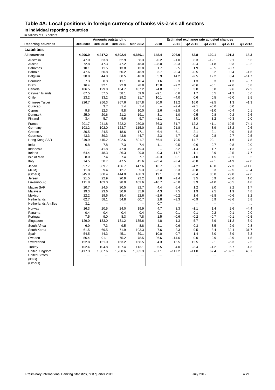## **Table 4A: Local positions in foreign currency of banks vis-à-vis all sectors**

**In individual reporting countries**

| in billions of US dollars   |           |                            |                          |           |           |                          |                                          |                          |                |           |
|-----------------------------|-----------|----------------------------|--------------------------|-----------|-----------|--------------------------|------------------------------------------|--------------------------|----------------|-----------|
|                             |           | <b>Amounts outstanding</b> |                          |           |           |                          | Estimated exchange rate adjusted changes |                          |                |           |
| <b>Reporting countries</b>  | Dec 2009  | Dec 2010                   | Dec 2011                 | Mar 2012  | 2010      | 2011                     | Q2 2011                                  | Q3 2011                  | Q4 2011        | Q1 2012   |
| Liabilities                 |           |                            |                          |           |           |                          |                                          |                          |                |           |
| <b>All countries</b>        | 4,206.9   | 4,317.2                    | 4,592.4                  | 4,650.1   | 148.4     | 206.0                    | 53.8                                     | 190.1                    | $-191.3$       | 18.3      |
| Australia                   | 47.0      | 63.8                       | 62.9                     | 68.3      | 20.2      | $-1.0$                   | 8.3                                      | $-12.1$                  | 2.1            | 5.3       |
| Austria                     | 72.8      | 47.3                       | 47.2                     | 48.0      | $-28.0$   | $-0.3$                   | $-0.4$                                   | $-1.8$                   | 0.3            | $-0.2$    |
| Bahamas                     | 10.1      | 11.5                       | 13.8                     | 13.8      | 1.7       | 2.5                      | 1.9                                      | $-0.5$                   | $-0.7$         | $\ddotsc$ |
| Bahrain                     | 47.6      | 50.8                       | 50.2                     | 48.9      | 3.7       | $-0.4$                   | $-0.5$                                   | 3.2                      | 0.4            | $-1.6$    |
| Belgium                     | 38.8      | 44.8                       | 60.5                     | 46.0      | 5.9       | 14.2                     | $-2.5$                                   | 12.2                     | 0.4            | $-14.7$   |
| Bermuda                     | 7.3       | 8.8                        | 11.1                     | 10.4      | 1.6       | 2.3                      | 1.3                                      | 0.3                      | 1.3            | $-0.7$    |
| <b>Brazil</b>               | 16.4      | 32.1                       | 22.9                     | 28.8      | 15.8      | $-9.2$                   | $-5.6$                                   | $-6.1$                   | $-7.6$         | 5.8       |
| Canada                      | 106.5     | 129.8                      | 164.7                    | 187.2     | 24.8      | 35.1                     | 3.0                                      | 5.8                      | 9.6            | 22.2      |
| Cayman Islands              | 67.5      | 57.5                       | 58.1                     | 59.0      | $-9.1$    | 0.6                      | 1.7                                      | 0.5                      | $-1.2$         | 0.6       |
| Chile                       | 23.2      | 33.2                       | 29.2                     | 31.7      | 10.1      | $-4.0$                   | 0.6                                      | 0.5                      | $-6.0$         | 2.5       |
| Chinese Taipei              | 226.7     | 256.3                      | 267.6                    | 267.8     | 30.0      | 11.2                     | 16.0                                     | $-9.5$                   | 1.3            | $-1.3$    |
| Curacao                     | $\cdots$  | 3.7                        | 1.4                      | 1.4       | $\equiv$  | $-2.4$                   | $-2.1$                                   | $-0.6$                   | 0.0            | $\ddotsc$ |
| Cyprus                      | 9.8       | 12.3                       | 9.8                      | 10.0      | 2.6       | $-2.5$                   | 0.4                                      | $-1.0$                   | $-0.4$         | 0.1       |
| Denmark                     | 25.0      | 20.6                       | 21.2                     | 19.1      | $-3.1$    | 1.0                      | $-0.5$                                   | 0.8                      | 0.2            | $-2.6$    |
| Finland                     | 3.4       | 5.7                        | 9.6                      | 9.7       | $-1.1$    | 4.1                      | 1.0                                      | 3.2                      | $-0.3$         | 0.0       |
| France                      | 201.7     | 241.8                      | 322.2                    | 250.0     | 36.3      | 81.7                     | 12.2                                     | 41.1                     | 19.5           | $-74.1$   |
| Germany                     | 103.2     | 102.0                      | 123.7                    | 115.0     | $-2.8$    | 21.8                     | 8.1                                      | $-3.9$                   | 18.2           | $-9.6$    |
| Greece                      | 30.5      | 24.5                       | 18.6                     | 17.1      | $-6.4$    | $-6.1$                   | $-2.1$                                   | $-2.1$                   | $-0.9$         | $-1.5$    |
| Guernsey                    | 43.3      | 39.3                       | 43.6                     | 44.7      | 2.3       | 4.7                      | 0.8                                      | $-0.8$                   | 2.7            | 0.5       |
| Hong Kong SAR               | 349.9     | 415.2                      | 492.6                    | 501.7     | 66.4      | 79.5                     | 14.7                                     | 29.1                     | $-1.6$         | 7.5       |
| India                       | 6.8       | 7.8                        | 7.3                      | 7.4       | 1.1       | $-0.5$                   | 0.6                                      | $-0.7$                   | $-0.8$         | $-0.0$    |
| Indonesia                   |           | 41.8                       | 47.0                     | 49.3      |           | 5.2                      | $-1.4$                                   | 1.7                      | 1.3            | 2.3       |
| Ireland                     | 64.4      | 48.3                       | 36.3                     | 29.0      | $-0.3$    | $-11.7$                  | $-1.1$                                   | 3.9                      | $-2.5$         | $-7.7$    |
| Isle of Man                 | 8.0       | 7.4                        | 7.4                      | 7.7       | $-0.3$    | 0.1                      | $-1.0$                                   | 1.5                      | $-0.1$         | 0.2       |
| Italy                       | 74.5      | 50.7                       | 47.5                     | 45.6      | $-25.4$   | $-3.4$                   | $-0.8$                                   | $-2.1$                   | $-4.9$         | $-2.0$    |
| Japan                       | 357.7     | 369.7                      | 456.7                    | 447.6     | 16.7      | 88.3                     | $-4.2$                                   | 40.0                     | 27.3           | $-11.0$   |
| (JOM)                       | 11.8      | 9.4                        | 12.7                     | 9.3       | $-2.4$    | 3.3                      | $-0.8$                                   | 3.3                      | $-2.5$         | $-3.4$    |
| (Others)                    | 345.9     | 360.4                      | 444.0                    | 438.3     | 19.1      | 85.0                     | $-3.4$                                   | 36.8                     | 29.8           | $-7.6$    |
| Jersey                      | 21.5      | 22.9                       | 20.9                     | 22.2      | 1.8       | $-1.4$                   | 3.5                                      | 0.9                      | $-3.6$         | 1.0       |
| Luxembourg                  | 111.8     | 103.0                      | 98.0                     | 103.6     | $-16.7$   | $-5.0$                   | 3.9                                      | $-4.0$                   | $-8.5$         | 4.8       |
| Macao SAR                   | 20.7      | 24.5                       | 30.5                     | 32.7      | 4.4       | 6.4                      | 1.2                                      | 2.0                      | 2.2            | 1.7       |
| Malaysia                    | 19.3      | 23.6                       | 30.9                     | 35.9      | 4.3       | 7.5                      | 1.9                                      | 2.5                      | 1.9            | 4.8       |
| Mexico                      | 22.2      | 19.6                       | 19.4                     | 22.6      | $-2.6$    | $-0.2$                   | 1.4                                      | $-2.8$                   | $-0.6$         | 3.2       |
| Netherlands                 | 62.7      | 58.1                       | 54.8                     | 60.7      | 2.8       | $-3.3$                   | $-0.9$                                   | 5.9                      | $-8.6$         | 5.8       |
| <b>Netherlands Antilles</b> | 3.1       | $\overline{\phantom{0}}$   | $\overline{\phantom{0}}$ | L,        | 0.7       | $\overline{\phantom{0}}$ | $\overline{\phantom{0}}$                 | $\overline{\phantom{0}}$ | $\overline{a}$ |           |
| Norway                      | 16.3      | 20.5                       | 24.0                     | 19.9      | 4.7       | 3.3                      | $-1.1$                                   | 1.4                      | 2.6            | $-4.4$    |
| Panama                      | 0.4       | 0.4                        | 0.4                      | 0.4       | 0.1       | $-0.1$                   | $-0.1$                                   | 0.2                      | $-0.1$         | 0.0       |
| Portugal                    | 7.5       | 9.0                        | 8.3                      | 7.8       | 1.5       | $-0.6$                   | $-0.2$                                   | $-0.7$                   | $-0.1$         | $-0.5$    |
| Singapore                   | 129.0     | 133.0                      | 131.2                    | 135.6     | 4.8       | $-1.3$                   | 5.7                                      | 5.9                      | $-11.2$        | 3.9       |
| South Africa                | 6.0       | 7.3                        | 9.5                      | 8.8       | 3.1       | $-0.6$                   | $-0.3$                                   | 3.5                      | $-2.9$         | $-0.8$    |
| South Korea                 | 61.5      | 69.5                       | 71.9                     | 103.3     | 7.6       | 2.3                      | $-9.5$                                   | 8.4                      | $-32.4$        | 31.7      |
| Spain                       | 54.5      | 44.3                       | 45.1                     | 39.1      | $-10.0$   | 0.7                      | 1.4                                      | $-7.0$                   | 3.9            | $-6.3$    |
| Sweden                      | 56.4      | 91.1                       | 75.2                     | 78.5      | 36.6      | $-14.6$                  | 0.0                                      | 2.9                      | $-8.9$         | 1.5       |
| Switzerland                 | 152.8     | 151.0                      | 163.2                    | 168.5     | 4.3       | 15.5                     | 12.5                                     | 2.1                      | $-6.3$         | 2.5       |
| Turkey                      | 102.4     | 104.8                      | 107.4                    | 113.1     | 5.5       | 4.0                      | $-3.4$                                   | $-1.2$                   | 5.7            | 4.3       |
| <b>United Kingdom</b>       | 1,417.3   | 1,307.6                    | 1,268.6                  | 1,332.3   | $-67.1$   | $-117.2$                 | $-11.0$                                  | 67.4                     | $-182.2$       | 45.1      |
| <b>United States</b>        |           | $\cdots$                   | $\ddotsc$                | $\ddotsc$ | $\ddotsc$ | $\cdots$                 | $\ddotsc$                                |                          |                |           |
| (IBFs)                      | $\ddotsc$ | $\cdots$                   | $\cdots$                 | $\ddotsc$ | $\ddotsc$ | $\ddotsc$                | $\ddotsc$                                | $\ddotsc$                | $\ddotsc$      | $\ddotsc$ |
| (Others)                    |           | $\ldots$                   | $\ddotsc$                | $\ldots$  |           |                          | $\ddotsc$                                | $\ddotsc$                |                | $\cdots$  |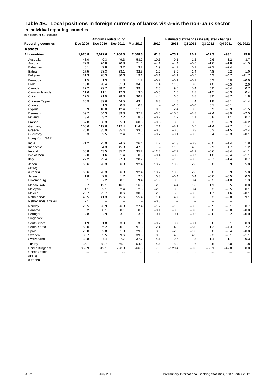## **Table 4B: Local positions in foreign currency of banks vis-à-vis the non-bank sector In individual reporting countries**

|                             |                    | <b>Amounts outstanding</b> |                          |                          |                          |                  | Estimated exchange rate adjusted changes |                |                  |                  |
|-----------------------------|--------------------|----------------------------|--------------------------|--------------------------|--------------------------|------------------|------------------------------------------|----------------|------------------|------------------|
| <b>Reporting countries</b>  | Dec 2009           | <b>Dec 2010</b>            | Dec 2011                 | Mar 2012                 | 2010                     | 2011             | Q2 2011                                  | Q3 2011        | Q4 2011          | Q1 2012          |
| <b>Assets</b>               |                    |                            |                          |                          |                          |                  |                                          |                |                  |                  |
| <b>All countries</b>        | 1,925.8            | 2,012.6                    | 1,960.5                  | 2,008.3                  | 61.8                     | $-73.1$          | 20.1                                     | $-12.3$        | $-93.1$          | 29.8             |
| Australia                   | 43.0               | 49.3                       | 49.3                     | 53.2                     | 10.6                     | 0.1              | 1.2                                      | $-0.6$         | $-3.2$           | 3.7              |
| Austria                     | 72.9               | 74.8                       | 70.8                     | 71.6                     | $-4.1$                   | $-4.4$           | $-0.6$                                   | $-1.0$         | $-1.8$           | $-1.5$           |
| <b>Bahamas</b>              | 6.1                | 7.8                        | 3.2                      | 3.2                      | 1.9                      | $-4.7$           | 0.1                                      | $-2.2$         | $-2.4$           | $\ldots$         |
| Bahrain                     | 27.5               | 28.3                       | 33.1                     | 32.3                     | 1.2                      | 5.0              | 1.4                                      | 4.8            | $-0.2$           | $-1.0$           |
| Belgium                     | 31.3               | 28.3                       | 30.6                     | 19.1                     | $-3.1$                   | $-3.1$           | $-0.5$                                   | 4.2            | $-4.7$           | $-11.7$          |
| Bermuda                     | 1.5                | 1.3                        | 1.3                      | 1.2                      | $-0.2$                   | $-0.1$           | $-0.1$                                   | 0.2            | 0.0              | $-0.0$           |
| <b>Brazil</b>               | 19.0               | 20.4                       | 31.9                     | 34.0                     | 1.4                      | 11.6             | 3.0                                      | 4.8            | $-0.5$           | 2.0              |
| Canada                      | 27.2               | 29.7                       | 38.7                     | 39.4                     | 2.5                      | 9.0              | 5.4                                      | 5.0            | $-0.4$           | 0.7              |
| Cayman Islands              | 11.6               | 11.1                       | 12.6                     | 13.0                     | $-0.5$                   | 1.5              | 2.8                                      | $-1.5$         | $-0.3$           | 0.4              |
| Chile                       | 17.5               | 21.9                       | 28.3                     | 30.2                     | 4.4                      | 6.5              | 3.8                                      | 3.0            | $-3.7$           | 1.8              |
| Chinese Taipei              | 30.9               | 39.6                       | 44.5                     | 43.4                     | 8.3                      | 4.8              | 4.4                                      | 1.8            | $-3.1$           | $-1.4$           |
| Curacao                     | $\bar{\mathbf{r}}$ | 1.3                        | 0.3                      | 0.3                      | $\overline{\phantom{0}}$ | $-1.0$           | $-0.0$                                   | 0.1            | $-0.1$           | $\ddotsc$        |
| Cyprus                      | 8.9                | 10.0                       | 12.4                     | 11.0                     | 0.8                      | 2.4              | 0.5                                      | 0.9            | $-0.9$           | $-1.5$           |
| Denmark                     | 59.7               | 54.3                       | 39.3                     | 37.7                     | $-3.6$                   | $-15.0$          | $-3.8$                                   | $-2.4$         | $-3.9$           | $-2.5$           |
| Finland                     | 3.4                | 3.2                        | 7.2                      | 8.0                      | $-0.7$                   | 4.2              | 1.1                                      | 0.8            | 1.1              | 0.7              |
| France                      | 57.8               | 58.3                       | 65.9                     | 60.5                     | $-0.8$                   | 8.0              | 0.5                                      | 9.2            | $-2.9$           | $-6.2$           |
| Germany                     | 108.6              | 119.8                      | 112.4                    | 114.6                    | 7.1                      | $-8.1$           | 0.5                                      | $-1.4$         | $-2.7$           | 1.4              |
| Greece                      | 26.0               | 35.9                       | 35.4                     | 33.5                     | $-0.8$                   | $-0.6$           | 0.3                                      | 0.3            | $-1.5$           | $-2.4$           |
| Guernsey                    | 3.3                | 2.5                        | 2.4                      | 2.3                      | $-0.7$                   | $-0.1$           | $-0.2$                                   | 0.4            | $-0.3$           | $-0.1$           |
| Hong Kong SAR               |                    |                            | $\ddotsc$                |                          |                          |                  |                                          |                | $\ddotsc$        | $\ldots$         |
| India                       | 21.2               | 25.9                       | 24.6                     | 26.4                     | 4.7                      | $-1.3$           | $-0.3$                                   | $-0.0$         | $-1.4$           | 1.8              |
| Indonesia                   |                    | 34.3                       | 45.8                     | 47.0                     | $\overline{\phantom{0}}$ | 11.5             | 4.5                                      | 2.9            | 1.7              | 1.2              |
| Ireland                     | 58.8               | 43.5                       | 35.7                     | 35.2                     | $-12.8$                  | $-7.7$           | $-2.2$                                   | $-0.6$         | $-3.4$           | $-1.1$           |
| Isle of Man<br>Italy        | 2.0<br>27.2        | 1.6<br>29.4                | 1.4<br>27.9              | 0.3<br>28.7              | $-0.4$<br>1.5            | $-0.2$<br>$-1.6$ | $-0.7$<br>$-0.6$                         | 1.0<br>$-0.7$  | $-0.4$<br>$-1.4$ | $-1.1$<br>0.7    |
|                             |                    |                            |                          |                          |                          |                  |                                          |                |                  |                  |
| Japan<br>(JOM)              | 63.6<br>ä.         | 76.3<br>ă.                 | 86.3<br>$\cdots$         | 92.4<br>                 | 13.2<br>                 | 10.2<br>         | 2.8<br>$\ddotsc$                         | 5.0<br>        | 0.9<br>$\cdots$  | 5.8<br>$\ddotsc$ |
| (Others)                    | 63.6               | 76.3                       | 86.3                     | 92.4                     | 13.2                     | 10.2             | 2.8                                      | 5.0            | 0.9              | 5.8              |
| Jersey                      | 1.8                | 2.0                        | 1.7                      | 2.0                      | 0.3                      | $-0.4$           | 0.4                                      | $-0.0$         | $-0.5$           | 0.3              |
| Luxembourg                  | 8.1                | 7.2                        | 8.1                      | 9.4                      | $-1.9$                   | 0.9              | 0.4                                      | $-0.2$         | $-1.0$           | 1.3              |
| Macao SAR                   | 9.7                | 12.1                       | 16.1                     | 16.3                     | 2.5                      | 4.4              | 1.8                                      | 1.1            | 0.5              | 0.0              |
| Malaysia                    | 4.1                | 2.1                        | 2.4                      | 2.5                      | $-2.0$                   | 0.3              | 0.4                                      | 0.3            | $-0.5$           | 0.1              |
| Mexico                      | 23.7               | 25.7                       | 30.6                     | 30.6                     | 2.0                      | 5.0              | $-0.6$                                   | 1.7            | 1.6              | $-0.1$           |
| Netherlands                 | 40.5               | 41.3                       | 45.6                     | 55.4                     | 1.4                      | 4.7              | 3.3                                      | 3.3            | $-2.0$           | 9.1              |
| <b>Netherlands Antilles</b> | 2.1                | $\qquad \qquad -$          | $\overline{\phantom{0}}$ | $\overline{\phantom{0}}$ | $-0.8$                   | -                | $\overline{\phantom{0}}$                 | $\overline{a}$ | $\equiv$         | $\ldots$         |
| Norway                      | 28.5               | 26.9                       | 26.3                     | 27.4                     | $-1.2$                   | $-1.5$           | $-0.6$                                   | $-0.5$         | $-0.1$           | 0.7              |
| Panama                      | 0.2                | 0.1                        | 0.1                      | 0.0                      | $-0.1$                   | $-0.0$           | $-0.0$                                   | 0.0            | $-0.0$           | $-0.0$           |
| Portugal                    | 2.8                | 2.9                        | 3.1                      | 3.0                      | 0.1                      | 0.1              | $-0.2$                                   | $-0.0$         | 0.2              | $-0.0$           |
| Singapore                   | $\ddotsc$          | $\ldots$                   | $\ldots$                 | $\ddotsc$                | $\ldots$                 | $\ddotsc$        | $\ldots$                                 | $\cdots$       | $\ldots$         | $\ldots$         |
| South Africa                | 1.9                | 1.8                        | 3.0                      | 3.3                      | $-0.2$                   | 0.7              | $-0.1$                                   | 0.6            | 0.1              | 0.3              |
| South Korea                 | 80.0               | 85.2                       | 90.1                     | 91.3                     | 2.4                      | 4.0              | $-6.0$                                   | 1.2            | $-7.3$           | 2.2              |
| Spain                       | 28.0               | 32.8                       | 31.0                     | 29.9                     | 3.3                      | $-2.3$           | $-1.0$                                   | 0.0            | $-0.4$           | $-0.8$           |
| Sweden                      | 36.7               | 35.5                       | 39.6                     | 39.3                     | 0.3                      | 4.9              | 4.9                                      | 2.3            | $-3.1$           | $-1.1$           |
| Switzerland                 | 33.8               | 37.4                       | 37.7                     | 37.7                     | 4.1                      | 0.6              | 1.5                                      | $-1.4$         | $-1.1$           | $-0.3$           |
| Turkey                      | 35.1               | 48.7                       | 56.1                     | 54.8                     | 14.6                     | 8.0              | 1.6                                      | 0.5            | 3.0              | $-1.8$           |
| United Kingdom              | 859.9              | 842.1                      | 728.0                    | 766.8                    | 7.3                      | $-129.4$         | $-9.0$                                   | $-55.1$        | $-47.0$          | 30.0             |
| <b>United States</b>        | $\cdots$           | $\cdots$                   | $\cdots$                 | $\cdots$                 | $\ddotsc$                | $\ddotsc$        |                                          |                |                  | $\ddotsc$        |
| (IBFs)                      | $\ddotsc$          | $\ddotsc$                  | $\ldots$                 | $\ddotsc$                | $\ddotsc$                |                  |                                          | $\ddotsc$      |                  | $\ddotsc$        |
| (Others)                    | $\ddotsc$          | $\ldots$                   | $\ddotsc$                |                          |                          |                  |                                          |                |                  |                  |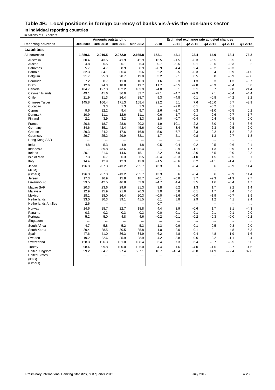## **Table 4B: Local positions in foreign currency of banks vis-à-vis the non-bank sector In individual reporting countries**

| ב וסווטט טט וט פווטוווע    |              | <b>Amounts outstanding</b> |                          |               |                          |           |               | Estimated exchange rate adjusted changes |                     |                   |
|----------------------------|--------------|----------------------------|--------------------------|---------------|--------------------------|-----------|---------------|------------------------------------------|---------------------|-------------------|
| <b>Reporting countries</b> | Dec 2009     | Dec 2010                   | Dec 2011                 | Mar 2012      | 2010                     | 2011      | Q2 2011       | Q3 2011                                  | Q4 2011             | Q1 2012           |
| <b>Liabilities</b>         |              |                            |                          |               |                          |           |               |                                          |                     |                   |
|                            |              |                            |                          |               |                          |           |               |                                          |                     |                   |
| <b>All countries</b>       | 1,880.6      | 2,019.5                    | 2,072.0                  | 2,165.8       | 152.1                    | 42.1      | 23.4          | 14.0                                     | $-68.4$             | 76.2              |
| Australia                  | 30.4         | 43.5                       | 41.9                     | 42.9          | 13.5                     | $-1.5$    | $-0.3$        | $-6.5$                                   | 3.5                 | 0.8               |
| Austria                    | 4.8          | 5.5                        | 5.1                      | 5.3           | 0.7                      | $-0.5$    | 0.1           | $-0.5$                                   | $-0.3$              | 0.2               |
| <b>Bahamas</b>             | 5.7          | 4.7                        | 8.9                      | 8.9           | $-0.9$                   | 4.4       | 2.4           | $-0.2$                                   | $-0.3$              | $\ddotsc$         |
| Bahrain                    | 32.3         | 34.1                       | 36.4                     | 35.6          | 2.2                      | 2.5       | $-0.3$        | 3.4                                      | 0.9                 | $-1.0$            |
| Belgium                    | 21.7         | 25.0                       | 28.7                     | 19.0          | 3.2                      | 2.1       | 0.5           | 6.8                                      | $-5.9$              | $-9.8$            |
| Bermuda                    | 7.2          | 8.7                        | 11.0                     | 10.3          | 1.6                      | 2.3       | 1.3           | 0.3                                      | 1.3                 | $-0.7$            |
| <b>Brazil</b>              | 12.6         | 24.3                       | 18.8                     | 19.7          | 11.7                     | $-5.5$    | $-2.8$        | $-0.9$                                   | $-3.4$              | 0.8               |
| Canada                     | 104.7        | 127.3                      | 162.2                    | 183.9         | 24.0                     | 35.1      | 3.1           | 5.7                                      | 9.8                 | 21.4              |
| Cayman Islands             | 49.1         | 41.6                       | 36.9                     | 32.7          | $-7.1$                   | $-4.7$    | $-2.9$        | 2.1                                      | $-0.4$              | $-4.4$            |
| Chile                      | 21.9         | 31.3                       | 26.4                     | 28.7          | 9.3                      | $-4.8$    | 0.1           | $-0.8$                                   | $-4.2$              | 2.2               |
| Chinese Taipei             | 145.8        | 166.4                      | 171.3                    | 168.4         | 21.2                     | 5.1       | 7.6           | $-10.0$                                  | 5.7                 | $-3.9$            |
| Cucacao                    |              | 3.3                        | 1.3                      | 1.3           | $\overline{\phantom{0}}$ | $-2.0$    | 0.1           | $-0.2$                                   | 0.1                 |                   |
| Cyprus                     | 9.6          | 12.2                       | 9.4                      | 9.7           | 2.6                      | $-2.7$    | 0.3           | $-1.0$                                   | $-0.5$              | 0.2               |
| Denmark                    | 10.9         | 11.1                       | 12.6                     | 11.1          | 0.6                      | 1.7       | $-0.1$        | 0.6                                      | 0.7                 | $-1.7$            |
| Finland                    | 2.1          | 3.9                        | 3.2                      | 3.3           | 1.0                      | $-0.7$    | $-0.4$        | 0.4                                      | $-0.5$              | 0.0               |
| France                     | 20.6         | 18.7                       | 28.6                     | 20.2          | $-1.9$                   | 10.1      | 2.2           | 5.0                                      | 2.4                 | $-8.6$            |
| Germany                    | 34.6         | 35.1                       | 43.4                     | 45.6          | 0.3                      | 8.4       | 7.9           | $-2.3$                                   | 0.5                 | 2.0               |
| Greece                     | 29.3         | 24.2                       | 17.6                     | 16.8          | $-5.6$                   | $-6.7$    | $-2.3$        | $-2.2$                                   | $-1.2$              | $-0.8$            |
| Guernsey                   | 29.7         | 25.2                       | 29.9                     | 32.1          | 1.7                      | 5.1       | 0.8           | $-1.3$                                   | 2.7                 | 1.8               |
| Hong Kong SAR              |              |                            |                          | $\ddotsc$     | $\ldots$                 |           | $\ddotsc$     | $\ldots$                                 |                     | $\ddotsc$         |
| India                      | 4.8          | 5.3                        | 4.9                      | 4.8           | 0.5                      | $-0.4$    | 0.2           | $-0.5$                                   | $-0.6$              | $-0.1$            |
| Indonesia                  |              | 39.8                       | 43.6                     | 45.4          | $\overline{\phantom{0}}$ | 3.9       | $-1.1$        | 1.3                                      | 0.9                 | 1.7               |
| Ireland                    | <br>20.1     | 21.6                       | 14.6                     | 15.1          | 2.2                      | $-7.0$    | 3.6           | $-5.5$                                   | 0.0                 | 0.3               |
| Isle of Man                | 7.3          | 6.7                        | 6.3                      | 6.5           | $-0.4$                   | $-0.3$    | $-1.0$        | 1.5                                      | $-0.5$              | 0.1               |
|                            | 14.4         | 12.9                       | 12.3                     | 13.0          | $-1.5$                   | $-0.6$    | 0.2           | $-1.1$                                   | $-1.4$              | 0.6               |
| Italy                      |              |                            |                          |               |                          |           |               |                                          |                     |                   |
| Japan                      | 196.3        | 237.3                      | 243.2                    | 255.7         | 43.3                     | 6.6       | $-6.4$        | 5.6                                      | $-3.9$              | 11.4              |
| (JOM)                      | $\ddotsc$    |                            | <br>243.2                | $\ddotsc$     | $\ddotsc$                | $\ddotsc$ | $\ddotsc$     | $\ddotsc$<br>5.6                         | $\ddotsc$<br>$-3.9$ | $\ddotsc$<br>11.4 |
| (Others)                   | 196.3        | 237.3<br>16.9              | 15.8                     | 255.7<br>18.7 | 43.3<br>$-0.1$           | 6.6       | $-6.4$<br>3.7 | $-2.3$                                   | $-1.9$              | 2.7               |
| Jersey                     | 17.3<br>53.5 |                            |                          |               |                          | $-0.8$    |               |                                          | $-3.4$              | 4.7               |
| Luxembourg                 |              | 42.5                       | 46.8                     | 52.0          | $-4.7$                   | 4.4       | 3.5           | 1.6                                      |                     |                   |
| Macao SAR                  | 20.3         | 23.6                       | 29.6                     | 31.3          | 3.8                      | 6.2       | 1.3           | 1.7                                      | 2.2                 | 1.4               |
| Malaysia                   | 12.9         | 15.9                       | 21.6                     | 26.3          | 3.0                      | 5.8       | 0.1           | 1.7                                      | 3.4                 | 4.6               |
| Mexico                     | 18.1         | 18.0                       | 16.4                     | 20.3          | $-0.0$                   | $-1.6$    | $-0.0$        | $-1.9$                                   | $-0.7$              | 3.9               |
| Netherlands                | 33.0         | 30.3                       | 39.1                     | 41.5          | 6.1                      | 8.8       | 2.9           | 1.2                                      | 4.1                 | 2.4               |
| Netherlands Antilles       | 2.6          | $\qquad \qquad -$          | $\overline{\phantom{0}}$ |               | 0.7                      |           | ÷             | $\overline{a}$                           | L.                  | $\ldots$          |
| Norway                     | 14.6         | 18.7                       | 22.7                     | 18.8          | 4.4                      | 3.9       | $-0.6$        | 1.7                                      | 3.1                 | $-4.3$            |
| Panama                     | $0.3\,$      | 0.2                        | 0.3                      | 0.3           | $-0.0$                   | 0.1       | $-0.1$        | 0.1                                      | $-0.1$              | 0.0               |
| Portugal                   | 5.2          | 5.0                        | 4.8                      | 4.6           | $-0.2$                   | $-0.1$    | $-0.2$        | $-0.3$                                   | $-0.0$              | $-0.2$            |
| Singapore                  | $\cdots$     |                            | $\cdots$                 | $\ddotsc$     | $\ldots$                 | $\ddotsc$ | $\ldots$      | $\ldots$                                 | $\cdots$            | $\ldots$          |
| South Africa               | 4.7          | 5.8                        | 5.2                      | 5.3           | 1.3                      | $-0.9$    | 0.1           | 0.5                                      | $-0.8$              | $-0.0$            |
| South Korea                | 29.4         | 28.5                       | 30.5                     | 35.8          | $-1.0$                   | 2.0       | 0.1           | 0.1                                      | $-4.8$              | 5.3               |
| Spain                      | 47.6         | 41.0                       | 36.3                     | 34.9          | $-6.2$                   | -4.8      | 0.4           | $-4.8$                                   | $-1.9$              | $-1.6$            |
| Sweden                     | 19.2         | 22.6                       | 25.9                     | 28.9          | 4.2                      | 3.8       | 0.6           | 2.2                                      | $-1.1$              | 2.4               |
| Switzerland                | 128.3        | 126.3                      | 131.0                    | 138.4         | 3.4                      | 7.3       | 6.4           | $-0.7$                                   | $-3.5$              | 5.0               |
| Turkey                     | 98.4         | 99.8                       | 100.0                    | 106.0         | 4.4                      | 1.6       | $-4.0$        | $-1.6$                                   | 3.7                 | 4.6               |
| United Kingdom             | 559.2        | 554.7                      | 527.4                    | 567.1         | 10.7                     | $-43.4$   | $-3.8$        | 14.9                                     | $-72.4$             | 32.8              |
| <b>United States</b>       |              |                            |                          | $\ddotsc$     | $\ddotsc$                |           |               |                                          | $\ddotsc$           |                   |
| (IBFs)                     |              |                            | $\ddotsc$                | $\ddotsc$     | $\ddotsc$                | $\ddotsc$ | $\ddotsc$     |                                          |                     | $\ddotsc$         |
| (Others)                   | $\ddotsc$    | $\cdots$                   | $\ddotsc$                | $\ddotsc$     | $\cdots$                 | $\cdots$  | $\ddotsc$     | $\cdots$                                 | $\ddotsc$           |                   |
|                            |              |                            |                          |               |                          |           |               |                                          |                     |                   |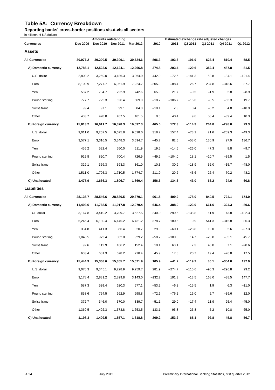## **Table 5A: Currency Breakdown**

**Reporting banks' cross-border positions vis-à-vis all sectors**

| in billions of US dollars  |          |                                        |          |          |          |          |          |                                                     |          |          |
|----------------------------|----------|----------------------------------------|----------|----------|----------|----------|----------|-----------------------------------------------------|----------|----------|
| <b>Currencies</b>          | Dec 2009 | <b>Amounts outstanding</b><br>Dec 2010 | Dec 2011 | Mar 2012 | 2010     | 2011     | Q2 2011  | Estimated exchange rate adjusted changes<br>Q3 2011 | Q4 2011  | Q1 2012  |
| <b>Assets</b>              |          |                                        |          |          |          |          |          |                                                     |          |          |
| <b>All Currencies</b>      | 30,077.2 | 30,200.5                               | 30,309.1 | 30,724.6 | 896.3    | 103.6    | $-191.9$ | 623.4                                               | $-810.4$ | 58.5     |
| A) Domestic currency       | 12,786.1 | 12,522.6                               | 12,124.1 | 12,266.8 | 274.8    | $-203.4$ | $-120.6$ | 352.4                                               | $-487.8$ | $-81.5$  |
| U.S. dollar                | 2,808.2  | 3,259.0                                | 3,186.3  | 3,064.9  | 442.9    | $-72.6$  | $-141.3$ | 58.8                                                | $-84.1$  | $-121.4$ |
| Euro                       | 8,109.9  | 7,277.7                                | 6,961.9  | 7,224.7  | $-205.9$ | $-88.4$  | 26.7     | 237.8                                               | $-318.6$ | 37.7     |
| Yen                        | 587.2    | 734.7                                  | 792.9    | 742.6    | 65.9     | 21.7     | $-0.5$   | $-1.9$                                              | 2.8      | $-8.9$   |
| Pound sterling             | 777.7    | 725.3                                  | 626.4    | 669.0    | $-18.7$  | $-106.7$ | $-15.6$  | $-0.5$                                              | $-53.3$  | 19.7     |
| Swiss franc                | 99.4     | 97.1                                   | 99.1     | 84.0     | $-10.1$  | 2.3      | 0.4      | $-0.2$                                              | 4.8      | $-18.9$  |
| Other                      | 403.7    | 428.8                                  | 457.5    | 481.5    | 0.6      | 40.4     | 9.6      | 58.4                                                | $-39.4$  | 10.3     |
| <b>B) Foreign currency</b> | 15.813.2 | 16,011.7                               | 16,378.3 | 16,597.3 | 465.0    | 172.3    | $-114.3$ | 204.8                                               | $-298.0$ | 79.3     |
| U.S. dollar                | 9.011.0  | 9,267.5                                | 9,675.8  | 9,628.0  | 318.2    | 157.4    | $-73.1$  | 21.6                                                | $-209.3$ | $-49.3$  |
| Euro                       | 3,577.1  | 3,316.5                                | 3,348.3  | 3,594.7  | $-45.7$  | 82.5     | $-58.0$  | 130.9                                               | 27.9     | 136.7    |
| Yen                        | 455.2    | 532.4                                  | 550.0    | 511.9    | 19.5     | $-14.6$  | $-26.0$  | 47.3                                                | 8.8      | $-9.7$   |
| Pound sterling             | 929.8    | 820.7                                  | 700.4    | 726.9    | $-49.2$  | $-104.0$ | 18.1     | $-20.7$                                             | $-39.5$  | 1.5      |
| Swiss franc                | 329.1    | 369.3                                  | 393.3    | 361.0    | 10.3     | 30.9     | $-18.9$  | 52.0                                                | $-15.7$  | $-48.0$  |
| Other                      | 1,511.0  | 1,705.3                                | 1,710.5  | 1,774.7  | 211.9    | 20.2     | 43.6     | $-26.4$                                             | $-70.2$  | 48.2     |
| C) Unallocated             | 1,477.9  | 1,666.3                                | 1,806.7  | 1,860.4  | 156.6    | 134.6    | 43.0     | 66.2                                                | $-24.6$  | 60.8     |
| <b>Liabilities</b>         |          |                                        |          |          |          |          |          |                                                     |          |          |
| <b>All Currencies</b>      | 28,136.7 | 28,546.6                               | 28,830.5 | 29,370.1 | 961.5    | 499.9    | $-178.0$ | 840.5                                               | $-724.1$ | 174.0    |
| A) Domestic currency       | 11,493.6 | 11,768.5                               | 11,917.8 | 12,079.4 | 646.4    | 388.0    | $-123.9$ | 661.6                                               | $-324.3$ | $-80.6$  |
| US dollar                  | 3,167.8  | 3,410.2                                | 3,709.7  | 3,527.5  | 240.0    | 299.5    | $-138.8$ | 61.9                                                | 43.8     | $-182.3$ |
| Euro                       | 6,246.4  | 6,180.4                                | 6,145.2  | 6,431.2  | 378.7    | 180.5    | 0.9      | 541.3                                               | $-315.8$ | 86.3     |
| Yen                        | 334.8    | 411.3                                  | 366.4    | 320.7    | 29.9     | $-60.1$  | $-28.8$  | 19.0                                                | 2.6      | $-27.3$  |
| Pound sterling             | 1,048.5  | 972.4                                  | 852.0    | 929.2    | $-58.2$  | $-109.8$ | 14.7     | $-28.8$                                             | $-35.1$  | 45.7     |
| Swiss franc                | 92.6     | 112.9                                  | 166.2    | 152.4    | 10.1     | 60.1     | 7.3      | 48.8                                                | 7.1      | $-20.6$  |
| Other                      | 603.4    | 681.3                                  | 678.2    | 718.4    | 45.9     | 17.8     | 20.7     | 19.4                                                | $-26.8$  | 17.5     |
| B) Foreign currency        | 15,444.9 | 15,368.6                               | 15,355.7 | 15,671.9 | 105.9    | $-41.2$  | $-119.2$ | 86.1                                                | $-354.0$ | 197.9    |
| U.S. dollar                | 9,078.3  | 9,345.1                                | 9,228.9  | 9,259.7  | 281.9    | -274.7   | $-115.6$ | $-96.3$                                             | $-296.8$ | 29.2     |
| Euro                       | 3,178.4  | 2,831.2                                | 2,899.8  | 3,143.0  | $-132.2$ | 191.3    | $-13.5$  | 168.0                                               | $-38.5$  | 147.7    |
| Yen                        | 587.3    | 599.4                                  | 620.3    | 577.1    | $-53.2$  | $-6.3$   | $-15.5$  | 1.9                                                 | 6.3      | $-11.0$  |
| Pound sterling             | 858.6    | 754.5                                  | 662.9    | 698.8    | $-72.6$  | $-76.2$  | 16.0     | 5.7                                                 | $-39.6$  | 12.0     |
| Swiss franc                | 372.7    | 346.0                                  | 370.0    | 339.7    | $-51.1$  | 29.0     | $-17.4$  | 11.9                                                | 25.4     | $-45.0$  |
| Other                      | 1,369.5  | 1,492.3                                | 1,573.8  | 1,653.5  | 133.1    | 95.8     | 26.8     | $-5.2$                                              | $-10.8$  | 65.0     |
| C) Unallocated             | 1,198.3  | 1,409.5                                | 1,557.1  | 1,618.8  | 209.2    | 153.2    | 65.1     | 92.8                                                | $-45.8$  | 56.7     |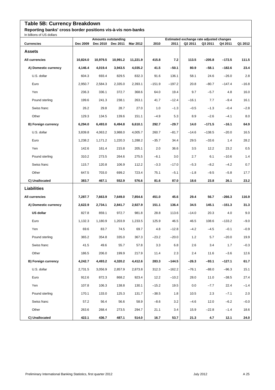## **Table 5B: Currency Breakdown**

**Reporting banks' cross border positions vis-à-vis non-banks**

| In billions of US dollars  |          |                                        |          |          |          |          |         |                                                     |          |         |
|----------------------------|----------|----------------------------------------|----------|----------|----------|----------|---------|-----------------------------------------------------|----------|---------|
| <b>Currencies</b>          | Dec 2009 | <b>Amounts outstanding</b><br>Dec 2010 | Dec 2011 | Mar 2012 | 2010     | 2011     | Q2 2011 | Estimated exchange rate adjusted changes<br>Q3 2011 | Q4 2011  | Q1 2012 |
| <b>Assets</b>              |          |                                        |          |          |          |          |         |                                                     |          |         |
| All currencies             | 10,824.0 | 10,979.5                               | 10,991.2 | 11,221.9 | 415.8    | 7.2      | 113.5   | $-205.8$                                            | $-172.5$ | 111.5   |
| A) Domestic currency       | 4,146.4  | 4,019.4                                | 3,943.5  | 4,035.2  | 41.5     | $-50.1$  | 80.9    | $-58.1$                                             | $-182.6$ | 23.4    |
| U.S. dollar                | 604.3    | 693.4                                  | 829.5    | 832.3    | 91.6     | 136.1    | 58.1    | 24.6                                                | $-26.0$  | 2.8     |
| Euro                       | 2,950.7  | 2,584.3                                | 2,335.0  | 2,393.1  | $-151.9$ | $-197.2$ | 20.8    | $-80.7$                                             | $-147.4$ | $-16.8$ |
| Yen                        | 236.3    | 336.1                                  | 372.7    | 368.6    | 64.0     | 19.4     | 9.7     | $-5.7$                                              | 4.8      | 16.0    |
| Pound sterling             | 199.6    | 241.3                                  | 238.1    | 263.1    | 41.7     | $-12.4$  | $-16.1$ | 7.7                                                 | $-9.4$   | 16.1    |
| Swiss franc                | 26.2     | 29.8                                   | 28.7     | 27.0     | 1.0      | $-1.3$   | $-0.5$  | $-1.3$                                              | $-0.4$   | $-2.8$  |
| Other                      | 129.3    | 134.5                                  | 139.6    | 151.1    | $-4.9$   | 5.3      | 8.9     | $-2.6$                                              | $-4.1$   | 8.0     |
| <b>B) Foreign currency</b> | 6,294.0  | 6,493.0                                | 6,494.8  | 6,610.1  | 292.7    | $-29.7$  | 14.0    | $-171.5$                                            | $-16.1$  | 64.9    |
| U.S. dollar                | 3.839.8  | 4,063.2                                | 3,988.0  | 4,005.7  | 260.7    | $-81.7$  | $-14.6$ | $-138.5$                                            | $-20.0$  | 16.5    |
| Euro                       | 1,238.2  | 1,171.2                                | 1,220.3  | 1,288.2  | $-35.7$  | 34.4     | 29.5    | $-33.6$                                             | 1.4      | 28.2    |
| Yen                        | 142.6    | 161.4                                  | 215.8    | 205.1    | 2.0      | 36.6     | 3.5     | 12.2                                                | 23.2     | 0.5     |
| Pound sterling             | 310.2    | 273.5                                  | 264.6    | 275.5    | $-6.1$   | 3.0      | 2.7     | 6.1                                                 | $-10.6$  | 1.4     |
| Swiss franc                | 115.7    | 120.8                                  | 106.9    | 112.2    | $-3.3$   | $-17.0$  | $-5.3$  | $-8.2$                                              | $-4.2$   | 0.7     |
| Other                      | 647.5    | 703.0                                  | 699.2    | 723.4    | 75.1     | $-5.1$   | $-1.8$  | $-9.5$                                              | $-5.8$   | 17.7    |
| C) Unallocated             | 383.7    | 467.1                                  | 552.9    | 576.6    | 81.6     | 87.0     | 18.6    | 23.8                                                | 26.1     | 23.2    |
| <b>Liabilities</b>         |          |                                        |          |          |          |          |         |                                                     |          |         |
| All currencies             | 7,287.7  | 7,663.9                                | 7,649.0  | 7,854.6  | 451.0    | 45.6     | 29.4    | 56.7                                                | $-266.3$ | 116.9   |
| A) Domestic currency       | 2,622.9  | 2,734.1                                | 2,841.7  | 2,927.9  | 151.1    | 136.4    | 34.5    | 145.1                                               | $-151.3$ | 31.3    |
| <b>US dollar</b>           | 827.8    | 859.1                                  | 972.7    | 981.8    | 28.8     | 113.6    | $-14.0$ | 20.3                                                | 4.0      | 9.0     |
| Euro                       | 1,132.3  | 1,180.9                                | 1,203.9  | 1,233.5  | 125.9    | 46.5     | 46.5    | 108.6                                               | $-133.2$ | $-9.0$  |
| Yen                        | 69.6     | 83.7                                   | 74.5     | 69.7     | 4.8      | $-12.8$  | $-4.2$  | $-4.5$                                              | $-0.1$   | $-0.9$  |
| Pound sterling             | 365.2    | 354.8                                  | 335.0    | 367.3    | $-23.2$  | $-20.0$  | $1.2$   | 5.7                                                 | $-20.0$  | 19.9    |
| Swiss franc                | 41.5     | 49.6                                   | 55.7     | 57.8     | 3.3      | 6.8      | 2.6     | 3.4                                                 | 1.7      | $-0.3$  |
| Other                      | 186.5    | 206.0                                  | 199.9    | 217.9    | 11.4     | 2.3      | 2.4     | 11.6                                                | $-3.6$   | 12.6    |
| B) Foreign currency        | 4,242.7  | 4,493.2                                | 4,320.2  | 4,412.6  | 283.3    | $-144.5$ | $-26.3$ | $-93.1$                                             | $-127.1$ | 61.7    |
| U.S. dollar                | 2,731.5  | 3,056.9                                | 2,857.9  | 2,873.8  | 312.3    | $-162.2$ | $-76.1$ | $-88.0$                                             | $-96.3$  | 15.1    |
| Euro                       | 912.6    | 872.3                                  | 868.2    | 923.4    | 12.2     | $-10.2$  | 28.0    | 11.0                                                | $-38.5$  | 27.4    |
| Yen                        | 107.8    | 106.3                                  | 138.8    | 130.1    | $-15.2$  | 19.5     | $0.0\,$ | $-7.7$                                              | 22.4     | $-1.4$  |
| Pound sterling             | 170.1    | 133.0                                  | 125.3    | 131.7    | $-38.5$  | 1.8      | 10.5    | 2.3                                                 | $-7.1$   | 2.0     |
| Swiss franc                | 57.2     | 56.4                                   | 56.6     | 58.9     | $-8.6$   | 3.2      | $-4.6$  | 12.0                                                | $-6.2$   | $-0.0$  |
| Other                      | 263.6    | 268.4                                  | 273.5    | 294.7    | 21.1     | 3.4      | 15.9    | $-22.8$                                             | $-1.4$   | 18.6    |
| C) Unallocated             | 422.1    | 436.7                                  | 487.1    | 514.0    | 16.7     | 53.7     | 21.3    | 4.7                                                 | 12.1     | 24.0    |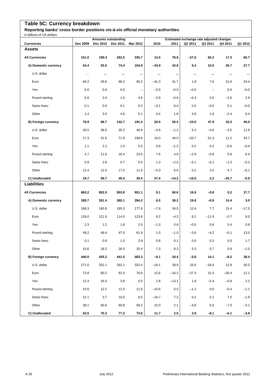## **Table 5C: Currency breakdown**

**Reporting banks' cross border positions vis-à-vis official monetary authorities**

| in billions of US dollars  |          | <b>Amounts outstanding</b> |           |                          |         |           |          | Estimated exchange rate adjusted changes |          |          |
|----------------------------|----------|----------------------------|-----------|--------------------------|---------|-----------|----------|------------------------------------------|----------|----------|
| <b>Currencies</b>          | Dec 2009 | <b>Dec 2010</b>            | Dec 2011  | Mar 2012                 | 2010    | 2011      | Q2 2011  | Q3 2011                                  | Q4 2011  | Q1 2012  |
| <b>Assets</b>              |          |                            |           |                          |         |           |          |                                          |          |          |
| <b>All Currencies</b>      | 151.0    | 190.4                      | 262.5     | 335.7                    | 14.5    | 78.9      | $-27.6$  | 60.2                                     | 17.3     | 66.7     |
| A) Domestic currency       | 54.4     | 35.0                       | 74.4      | 104.9                    | $-43.9$ | 42.8      | 5.4      | 10.0                                     | 26.7     | 27.7     |
| U.S. dollar                | $\ldots$ | $\ddotsc$                  | $\ddotsc$ | $\cdots$                 |         | $\ddotsc$ | $\cdots$ | $\cdots$                                 | $\cdots$ | $\cdots$ |
| Euro                       | 46.2     | 29.6                       | 68.2      | 95.2                     | $-41.3$ | 41.7      | 1.9      | 7.6                                      | 31.6     | 24.4     |
| Yen                        | 0.0      | 0.0                        | 0.0       | $\overline{\phantom{a}}$ | $-0.0$  | $-0.0$    | $-0.0$   | $\overline{\phantom{a}}$                 | 0.0      | $-0.0$   |
| Pound sterling             | 5.6      | 2.4                        | 1.5       | 4.6                      | $-2.9$  | $-0.9$    | $-0.3$   | 0.5                                      | $-2.6$   | 2.9      |
| Swiss franc                | 0.1      | 0.0                        | 0.1       | 0.0                      | $-0.1$  | 0.0       | 0.0      | $-0.0$                                   | 0.1      | $-0.0$   |
| Other                      | 2.4      | 3.0                        | 4.6       | 5.1                      | 0.4     | 1.9       | 3.8      | 1.9                                      | $-2.4$   | 0.4      |
| <b>B) Foreign currency</b> | 76.9     | 96.7                       | 142.7     | 191.4                    | 20.9    | 50.4      | $-23.0$  | 47.9                                     | 16.3     | 45.0     |
| U.S. dollar                | 40.5     | 36.5                       | 35.2      | 46.8                     | $-4.6$  | $-1.3$    | 5.2      | $-4.6$                                   | $-3.5$   | 11.6     |
| Euro                       | 17.3     | 31.6                       | 71.9      | 108.6                    | 16.0    | 44.0      | $-20.7$  | 51.3                                     | 11.2     | 33.7     |
| Yen                        | 1.1      | 2.2                        | 1.0       | 0.5                      | 0.9     | $-1.3$    | 0.2      | 0.2                                      | $-0.6$   | $-0.4$   |
| Pound sterling             | 4.7      | 11.6                       | 16.4      | 23.5                     | 7.6     | 4.9       | $-2.9$   | $-0.9$                                   | 5.8      | 6.4      |
| Swiss franc                | 0.9      | 2.8                        | 0.7       | 0.5                      | 1.3     | $-2.5$    | $-5.1$   | $-0.1$                                   | $-1.3$   | $-0.3$   |
| Other                      | 12.4     | 12.0                       | 17.5      | 11.5                     | $-0.3$  | 6.6       | 0.2      | 2.0                                      | 4.7      | $-6.1$   |
| C) Unallocated             | 19.7     | 58.7                       | 45.5      | 39.4                     | 37.4    | $-14.2$   | $-10.0$  | 2.2                                      | $-25.7$  | $-5.9$   |
| <b>Liabilities</b>         |          |                            |           |                          |         |           |          |                                          |          |          |
| <b>All Currencies</b>      | 863.2    | 852.0                      | 903.8     | 951.1                    | 9.1     | 60.6      | 16.9     | $-0.8$                                   | 0.2      | 37.7     |
| A) Domestic currency       | 359.7    | 351.4                      | 385.1     | 394.2                    | 6.5     | 38.2      | 19.8     | $-6.9$                                   | 14.4     | 3.0      |
| U.S. dollar                | 168.3    | 160.8                      | 195.3     | 177.8                    | $-7.6$  | 34.5      | 12.4     | 7.7                                      | 15.4     | $-17.5$  |
| Euro                       | 129.0    | 121.8                      | 114.0     | 123.8                    | 6.2     | $-4.3$    | 6.1      | $-11.9$                                  | $-2.7$   | 6.0      |
| Yen                        | 2.3      | 1.2                        | 1.8       | 2.5                      | $-1.3$  | 0.6       | $-0.5$   | 0.6                                      | 0.4      | $0.8\,$  |
| Pound sterling             | 49.2     | 48.4                       | 47.0      | 61.9                     | 1.0     | $-1.0$    | $-3.6$   | $-4.2$                                   | $-0.1$   | 13.0     |
| Swiss franc                | 0.1      | 0.9                        | 1.0       | $2.8\,$                  | $0.8\,$ | 0.1       | 0.0      | 0.3                                      | $0.5\,$  | 1.7      |
| Other                      | 10.6     | 18.2                       | 26.0      | 25.4                     | 7.3     | 8.3       | 5.3      | 0.7                                      | 0.9      | $-1.0$   |
| <b>B) Foreign currency</b> | 440.0    | 425.2                      | 441.5     | 483.3                    | $-9.1$  | 20.4      | $-5.8$   | 14.1                                     | $-8.2$   | 38.4     |
| U.S. dollar                | 271.0    | 252.1                      | 292.1     | 322.4                    | $-19.1$ | 39.9      | 25.6     | $-16.6$                                  | 12.9     | 30.3     |
| Euro                       | 72.8     | 80.2                       | 62.5      | 76.8                     | 12.6    | $-16.2$   | $-27.3$  | 31.0                                     | $-20.4$  | 12.1     |
| Yen                        | 12.4     | 16.4                       | 3.6       | 5.5                      | 2.8     | $-13.1$   | 1.8      | $-5.4$                                   | $-0.8$   | 2.2      |
| Pound sterling             | 23.6     | 12.2                       | 12.5      | 11.9                     | $-10.6$ | 0.5       | $-1.2$   | $0.0\,$                                  | $-0.4$   | $-1.1$   |
| Swiss franc                | 21.1     | 3.7                        | 10.0      | 8.5                      | $-16.7$ | 7.2       | 0.2      | 0.1                                      | 7.5      | $-1.9$   |
| Other                      | 39.1     | 60.6                       | 60.8      | 58.2                     | 22.0    | 2.1       | $-4.8$   | $5.0\,$                                  | $-7.0$   | $-3.1$   |
| C) Unallocated             | 63.5     | 75.3                       | 77.2      | 73.6                     | 11.7    | 2.0       | 2.9      | $-8.1$                                   | $-6.1$   | $-3.8$   |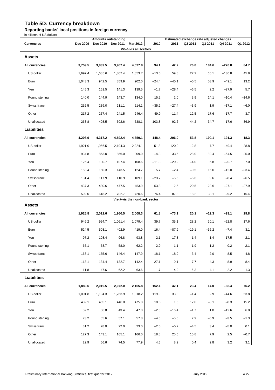## **Table 5D: Currency breakdown**

**Reporting banks' local positions in foreign currency**

| In billions of US dollars         |          |          | <b>Amounts outstanding</b> |                                   |         | Estimated exchange rate adjusted changes |         |         |          |         |  |  |
|-----------------------------------|----------|----------|----------------------------|-----------------------------------|---------|------------------------------------------|---------|---------|----------|---------|--|--|
| <b>Currencies</b>                 | Dec 2009 | Dec 2010 | Dec 2011                   | Mar 2012<br>Vis-à-vis all sectors | 2010    | 2011                                     | Q2 2011 | Q3 2011 | Q4 2011  | Q1 2012 |  |  |
| <b>Assets</b>                     |          |          |                            |                                   |         |                                          |         |         |          |         |  |  |
| All currencies                    | 3,759.5  | 3,839.5  | 3,907.4                    | 4,027.8                           | 94.1    | 42.2                                     | 76.8    | 184.6   | $-270.8$ | 84.7    |  |  |
| US dollar                         | 1,697.4  | 1,685.6  | 1,807.4                    | 1,853.7                           | $-13.5$ | 59.8                                     | 27.2    | 60.1    | $-130.8$ | 45.8    |  |  |
| Euro                              | 1,043.3  | 942.5    | 859.9                      | 902.0                             | $-24.4$ | $-45.1$                                  | $-0.5$  | 53.9    | $-49.1$  | 13.2    |  |  |
| Yen                               | 145.3    | 161.5    | 141.3                      | 139.5                             | $-1.7$  | $-28.4$                                  | $-6.5$  | 2.2     | $-27.9$  | 5.7     |  |  |
| Pound sterling                    | 140.0    | 144.9    | 143.7                      | 134.0                             | 15.2    | 2.0                                      | 3.9     | 14.1    | $-10.4$  |         |  |  |
|                                   |          |          |                            |                                   |         |                                          |         |         |          | $-14.6$ |  |  |
| Swiss franc                       | 252.5    | 239.0    | 211.1                      | 214.1                             | $-35.2$ | $-27.4$                                  | $-3.9$  | 1.9     | $-17.1$  | $-6.0$  |  |  |
| Other                             | 217.2    | 257.4    | 241.5                      | 246.4                             | 49.9    | $-11.4$                                  | 12.5    | 17.6    | $-17.7$  | 3.7     |  |  |
| Unallocated<br><b>Liabilities</b> | 263.8    | 408.5    | 502.6                      | 538.1                             | 103.8   | 92.6                                     | 44.2    | 34.7    | $-17.6$  | 36.9    |  |  |
|                                   |          |          |                            |                                   |         |                                          |         |         |          |         |  |  |
| All currencies                    | 4,206.9  | 4,317.2  | 4,592.4                    | 4,650.1                           | 148.4   | 206.0                                    | 53.8    | 190.1   | $-191.3$ | 18.3    |  |  |
| US dollar                         | 1,921.0  | 1,956.5  | 2,194.3                    | 2,224.1                           | 51.8    | 120.0                                    | $-2.8$  | 7.7     | $-49.4$  | 28.8    |  |  |
| Euro                              | 934.8    | 863.0    | 856.0                      | 909.0                             | $-4.3$  | 33.5                                     | 28.0    | 89.4    | $-64.5$  | 25.0    |  |  |
| Yen                               | 126.4    | 130.7    | 107.4                      | 108.6                             | $-11.3$ | $-29.2$                                  | $-4.0$  | 6.8     | $-20.7$  | 7.0     |  |  |
| Pound sterling                    | 153.4    | 150.3    | 143.5                      | 124.7                             | 5.7     | $-2.4$                                   | $-0.5$  | 15.0    | $-12.0$  | $-23.4$ |  |  |
| Swiss franc                       | 131.4    | 117.9    | 110.9                      | 109.1                             | $-23.7$ | $-5.6$                                   | $-5.6$  | 9.6     | $-8.4$   | $-6.5$  |  |  |
| Other                             | 437.3    | 480.6    | 477.5                      | 453.9                             | 53.8    | 2.5                                      | 20.5    | 23.6    | $-27.1$  | $-27.9$ |  |  |
| Unallocated                       | 502.6    | 618.2    | 702.7                      | 720.6                             | 76.4    | 87.3                                     | 18.2    | 38.1    | $-9.2$   | 15.4    |  |  |
| <b>Assets</b>                     |          |          |                            | Vis-à-vis the non-bank sector     |         |                                          |         |         |          |         |  |  |
| All currencies                    | 1,925.8  | 2,012.6  | 1,960.5                    | 2,008.3                           | 61.8    | $-73.1$                                  | 20.1    | $-12.3$ | $-93.1$  | 29.8    |  |  |
| US dollar                         | 946.2    | 994.7    | 1,061.4                    | 1,079.4                           | 39.7    | 35.1                                     | 28.2    | 20.1    | $-52.8$  | 17.6    |  |  |
| Euro                              | 524.5    | 503.1    | 402.9                      | 419.0                             | 16.4    | $-87.9$                                  | $-19.1$ | -36.2   | $-7.4$   | 3.1     |  |  |
| Yen                               | 97.2     | 108.4    | 96.8                       | 93.8                              | $-2.1$  | $-17.3$                                  | $-1.4$  | $-1.4$  | $-17.5$  | 2.1     |  |  |
| Pound sterling                    | 65.1     | 58.7     | 58.0                       | 62.2                              | $-2.9$  | 1.1                                      | 1.9     | $-1.2$  | $-0.2$   | 2.1     |  |  |
| Swiss franc                       | 168.1    | 165.6    | 146.4                      | 147.9                             | $-18.1$ | $-18.9$                                  | $-3.4$  | $-2.0$  | $-8.5$   | $-4.8$  |  |  |
| Other                             | 113.1    | 134.4    | 132.7                      | 142.4                             | 27.1    | $-0.1$                                   | 7.7     | 4.3     | $-8.9$   | 8.4     |  |  |
| Unallocated                       | 11.8     | 47.6     | 62.2                       | 63.6                              | 1.7     | 14.9                                     | 6.3     | 4.1     | 2.2      | 1.3     |  |  |
| <b>Liabilities</b>                |          |          |                            |                                   |         |                                          |         |         |          |         |  |  |
| All currencies                    | 1,880.6  | 2,019.5  | 2,072.0                    | 2,165.8                           | 152.1   | 42.1                                     | 23.4    | 14.0    | $-68.4$  | 76.2    |  |  |
| US dollar                         | 1,091.8  | 1,194.3  | 1,263.9                    | 1,318.2                           | 119.9   | 33.8                                     | $-1.4$  | 2.9     | -44.6    | 53.8    |  |  |
| Euro                              | 482.1    | 465.1    | 446.0                      | 475.8                             | 18.5    | 1.6                                      | 12.0    | $-3.1$  | $-8.3$   | 15.2    |  |  |
| Yen                               | 52.2     | 56.8     | 43.4                       | 47.0                              | $-2.5$  | $-16.4$                                  | $-1.7$  | $1.0$   | $-12.6$  | 6.0     |  |  |
| Pound sterling                    | 73.2     | 65.6     | 57.1                       | 57.8                              | $-4.6$  | $-5.5$                                   | 2.9     | $-0.9$  | $-3.5$   | $-1.3$  |  |  |
| Swiss franc                       | 31.2     | 28.0     | 22.0                       | 23.0                              | $-2.5$  | $-5.2$                                   | $-4.5$  | 3.4     | $-5.0$   | 0.1     |  |  |
| Other                             | 127.3    | 143.1    | 165.1                      | 166.0                             | 18.8    | 25.5                                     | 15.8    | 7.9     | 2.5      | $-0.7$  |  |  |
| Unallocated                       | 22.9     | 66.6     | 74.5                       | 77.9                              | 4.5     | 8.2                                      | 0.4     | 2.8     | 3.2      | 3.1     |  |  |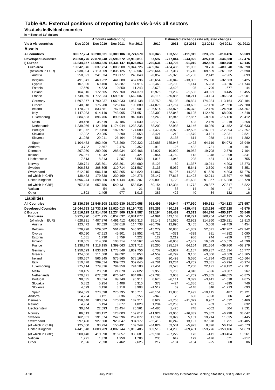## **Table 6A: External positions of reporting banks vis-à-vis all sectors**

**Vis-à-vis individual countries**

| in millions of US dollars        | Estimated exchange rate adjusted changes |                      |                                             |                      |                     |                     |                        |                       |                       |                        |
|----------------------------------|------------------------------------------|----------------------|---------------------------------------------|----------------------|---------------------|---------------------|------------------------|-----------------------|-----------------------|------------------------|
| Vis-à-vis countries              | Dec 2009                                 | <b>Dec 2010</b>      | <b>Amounts outstanding</b><br>Dec 2011      | Mar 2012             | 2010                | 2011                | Q2 2011                | Q3 2011               | Q4 2011               | Q1 2012                |
| Assets                           |                                          |                      |                                             |                      |                     |                     |                        |                       |                       |                        |
| <b>All countries</b>             |                                          |                      | 30,077,224 30,200,531 30,309,106 30,724,570 |                      | 896,348             | 103,555             | $-191,919$             | 623,385               | $-810,426$            | 58,509                 |
| <b>Developed Countries</b>       |                                          |                      | 23,350,776 22,870,248 22,596,572 22,919,811 |                      | 87,597              | $-277,844$          | $-244,929$             | 425,108               | $-646.588$            | $-12,476$              |
| i) Europe                        |                                          |                      | 16,834,657 16,003,825 15,431,147 15,826,853 |                      | $-260,631$          | $-313.796$          | $-91,010$              | 492,589               | $-589,798$            | 60,145                 |
| Euro area                        | 10,642,946                               | 9,637,724            | 9,008,908                                   | 9,344,726            | $-439,349$          | $-464, 486$         | 11,083                 | 78,726                | $-480,340$            | 102,690                |
| (of which in EUR)                | 7,938,004                                | 7,110,809            | 6,835,125                                   | 7,132,507            | $-258,664$          | $-107,317$          | 11,740                 | 209,509               | $-261,852$            | 75,690                 |
| Austria                          | 258,621                                  | 241,534              | 230,177                                     | 245,848              | $-3,057$            | $-5,325$            | $-1,708$               | 2,142                 | $-7,985$              | 8,899                  |
| Belgium                          | 491,041                                  | 469,222              | 441,388                                     | 457,696              | $-13,654$           | $-20,842$           | $-13,382$              | 25,090                | $-32,583$             | 5,425                  |
| Cyprus                           | 107,396                                  | 69,460               | 65,387                                      | 54,916               | $-32,468$           | $-2,700$            | 1,144                  | 5,283                 | $-3,816$              | $-11.744$              |
| Estonia<br>Finland               | 17,666                                   | 14,523               | 10,850                                      | 11,243               | $-2,678$            | $-3,423$            | 95                     | $-1,796$              | $-677$                | 44                     |
| France                           | 164,816<br>1,749,075                     | 172,565<br>1,772,034 | 227,760<br>1,699,901                        | 244,379<br>1,662,007 | 12,976<br>70,116    | 61,232<br>$-60,885$ | $-1,538$<br>98,211     | 43,021<br>$-3,124$    | 8,445<br>$-96,923$    | 10,455<br>$-76,901$    |
| Germany                          | 1,697,377                                | 1,790,037            | 1,669,933                                   | 1,957,138            | 103,750             | $-65,108$           | $-50,834$              | 174,234               | $-113,164$            | 239,184                |
| Greece                           | 240,818                                  | 175,280              | 125,864                                     | 100,880              | $-44,076$           | $-47,767$           | $-13,632$              | $-7,160$              | $-21,620$             | $-27,680$              |
| Ireland                          | 1,170,231                                | 833,581              | 747,643                                     | 710,901              | $-196,514$          | $-73,875$           | $-16,372$              | $-2,165$              | $-24,608$             | $-54,567$              |
| Italy                            | 1,147,083                                | 914,140              | 743,965                                     | 751,651              | $-123,309$          | $-152,043$          | 10,105                 | $-112,460$            | $-68,906$             | $-14,848$              |
| Luxembourg                       | 884,533                                  | 896,766              | 890,969                                     | 940,038              | 57,248              | 12,946              | 27,867                 | $-8,600$              | $-15,120$             | 29,412                 |
| Malta                            | 39,468                                   | 35,619               | 37,186                                      | 37,630               | $-2,178$            | 2,639               | 483                    | 2,169                 | $-1,219$              | $-258$                 |
| Netherlands                      | 1,239,056                                | 1,121,768            | 1,174,944                                   | 1,238,235            | $-58,209$           | 62,933              | $-13,146$              | 40,080                | $-31,452$             | 33,633                 |
| Portugal<br>Slovakia             | 281,372<br>17,982                        | 219,490<br>20,285    | 182,097<br>19,390                           | 174,680<br>22,558    | $-37,472$<br>3,421  | $-33,970$<br>$-213$ | $-12,595$<br>$-1,579$  | $-16,031$<br>3,121    | $-12,394$<br>$-2,831$ | $-12,557$<br>2,521     |
| Slovenia                         | 31,958                                   | 29,011               | 26,164                                      | 25,604               | $-561$              | $-2,136$            | $-614$                 | $-958$                | $-1,414$              | $-1,382$               |
| Spain                            | 1,104,453                                | 862.409              | 715,290                                     | 709,322              | $-172,685$          | $-135,948$          | $-1,422$               | $-64, 119$            | $-54.073$             | $-26,949$              |
| Andorra                          | 3,732                                    | 2,567                | 2,476                                       | 2,352                | $-919$              | -25                 | 432                    | $-781$                | $-9$                  | $-191$                 |
| Denmark                          | 297,950                                  | 289,996              | 288,934                                     | 302,466              | $-12,927$           | 10,999              | $-19,952$              | 19,708                | 2,570                 | 7,104                  |
| Iceland                          | 26,061                                   | 14,342               | 9,543                                       | 9,421                | $-864$              | $-4,762$            | 113                    | $-848$                | $-1,398$              | $-341$                 |
| Liechtenstein                    | 7,513                                    | 8,313                | 7,207                                       | 6,558                | 1,016               | $-1,048$            | 208                    | $-484$                | $-1,123$              | $-755$                 |
| Norway                           | 239,721                                  | 235,601              | 235,361                                     | 254,680              | $-5.123$            | 69                  | $-11,337$              | 10,941                | $-4,203$              | 16,273                 |
| Sweden                           | 306,382                                  | 308,805              | 310.714                                     | 321,587              | 2,133               | 5,062               | $-5.641$               | 2,390                 | $-4,595$              | 5,351                  |
| Switzerland<br>(of which in CHF) | 612,215<br>138,433                       | 606,718<br>179,838   | 652,865<br>230,169                          | 614,820<br>194,276   | $-14,067$<br>25,147 | 59,126<br>57,613    | $-14,283$<br>$-11,493$ | 91,629<br>42,211      | 14,803<br>15,897      | $-51,276$<br>$-44,795$ |
| United Kingdom                   | 4,696,244                                | 4,898,300            | 4,914,144                                   | 4,969,207            | 209,808             | 81,728              | $-51,688$              | 291,367               | $-115,388$            | $-18,728$              |
| (of which in GBP)                | 757,198                                  | 657,756              | 540,131                                     | 553,534              | $-50,154$           | $-112,334$          | 11,772                 | $-28,387$             | $-27,317$             | $-5,822$               |
| Vatican                          |                                          | 54                   | 18                                          | 21                   | 51                  | -36                 | 14                     | $-26$                 | 17                    | 3                      |
| Other                            | 1,893                                    | 1,405                | 977                                         | 1,015                | $-386$              | $-426$              | 40                     | $-34$                 | $-132$                | 16                     |
| <b>Liabilities</b>               |                                          |                      |                                             |                      |                     |                     |                        |                       |                       |                        |
| <b>All Countries</b>             |                                          |                      | 28,136,729 28,546,608 28,830,530 29,370,058 |                      | 961,495             | 499,944             | $-177,990$             | 840,511               | $-724, 123$           | 173,957                |
| <b>Developed Countries</b>       |                                          |                      | 18,044,793 18,733,316 18,920,013 19,194,732 |                      | 875,253             | 480,161             | $-129,448$             | 913,226               | $-637,928$            | $-6,576$               |
| i) Europe                        |                                          |                      | 12,816,129 12,914,450 13,234,800 13,541,587 |                      | 323,194             | 598,489             | 43,313                 | 804,376               | $-495, 197$           | 35,548                 |
| Euro area                        | 6,925,290                                | 6,671,725            | 6,852,632                                   | 6,981,077            | $-4,991$            | 343,103             | 120,791                | 360,254               | $-347,115$            | $-32,545$              |
| (of which in EUR)                | 4,628,931                                | 4,407,876            | 4,491,412                                   | 4,656,313            | 35,143              | 241,580             | 42,962                 | 314,360               | $-229,821$            | 19,813                 |
| Austria                          | 123,472                                  | 97,629               | 107,618                                     | 114,738              | $-20,709$           | 12,890              | 3,465                  | 5,568                 | $-9,459$              | 4,454                  |
| Belgium                          | 529,798                                  | 529,562              | 561,099                                     | 546,927              | $-15,279$           | 40,835              | $-1,889$               | 52,571                | $-32,707$             | $-27,342$              |
| Cyprus<br>Estonia                | 60,090<br>1,681                          | 47,513<br>1,730      | 45,901<br>3,759                             | 52,952<br>4,222      | $-9,716$<br>127     | $-371$<br>2,212     | $-339$<br>986          | 981<br>744            | $-4,282$<br>$-259$    | 6,090<br>372           |
| Finland                          | 118,065                                  | 114,006              | 103,714                                     | 104,567              | $-2,502$            | $-8,953$            | $-7,452$               | 16,529                | $-15,575$             | $-1,599$               |
| France                           | 1,138,849                                | 1,218,195            | 1,399,063                                   | 1,371,712            | 95,260              | 225,137             | 64,164                 | 191,664               | $-39,760$             | $-57,279$              |
| Germany                          | 1,950,629                                | 1,833,183            | 1,778,849                                   | 1,839,756            | 6,732               | $-2,837$            | 41,187                 | 100,287               | $-111,334$            | 16,777                 |
| Greece                           | 124,566                                  | 111,560              | 99,692                                      | 88,853               | $-4,559$            | $-8,792$            | 9,166                  | $-3,806$              | $-8,569$              | $-13,365$              |
| Ireland                          | 590,567                                  | 566,345              | 575,860                                     | 578,169              | 435                 | 20,493              | 5,580                  | $-1,784$              | $-25,252$             | $-10,664$              |
| Italy                            | 310,478                                  | 299,014              | 309,523                                     | 359,645              | $-2,781$            | 19,234              | $-3,762$               | 23,881                | $-5,794$              | 40,974                 |
| Luxembourg                       | 775,114                                  | 779,316              | 794,359                                     | 794,180              | 27,451              | 33,523              | 2,250                  | 22,121                | $-19,132$             | $-17,791$              |
| Malta                            | 18,465                                   | 20,850               | 21,878                                      | 22,622               | 2,958               | 1,708               | 4,846                  | $-636$                | $-3,307$              | 267                    |
| Netherlands<br>Portugal          | 770,371<br>98,035                        | 672,620<br>98,014    | 676,247<br>89,749                           | 684,894<br>96,911    | $-67,788$<br>6,670  | 2,603<br>$-6,111$   | $-1,769$<br>3,399      | $-35,355$<br>$-3,441$ | $-69,055$<br>$-1,510$ | $-5,875$<br>4,875      |
| Slovakia                         | 5,882                                    | 5,954                | 5,408                                       | 6,310                | 373                 | $-424$              | $-1,386$               | 701                   | $-395$                | 746                    |
| Slovenia                         | 4,699                                    | 3,136                | 3,118                                       | 3,908                | $-1,512$            | 69                  | $-148$                 | 346                   | $-1,213$              | 693                    |
| Spain                            | 304,529                                  | 273,098              | 276,795                                     | 310,711              | $-20,151$           | 11,885              | 2,492                  | $-10,115$             | 487                   | 26,121                 |
| Andorra                          | 4,204                                    | 3,121                | 3,036                                       | 3,156                | $-948$              | 28                  | 630                    | $-598$                | 86                    | 42                     |
| Denmark                          | 159,348                                  | 183,374              | 170,999                                     | 182,211              | 8,627               | $-1,758$            | $-11,329$              | 9,967                 | $-1,822$              | 6,460                  |
| Iceland                          | 4,964                                    | 6,194                | 3,877                                       | 4,820                | 1,204               | $-2,253$            | 401                    | $-63$                 | $-691$                | 832                    |
| Liechtenstein                    | 30,344                                   | 22,593               | 23,454                                      | 26,561               | $-4,486$            | 1,420               | 748                    | $-602$                | 804                   | 2,531                  |
| Norway<br>Sweden                 | 86,013<br>162,851                        | 103,112<br>191,874   | 123,003<br>247,596                          | 159,612<br>262,077   | $-11,924$           | 23,055<br>53,829    | $-16,839$<br>5,181     | 25,352<br>19,214      | $-6,790$<br>11,035    | 33,647<br>8,445        |
| Switzerland                      | 997,420                                  | 927,660              | 923,047                                     | 904,177              | 17,161<br>$-65,413$ | 16,242              | 13,197                 | 37,578                | 1,751                 | $-35,405$              |
| (of which in CHF)                | 125,560                                  | 93,734               | 150,491                                     | 109,249              | $-34,824$           | 63,501              | $-5,923$               | 8,396                 | 56,134                | $-46,573$              |
| United Kingdom                   | 4,441,648                                | 4,800,789            | 4,882,744                                   | 5,013,485            | 383,513             | 164,285             | $-69,481$              | 353,776               | $-153,186$            | 51,673                 |
| (of which in GBP)                | 500,140                                  | 419,990              | 316,857                                     | 338,681              | $-69,181$           | $-97,222$           | 173                    | $-411$                | $-33,404$             | 10,261                 |
| Vatican                          | 1,221                                    | 1,378                | 1,950                                       | 1,786                | 236                 | 642                 | 179                    | $-476$                | 671                   | $-217$                 |
| Other                            | 2,826                                    | 2,630                | 2,462                                       | 2,625                | 217                 | $-104$              | $-164$                 | $-25$                 | 60                    | 86                     |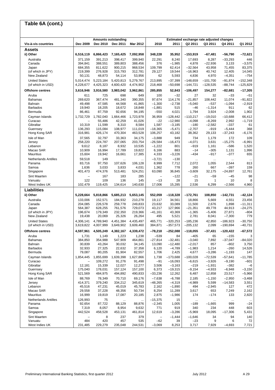## **Table 6A (cont.)**

| Vis-à-vis countries                          | Dec 2009                 | Dec 2010           | <b>Amounts outstanding</b><br>Dec 2011 | Mar 2012               | 2010                     | 2011                     | Q2 2011                   | Estimated exchange rate adjusted changes<br>Q3 2011 | Q4 2011              | Q1 2012           |
|----------------------------------------------|--------------------------|--------------------|----------------------------------------|------------------------|--------------------------|--------------------------|---------------------------|-----------------------------------------------------|----------------------|-------------------|
| Assets                                       |                          |                    |                                        |                        |                          |                          |                           |                                                     |                      |                   |
| ii) Other                                    | 6,516,119                | 6,866,423          | 7,165,425                              | 7,092,958              | 348,228                  | 35,952                   | $-153,919$                | $-67,481$                                           | $-56,790$            | $-72,621$         |
| Australia                                    | 371,159                  | 391,213            | 398,417                                | 399,940                | 22,291                   | 8,240                    | 17,693                    | 8,287                                               | $-33,293$            | 446               |
| Canada                                       | 394,841                  | 388,551            | 389,803                                | 388,456                | 376                      | $-1,985$                 | 4,878                     | $-22,936$                                           | 3,133                | $-3,575$          |
| Japan                                        | 684,355                  | 811,622            | 900,215                                | 968,534                | 109,799                  | 62,414                   | $-32,564$                 | 43,958                                              | 71,455               | 83,375            |
| (of which in JPY)<br>New Zealand             | 219,399<br>50,131        | 276,928<br>48,873  | 315,793<br>54,114                      | 312,781<br>53,956      | 29,127<br>62             | 19,544<br>5,593          | $-16,963$<br>4,836        | 40,742<br>4,970                                     | 12,405<br>$-4,351$   | 14,045<br>$-754$  |
| <b>United States</b>                         | 5,014,474                | 5,223,184          | 5,420,813                              | 5,279,767              | 213,895                  | $-37,399$                | $-148,659$                | $-101,700$                                          | $-91,874$            | $-152,348$        |
| (of which in USD)                            | 4,228,677                | 4,425,323          | 4,600,420                              | 4,474,902              | 218,468                  | $-50,698$                | $-144,721$                | $-128,535$                                          | $-88,744$            | $-125,829$        |
| <b>Offshore centres</b>                      | 3,616,946                | 3,916,580          | 3,983,042                              | 3,962,861              | 285,855                  | 52,843                   | $-106,497$                | 154,277                                             | $-82,681$            | $-17,305$         |
| Aruba                                        | 611                      | 725                | 698                                    | 649                    | 100                      | $-32$                    | 27                        | 32                                                  | $-33$                | $-51$             |
| <b>Bahamas</b>                               | 269,620                  | 367,474            | 481,340                                | 390,355                | 97,674                   | 114,176                  | $-21,857$                 | 108,442                                             | 11,074               | $-91,822$         |
| <b>Bahrain</b>                               | 49,498                   | 47,585             | 44,568                                 | 41,865                 | $-1,300$                 | $-2,738$<br>515          | $-5,040$                  | $-537$                                              | $-1,094$<br>911      | $-2,919$          |
| <b>Barbados</b><br>Bermuda                   | 19,940<br>86,461         | 18,205<br>87,759   | 18,672<br>92,656                       | 18,848<br>94,195       | $-1,881$<br>$-550$       | 4,021                    | $-46$<br>1,794            | $-1,314$<br>3,924                                   | $-2,008$             | 62<br>1,902       |
| Cayman Islands                               | 1,732,729                | 1,782,040          | 1,664,466                              | 1,723,978              | 36,959                   | $-128,442$               | $-110,217$                | $-19,010$                                           | $-10,688$            | 66,412            |
| Curacao                                      | $\overline{\phantom{0}}$ | 55,486             | 42,259                                 | 41,026                 | $-22$                    | $-12,980$                | $-4,098$                  | $-8,269$                                            | 2,992                | $-1,719$          |
| Gibraltar                                    | 10,319                   | 11,599             | 8,310                                  | 8,584                  | 1,587                    | $-3.185$                 | $-180$                    | $-2,582$                                            | $-337$               | 61                |
| Guernsey                                     | 136,293                  | 115,084            | 108,977                                | 111,019                | $-18,365$                | $-5,471$                 | $-2,707$                  | -919                                                | $-5,444$             | 368               |
| Hong Kong SAR                                | 316,981                  | 426,174            | 470,304                                | 463,528                | 106,257                  | 43,182                   | 38,362                    | 29,133                                              | $-37,243$            | $-6,176$          |
| Isle of Man                                  | 37,565                   | 32,797             | 33,363                                 | 34,175                 | $-3,888$                 | 949                      | 734                       | 1,179                                               | 172                  | 109               |
| Jersey<br>Lebanon                            | 258,220<br>9,612         | 224,787<br>8,187   | 207,065<br>8,932                       | 203,754<br>10,535      | $-26,584$<br>$-1,222$    | $-16,473$<br>801         | $-4,071$<br>-919          | 3,631<br>1,161                                      | $-15,275$<br>$-586$  | $-6,991$<br>1,520 |
| Macao SAR                                    | 10,909                   | 16,994             | 17,789                                 | 19,822                 | 6,166                    | 883                      | $-14$                     | $-305$                                              | 1,131                | 1,996             |
| <b>Mauritius</b>                             | 15,604                   | 19,942             | 16,661                                 | 17,385                 | 4,333                    | $-3,226$                 | $-434$                    | $-917$                                              | $-377$               | 655               |
| <b>Netherlands Antilles</b>                  | 59,518                   | 149                |                                        |                        | $-3,721$                 | $-130$                   |                           |                                                     |                      | $\ldots$          |
| Panama                                       | 83,716                   | 97,750             | 107.626                                | 106,128                | 8,999                    | 7,712                    | 2,072                     | 1,055                                               | 2,544                | 813               |
| Samoa                                        | 1,636                    | 3,033              | 3,833                                  | 4,031                  | 1,362                    | 778                      | 260                       | 667                                                 | $-397$               | 159               |
| Singapore                                    | 401,473                  | 474,376            | 513,481                                | 524,251                | 63,090                   | 36,845                   | $-3,609$                  | 32,175                                              | $-24,897$            | 12,761            |
| Sint Maarten                                 | $\qquad \qquad -$        | 167                | 183                                    | 285                    | $\overline{\phantom{0}}$ | $-122$                   | $-21$                     | $-59$                                               | $-45$                | 98                |
| Vanuatu<br>West Indies UK                    | 122<br>102,479           | 109<br>119,425     | 136<br>134,614                         | 145<br>140,630         | $-13$<br>17,006          | 28<br>15,285             | 15<br>2,536               | 1<br>6,299                                          | 10<br>$-2,566$       | 8<br>4,960        |
| <b>Liabilities</b>                           |                          |                    |                                        |                        |                          |                          |                           |                                                     |                      |                   |
| ii) Other                                    | 5,228,664                | 5,818,866          | 5,685,213                              | 5,653,145              | 552,059                  | $-118,328$               | $-172,761$                | 108,850                                             | $-142,731$           | $-42,124$         |
| Australia                                    | 133,006                  | 152,571            | 184,932                                | 210,278                | 19,117                   | 34,561                   | 18,866                    | 5,669                                               | 4,551                | 23,456            |
| Canada                                       | 204,085                  | 226,578            | 259,778                                | 249,833                | 23,632                   | 33,089                   | 11,500                    | 2,676                                               | 1,898                | $-11,311$         |
| Japan                                        | 564,387                  | 628,255            | 761,576                                | 729,073                | 43,217                   | 127,966                  | $-21,351$                 | 49,778                                              | 44,913               | $-24,275$         |
| (of which in JPY)                            | 196,674                  | 179,349            | 232,350                                | 219,366                | $-41,161$                | 43,369                   | $-1,365$                  | $-5,406$                                            | 27,871               | $-804$            |
| New Zealand                                  | 19,438                   | 20,069             | 25,326                                 | 26,264                 | 495                      | 5,521                    | 2,781                     | 8,041                                               | $-7,300$             | 779               |
| <b>United States</b>                         | 4.306.141                | 4,789,940          | 4,451,384                              | 4,435,497<br>3,609,460 | 465,771                  | $-320,253$               | $-185.236$<br>$-205, 132$ | 42,850                                              | $-186,923$           | $-30,750$         |
| (of which in USD)<br><b>Offshore centres</b> | 3,619,822<br>4,597,961   | 4,007,999          | 3,649,902<br>4,382,167                 |                        | 384,871                  | $-357,573$<br>$-252,088$ |                           | 2,099                                               | $-190,694$           | $-40,731$         |
| Aruba                                        | 1,731                    | 4,505,249<br>1,149 | 1,223                                  | 4,339,472<br>1,238     | $-78,218$<br>$-539$      | 84                       | $-118,055$<br>$-405$      | $-37,431$<br>65                                     | $-120,422$<br>$-155$ | $-67,572$<br>3    |
| Bahamas                                      | 384,850                  | 354,988            | 547.909                                | 464,861                | $-27.814$                | $-32.481$                | $-3,040$                  | 7,892                                               | $-37,047$            | $-84,020$         |
| Bahrain                                      | 30,839                   | 43,264             | 30,032                                 | 34,145                 | 13,090                   | $-12,480$                | $-2,017$                  | 857                                                 | $-802$               | 3,750             |
| <b>Barbados</b>                              | 32,933                   | 27,325             | 22,632                                 | 37,358                 | 6,120                    | $-4,789$                 | $-1,983$                  | 1,214                                               | $-260$               | 14,526            |
| Bermuda                                      | 79,087                   | 80,205             | 81,904                                 | 82,557                 | 1,706                    | 2,425                    | 4,677                     | $-3,286$                                            | $-1,193$             | 147               |
| Cayman Islands                               | 1,854,445                | 1,855,699          | 1,639,398                              | 1,627,866              | 1,738                    | $-173,688$               | $-100,028$                | $-72,539$                                           | $-57,641$            | $-11,785$         |
| Curacao<br>Gibraltar                         | 12,181                   | 109,272<br>15,339  | 91,276<br>12,027                       | 91,498<br>12,277       | $-91$<br>3,506           | $-16,093$<br>$-3,163$    | $-6,615$<br>$-219$        | $-3,926$<br>$-1,931$                                | $-9,190$<br>$-382$   | -601<br>$-6$      |
| Guernsey                                     | 175,040                  | 178,031            | 157,124                                | 157,100                | 6,373                    | $-19,315$                | $-9,154$                  | $-4,933$                                            | $-6,948$             | $-3,150$          |
| Hong Kong SAR                                | 521,569                  | 484,975            | 494,892                                | 490,833                | $-33,236$                | 12,262                   | 6,487                     | 12,858                                              | 23,517               | $-5,966$          |
| Isle of Man                                  | 88,769                   | 78,349             | 70,710                                 | 69,176                 | $-7,638$                 | $-6,788$                 | 2,185                     | $-1,150$                                            | $-2,950$             | $-3,468$          |
| Jersey                                       | 414,371                  | 379,240            | 334,212                                | 345,619                | $-48,265$                | $-4,319$                 | $-4,989$                  | 5,599                                               | $-14,583$            | 3,551             |
| Lebanon                                      | 45,516                   | 47,231             | 45,019                                 | 45,783                 | 2,162                    | $-1,890$                 | 494                       | $-2,945$                                            | 127                  | 472               |
| Macao SAR                                    | 29,558                   | 37,228             | 48,356                                 | 50,734                 | 8,254                    | 11,289                   | 3,617                     | 653                                                 | 7,249                | 2,162             |
| Mauritius                                    | 16,999                   | 19,819             | 17,087                                 | 20,185                 | 2,875                    | $-1,986$                 | 174                       | $-174$                                              | 133                  | 2,820             |
| <b>Netherlands Antilles</b><br>Panama        | 126,993<br>92,654        | 75<br>87,722       | <br>88,129                             | $\ddotsc$<br>88,876    | $-15,375$<br>$-2,345$    | 15<br>1,005              | $\ldots$<br>–189          | <br>$-1,665$                                        | $\ddotsc$<br>999     | $-24$             |
| Samoa                                        | 7,319                    | 8,057              | 8,954                                  | 9,632                  | 771                      | 919                      | 340                       | 234                                                 | 448                  | 603               |
| Singapore                                    | 442,524                  | 458,528            | 453,131                                | 461,814                | 12,619                   | $-3,286$                 | $-5,969$                  | 18,095                                              | $-17,306$            | 5,431             |
| Sint Maarten                                 |                          | 8                  | 237                                    | 379                    |                          | $-1,444$                 | $-1,646$                  | 34                                                  | 94                   | 140               |
| Vanuatu                                      | 484                      | 420                | 457                                    | 535                    | $-62$                    | 39                       | -23                       | 9                                                   | 6                    | 72                |
| West Indies UK                               | 231,485                  | 229,279            | 235,048                                | 244,531                | $-3,069$                 | 8,253                    | 3,717                     | 7,929                                               | $-4,693$             | 7,721             |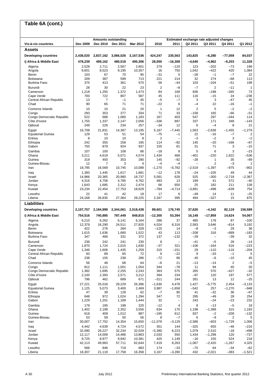| Table 6A (cont.)                           |                 |                 |                                        |                  |                |                                 |                                                     |                          |                            |                   |  |  |
|--------------------------------------------|-----------------|-----------------|----------------------------------------|------------------|----------------|---------------------------------|-----------------------------------------------------|--------------------------|----------------------------|-------------------|--|--|
|                                            |                 |                 |                                        |                  |                |                                 |                                                     |                          |                            |                   |  |  |
| Vis-à-vis countries                        | Dec 2009        | Dec 2010        | <b>Amounts outstanding</b><br>Dec 2011 | <b>Mar 2012</b>  | 2010           | 2011                            | Estimated exchange rate adjusted changes<br>Q2 2011 | Q3 2011                  | Q4 2011                    | Q1 2012           |  |  |
| Assets                                     |                 |                 |                                        |                  |                |                                 |                                                     |                          |                            |                   |  |  |
| <b>Developing countries</b>                | 2,436,020       | 2,837,162       | 3,066,026                              | 3,167,536        | 424,247        | 235,563                         | 143,825                                             | $-6,280$                 | -77,059                    | 84,037            |  |  |
| i) Africa & Middle East                    | 478,239         | 499,162         | 480,518                                | 495,306          | 28,050         | $-16,308$                       | -4,646                                              | $-4,962$                 | $-6,203$                   | 11,328            |  |  |
| Algeria                                    | 2,528           | 2,711           | 2,567                                  | 2,801            | 279            | $-120$                          | 123                                                 | $-202$                   | $-73$                      | 199               |  |  |
| Angola                                     | 8,601           | 8,523           | 9,195                                  | 10,357           | 16             | 750                             | 1,042                                               | $-422$                   | 420                        | 1,084             |  |  |
| Benin<br>Botswana                          | 103<br>209      | 67<br>387       | 70<br>599                              | 95<br>713        | -31<br>221     | 5<br>214                        | $-28$<br>32                                         | $-1$<br>274              | $-7$<br>$-68$              | 22<br>113         |  |  |
| <b>Burkina Faso</b>                        | 375             | 413             | 361                                    | 570              | 56             | $-44$                           | 103                                                 | $-104$                   | $-51$                      | 199               |  |  |
| Burundi                                    | 28              | 30              | 22                                     | 23               | $\overline{2}$ | $-8$                            | $-7$                                                | $\overline{2}$           | $-11$                      | $\mathbf{1}$      |  |  |
| Cameroon                                   | 1,218           | 1,250           | 1,372                                  | 1,473            | 84             | 168                             | 836                                                 | $-198$                   | $-345$                     | 73                |  |  |
| Cape Verde<br>Central African Republic     | 700<br>13       | 722<br>7        | 807<br>$-1$                            | 587<br>45        | 45<br>$-5$     | 111<br>$-7$                     | 116<br>3                                            | $-15$<br>3               | 24<br>$-47$                | $-236$<br>45      |  |  |
| Chad                                       | 90              | 65              | 71                                     | 71               | $-22$          | 6                               | $-4$                                                | 22                       | $-16$                      | $-1$              |  |  |
| Comoros Islands                            | 10              | 10              | 21                                     | 20               | $\mathbf{1}$   | 12                              | $\overline{2}$                                      | 5                        | $-2$                       | $-2$              |  |  |
| Congo                                      | 293             | 353             | 377                                    | 334              | 71             | 33                              | $-158$                                              | 165                      | $-66$                      | -51               |  |  |
| Congo Democratic Republic<br>Côte d'Ivoire | 522<br>1,755    | 668<br>1,337    | 1,060<br>2,147                         | 1,183<br>2,056   | 167<br>$-336$  | 403<br>897                      | 547<br>337                                          | 297<br>171               | -344<br>348                | 114<br>$-143$     |  |  |
| Djibouti                                   | 249             | 226             | 234                                    | 257              | -34            | 12                              | 6                                                   | $-4$                     | 8                          | 21                |  |  |
| Egypt                                      | 16,708          | 21,831          | 14,387                                 | 13,195           | 5,187          | $-7,445$                        | 1,563                                               | $-2,638$                 | $-1,455$                   | $-1,279$          |  |  |
| <b>Equatorial Guinea</b>                   | 129             | 53              | 51                                     | 54               | -75            | $-1$                            | 22<br>$-3$                                          | $-16$                    | $-7$<br>3                  | 2                 |  |  |
| Eritrea<br>Ethiopia                        | 8<br>242        | 10<br>355       | 10<br>258                              | 8<br>195         | 2<br>114       | $\overline{\phantom{0}}$<br>-92 | 145                                                 | $-2$<br>-20              | $-166$                     | $-2$<br>-67       |  |  |
| Gabon                                      | 750             | 879             | 924                                    | 937              | 155            | 81                              | 31                                                  | 71                       | 3                          | $-15$             |  |  |
| Gambia                                     | 107             | 100             | 108                                    | 86               | $-18$          | 8                               | 5                                                   | 6                        | 3                          | $-23$             |  |  |
| Ghana                                      | 3,211           | 4,619           | 5,071                                  | 4,574            | 1,434          | 466                             | $-401$                                              | $-220$                   | 1,622                      | -536              |  |  |
| Guinea<br>Guinea-Bissau                    | 319<br>12       | 450<br>7        | 353<br>3                               | 290<br>4         | 145<br>-4      | $-92$<br>$-4$                   | $-28$                                               | 1<br>2                   | 35<br>$-3$                 | $-69$<br>1        |  |  |
| Iran                                       | 18,795          | 16,569          | 10,745                                 | 10,088           | $-1,270$       | $-5,782$                        | $-2,519$                                            | $-1,397$                 | -975                       | -902              |  |  |
| Iraq                                       | 1,393           | 1,445           | 1,617                                  | 1,681            | $-12$          | 178                             | $-24$                                               | $-105$                   | 49                         | 44                |  |  |
| Israel                                     | 14,966          | 20,365<br>4,758 | 20,980<br>4,785                        | 18,737<br>4,762  | 5,581<br>483   | 628<br>13                       | 525<br>199                                          | $-300$<br>41             | $-2,718$<br>572            | $-2,367$<br>$-40$ |  |  |
| Jordan<br>Kenya                            | 4,316<br>1,643  | 1,685           | 2,312                                  | 2,474            | 66             | 650                             | 25                                                  | 182                      | 211                        | 138               |  |  |
| Kuwait                                     | 23,234          | 22,454          | 17,753                                 | 18,629           | $-784$         | $-4,714$                        | $-3,891$                                            | $-498$                   | $-639$                     | 754               |  |  |
| Lesotho                                    | 22              | 41              | 42                                     | 18               | 17             | 6                               | $-49$                                               | 14                       | 11                         | $-25$             |  |  |
| Liberia<br>Liabilities                     | 24,168          | 26,835          | 27,364                                 | 28,225           | 2,347          | 395                             | 494                                                 | $-327$                   | 15                         | 875               |  |  |
|                                            |                 |                 |                                        |                  |                |                                 |                                                     |                          |                            |                   |  |  |
| <b>Developing countries</b>                | 2,107,757       | 2,184,999       | 2,344,061                              | 2,518,438        | 89,601         | 176,745                         | 37,626                                              | $-4,342$                 | 82,119                     | 156,589           |  |  |
| i) Africa & Middle East                    | 754,516         | 740,885         | 787,449                                | 848,815          | $-12,300$      | 53,394                          | 16,148                                              | $-17,859$                | 14,624                     | 54,067            |  |  |
| Algeria<br>Angola                          | 6,210<br>12,379 | 6,262<br>16,290 | 6,141<br>24,511                        | 6,164<br>27,820  | 286<br>4,024   | 37<br>8,316                     | 485<br>2,583                                        | 178<br>3,646             | 87<br>$-614$               | $-100$<br>3,192   |  |  |
| Benin                                      | 422             | 276             | 284                                    | 328              | $-125$         | 14                              | -8                                                  | -3                       | 29                         | 36                |  |  |
| <b>Botswana</b>                            | 1,615           | 1,636           | 1,680                                  | 1,522            | 43             | 113                             | $-208$                                              | 316                      | -689                       | $-183$            |  |  |
| Burkina Faso                               | 347             | 466             | 331                                    | 372              | 137            | $-132$                          | $-29$                                               | $\overline{\phantom{0}}$ | $-39$                      | 32                |  |  |
| Burundi<br>Cameroon                        | 236<br>1,870    | 242<br>1,724    | 241<br>2,015                           | 230<br>1,830     | 8<br>$-37$     | $\overline{\phantom{0}}$<br>321 | $-41$<br>$-106$                                     | $-5$<br>$-164$           | 28<br>516                  | $-14$<br>$-223$   |  |  |
| Cape Verde                                 | 1,346           | 1,606           | 1,435                                  | 1,259            | 315            | $-151$                          | 29                                                  | $-110$                   | $-116$                     | $-204$            |  |  |
| Central African Republic                   | 83              | 89              | 65                                     | 72               | 9              | $-22$                           | 9                                                   | $-33$                    | $-1$                       | $\sqrt{5}$        |  |  |
| Chad<br>Comoros Islands                    | 238<br>56       | 155<br>48       | 238<br>68                              | 286<br>64        | $-72$<br>$-6$  | 86<br>21                        | 40<br>$-13$                                         | $-6$<br>$-14$            | $-10$<br>$\sqrt{2}$        | 45<br>$-5$        |  |  |
| Congo                                      | 812             | 1,111           | 1,001                                  | 1,054            | 344            | $-78$                           | 11                                                  | 94                       | 40                         | 30                |  |  |
| Congo Democratic Republic                  | 1,382           | 1,695           | 2,255                                  | 2,243            | 363            | 575                             | 265                                                 | 570                      | $-427$                     | $-32$             |  |  |
| Côte d'Ivoire                              | 2,100<br>796    | 2,393<br>462    | 2,571<br>689                           | 3,212<br>671     | 394<br>$-311$  | 234<br>244                      | $-97$<br>281                                        | 120                      | 197<br>12                  | 577<br>$-25$      |  |  |
| Djibouti<br>Egypt                          | 27,221          | 25,018          | 29,229                                 | 26,386           | $-1,630$       | 4,478                           | 1,427                                               | 13<br>$-5,775$           | 2,454                      | $-3,133$          |  |  |
| <b>Equatorial Guinea</b>                   | 1,125           | 5,073           | 3,400                                  | 2,469            | 3,987          | $-1,658$                        | $-542$                                              | 257                      | $-1,270$                   | -948              |  |  |
| Eritrea                                    | 47              | 39              | 128                                    | 62               | $-7$           | 90                              | 41                                                  | $-32$                    | 36                         | -67               |  |  |
| Ethiopia<br>Gabon                          | 648<br>1,229    | 972<br>1,201    | 1,024<br>1,189                         | 1,294<br>1,444   | 347<br>32      | 72<br>$\overline{\phantom{0}}$  | 295<br>243                                          | $-49$<br>$-24$           | 28<br>$-23$                | 254<br>232        |  |  |
| Gambia                                     | 179             | 195             | 198                                    | 220              | $-12$          | 4                               | 8                                                   | $-13$                    | $-5$                       | 18                |  |  |
| Ghana                                      | 1,402           | 2,199           | 2,352                                  | 3,556            | 634            | 170                             | 1,198                                               | $-1,389$                 | 315                        | 1,183             |  |  |
| Guinea                                     | 618             | 409             | 1,012                                  | 887              | $-195$         | 612                             | 837                                                 | $^{-2}$                  | $-209$                     | $-132$            |  |  |
| Guinea-Bissau<br>Iran                      | 53<br>30,007    | 59<br>17,752    | 50<br>14,354                           | 56<br>15,650     | 8<br>$-11,076$ | $-7$<br>$-3,129$                | 6<br>$-2,586$                                       | $-9$<br>$-603$           | $\overline{2}$<br>$-1,729$ | 5<br>1,006        |  |  |
| Iraq                                       | 4,442           | 4,639           | 4,724                                  | 4,572            | 351            | 144                             | $-325$                                              | 655                      | $-46$                      | $-216$            |  |  |
| Israel                                     | 32,090          | 26,227          | 32,234                                 | 32,029           | $-5,380$       | 6,223                           | 1,079                                               | 2,510                    | $-18$                      | $-498$            |  |  |
| Jordan                                     | 12,117          | 14,009          | 14,486                                 | 13,863           | 2,033          | 550                             | 1,434                                               | $-1,298$                 | 120                        | $-727$            |  |  |
| Kenya<br>Kuwait                            | 8,725<br>42,113 | 8,977<br>49,963 | 9,942<br>57,711                        | 10,381<br>62,644 | 420<br>7,419   | 1,149<br>8,263                  | $-16$<br>$-1,067$                                   | 155<br>$-2,420$          | 524<br>$-1,267$            | 218<br>4,325      |  |  |
| Lesotho                                    | 566             | 846             | 719                                    | 683              | 174            | $-33$                           | $-70$                                               | 64                       | $-34$                      | $-62$             |  |  |
| Liberia                                    | 18,307          | 21,119          | 17,758                                 | 16,358           | 3,167          | $-3,280$                        | 432                                                 | $-2,021$                 | $-383$                     | $-1,521$          |  |  |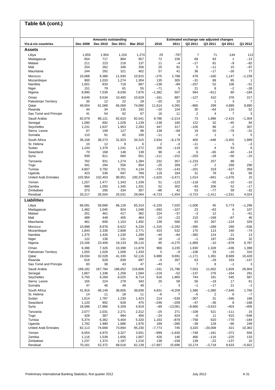#### **Vis-à-vis countries Dec 2009 Dec 2010 Dec 2011 Mar 2012 2010 2011 Q2 2011 Q3 2011 Q4 2011 Q1 2012 Assets** Libya 1,655 1,954 1,154 1,274 29 -797 7 71 -144 113 Madagascar 654 717 864 857 72 156 68 93 1 –13 Malawi 211 223 218 137 11 –4 –17 81 –9 –82 Mali 254 262 346 256 25 91 5 –11 15 –97 Mauritania 244 292 321 402 57 41 36 –17 –26 77 Morocco 10,068 9,388 11,930 10,915 –275 2,788 478 –160 1,147 –1,239 Mozambique 900 1,033 1,274 1,304 135 305 –31 89 85 1 Namibia 1,001 833 718 687 –138 –89 –257 52 106 –51 Niger 151 79 81 55 –71 5 21 8 –2 –28 Nigeria 8,990 7,539 8,036 7,876 –1,382 507 944 –611 80 –184 Oman 9,649 9,534 10,400 10,629 –161 887 –127 410 376 217 Palestinian Territory | 35 12 22 29 -20 10 - 1 3 7<br>Qatar and 19.504 61.068 65.069 74.080 11.614 4.265 -865 299 4.889 8.890 Qatar | 49,504 61,068 65,069 74,080 11,614 4,265 –865 299 4,889 8,890 Rwanda 44 34 135 192 –10 104 30 –64 110 52 Sao Tomé and Principe | 41 54 62 67 | 16 11 | 2 4 7 3 Saudi Arabia 82,079 86,121 82,810 82,541 9,786 –2,214 73 1,896 –2,415 –1,304 Senegal 1,080 892 1,028 1,139 –138 160 122 32 –45 84 Seychelles 1,231 1,637 1,953 2,283 447 317 –105 86 –2 307 Sierra Leone 67 199 127 98 138 –69 19 50 –78 –31 Somalia 110 91 92 100 –11 4 –2 1 1 5 South Africa 36,158 38,273 31,923 34,315 2,634 –6,179 400 –448 –3,402 1,999 St. Helena 10 12 9 6 2 –3 –11 – 5 –3 Sudan 1,244 1,379 1,241 1,272 156 –119 10 4 53 8 Swaziland 70 168 148 139 96 –9 6 –65 –40 –14 Syria 939 811 660 651 –111 –152 –203 –28 –56 –15 Tanzania 762 931 1,274 1,284 232 357 –1,233 257 88 – Togo 341 294 556 854 –25 269 –27 2 268 290 Tunisia 4,807 3,792 3,701 4,134 –732 –143 –201 319 –527 359 Uganda 423 536 697 769 118 164 31 78 81 66 United Arab Emirates 102,954 102,453 99,951 100,378 –1,620 –2,471 1,014 –841 –1,676 15 Yemen 1,257 1,477 1,343 1,339 51 –123 –118 –55 –10 –10 Zambia 999 1,050 1,345 1,331 52 302 –93 206 52 –17 Zimbabwe 373 295 334 307 –86 42 53 –77 59 –32 Residual 33,217 26,504 25,031 29,064 –6,723 –1,454 –3,723 –1,411 –1,531 4,024 **Liabilities** Libya 66,091 59,666 66,126 65,314 –5,103 7,020 –1,006 45 5,773 –1,298 Madagascar 1,482 1,045 924 1,048 –393 –107 23 –63 8 107 Malawi 201 461 417 362 224 –37 –3 12 1 –61 Mali 489 448 405 464 –24 –22 210 –168 –87 46 Mauritania 481 606 1,153 1,492 139 566 63 267 –124 329 Morocco 10,898 8,978 6,622 6,234 –1,315 –2,292 –395 –289 290 –536 Mozambique 1,843 2,339 2,808 2,771 423 532 175 113 240 –74 Namibia 1,375 1,426 1,230 1,289 –40 –84 –382 124 21 13 Niger 122 136 131 166 18 –2 –1 197 –204 32 Nigeria 23,166 23,409 19,133 26,110 95 –4,275 –1,869 –10 –678 6,787 Oman 6,396 7,326 10,398 11,879 966 3,235 1,930 1,328 –436 1,398 Palestinian Territory | 1,055 1,029 1,008 1,333 | 5 –9 –106 33 –15 310 Qatar 19,034 32,028 41,330 52,116 6,889 9,691 –1,171 1,381 8,689 10,428 Rwanda 616 628 839 697 –5 287 63 –29 333 –147 Sao Tomé and Principe | 83 38 43 47 | -43 7 | 7 8 -1 3 Saudi Arabia 169,182 167,784 188,652 216,806 –331 21,786 7,553 11,602 1,826 26,904 Senegal 1,667 1,338 1,258 1,584 –218 –52 –137 276 –164 291 Seychelles 5,750 6,269 8,025 8,714 616 1,865 744 181 545 587 Sierra Leone 155 224 278 343 20 58 56 –18 17 61 Somalia 47 46 49 49 – 3 –1 –17 21 –1 South Africa 41,916 46,149 36,605 38,838 4,831 –9,209 1,386 –1,080 –7,646 1,766 St. Helena 14 11 18 11 –6 7 –5 2 6 –7 Sudan 1,614 1,787 1,230 1,423 214 –539 –307 31 –346 168 Swaziland 1,120 902 628 475 –246 –209 –47 –36 8 –168 Syria 18,586 17,966 5,209 4,919 –89 –13,061 –8,666 –3,610 –403 –405 Tanzania 2,077 2,031 2,271 2,312 –25 271 –109 521 –111 15 Togo 428 387 994 456 –24 624 –8 11 615 –548 Tunisia 5,374 6,362 5,404 5,320 1,163 –878 –758 620 –770 –184 Uganda 1,792 1,990 1,686 1,976 189 –280 –39 128 –90 249 United Arab Emirates 82,113 74,669 73,894 85,230 –7,773 745 3,320 –20,008 421 10,363 Yemen 6,054 4,970 3,327 3,931 –999 –1,630 –748 –161 –372 556 Zambia 1,116 1,539 1,656 1,807 426 146 466 –116 –225 133 Zimbabwe 1,237 1,374 1,187 1,216 138 –158 139 –22 –137 10 Residual 70,161 52,372 68,018 62,139 –17,667 15,696 10,174 –3,718 9,633 –5,922 **Table 6A (cont.) Amounts outstanding Estimated exchange rate adjusted changes**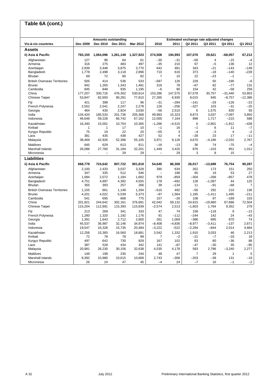#### **Vis-à-vis countries Dec 2009 Dec 2010 Dec 2011 Mar 2012 2010 2011 Q2 2011 Q3 2011 Q4 2011 Q1 2012 Assets ii) Asia & Pacific 783,155 1,064,096 1,261,149 1,327,923 274,508 194,993 107,076 29,621 –68,057 67,212**  Afghanistan 127 96 64 61 –30 –31 –58 4 –15 –4 Armenia 316 275 483 497 –35 210 67 –5 136 12 Azerbaijan 2,939 3,448 3,875 3,770 642 481 343 –21 –143 –149 Bangladesh 1,778 2,498 3,118 2,896 710 616 373 –18 –140 –228 Bhutan 69 72 80 82 7 10 22 –23 –1 – British Overseas Territories 505 414 536 533 –587 126 228 50 –190 –6 Brunei 942 1,265 1,343 1,481 316 78 –67 82 –77 131 Cambodia 845 848 935 1,195 –6 90 154 42 –58 259 China 177,207 330,716 476,302 530,614 153,286 147,575 67,578 30,757 –31,440 53,853 Chinese Taipei 53,847 82,693 90,281 77,810 27,265 6,930 8,015 845 –8,757 –12,386 Fiji 421 398 117 96 –31 –284 –141 –29 –126 –23 French Polynesia 2,552 2,541 2,247 2,278 126 –256 –327 103 –31 –25 Georgia 464 430 2,924 3,030 –56 2,510 6 1,575 830 93 India 134,420 185,533 201,736 205,368 49,983 15,323 9,873 3,037 –7,097 3,850 Indonesia 46,646 59,228 66,742 67,162 12,000 7,164 898 1,717 –215 588 Kazakhstan 16,340 15,001 10,754 10,365 –1,266 –4,515 6 –2,801 –1,912 –438 Kiribati 1 1 17 10 –1 16 –1 6 11 –7 Kyrgyz Republic 75 19 22 20 –55 3 –4 –3 4 –2 Laos 381 435 438 427 52 4 –28 23 17 –11 Malaysia 38,469 42,926 52,396 55,105 3,971 9,126 4,670 –4,186 –2,032 2,767 Maldives 645 629 613 611 –16 –13 36 74 –75 –4 Marshall Islands 26,086 27,760 31,184 32,201 1,449 3,420 876 –103 851 1,012 Micronesia – – 29 29 – 29 3 8 15 – **Liabilities ii) Asia & Pacific 668,778 724,642 807,722 901,818 54,645 86,308 26,017 –13,689 76,754 90,287**  Afghanistan 2,100 2,433 3,037 3,328 390 634 262 173 151 250 Armenia 347 335 512 546 – 188 65 19 53 27 Azerbaijan 1,084 2,072 1,184 1,682 979 –859 –304 –268 –857 478 Bangladesh 4,751 4,897 4,392 4,555 178 –492 128 –1,087 44 125 Bhutan 355 393 257 266 39 –134 11 –91 –68 7 British Overseas Territories 1,155 661 1,148 1,294 –510 492 –56 292 210 136 Brunei 4,201 4,022 5,539 5,373 –97 1,564 1,185 –1,411 1,495 –211 Cambodia 541 695 668 775 157 –26 108 97 –189 103 China 201,821 244,642 302,161 376,681 42,042 59,132 24,915 –19,880 67,686 72,504 Chinese Taipei 115,204 112,891 115,393 115,839 –2,574 2,513 –1,603 1,764 9,352 279 Fiji 213 269 341 333 47 74 158 –118 9 –13 French Polynesia 1,280 1,320 1,192 1,176 91 –112 –244 142 24 –43 Georgia 1,391 1,643 2,712 2,800 261 1,069 –386 695 870 74 India 45,537 36,987 32,146 34,974 –8,408 –4,836 –8,977 –3,411 –137 2,671 Indonesia 19,547 16,328 15,735 20,484 –3,222 –522 –2,294 –844 2,014 4,684 Kazakhstan | 12,256 15,383 16,560 18,881 | 3,542 1,332 | 1,910 3,033 46 2,213 Kiribati 72 78 78 99 7 –2 –21 –7 –18 19 Kyrgyz Republic 497 642 730 829 167 102 83 80 –36 88 Laos 387 528 434 342 141 –87 –47 –30 30 –95 Malaysia 20,981 26,230 30,156 32,638 4,535 4,178 593 2,796 –3,240 2,277 Maldives 149 198 235 244 48 47 7 29 1 5 Marshall Islands | 8,392 10,980 10,615 10,668 | 2,743 –306 | –203 –38 131 –19 Micronesia 26 24 47 45 –4 24 –7 16 –1 –2 **Table 6A (cont.) Amounts outstanding Estimated exchange rate adjusted changes**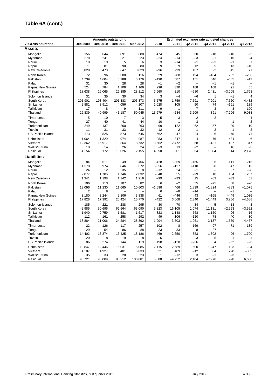#### **Vis-à-vis countries Dec 2009 Dec 2010 Dec 2011 Mar 2012 2010 2011 Q2 2011 Q3 2011 Q4 2011 Q1 2012 Assets** Mongolia 156 644 891 888 474 245 560 –18 –10 –5 Myanmar 278 241 221 223 –24 –14 –23 –1 16 –4 Nauru 10 19 5 6 3 –14 –1 –23 –1 1 Nepal 71 81 90 80 9 9 12 5 13 –10 New Caledonia 3,829 3,473 3,647 3,829 –96 299 187 22 45 71 North Korea 72 96 380 116 29 288 194 –184 282 –266 Pakistan 4,739 4,604 5,188 5,176 –190 587 151 646 –605 –13 Palau 31 30 28 28 –1 –2 – –1 –1 – Papua New Guinea 524 784 1,109 1,169 296 330 188 108 91 55 Philippines 18,638 26,065 26,385 28,112 7,660 210 –580 2,431 –3,005 1,768 Solomon Islands 31 35 30 34 3 –4 –6 1 –1 4 South Korea 201,901 198,404 201,383 205,373 –5,575 1,759 7,591 –7,201 –7,520 4,482 Sri Lanka 2,881 3,912 4,056 4,207 1,028 105 90 74 –161 139 Tajikistan 17 8 9 111 –9 1 7 3 –8 100 Thailand 26,839 40,999 41,187 50,045 13,679 –234 3,209 891 –7,206 9,038 Timor Leste 5 10 7 3 | 5 —3 | 2 —2 — —4 Tonga 27 40 41 44 10 1 3 – 1 2 Turkmenistan | 249 137 260 263 |–99 122 | 62 57 29 10 Tuvalu 11 31 33 32 12 2 –1 2 1 –2 US Pacific Islands 173 825 573 645 662 –247 –324 –26 –75 71 Uzbekistan 1,064 1,329 974 987 283 –347 4 76 –434 6 Vietnam 12,362 15,917 18,364 18,732 3,682 2,472 1,368 –181 407 317 Wallis/Futuna 18 14 26 24 –3 13 –2 – 16 –3 Residual 4,154 9,172 10,026 12,155 4,950 801 1,864 1,804 514 2,178 **Liabilities** Mongolia 84 511 249 466 428 –259 –165 26 111 215 Myanmar 1,378 974 846 872 –356 –127 –110 28 47 13 Nauru 24 12 35 8 –12 24 –1 – 27 –28 Nepal 2,077 1,705 1,746 2,032 –348 55 –99 10 184 267 New Caledonia 1,341 1,198 1,142 1,219 –99 –33 15 –83 –33 51 North Korea 106 113 107 82 | 6 —2 | 55 —75 68 —26 Pakistan 13,096 11,230 11,665 10,603 –1,698 466 1,839 –1,824 –883 –1,075 Palau 2 8 – – 6 –8 –14 – –1 – Papua New Guinea 3,180 3,244 2,806 3,838 61 –446 43 –165 –449 1,036 Philippines 17,828 17,392 20,424 15,770 –422 3,068 2,340 –1,449 3,256 –4,688 Solomon Islands 185 221 288 295 30 70 34 5 –13 3 South Korea 42,985 50,696 66,564 63,090 5,823 16,105 1,074 11,181 –2,293 –3,592 Sri Lanka 1,940 2,759 1,581 1,617 823 –1,148 568 –1,150 16 Tajikistan 112 161 258 292 49 106 –120 78 40 30 Thailand 18,884 21,006 24,284 28,892 1,904 3,503 1,961 3,187 –1,559 4,467 Timor Leste 22 126 117 257 102 –8 169 –97 –71 139 Tonga 29 54 86 88 23 33 8 27 – 1 Turkmenistan 14,402 13,874 16,425 18,186 –469 2,650 353 1,302 96 1,700 Tuvalu 20 18 19 18 –5 1 –3 5 1 –1 US Pacific Islands 86 274 144 119 198 –128 –206 4 –52 –26 Uzbekistan 10,847 12,446 15,031 15,085 2,115 2,689 600 1,247 103 –24 Vietnam 4,107 4,927 5,401 5,033 921 489 –12 84 778 –359 Wallis/Futuna 35 33 20 23 1 –12 3 –1 –3 2 Residual 93,721 98,009 93,212 100,081 5,008 –4,752 2,404 –7,978 –78 6,608 **Table 6A (cont.) Amounts outstanding Estimated exchange rate adjusted changes**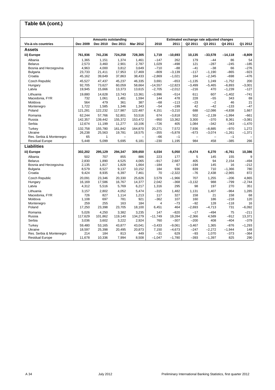#### **Vis-à-vis countries Dec 2009 Dec 2010 Dec 2011 Mar 2012 2010 2011 Q2 2011 Q3 2011 Q4 2011 Q1 2012 Assets iii) Europe 761,936 741,236 724,258 728,305 1,719 –10,693 10,135 –33,578 –14,118 –8,809**  Albania 1,365 1,151 1,374 1,461 –147 262 179 –44 86 54 Belarus 2,573 3,460 2,901 2,787 1,029 –498 121 –287 –245 –185 Bosnia and Herzegovina 4,963 4,000 3,812 3,649 –710 –88 –41 –38 66 –276 Bulgaria 23,733 21,411 17,953 17,469 –809 –3,139 –117 –1,190 –865 –923 Croatia 45,162 39,649 37,863 38,433 –2,869 –1,021 164 –2,345 –698 –476 Czech Republic 45,527 47,437 45,237 46,335 3,691 –653 –1,135 1,249 –1,752 200 Hungary 92,705 73,627 60,059 58,664 –14,557 –12,823 –3,499 –5,465 –6,893 –3,001 Latvia 19,945 15,666 13,373 13,615 –2,705 –2,012 –216 470 –1,239 –127 Lithuania 19,880 14,628 13,743 13,361 –3,996 –514 611 607 –1,402 –741 Macedonia, FYR | 732 1,061 1,481 1,594 | 144 478 | 228 – 55 343 69 Moldova 564 479 361 387 –68 –113 –23 –2 46 21 Montenegro 1,722 1,585 1,346 1,343 –54 –199 42 –42 –133 –47 Poland 121,281 122,232 117,987 122,487 4,151 –3,210 688 –12,086 –4,838 1,667 Romania 62,244 57,766 52,801 53,516 674 –3,818 502 –2,139 –1,994 –661 Russia 142,357 139,442 155,372 153,472 –950 13,362 3,300 –370 8,361 –3,081 Serbia 12,674 11,199 11,277 10,106 –726 405 1,084 –342 –343 –1,470 Turkey 132,758 155,780 161,842 164,870 20,271 7,572 7,936 –8,885 –970 1,272 Ukraine 26,238 25,563 19,781 18,575 –355 –5,878 –673 –3,074 –1,261 –1,371 Res. Serbia & Montenegro 65 1 – – –66 –1 – – –1 – Residual Europe 5,448 **Liabilities iii) Europe 302,202 295,129 294,347 309,650 4,034 5,050 –9,474 6,270 –6,761 10,386**  Albania 502 707 855 886 223 177 5 145 155 9 Belarus 2,830 1,890 4,525 4,065 –917 2,687 405 94 2,154 –494 Bosnia and Herzegovina 2,135 1,817 1,828 1,664 –184 67 –194 145 16 –212 Bulgaria 8,579 8,527 9,137 10,152 184 936 839 710 –1,366 780 Croatia 9,424 8,935 6,397 7,461 70 –2,322 –76 2,438 –2,965 872 Czech Republic 20,091 23,346 20,330 25,626 3,579 –1,966 707 1,255 –206 4,865 Hungary 16,169 17,586 16,767 14,377 2,042 –368 –3,132 988 –799 –2,744 Latvia 4,312 5,516 5,769 6,217 1,316 295 98 197 270 351 Lithuania 3,157 2,802 4,052 5,474 –315 1,482 1,131 1,407 –964 1,285 Macedonia, FYR 726 827 1,114 1,213 117 327 158 21 158 68 Moldova | 1,108 697 781 921 | –362 107 | 160 186 –218 120 Montenegro 259 255 163 184 4 –73 –92 128 –118 16 Poland 17,250 23,398 23,705 18,100 6,451 464 –2,693 –4,713 731 –6,092 Romania 5,026 4,250 3,382 3,235 147 –820 –17 –494 75 –211 Russia 117,629 101,862 119,140 134,279 –11,749 19,284 –2,366 4,589 –912 13,371 Serbia 3,036 3,602 3,222 2,924 760 –307 –200 408 –404 –379 Turkey 59,480 53,165 43,877 43,041 –3,433 –9,061 –3,467 1,365 –876 –1,293 Ukraine 18,597 25,398 20,495 20,873 7,150 –4,673 –247 –2,272 –1,944 148 Res. Serbia & Montenegro 214 184 813 449 –31 629 –93 1,070 –373 –364 Residual Europe 11,678 10,336 7,994 8,508 -1,047 -1,780 -393 -1,397 825 290 **Table 6A (cont.) Amounts outstanding Estimated exchange rate adjusted changes**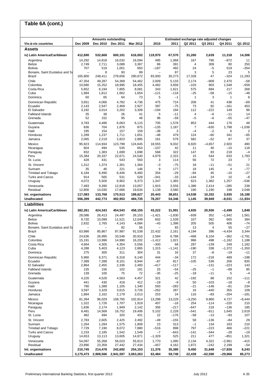#### **Vis-à-vis countries Dec 2009 Dec 2010 Dec 2011 Mar 2012 2010 2011 Q2 2011 Q3 2011 Q4 2011 Q1 2012 Assets iv) Latin America/Caribbean 412,690 532,668 600,101 616,002 119,970 67,570 31,260 2,639 11,318 14,306**  Argentina 14,292 14,818 16,032 16,094 495 1,068 167 790 –872 11 Belize 2,749 2,711 3,088 3,367 96 391 4 309 80 250 Bolivia 707 519 1,001 650 –187 492 24 –5 519 –354 Bonaire, Saint Eustatius and Sa – 8 93 99 – 87 3 5 23 5 Brazil 165,800 248,411 278,656 290,672 83,000 30,273 17,328 47 –324 11,293 Chile 47,354 49,287 54,369 54,462 2,009 5,133 2,174 –909 2,470 –58 Colombia 10,680 15,252 18,995 18,455 4,482 3,658 –103 903 1,548 –559 Costa Rica 5,852 6,194 7,805 8,081 343 1,621 575 684 217 268 Cuba 1,984 1,812 1,662 1,654 –121 –118 –25 –58 –15 –48 Dominica 60 65 64 73 5 –1 1 3 1 8 Dominican Republic 3,651 4,066 4,782 4,736 475 724 208 41 438 –69 Ecuador 2,143 2,547 2,469 2,927 397 –75 73 92 –161 453 El Salvador 3,192 3,014 3,202 3,309 –194 194 112 –222 149 96 Falkland Islands 35 38 26 41 5 –11 4 –6 –11 14 Grenada 52 152 95 48 96 –59 –5 –6 –55 –47 Guatemala 3,783 4,486 6,063 6,115 705 1,578 853 444 176 48 Guyana 836 704 1,876 875 –135 1,187 7 –630 1,798 –1,036 Haiti 195 154 157 159 –38 3 –4 –2 6 2 Honduras 1,289 1,237 1,711 1,651 –48 479 124 –60 341 –65 Jamaica 2,065 2,219 2,823 2,885 161 579 582 –52 87 37 Mexico 95,923 114,934 123,799 124,645 18,555 9,032 6,920 –4,657 2,920 490 Nicaragua 604 494 535 654 –107 42 11 40 –15 118 Paraguay 832 1,383 1,699 1,698 568 322 147 83 218 –4 Peru 15,384 20,337 22,671 24,540 4,979 2,315 15 544 633 1,783 St. Lucia 428 431 543 550 3 114 56 72 23 7 St. Vincent 1,312 1,374 1,301 1,364 –3 –75 18 –11 –51 21 Surinam 35 46 221 146 9 177 18 145 4 –77 Trinidad and Tobago 6,184 6,490 6,446 6,460 354 –29 –84 45 –10 –27 Turks and Caicos 914 565 531 528 –341 –33 –144 24 10 –8 Uruguay 4,072 5,500 6,902 6,373 1,347 1,365 623 1,382 1,257 –536 Venezuela 7,483 9,390 12,818 13,057 1,915 3,556 1,386 2,414 –285 238 Residual 12,800 14,030 17,666 19,634 1,139 3,580 190 1,190 198 2,048 **Int. organisations 117,083 133,768 170,513 189,627 20,443 38,651 14,538 10,332 3,935 16,188 Unallocated 556,399 442,773 492,953 484,735 78,207 54,346 1,145 39,949 –8,031 –11,934 Liabilities iv) Latin America/Caribbean 382,261 424,343 454,543 458,155 43,222 31,991 4,935 20,936 –2,499 1,849**  Argentina 28,086 26,413 24,497 26,153 –1,421 –1,830 –939 352 –1,942 1,561 Belize 9,720 10,099 11,521 12,049 602 1,539 107 362 665 394 Bolivia 2,832 2,765 4,143 4,084 –43 1,398 205 505 406 –74 Bonaire, Saint Eustatius and Sa – – 82 56 – 83 13 4 55 –27 Brazil 63,986 85,867 87,987 91,538 22,432 2,161 4,194 396 –4,434 3,344 Chile 24,636 26,995 33,546 30,910 2,584 6,788 –468 6,104 –362 –2,791 Colombia 15,191 13,996 14,990 16,202 –1,412 1,021 996 498 –1,162 1,188 Costa Rica 4,664 4,305 4,354 5,556 –300 68 297 –139 249 1,182 Cuba 4,288 5,403 4,123 2,865 1,315 –1,141 –190 338 –1,372 –1,350 Dominica 275 300 311 304 31 16 37 –8 –19 –11 Dominican Republic 5,960 6,371 6,318 6,140 444 –34 172 –218 489 –198 Ecuador 7,389 7,288 8,101 8,944 –87 817 –105 536 206 835 El Salvador 2,864 2,455 2,336 2,483 –417 –117 – –131 –223 143 Falkland Islands 135 156 102 191 25 –54 –25 –1 –89 85 Grenada 139 100 75 72 –35 –25 –18 –11 5 –4 Guatemala 4,220 4,526 4,563 4,457 321 42 –192 88 152 –111 Guyana 441 430 418 412 –19 –9 50 –103 –18 –8 Haiti 790 1,388 1,105 1,340 593 –283 –21 –148 –81 234 Honduras 3,597 3,329 3,615 3,726 –262 287 16 –440 355 109 Jamaica 1,884 2,162 2,179 2,013 253 24 116 –83 –204 –181 Mexico 81,394 96,029 108,765 102,814 13,298 13,229 –3,250 9,866 4,727 –6,444 Nicaragua 1,322 1,726 1,707 1,919 407 –16 254 –114 –220 210 Paraguay 1,836 2,174 1,949 2,142 356 –217 –647 218 –136 185 Peru 9,481 14,568 16,752 19,406 5,102 2,228 –541 –911 1,645 2,619 St. Lucia 482 494 320 431 22 –176 –58 –13 –93 107 St. Vincent 2,783 2,605 2,425 2,492 –49 –155 58 –136 –84 29 Surinam 1,264 1,284 1,575 1,809 23 313 –1 134 163 210 Trinidad and Tobago 7,729 7,190 8,072 7,880 –516 898 797 –223 466 –221 Turks and Caicos 2,233 2,185 1,542 1,549 –7 –643 –141 –344 –28 –19 Uruguay 14,653 13,113 13,605 14,971 –1,329 525 211 477 –851 1,321 Venezuela 54,097 55,268 56,023 55,813 1,770 1,090 2,134 4,322 –2,961 –415 Residual 23,890 23,359 27,442 27,434 –457 4,162 1,872 –242 2,199 –54 **Int. organisations 210,745 214,478 242,692 254,153 11,376 35,380 9,450 31,648 –17,926 6,243 Table 6A (cont.) Amounts outstanding Estimated exchange rate adjusted changes**

**Unallocated 3,175,473 2,908,566 2,941,597 3,063,263 63,484 59,748 22,439 –62,590 –29,966 85,273**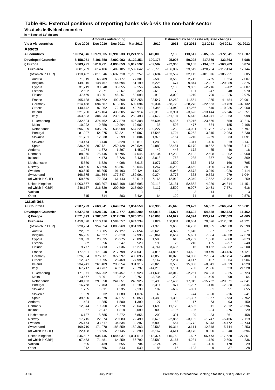## **Table 6B: External positions of reporting banks vis-à-vis the non-bank sector**

**Vis-à-vis individual countries**

| in millions of US dollars<br><b>Amounts outstanding</b><br>Estimated exchange rate adjusted changes |                     |                   |                                             |                     |                        |                        |                       |                       |                       |                        |
|-----------------------------------------------------------------------------------------------------|---------------------|-------------------|---------------------------------------------|---------------------|------------------------|------------------------|-----------------------|-----------------------|-----------------------|------------------------|
| Vis-à-vis countries                                                                                 | Dec 2009            | <b>Dec 2010</b>   | Dec 2011                                    | Mar 2012            | 2010                   | 2011                   | Q2 2011               | Q3 2011               | Q4 2011               | Q1 2012                |
| Assets                                                                                              |                     |                   |                                             |                     |                        |                        |                       |                       |                       |                        |
| <b>All countries</b>                                                                                |                     |                   | 10,824,046 10,979,505 10,991,233 11,221,915 |                     | 415,809                | 7,183                  | 113,517               | $-205,825$            | $-172,541$            | 111,507                |
| <b>Developed Countries</b>                                                                          | 8,158,051           | 8,106,358         | 8,002,993                                   | 8,122,351           | 190,178                | $-95,905$              | 50,228                | $-217,879$            | $-133,863$            | 5,988                  |
| i) Europe                                                                                           | 5,303,291           | 5,018,291         | 4,890,859                                   | 5,012,592           | $-82,582$              | $-92,366$              | 76,158                | $-134,567$            | $-163,289$            | 8,874                  |
| Euro area                                                                                           | 3,881,289           | 3,614,186         | 3,409,185                                   | 3,509,642           | $-106,770$             | $-186,007$             | 23,519                | $-128,264$            | $-117,414$            | 12,144                 |
| (of which in EUR)                                                                                   | 3,118,452           | 2,811,946         | 2,632,718                                   | 2,718,257           | $-137,634$             | $-163,567$             | 32,115                | $-101,076$            | $-105,251$            | 685                    |
| Austria                                                                                             | 71,919              | 66,789            | 68,177                                      | 77,301              | $-580$                 | 3,559                  | 2,742                 | $-765$                | 1,624                 | 7,007                  |
| Belgium                                                                                             | 149,916             | 148,767           | 144,694                                     | 151,199             | 6,226                  | 674                    | 9,844                 | $-2,227$              | $-20,089$             | 2,375                  |
| Cyprus<br>Estonia                                                                                   | 31,719<br>2,502     | 30,348<br>2,271   | 36,655<br>2,267                             | 32,156<br>3,325     | $-682$<br>$-619$       | 7,133<br>73            | 9,805<br>131          | $-2,216$<br>$-47$     | $-202$<br>48          | $-5,007$<br>970        |
| Finland                                                                                             | 47,469              | 43,391            | 46,267                                      | 50,698              | $-919$                 | 3,022                  | 1,210                 | 790                   | $-1,326$              | 2,975                  |
| France                                                                                              | 465,188             | 460,562           | 492,360                                     | 535,258             | 22,547                 | 12,269                 | 41,554                | $-1,255$              | $-41,484$             | 29,991                 |
| Germany                                                                                             | 614,458             | 694,687           | 618,205                                     | 602,694             | 60,334                 | $-68,723$              | $-28,278$             | $-22,553$             | $-9,759$              | $-32,132$              |
| Greece<br>Ireland                                                                                   | 140,142<br>521,200  | 97,862<br>476,164 | 72,183<br>435,505                           | 49,748<br>425,914   | $-27,346$<br>$-68,310$ | $-24,942$<br>$-33,931$ | $-17,256$<br>$-3,628$ | 640<br>$-13,444$      | $-10,936$<br>$-5,546$ | $-23,960$<br>$-19,551$ |
| Italy                                                                                               | 453,583             | 304,334           | 239,245                                     | 250,493             | $-84,672$              | $-61,104$              | 5,612                 | $-53,241$             | $-11,853$             | 3,998                  |
| Luxembourg                                                                                          | 332,624             | 374,462           | 377,879                                     | 425,308             | 56,604                 | 9,486                  | 17,216                | $-23,666$             | 11,559                | 39,216                 |
| Malta                                                                                               | 10,222              | 9,850             | 10,264                                      | 12,602              | 35                     | 593                    | $-477$                | 584                   | $-185$                | 2,168                  |
| Netherlands                                                                                         | 596,809             | 535,825           | 536,908                                     | 567,220             | $-30,227$              | $-289$                 | $-4,001$              | 11,707                | $-17,986$             | 16,797                 |
| Portugal<br>Slovakia                                                                                | 81,907<br>11,731    | 54,875<br>12,838  | 52,321<br>12,299                            | 48,587<br>13,804    | $-17,545$<br>1,976     | $-1,724$<br>$-154$     | $-5,263$<br>$-210$    | $-3,315$<br>$-269$    | $-2,963$<br>33        | $-5,230$<br>1,091      |
| Slovenia                                                                                            | 13,474              | 13,440            | 13,528                                      | 13,811              | 1,289                  | 502                    | $-311$                | $-436$                | 19                    | $-147$                 |
| Spain                                                                                               | 336,426             | 287,721           | 250,428                                     | 249,524             | $-24,882$              | $-32,451$              | $-5,170$              | $-18,552$             | $-8,368$              | $-8,417$               |
| Andorra                                                                                             | 1,974               | 1,872             | 1,397                                       | 1,457               | 42                     | $-448$                 | $-172$                | $-65$                 | $-46$                 | 16                     |
| Denmark<br>Iceland                                                                                  | 88,075<br>9,121     | 75,446<br>4,473   | 89,795<br>3,726                             | 87,546<br>3,439     | $-15,134$<br>$-3,018$  | 17,238<br>$-758$       | 2,182<br>$-288$       | 2,698<br>$-357$       | $-1,902$<br>$-392$    | $-3,960$<br>$-369$     |
| Liechtenstein                                                                                       | 5,550               | 6,520             | 4,998                                       | 5,915               | 1,077                  | $-1,509$               | $-672$                | $-122$                | $-166$                | 795                    |
| Norway                                                                                              | 50,680              | 53,596            | 48,507                                      | 59,046              | 1,267                  | $-5,293$               | $-3,659$              | $-106$                | $-7,103$              | 9,891                  |
| Sweden                                                                                              | 93,645              | 96,805            | 91,193                                      | 90,424              | 1,622                  | $-6,043$               | 2,672                 | $-3,040$              | $-1,026$              | $-2,114$               |
| Switzerland                                                                                         | 168,575             | 181,364           | 177,847                                     | 182,991             | 9,274                  | $-2,775$               | $-363$                | $-9,523$              | $-979$                | 1,044                  |
| (of which in CHF)<br>United Kingdom                                                                 | 59,669<br>1,003,567 | 72,383<br>983,307 | 61,143<br>1,063,408                         | 63,519<br>1,068,695 | 7,165<br>29,113        | $-12,913$<br>93,131    | $-2,349$<br>52,862    | $-7,552$<br>4,236     | $-2,702$<br>$-34,314$ | $-259$<br>$-11,151$    |
| (of which in GBP)                                                                                   | 246,157             | 216,329           | 209,809                                     | 217,969             | $-4,117$               | $-3,509$               | 9,997                 | $-2,481$              | $-7,571$              | 616                    |
| Vatican                                                                                             |                     | 8                 |                                             | 3                   | 8                      | $-8$                   | 3                     | $-14$                 | $-1$                  | 3                      |
| Other                                                                                               | 815                 | 714               | 803                                         | 3,434               | $-64$                  | 109                    | 74                    | $-8$                  | 54                    | 2,576                  |
| Liabilities                                                                                         |                     |                   |                                             |                     |                        |                        |                       |                       |                       |                        |
| <b>All Countries</b>                                                                                | 7,287,723           | 7,663,941         | 7,649,024                                   | 7,854,559           | 450,996                | 45,643                 | 29,429                | 56,652                | $-266,284$            | 116,881                |
| <b>Developed Countries</b>                                                                          | 4,537,658           | 4,928,046         | 4,912,777                                   | 4,989,200           | 447,815                | -24,877                | -54,692               | 54,528                | $-192,723$            | 11,462                 |
| i) Europe                                                                                           | 2,571,893           | 2,702,062         | 2,917,636                                   | 2,975,124           | 190,063                | 244,622                | 64,394                | 153,724               | $-132,009$            | $-1,665$               |
| Euro area                                                                                           | 1,459,878           | 1,510,476         | 1,594,557                                   | 1,674,234           | 87,824                 | 100,834                | 68,604                | 70,026                | $-112,870$            | 41,221                 |
| (of which in EUR)                                                                                   | 928,234             | 954,854           | 1,005,969                                   | 1,061,393           | 71,376                 | 69,656                 | 56,700                | 80,665                | $-92,600$             | 22,590                 |
| Austria<br>Belgium                                                                                  | 22,052<br>96,205    | 18,505<br>67,527  | 22,127<br>73,518                            | 22,654<br>67,996    | $-2,628$<br>$-22,861$  | 4,322<br>8,667         | 1,640<br>5,631        | 607<br>7,984          | 652<br>$-4,868$       | $-71$<br>$-7,370$      |
| Cyprus                                                                                              | 19,833              | 20,635            | 20,975                                      | 20,895              | 1,580                  | 618                    | $-3,769$              | 1,530                 | $-568$                | $-373$                 |
| Estonia                                                                                             | 382                 | 556               | 547                                         | 520                 | 193                    | 26                     | 210                   | 155                   | $-257$                | $-40$                  |
| Finland                                                                                             | 9,777               | 13,713            | 17,036                                      | 15,274              | 4,741                  | 3,436                  | 15                    | 9,152                 | $-6,382$              | $-2,200$               |
| France                                                                                              | 177,601             | 171,240           | 217,799<br>372,597                          | 237,031<br>400,895  | 4,815                  | 44,816                 | 14,682<br>14,938      | 19,479                | $-33,436$             | 14,121<br>17,480       |
| Germany<br>Greece                                                                                   | 326,334<br>12,347   | 375,561<br>19,095 | 25,469                                      | 27,996              | 47,853<br>7,147        | 10,029<br>7,234        | 4,147                 | 27,884<br>407         | $-37,754$<br>1,864    | 1,904                  |
| Ireland                                                                                             | 234,741             | 261,489           | 290,554                                     | 301,315             | 23,025                 | 33,553                 | 15,808                | $-8,341$              | $-9,329$              | 4,920                  |
| Italy                                                                                               | 67,717              | 48,737            | 49,981                                      | 73,797              | $-14,215$              | 1,191                  | 780                   | 2,086                 | 623                   | 21,928                 |
| Luxembourg                                                                                          | 171,971             | 156,252           | 196,457                                     | 190,928             | $-11,636$              | 43,012                 | $-2,251$              | 24,883                | $-925$                | $-9,723$               |
| Malta<br>Netherlands                                                                                | 13,577<br>248,153   | 8,891<br>291,350  | 8,512<br>241,351                            | 8,751<br>243,925    | $-3,734$<br>52,496     | $-239$<br>$-57,485$    | $-21$<br>17,949       | $-1,499$<br>$-15,762$ | 398<br>$-20,071$      | 64<br>$-2,641$         |
| Portugal                                                                                            | 16,768              | 17,703            | 18,239                                      | 18,186              | 2,311                  | 877                    | 1,297                 | $-116$                | $-2,220$              | $-344$                 |
| Slovakia                                                                                            | 1,755               | 1,811             | 1,235                                       | 2,139               | 182                    | -602                   | $-991$                | 31                    | 51                    | 855                    |
| Slovenia                                                                                            | 1,039               | 1,032             | 1,083                                       | 1,074               | 48                     | 70                     | $-74$                 | $-320$                | $-16$                 | $-41$                  |
| Spain<br>Andorra                                                                                    | 39,626<br>1,484     | 36,379<br>1,385   | 37,077<br>1,500                             | 40,858<br>1,390     | $-1,489$<br>$-27$      | 1,308<br>158           | $-1,387$<br>$-17$     | 1,867<br>63           | $-633$<br>93          | 2,752<br>$-150$        |
| Denmark                                                                                             | 12,344              | 19,250            | 28,778                                      | 23,642              | 1,690                  | 11,129                 | 4,585                 | 911                   | 2,812                 | $-5,696$               |
| Iceland                                                                                             | 1,357               | 2,047             | 1,818                                       | 2,099               | 802                    | $-195$                 | $-26$                 | $-34$                 | -76                   | 229                    |
| Liechtenstein                                                                                       | 6,137               | 5,685             | 5,272                                       | 5,856               | $-200$                 | $-321$                 | 99                    | $-33$                 | $-361$                | 458                    |
| Norway                                                                                              | 17,715              | 22,874            | 20,083                                      | 22,499              | 3,676                  | $-2,856$               | $-3,139$              | $-1,747$              | $-5,466$              | 2,119                  |
| Sweden<br>Switzerland                                                                               | 25,174<br>199,710   | 33,517<br>171,078 | 34,534<br>185,859                           | 32,297<br>180,363   | 6,800<br>$-22,568$     | 564<br>19,314          | $-1,772$<br>$-3,111$  | 5,843<br>12,348       | $-4,472$<br>5,744     | $-2,743$<br>$-9,253$   |
| (of which in CHF)                                                                                   | 22,488              | 18,635            | 20,145                                      | 20,290              | $-5,167$               | 4,611                  | $-3,170$              | 8,020                 | $-1,940$              | $-694$                 |
| United Kingdom                                                                                      | 846,687             | 934,745           | 1,044,037                                   | 1,031,510           | 112,374                | 115,768                | $-687$                | 66,473                | $-17,628$             | $-27,851$              |
| (of which in GBP)                                                                                   | 97,453              | 71,481            | 64,259                                      | 66,792              | $-23,589$              | $-3,167$               | 4,281                 | 1,130                 | $-2,596$              | 236                    |
| Vatican<br>Other                                                                                    | 595<br>812          | 439<br>566        | 655<br>543                                  | 704<br>530          | $-124$<br>$-185$       | 242<br>-16             | $-8$<br>$-133$        | $-136$<br>9           | 178<br>37             | 29<br>$-28$            |
|                                                                                                     |                     |                   |                                             |                     |                        |                        |                       |                       |                       |                        |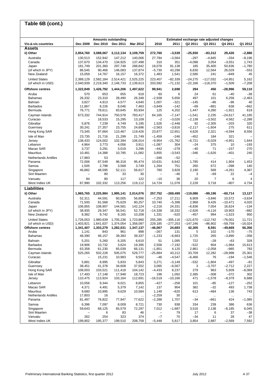# **Table 6B (cont.)**

|                             |                    |                    | <b>Amounts outstanding</b> |                    |                            |                      |                      | Estimated exchange rate adjusted changes |                     |                    |
|-----------------------------|--------------------|--------------------|----------------------------|--------------------|----------------------------|----------------------|----------------------|------------------------------------------|---------------------|--------------------|
| Vis-à-vis countries         | Dec 2009           | Dec 2010           | Dec 2011                   | Mar 2012           | 2010                       | 2011                 | Q2 2011              | Q3 2011                                  | Q4 2011             | Q1 2012            |
| <b>Assets</b>               |                    |                    |                            |                    |                            |                      |                      |                                          |                     |                    |
| ii) Other                   | 2,854,760          | 3,088,067          | 3,112,134                  | 3,109,759          | 272,760                    | $-3,539$             | $-25,930$            | $-83,312$                                | 29,426              | $-2,886$           |
| Australia<br>Canada         | 130,513<br>137,670 | 152,942<br>134,470 | 147,212<br>134,925         | 140.006<br>137,498 | 27,784<br>310              | $-3,564$<br>351      | $-297$<br>$-4,098$   | $-4,845$<br>3,054                        | $-334$<br>$-3,551$  | $-8,196$<br>1,743  |
| Japan                       | 181,749            | 201,360            | 297,748                    | 288,842            | 18,078                     | 81,138               | 185                  | 35,400                                   | 50,636              | $-1,780$           |
| (of which in JPY)           | 86,545             | 90,466             | 146,083                    | 137,874            | $-5,730$                   | 43,298               | 6,830                | 12,564                                   | 26,029              | $-553$             |
| New Zealand                 | 15,059             | 14,767             | 16,157                     | 16,372             | 1,483                      | 1,541                | 2,580                | 241                                      | $-849$              | 45                 |
| <b>United States</b>        | 2,389,129          | 2,582,184          | 2,514,421                  | 2.525.225          | 223,407                    | $-82,339$            | $-24,275$            | $-117,032$                               | $-14,951$           | 5,162              |
| (of which in USD)           | 2,040,939          | 2,219,340          | 2,146,733                  | 2,139,613          | 203,592                    | $-71,132$            | $-22,166$            | $-118,370$                               | $-1,509$            | $-7,208$           |
| <b>Offshore centres</b>     | 1,322,849          | 1,426,792          | 1,444,206                  | 1,497,622          | 99,941                     | 2,698                | 294                  | 450                                      | $-28.996$           | 59,110             |
| Aruba                       | 570                | 653                | 655                        | 618                | 60                         | 6                    | 24                   | 61                                       | $-40$               | $-38$              |
| <b>Bahamas</b>              | 26,332             | 23,310             | 28,490                     | 26,348             | $-2,938$                   | 5,656                | 497                  | 101                                      | 6,258               | $-2,463$           |
| <b>Bahrain</b>              | 3,827              | 4,913              | 4,577                      | 4,640              | 1,007                      | $-321$               | $-145$               | $-86$                                    | $-96$               | 40                 |
| <b>Barbados</b><br>Bermuda  | 11,867<br>76,771   | 8,226<br>78,611    | 8,046<br>83,645            | 7,463<br>83,934    | $-3,849$<br>125            | $-142$<br>4,202      | $-69$<br>1,447       | $-881$<br>4,280                          | 638<br>$-1,921$     | $-662$<br>619      |
|                             |                    |                    |                            |                    |                            |                      |                      |                                          |                     |                    |
| Cayman Islands<br>Curacao   | 673,332            | 744,914<br>18,533  | 750,578<br>15,295          | 783,417<br>13,109  | 64,165<br>$-2$             | $-7,147$<br>$-3,026$ | $-1,541$<br>$-2,138$ | 2,235<br>$-3,502$                        | $-24,617$<br>4,562  | 41,185<br>$-2,288$ |
| Gibraltar                   | 5,876              | 7,239              | 4,749                      | 5,195              | 1,526                      | $-2,448$             | 92                   | $-2,305$                                 | $-203$              | 320                |
| Guernsey                    | 30,241             | 27,357             | 23,755                     | 24,696             | $-2,563$                   | $-3,816$             | $-2,117$             | $-1,604$                                 | 275                 | 611                |
| Hong Kong SAR               | 73,345             | 97,664             | 110,467                    | 119,426            | 23,877                     | 12,651               | 4,626                | 2,321                                    | $-4,594$            | 8,556              |
| Isle of Man                 | 23,735             | 21,716             | 21,299                     | 21,749             | $-1,459$                   | $-246$               | $-452$               | 184                                      | 321                 |                    |
| Jersey                      | 138,433            | 124,002            | 102,394                    | 106,014            | $-9,954$                   | $-21,762$            | $-6,721$             | $-5,029$                                 | $-4,951$            | 1,644              |
| Lebanon                     | 4,964              | 3,773              | 4,056                      | 3,911              | $-1,087$                   | 304                  | $-24$                | 375                                      | 10                  | $-193$             |
| Macao SAR                   | 3,737              | 3,291              | 3,019                      | 3,296              | $-442$                     | $-278$               | $-40$                | 71                                       | $-157$              | 270                |
| <b>Mauritius</b>            | 10,481             | 14,388             | 10,785                     | 11,082             | 3,855                      | $-3,543$             | $-346$               | $-1,626$                                 | $-401$              | 240                |
| <b>Netherlands Antilles</b> | 17,983             | 53                 | $\cdots$                   | $\cdots$           | $-346$                     | $-52$                | $\ldots$             | $\cdots$                                 | $\cdots$            | $\ddotsc$          |
| Panama                      | 72,006             | 87,549             | 96.318                     | 95,474             | 10,631                     | 6,642                | 1,785                | 414                                      | 1,904               | 1,453              |
| Samoa                       | 1,505              | 2,798              | 3,568                      | 3,749              | 1,264                      | 751                  | 260                  | 672                                      | $-398$              | 140                |
| Singapore                   | 46,882             | 48,595             | 52,111                     | 56,617             | 780                        | 3,828                | 2,190                | 569                                      | $-4,261$            | 4,387              |
| Sint Maarten                |                    | 80                 | 33                         | 30                 | $\overline{\phantom{0}}$   | -46                  | 3                    | $-69$                                    | 22                  | $-4$               |
| Vanuatu                     | 84                 | 80                 | 117                        | 122                | $-10$                      | 36                   | 20                   | 7                                        | 6                   | 4                  |
| West Indies UK              | 87,990             | 102,332            | 113,256                    | 119,112            | 14,724                     | 11,078               | 2,228                | 3,718                                    | $-907$              | 4,734              |
| <b>Liabilities</b>          |                    |                    |                            |                    |                            |                      |                      |                                          |                     |                    |
| ii) Other                   | 1,965,765          | 2,225,984          | 1,995,141                  | 2,014,076          | 257,752                    | $-269,499$           | $-119,086$           | -99,196                                  | $-60,714$           | 13,127             |
| Australia                   | 52,311             | 44,591             | 60,005                     | 56,896             | $-7,253$                   | 17,211               | 6,909                | $-3,846$                                 | 10,572              | $-3,634$           |
| Canada                      | 71,500             | 81,568             | 75,629                     | 80,257             | 10,740                     | $-5,398$             | 2,968                | 9,426                                    | $-10,471$           | 4,020              |
| Japan<br>(of which in JPY)  | 106,855<br>38,935  | 108,907<br>29,347  | 144,581<br>56,541          | 142,124<br>52,718  | $-2,216$<br>$-14,338$      | 24,331<br>18,332     | $-6,836$<br>$-2,626$ | 7,054<br>$-4,116$                        | 16,624<br>19,903    | $-134$<br>$-882$   |
| New Zealand                 | 8,382              | 9,742              | 9,165                      | 10,208             | 1,331                      | $-520$               | $-457$               | 994                                      | $-1,523$            | 950                |
| <b>United States</b>        | 1,726,053          | 1,980,639          | 1,705,236                  | 1,723,860          | 255,285                    | $-305,116$           | $-121,670$           | $-112,742$                               | $-76,001$           | 11,721             |
| (of which in USD)           | 1,403,921          | 1,641,637          | 1,374,054                  | 1,358,097          | 229,185                    | $-277,253$           | $-147,246$           | $-96,902$                                | $-59,759$           | $-16,024$          |
| <b>Offshore centres</b>     | 1,341,407          | 1,303,279          | 1,282,031                  | 1,347,137          | $-46,067$                  | 24,683               | 42,305               | 8,591                                    | $-49,669$           | 56,356             |
| Aruba                       | 1,141              | 843                | 961                        | 898                | $-267$                     | 131                  | 5                    | 102                                      | $-170$              | $-75$              |
| Bahamas                     | 48,390             | 46,157             | 39,383                     | 39,337             | $-1,233$                   | $-6,663$             | 1,725                | 265                                      | $-3,890$            | $-358$             |
| Bahrain                     | 5,201              | 5,260              | 6,205                      | 6,610              | 51                         | 1,095                | 722                  | $-28$                                    | $-63$               | 328                |
| <b>Barbados</b>             | 19,906             | 10,732             | 3,624                      | 19,395             | 2,558                      | $-7,192$             | $-522$               | 904                                      | $-1,984$            | 15,613             |
| Bermuda<br>Cayman Islands   | 63,358<br>525,265  | 61,230<br>502,228  | 65,039<br>505,075          | 66,131<br>529,777  | $-1,851$<br>$-25,884$      | 4,120<br>43,212      | 2,861<br>33,709      | $-2,058$<br>12,282                       | $-985$<br>$-28,998$ | 783<br>25,301      |
| Curacao                     | $\qquad \qquad -$  | 15,231             | 10,983                     | 9,502              | $-46$                      | $-4,547$             | $-6,466$             | 76                                       | $-194$              | $-1,546$           |
| Gibraltar                   | 5,881              | 8,995              | 5,833                      | 5,843              | 3,271                      | $-3,149$             | $-532$               | $-1,804$                                 | $-497$              | $-81$              |
| Guernsey                    | 38,451             | 41,378             | 34,608                     | 37,552             | 3,065                      | $-6,567$             | 3                    | $-3,707$                                 | $-2,712$            | 2,227              |
| Hong Kong SAR               | 108,003            | 103,521            | 111,418                    | 104,142            | $-4,433$                   | 8,237                | 279                  | 963                                      | 5,609               | $-8,069$           |
| Isle of Man                 | 17,493             | 17,148             | 17,948                     | 18,723             | 196                        | 1,092                | 2,385                | $-308$                                   | $-372$              | 302                |
| Jersey                      | 110,475            | 113,924            | 103,164                    | 112,691            | $-16,519$                  | $-10,166$            | 471                  | $-1,578$                                 | $-8,379$            | 6,688              |
| Lebanon                     | 10,056             | 9,344              | 9,021                      | 8,855              | $-427$                     | $-258$               | 101                  | $-85$                                    | $-127$              | $-252$             |
| Macao SAR                   | 4,371              | 4,491              | 5,379                      | 7,142              | 137                        | 904                  | 382                  | $-32$                                    | 493                 | 1,738              |
| Mauritius                   | 9,680              | 10,895             | 9,629                      | 10,584             | 1,149                      | -620                 | 613                  | -484                                     | 136                 | 743                |
| Netherlands Antilles        | 17,803             | 16                 | $\ldots$                   | $\ddotsc$          | $-2,259$                   | 30                   | $\cdots$             | $\cdots$                                 | $\ldots$            | $\ldots$           |
| Panama                      | 81,497             | 76,822             | 77,947                     | 77,622             | $-2,288$                   | 1,707                | $-34$                | -661                                     | 424                 | $-1,085$           |
| Samoa                       | 6,396              | 7,097              | 8,009                      | 8,721              | 730                        | 938                  | 334                  | 239                                      | 386                 | 636                |
| Singapore<br>Sint Maarten   | 59,643             | 68,125             | 65,579                     | 72,297<br>46       | 7,012<br>$\qquad \qquad -$ | $-1,687$             | 3,516                | 2,138                                    | $-6,185$<br>37      | 6,045              |
| Vanuatu                     | 262                | 6<br>254           | 83<br>323                  | 374                | $-7$                       | 79<br>70             | 17<br>$-34$          | 6<br>11                                  | 28                  | -38<br>47          |
| West Indies UK              | 199,802            | 195,377            | 199,510                    | 208,758            | $-5,448$                   | 5,817                | 3,854                | 2,887                                    | $-2,569$            | 7,592              |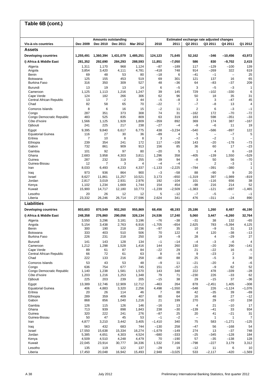| Table 6B (cont.)                       |                |                       |                                        |                |                 |                   |                                                     |                                    |                                    |                                   |
|----------------------------------------|----------------|-----------------------|----------------------------------------|----------------|-----------------|-------------------|-----------------------------------------------------|------------------------------------|------------------------------------|-----------------------------------|
|                                        |                |                       |                                        |                |                 |                   |                                                     |                                    |                                    |                                   |
| Vis-à-vis countries                    | Dec 2009       | Dec 2010              | <b>Amounts outstanding</b><br>Dec 2011 | Mar 2012       | 2010            | 2011              | Estimated exchange rate adjusted changes<br>Q2 2011 | Q3 2011                            | Q4 2011                            | Q1 2012                           |
| <b>Assets</b>                          |                |                       |                                        |                |                 |                   |                                                     |                                    |                                    |                                   |
| <b>Developing countries</b>            | 1,255,491      | 1,360,394             | 1,431,079                              | 1,485,251      | 124,123         | 71,645            | 52,162                                              | -346                               | $-10,456$                          | 43,972                            |
| i) Africa & Middle East                | 281,352        | 292,690               | 284,293                                | 288,593        | 11,851          | -7,050            | 586                                                 | 830                                | $-9,702$                           | 2,415                             |
| Algeria                                | 1,311          | 1,170                 | 968                                    | 1,124          | $-87$           | $-189$            | 117                                                 | $-129$                             | $-100$                             | 139                               |
| Angola                                 | 3,854          | 3,420                 | 4,111                                  | 4,781          | $-418$          | 748               | 914                                                 | $-269$                             | 322                                | 619                               |
| Benin<br>Botswana                      | 69<br>125      | 48<br>155             | 53<br>453                              | 80<br>519      | $-18$<br>69     | 6<br>301          | $-41$<br>121                                        | $-1$<br>137                        | $\qquad \qquad -$<br>16            | 25<br>65                          |
| <b>Burkina Faso</b>                    | 316            | 350                   | 309                                    | 527            | 48              | -36               | 64                                                  | $-83$                              | $-37$                              | 209                               |
| Burundi                                | 13             | 19                    | 13                                     | 14             | 6               | $-5$              | 3                                                   | $-5$                               | $-3$                               | 1                                 |
| Cameroon                               | 1,125          | 1,113                 | 1,216                                  | 1,247          | 39              | 145               | 729                                                 | $-102$                             | $-330$                             | 6                                 |
| Cape Verde<br>Central African Republic | 124<br>13      | 182<br>$\overline{7}$ | 266<br>$-2$                            | 306<br>44      | 62<br>$-5$      | 96<br>$-8$        | 50<br>3                                             | 18<br>3                            | 35<br>$-47$                        | 31<br>45                          |
| Chad                                   | 82             | 58                    | 65                                     | 70             | $-22$           | 7                 | $-7$                                                | $-8$                               | 13                                 | 4                                 |
| Comoros Islands                        | 8              | 6                     | 16                                     | 15             | $-2$            | 11                | $\overline{2}$                                      | 6                                  | $-3$                               | $-1$                              |
| Congo<br>Congo Democratic Republic     | 287<br>483     | 351<br>525            | 373<br>835                             | 308<br>809     | 74<br>63        | 31<br>319         | $-162$<br>183                                       | 172<br>598                         | $-70$<br>$-351$                    | $-72$<br>$-33$                    |
| Côte d'Ivoire                          | 1,566          | 1,125                 | 1,928                                  | 1,809          | $-359$          | 892               | 369                                                 | 174                                | 387                                | $-167$                            |
| Djibouti                               | 241            | 225                   | 217                                    | 238            | $-27$           | $-4$              | $-9$                                                | $-6$                               | 11                                 | 19                                |
| Egypt                                  | 9,395          | 9,840                 | 6,617                                  | 6,775          | 438             | $-3,234$          | $-540$                                              | $-586$<br>$\overline{\phantom{0}}$ | $-897$                             | 122                               |
| <b>Equatorial Guinea</b><br>Eritrea    | 116<br>7       | 27<br>10              | 30<br>8                                | 36<br>8        | -89<br>3        | 4<br>$-2$         | 5<br>$-3$                                           | $-2$                               | $-7$<br>1                          | 5<br>۳                            |
| Ethiopia                               | 239            | 354                   | 241                                    | 172            | 117             | $-108$            | 143                                                 | -20                                | $-178$                             | $-73$                             |
| Gabon                                  | 732            | 861                   | 909                                    | 913            | 156             | 85                | 36                                                  | 60                                 | 17                                 | $-23$                             |
| Gambia<br>Ghana                        | 101<br>2,683   | 92<br>3,958           | 97<br>4,303                            | 80<br>3,811    | $-20$<br>1,296  | 5<br>358          | $\mathbf{1}$<br>$-405$                              | $\overline{4}$<br>$-139$           | 6<br>1,550                         | $-18$<br>$-529$                   |
| Guinea                                 | 287            | 232                   | 319                                    | 255            | -39             | 94                | $-8$                                                | 50                                 | 56                                 | $-70$                             |
| Guinea-Bissau                          | 12             | 7                     | 3                                      | $\overline{4}$ | $-4$            | $-4$              | $\equiv$                                            | $\overline{2}$                     | $-3$                               | $\mathbf{1}$                      |
| Iran                                   | 8,033          | 6,493                 | 4,233                                  | 4,337          | $-1,133$        | $-2,225$          | -784                                                | -391                               | $-380$                             | 1                                 |
| Iraq<br>Israel                         | 973<br>8,627   | 936<br>11,861         | 864<br>11,257                          | 900<br>10,521  | $-3$<br>3,173   | $-58$<br>$-650$   | 88<br>$-1,319$                                      | $-90$<br>397                       | 9<br>$-1,989$                      | 20<br>$-819$                      |
| Jordan                                 | 2,817          | 3,019                 | 2,931                                  | 2,976          | 192             | $-104$            | 101                                                 | $-116$                             | 656                                | 38                                |
| Kenya                                  | 1,102          | 1,234                 | 1,669                                  | 1,744          | 154             | 454               | -98                                                 | 216                                | 214                                | 52                                |
| Kuwait<br>Lesotho                      | 15,900<br>20   | 14,717<br>26          | 12,180<br>12                           | 10,773<br>12   | $-1,239$<br>5   | $-2,509$<br>$-12$ | $-1,383$<br>$-7$                                    | $-121$<br>$-5$                     | $-697$<br>$\overline{\phantom{0}}$ | $-1,465$<br>$-1$                  |
| Liberia                                | 23,332         | 26,246                | 26,714                                 | 27,596         | 2,624           | 341               | 476                                                 | $-311$                             | $-24$                              | 890                               |
| Liabilities                            |                |                       |                                        |                |                 |                   |                                                     |                                    |                                    |                                   |
| <b>Developing countries</b>            | 803,603        | 870,549               | 902,260                                | 955,869        | 68,456          | 48,193            | 25,186                                              | 1,260                              | 8,487                              | 46,190                            |
| i) Africa & Middle East                | 248,358        | 276,860               | 290,056                                | 326,134        | 24,536          | 17,240            | 5,060                                               | 3,447                              | $-6,260$                           | 32,764                            |
| Algeria                                | 3,550          | 3,296                 | 3,181                                  | 3,196          | -76             | $-38$             | $-31$                                               | 38                                 | 132                                | $-65$                             |
| Angola<br>Benin                        | 5,154<br>300   | 3,438<br>190          | 2,763<br>218                           | 6,916<br>236   | $-1,705$<br>-97 | $-654$<br>35      | 2,625<br>10                                         | 783<br>$-9$                        | $-5,394$<br>31                     | 4,125<br>13                       |
| Botswana                               | 333            | 403                   | 510                                    | 506            | 70              | 122               | 4                                                   | 120                                | $-38$                              | $-13$                             |
| Burkina Faso                           | 226            | 231                   | 218                                    | 250            | 19              | -9                | 28                                                  | $\overline{a}$                     | $-29$                              | 27                                |
| Burundi<br>Cameroon                    | 141<br>1,212   | 143<br>1,298          | 128<br>1,528                           | 134<br>1,416   | $-1$<br>144     | $-14$<br>260      | $-4$<br>130                                         | $-3$<br>$-20$                      | $-6$<br>290                        | $\overline{\mathbf{4}}$<br>$-141$ |
| Cape Verde                             | 89             | 61                    | 87                                     | 84             | -22             | 29                | 21                                                  | $-22$                              | 16                                 | $-5$                              |
| Central African Republic               | 66             | 72                    | 61                                     | 63             | 8               | $-9$              | 9                                                   | $-23$                              | 2                                  | $\overline{\phantom{0}}$          |
| Chad                                   | 222            | 133                   | 216                                    | 258            | -80             | 88                | 25                                                  | $-5$                               | 3                                  | 39                                |
| Comoros Islands<br>Congo               | 53<br>636      | 43<br>754             | 53<br>677                              | 48<br>745      | $-9$<br>151     | 11<br>$-57$       | $-21$<br>$-21$                                      | $-20$<br>$-9$                      | 4<br>62                            | $-6$<br>52                        |
| Congo Democratic Republic              | 1,140          | 1,238                 | 1,581                                  | 1,570          | 143             | 348               | 222                                                 | 478                                | $-339$                             | $-28$                             |
| Côte d'Ivoire<br>Djibouti              | 1,203<br>225   | 1,216<br>203          | 1,253<br>239                           | 1,348<br>205   | 79<br>$-15$     | 71<br>38          | $-230$<br>29                                        | 226<br>$-15$                       | $-33$<br>37                        | 62<br>$-36$                       |
| Egypt                                  | 13,389         | 12,746                | 12,909                                 | 12,712         | $-463$          | 264               | 878                                                 | $-2,451$                           | 1,405                              | $-308$                            |
| <b>Equatorial Guinea</b>               | 406            | 4,883                 | 3,320                                  | 2,256          | 4,498           | $-1,550$          | $-548$                                              | 226                                | $-1,124$                           | $-1,076$                          |
| Eritrea                                | 20             | 26                    | 114                                    | 46             | 7               | 88                | 42                                                  | $-35$                              | 39                                 | $-69$                             |
| Ethiopia<br>Gabon                      | 289<br>868     | 359<br>856            | 409<br>1,040                           | 407<br>1,216   | 80<br>21        | 64<br>199         | 16<br>270                                           | 48<br>29                           | 27<br>$-10$                        | $-12$<br>158                      |
| Gambia                                 | 126            | 115                   | 126                                    | 146            | $-16$           | 13                | $\overline{4}$                                      | 21                                 | $-10$                              | 17                                |
| Ghana                                  | 713            | 939                   | 898                                    | 1,843          | 238             | $-30$             | $-139$                                              | $-41$                              | 33                                 | 934                               |
| Guinea<br>Guinea-Bissau                | 320<br>50      | 222<br>47             | 241<br>45                              | 276<br>53      | $-87$<br>$-1$   | 25<br>$-2$        | 20<br>$\qquad \qquad -$                             | 41<br>$\mathbf{1}$                 | $-21$<br>$\mathbf{1}$              | 31<br>$\overline{7}$              |
| Iran                                   | 4,877          | 3,210                 | 3,442                                  | 3,405          | $-1,410$        | 340               | 75                                                  | 583                                | $-1,271$                           | $-125$                            |
| Iraq                                   | 563            | 432                   | 683                                    | 744            | $-130$          | 258               | $-47$                                               | 56                                 | $-168$                             | 54                                |
| Israel                                 | 17,550         | 15,638                | 15,334                                 | 16,274         | $-1,679$        | $-149$            | 274                                                 | 13                                 | $-37$                              | 748                               |
| Jordan<br>Kenya                        | 5,385<br>4,509 | 4,651<br>4,510        | 4,303<br>4,248                         | 4,524<br>4,479 | $-680$<br>70    | $-333$<br>$-190$  | $-25$<br>57                                         | $-345$<br>$-35$                    | $-128$<br>$-138$                   | 184<br>128                        |
| Kuwait                                 | 22,045         | 23,914                | 30,777                                 | 34,336         | 1,532           | 7,166             | $-798$                                              | $-227$                             | 3,179                              | 3,312                             |
| Lesotho                                | 135            | 119                   | 122                                    | 137            | $-29$           | 19                | $-12$                                               | 11                                 | 6                                  | 10                                |
| Liberia                                | 17,450         | 20,048                | 16,942                                 | 15,493         | 2,948           | $-3,025$          | 533                                                 | $-2,117$                           | $-420$                             | $-1,569$                          |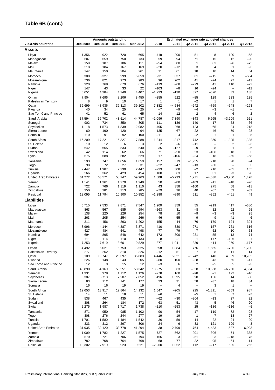#### **Vis-à-vis countries Dec 2009 Dec 2010 Dec 2011 Mar 2012 2010 2011 Q2 2011 Q3 2011 Q4 2011 Q1 2012 Assets** Libya 1,356 922 720 665 –418 –200 –51 8 –120 –58 Madagascar 607 659 750 733 59 94 71 15 12 –20 Malawi 159 107 186 111 –54 80 1 83 –6 –75 Mali 218 184 167 169 –20 –12 3 4 1 –3 Mauritania 147 150 204 261 11 61 18 10 14 54 Morocco 5,380 5,327 5,999 5,659 231 837 301 –215 669 –504 Mozambique 736 821 973 983 96 202 41 –24 27 –12 Namibia 920 768 679 676 –119 –68 –229 41 110 –22 Niger 147 43 33 22 –103 –8 16 –24 – –12 Nigeria 5,651 4,384 4,249 4,407 –1,233 –130 327 –320 33 138 Oman 7,904 7,696 8,206 8,450 –255 522 –85 129 233 235 Palestinian Territory 8 9 10 17 1 1 –2 1 1 1 7<br>Qatar 1 36,699 43,936 39,313 39,102 7,382 -4,584 -242 -759 -548 -293 Qatar 36,699 43,936 39,313 39,102 7,382 –4,584 –242 –759 –548 –293 Rwanda 40 34 25 25 –7 –9 –4 –3 –1 – Sao Tomé and Principe 41 52 61 65 14 12 2 4 6 2 Saudi Arabia 37,594 36,702 43,514 44,787 –1,096 7,390 –343 6,995 –3,209 921 Senegal 902 734 850 805 –111 136 140 17 –58 –66 Seychelles 1,118 1,573 1,839 2,082 495 268 –123 65 34 218 Sierra Leone 60 190 120 94 135 –67 22 46 –79 –28 Somalia 110 91 92 100 –11 4 –2 1 1 5 South Africa 16,209 17,221 16,327 17,888 1,344 –817 1,742 –850 –1,395 1,335 St. Helena 10 12 6 3 2 –6 –11 – 2 –3 Sudan 642 665 533 540 35 –127 –9 28 1 –6 Swaziland 42 114 62 66 71 –50 23 –108 18 3 Syria 675 688 582 529 17 –106 –24 18 –55 –58 Tanzania 593 747 1,056 1,059 157 319 –1,255 218 98 –4 Togo 98 72 27 31 –22 –47 –13 –50 – 3 Tunisia 2,447 1,987 2,230 2,447 –233 308 –2 210 –55 155 Uganda 266 362 423 454 100 63 17 31 23 28 United Arab Emirates 61,272 63,571 58,247 59,963 1,608 –5,293 1,271 –4,038 –3,280 1,478 Yemen 1,141 1,361 1,270 1,249 50 –80 –103 –11 –18 –26 Zambia 722 766 1,119 1,110 43 358 –100 275 68 –11 Zimbabwe 350 281 313 285 –79 36 40 –67 53 –33 Residual 13,095 11,794 10,900 10,952 –1,298 –890 511 –352 –461 49 **Liabilities** Libya 5,715 7,533 7,871 7,547 1,900 359 55 –219 417 –380 Madagascar 863 567 585 694 –263 31 –8 12 92 95 Malawi 138 220 226 254 78 10 –9 –3 –3 25 Mali 263 205 254 266 –46 55 9 –9 41 6 Mauritania 311 456 893 1,202 155 444 76 179 –124 304 Morocco 3,996 4,144 4,387 3,871 410 330 271 –157 761 –616 Mozambique 427 484 541 498 77 79 7 52 10 –53 Namibia 694 895 548 642 173 –300 –231 –55 13 74 Niger 111 114 110 133 8 –1 1 177 –186 21 Nigeria 7,253 7,619 8,601 9,829 377 1,041 839 –414 250 1,177 Oman 4,492 5,021 6,753 8,525 558 1,884 776 1,535 –706 1,700 Palestinian Territory | 277 262 310 326 -12 51 7 8 11 14 Qatar 9,109 19,747 25,397 35,883 4,446 5,821 –1,742 448 4,889 10,285 Rwanda 226 148 243 205 –80 100 –28 43 55 –41 Sao Tomé and Principe | 12 9 15 12 | -3 6 | 2 -5 5 -3 Saudi Arabia 40,890 54,169 53,551 58,342 13,275 63 –828 10,568 –6,250 4,354 Senegal 1,331 978 1,112 1,126 –278 160 –98 –1 122 –16 Seychelles 5,307 5,713 7,207 7,852 496 1,595 590 156 514 550 Sierra Leone 83 112 141 177 23 31 58 –37 18 34 Somalia 16 16 19 19 – 4 – 3 1 – South Africa 12,653 13,917 12,864 14,132 1,547 –905 225 –1,311 –559 987 St. Helena 14 11 18 11 –6 7 –5 1 7 –7 Sudan 538 467 435 477 –62 –30 –204 –13 27 32 Swaziland 308 264 184 172 –63 –51 –43 5 –46 –20 Syria 2,275 1,987 1,717 1,738 –210 –253 25 –186 –116 –5 Tanzania 871 950 985 1,102 90 54 –17 119 –72 98 Togo 308 276 244 277 –19 –19 –1 –7 –18 27 Tunisia 1,701 1,580 1,484 1,542 –36 –59 14 22 –24 20 Uganda 333 312 297 306 –24 –6 –33 121 –109 3 United Arab Emirates 31,935 32,120 33,778 41,294 –38 2,799 1,764 –4,483 –1,537 6,993 Yemen 1,009 1,782 1,227 1,575 727 –562 –201 –306 –74 338 Zambia 570 721 706 794 156 3 251 23 –218 75 Zimbabwe 782 708 764 68 77 32 95 –54 –14 Residual 10,302 7,919 8,923 9,221 –2,260 1,052 112 –217 505 255 **Table 6B (cont.) Amounts outstanding Estimated exchange rate adjusted changes**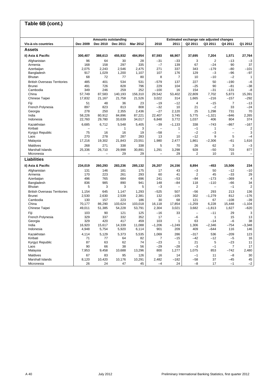| Table 6B (cont.)                    |          |                          |                                        |          |                          |                          |                                                     |                   |                          |                          |
|-------------------------------------|----------|--------------------------|----------------------------------------|----------|--------------------------|--------------------------|-----------------------------------------------------|-------------------|--------------------------|--------------------------|
|                                     |          |                          |                                        |          |                          |                          |                                                     |                   |                          |                          |
| Vis-à-vis countries                 | Dec 2009 | Dec 2010                 | <b>Amounts outstanding</b><br>Dec 2011 | Mar 2012 | 2010                     | 2011                     | Estimated exchange rate adjusted changes<br>Q2 2011 | Q3 2011           | Q4 2011                  | Q1 2012                  |
| Assets                              |          |                          |                                        |          |                          |                          |                                                     |                   |                          |                          |
| ii) Asia & Pacific                  | 300,407  | 388,613                  | 455,932                                | 484,954  | 87,593                   | 66,907                   | 37,695                                              | 7,204             | 1,571                    | 27,764                   |
| Afghanistan                         | 96       | 64                       | 30                                     | 28       | $-31$                    | $-33$                    | 3                                                   | $\overline{2}$    | $-13$                    | $-3$                     |
| Armenia                             | 168      | 158                      | 297                                    | 335      | $-7$                     | 139                      | 67                                                  | $-24$             | 90                       | 37                       |
| Azerbaijan                          | 2,075    | 2,243                    | 2,546                                  | 2,475    | 271                      | 337                      | 343                                                 | $-179$            | -80                      | -101                     |
| Bangladesh                          | 917      | 1,029                    | 1,200                                  | 1,107    | 107                      | 176                      | 129                                                 | $-3$              | -96                      | $-97$                    |
| <b>Bhutan</b>                       | 68       | 72                       | 77                                     | 80       | 8                        | 7                        | 10                                                  | $-10$             | $-2$                     | $\mathbf{1}$             |
| <b>British Overseas Territories</b> | 485      | 401                      | 534                                    | 531      | -579                     | 137                      | 227                                                 | 50                | $-190$                   | $-6$                     |
| <b>Brunei</b>                       | 491      | 726                      | 828                                    | 796      | 229                      | 104                      | $-25$                                               | 90                | $-81$                    | $-38$                    |
| Cambodia                            | 349      | 246                      | 259                                    | 252      | $-100$                   | 16                       | 154                                                 | $-31$             | $-131$                   | $-8$                     |
| China                               | 57,749   | 87,583                   | 140,193                                | 156,310  | 29,542                   | 53,402                   | 22,809                                              | 7,702             | 5,873                    | 15,391                   |
| Chinese Taipei                      | 17,832   | 21,167                   | 21,758                                 | 21,526   | 3,022                    | 314                      | 1,665                                               | $-216$            | $-157$                   | $-292$                   |
| Fiji                                | 51       | 48                       | 36                                     | 23       | $-19$                    | $-12$                    | $\overline{4}$                                      | $-15$             | 7                        | $-13$                    |
| French Polynesia                    | 897      | 823                      | 813                                    | 808      | $-32$                    | 10                       | 21                                                  | $-2$              | 33                       | $-24$                    |
| Georgia                             | 278      | 250                      | 2,355                                  | 2,436    | $-27$                    | 2,120                    | 25                                                  | 1,298             | 731                      | 70                       |
| India                               | 58,226   | 80,912                   | 84,896                                 | 87,221   | 22,407                   | 3,745                    | 5,775                                               | $-1,321$          | -846                     | 2,265                    |
| Indonesia                           | 22,760   | 29,780                   | 33,639                                 | 34,017   | 6,848                    | 3,772                    | 1,037                                               | 406               | 804                      | 374                      |
| Kazakhstan                          | 6,685    | 6,712                    | 5,548                                  | 5,405    | -39                      | $-1,133$                 | 338                                                 | $-743$            | $-867$                   | $-167$                   |
| Kiribati                            | ÷        | $\overline{\phantom{0}}$ | $\mathbf{1}$                           | 3        | $\overline{\phantom{0}}$ | $\mathbf{1}$             | $-1$                                                | $\mathbf{1}$      | $\overline{\phantom{0}}$ | $\overline{\mathbf{c}}$  |
| Kyrgyz Republic                     | 75       | 16                       | 16                                     | 19       | -58                      |                          | $-2$                                                | $-3$              | $\overline{\phantom{0}}$ | 3                        |
| Laos                                | 270      | 278                      | 287                                    | 283      | 13                       | 10                       | $-12$                                               | 9                 | 5                        | $-4$                     |
| Malaysia                            | 17,216   | 19,302                   | 21,843                                 | 23,551   | 1,980                    | 2,477                    | 1,861                                               | $-2,306$          | -61                      | 1,616                    |
| Maldives                            | 268      | 271                      | 338                                    | 338      | 5                        | 70                       | 26                                                  | 62                | 3                        | $-3$                     |
| Marshall Islands                    | 25,336   | 26,710                   | 29,998                                 | 30,891   | 1,291                    | 3,298                    | 928                                                 | $-50$             | 703                      | 877                      |
| Micronesia                          | ÷        |                          | 29                                     | 29       | $\overline{\phantom{0}}$ | 29                       | 2                                                   | 10                | 15                       | $\overline{\phantom{a}}$ |
| Liabilities                         |          |                          |                                        |          |                          |                          |                                                     |                   |                          |                          |
| ii) Asia & Pacific                  | 234,019  | 260,293                  | 283,236                                | 285,132  | 26,207                   | 24,156                   | 8,894                                               | $-453$            | 15,506                   | 234                      |
| Afghanistan                         | 131      | 146                      | 181                                    | 175      | 17                       | 43                       | -3                                                  | 50                | $-12$                    | $-10$                    |
| Armenia                             | 170      | 223                      | 261                                    | 293      | 60                       | 41                       | 2                                                   | 45                | $-33$                    | 29                       |
| Azerbaijan                          | 496      | 765                      | 684                                    | 696      | 241                      | $-53$                    | $-84$                                               | $-173$            | -369                     | 4                        |
| Bangladesh                          | 836      | 985                      | 890                                    | 941      | 148                      | $-84$                    | 118                                                 | $-110$            | -66                      | 34                       |
| <b>Bhutan</b>                       | 5        | 3                        | 3                                      | 5        | $-3$                     | $\overline{\phantom{0}}$ | 2                                                   | $\qquad \qquad -$ | $-1$                     | $\overline{2}$           |
| <b>British Overseas Territories</b> | 1,154    | 645                      | 1,147                                  | 1,293    | $-525$                   | 507                      | -56                                                 | 293               | 213                      | 136                      |
| <b>Brunei</b>                       | 2,530    | 2,630                    | 2,539                                  | 2,381    | 132                      | $-105$                   | 302                                                 | $-1,279$          | 812                      | $-176$                   |
| Cambodia                            | 130      | 157                      | 223                                    | 186      | 30                       | 68                       | 121                                                 | 67                | $-108$                   | $-39$                    |
| China                               | 70,177   | 86,290                   | 103,624                                | 103,018  | 16,118                   | 17,854                   | $-1,259$                                            | 6,228             | 15,448                   | $-1,104$                 |
| Chinese Taipei                      | 49,011   | 51,385                   | 54,228                                 | 53,791   | 2,304                    | 3,021                    | 3,682                                               | $-1,813$          | 1,627                    | -620                     |
| Fiji                                | 103      | 90                       | 121                                    | 125      | $-16$                    | 33                       | $\overline{\phantom{0}}$                            | $-11$             | 29                       | 3                        |
| French Polynesia                    | 329      | 337                      | 332                                    | 352      | 17                       | $\overline{\phantom{0}}$ | -6                                                  | $\mathbf{1}$      | 15                       | 13                       |
| Georgia                             | 329      | 420                      | 417                                    | 459      | 103                      | $\mathbf{1}$             | 63                                                  | $-14$             | $-6$                     | 38                       |
| India                               | 16,920   | 15,617                   | 14,339                                 | 11,088   | $-1,206$                 | $-1,249$                 | 1,306                                               | $-2,346$          | $-754$                   | $-3,348$                 |
| Indonesia                           | 4,948    | 5,754                    | 5,920                                  | 6,114    | 901                      | 209                      | 409                                                 | $-644$            | 116                      | 146                      |
| Kazakhstan                          | 4,114    | 5,129                    | 5,373                                  | 5,535    | 1,069                    | 286                      | $-317$                                              | 536               | $-209$                   | 123                      |
| Kiribati                            | 71       | 77                       | 64                                     | 82       | 7                        | $-15$                    | $-42$                                               | $-12$             | $-5$                     | 16                       |
| Kyrgyz Republic                     | 87       | 63                       | 62                                     | 74       | $-23$                    | $\mathbf{1}$             | 21                                                  | 5                 | $-23$                    | 11                       |
| Laos                                | 90       | 66                       | 38                                     | 56       | $-29$                    | $-28$                    | $-3$                                                | $-1$              | $\overline{7}$           | 17                       |
| Malaysia                            | 7,953    | 9,458                    | 10,688                                 | 13,296   | 800                      | 1,277                    | 1,075                                               | 853               | -742                     | 2,480                    |
| <b>Maldives</b>                     | 67       | 83                       | 95                                     | 126      | 16                       | 14                       | $-1$                                                | 11                | $-8$                     | 30                       |
| Marshall Islands                    | 8,120    | 10,420                   | 10,176                                 | 10,291   | 2,482                    | $-182$                   | -58                                                 | 37                | $-45$                    | 45                       |
| Micronesia                          | 26       | 24                       | 47                                     | 45       | $-4$                     | 24                       | $-8$                                                | 17                | $-1$                     | $-2$                     |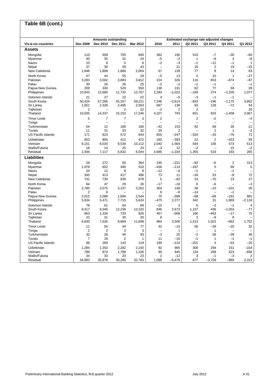#### **Vis-à-vis countries Dec 2009 Dec 2010 Dec 2011 Mar 2012 2010 2011 Q2 2011 Q3 2011 Q4 2011 Q1 2012 Assets** Mongolia 110 509 705 645 382 190 510 –7 –30 –60 Myanmar 40 35 31 24 –5 –2 1 –8 4 –8 Nauru 10 8 5 6 –2 –3 –1 –12 –1 1 Nepal 37 38 58 43 – 21 16 2 19 –15 New Caledonia 1,846 1,808 1,880 2,004 67 139 77 8 14 63 North Korea | 47 44 55 29 | –5 13 | 2 10 1 –27 Pakistan 3,283 3,562 3,883 3,812 224 326 116 653 –674 –87 Palau 30 28 26 25 –2 –2 –1 –1 – –1 Papua New Guinea | 209 330 520 550 136 191 62 77 59 28<br>Philippines | 10,943 12,660 11,732 12,767 2,283 -1,022 -169 274 -1,205 1,077 Philippines 10,943 12,660 11,732 12,767 2,283 –1,022 –169 274 –1,205 1,077 Solomon Islands 21 27 22 22 4 –5 –3 –1 –1 – South Korea 50,424 57,266 55,257 59,221 7,246 –2,614 –653 –196 –1,175 3,852 Sri Lanka 1,651 2,328 2,495 2,563 687 136 93 128 –72 54 Tajikistan 2 – 2 22 –2 2 2 – – 20 Thailand 10,005 14,337 15,153 17,246 4,227 793 601 833 –1,408 2,067 Timor Leste 5 7 7 3 | 2 —| 2 —2 — —4 Tonga – – – – – – – – – – – – – – – – – Turkmenistan 54 12 168 180 –42 153 62 69 26 21 Tuvalu 11 31 33 32 20 2 – 2 1 –2 US Pacific Islands 171 823 572 644 655 –247 –324 –33 –76 71 Uzbekistan 653 805 412 472 160 –393 22 2 –423 59 Vietnam 6,151 8,033 9,538 10,112 2,043 1,564 544 158 573 513 Wallis/Futuna 18 14 25 24 –3 12 –2 – 15 –2 Residual 2,394 7,117 5,832 6,044 4,685 –1,334 1,355 519 183 265 **Liabilities** Mongolia 28 272 50 364 245 –221 –92 –6 2 313 Myanmar 1,079 602 490 510 –436 –114 –187 5 66 5 Nauru 24 12 8 8 –12 –4 –1 – –1 – Nepal 345 413 417 496 73 11 –34 53 –8 72 New Caledonia 741 730 639 678 5 –82 24 –70 23 27 North Korea 64 47 29 26 | –17 –18 | 6 —6 — —3 Pakistan 2,785 3,075 3,197 3,262 304 148 38 –10 –101 26 Palau 2 8 – – 6 –8 –14 – –1 – Papua New Guinea 2,015 2,088 1,694 2,544 70 –399 –68 –68 –191 861 Philippines 5,934 5,471 7,715 5,624 –475 2,277 342 31 1,969 –2,118 Solomon Islands 78 61 64 69 –15 3 6 –3 –1 4 South Korea 8,417 9,346 12,236 12,220 846 2,673 1,157 436 –1,053 –77 Sri Lanka 863 1,334 733 826 467 –568 166 –463 –17 75 Tajikistan 22 31 30 30 8 – 2 –9 8 – Thailand 6,600 7,526 9,869 11,698 984 2,506 1,313 1,023 –662 1,702 Timor Leste 11 55 44 77 42 –10 56 –39 –20 32 Tonga 2 2 3 3 – 1 – 1 – – Turkmenistan 32 28 46 93 –3 20 –2 58 –39 46 Tuvalu 7 18 2 1 11 –16 –1 1 –1 –1 US Pacific Islands 86 269 143 119 190 –124 –201 4 –53 –25 Uzbekistan 1,284 1,353 2,282 2,150 92 965 308 294 151 –154 Vietnam 786 874 1,788 1,106 90 945 134 288 523 –694 Wallis/Futuna 34 33 20 23 2 –12 3 –1 –3 2 Residual 34,983 35,878 30,285 32,783 1,098 –5,478 677 –3,709 –969 2,313 **Table 6B (cont.) Amounts outstanding Estimated exchange rate adjusted changes**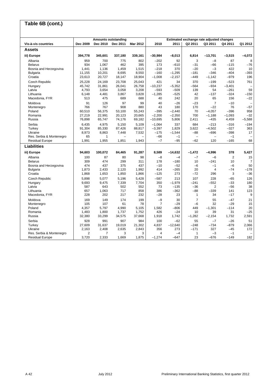| Table 6B (cont.)         |          |              |                                        |          |                |           |                                                     |                          |                |                          |
|--------------------------|----------|--------------|----------------------------------------|----------|----------------|-----------|-----------------------------------------------------|--------------------------|----------------|--------------------------|
|                          |          |              |                                        |          |                |           |                                                     |                          |                |                          |
| Vis-à-vis countries      | Dec 2009 | Dec 2010     | <b>Amounts outstanding</b><br>Dec 2011 | Mar 2012 | 2010           | 2011      | Estimated exchange rate adjusted changes<br>Q2 2011 | Q3 2011                  | Q4 2011        | Q1 2012                  |
|                          |          |              |                                        |          |                |           |                                                     |                          |                |                          |
| <b>Assets</b>            |          |              |                                        |          |                |           |                                                     |                          |                |                          |
| iii) Europe              | 394,778  | 345,601      | 337,180                                | 339,161  | $-30,984$      | $-8,013$  | 6,814                                               | $-13.701$                | $-3,515$       | $-4,072$                 |
| Albania                  | 959      | 700          | 775                                    | 802      | $-202$         | 92        | 3                                                   | $-8$                     | 87             | 8                        |
| <b>Belarus</b>           | 934      | 1.067        | 462                                    | 395      | 173            | $-610$    | $-31$                                               | $-66$                    | $-115$         | $-76$                    |
| Bosnia and Herzegovina   | 1,441    | 1,136        | 1,459                                  | 1,515    | $-218$         | 370       | $-20$                                               | $-3$                     | 422            | 10                       |
| <b>Bulgaria</b>          | 11,155   | 10,201       | 8,695                                  | 8,550    | $-160$         | $-1,295$  | $-181$                                              | $-346$                   | $-404$         | $-393$                   |
| Croatia                  | 23,613   | 20,727       | 18,147                                 | 18,904   | $-1,008$       | $-2,157$  | $-449$                                              | $-1,142$                 | $-979$         | 196                      |
| <b>Czech Republic</b>    | 25,228   | 24,169       | 23,708                                 | 25,043   | 421            | 34        | 370                                                 | $-199$                   | $-523$         | 761                      |
| Hungary                  | 45.742   | 31,861       | 26,041                                 | 26,758   | $-10,237$      | $-5,352$  | $-564$                                              | $-934$                   | $-3,401$       |                          |
| Latvia                   | 4,793    | 3,654        | 3,058                                  | 3,208    | $-593$         | $-509$    | 139                                                 | 54                       | $-261$         | 59                       |
| Lithuania                | 6,148    | 4,481        | 3,867                                  | 3,828    | $-1,285$       | $-525$    | 42                                                  | $-137$                   | $-324$         | $-150$                   |
| Macedonia, FYR           | 513      | 475          | 689                                    | 688      | 40             | 242       | 20                                                  | 65                       | 156            | $-22$                    |
| Moldova                  | 91       | 126          | 97                                     | 99       | 40             | $-26$     | $-23$                                               | $\overline{7}$           | $-10$          | $\qquad \qquad -$        |
| Montenegro               | 766      | 767          | 908                                    | 880      | 43             | 180       | 170                                                 | $-22$                    | 76             | $-57$                    |
| Poland                   | 60,510   | 56,375       | 53,100                                 | 55,243   | $-395$         | $-2,440$  | 70                                                  | $-4,057$                 | $-396$         | 958                      |
| Romania                  | 27,219   | 22,991       | 20,123                                 | 20,665   | $-2,200$       | $-2,350$  | 700                                                 | $-1,188$                 | $-1,093$       | $-32$                    |
| Russia                   | 76,898   | 65,747       | 74,176                                 | 69,182   | $-10,695$      | 5,806     | 2,411                                               | $-435$                   | 4,459          | $-5,588$                 |
| Serbia                   | 6,435    | 4,975        | 5,150                                  | 5,109    | $-1,064$       | 337       | 684                                                 | $-213$                   | $-316$         | $-194$                   |
| Turkey                   | 91,304   | 85,330       | 87,426                                 | 88,817   | $-3,397$       | 1,829     | 3,622                                               | $-4,502$                 | $-327$         | 363                      |
| Ukraine                  | 8,973    | 8,863        | 7,448                                  | 7,532    | $-175$         | $-1,544$  | $-88$                                               | $-696$                   | $-398$         | 17                       |
| Res. Serbia & Montenegro | 65       | $\mathbf{1}$ |                                        |          | $-66$<br>$-7$  | $-1$      | $\equiv$                                            | $\overline{\phantom{0}}$ | $-1$           | $\qquad \qquad -$        |
| <b>Residual Europe</b>   | 1,991    | 1,955        | 1.851                                  | 1,943    |                | $-95$     | $-62$                                               | 120                      | $-165$         | 68                       |
| <b>Liabilities</b>       |          |              |                                        |          |                |           |                                                     |                          |                |                          |
| iii) Europe              | 94,603   | 100,072      | 84,465                                 | 91,287   | 8,589          | $-14,632$ | $-1,472$                                            | -4,996                   | 378            | 5,427                    |
| Albania                  | 100      | 87           | 80                                     | 98       | $-8$           | $-4$      | $-7$                                                | $-6$                     | $\overline{2}$ | 15                       |
| <b>Belarus</b>           | 309      | 474          | 299                                    | 311      | 178            | $-180$    | 10 <sup>1</sup>                                     | $-241$                   | 10             | $\overline{7}$           |
| Bosnia and Herzegovina   | 474      | 437          | 375                                    | 437      | $-10$          | $-52$     | $-6$                                                | $-1$                     | $-6$           | 50                       |
| <b>Bulgaria</b>          | 1,873    | 2,433        | 2,120                                  | 1,992    | 414            | $-265$    | 20                                                  | 4                        | $-74$          | $-178$                   |
| Croatia                  | 1,868    | 1,653        | 1,850                                  | 1,866    | $-125$         | 273       | $-72$                                               | 296                      | 3              | $-36$                    |
| <b>Czech Republic</b>    | 5,898    | 5,077        | 5,196                                  | 5,428    | $-587$         | 213       | 107                                                 | 228                      | $-65$          | 126                      |
| Hungary                  | 9,693    | 9,475        | 7,339                                  | 7,704    | 350            | $-1,979$  | $-241$                                              | $-552$                   | $-33$          | 180                      |
| Latvia                   | 587      | 643          | 502                                    | 552      | 73             | $-135$    | $-36$                                               | $\overline{2}$           | $-56$          | 38                       |
| Lithuania                | 657      | 1,063        | 717                                    | 858      | 386            | $-362$    | $-88$                                               | $-339$                   | 141            | 123                      |
| Macedonia, FYR           | 228      | 202          | 217                                    | 232      | $-28$          | 23        | $\mathbf{1}$                                        | 34                       | $-17$          | 9                        |
| Moldova                  | 169      | 149          | 174                                    | 199      | $-9$           | 30        | $\overline{7}$                                      | 55                       | $-47$          | 21                       |
| Montenegro               | 105      | 107          | 61                                     | 78       | $\overline{7}$ | $-29$     | $-6$                                                | 32                       | $-29$          | 15                       |
| Poland                   | 4,357    | 5,797        | 4,990                                  | 5,105    | 1,582          | $-806$    | 449                                                 | $-1,301$                 | $-114$         | 20                       |
| Romania                  | 1,483    | 1,800        | 1,737                                  | 1,752    | 426            | $-24$     | 10                                                  | 39                       | 31             | $-25$                    |
| Russia                   | 32,380   | 33,299       | 34,575                                 | 37,668   | 1,918          | 1,742     | $-1,282$                                            | $-2,154$                 | 1,732          | 2,591                    |
| Serbia                   | 928      | 991          | 907                                    | 984      | 100            | $-62$     | 55                                                  | $-7$                     | $-26$          | 51                       |
| Turkey                   | 27,609   | 31,637       | 19.019                                 | 21,302   | 4,837          | $-12,640$ | $-248$                                              | $-734$                   | $-879$         | 2,066                    |
| Ukraine                  | 2,163    | 2,408        | 2,635                                  | 2,843    | 356            | 273       | $-171$                                              | 327                      | $-45$          | 172                      |
| Res. Serbia & Montenegro | 2        | 7            | 3                                      | 3        | 4              | $-4$      | $\mathbf{1}$                                        | $-3$                     | $-1$           | $\overline{\phantom{0}}$ |
| <b>Residual Europe</b>   | 3,720    | 2,333        | 1,669                                  | 1,875    | $-1,274$       | $-647$    | 23                                                  | $-676$                   | $-149$         | 182                      |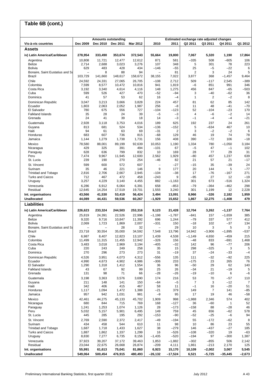# **Table 6B (cont.)**

| Vis-à-vis countries                      | Dec 2009                 | <b>Amounts outstanding</b><br>Dec 2010 | Dec 2011          | Mar 2012          | 2010                          | 2011                | Q2 2011         | Estimated exchange rate adjusted changes<br>Q3 2011 | Q4 2011            | Q1 2012           |
|------------------------------------------|--------------------------|----------------------------------------|-------------------|-------------------|-------------------------------|---------------------|-----------------|-----------------------------------------------------|--------------------|-------------------|
| <b>Assets</b>                            |                          |                                        |                   |                   |                               |                     |                 |                                                     |                    |                   |
| iv) Latin America/Caribbean              | 278,954                  | 333,490                                | 353,674           | 372,543           | 55,664                        | 19,800              | 7,067           | 5,320                                               | 1,190              | 17,864            |
| Argentina                                | 10,808                   | 11,721                                 | 12,477            | 12,612            | 871                           | 581                 | $-335$          | 508                                                 | $-605$             | 106               |
| <b>Belize</b>                            | 2,714                    | 2,688                                  | 3,023             | 3,276             | 107                           | 348                 | 5               | 301                                                 | 78                 | 223               |
| <b>Bolivia</b>                           | 629                      | 483                                    | 428               | 434               | $-146$                        | $-55$               | 25              | $-5$                                                | $-22$              | 6                 |
| Bonaire, Saint Eustatius and Sa          |                          | 8                                      | 88                | 94                | $\overline{\phantom{0}}$      | 81                  | $\overline{2}$  | 3                                                   | 24                 | 5                 |
| Brazil                                   | 103,729                  | 141,660                                | 148,617           | 158,672           | 38,155                        | 7,022               | 3,877           | 368                                                 | $-1,457$           | 9,464             |
| Chile<br>Colombia                        | 24,592<br>7,599          | 24,331<br>8,577                        | 27.065<br>10,472  | 26,705<br>10,816  | $-108$<br>941                 | 2,712<br>1,819      | 509<br>$-6$     | $-117$<br>851                                       | 2,545<br>991       | $-389$<br>346     |
| Costa Rica                               | 3,192                    | 3,340                                  | 4,614             | 4,116             | 148                           | 1,275               | 456             | 847                                                 | $-65$              | -503              |
| Cuba                                     | 599                      | 526                                    | 427               | 470               | $-52$                         | $-94$               | 3               | $-40$                                               | $-62$              | 36                |
| Dominica                                 | 41                       | 57                                     | 53                | 62                | 16                            | $-4$                | 1               | 2                                                   | $-2$               | 8                 |
| Dominican Republic                       | 3,047                    | 3,213                                  | 3,666             | 3,828             | 224                           | 457                 | 81              | 62                                                  | 85                 | 142               |
| Ecuador<br>El Salvador                   | 1,803<br>780             | 2,063<br>675                           | 2,052<br>556      | 1,987<br>727      | 256<br>$-104$                 | $-8$<br>$-123$      | 11<br>52        | 48<br>$-104$                                        | $-41$<br>$-23$     | $-70$<br>170      |
| <b>Falkland Islands</b>                  | 35                       | 28                                     | 24                | 39                | $-5$                          | $-3$                | 4               | $-6$                                                | $-2$               | 14                |
| Grenada                                  | 24                       | 41                                     | 39                | 18                | 14                            | $-3$                | $-1$            | $-4$                                                | $-4$               | $-21$             |
| Guatemala                                | 2,928                    | 3,118                                  | 3,753             | 4,016             | 189                           | 625                 | 192             | 237                                                 | 24                 | 261               |
| Guyana                                   | 813                      | 681                                    | 524               | 534               | $-136$                        | $-152$              | 5               | $-634$                                              | 467                | 10                |
| Haiti                                    | 94                       | 61                                     | 63                | 69                | $-31$                         | 2                   | 3               | $-2$                                                | $-2$               | 6                 |
| Honduras<br>Jamaica                      | 683<br>1,144             | 607<br>1,279                           | 736<br>1,738      | 815<br>1,731      | $-68$<br>156                  | 129<br>408          | 46<br>390       | 19<br>$-72$                                         | 74<br>106          | 78<br>$-18$       |
| Mexico                                   | 78,580                   | 88,001                                 | 89,199            | 92,639            | 10,053                        | 1,190               | 1,334           | 780                                                 | $-1,050$           | 3,184             |
| Nicaragua                                | 429                      | 325                                    | 391               | 494               | $-101$                        | 67                  | $-5$            | 47                                                  | $-1$               | 102               |
| Paraguay                                 | 628                      | 636                                    | 799               | 832               | 10                            | 169                 | 28              | 77                                                  | 29                 | 31                |
| Peru                                     | 7,474                    | 9,967                                  | 11,945            | 12,600            | 2,562                         | 1,929               | -80             | 457                                                 | 1,237              | 639               |
| St. Lucia                                | 239                      | 190                                    | 270               | 254               | $-46$                         | 82                  | 21              | 57                                                  | 21                 | $-17$             |
| St. Vincent<br>Surinam                   | 599<br>35                | 600<br>46                              | 572<br>221        | 607<br>146        | $\overline{\phantom{m}}$<br>9 | $-27$<br>177        | $-15$<br>20     | 35<br>144                                           | $-39$<br>5         | 24<br>$-77$       |
| <b>Trinidad and Tobago</b>               | 2,816                    | 2,706                                  | 2,667             | 2,945             | $-104$                        | $-38$               | 17              | $-76$                                               | $-167$             | 271               |
| <b>Turks and Caicos</b>                  | 712                      | 467                                    | 472               | 458               | $-243$                        | 9                   | $-95$           | 27                                                  | 12                 | $-19$             |
| Uruguay                                  | 3,257                    | 4,229                                  | 3,140             | 4,455             | 882                           | $-1,163$            | 301             | 673                                                 | $-516$             | 1,324             |
| Venezuela                                | 6,286                    | 6,912                                  | 6,064             | 6,391             | 658                           | $-853$              | $-79$           | $-364$                                              | $-462$             | 298               |
| Residual                                 | 12,645                   | 14,254                                 | 17,519            | 19,701            | 1,555                         | 3,240               | 301             | 1,199                                               | 12                 | 2,228             |
| Int. organisations<br><b>Unallocated</b> | 43,566<br>44,089         | 41,530<br>44,431                       | 53,419<br>59,536  | 56,424<br>60,267  | 3,494<br>-1,929               | 13,091<br>15,652    | 8,966<br>1,867  | $-326$<br>12,275                                    | 2,182<br>$-1,408$  | 1,959<br>479      |
| <b>Liabilities</b>                       |                          |                                        |                   |                   |                               |                     |                 |                                                     |                    |                   |
|                                          |                          |                                        |                   |                   |                               |                     |                 |                                                     |                    |                   |
| iv) Latin America/Caribbean              | 226,623                  | 233,324                                | 244,503           | 253,316           | 9,123                         | 21,428              | 12,704          | 3,262                                               | $-1,137$           | 7,764             |
| Argentina<br><b>Belize</b>               | 25,819<br>9,320          | 24,391<br>9,716                        | 22,526<br>10,847  | 22,996<br>11,392  | $-1,198$<br>696               | $-1,787$<br>1,244   | $-841$<br>$-79$ | 157<br>337                                          | $-1,659$<br>577    | 385<br>412        |
| Bolivia                                  | 2,069                    | 1,723                                  | 1,869             | 2,007             | $-331$                        | 150                 | $-18$           | 102                                                 | $-37$              | 134               |
| Bonaire, Saint Eustatius and Sa          | $\overline{\phantom{0}}$ |                                        | 28                | 32                | $\qquad \qquad -$             | 29                  | 10              | 3                                                   | 5                  | 3                 |
| <b>Brazil</b>                            | 23,718                   | 30,554                                 | 35,000            | 34,592            | 7,548                         | 13,796              | 14,942          | $-3,906$                                            | $-1,895$           | -537              |
| Chile                                    | 6,987                    | 8,407                                  | 12,823            | 13,107            | 1,439                         | 4,538               | $-1,149$        | 4,650                                               | $-459$             | 215               |
| Colombia<br>Costa Rica                   | 11,499<br>3,483          | 11,315<br>3,018                        | 11,455<br>2,969   | 12,942<br>3,194   | $-326$<br>$-405$              | 156<br>$-32$        | $-48$<br>142    | 833<br>96                                           | -691<br>$-77$      | 1,468<br>206      |
| Cuba                                     | 220                      | 243                                    | 249               | 258               | 35                            | 15                  | 298             | -325                                                | 3                  | 5                 |
| Dominica                                 | 270                      | 296                                    | 273               | 273               | 31                            | $-19$               | 37              | $-24$                                               | $-33$              | $-4$              |
| Dominican Republic                       | 4,526                    | 3,951                                  | 4,073             | 4,312             | $-556$                        | 135                 | 111             | $-32$                                               | $-92$              | 225               |
| Ecuador                                  | 4,990                    | 4,673                                  | 4,902             | 4,986             | $-306$                        | 233                 | $-175$          | 23                                                  | 265                | 76                |
| El Salvador<br><b>Falkland Islands</b>   | 1,290<br>43              | 1,318<br>67                            | 1,412<br>92       | 1,554<br>99       | 36<br>25                      | 96<br>26            | $-50$<br>$-34$  | 29<br>21                                            | 62<br>$-19$        | 140<br>5          |
| Grenada                                  | 131                      | 98                                     | 71                | 66                | $-28$                         | -26                 | $-19$           | $-10$                                               | 6                  | $-6$              |
| Guatemala                                | 3,198                    | 3,363                                  | 3,576             | 3,690             | 174                           | 216                 | 53              | 70                                                  | $-57$              | 110               |
| Guyana                                   | 211                      | 148                                    | 141               | 150               | $-64$                         | $-5$                | $\overline{7}$  | 3                                                   | $-12$              | 7                 |
| Haiti                                    | 342                      | 406                                    | 415               | 467               | 58                            | 11                  | $-1$            | 16                                                  | $-20$              | 51                |
| Honduras<br>Jamaica                      | 1,117<br>957             | 1,094<br>942                           | 1,472<br>1,031    | 1,388<br>981      | $-21$<br>$-9$                 | 379<br>95           | 149<br>17       | 7<br>19                                             | 141<br>46          | -85<br>$-58$      |
| Mexico                                   | 42,461                   | 44,275                                 | 45,133            | 45,702            | 1,909                         | 998                 | $-1,988$        | 2,346                                               | 574                | 402               |
| Nicaragua                                | 680                      | 844                                    | 715               | 769               | 168                           | $-127$              | 36              | $-60$                                               | $\mathbf{1}$       | 52                |
| Paraguay                                 | 1,241                    | 1,253                                  | 1,074             | 1,126             | 28                            | $-173$              | $-158$          | 88                                                  | $-28$              | 46                |
| Peru                                     | 5,032                    | 5,157                                  | 5,901             | 6,495             | 149                           | 759                 | 45              | 656                                                 | $-62$              | 578               |
| St. Lucia                                | 445                      | 285                                    | 195               | 292               | $-153$                        | $-90$               | -52             | $-25$                                               | $-6$               | 94                |
| St. Vincent<br>Surinam                   | 2,769<br>434             | 2,590<br>458                           | 2,372<br>544      | 2,417<br>610      | $-49$<br>11                   | $-194$<br>98        | 55<br>10        | $-172$<br>86                                        | $-62$<br>23        | 8<br>55           |
| <b>Trinidad and Tobago</b>               | 1,687                    | 1,718                                  | 1,433             | 1,627             | 38                            | $-279$              | 146             | $-437$                                              | $-27$              | 185               |
| <b>Turks and Caicos</b>                  | 1,887                    | 1,862                                  | 1,337             | 1,299             | 16                            | $-526$              | $-108$          | $-320$                                              | 19                 | $-63$             |
| Uruguay                                  | 8,830                    | 7,277                                  | 6,735             | 8,156             | $-1,435$                      | $-520$              | $-194$          | 97                                                  | $-300$             | 1,387             |
| Venezuela                                | 37,923                   | 39,207                                 | 37,172            | 39,463            | 1,853                         | $-1,882$            | $-302$          | $-855$                                              | 506                | 2,142             |
| Residual                                 | 23,044                   | 22,675                                 | 26,668            | 26,874            | $-209$                        | 4,111               | 1,861           | $-213$                                              | 2,170              | 125               |
| Int. organisations<br><b>Unallocated</b> | 55,991<br>549,064        | 61,613<br>500,454                      | 75,041<br>476,915 | 81,860<br>480,493 | 6,923<br>-26,132              | 15,170<br>$-17,524$ | 10,109<br>6,521 | $-2,002$<br>$-5,725$                                | 3,067<br>$-35,445$ | 5,545<br>$-2,673$ |
|                                          |                          |                                        |                   |                   |                               |                     |                 |                                                     |                    |                   |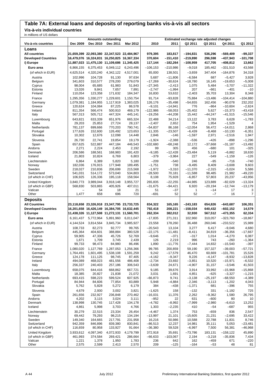### **Table 7A: External loans and deposits of reporting banks vis-à-vis all sectors**

**Vis-à-vis individual countries**

| <b>Amounts outstanding</b><br>Estimated exchange rate adjusted changes<br>Dec 2009<br>Dec 2010<br>Dec 2011<br>2010<br>2011<br>Q2 2011<br>Q3 2011<br>Q1 2012<br>Vis-à-vis countries<br>Mar 2012<br>Q4 2011<br>Loans<br>$-99,337$<br><b>All countries</b><br>21,659,399 22,093,380 22,347,523 22,484,967<br>979,395<br>183,817<br>$-194,831$<br>536,296<br>$-569,409$<br>$-219,890$<br>$-437,943$<br><b>Developed Countries</b><br>16,479,076 16,324,831 16,250,825 16,367,334<br>370.604<br>-151,410<br>296,598<br>$-101,708$<br>11,887,023 11,475,130 11,109,686 11,345,425<br>$-408,812$<br>i) Europe<br>117,144<br>$-182,264$<br>$-108,959$<br>417,705<br>13,662<br>Euro area<br>6,866,155<br>6,375,453<br>6,049,112<br>6,243,496<br>$-106, 153$<br>$-210,986$<br>$-9,018$<br>185,462<br>$-331,510$<br>43,568<br>34,318<br>(of which in EUR)<br>4,625,514<br>4,320,240<br>4,342,122<br>4,517,001<br>65,000<br>138,501<br>$-3,659$<br>347,404<br>$-164,876$<br>97,634<br>$-11,806$<br>$-6,584$<br>687<br>3,928<br>Austria<br>102,996<br>104,728<br>91,130<br>5,687<br>$-5,427$<br>Belgium<br>341,603<br>310,577<br>278,200<br>279,079<br>$-17,269$<br>$-30,624$<br>$-18,780$<br>16,145<br>$-19,653$<br>$-5,008$<br>Cyprus<br>98,004<br>61,983<br>51,843<br>$-27,345$<br>$-2,413$<br>1,075<br>5,484<br>$-3,707$<br>$-11,322$<br>65,685<br>$-1,994$<br>207<br>Estonia<br>13,026<br>9,841<br>7,657<br>7,891<br>$-2,747$<br>$-661$<br>$-401$<br>$-10$<br>13,304<br>8,348<br>Finland<br>110,054<br>123,358<br>171,632<br>184,347<br>16,830<br>53,632<br>$-2,403$<br>35,703<br>1,330,277<br>91,714<br>$-93,828$<br>75,884<br>$-104,414$<br>$-104,880$<br>France<br>1,295,356<br>1,229,601<br>1,150,754<br>$-13.486$<br>Germany<br>1,079,381<br>1,184,955<br>1,117,919<br>1,383,025<br>126,176<br>$-35,498$<br>$-54,655$<br>162,456<br>$-90,078$<br>232,202<br>Greece<br>104,084<br>$-9,101$<br>$-14,941$<br>776<br>$-864$<br>$-10,604$<br>$-2,624$<br>120,624<br>87,225<br>86,578<br>$-58,053$<br>$-25,402$<br>$-43,418$<br>Ireland<br>811,354<br>566,474<br>500,910<br>469,179<br>$-122,986$<br>5,627<br>$-15,373$<br>567,313<br>505,712<br>447,324<br>445,141<br>$-19,256$<br>$-44,208$<br>15,442<br>$-44,247$<br>$-41,515$<br>$-15,546$<br>Italy<br>643,821<br>633,339<br>651,976<br>665,324<br>22,488<br>34,214<br>13,122<br>3,783<br>6,628<br>$-1,783$<br>Luxembourg<br>754<br>Malta<br>29,203<br>25,853<br>27,724<br>28,137<br>$-2,407$<br>2,652<br>1,954<br>$-1,529$<br>Netherlands<br>781,137<br>699,666<br>770,203<br>790,741<br>$-54,837$<br>86,168<br>$-12,054$<br>56,472<br>$-14,011$<br>2,868<br>Portugal<br>177,626<br>152,600<br>126,492<br>123,653<br>$-11,335$<br>$-23,507$<br>$-6,439$<br>$-8,468$<br>$-10,130$<br>$-6,351$<br>1,947<br>Slovakia<br>10,302<br>12,676<br>12,098<br>14,448<br>2,846<br>$-146$<br>$-1,597$<br>2,971<br>$-2,516$<br>26,730<br>22,741<br>19,854<br>$-1,924$<br>$-2,388$<br>$-536$<br>$-426$<br>$-898$<br>$-1,296$<br>Slovenia<br>19,179<br>446,543<br>Spain<br>657,625<br>522,887<br>447,184<br>$-102,680$<br>$-68,248$<br>12.172<br>$-37,668$<br>$-31,187$<br>$-13,492$<br>Andorra<br>2,271<br>2,224<br>2,453<br>2,192<br>99<br>305<br>456<br>$-680$<br>101<br>$-325$<br>Denmark<br>206,586<br>188,561<br>168,983<br>191,420<br>$-9,185$<br>$-12,428$<br>$-23,484$<br>5,119<br>$-6,882$<br>18,630<br>227<br>Iceland<br>21,803<br>10,824<br>6,769<br>6,803<br>$-379$<br>$-3,984$<br>$-549$<br>$-1,159$<br>-126<br>6,389<br>5,820<br>5,180<br>$-209$<br>$-540$<br>$-95$<br>$-716$<br>$-740$<br>Liechtenstein<br>6,864<br>246<br>176,915<br>177,948<br>$-1,751$<br>738<br>$-9,495$<br>8,409<br>$-3.608$<br>9,603<br>182,036<br>189,495<br>Norway<br>$-1,972$<br>$-11,370$<br>5,586<br>Sweden<br>218,027<br>210,836<br>206,699<br>215,568<br>$-3,310$<br>$-2,315$<br>$-5,024$<br>Switzerland<br>541,031<br>514,172<br>573,040<br>534,803<br>$-28,500$<br>70,181<br>$-11,588$<br>98,485<br>21,982<br>$-49,220$<br>(of which in CHF)<br>106,925<br>195,118<br>158,564<br>8,108<br>75,928<br>$-6,857$<br>57,803<br>20,237<br>$-43,956$<br>126,336<br>3,840,773<br>265,835<br>$-22,255$<br>$-82,029$<br>$-13,324$<br>United Kingdom<br>3,989,044<br>3,918,148<br>3,955,727<br>$-44,985$<br>123,889<br>6,920<br>(of which in GBP)<br>568,830<br>503,865<br>405,926<br>407,011<br>$-31,675$<br>$-94,421$<br>$-20,194$<br>$-12,744$<br>$-13,179$<br>Vatican<br>54<br>21<br>51<br>$-37$<br>1<br>$-14$<br>17<br>3<br>18<br>$\overline{7}$<br>Other<br>1,477<br>658<br>696<br>720<br>-691<br>52<br>52<br>$-7$<br>16<br><b>Deposits</b><br>834,322<br>165,165<br>$-243,183$<br>$-643,687$<br>106,351<br><b>All Countries</b><br>23,118,658 23,326,918 23,347,795 23,733,725<br>654,826<br>16,201,658 16,426,149 16,384,705 16,632,445<br>792,418<br>$-158,034$<br>640,432<br>$-602,152$<br>14,579<br><b>Developed Countries</b><br>208,221<br>11,438,326 11,127,508 11,272,131 11,560,701<br>$-473,355$<br>62,334<br>i) Europe<br>262,334<br>382,012<br>32,930<br>567,512<br>5,772,964<br>$-17,835$<br>$-323,760$<br>$-18,867$<br>Euro area<br>6,161,437<br>5,891,960<br>6,011,047<br>271,311<br>102,960<br>310,057<br>(of which in EUR)<br>4,144,524<br>3,814,564<br>3,845,734<br>3,985,927<br>23,558<br>178,260<br>36,488<br>260,046<br>$-233,522$<br>15,989<br>Austria<br>108,733<br>82,273<br>92,777<br>99,765<br>$-20,543$<br>13,104<br>3,277<br>6,417<br>$-9,046$<br>4,680<br>$-17,667$<br>Belgium<br>445,364<br>404,601<br>388,884<br>380,528<br>$-22,175$<br>$-11,481$<br>$-8,411$<br>34,819<br>$-36,356$<br>$-9,646$<br>$-371$<br>$-317$<br>$-4,270$<br>6,087<br>59.905<br>47,336<br>45,726<br>52,769<br>1,014<br>Cyprus<br>1,671<br>1,709<br>2,439<br>126<br>2,219<br>996<br>743<br>$-260$<br>$-1,364$<br>Estonia<br>3,745<br>Finland<br>99,733<br>98,473<br>84,980<br>86,496<br>1,890<br>$-11,776$<br>$-7,444$<br>14,832<br>$-15,540$<br>-397<br>1,080,020<br>1,127,769<br>99,785<br>200,859<br>$-39,003$<br>$-57,721$<br>France<br>1,287,053<br>1,256,366<br>59,190<br>157,327<br>1,538,108<br>1,591,259<br>9,242<br>$-17,579$<br>46,470<br>15,526<br>1,764,491<br>1,601,495<br>60,669<br>$-101,781$<br>Germany<br>111,125<br>124,178<br>98,745<br>87,405<br>$-4,162$<br>$-9,347$<br>9,226<br>$-4,147$<br>$-8,932$<br>$-13,828$<br>Greece<br>Ireland<br>494,089<br>468,023<br>481,556<br>486,408<br>$-2,734$<br>23,692<br>$-3,851$<br>10,520<br>$-15,971$<br>$-6,532$<br>256,337<br>240,403<br>257,186<br>306,543<br>$-3,639$<br>24,671<br>$-4,907$<br>$-3,546$<br>41,503<br>Italy<br>31,157<br>Luxembourg<br>658,075<br>644.416<br>668,862<br>667,721<br>9,185<br>39,676<br>3,914<br>33,992<br>$-15,968$<br>$-15,868$<br>$-625$<br>Malta<br>18,385<br>20,827<br>21,838<br>21,072<br>3,031<br>1,691<br>4,851<br>$-3,327$<br>$-1,215$<br>Netherlands<br>693,415<br>598,223<br>599,524<br>607,925<br>$-66,873$<br>9,741<br>$-3,138$<br>$-25,197$<br>$-68,550$<br>$-4,389$<br>Portugal<br>84,944<br>84,606<br>77,854<br>83,889<br>5,948<br>$-4,884$<br>2,346<br>$-3,113$<br>$-1,202$<br>4,043<br>$-396$<br>Slovakia<br>5,762<br>5,828<br>5,272<br>6,179<br>384<br>$-438$<br>$-1,371$<br>681<br>755<br>2,930<br>3,002<br>331<br>725<br>Slovenia<br>4,679<br>3,821<br>$-1,625$<br>158<br>$-132$<br>$-1,192$<br>26,795<br>Spain<br>261,656<br>232,927<br>236,848<br>270,462<br>$-16,031$<br>11,376<br>2,262<br>$-9,362$<br>1,580<br>Andorra<br>4,202<br>3,115<br>3,024<br>3,111<br>$-952$<br>631<br>$-600$<br>80<br>22<br>10<br>$-7,999$<br>Denmark<br>138,998<br>130,745<br>117,428<br>134,178<br>$-4,782$<br>$-8,992$<br>$-2,980$<br>$-6,610$<br>13,252<br>Iceland<br>4,861<br>5,998<br>3,703<br>1,303<br>$-2,235$<br>410<br>-54<br>$-687$<br>955<br>4,766<br>26,454<br>$-4,467$<br>1,374<br>753<br>$-659$<br>836<br>2,547<br>Liechtenstein<br>30,279<br>22,515<br>23,334<br>79,293<br>98,215<br>134,194<br>$-13,997$<br>$-15,605$<br>Norway<br>69,442<br>21,101<br>21,231<br>$-2,695$<br>33,422<br>8,746<br>Sweden<br>149,340<br>164,665<br>217,791<br>231,958<br>16,216<br>50,986<br>10,588<br>22,788<br>11,831<br>Switzerland<br>942,359<br>846,896<br>839,380<br>830,841<br>$-86,513$<br>12,237<br>14,981<br>35,111<br>5,053<br>$-23,481$<br>(of which in CHF)<br>116,659<br>80,958<br>133,927<br>91,664<br>$-36,380$<br>59,528<br>$-6,997$<br>7,500<br>56,381<br>$-46,968$<br>4,097,340<br>4,072,933<br>4,179,799<br>372,918<br>35,691<br>$-73,786$<br>$-158, 122$<br>45,890<br>United Kingdom<br>3,933,612<br>183,131<br>(of which in GBP)<br>461,993<br>374,584<br>269,421<br>286,664<br>$-66,633$<br>$-103,067$<br>2,194<br>$-3,218$<br>$-35,836$<br>7,434<br>Vatican<br>1,221<br>1,378<br>1,950<br>1,783<br>236<br>642<br>162<br>$-459$<br>671<br>$-220$<br>Other<br>2,575<br>2,413<br>2,570<br>209<br>$-125$<br>$-164$<br>$-53$<br>81<br>2,599<br>48 | in millions of US dollars |  |  |  |  |  |
|--------------------------------------------------------------------------------------------------------------------------------------------------------------------------------------------------------------------------------------------------------------------------------------------------------------------------------------------------------------------------------------------------------------------------------------------------------------------------------------------------------------------------------------------------------------------------------------------------------------------------------------------------------------------------------------------------------------------------------------------------------------------------------------------------------------------------------------------------------------------------------------------------------------------------------------------------------------------------------------------------------------------------------------------------------------------------------------------------------------------------------------------------------------------------------------------------------------------------------------------------------------------------------------------------------------------------------------------------------------------------------------------------------------------------------------------------------------------------------------------------------------------------------------------------------------------------------------------------------------------------------------------------------------------------------------------------------------------------------------------------------------------------------------------------------------------------------------------------------------------------------------------------------------------------------------------------------------------------------------------------------------------------------------------------------------------------------------------------------------------------------------------------------------------------------------------------------------------------------------------------------------------------------------------------------------------------------------------------------------------------------------------------------------------------------------------------------------------------------------------------------------------------------------------------------------------------------------------------------------------------------------------------------------------------------------------------------------------------------------------------------------------------------------------------------------------------------------------------------------------------------------------------------------------------------------------------------------------------------------------------------------------------------------------------------------------------------------------------------------------------------------------------------------------------------------------------------------------------------------------------------------------------------------------------------------------------------------------------------------------------------------------------------------------------------------------------------------------------------------------------------------------------------------------------------------------------------------------------------------------------------------------------------------------------------------------------------------------------------------------------------------------------------------------------------------------------------------------------------------------------------------------------------------------------------------------------------------------------------------------------------------------------------------------------------------------------------------------------------------------------------------------------------------------------------------------------------------------------------------------------------------------------------------------------------------------------------------------------------------------------------------------------------------------------------------------------------------------------------------------------------------------------------------------------------------------------------------------------------------------------------------------------------------------------------------------------------------------------------------------------------------------------------------------------------------------------------------------------------------------------------------------------------------------------------------------------------------------------------------------------------------------------------------------------------------------------------------------------------------------------------------------------------------------------------------------------------------------------------------------------------------------------------------------------------------------------------------------------------------------------------------------------------------------------------------------------------------------------------------------------------------------------------------------------------------------------------------------------------------------------------------------------------------------------------------------------------------------------------------------------------------------------------------------------------------------------------------------------------------------------------------------------------------------------------------------------------------------------------------------------------------------------------------------------------------------------------------------------------------------------------------------------------------------------------------------------------------------------------------------------------------------------------------------------------------------------------------------------------------------------------------------------------------------------------------------------------------------------------------------------------------------------------------------------------------------------------------------------------------------------------------------------------------------------------------------------------------------------------------------------------------------------------------------------------------------------------------------------------------------------------------------------------------------------------------------------------------------------------------------------------------------------------------------------------------------------------------------------------------------------------------------------------------------------------------------------------------------------------------------------------------------------------------------------------------------------------------------------------------------------------------------------------------------------------------------------------------------------------------------------------------------------------------------------------------------------------------------------------------------------------------------------------------------------------------------------------------------------------------------------------------------------------------------------------------------------------------------------------------------------------------------------------------------------------------------------------------------------------------------------------------------------------------------------------------------------------------------------------------------------------------------------------------------------------------------------------------------------------------------------------------------------------------------------------------------------------------------------------------------------------------------------------------------------------------------------------------------------------------------------------------------------------------------------------------------------------------------------------------------------------------------------------------------------------------------------------------------------------------------------------------------------------------------------|---------------------------|--|--|--|--|--|
|                                                                                                                                                                                                                                                                                                                                                                                                                                                                                                                                                                                                                                                                                                                                                                                                                                                                                                                                                                                                                                                                                                                                                                                                                                                                                                                                                                                                                                                                                                                                                                                                                                                                                                                                                                                                                                                                                                                                                                                                                                                                                                                                                                                                                                                                                                                                                                                                                                                                                                                                                                                                                                                                                                                                                                                                                                                                                                                                                                                                                                                                                                                                                                                                                                                                                                                                                                                                                                                                                                                                                                                                                                                                                                                                                                                                                                                                                                                                                                                                                                                                                                                                                                                                                                                                                                                                                                                                                                                                                                                                                                                                                                                                                                                                                                                                                                                                                                                                                                                                                                                                                                                                                                                                                                                                                                                                                                                                                                                                                                                                                                                                                                                                                                                                                                                                                                                                                                                                                                                                                                                                                                                                                                                                                                                                                                                                                                                                                                                                                                                                                                                                                                                                                                                                                                                                                                                                                                                                                                                                                                                                                                                                                                                                                                                                                                                                                                                                                                                                                                                                                                                                                                                                                                                                                                                                                                                                                                                                                                                                                                                                                                                                                                                                                                                                                                                                                                                                                                                                                                                                                                                                                                                                                                                                                                                                  |                           |  |  |  |  |  |
|                                                                                                                                                                                                                                                                                                                                                                                                                                                                                                                                                                                                                                                                                                                                                                                                                                                                                                                                                                                                                                                                                                                                                                                                                                                                                                                                                                                                                                                                                                                                                                                                                                                                                                                                                                                                                                                                                                                                                                                                                                                                                                                                                                                                                                                                                                                                                                                                                                                                                                                                                                                                                                                                                                                                                                                                                                                                                                                                                                                                                                                                                                                                                                                                                                                                                                                                                                                                                                                                                                                                                                                                                                                                                                                                                                                                                                                                                                                                                                                                                                                                                                                                                                                                                                                                                                                                                                                                                                                                                                                                                                                                                                                                                                                                                                                                                                                                                                                                                                                                                                                                                                                                                                                                                                                                                                                                                                                                                                                                                                                                                                                                                                                                                                                                                                                                                                                                                                                                                                                                                                                                                                                                                                                                                                                                                                                                                                                                                                                                                                                                                                                                                                                                                                                                                                                                                                                                                                                                                                                                                                                                                                                                                                                                                                                                                                                                                                                                                                                                                                                                                                                                                                                                                                                                                                                                                                                                                                                                                                                                                                                                                                                                                                                                                                                                                                                                                                                                                                                                                                                                                                                                                                                                                                                                                                                                  |                           |  |  |  |  |  |
|                                                                                                                                                                                                                                                                                                                                                                                                                                                                                                                                                                                                                                                                                                                                                                                                                                                                                                                                                                                                                                                                                                                                                                                                                                                                                                                                                                                                                                                                                                                                                                                                                                                                                                                                                                                                                                                                                                                                                                                                                                                                                                                                                                                                                                                                                                                                                                                                                                                                                                                                                                                                                                                                                                                                                                                                                                                                                                                                                                                                                                                                                                                                                                                                                                                                                                                                                                                                                                                                                                                                                                                                                                                                                                                                                                                                                                                                                                                                                                                                                                                                                                                                                                                                                                                                                                                                                                                                                                                                                                                                                                                                                                                                                                                                                                                                                                                                                                                                                                                                                                                                                                                                                                                                                                                                                                                                                                                                                                                                                                                                                                                                                                                                                                                                                                                                                                                                                                                                                                                                                                                                                                                                                                                                                                                                                                                                                                                                                                                                                                                                                                                                                                                                                                                                                                                                                                                                                                                                                                                                                                                                                                                                                                                                                                                                                                                                                                                                                                                                                                                                                                                                                                                                                                                                                                                                                                                                                                                                                                                                                                                                                                                                                                                                                                                                                                                                                                                                                                                                                                                                                                                                                                                                                                                                                                                                  |                           |  |  |  |  |  |
|                                                                                                                                                                                                                                                                                                                                                                                                                                                                                                                                                                                                                                                                                                                                                                                                                                                                                                                                                                                                                                                                                                                                                                                                                                                                                                                                                                                                                                                                                                                                                                                                                                                                                                                                                                                                                                                                                                                                                                                                                                                                                                                                                                                                                                                                                                                                                                                                                                                                                                                                                                                                                                                                                                                                                                                                                                                                                                                                                                                                                                                                                                                                                                                                                                                                                                                                                                                                                                                                                                                                                                                                                                                                                                                                                                                                                                                                                                                                                                                                                                                                                                                                                                                                                                                                                                                                                                                                                                                                                                                                                                                                                                                                                                                                                                                                                                                                                                                                                                                                                                                                                                                                                                                                                                                                                                                                                                                                                                                                                                                                                                                                                                                                                                                                                                                                                                                                                                                                                                                                                                                                                                                                                                                                                                                                                                                                                                                                                                                                                                                                                                                                                                                                                                                                                                                                                                                                                                                                                                                                                                                                                                                                                                                                                                                                                                                                                                                                                                                                                                                                                                                                                                                                                                                                                                                                                                                                                                                                                                                                                                                                                                                                                                                                                                                                                                                                                                                                                                                                                                                                                                                                                                                                                                                                                                                                  |                           |  |  |  |  |  |
|                                                                                                                                                                                                                                                                                                                                                                                                                                                                                                                                                                                                                                                                                                                                                                                                                                                                                                                                                                                                                                                                                                                                                                                                                                                                                                                                                                                                                                                                                                                                                                                                                                                                                                                                                                                                                                                                                                                                                                                                                                                                                                                                                                                                                                                                                                                                                                                                                                                                                                                                                                                                                                                                                                                                                                                                                                                                                                                                                                                                                                                                                                                                                                                                                                                                                                                                                                                                                                                                                                                                                                                                                                                                                                                                                                                                                                                                                                                                                                                                                                                                                                                                                                                                                                                                                                                                                                                                                                                                                                                                                                                                                                                                                                                                                                                                                                                                                                                                                                                                                                                                                                                                                                                                                                                                                                                                                                                                                                                                                                                                                                                                                                                                                                                                                                                                                                                                                                                                                                                                                                                                                                                                                                                                                                                                                                                                                                                                                                                                                                                                                                                                                                                                                                                                                                                                                                                                                                                                                                                                                                                                                                                                                                                                                                                                                                                                                                                                                                                                                                                                                                                                                                                                                                                                                                                                                                                                                                                                                                                                                                                                                                                                                                                                                                                                                                                                                                                                                                                                                                                                                                                                                                                                                                                                                                                                  |                           |  |  |  |  |  |
|                                                                                                                                                                                                                                                                                                                                                                                                                                                                                                                                                                                                                                                                                                                                                                                                                                                                                                                                                                                                                                                                                                                                                                                                                                                                                                                                                                                                                                                                                                                                                                                                                                                                                                                                                                                                                                                                                                                                                                                                                                                                                                                                                                                                                                                                                                                                                                                                                                                                                                                                                                                                                                                                                                                                                                                                                                                                                                                                                                                                                                                                                                                                                                                                                                                                                                                                                                                                                                                                                                                                                                                                                                                                                                                                                                                                                                                                                                                                                                                                                                                                                                                                                                                                                                                                                                                                                                                                                                                                                                                                                                                                                                                                                                                                                                                                                                                                                                                                                                                                                                                                                                                                                                                                                                                                                                                                                                                                                                                                                                                                                                                                                                                                                                                                                                                                                                                                                                                                                                                                                                                                                                                                                                                                                                                                                                                                                                                                                                                                                                                                                                                                                                                                                                                                                                                                                                                                                                                                                                                                                                                                                                                                                                                                                                                                                                                                                                                                                                                                                                                                                                                                                                                                                                                                                                                                                                                                                                                                                                                                                                                                                                                                                                                                                                                                                                                                                                                                                                                                                                                                                                                                                                                                                                                                                                                                  |                           |  |  |  |  |  |
|                                                                                                                                                                                                                                                                                                                                                                                                                                                                                                                                                                                                                                                                                                                                                                                                                                                                                                                                                                                                                                                                                                                                                                                                                                                                                                                                                                                                                                                                                                                                                                                                                                                                                                                                                                                                                                                                                                                                                                                                                                                                                                                                                                                                                                                                                                                                                                                                                                                                                                                                                                                                                                                                                                                                                                                                                                                                                                                                                                                                                                                                                                                                                                                                                                                                                                                                                                                                                                                                                                                                                                                                                                                                                                                                                                                                                                                                                                                                                                                                                                                                                                                                                                                                                                                                                                                                                                                                                                                                                                                                                                                                                                                                                                                                                                                                                                                                                                                                                                                                                                                                                                                                                                                                                                                                                                                                                                                                                                                                                                                                                                                                                                                                                                                                                                                                                                                                                                                                                                                                                                                                                                                                                                                                                                                                                                                                                                                                                                                                                                                                                                                                                                                                                                                                                                                                                                                                                                                                                                                                                                                                                                                                                                                                                                                                                                                                                                                                                                                                                                                                                                                                                                                                                                                                                                                                                                                                                                                                                                                                                                                                                                                                                                                                                                                                                                                                                                                                                                                                                                                                                                                                                                                                                                                                                                                                  |                           |  |  |  |  |  |
|                                                                                                                                                                                                                                                                                                                                                                                                                                                                                                                                                                                                                                                                                                                                                                                                                                                                                                                                                                                                                                                                                                                                                                                                                                                                                                                                                                                                                                                                                                                                                                                                                                                                                                                                                                                                                                                                                                                                                                                                                                                                                                                                                                                                                                                                                                                                                                                                                                                                                                                                                                                                                                                                                                                                                                                                                                                                                                                                                                                                                                                                                                                                                                                                                                                                                                                                                                                                                                                                                                                                                                                                                                                                                                                                                                                                                                                                                                                                                                                                                                                                                                                                                                                                                                                                                                                                                                                                                                                                                                                                                                                                                                                                                                                                                                                                                                                                                                                                                                                                                                                                                                                                                                                                                                                                                                                                                                                                                                                                                                                                                                                                                                                                                                                                                                                                                                                                                                                                                                                                                                                                                                                                                                                                                                                                                                                                                                                                                                                                                                                                                                                                                                                                                                                                                                                                                                                                                                                                                                                                                                                                                                                                                                                                                                                                                                                                                                                                                                                                                                                                                                                                                                                                                                                                                                                                                                                                                                                                                                                                                                                                                                                                                                                                                                                                                                                                                                                                                                                                                                                                                                                                                                                                                                                                                                                                  |                           |  |  |  |  |  |
|                                                                                                                                                                                                                                                                                                                                                                                                                                                                                                                                                                                                                                                                                                                                                                                                                                                                                                                                                                                                                                                                                                                                                                                                                                                                                                                                                                                                                                                                                                                                                                                                                                                                                                                                                                                                                                                                                                                                                                                                                                                                                                                                                                                                                                                                                                                                                                                                                                                                                                                                                                                                                                                                                                                                                                                                                                                                                                                                                                                                                                                                                                                                                                                                                                                                                                                                                                                                                                                                                                                                                                                                                                                                                                                                                                                                                                                                                                                                                                                                                                                                                                                                                                                                                                                                                                                                                                                                                                                                                                                                                                                                                                                                                                                                                                                                                                                                                                                                                                                                                                                                                                                                                                                                                                                                                                                                                                                                                                                                                                                                                                                                                                                                                                                                                                                                                                                                                                                                                                                                                                                                                                                                                                                                                                                                                                                                                                                                                                                                                                                                                                                                                                                                                                                                                                                                                                                                                                                                                                                                                                                                                                                                                                                                                                                                                                                                                                                                                                                                                                                                                                                                                                                                                                                                                                                                                                                                                                                                                                                                                                                                                                                                                                                                                                                                                                                                                                                                                                                                                                                                                                                                                                                                                                                                                                                                  |                           |  |  |  |  |  |
|                                                                                                                                                                                                                                                                                                                                                                                                                                                                                                                                                                                                                                                                                                                                                                                                                                                                                                                                                                                                                                                                                                                                                                                                                                                                                                                                                                                                                                                                                                                                                                                                                                                                                                                                                                                                                                                                                                                                                                                                                                                                                                                                                                                                                                                                                                                                                                                                                                                                                                                                                                                                                                                                                                                                                                                                                                                                                                                                                                                                                                                                                                                                                                                                                                                                                                                                                                                                                                                                                                                                                                                                                                                                                                                                                                                                                                                                                                                                                                                                                                                                                                                                                                                                                                                                                                                                                                                                                                                                                                                                                                                                                                                                                                                                                                                                                                                                                                                                                                                                                                                                                                                                                                                                                                                                                                                                                                                                                                                                                                                                                                                                                                                                                                                                                                                                                                                                                                                                                                                                                                                                                                                                                                                                                                                                                                                                                                                                                                                                                                                                                                                                                                                                                                                                                                                                                                                                                                                                                                                                                                                                                                                                                                                                                                                                                                                                                                                                                                                                                                                                                                                                                                                                                                                                                                                                                                                                                                                                                                                                                                                                                                                                                                                                                                                                                                                                                                                                                                                                                                                                                                                                                                                                                                                                                                                                  |                           |  |  |  |  |  |
|                                                                                                                                                                                                                                                                                                                                                                                                                                                                                                                                                                                                                                                                                                                                                                                                                                                                                                                                                                                                                                                                                                                                                                                                                                                                                                                                                                                                                                                                                                                                                                                                                                                                                                                                                                                                                                                                                                                                                                                                                                                                                                                                                                                                                                                                                                                                                                                                                                                                                                                                                                                                                                                                                                                                                                                                                                                                                                                                                                                                                                                                                                                                                                                                                                                                                                                                                                                                                                                                                                                                                                                                                                                                                                                                                                                                                                                                                                                                                                                                                                                                                                                                                                                                                                                                                                                                                                                                                                                                                                                                                                                                                                                                                                                                                                                                                                                                                                                                                                                                                                                                                                                                                                                                                                                                                                                                                                                                                                                                                                                                                                                                                                                                                                                                                                                                                                                                                                                                                                                                                                                                                                                                                                                                                                                                                                                                                                                                                                                                                                                                                                                                                                                                                                                                                                                                                                                                                                                                                                                                                                                                                                                                                                                                                                                                                                                                                                                                                                                                                                                                                                                                                                                                                                                                                                                                                                                                                                                                                                                                                                                                                                                                                                                                                                                                                                                                                                                                                                                                                                                                                                                                                                                                                                                                                                                                  |                           |  |  |  |  |  |
|                                                                                                                                                                                                                                                                                                                                                                                                                                                                                                                                                                                                                                                                                                                                                                                                                                                                                                                                                                                                                                                                                                                                                                                                                                                                                                                                                                                                                                                                                                                                                                                                                                                                                                                                                                                                                                                                                                                                                                                                                                                                                                                                                                                                                                                                                                                                                                                                                                                                                                                                                                                                                                                                                                                                                                                                                                                                                                                                                                                                                                                                                                                                                                                                                                                                                                                                                                                                                                                                                                                                                                                                                                                                                                                                                                                                                                                                                                                                                                                                                                                                                                                                                                                                                                                                                                                                                                                                                                                                                                                                                                                                                                                                                                                                                                                                                                                                                                                                                                                                                                                                                                                                                                                                                                                                                                                                                                                                                                                                                                                                                                                                                                                                                                                                                                                                                                                                                                                                                                                                                                                                                                                                                                                                                                                                                                                                                                                                                                                                                                                                                                                                                                                                                                                                                                                                                                                                                                                                                                                                                                                                                                                                                                                                                                                                                                                                                                                                                                                                                                                                                                                                                                                                                                                                                                                                                                                                                                                                                                                                                                                                                                                                                                                                                                                                                                                                                                                                                                                                                                                                                                                                                                                                                                                                                                                                  |                           |  |  |  |  |  |
|                                                                                                                                                                                                                                                                                                                                                                                                                                                                                                                                                                                                                                                                                                                                                                                                                                                                                                                                                                                                                                                                                                                                                                                                                                                                                                                                                                                                                                                                                                                                                                                                                                                                                                                                                                                                                                                                                                                                                                                                                                                                                                                                                                                                                                                                                                                                                                                                                                                                                                                                                                                                                                                                                                                                                                                                                                                                                                                                                                                                                                                                                                                                                                                                                                                                                                                                                                                                                                                                                                                                                                                                                                                                                                                                                                                                                                                                                                                                                                                                                                                                                                                                                                                                                                                                                                                                                                                                                                                                                                                                                                                                                                                                                                                                                                                                                                                                                                                                                                                                                                                                                                                                                                                                                                                                                                                                                                                                                                                                                                                                                                                                                                                                                                                                                                                                                                                                                                                                                                                                                                                                                                                                                                                                                                                                                                                                                                                                                                                                                                                                                                                                                                                                                                                                                                                                                                                                                                                                                                                                                                                                                                                                                                                                                                                                                                                                                                                                                                                                                                                                                                                                                                                                                                                                                                                                                                                                                                                                                                                                                                                                                                                                                                                                                                                                                                                                                                                                                                                                                                                                                                                                                                                                                                                                                                                                  |                           |  |  |  |  |  |
|                                                                                                                                                                                                                                                                                                                                                                                                                                                                                                                                                                                                                                                                                                                                                                                                                                                                                                                                                                                                                                                                                                                                                                                                                                                                                                                                                                                                                                                                                                                                                                                                                                                                                                                                                                                                                                                                                                                                                                                                                                                                                                                                                                                                                                                                                                                                                                                                                                                                                                                                                                                                                                                                                                                                                                                                                                                                                                                                                                                                                                                                                                                                                                                                                                                                                                                                                                                                                                                                                                                                                                                                                                                                                                                                                                                                                                                                                                                                                                                                                                                                                                                                                                                                                                                                                                                                                                                                                                                                                                                                                                                                                                                                                                                                                                                                                                                                                                                                                                                                                                                                                                                                                                                                                                                                                                                                                                                                                                                                                                                                                                                                                                                                                                                                                                                                                                                                                                                                                                                                                                                                                                                                                                                                                                                                                                                                                                                                                                                                                                                                                                                                                                                                                                                                                                                                                                                                                                                                                                                                                                                                                                                                                                                                                                                                                                                                                                                                                                                                                                                                                                                                                                                                                                                                                                                                                                                                                                                                                                                                                                                                                                                                                                                                                                                                                                                                                                                                                                                                                                                                                                                                                                                                                                                                                                                                  |                           |  |  |  |  |  |
|                                                                                                                                                                                                                                                                                                                                                                                                                                                                                                                                                                                                                                                                                                                                                                                                                                                                                                                                                                                                                                                                                                                                                                                                                                                                                                                                                                                                                                                                                                                                                                                                                                                                                                                                                                                                                                                                                                                                                                                                                                                                                                                                                                                                                                                                                                                                                                                                                                                                                                                                                                                                                                                                                                                                                                                                                                                                                                                                                                                                                                                                                                                                                                                                                                                                                                                                                                                                                                                                                                                                                                                                                                                                                                                                                                                                                                                                                                                                                                                                                                                                                                                                                                                                                                                                                                                                                                                                                                                                                                                                                                                                                                                                                                                                                                                                                                                                                                                                                                                                                                                                                                                                                                                                                                                                                                                                                                                                                                                                                                                                                                                                                                                                                                                                                                                                                                                                                                                                                                                                                                                                                                                                                                                                                                                                                                                                                                                                                                                                                                                                                                                                                                                                                                                                                                                                                                                                                                                                                                                                                                                                                                                                                                                                                                                                                                                                                                                                                                                                                                                                                                                                                                                                                                                                                                                                                                                                                                                                                                                                                                                                                                                                                                                                                                                                                                                                                                                                                                                                                                                                                                                                                                                                                                                                                                                                  |                           |  |  |  |  |  |
|                                                                                                                                                                                                                                                                                                                                                                                                                                                                                                                                                                                                                                                                                                                                                                                                                                                                                                                                                                                                                                                                                                                                                                                                                                                                                                                                                                                                                                                                                                                                                                                                                                                                                                                                                                                                                                                                                                                                                                                                                                                                                                                                                                                                                                                                                                                                                                                                                                                                                                                                                                                                                                                                                                                                                                                                                                                                                                                                                                                                                                                                                                                                                                                                                                                                                                                                                                                                                                                                                                                                                                                                                                                                                                                                                                                                                                                                                                                                                                                                                                                                                                                                                                                                                                                                                                                                                                                                                                                                                                                                                                                                                                                                                                                                                                                                                                                                                                                                                                                                                                                                                                                                                                                                                                                                                                                                                                                                                                                                                                                                                                                                                                                                                                                                                                                                                                                                                                                                                                                                                                                                                                                                                                                                                                                                                                                                                                                                                                                                                                                                                                                                                                                                                                                                                                                                                                                                                                                                                                                                                                                                                                                                                                                                                                                                                                                                                                                                                                                                                                                                                                                                                                                                                                                                                                                                                                                                                                                                                                                                                                                                                                                                                                                                                                                                                                                                                                                                                                                                                                                                                                                                                                                                                                                                                                                                  |                           |  |  |  |  |  |
|                                                                                                                                                                                                                                                                                                                                                                                                                                                                                                                                                                                                                                                                                                                                                                                                                                                                                                                                                                                                                                                                                                                                                                                                                                                                                                                                                                                                                                                                                                                                                                                                                                                                                                                                                                                                                                                                                                                                                                                                                                                                                                                                                                                                                                                                                                                                                                                                                                                                                                                                                                                                                                                                                                                                                                                                                                                                                                                                                                                                                                                                                                                                                                                                                                                                                                                                                                                                                                                                                                                                                                                                                                                                                                                                                                                                                                                                                                                                                                                                                                                                                                                                                                                                                                                                                                                                                                                                                                                                                                                                                                                                                                                                                                                                                                                                                                                                                                                                                                                                                                                                                                                                                                                                                                                                                                                                                                                                                                                                                                                                                                                                                                                                                                                                                                                                                                                                                                                                                                                                                                                                                                                                                                                                                                                                                                                                                                                                                                                                                                                                                                                                                                                                                                                                                                                                                                                                                                                                                                                                                                                                                                                                                                                                                                                                                                                                                                                                                                                                                                                                                                                                                                                                                                                                                                                                                                                                                                                                                                                                                                                                                                                                                                                                                                                                                                                                                                                                                                                                                                                                                                                                                                                                                                                                                                                                  |                           |  |  |  |  |  |
|                                                                                                                                                                                                                                                                                                                                                                                                                                                                                                                                                                                                                                                                                                                                                                                                                                                                                                                                                                                                                                                                                                                                                                                                                                                                                                                                                                                                                                                                                                                                                                                                                                                                                                                                                                                                                                                                                                                                                                                                                                                                                                                                                                                                                                                                                                                                                                                                                                                                                                                                                                                                                                                                                                                                                                                                                                                                                                                                                                                                                                                                                                                                                                                                                                                                                                                                                                                                                                                                                                                                                                                                                                                                                                                                                                                                                                                                                                                                                                                                                                                                                                                                                                                                                                                                                                                                                                                                                                                                                                                                                                                                                                                                                                                                                                                                                                                                                                                                                                                                                                                                                                                                                                                                                                                                                                                                                                                                                                                                                                                                                                                                                                                                                                                                                                                                                                                                                                                                                                                                                                                                                                                                                                                                                                                                                                                                                                                                                                                                                                                                                                                                                                                                                                                                                                                                                                                                                                                                                                                                                                                                                                                                                                                                                                                                                                                                                                                                                                                                                                                                                                                                                                                                                                                                                                                                                                                                                                                                                                                                                                                                                                                                                                                                                                                                                                                                                                                                                                                                                                                                                                                                                                                                                                                                                                                                  |                           |  |  |  |  |  |
|                                                                                                                                                                                                                                                                                                                                                                                                                                                                                                                                                                                                                                                                                                                                                                                                                                                                                                                                                                                                                                                                                                                                                                                                                                                                                                                                                                                                                                                                                                                                                                                                                                                                                                                                                                                                                                                                                                                                                                                                                                                                                                                                                                                                                                                                                                                                                                                                                                                                                                                                                                                                                                                                                                                                                                                                                                                                                                                                                                                                                                                                                                                                                                                                                                                                                                                                                                                                                                                                                                                                                                                                                                                                                                                                                                                                                                                                                                                                                                                                                                                                                                                                                                                                                                                                                                                                                                                                                                                                                                                                                                                                                                                                                                                                                                                                                                                                                                                                                                                                                                                                                                                                                                                                                                                                                                                                                                                                                                                                                                                                                                                                                                                                                                                                                                                                                                                                                                                                                                                                                                                                                                                                                                                                                                                                                                                                                                                                                                                                                                                                                                                                                                                                                                                                                                                                                                                                                                                                                                                                                                                                                                                                                                                                                                                                                                                                                                                                                                                                                                                                                                                                                                                                                                                                                                                                                                                                                                                                                                                                                                                                                                                                                                                                                                                                                                                                                                                                                                                                                                                                                                                                                                                                                                                                                                                                  |                           |  |  |  |  |  |
|                                                                                                                                                                                                                                                                                                                                                                                                                                                                                                                                                                                                                                                                                                                                                                                                                                                                                                                                                                                                                                                                                                                                                                                                                                                                                                                                                                                                                                                                                                                                                                                                                                                                                                                                                                                                                                                                                                                                                                                                                                                                                                                                                                                                                                                                                                                                                                                                                                                                                                                                                                                                                                                                                                                                                                                                                                                                                                                                                                                                                                                                                                                                                                                                                                                                                                                                                                                                                                                                                                                                                                                                                                                                                                                                                                                                                                                                                                                                                                                                                                                                                                                                                                                                                                                                                                                                                                                                                                                                                                                                                                                                                                                                                                                                                                                                                                                                                                                                                                                                                                                                                                                                                                                                                                                                                                                                                                                                                                                                                                                                                                                                                                                                                                                                                                                                                                                                                                                                                                                                                                                                                                                                                                                                                                                                                                                                                                                                                                                                                                                                                                                                                                                                                                                                                                                                                                                                                                                                                                                                                                                                                                                                                                                                                                                                                                                                                                                                                                                                                                                                                                                                                                                                                                                                                                                                                                                                                                                                                                                                                                                                                                                                                                                                                                                                                                                                                                                                                                                                                                                                                                                                                                                                                                                                                                                                  |                           |  |  |  |  |  |
|                                                                                                                                                                                                                                                                                                                                                                                                                                                                                                                                                                                                                                                                                                                                                                                                                                                                                                                                                                                                                                                                                                                                                                                                                                                                                                                                                                                                                                                                                                                                                                                                                                                                                                                                                                                                                                                                                                                                                                                                                                                                                                                                                                                                                                                                                                                                                                                                                                                                                                                                                                                                                                                                                                                                                                                                                                                                                                                                                                                                                                                                                                                                                                                                                                                                                                                                                                                                                                                                                                                                                                                                                                                                                                                                                                                                                                                                                                                                                                                                                                                                                                                                                                                                                                                                                                                                                                                                                                                                                                                                                                                                                                                                                                                                                                                                                                                                                                                                                                                                                                                                                                                                                                                                                                                                                                                                                                                                                                                                                                                                                                                                                                                                                                                                                                                                                                                                                                                                                                                                                                                                                                                                                                                                                                                                                                                                                                                                                                                                                                                                                                                                                                                                                                                                                                                                                                                                                                                                                                                                                                                                                                                                                                                                                                                                                                                                                                                                                                                                                                                                                                                                                                                                                                                                                                                                                                                                                                                                                                                                                                                                                                                                                                                                                                                                                                                                                                                                                                                                                                                                                                                                                                                                                                                                                                                                  |                           |  |  |  |  |  |
|                                                                                                                                                                                                                                                                                                                                                                                                                                                                                                                                                                                                                                                                                                                                                                                                                                                                                                                                                                                                                                                                                                                                                                                                                                                                                                                                                                                                                                                                                                                                                                                                                                                                                                                                                                                                                                                                                                                                                                                                                                                                                                                                                                                                                                                                                                                                                                                                                                                                                                                                                                                                                                                                                                                                                                                                                                                                                                                                                                                                                                                                                                                                                                                                                                                                                                                                                                                                                                                                                                                                                                                                                                                                                                                                                                                                                                                                                                                                                                                                                                                                                                                                                                                                                                                                                                                                                                                                                                                                                                                                                                                                                                                                                                                                                                                                                                                                                                                                                                                                                                                                                                                                                                                                                                                                                                                                                                                                                                                                                                                                                                                                                                                                                                                                                                                                                                                                                                                                                                                                                                                                                                                                                                                                                                                                                                                                                                                                                                                                                                                                                                                                                                                                                                                                                                                                                                                                                                                                                                                                                                                                                                                                                                                                                                                                                                                                                                                                                                                                                                                                                                                                                                                                                                                                                                                                                                                                                                                                                                                                                                                                                                                                                                                                                                                                                                                                                                                                                                                                                                                                                                                                                                                                                                                                                                                                  |                           |  |  |  |  |  |
|                                                                                                                                                                                                                                                                                                                                                                                                                                                                                                                                                                                                                                                                                                                                                                                                                                                                                                                                                                                                                                                                                                                                                                                                                                                                                                                                                                                                                                                                                                                                                                                                                                                                                                                                                                                                                                                                                                                                                                                                                                                                                                                                                                                                                                                                                                                                                                                                                                                                                                                                                                                                                                                                                                                                                                                                                                                                                                                                                                                                                                                                                                                                                                                                                                                                                                                                                                                                                                                                                                                                                                                                                                                                                                                                                                                                                                                                                                                                                                                                                                                                                                                                                                                                                                                                                                                                                                                                                                                                                                                                                                                                                                                                                                                                                                                                                                                                                                                                                                                                                                                                                                                                                                                                                                                                                                                                                                                                                                                                                                                                                                                                                                                                                                                                                                                                                                                                                                                                                                                                                                                                                                                                                                                                                                                                                                                                                                                                                                                                                                                                                                                                                                                                                                                                                                                                                                                                                                                                                                                                                                                                                                                                                                                                                                                                                                                                                                                                                                                                                                                                                                                                                                                                                                                                                                                                                                                                                                                                                                                                                                                                                                                                                                                                                                                                                                                                                                                                                                                                                                                                                                                                                                                                                                                                                                                                  |                           |  |  |  |  |  |
|                                                                                                                                                                                                                                                                                                                                                                                                                                                                                                                                                                                                                                                                                                                                                                                                                                                                                                                                                                                                                                                                                                                                                                                                                                                                                                                                                                                                                                                                                                                                                                                                                                                                                                                                                                                                                                                                                                                                                                                                                                                                                                                                                                                                                                                                                                                                                                                                                                                                                                                                                                                                                                                                                                                                                                                                                                                                                                                                                                                                                                                                                                                                                                                                                                                                                                                                                                                                                                                                                                                                                                                                                                                                                                                                                                                                                                                                                                                                                                                                                                                                                                                                                                                                                                                                                                                                                                                                                                                                                                                                                                                                                                                                                                                                                                                                                                                                                                                                                                                                                                                                                                                                                                                                                                                                                                                                                                                                                                                                                                                                                                                                                                                                                                                                                                                                                                                                                                                                                                                                                                                                                                                                                                                                                                                                                                                                                                                                                                                                                                                                                                                                                                                                                                                                                                                                                                                                                                                                                                                                                                                                                                                                                                                                                                                                                                                                                                                                                                                                                                                                                                                                                                                                                                                                                                                                                                                                                                                                                                                                                                                                                                                                                                                                                                                                                                                                                                                                                                                                                                                                                                                                                                                                                                                                                                                                  |                           |  |  |  |  |  |
|                                                                                                                                                                                                                                                                                                                                                                                                                                                                                                                                                                                                                                                                                                                                                                                                                                                                                                                                                                                                                                                                                                                                                                                                                                                                                                                                                                                                                                                                                                                                                                                                                                                                                                                                                                                                                                                                                                                                                                                                                                                                                                                                                                                                                                                                                                                                                                                                                                                                                                                                                                                                                                                                                                                                                                                                                                                                                                                                                                                                                                                                                                                                                                                                                                                                                                                                                                                                                                                                                                                                                                                                                                                                                                                                                                                                                                                                                                                                                                                                                                                                                                                                                                                                                                                                                                                                                                                                                                                                                                                                                                                                                                                                                                                                                                                                                                                                                                                                                                                                                                                                                                                                                                                                                                                                                                                                                                                                                                                                                                                                                                                                                                                                                                                                                                                                                                                                                                                                                                                                                                                                                                                                                                                                                                                                                                                                                                                                                                                                                                                                                                                                                                                                                                                                                                                                                                                                                                                                                                                                                                                                                                                                                                                                                                                                                                                                                                                                                                                                                                                                                                                                                                                                                                                                                                                                                                                                                                                                                                                                                                                                                                                                                                                                                                                                                                                                                                                                                                                                                                                                                                                                                                                                                                                                                                                                  |                           |  |  |  |  |  |
|                                                                                                                                                                                                                                                                                                                                                                                                                                                                                                                                                                                                                                                                                                                                                                                                                                                                                                                                                                                                                                                                                                                                                                                                                                                                                                                                                                                                                                                                                                                                                                                                                                                                                                                                                                                                                                                                                                                                                                                                                                                                                                                                                                                                                                                                                                                                                                                                                                                                                                                                                                                                                                                                                                                                                                                                                                                                                                                                                                                                                                                                                                                                                                                                                                                                                                                                                                                                                                                                                                                                                                                                                                                                                                                                                                                                                                                                                                                                                                                                                                                                                                                                                                                                                                                                                                                                                                                                                                                                                                                                                                                                                                                                                                                                                                                                                                                                                                                                                                                                                                                                                                                                                                                                                                                                                                                                                                                                                                                                                                                                                                                                                                                                                                                                                                                                                                                                                                                                                                                                                                                                                                                                                                                                                                                                                                                                                                                                                                                                                                                                                                                                                                                                                                                                                                                                                                                                                                                                                                                                                                                                                                                                                                                                                                                                                                                                                                                                                                                                                                                                                                                                                                                                                                                                                                                                                                                                                                                                                                                                                                                                                                                                                                                                                                                                                                                                                                                                                                                                                                                                                                                                                                                                                                                                                                                                  |                           |  |  |  |  |  |
|                                                                                                                                                                                                                                                                                                                                                                                                                                                                                                                                                                                                                                                                                                                                                                                                                                                                                                                                                                                                                                                                                                                                                                                                                                                                                                                                                                                                                                                                                                                                                                                                                                                                                                                                                                                                                                                                                                                                                                                                                                                                                                                                                                                                                                                                                                                                                                                                                                                                                                                                                                                                                                                                                                                                                                                                                                                                                                                                                                                                                                                                                                                                                                                                                                                                                                                                                                                                                                                                                                                                                                                                                                                                                                                                                                                                                                                                                                                                                                                                                                                                                                                                                                                                                                                                                                                                                                                                                                                                                                                                                                                                                                                                                                                                                                                                                                                                                                                                                                                                                                                                                                                                                                                                                                                                                                                                                                                                                                                                                                                                                                                                                                                                                                                                                                                                                                                                                                                                                                                                                                                                                                                                                                                                                                                                                                                                                                                                                                                                                                                                                                                                                                                                                                                                                                                                                                                                                                                                                                                                                                                                                                                                                                                                                                                                                                                                                                                                                                                                                                                                                                                                                                                                                                                                                                                                                                                                                                                                                                                                                                                                                                                                                                                                                                                                                                                                                                                                                                                                                                                                                                                                                                                                                                                                                                                                  |                           |  |  |  |  |  |
|                                                                                                                                                                                                                                                                                                                                                                                                                                                                                                                                                                                                                                                                                                                                                                                                                                                                                                                                                                                                                                                                                                                                                                                                                                                                                                                                                                                                                                                                                                                                                                                                                                                                                                                                                                                                                                                                                                                                                                                                                                                                                                                                                                                                                                                                                                                                                                                                                                                                                                                                                                                                                                                                                                                                                                                                                                                                                                                                                                                                                                                                                                                                                                                                                                                                                                                                                                                                                                                                                                                                                                                                                                                                                                                                                                                                                                                                                                                                                                                                                                                                                                                                                                                                                                                                                                                                                                                                                                                                                                                                                                                                                                                                                                                                                                                                                                                                                                                                                                                                                                                                                                                                                                                                                                                                                                                                                                                                                                                                                                                                                                                                                                                                                                                                                                                                                                                                                                                                                                                                                                                                                                                                                                                                                                                                                                                                                                                                                                                                                                                                                                                                                                                                                                                                                                                                                                                                                                                                                                                                                                                                                                                                                                                                                                                                                                                                                                                                                                                                                                                                                                                                                                                                                                                                                                                                                                                                                                                                                                                                                                                                                                                                                                                                                                                                                                                                                                                                                                                                                                                                                                                                                                                                                                                                                                                                  |                           |  |  |  |  |  |
|                                                                                                                                                                                                                                                                                                                                                                                                                                                                                                                                                                                                                                                                                                                                                                                                                                                                                                                                                                                                                                                                                                                                                                                                                                                                                                                                                                                                                                                                                                                                                                                                                                                                                                                                                                                                                                                                                                                                                                                                                                                                                                                                                                                                                                                                                                                                                                                                                                                                                                                                                                                                                                                                                                                                                                                                                                                                                                                                                                                                                                                                                                                                                                                                                                                                                                                                                                                                                                                                                                                                                                                                                                                                                                                                                                                                                                                                                                                                                                                                                                                                                                                                                                                                                                                                                                                                                                                                                                                                                                                                                                                                                                                                                                                                                                                                                                                                                                                                                                                                                                                                                                                                                                                                                                                                                                                                                                                                                                                                                                                                                                                                                                                                                                                                                                                                                                                                                                                                                                                                                                                                                                                                                                                                                                                                                                                                                                                                                                                                                                                                                                                                                                                                                                                                                                                                                                                                                                                                                                                                                                                                                                                                                                                                                                                                                                                                                                                                                                                                                                                                                                                                                                                                                                                                                                                                                                                                                                                                                                                                                                                                                                                                                                                                                                                                                                                                                                                                                                                                                                                                                                                                                                                                                                                                                                                                  |                           |  |  |  |  |  |
|                                                                                                                                                                                                                                                                                                                                                                                                                                                                                                                                                                                                                                                                                                                                                                                                                                                                                                                                                                                                                                                                                                                                                                                                                                                                                                                                                                                                                                                                                                                                                                                                                                                                                                                                                                                                                                                                                                                                                                                                                                                                                                                                                                                                                                                                                                                                                                                                                                                                                                                                                                                                                                                                                                                                                                                                                                                                                                                                                                                                                                                                                                                                                                                                                                                                                                                                                                                                                                                                                                                                                                                                                                                                                                                                                                                                                                                                                                                                                                                                                                                                                                                                                                                                                                                                                                                                                                                                                                                                                                                                                                                                                                                                                                                                                                                                                                                                                                                                                                                                                                                                                                                                                                                                                                                                                                                                                                                                                                                                                                                                                                                                                                                                                                                                                                                                                                                                                                                                                                                                                                                                                                                                                                                                                                                                                                                                                                                                                                                                                                                                                                                                                                                                                                                                                                                                                                                                                                                                                                                                                                                                                                                                                                                                                                                                                                                                                                                                                                                                                                                                                                                                                                                                                                                                                                                                                                                                                                                                                                                                                                                                                                                                                                                                                                                                                                                                                                                                                                                                                                                                                                                                                                                                                                                                                                                                  |                           |  |  |  |  |  |
|                                                                                                                                                                                                                                                                                                                                                                                                                                                                                                                                                                                                                                                                                                                                                                                                                                                                                                                                                                                                                                                                                                                                                                                                                                                                                                                                                                                                                                                                                                                                                                                                                                                                                                                                                                                                                                                                                                                                                                                                                                                                                                                                                                                                                                                                                                                                                                                                                                                                                                                                                                                                                                                                                                                                                                                                                                                                                                                                                                                                                                                                                                                                                                                                                                                                                                                                                                                                                                                                                                                                                                                                                                                                                                                                                                                                                                                                                                                                                                                                                                                                                                                                                                                                                                                                                                                                                                                                                                                                                                                                                                                                                                                                                                                                                                                                                                                                                                                                                                                                                                                                                                                                                                                                                                                                                                                                                                                                                                                                                                                                                                                                                                                                                                                                                                                                                                                                                                                                                                                                                                                                                                                                                                                                                                                                                                                                                                                                                                                                                                                                                                                                                                                                                                                                                                                                                                                                                                                                                                                                                                                                                                                                                                                                                                                                                                                                                                                                                                                                                                                                                                                                                                                                                                                                                                                                                                                                                                                                                                                                                                                                                                                                                                                                                                                                                                                                                                                                                                                                                                                                                                                                                                                                                                                                                                                                  |                           |  |  |  |  |  |
|                                                                                                                                                                                                                                                                                                                                                                                                                                                                                                                                                                                                                                                                                                                                                                                                                                                                                                                                                                                                                                                                                                                                                                                                                                                                                                                                                                                                                                                                                                                                                                                                                                                                                                                                                                                                                                                                                                                                                                                                                                                                                                                                                                                                                                                                                                                                                                                                                                                                                                                                                                                                                                                                                                                                                                                                                                                                                                                                                                                                                                                                                                                                                                                                                                                                                                                                                                                                                                                                                                                                                                                                                                                                                                                                                                                                                                                                                                                                                                                                                                                                                                                                                                                                                                                                                                                                                                                                                                                                                                                                                                                                                                                                                                                                                                                                                                                                                                                                                                                                                                                                                                                                                                                                                                                                                                                                                                                                                                                                                                                                                                                                                                                                                                                                                                                                                                                                                                                                                                                                                                                                                                                                                                                                                                                                                                                                                                                                                                                                                                                                                                                                                                                                                                                                                                                                                                                                                                                                                                                                                                                                                                                                                                                                                                                                                                                                                                                                                                                                                                                                                                                                                                                                                                                                                                                                                                                                                                                                                                                                                                                                                                                                                                                                                                                                                                                                                                                                                                                                                                                                                                                                                                                                                                                                                                                                  |                           |  |  |  |  |  |
|                                                                                                                                                                                                                                                                                                                                                                                                                                                                                                                                                                                                                                                                                                                                                                                                                                                                                                                                                                                                                                                                                                                                                                                                                                                                                                                                                                                                                                                                                                                                                                                                                                                                                                                                                                                                                                                                                                                                                                                                                                                                                                                                                                                                                                                                                                                                                                                                                                                                                                                                                                                                                                                                                                                                                                                                                                                                                                                                                                                                                                                                                                                                                                                                                                                                                                                                                                                                                                                                                                                                                                                                                                                                                                                                                                                                                                                                                                                                                                                                                                                                                                                                                                                                                                                                                                                                                                                                                                                                                                                                                                                                                                                                                                                                                                                                                                                                                                                                                                                                                                                                                                                                                                                                                                                                                                                                                                                                                                                                                                                                                                                                                                                                                                                                                                                                                                                                                                                                                                                                                                                                                                                                                                                                                                                                                                                                                                                                                                                                                                                                                                                                                                                                                                                                                                                                                                                                                                                                                                                                                                                                                                                                                                                                                                                                                                                                                                                                                                                                                                                                                                                                                                                                                                                                                                                                                                                                                                                                                                                                                                                                                                                                                                                                                                                                                                                                                                                                                                                                                                                                                                                                                                                                                                                                                                                                  |                           |  |  |  |  |  |
|                                                                                                                                                                                                                                                                                                                                                                                                                                                                                                                                                                                                                                                                                                                                                                                                                                                                                                                                                                                                                                                                                                                                                                                                                                                                                                                                                                                                                                                                                                                                                                                                                                                                                                                                                                                                                                                                                                                                                                                                                                                                                                                                                                                                                                                                                                                                                                                                                                                                                                                                                                                                                                                                                                                                                                                                                                                                                                                                                                                                                                                                                                                                                                                                                                                                                                                                                                                                                                                                                                                                                                                                                                                                                                                                                                                                                                                                                                                                                                                                                                                                                                                                                                                                                                                                                                                                                                                                                                                                                                                                                                                                                                                                                                                                                                                                                                                                                                                                                                                                                                                                                                                                                                                                                                                                                                                                                                                                                                                                                                                                                                                                                                                                                                                                                                                                                                                                                                                                                                                                                                                                                                                                                                                                                                                                                                                                                                                                                                                                                                                                                                                                                                                                                                                                                                                                                                                                                                                                                                                                                                                                                                                                                                                                                                                                                                                                                                                                                                                                                                                                                                                                                                                                                                                                                                                                                                                                                                                                                                                                                                                                                                                                                                                                                                                                                                                                                                                                                                                                                                                                                                                                                                                                                                                                                                                                  |                           |  |  |  |  |  |
|                                                                                                                                                                                                                                                                                                                                                                                                                                                                                                                                                                                                                                                                                                                                                                                                                                                                                                                                                                                                                                                                                                                                                                                                                                                                                                                                                                                                                                                                                                                                                                                                                                                                                                                                                                                                                                                                                                                                                                                                                                                                                                                                                                                                                                                                                                                                                                                                                                                                                                                                                                                                                                                                                                                                                                                                                                                                                                                                                                                                                                                                                                                                                                                                                                                                                                                                                                                                                                                                                                                                                                                                                                                                                                                                                                                                                                                                                                                                                                                                                                                                                                                                                                                                                                                                                                                                                                                                                                                                                                                                                                                                                                                                                                                                                                                                                                                                                                                                                                                                                                                                                                                                                                                                                                                                                                                                                                                                                                                                                                                                                                                                                                                                                                                                                                                                                                                                                                                                                                                                                                                                                                                                                                                                                                                                                                                                                                                                                                                                                                                                                                                                                                                                                                                                                                                                                                                                                                                                                                                                                                                                                                                                                                                                                                                                                                                                                                                                                                                                                                                                                                                                                                                                                                                                                                                                                                                                                                                                                                                                                                                                                                                                                                                                                                                                                                                                                                                                                                                                                                                                                                                                                                                                                                                                                                                                  |                           |  |  |  |  |  |
|                                                                                                                                                                                                                                                                                                                                                                                                                                                                                                                                                                                                                                                                                                                                                                                                                                                                                                                                                                                                                                                                                                                                                                                                                                                                                                                                                                                                                                                                                                                                                                                                                                                                                                                                                                                                                                                                                                                                                                                                                                                                                                                                                                                                                                                                                                                                                                                                                                                                                                                                                                                                                                                                                                                                                                                                                                                                                                                                                                                                                                                                                                                                                                                                                                                                                                                                                                                                                                                                                                                                                                                                                                                                                                                                                                                                                                                                                                                                                                                                                                                                                                                                                                                                                                                                                                                                                                                                                                                                                                                                                                                                                                                                                                                                                                                                                                                                                                                                                                                                                                                                                                                                                                                                                                                                                                                                                                                                                                                                                                                                                                                                                                                                                                                                                                                                                                                                                                                                                                                                                                                                                                                                                                                                                                                                                                                                                                                                                                                                                                                                                                                                                                                                                                                                                                                                                                                                                                                                                                                                                                                                                                                                                                                                                                                                                                                                                                                                                                                                                                                                                                                                                                                                                                                                                                                                                                                                                                                                                                                                                                                                                                                                                                                                                                                                                                                                                                                                                                                                                                                                                                                                                                                                                                                                                                                                  |                           |  |  |  |  |  |
|                                                                                                                                                                                                                                                                                                                                                                                                                                                                                                                                                                                                                                                                                                                                                                                                                                                                                                                                                                                                                                                                                                                                                                                                                                                                                                                                                                                                                                                                                                                                                                                                                                                                                                                                                                                                                                                                                                                                                                                                                                                                                                                                                                                                                                                                                                                                                                                                                                                                                                                                                                                                                                                                                                                                                                                                                                                                                                                                                                                                                                                                                                                                                                                                                                                                                                                                                                                                                                                                                                                                                                                                                                                                                                                                                                                                                                                                                                                                                                                                                                                                                                                                                                                                                                                                                                                                                                                                                                                                                                                                                                                                                                                                                                                                                                                                                                                                                                                                                                                                                                                                                                                                                                                                                                                                                                                                                                                                                                                                                                                                                                                                                                                                                                                                                                                                                                                                                                                                                                                                                                                                                                                                                                                                                                                                                                                                                                                                                                                                                                                                                                                                                                                                                                                                                                                                                                                                                                                                                                                                                                                                                                                                                                                                                                                                                                                                                                                                                                                                                                                                                                                                                                                                                                                                                                                                                                                                                                                                                                                                                                                                                                                                                                                                                                                                                                                                                                                                                                                                                                                                                                                                                                                                                                                                                                                                  |                           |  |  |  |  |  |
|                                                                                                                                                                                                                                                                                                                                                                                                                                                                                                                                                                                                                                                                                                                                                                                                                                                                                                                                                                                                                                                                                                                                                                                                                                                                                                                                                                                                                                                                                                                                                                                                                                                                                                                                                                                                                                                                                                                                                                                                                                                                                                                                                                                                                                                                                                                                                                                                                                                                                                                                                                                                                                                                                                                                                                                                                                                                                                                                                                                                                                                                                                                                                                                                                                                                                                                                                                                                                                                                                                                                                                                                                                                                                                                                                                                                                                                                                                                                                                                                                                                                                                                                                                                                                                                                                                                                                                                                                                                                                                                                                                                                                                                                                                                                                                                                                                                                                                                                                                                                                                                                                                                                                                                                                                                                                                                                                                                                                                                                                                                                                                                                                                                                                                                                                                                                                                                                                                                                                                                                                                                                                                                                                                                                                                                                                                                                                                                                                                                                                                                                                                                                                                                                                                                                                                                                                                                                                                                                                                                                                                                                                                                                                                                                                                                                                                                                                                                                                                                                                                                                                                                                                                                                                                                                                                                                                                                                                                                                                                                                                                                                                                                                                                                                                                                                                                                                                                                                                                                                                                                                                                                                                                                                                                                                                                                                  |                           |  |  |  |  |  |
|                                                                                                                                                                                                                                                                                                                                                                                                                                                                                                                                                                                                                                                                                                                                                                                                                                                                                                                                                                                                                                                                                                                                                                                                                                                                                                                                                                                                                                                                                                                                                                                                                                                                                                                                                                                                                                                                                                                                                                                                                                                                                                                                                                                                                                                                                                                                                                                                                                                                                                                                                                                                                                                                                                                                                                                                                                                                                                                                                                                                                                                                                                                                                                                                                                                                                                                                                                                                                                                                                                                                                                                                                                                                                                                                                                                                                                                                                                                                                                                                                                                                                                                                                                                                                                                                                                                                                                                                                                                                                                                                                                                                                                                                                                                                                                                                                                                                                                                                                                                                                                                                                                                                                                                                                                                                                                                                                                                                                                                                                                                                                                                                                                                                                                                                                                                                                                                                                                                                                                                                                                                                                                                                                                                                                                                                                                                                                                                                                                                                                                                                                                                                                                                                                                                                                                                                                                                                                                                                                                                                                                                                                                                                                                                                                                                                                                                                                                                                                                                                                                                                                                                                                                                                                                                                                                                                                                                                                                                                                                                                                                                                                                                                                                                                                                                                                                                                                                                                                                                                                                                                                                                                                                                                                                                                                                                                  |                           |  |  |  |  |  |
|                                                                                                                                                                                                                                                                                                                                                                                                                                                                                                                                                                                                                                                                                                                                                                                                                                                                                                                                                                                                                                                                                                                                                                                                                                                                                                                                                                                                                                                                                                                                                                                                                                                                                                                                                                                                                                                                                                                                                                                                                                                                                                                                                                                                                                                                                                                                                                                                                                                                                                                                                                                                                                                                                                                                                                                                                                                                                                                                                                                                                                                                                                                                                                                                                                                                                                                                                                                                                                                                                                                                                                                                                                                                                                                                                                                                                                                                                                                                                                                                                                                                                                                                                                                                                                                                                                                                                                                                                                                                                                                                                                                                                                                                                                                                                                                                                                                                                                                                                                                                                                                                                                                                                                                                                                                                                                                                                                                                                                                                                                                                                                                                                                                                                                                                                                                                                                                                                                                                                                                                                                                                                                                                                                                                                                                                                                                                                                                                                                                                                                                                                                                                                                                                                                                                                                                                                                                                                                                                                                                                                                                                                                                                                                                                                                                                                                                                                                                                                                                                                                                                                                                                                                                                                                                                                                                                                                                                                                                                                                                                                                                                                                                                                                                                                                                                                                                                                                                                                                                                                                                                                                                                                                                                                                                                                                                                  |                           |  |  |  |  |  |
|                                                                                                                                                                                                                                                                                                                                                                                                                                                                                                                                                                                                                                                                                                                                                                                                                                                                                                                                                                                                                                                                                                                                                                                                                                                                                                                                                                                                                                                                                                                                                                                                                                                                                                                                                                                                                                                                                                                                                                                                                                                                                                                                                                                                                                                                                                                                                                                                                                                                                                                                                                                                                                                                                                                                                                                                                                                                                                                                                                                                                                                                                                                                                                                                                                                                                                                                                                                                                                                                                                                                                                                                                                                                                                                                                                                                                                                                                                                                                                                                                                                                                                                                                                                                                                                                                                                                                                                                                                                                                                                                                                                                                                                                                                                                                                                                                                                                                                                                                                                                                                                                                                                                                                                                                                                                                                                                                                                                                                                                                                                                                                                                                                                                                                                                                                                                                                                                                                                                                                                                                                                                                                                                                                                                                                                                                                                                                                                                                                                                                                                                                                                                                                                                                                                                                                                                                                                                                                                                                                                                                                                                                                                                                                                                                                                                                                                                                                                                                                                                                                                                                                                                                                                                                                                                                                                                                                                                                                                                                                                                                                                                                                                                                                                                                                                                                                                                                                                                                                                                                                                                                                                                                                                                                                                                                                                                  |                           |  |  |  |  |  |
|                                                                                                                                                                                                                                                                                                                                                                                                                                                                                                                                                                                                                                                                                                                                                                                                                                                                                                                                                                                                                                                                                                                                                                                                                                                                                                                                                                                                                                                                                                                                                                                                                                                                                                                                                                                                                                                                                                                                                                                                                                                                                                                                                                                                                                                                                                                                                                                                                                                                                                                                                                                                                                                                                                                                                                                                                                                                                                                                                                                                                                                                                                                                                                                                                                                                                                                                                                                                                                                                                                                                                                                                                                                                                                                                                                                                                                                                                                                                                                                                                                                                                                                                                                                                                                                                                                                                                                                                                                                                                                                                                                                                                                                                                                                                                                                                                                                                                                                                                                                                                                                                                                                                                                                                                                                                                                                                                                                                                                                                                                                                                                                                                                                                                                                                                                                                                                                                                                                                                                                                                                                                                                                                                                                                                                                                                                                                                                                                                                                                                                                                                                                                                                                                                                                                                                                                                                                                                                                                                                                                                                                                                                                                                                                                                                                                                                                                                                                                                                                                                                                                                                                                                                                                                                                                                                                                                                                                                                                                                                                                                                                                                                                                                                                                                                                                                                                                                                                                                                                                                                                                                                                                                                                                                                                                                                                                  |                           |  |  |  |  |  |
|                                                                                                                                                                                                                                                                                                                                                                                                                                                                                                                                                                                                                                                                                                                                                                                                                                                                                                                                                                                                                                                                                                                                                                                                                                                                                                                                                                                                                                                                                                                                                                                                                                                                                                                                                                                                                                                                                                                                                                                                                                                                                                                                                                                                                                                                                                                                                                                                                                                                                                                                                                                                                                                                                                                                                                                                                                                                                                                                                                                                                                                                                                                                                                                                                                                                                                                                                                                                                                                                                                                                                                                                                                                                                                                                                                                                                                                                                                                                                                                                                                                                                                                                                                                                                                                                                                                                                                                                                                                                                                                                                                                                                                                                                                                                                                                                                                                                                                                                                                                                                                                                                                                                                                                                                                                                                                                                                                                                                                                                                                                                                                                                                                                                                                                                                                                                                                                                                                                                                                                                                                                                                                                                                                                                                                                                                                                                                                                                                                                                                                                                                                                                                                                                                                                                                                                                                                                                                                                                                                                                                                                                                                                                                                                                                                                                                                                                                                                                                                                                                                                                                                                                                                                                                                                                                                                                                                                                                                                                                                                                                                                                                                                                                                                                                                                                                                                                                                                                                                                                                                                                                                                                                                                                                                                                                                                                  |                           |  |  |  |  |  |
|                                                                                                                                                                                                                                                                                                                                                                                                                                                                                                                                                                                                                                                                                                                                                                                                                                                                                                                                                                                                                                                                                                                                                                                                                                                                                                                                                                                                                                                                                                                                                                                                                                                                                                                                                                                                                                                                                                                                                                                                                                                                                                                                                                                                                                                                                                                                                                                                                                                                                                                                                                                                                                                                                                                                                                                                                                                                                                                                                                                                                                                                                                                                                                                                                                                                                                                                                                                                                                                                                                                                                                                                                                                                                                                                                                                                                                                                                                                                                                                                                                                                                                                                                                                                                                                                                                                                                                                                                                                                                                                                                                                                                                                                                                                                                                                                                                                                                                                                                                                                                                                                                                                                                                                                                                                                                                                                                                                                                                                                                                                                                                                                                                                                                                                                                                                                                                                                                                                                                                                                                                                                                                                                                                                                                                                                                                                                                                                                                                                                                                                                                                                                                                                                                                                                                                                                                                                                                                                                                                                                                                                                                                                                                                                                                                                                                                                                                                                                                                                                                                                                                                                                                                                                                                                                                                                                                                                                                                                                                                                                                                                                                                                                                                                                                                                                                                                                                                                                                                                                                                                                                                                                                                                                                                                                                                                                  |                           |  |  |  |  |  |
|                                                                                                                                                                                                                                                                                                                                                                                                                                                                                                                                                                                                                                                                                                                                                                                                                                                                                                                                                                                                                                                                                                                                                                                                                                                                                                                                                                                                                                                                                                                                                                                                                                                                                                                                                                                                                                                                                                                                                                                                                                                                                                                                                                                                                                                                                                                                                                                                                                                                                                                                                                                                                                                                                                                                                                                                                                                                                                                                                                                                                                                                                                                                                                                                                                                                                                                                                                                                                                                                                                                                                                                                                                                                                                                                                                                                                                                                                                                                                                                                                                                                                                                                                                                                                                                                                                                                                                                                                                                                                                                                                                                                                                                                                                                                                                                                                                                                                                                                                                                                                                                                                                                                                                                                                                                                                                                                                                                                                                                                                                                                                                                                                                                                                                                                                                                                                                                                                                                                                                                                                                                                                                                                                                                                                                                                                                                                                                                                                                                                                                                                                                                                                                                                                                                                                                                                                                                                                                                                                                                                                                                                                                                                                                                                                                                                                                                                                                                                                                                                                                                                                                                                                                                                                                                                                                                                                                                                                                                                                                                                                                                                                                                                                                                                                                                                                                                                                                                                                                                                                                                                                                                                                                                                                                                                                                                                  |                           |  |  |  |  |  |
|                                                                                                                                                                                                                                                                                                                                                                                                                                                                                                                                                                                                                                                                                                                                                                                                                                                                                                                                                                                                                                                                                                                                                                                                                                                                                                                                                                                                                                                                                                                                                                                                                                                                                                                                                                                                                                                                                                                                                                                                                                                                                                                                                                                                                                                                                                                                                                                                                                                                                                                                                                                                                                                                                                                                                                                                                                                                                                                                                                                                                                                                                                                                                                                                                                                                                                                                                                                                                                                                                                                                                                                                                                                                                                                                                                                                                                                                                                                                                                                                                                                                                                                                                                                                                                                                                                                                                                                                                                                                                                                                                                                                                                                                                                                                                                                                                                                                                                                                                                                                                                                                                                                                                                                                                                                                                                                                                                                                                                                                                                                                                                                                                                                                                                                                                                                                                                                                                                                                                                                                                                                                                                                                                                                                                                                                                                                                                                                                                                                                                                                                                                                                                                                                                                                                                                                                                                                                                                                                                                                                                                                                                                                                                                                                                                                                                                                                                                                                                                                                                                                                                                                                                                                                                                                                                                                                                                                                                                                                                                                                                                                                                                                                                                                                                                                                                                                                                                                                                                                                                                                                                                                                                                                                                                                                                                                                  |                           |  |  |  |  |  |
|                                                                                                                                                                                                                                                                                                                                                                                                                                                                                                                                                                                                                                                                                                                                                                                                                                                                                                                                                                                                                                                                                                                                                                                                                                                                                                                                                                                                                                                                                                                                                                                                                                                                                                                                                                                                                                                                                                                                                                                                                                                                                                                                                                                                                                                                                                                                                                                                                                                                                                                                                                                                                                                                                                                                                                                                                                                                                                                                                                                                                                                                                                                                                                                                                                                                                                                                                                                                                                                                                                                                                                                                                                                                                                                                                                                                                                                                                                                                                                                                                                                                                                                                                                                                                                                                                                                                                                                                                                                                                                                                                                                                                                                                                                                                                                                                                                                                                                                                                                                                                                                                                                                                                                                                                                                                                                                                                                                                                                                                                                                                                                                                                                                                                                                                                                                                                                                                                                                                                                                                                                                                                                                                                                                                                                                                                                                                                                                                                                                                                                                                                                                                                                                                                                                                                                                                                                                                                                                                                                                                                                                                                                                                                                                                                                                                                                                                                                                                                                                                                                                                                                                                                                                                                                                                                                                                                                                                                                                                                                                                                                                                                                                                                                                                                                                                                                                                                                                                                                                                                                                                                                                                                                                                                                                                                                                                  |                           |  |  |  |  |  |
|                                                                                                                                                                                                                                                                                                                                                                                                                                                                                                                                                                                                                                                                                                                                                                                                                                                                                                                                                                                                                                                                                                                                                                                                                                                                                                                                                                                                                                                                                                                                                                                                                                                                                                                                                                                                                                                                                                                                                                                                                                                                                                                                                                                                                                                                                                                                                                                                                                                                                                                                                                                                                                                                                                                                                                                                                                                                                                                                                                                                                                                                                                                                                                                                                                                                                                                                                                                                                                                                                                                                                                                                                                                                                                                                                                                                                                                                                                                                                                                                                                                                                                                                                                                                                                                                                                                                                                                                                                                                                                                                                                                                                                                                                                                                                                                                                                                                                                                                                                                                                                                                                                                                                                                                                                                                                                                                                                                                                                                                                                                                                                                                                                                                                                                                                                                                                                                                                                                                                                                                                                                                                                                                                                                                                                                                                                                                                                                                                                                                                                                                                                                                                                                                                                                                                                                                                                                                                                                                                                                                                                                                                                                                                                                                                                                                                                                                                                                                                                                                                                                                                                                                                                                                                                                                                                                                                                                                                                                                                                                                                                                                                                                                                                                                                                                                                                                                                                                                                                                                                                                                                                                                                                                                                                                                                                                                  |                           |  |  |  |  |  |
|                                                                                                                                                                                                                                                                                                                                                                                                                                                                                                                                                                                                                                                                                                                                                                                                                                                                                                                                                                                                                                                                                                                                                                                                                                                                                                                                                                                                                                                                                                                                                                                                                                                                                                                                                                                                                                                                                                                                                                                                                                                                                                                                                                                                                                                                                                                                                                                                                                                                                                                                                                                                                                                                                                                                                                                                                                                                                                                                                                                                                                                                                                                                                                                                                                                                                                                                                                                                                                                                                                                                                                                                                                                                                                                                                                                                                                                                                                                                                                                                                                                                                                                                                                                                                                                                                                                                                                                                                                                                                                                                                                                                                                                                                                                                                                                                                                                                                                                                                                                                                                                                                                                                                                                                                                                                                                                                                                                                                                                                                                                                                                                                                                                                                                                                                                                                                                                                                                                                                                                                                                                                                                                                                                                                                                                                                                                                                                                                                                                                                                                                                                                                                                                                                                                                                                                                                                                                                                                                                                                                                                                                                                                                                                                                                                                                                                                                                                                                                                                                                                                                                                                                                                                                                                                                                                                                                                                                                                                                                                                                                                                                                                                                                                                                                                                                                                                                                                                                                                                                                                                                                                                                                                                                                                                                                                                                  |                           |  |  |  |  |  |
|                                                                                                                                                                                                                                                                                                                                                                                                                                                                                                                                                                                                                                                                                                                                                                                                                                                                                                                                                                                                                                                                                                                                                                                                                                                                                                                                                                                                                                                                                                                                                                                                                                                                                                                                                                                                                                                                                                                                                                                                                                                                                                                                                                                                                                                                                                                                                                                                                                                                                                                                                                                                                                                                                                                                                                                                                                                                                                                                                                                                                                                                                                                                                                                                                                                                                                                                                                                                                                                                                                                                                                                                                                                                                                                                                                                                                                                                                                                                                                                                                                                                                                                                                                                                                                                                                                                                                                                                                                                                                                                                                                                                                                                                                                                                                                                                                                                                                                                                                                                                                                                                                                                                                                                                                                                                                                                                                                                                                                                                                                                                                                                                                                                                                                                                                                                                                                                                                                                                                                                                                                                                                                                                                                                                                                                                                                                                                                                                                                                                                                                                                                                                                                                                                                                                                                                                                                                                                                                                                                                                                                                                                                                                                                                                                                                                                                                                                                                                                                                                                                                                                                                                                                                                                                                                                                                                                                                                                                                                                                                                                                                                                                                                                                                                                                                                                                                                                                                                                                                                                                                                                                                                                                                                                                                                                                                                  |                           |  |  |  |  |  |
|                                                                                                                                                                                                                                                                                                                                                                                                                                                                                                                                                                                                                                                                                                                                                                                                                                                                                                                                                                                                                                                                                                                                                                                                                                                                                                                                                                                                                                                                                                                                                                                                                                                                                                                                                                                                                                                                                                                                                                                                                                                                                                                                                                                                                                                                                                                                                                                                                                                                                                                                                                                                                                                                                                                                                                                                                                                                                                                                                                                                                                                                                                                                                                                                                                                                                                                                                                                                                                                                                                                                                                                                                                                                                                                                                                                                                                                                                                                                                                                                                                                                                                                                                                                                                                                                                                                                                                                                                                                                                                                                                                                                                                                                                                                                                                                                                                                                                                                                                                                                                                                                                                                                                                                                                                                                                                                                                                                                                                                                                                                                                                                                                                                                                                                                                                                                                                                                                                                                                                                                                                                                                                                                                                                                                                                                                                                                                                                                                                                                                                                                                                                                                                                                                                                                                                                                                                                                                                                                                                                                                                                                                                                                                                                                                                                                                                                                                                                                                                                                                                                                                                                                                                                                                                                                                                                                                                                                                                                                                                                                                                                                                                                                                                                                                                                                                                                                                                                                                                                                                                                                                                                                                                                                                                                                                                                                  |                           |  |  |  |  |  |
|                                                                                                                                                                                                                                                                                                                                                                                                                                                                                                                                                                                                                                                                                                                                                                                                                                                                                                                                                                                                                                                                                                                                                                                                                                                                                                                                                                                                                                                                                                                                                                                                                                                                                                                                                                                                                                                                                                                                                                                                                                                                                                                                                                                                                                                                                                                                                                                                                                                                                                                                                                                                                                                                                                                                                                                                                                                                                                                                                                                                                                                                                                                                                                                                                                                                                                                                                                                                                                                                                                                                                                                                                                                                                                                                                                                                                                                                                                                                                                                                                                                                                                                                                                                                                                                                                                                                                                                                                                                                                                                                                                                                                                                                                                                                                                                                                                                                                                                                                                                                                                                                                                                                                                                                                                                                                                                                                                                                                                                                                                                                                                                                                                                                                                                                                                                                                                                                                                                                                                                                                                                                                                                                                                                                                                                                                                                                                                                                                                                                                                                                                                                                                                                                                                                                                                                                                                                                                                                                                                                                                                                                                                                                                                                                                                                                                                                                                                                                                                                                                                                                                                                                                                                                                                                                                                                                                                                                                                                                                                                                                                                                                                                                                                                                                                                                                                                                                                                                                                                                                                                                                                                                                                                                                                                                                                                                  |                           |  |  |  |  |  |
|                                                                                                                                                                                                                                                                                                                                                                                                                                                                                                                                                                                                                                                                                                                                                                                                                                                                                                                                                                                                                                                                                                                                                                                                                                                                                                                                                                                                                                                                                                                                                                                                                                                                                                                                                                                                                                                                                                                                                                                                                                                                                                                                                                                                                                                                                                                                                                                                                                                                                                                                                                                                                                                                                                                                                                                                                                                                                                                                                                                                                                                                                                                                                                                                                                                                                                                                                                                                                                                                                                                                                                                                                                                                                                                                                                                                                                                                                                                                                                                                                                                                                                                                                                                                                                                                                                                                                                                                                                                                                                                                                                                                                                                                                                                                                                                                                                                                                                                                                                                                                                                                                                                                                                                                                                                                                                                                                                                                                                                                                                                                                                                                                                                                                                                                                                                                                                                                                                                                                                                                                                                                                                                                                                                                                                                                                                                                                                                                                                                                                                                                                                                                                                                                                                                                                                                                                                                                                                                                                                                                                                                                                                                                                                                                                                                                                                                                                                                                                                                                                                                                                                                                                                                                                                                                                                                                                                                                                                                                                                                                                                                                                                                                                                                                                                                                                                                                                                                                                                                                                                                                                                                                                                                                                                                                                                                                  |                           |  |  |  |  |  |
|                                                                                                                                                                                                                                                                                                                                                                                                                                                                                                                                                                                                                                                                                                                                                                                                                                                                                                                                                                                                                                                                                                                                                                                                                                                                                                                                                                                                                                                                                                                                                                                                                                                                                                                                                                                                                                                                                                                                                                                                                                                                                                                                                                                                                                                                                                                                                                                                                                                                                                                                                                                                                                                                                                                                                                                                                                                                                                                                                                                                                                                                                                                                                                                                                                                                                                                                                                                                                                                                                                                                                                                                                                                                                                                                                                                                                                                                                                                                                                                                                                                                                                                                                                                                                                                                                                                                                                                                                                                                                                                                                                                                                                                                                                                                                                                                                                                                                                                                                                                                                                                                                                                                                                                                                                                                                                                                                                                                                                                                                                                                                                                                                                                                                                                                                                                                                                                                                                                                                                                                                                                                                                                                                                                                                                                                                                                                                                                                                                                                                                                                                                                                                                                                                                                                                                                                                                                                                                                                                                                                                                                                                                                                                                                                                                                                                                                                                                                                                                                                                                                                                                                                                                                                                                                                                                                                                                                                                                                                                                                                                                                                                                                                                                                                                                                                                                                                                                                                                                                                                                                                                                                                                                                                                                                                                                                                  |                           |  |  |  |  |  |
|                                                                                                                                                                                                                                                                                                                                                                                                                                                                                                                                                                                                                                                                                                                                                                                                                                                                                                                                                                                                                                                                                                                                                                                                                                                                                                                                                                                                                                                                                                                                                                                                                                                                                                                                                                                                                                                                                                                                                                                                                                                                                                                                                                                                                                                                                                                                                                                                                                                                                                                                                                                                                                                                                                                                                                                                                                                                                                                                                                                                                                                                                                                                                                                                                                                                                                                                                                                                                                                                                                                                                                                                                                                                                                                                                                                                                                                                                                                                                                                                                                                                                                                                                                                                                                                                                                                                                                                                                                                                                                                                                                                                                                                                                                                                                                                                                                                                                                                                                                                                                                                                                                                                                                                                                                                                                                                                                                                                                                                                                                                                                                                                                                                                                                                                                                                                                                                                                                                                                                                                                                                                                                                                                                                                                                                                                                                                                                                                                                                                                                                                                                                                                                                                                                                                                                                                                                                                                                                                                                                                                                                                                                                                                                                                                                                                                                                                                                                                                                                                                                                                                                                                                                                                                                                                                                                                                                                                                                                                                                                                                                                                                                                                                                                                                                                                                                                                                                                                                                                                                                                                                                                                                                                                                                                                                                                                  |                           |  |  |  |  |  |
|                                                                                                                                                                                                                                                                                                                                                                                                                                                                                                                                                                                                                                                                                                                                                                                                                                                                                                                                                                                                                                                                                                                                                                                                                                                                                                                                                                                                                                                                                                                                                                                                                                                                                                                                                                                                                                                                                                                                                                                                                                                                                                                                                                                                                                                                                                                                                                                                                                                                                                                                                                                                                                                                                                                                                                                                                                                                                                                                                                                                                                                                                                                                                                                                                                                                                                                                                                                                                                                                                                                                                                                                                                                                                                                                                                                                                                                                                                                                                                                                                                                                                                                                                                                                                                                                                                                                                                                                                                                                                                                                                                                                                                                                                                                                                                                                                                                                                                                                                                                                                                                                                                                                                                                                                                                                                                                                                                                                                                                                                                                                                                                                                                                                                                                                                                                                                                                                                                                                                                                                                                                                                                                                                                                                                                                                                                                                                                                                                                                                                                                                                                                                                                                                                                                                                                                                                                                                                                                                                                                                                                                                                                                                                                                                                                                                                                                                                                                                                                                                                                                                                                                                                                                                                                                                                                                                                                                                                                                                                                                                                                                                                                                                                                                                                                                                                                                                                                                                                                                                                                                                                                                                                                                                                                                                                                                                  |                           |  |  |  |  |  |
|                                                                                                                                                                                                                                                                                                                                                                                                                                                                                                                                                                                                                                                                                                                                                                                                                                                                                                                                                                                                                                                                                                                                                                                                                                                                                                                                                                                                                                                                                                                                                                                                                                                                                                                                                                                                                                                                                                                                                                                                                                                                                                                                                                                                                                                                                                                                                                                                                                                                                                                                                                                                                                                                                                                                                                                                                                                                                                                                                                                                                                                                                                                                                                                                                                                                                                                                                                                                                                                                                                                                                                                                                                                                                                                                                                                                                                                                                                                                                                                                                                                                                                                                                                                                                                                                                                                                                                                                                                                                                                                                                                                                                                                                                                                                                                                                                                                                                                                                                                                                                                                                                                                                                                                                                                                                                                                                                                                                                                                                                                                                                                                                                                                                                                                                                                                                                                                                                                                                                                                                                                                                                                                                                                                                                                                                                                                                                                                                                                                                                                                                                                                                                                                                                                                                                                                                                                                                                                                                                                                                                                                                                                                                                                                                                                                                                                                                                                                                                                                                                                                                                                                                                                                                                                                                                                                                                                                                                                                                                                                                                                                                                                                                                                                                                                                                                                                                                                                                                                                                                                                                                                                                                                                                                                                                                                                                  |                           |  |  |  |  |  |
|                                                                                                                                                                                                                                                                                                                                                                                                                                                                                                                                                                                                                                                                                                                                                                                                                                                                                                                                                                                                                                                                                                                                                                                                                                                                                                                                                                                                                                                                                                                                                                                                                                                                                                                                                                                                                                                                                                                                                                                                                                                                                                                                                                                                                                                                                                                                                                                                                                                                                                                                                                                                                                                                                                                                                                                                                                                                                                                                                                                                                                                                                                                                                                                                                                                                                                                                                                                                                                                                                                                                                                                                                                                                                                                                                                                                                                                                                                                                                                                                                                                                                                                                                                                                                                                                                                                                                                                                                                                                                                                                                                                                                                                                                                                                                                                                                                                                                                                                                                                                                                                                                                                                                                                                                                                                                                                                                                                                                                                                                                                                                                                                                                                                                                                                                                                                                                                                                                                                                                                                                                                                                                                                                                                                                                                                                                                                                                                                                                                                                                                                                                                                                                                                                                                                                                                                                                                                                                                                                                                                                                                                                                                                                                                                                                                                                                                                                                                                                                                                                                                                                                                                                                                                                                                                                                                                                                                                                                                                                                                                                                                                                                                                                                                                                                                                                                                                                                                                                                                                                                                                                                                                                                                                                                                                                                                                  |                           |  |  |  |  |  |
|                                                                                                                                                                                                                                                                                                                                                                                                                                                                                                                                                                                                                                                                                                                                                                                                                                                                                                                                                                                                                                                                                                                                                                                                                                                                                                                                                                                                                                                                                                                                                                                                                                                                                                                                                                                                                                                                                                                                                                                                                                                                                                                                                                                                                                                                                                                                                                                                                                                                                                                                                                                                                                                                                                                                                                                                                                                                                                                                                                                                                                                                                                                                                                                                                                                                                                                                                                                                                                                                                                                                                                                                                                                                                                                                                                                                                                                                                                                                                                                                                                                                                                                                                                                                                                                                                                                                                                                                                                                                                                                                                                                                                                                                                                                                                                                                                                                                                                                                                                                                                                                                                                                                                                                                                                                                                                                                                                                                                                                                                                                                                                                                                                                                                                                                                                                                                                                                                                                                                                                                                                                                                                                                                                                                                                                                                                                                                                                                                                                                                                                                                                                                                                                                                                                                                                                                                                                                                                                                                                                                                                                                                                                                                                                                                                                                                                                                                                                                                                                                                                                                                                                                                                                                                                                                                                                                                                                                                                                                                                                                                                                                                                                                                                                                                                                                                                                                                                                                                                                                                                                                                                                                                                                                                                                                                                                                  |                           |  |  |  |  |  |
|                                                                                                                                                                                                                                                                                                                                                                                                                                                                                                                                                                                                                                                                                                                                                                                                                                                                                                                                                                                                                                                                                                                                                                                                                                                                                                                                                                                                                                                                                                                                                                                                                                                                                                                                                                                                                                                                                                                                                                                                                                                                                                                                                                                                                                                                                                                                                                                                                                                                                                                                                                                                                                                                                                                                                                                                                                                                                                                                                                                                                                                                                                                                                                                                                                                                                                                                                                                                                                                                                                                                                                                                                                                                                                                                                                                                                                                                                                                                                                                                                                                                                                                                                                                                                                                                                                                                                                                                                                                                                                                                                                                                                                                                                                                                                                                                                                                                                                                                                                                                                                                                                                                                                                                                                                                                                                                                                                                                                                                                                                                                                                                                                                                                                                                                                                                                                                                                                                                                                                                                                                                                                                                                                                                                                                                                                                                                                                                                                                                                                                                                                                                                                                                                                                                                                                                                                                                                                                                                                                                                                                                                                                                                                                                                                                                                                                                                                                                                                                                                                                                                                                                                                                                                                                                                                                                                                                                                                                                                                                                                                                                                                                                                                                                                                                                                                                                                                                                                                                                                                                                                                                                                                                                                                                                                                                                                  |                           |  |  |  |  |  |
|                                                                                                                                                                                                                                                                                                                                                                                                                                                                                                                                                                                                                                                                                                                                                                                                                                                                                                                                                                                                                                                                                                                                                                                                                                                                                                                                                                                                                                                                                                                                                                                                                                                                                                                                                                                                                                                                                                                                                                                                                                                                                                                                                                                                                                                                                                                                                                                                                                                                                                                                                                                                                                                                                                                                                                                                                                                                                                                                                                                                                                                                                                                                                                                                                                                                                                                                                                                                                                                                                                                                                                                                                                                                                                                                                                                                                                                                                                                                                                                                                                                                                                                                                                                                                                                                                                                                                                                                                                                                                                                                                                                                                                                                                                                                                                                                                                                                                                                                                                                                                                                                                                                                                                                                                                                                                                                                                                                                                                                                                                                                                                                                                                                                                                                                                                                                                                                                                                                                                                                                                                                                                                                                                                                                                                                                                                                                                                                                                                                                                                                                                                                                                                                                                                                                                                                                                                                                                                                                                                                                                                                                                                                                                                                                                                                                                                                                                                                                                                                                                                                                                                                                                                                                                                                                                                                                                                                                                                                                                                                                                                                                                                                                                                                                                                                                                                                                                                                                                                                                                                                                                                                                                                                                                                                                                                                                  |                           |  |  |  |  |  |
|                                                                                                                                                                                                                                                                                                                                                                                                                                                                                                                                                                                                                                                                                                                                                                                                                                                                                                                                                                                                                                                                                                                                                                                                                                                                                                                                                                                                                                                                                                                                                                                                                                                                                                                                                                                                                                                                                                                                                                                                                                                                                                                                                                                                                                                                                                                                                                                                                                                                                                                                                                                                                                                                                                                                                                                                                                                                                                                                                                                                                                                                                                                                                                                                                                                                                                                                                                                                                                                                                                                                                                                                                                                                                                                                                                                                                                                                                                                                                                                                                                                                                                                                                                                                                                                                                                                                                                                                                                                                                                                                                                                                                                                                                                                                                                                                                                                                                                                                                                                                                                                                                                                                                                                                                                                                                                                                                                                                                                                                                                                                                                                                                                                                                                                                                                                                                                                                                                                                                                                                                                                                                                                                                                                                                                                                                                                                                                                                                                                                                                                                                                                                                                                                                                                                                                                                                                                                                                                                                                                                                                                                                                                                                                                                                                                                                                                                                                                                                                                                                                                                                                                                                                                                                                                                                                                                                                                                                                                                                                                                                                                                                                                                                                                                                                                                                                                                                                                                                                                                                                                                                                                                                                                                                                                                                                                                  |                           |  |  |  |  |  |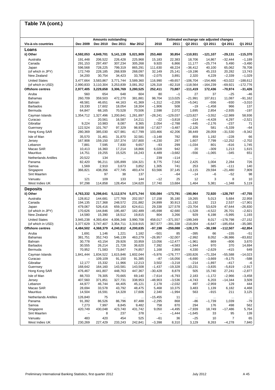#### **Vis-à-vis countries Dec 2009 Dec 2010 Dec 2011 Mar 2012 2010 2011 Q2 2011 Q3 2011 Q4 2011 Q1 2012 Loans ii) Other 4,592,053 4,849,701 5,141,139 5,021,909 253,460 30,854 –110,931 –121,107 –29,131 –115,370**  Australia 191,448 206,522 226,428 225,968 15,183 22,383 18,706 14,867 –32,444 –1,189 Canada 291,153 297,497 307,234 305,268 9,920 6,866 11,177 –25,774 5,490 –3,490 Japan 596,568 728,225 799,319 865,291 111,630 48,224 –36,412 40,100 65,062 78,708 (of which in JPY) 172,749 228,185 268,939 268,097 32,149 25,141 –19,196 45,153 20,282 13,743 New Zealand 34,200 30,754 34,423 33,785 –2,075 3,891 2,320 4,229 –2,339 –1,029 United States 3,477,664 3,583,867 3,771,744 3,589,360 116,990 –49,657 –106,704 –154,466 –63,022 –188,612 (of which in USD) 2,990,833 3,110,304 3,253,839 3,081,352 126,318 –82,318 –118,564 –164,239 –69,921 –172,776 **Offshore centres 2,977,405 3,229,658 3,306,769 3,280,525 252,411 73,887 –111,419 172,436 –70,974 –31,426**  Aruba 560 654 648 604 80 –1 27 37 –25 –46 Bahamas 260,709 359,503 472,270 381,881 98,704 113,025 –21,991 107,811 11,087 –91,162 Bahrain 48,581 46,651 44,163 41,369 –1,312 –2,209 –5,041 –556 –930 –3,010 Barbados 19,330 17,602 18,054 18,304 –1,906 508 –19 –1,458 966 137 Bermuda 64,847 68,165 70,528 70,506 2,598 2,072 1,695 2,854 –2,935 –197 Cayman Islands 1,354,712 1,327,496 1,200,841 1,261,897 –28,241 –129,037 –123,827 –3,552 –12,989 58,936 Curacao – 20,561 16,587 14,211 –22 –3,818 –214 –4,428 4,297 –2,521 Gibraltar 9,224 10,983 8,087 8,365 2,054 –2,788 –445 –2,176 –237 71 Guernsey 122,524 101,767 97,329 98,938 –17,827 –3,487 –2,126 581 –5,339 –64 Hong Kong SAR | 280,369 385,030 427,981 417,799 103,466 42,206 38,449 28,059 -31,530 -9.342 Isle of Man 35,570 31,461 31,870 32,581 –3,148 782 859 1,192 –228 66 Jersey 167,908 159,150 157,374 157,800 –4,230 297 1,607 7,799 –12,252 –2,702 Lebanon 7,881 7,595 7,830 9,657 –93 299 –1,034 801 –616 1,745 Macao SAR 10,413 16,360 17,214 18,866 6,028 942 20 –309 1,213 1,615 Mauritius 14,751 19,255 15,525 16,243 4,489 –3,682 –556 –1,065 –345 651 Netherlands Antilles 20,522 134 ... ... 239 –114 ... ... ... ... Panama 82,420 96,211 105,899 104,321 8,775 7,542 2,425 1,004 2,284 726 Samoa 1,569 2,910 3,673 3,852 1,305 741 253 385 –111 140 Singapore 366,821 438,356 477,745 483,474 63,566 37,145 –3,115 29,594 –21,480 7,909 Sint Maarten – 97 38 137 – –64 –14 –6 –52 98 Vanuatu 121 109 133 144 –12 25 12 3 8 10 West Indies UK 97,298 114,858 128,454 134,620 17,740 13,684 1,464 5,381 –1,348 5,119 **Deposits ii) Other 4,763,332 5,298,641 5,112,574 5,071,744 530,084 –173,791 –190,964 72,920 –128,797 –47,755**  Australia 128,812 144,681 177,769 202,557 17,158 35,180 19,265 5,013 5,684 22,958 Canada 194,135 217,368 248,572 231,882 24,899 30,913 11,192 213 2,537 –17,901 Japan 479,067 526,416 659,183 624,611 29,338 127,578 –23,704 53,629 47,644 –26,830 (of which in JPY) 170,626 144,846 195,487 182,489 –45,698 42,680 –1,528 –4,522 26,701 –2,821 New Zealand 14,580 15,390 18,512 19,815 804 3,266 929 6,198 –5,995 1,193 United States 3,945,238 4,393,404 4,006,348 3,990,708 458,017 –371,557 –199,349 8,017 –178,798 –27,152 (of which in USD) 3,377,629 3,747,407 3,354,711 3,319,915 367,577 –391,338 –218,004 –6,647 –185,654 –35,085 **Offshore centres 4,484,502 4,368,379 4,240,812 4,200,635 –97,198 –259,088 –128,175 –30,198 –112,507 –62,854**  Aruba 1,691 1,146 1,221 1,182 –501 85 –395 66 –155 –51 Bahamas 381,751 352,743 546,139 463,279 –26,957 –32,007 –2,992 8,052 –36,986 –83,832 Bahrain 30,778 43,154 29,926 33,959 13,056 –12,477 –1,961 869 –806 3,670 Barbados 30,555 26,214 21,728 36,620 7,392 –4,583 –1,944 970 370 14,694 Bermuda 70,952 71,583 73,847 74,857 1,168 2,869 4,330 –2,629 –415 649 Cayman Islands 1,841,444 1,834,522 1,615,846 1,602,044 –5,976 –176,777 –100,826 –71,334 –55,588 –14,023 Curacao – 109,109 91,150 91,385 –87 –16,056 –6,690 –3,669 –9,175 –588 Gibraltar 12,177 15,332 11,966 12,213 3,502 –3,218 –214 –1,897 –417 –6 Guernsey 168,642 164,160 143,581 143,508 –1,437 –19,328 –10,231 –3,835 –5,819 –2,917 Hong Kong SAR | 476,467 441,807 448,763 447,367 -30,428 8,879 505 15,740 27,241 -2,877 Isle of Man 88,703 78,305 70,665 69,140 –7,614 –6,793 2,183 –1,172 –2,966 –3,458 Jersey 407,560 371,851 327,731 338,953 –48,903 –3,536 –4,743 6,203 –14,344 3,509 Lebanon 44,977 46,744 44,405 45,121 2,178 –2,032 497 –2,959 129 444 Macao SAR 28,694 33,578 43,792 48,475 5,468 10,375 3,483 1,139 6,182 4,468 Mauritius 14,504 16,591 14,328 17,606 2,340 –1,994 563 –915 211 3,125 Netherlands Antilles 126,840 75 ... ... –15,455 11 ... ... ... ... Panama 91,392 86,526 86,796 87,488 –2,295 868 –86 –1,739 1,039 –79 Samoa 7,273 7,997 8,845 9,482 758 870 294 176 498 562 Singapore 420,749 430,048 423,740 431,742 9,050 –4,495 –7,939 18,749 –17,486 5,764 Sint Maarten – 8 237 378 – –1,444 –1,645 33 95 139 Vanuatu 483 420 454 525 –61 36 –25 10 7 65 **Table 7A (cont.) Amounts outstanding Estimated exchange rate adjusted changes**

West Indies UK 230,269 227,429 233,243 242,841 –3,398 8,310 3,129 8,263 –4,278 7,840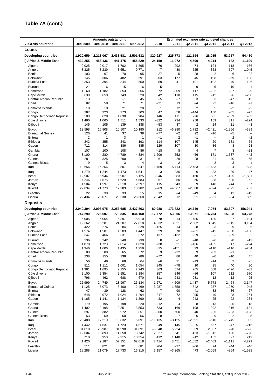#### **Vis-à-vis countries Dec 2009 Dec 2010 Dec 2011 Mar 2012 2010 2011 Q2 2011 Q3 2011 Q4 2011 Q1 2012 Loans Developing countries 1,920,659 2,218,067 2,433,581 2,501,632 320,927 225,773 121,594 28,015 –53,957 54,430 i) Africa & Middle East 439,255 456,136 441,475 455,820 24,150 –11,972 –4,590 –4,214 –182 11,190**  Algeria 2,025 2,017 1,702 1,895 76 –292 74 –124 –118 166 Angola 8,325 8,239 8,651 9,771 7 480 525 –353 597 1,045 Benin 103 67 70 95 –27 5 –28 –2 –6 22 Botswana 145 306 482 591 203 177 45 198 –59 108 Burkina Faso 353 394 344 550 59 –41 101 –102 –49 196 Burundi 21 16 15 16 –5 – –9 6 –10 1 Cameroon 1,160 1,182 853 866 72 –309 117 –222 –27 –9 Cape Verde 639 659 743 520 42 110 115 –12 26 –238 Central African Republic 13 7 –1 45 –5 –7 3 3 –47 45 Chad 82 58 71 71 –21 13 –4 22 –16 –1 Comoros Islands 10 10 21 20 1 12 2 5 –2 –2 Congo 287 323 373 303 47 58 –144 150 –55 –77 Congo Democratic Republic 503 628 1,030 984 146 411 226 601 –339 –53 Côte d'Ivoire 1,460 1,060 1,711 1,533 –322 734 258 159 311 –224 Djibouti 145 105 139 138 –53 37 2 24 11 –3 Egypt 12,598 16,808 10,507 10,180 4,212 –6,280 1,732 –2,421 –1,256 –389 Equatorial Guinea  $\begin{vmatrix} 120 & 41 & 37 & 38 & -77 & -2 & 22 & -16 & -5 \end{vmatrix}$ Eritrea 2 1 3 1 –1 2 –1 – 2 –2 Ethiopia 242 355 243 193 114 –107 145 –20 –181 –54 Gabon 712 814 886 885 129 107 30 86 –8 –28 Gambia 107 100 108 86 –18 8 4 7 3 –23 Ghana 3,100 4,280 4,789 4,384 1,206 552 –456 –171 1,587 –442 Guinea 281 325 290 231 61 –29 –28 –21 40 –65 Guinea-Bissau 9 5 3 4 –3 –2 – 2 –3 1 Iran 18,656 16,256 10,507 9,847 –1,459 –5,714 –2,483 –1,483 –884 –898 Iraq 1,279 1,244 1,473 1,541 –3 236 –6 –83 39 47 Israel 12,907 15,944 16,907 15,125 3,246 983 460 –587 –425 –1,881 Jordan 4,246 4,575 4,629 4,583 367 50 265 –38 595 –62 Kenya 1,504 1,597 2,218 2,297 115 643 9 148 244 57 Kuwait 22,034 21,770 17,383 18,282 –263 –4,367 –2,588 –524 –525 782 Lesotho 22 39 33 15 15 –4 –49 4 12 –19 Liberia 22,434 25,077 25,530 26,368 2,342 312 551 –361 –34 859 **Deposits Developing countries 2,040,394 2,096,975 2,253,685 2,427,863 80,988 173,822 34,740 –7,074 83,307 156,941 i) Africa & Middle East 747,290 726,607 773,835 834,160 –12,772 53,806 13,971 –16,754 15,308 53,278**  Algeria 6,005 6,064 5,897 5,910 278 –14 485 180 27 –104 Angola 12,362 16,281 24,507 27,818 4,032 8,321 2,582 3,645 –615 3,194 Benin 422 276 284 328 –125 14 –8 –3 29 36 Botswana 1,574 1,581 1,583 1,447 29 70 –201 245 –668 –160 Burkina Faso 347 466 331 372 137 –132 –29 – –39 32 Burundi 236 242 240 230 8 –1 –40 –6 28 –13 Cameroon 1,870 1,723 2,014 1,828 –38 321 –106 –165 517 –224 Cape Verde 1,346 1,606 1,435 1,259 315 –151 29 –110 –116 –204 Central African Republic 83 89 65 72 9 –22 9 –33 –1 5 Chad 238 155 238 286 –72 86 40 –6 –10 45 Comoros Islands 56 48 68 64 –6 21 –13 –14 2 –5 Congo 811 1,111 1,001 1,054 345 –78 10 95 40 30 Congo Democratic Republic | 1,381 1,695 2,255 2,243 363 574 265 568 -426 -32<br>Côte d'Ivoire | 2.100 2.354 2.551 3.184 357 246 -86 107 212 570 Côte d'Ivoire 2,100 2,354 2,551 3,184 357 246 –86 107 212 570 Djibouti 796 462 688 670 –311 243 281 12 12 –25 Egypt 26,999 24,749 28,997 26,134 –1,671 4,509 1,437 –5,773 2,464 –3,147 Equatorial Guinea 1,125 5,073 3,400 2,469 3,987 –1,658 –542 257 –1,270 –948 Eritrea 47 39 128 62 –7 90 41 –32 36 –67 Ethiopia 648 972 1,024 1,294 347 72 295 –49 28 254 Gabon 1,165 1,141 1,134 1,390 32 4 243 –25 –22 234 Gambia 179 195 198 220 –12 4 8 –13 –5 18 Ghana 1,402 2,198 2,351 3,553 633 169 1,198 –1,392 316 1,181 Guinea 597 382 972 851 –200 600 840 –25 –203 –128 Guinea-Bissau 53 59 50 56 8 –7 6 –9 2 5 Iran 29,488 17,210 13,832 15,091 –11,135 –3,125 –2,591 –610 –1,745 985 Iraq 4,442 4,637 4,723 4,571 349 145 –325 657 –47 –216 Israel 31,818 25,987 31,998 31,691 –5,348 6,224 1,069 2,537 –70 –596 Jordan 12,004 13,890 14,358 13,742 2,027 541 1,433 –1,312 126 –720 Kenya 8,718 8,950 9,915 10,354 412 1,148 –12 152 527 219 Kuwait 41,420 49,187 57,151 62,018 7,414 8,451 –1,082 –2,409 –1,111 4,279 Lesotho 511 821 701 681 204 –27 –66 74 –44 –46 Liberia 18,288 21,079 17,733 16,315 3,157 –3,265 473 –2,059 –354 –1,538 **Table 7A (cont.) Amounts outstanding Estimated exchange rate adjusted changes**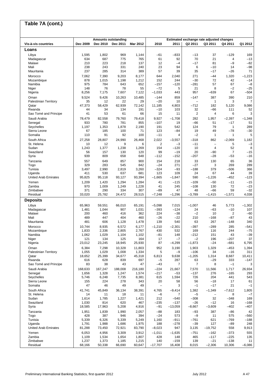#### **Vis-à-vis countries Dec 2009 Dec 2010 Dec 2011 Mar 2012 2010 2011 Q2 2011 Q3 2011 Q4 2011 Q1 2012 Loans** Libya 1,595 1,802 969 1,144 –61 –833 –13 37 –129 169 Madagascar 634 687 775 765 61 92 70 21 4 –13 Malawi 210 223 218 137 12 –4 –17 81 –9 –82 Mali 238 243 331 240 23 94 6 –10 14 –98 Mauritania 237 285 314 389 57 39 35 –17 –26 71 Morocco 7,062 7,390 9,203 8,177 644 2,040 271 –44 1,320 –1,223 Mozambique 878 1,015 1,198 1,212 152 244 –30 72 42 –14 Namibia 975 784 643 652 –157 –120 –281 57 67 –8 Niger 148 76 78 55 –72 5 21 8 –2 –25 Nigeria 8,256 7,175 7,607 7,122 –1,033 443 957 –639 67 –504 Oman 9,524 9,426 10,263 10,485 –144 859 –147 387 390 210 Palestinian Territory | 35 12 22 29 -20 10 - 1 3 7<br>Qatar and 1922 5,120 9,086 47,373 58,429 62,939 72,142 11,185 4,803 -712 182 5,120 9,086 Qatar 47,373 58,429 62,939 72,142 11,185 4,803 –712 182 5,120 9,086 Rwanda 44 34 134 191 –10 103 32 –66 111 52 Sao Tomé and Principe | 41 53 61 66 | 15 11 | 2 4 6 3 Saudi Arabia 78,479 82,558 79,760 79,418 9,927 –1,708 282 1,957 –2,397 –1,348 Senegal 933 780 781 855 –107 19 –66 51 –17 51 Seychelles | 1,197 1,353 1,878 2,190 | 191 542 | 124 79 1 289 Sierra Leone 67 185 100 71 123 –84 19 49 –78 –30 Somalia 110 91 92 100 –11 4 –2 1 1 5 South Africa 27,258 28,807 24,990 26,468 2,022 –3,557 –318 862 –2,069 1,182 St. Helena 10 12 9 6 2 –3 –11 – 5 –3 Sudan 1,243 1,377 1,238 1,269 154 –120 10 4 52 8 Swaziland 56 157 130 120 99 –19 20 –90 7 –15 Syria 939 809 658 648 –112 –152 –207 –28 –53 –16 Tanzania 557 649 857 900 154 218 33 130 65 36 Togo 329 283 545 842 –24 271 –27 3 269 289 Tunisia 3,497 2,990 2,819 3,260 –324 –93 –188 379 –506 366 Uganda 411 530 637 681 123 109 24 67 44 39 United Arab Emirates 95,825 95,118 93,127 93,394 –1,665 –1,847 590 –1,226 –452 –123 Yemen 1,209 1,420 1,294 1,284 41 –115 –109 –50 –11 –15 Zambia 970 1,009 1,249 1,228 41 245 –108 130 72 –23 Zimbabwe 371 290 334 307 –89 47 48 –66 59 –32 Residual 33,020 25,782 24,472 28,515 –7,248 –1,296 –3,789 –1,415 –1,571 4,038 **Deposits** Libya 65,963 59,551 66,010 65,191 –5,098 7,015 –1,007 46 5,773 –1,302 Madagascar 1,481 1,044 907 1,031 –393 –124 24 –63 –10 107 Malawi 200 460 416 362 224 –38 –2 10 2 –60 Mali 489 447 404 460 –26 –22 210 –168 –87 43 Mauritania 481 606 1,128 1,478 139 540 63 267 –148 340 Morocco 10,744 8,935 6,572 6,177 –1,210 –2,301 –397 –289 285 –541 Mozambique 1,833 2,336 2,805 2,767 430 532 169 116 244 –75 Namibia 1,062 1,029 1,104 1,102 –81 148 –212 151 43 –39 Niger 121 134 125 164 17 –7 –2 196 –207 37 Nigeria 23,012 23,245 18,945 25,930 87 –4,299 –1,873 –24 –681 6,795 Oman 6,384 7,298 10,328 11,803 952 3,190 1,903 1,329 –453 1,394 Palestinian Territory 1,055 1,029 1,008 1,334 5 –9 –106 34 –16 311 Qatar 18,652 25,399 34,677 45,318 6,813 9,638 –1,205 1,314 8,687 10,411 Rwanda 616 628 839 697 –5 287 63 –29 333 –147 Sao Tomé and Principe | 83 38 43 47 | -43 7 | 7 8 -1 3 Saudi Arabia 168,633 167,247 188,008 216,180 –224 21,667 7,570 11,566 1,717 26,934 Senegal 1,656 1,328 1,247 1,574 –217 –53 –137 276 –165 293 Seychelles 5,746 6,248 7,735 8,381 615 1,594 726 204 441 543 Sierra Leone 155 224 278 343 20 58 56 –18 17 61 Somalia 47 46 49 49 – 3 –1 –17 21 –1 South Africa 41,741 45,849 36,134 38,391 4,765 –9,414 1,382 –1,349 –7,612 1,805 St. Helena 14 11 18 11 –6 7 –5 – 8 –7 Sudan 1,614 1,785 1,227 1,421 212 –540 –308 32 –348 169 Swaziland 1,030 814 620 467 –235 –137 –26 –12 16 –168 Syria 18,585 17,963 5,208 4,916 –91 –13,059 –8,667 –3,609 –402 –407 Tanzania 1,951 1,839 1,990 2,057 –88 183 –93 387 –86 42 Togo 428 387 946 394 –24 573 –9 11 575 –560 Tunisia 5,339 6,326 5,339 5,249 1,160 –911 –761 621 –769 –188 Uganda 1,791 1,988 1,686 1,975 188 –278 –39 127 –89 248 United Arab Emirates 81,288 73,450 72,921 83,790 –8,023 947 3,135 –19,752 558 9,913 Yemen 6,053 4,956 3,309 3,912 –1,011 –1,635 –751 –162 –373 555 Zambia 1,109 1,534 1,654 1,807 428 148 465 –117 –225 135 Zimbabwe 1,237 1,373 1,185 1,215 140 –159 139 –21 –138 11 Residual 68,166 50,338 66,690 60,647 –17,707 16,408 8,015 –2,306 10,306 –6,086 **Table 7A (cont.) Amounts outstanding Estimated exchange rate adjusted changes**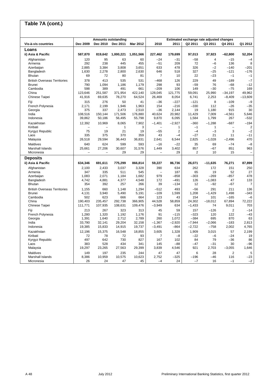#### **Vis-à-vis countries Dec 2009 Dec 2010 Dec 2011 Mar 2012 2010 2011 Q2 2011 Q3 2011 Q4 2011 Q1 2012 Loans ii) Asia & Pacific 587,870 819,642 1,000,221 1,051,566 227,462 179,699 97,013 37,923 –62,800 52,204**  Afghanistan 120 95 63 60 –24 –31 –58 4 –15 –4 Armenia 292 238 445 455 –51 209 72 –6 136 8 Azerbaijan 2,885 3,384 3,808 3,651 633 478 326 –2 –140 –201 Bangladesh 1,630 2,278 2,800 2,630 646 518 327 –25 –121 –176 Bhutan 69 72 80 81 7 10 22 –23 –1 –1 British Overseas Territories 378 413 535 531 –468 126 229 49 –189 –7 Brunei 790 1,094 1,186 1,179 298 93 –59 76 –68 –12 Cambodia 598 389 491 661 –209 106 149 –30 –75 169 China 123,646 251,587 371,954 422,140 128,045 121,775 59,091 25,990 –34,197 49,962 Chinese Taipei 41,916 69,635 78,270 64,524 26,469 8,054 6,741 2,253 –8,409 –13,609 Fiji 315 276 50 41 –36 –227 –121 8 –109 –9 French Polynesia 2,171 2,199 1,946 1,963 154 –216 –330 112 –26 –35 Georgia 375 337 2,473 2,510 –36 2,144 19 1,180 915 30 India 108,516 150,144 171,506 176,880 40,624 20,982 11,429 7,009 –4,561 5,646 Indonesia 39,862 50,186 56,495 55,798 9,870 6,095 1,584 1,799 267 –532 Kazakhstan 12,392 10,969 8,065 7,902 –1,401 –2,927 –360 –1,288 –687 –194 Kiribati – – – 1 3 – 1 – 1 1 – 2  $\text{Kyrgyz}$  Republic  $\begin{vmatrix} 75 & 19 & 21 & 19 \\ 335 & 375 & 370 & 359 \end{vmatrix}$   $\begin{vmatrix} -55 & 2 \\ 43 & -4 \end{vmatrix}$   $\begin{vmatrix} -4 & -3 & 3 & -2 \\ -27 & 21 & 11 & -11 \end{vmatrix}$ Laos 335 375 370 359 43 –4 –27 21 11 –11 Malaysia 26,518 29,594 36,443 36,831 2,641 6,544 2,825 –1,028 –2,496 470 Maldives 640 624 599 593 –16 –22 35 69 –74 –8 Marshall Islands 25,661 27,206 30,607 31,576 1,449 3,402 857 –67 851 963 Micronesia – – – 29 29 – 29 29 – 29 10 15 – **Deposits ii) Asia & Pacific 634,346 691,611 775,299 866,814 59,227 86,736 26,071 –11,635 76,271 87,899**  Afghanistan 2,100 2,433 3,037 3,328 390 634 262 172 151 250 Armenia 347 335 511 545 – 187 65 19 52 27 Azerbaijan 1,083 2,071 1,184 1,682 979 –858 –303 –269 –857 478 Bangladesh 4,742 4,881 4,377 4,548 172 –491 126 –1,083 47 133 Bhutan 354 392 257 266 39 –134 12 –92 –67 7 British Overseas Territories 1,155 660 1,148 1,294 –512 493 –56 291 211 136 Brunei 4,131 3,940 5,490 5,191 –109 1,599 1,208 –1,429 1,498 –343 Cambodia 502 623 666 664 123 43 154 101 –165 –6 China 190,403 235,457 292,738 366,905 44,528 58,859 24,302 –18,012 67,894 72,222 Chinese Taipei 111,771 107,935 108,631 109,476 –3,949 634 –1,433 74 9,011 703 Fiji 213 267 323 313 45 59 157 –126 2 –14 French Polynesia 1,280 1,320 1,192 1,176 91 –115 –323 120 122 –43 Georgia 1,391 1,640 2,712 2,789 260 1,072 –384 695 870 63 India 33,790 32,141 29,204 32,158 –1,367 –2,920 –7,944 –2,066 –183 2,813 Indonesia 19,385 15,833 14,915 19,737 –3,491 –864 –2,722 –758 2,002 4,765 Kazakhstan | 12,196 15,375 16,548 18,855 3,605 1,328 1,909 3,015 57 2,199 Kiribati 72 78 72 93 7 –8 –22 –6 –24 19 Kyrgyz Republic 497 642 730 827 167 102 84 79 –36 86 Laos 383 528 434 341 145 –88 –47 –31 30 –96 Malaysia 19,297 23,265 27,563 29,399 3,839 4,546 921 2,703 –3,055 1,646 Maldives 149 197 235 244 47 47 6 28 2 5 Marshall Islands 8,386 10,959 10,575 10,623 2,752 –325 –196 –46 116 –23 Micronesia 26 24 47 45 –4 24 –7 16 –1 –2 **Table 7A (cont.) Amounts outstanding Estimated exchange rate adjusted changes**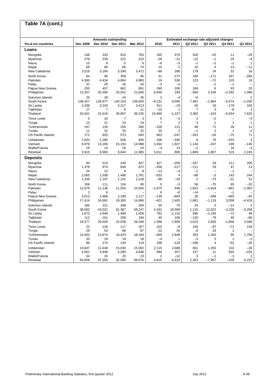#### **Vis-à-vis countries Dec 2009 Dec 2010 Dec 2011 Mar 2012 2010 2011 Q2 2011 Q3 2011 Q4 2011 Q1 2012 Loans** Mongolia 148 333 810 783 185 479 526 –20 11 –29 Myanmar 278 239 221 223 –26 –12 –22 –1 16 –4 Nauru 10 8 5 6 –8 –3 –1 –2 –1 1 Nepal 69 80 85 74 10 5 10 4 13 –11 New Caledonia 3,518 3,184 3,349 3,472 –86 288 179 34 52 16 North Korea 64 90 359 95 31 272 180 –171 267 –266 Pakistan 4,360 4,434 4,964 4,983 19 536 123 –72 120 19 Palau 31 28 26 26 –3 –2 – –1 –1 – Papua New Guinea | 250 457 662 691 240 208 169 6 93 25<br>Philippines | 13,357 20,300 20,552 21,605 6,649 169 -564 2,428 -2,392 1,098 Philippines 13,357 20,300 20,552 21,605 6,649 169 –564 2,428 –2,392 1,098 Solomon Islands 25 28 24 26 3 –4 –6 – – 2 South Korea 138,427 129,977 140,103 138,600 –9,231 9,590 7,482 –1,864 –5,574 –1,030 Sri Lanka 2,338 3,243 3,217 3,413 911 –19 55 33 –179 183 Tajikistan 17 7 8 11 –10 1 7 3 –8 3 Thailand 20,401 31,616 30,807 38,235 10,960 –1,227 3,382 –243 –6,554 7,625 Timor Leste 5 10 7 3 | 5 —3 | 2 —2 — —4 Tonga 13 21 23 24 7 2 3 1 1 1 Turkmenistan 247 134 256 260 –100 121 48 71 28 11 Tuvalu 11 31 33 32 20 2 –1 2 1 –2 US Pacific Islands 172 825 573 645 663 –247 –323 –26 –75 71 Uzbekistan 1,033 1,280 926 936 266 –346 6 76 –433 3 Vietnam 9,979 13,206 15,104 14,998 3,364 1,927 1,144 –247 249 –146 Wallis/Futuna 18 14 26 24 –3 13 –2 – 16 –3 Residual 3,915 8,983 9,844 11,985 5,011 808 1,869 1,807 519 2,193 **Deposits** Mongolia 84 510 249 457 427 –258 –167 28 111 206 Myanmar 1,378 974 846 872 –356 –127 –111 29 47 13 Nauru 24 12 8 8 –12 –4 –1 – –1 – Nepal 2,065 1,508 1,498 1,761 –533 4 –98 –3 143 244 New Caledonia 1,339 1,197 1,141 1,218 –98 –33 2 –73 –31 51 North Korea 106 111 104 80 5 –3 56 –75 65 –25 Pakistan 12,979 11,138 11,555 10,505 –1,675 448 1,823 –1,818 –881 –1,062 Palau 2 8 – – 6 –8 –14 – –1 – Papua New Guinea 3,013 2,868 2,189 2,117 –139 –683 26 –288 –465 –81 Philippines 17,414 16,981 19,360 14,966 –421 2,405 1,681 –1,119 3,058 –4,419 Solomon Islands 185 221 288 294 30 70 34 5 –13 2 South Korea 38,582 43,022 61,367 58,247 4,342 18,569 1,115 12,022 –2,228 –3,208 Sri Lanka 1,873 2,648 1,490 1,556 782 –1,132 565 –1,193 –72 48 Tajikistan 112 161 258 194 49 106 –120 78 40 –66 Thailand 18,377 20,029 22,638 26,346 1,588 2,809 2,010 2,826 –1,856 3,588 Timor Leste 126 117 257 | 102 —8 | 169 —97 —71 139 Tonga 29 53 86 87 22 34 8 26 1 – Turkmenistan 14,402 13,874 16,423 18,184 –469 2,648 353 1,303 95 1,700 Tuvalu 20 18 19 18 –4 1 –3 5 1 –1 US Pacific Islands 86 274 144 119 198 –128 –206 4 –52 –26 Uzbekistan | 10,847 12,446 15,030 15,082 | 2,115 2,688 | 601 1,250 102 –26 Vietnam 4,061 4,848 5,290 4,848 890 457 227 21 834 –433 Wallis/Futuna 34 33 20 23 2 –12 3 –1 –3 2 Residual 93,659 97,555 92,590 99,076 4,615 –4,919 2,353 –7,957 –228 6,225 **Table 7A (cont.) Amounts outstanding Estimated exchange rate adjusted changes**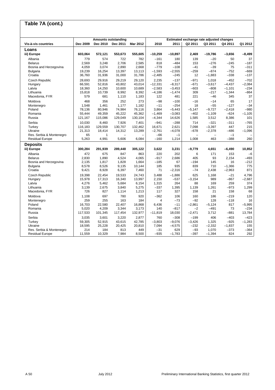#### **Vis-à-vis countries Dec 2009 Dec 2010 Dec 2011 Mar 2012 2010 2011 Q2 2011 Q3 2011 Q4 2011 Q1 2012 Loans iii) Europe 603,064 572,121 553,673 555,605 –10,259 –10,897 2,469 –19,786 –3,656 –8,499**  Albania 779 574 722 782 –161 180 139 –20 50 37 Belarus 2,569 3,248 2,706 2,585 818 –484 153 –276 –245 –187 Bosnia and Herzegovina 4,059 3,074 2,890 2,668 –779 –108 –41 –39 75 –311 Bulgaria 19,239 16,254 13,397 13,113 –1,593 –2,555 –259 –874 –752 –669 Croatia 36,760 31,936 31,000 31,786 –2,485 –245 12 –1,883 –338 –137 Czech Republic 28,693 29,916 29,219 29,120 2,235 –137 –971 1,018 –452 –702 Hungary 66,591 52,816 43,802 43,014 –12,331 –8,317 –671 –3,617 –4,437 –2,084 Latvia 18,360 14,250 10,600 10,689 –2,583 –3,453 –603 –808 –1,101 –234 Lithuania 15,818 10,739 8,992 8,392 –4,186 –1,474 309 –217 –1,344 –864 Macedonia, FYR | 579 681 1,110 1,183 | 122 481 | 221 –46 345 37 Moldova 468 356 252 273 –98 –100 –16 –14 65 17 Montenegro 1,548 1,461 1,177 1,182 –11 –254 18 –55 –127 –34 Poland 78,136 80,946 74,984 76,116 3,864 –5,443 –5,147 –9,727 –2,418 –980 Romania 55,444 49,359 45,222 45,362 –1,469 –3,083 –402 –1,109 –624 –1,105 Russia 121,167 115,086 129,049 130,104 –4,344 14,626 1,585 3,512 8,386 101 Serbia 10,030 8,460 7,926 7,401 –941 –288 714 –321 –311 –765 Turkey 116,183 129,559 130,707 132,462 16,671 2,621 7,098 –3,397 447 215 Ukraine 21,313 18,414 14,312 13,289 –2,761 –4,078 –678 –2,378 –486 –1,096 Res. Serbia & Montenegro 65 1 – – –66 –1 – – –1 – Residual Europe **Deposits iii) Europe 300,284 291,939 289,448 305,122 3,622 3,231 –9,779 4,651 –6,490 10,852**  Albania 472 675 847 863 220 202 6 171 153 –6 Belarus 2,830 1,890 4,524 4,065 –917 2,686 405 93 2,154 –493 Bosnia and Herzegovina 2,135 1,817 1,828 1,664 –185 67 –194 145 16 –212 Bulgaria 8,578 8,526 9,135 10,144 185 935 839 710 –1,366 775 Croatia 9,421 8,928 6,397 7,460 71 –2,316 –74 2,438 –2,963 871 Czech Republic 19,398 22,454 19,533 24,743 3,488 –1,886 625 1,168 –21 4,796<br>Hungary 15,978 17,313 16,340 13,997 2,150 –537 –3,154 989 –867 –2,687 Hungary 15,978 17,313 16,340 13,997 2,150 –537 –3,154 989 –867 –2,687 Latvia 4,276 5,462 5,684 6,154 1,315 264 88 169 259 374 Lithuania 3,139 2,675 3,840 5,275 –337 1,395 1,139 1,261 –973 1,299 Macedonia, FYR 726 827 1,114 1,213 117 327 158 21 158 68 Moldova 1,108 697 780 920 –362 106 186 –219 120 Montenegro 259 255 163 184 4 –73 –92 128 –118 16 Poland 16,703 22,580 22,407 16,868 6,436 –11 –2,861 –5,124 817 –5,995 Romania 5,020 4,209 3,344 3,173 140 –817 –2 –491 73 –234 Russia 117,533 101,345 117,454 132,977 –11,819 18,030 –2,471 3,712 –881 13,784 Serbia 3,035 3,601 3,220 2,877 760 –308 –199 406 –403 –423 Turkey 59,305 52,915 43,615 42,785 –3,803 –9,076 –3,426 1,325 –925 –1,283 Ukraine 18,595 25,228 20,425 20,810 7,094 –4,575 –232 –2,332 –1,837 155 Res. Serbia & Montenegro 214 184 813 449 –31 629 –93 1,070 –373 –364 Residual Europe 11,559 10,329 7,984 8,500 –935 –1,783 –397 –1,394 824 292 **Table 7A (cont.) Amounts outstanding Estimated exchange rate adjusted changes**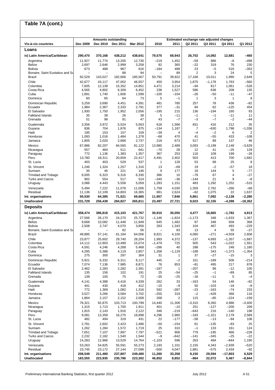# **Table 7A (cont.)**

|                                                   |                          | Amounts outstanding      |                   |                   |                                 |                     |                 | Estimated exchange rate adjusted changes |                       |                       |
|---------------------------------------------------|--------------------------|--------------------------|-------------------|-------------------|---------------------------------|---------------------|-----------------|------------------------------------------|-----------------------|-----------------------|
| Vis-à-vis countries                               | Dec 2009                 | Dec 2010                 | Dec 2011          | Mar 2012          | 2010                            | 2011                | Q2 2011         | Q3 2011                                  | Q4 2011               | Q1 2012               |
| Loans                                             |                          |                          |                   |                   |                                 |                     |                 |                                          |                       |                       |
| iv) Latin America/Caribbean                       | 290,470                  | 370,168                  | 438,212           | 438,641           | 79,575                          | 68,943              | 26,702          | 14,092                                   | 12,681                | -465                  |
| Argentina                                         | 11,927                   | 11.774                   | 13,205            | 12,730            | $-219$                          | 1,452               | $-59$           | 986                                      | $-6$                  | $-498$                |
| <b>Belize</b><br><b>Bolivia</b>                   | 2,697<br>673             | 2,646<br>488             | 2,999<br>967      | 3,258<br>616      | 82<br>$-184$                    | 365<br>488          | $-22$<br>23     | 319<br>$-5$                              | 76<br>516             | 230<br>$-353$         |
| Bonaire, Saint Eustatius and Sa                   | $\overline{\phantom{0}}$ | $\overline{\phantom{0}}$ | 88                | 94                | $\overline{\phantom{0}}$        | 89                  | $\overline{2}$  | 3                                        | 24                    | 5                     |
| <b>Brazil</b>                                     | 92,529                   | 143,027                  | 182,666           | 185,567           | 50,791                          | 39,922              | 17,168          | 10,011                                   | 1,990                 | 2,649                 |
| Chile                                             | 42,677                   | 43,117                   | 47,002            | 46,557            | 450                             | 3,954               | 1,875           | $-1,178$                                 | 1,763                 | $-560$                |
| Colombia                                          | 7,605                    | 12,139                   | 15,352            | 14,851            | 4,471                           | 3,214               | -94             | 817                                      | 1,061                 | $-528$                |
| Costa Rica                                        | 4,565                    | 4,802                    | 6,309             | 6,452             | 238                             | 1,527               | 596             | 638                                      | 208                   | 135                   |
| Cuba                                              | 1,891                    | 1,740                    | 1,606             | 1,598             | $-105$<br>5                     | $-104$              | -26             | $-50$                                    | $-11$<br>$\mathbf{1}$ | $-47$                 |
| Dominica                                          | 60                       | 65                       | 64                | 73                |                                 | $-1$                | $\mathbf{1}$    | 3                                        |                       | 8                     |
| Dominican Republic<br>Ecuador                     | 3,259<br>1,984           | 3,690<br>2,367           | 4,451<br>2,333    | 4,391<br>2,791    | 481<br>377                      | 780<br>-31          | 257<br>84       | 78<br>62                                 | 436<br>$-125$         | $-82$<br>454          |
| El Salvador                                       | 1,930                    | 1,750                    | 1,952             | 2,056             | $-195$                          | 215                 | 136             | $-194$                                   | 160                   | 93                    |
| <b>Falkland Islands</b>                           | 35                       | 38                       | 26                | 38                | 5                               | $-11$               | $-1$            | $-1$                                     | $-11$                 | 11                    |
| Grenada                                           | 51                       | 98                       | 91                | 47                | 43                              | $-7$                | $-3$            | $-7$                                     | $-2$                  | $-44$                 |
| Guatemala                                         | 3,356                    | 3,972                    | 5,524             | 5,563             | 618                             | 1,566               | 831             | 416                                      | 212                   | 35                    |
| Guyana                                            | 836                      | 704                      | 1,876             | 875               | $-134$                          | 1,187               | $\overline{7}$  | -630                                     | 1,798                 | $-1,036$              |
| Haiti                                             | 195                      | 153                      | 157               | 159               | $-39$                           | 4                   | $-4$            | $-2$                                     | 6                     | 2                     |
| Honduras                                          | 1,093                    | 1,016                    | 1,484             | 1,378             | $-68$                           | 470                 | 41              | $-55$                                    | 433                   | $-108$                |
| Jamaica                                           | 1,805                    | 2,020                    | 2,668             | 2,737             | 218                             | 673                 | 517             | 89                                       | 137                   | 46                    |
| Mexico                                            | 67,886                   | 82,207<br>484            | 84,560            | 81,122            | 13,980<br>$-70$                 | 2,489               | 3,093           | $-3,199$                                 | 2,148<br>$-25$        | $-3,628$              |
| Nicaragua<br>Paraguay                             | 557<br>772               | 1,136                    | 511<br>1,383      | 641<br>1,357      | 367                             | 28<br>253           | 12<br>116       | 41<br>109                                | 199                   | 129<br>$-28$          |
| Peru                                              | 13,780                   | 18,311                   | 20,659            | 22,417            | 4,491                           | 2,402               | 503             | 413                                      | 700                   | 1,682                 |
| St. Lucia                                         | 403                      | 403                      | 529               | 537               | 1                               | 128                 | 53              | 68                                       | 25                    | 8                     |
| St. Vincent                                       | 1,246                    | 1,324                    | 1,257             | 1,316             | 13                              | $-69$               | 19              | $-2$                                     | $-57$                 | 18                    |
| Surinam                                           | 35                       | 46                       | 221               | 146               | 9                               | 177                 | 18              | 144                                      | 5                     | $-77$                 |
| <b>Trinidad and Tobago</b>                        | 6,005                    | 6,323                    | 6,316             | 6,330             | 366                             | 10                  | $-79$           | 67                                       | 4                     | $-27$                 |
| <b>Turks and Caicos</b>                           | 902                      | 554                      | 517               | 514               | $-340$                          | $-36$               | $-144$          | 21                                       | 9                     | $-8$                  |
| Uruguay                                           | 3,086                    | 4,443                    | 5,558             | 5,059             | 1,283                           | 1,151               | 483             | 1,292                                    | 1,252                 | $-515$                |
| Venezuela                                         | 5,494                    | 7,222                    | 11,078            | 11,006            | 1,759                           | 4,030               | 1,359           | 2,762                                    | $-266$                | $-68$                 |
| Residual                                          | 11,136                   | 12,109                   | 14,803            | 16,365            | 881                             | 2,624               | -62             | 1,075                                    | 22                    | 1,637                 |
| Int. organisations<br>Unallocated                 | 50,530<br>231,729        | 64,385<br>256,439        | 71,521<br>284,827 | 69,665<br>265,811 | 11,957<br>23,497                | 7,846<br>27,721     | 5,861<br>9,023  | 7,092<br>32,155                          | $-2,138$<br>$-4,398$  | $-2,280$<br>$-18,352$ |
|                                                   |                          |                          |                   |                   |                                 |                     |                 |                                          |                       |                       |
| <b>Deposits</b>                                   |                          |                          |                   |                   |                                 |                     |                 |                                          |                       |                       |
| iv) Latin America/Caribbean                       | 358,474                  | 386,818                  | 415,103           | 421,767           | 30,910                          | 30,050              | 4,477           | 16,665                                   | $-1,782$              | 4,913                 |
| Argentina                                         | 27,566                   | 26,170                   | 24,270            | 25,732            | $-1,146$                        | $-1,824$            | $-1,173$        | 348                                      | $-1,633$              | 1,367                 |
| <b>Belize</b>                                     | 9,668                    | 10,082                   | 11,448            | 11,949            | 645                             | 1,482               | 97              | 348                                      | 658<br>493            | 368                   |
| <b>Bolivia</b><br>Bonaire, Saint Eustatius and Sa | 2,508                    | 2,747                    | 4,070<br>82       | 3,856<br>56       | 263<br>$\overline{\phantom{0}}$ | 1,343<br>83         | 104<br>13       | 467<br>4                                 | 55                    | $-229$<br>$-27$       |
| Brazil                                            | 48,885                   | 57,141                   | 61,184            | 64,006            | 8,821                           | 4,100               | 4,080           | $-271$                                   | $-4,559$              | 2,608                 |
| Chile                                             | 23,877                   | 25,602                   | 29,740            | 28,204            | 1,993                           | 4,372               | $-137$          | 4,693                                    | $-1,357$              | $-1,687$              |
| Colombia                                          | 14,112                   | 12,803                   | 13,499            | 15,074            | $-1,479$                        | 725                 | 505             | 543                                      | $-1,022$              | 1,551                 |
| Costa Rica                                        | 4,591                    | 4,246                    | 4,268             | 5,468             | $-286$                          | 40                  | 288             | $-175$                                   | 248                   | 1,180                 |
| Cuba                                              | 4,285                    | 5,388                    | 4,119             | 2,857             | 1,358                           | $-1,129$            | $-189$          | 343                                      | $-1,373$              | $-1,354$              |
| Dominica                                          | 275                      | 300                      | 297               | 304               | 31                              | $\mathbf{1}$        | 37              | $-27$                                    | $-15$                 | 3                     |
| Dominican Republic                                | 5,921                    | 6,332                    | 6,311             | 6,117             | 445                             | $-2$                | 151             | $-189$                                   | 506                   | $-214$                |
| Ecuador                                           | 7,074                    | 7,136                    | 7,985             | 8,871             | 76                              | 853                 | -81             | 495                                      | 217                   | 878                   |
| El Salvador<br>Falkland Islands                   | 2,462<br>135             | 2,283<br>156             | 2,282<br>102      | 2,391<br>191      | $-187$<br>25                    | $\mathbf{1}$<br>-54 | $-207$<br>$-25$ | 96<br>$-1$                               | $-12$<br>$-89$        | 105<br>85             |
| Grenada                                           | 139                      | 100                      | 75                | 72                | $-35$                           | -25                 | $-18$           | $-11$                                    | 5                     | $-4$                  |
| Guatemala                                         | 4,141                    | 4,388                    | 4,416             | 4,339             | 262                             | 33                  | $-163$          | 54                                       | 146                   | $-82$                 |
| Guyana                                            | 441                      | 430                      | 418               | 412               | $-15$                           | $-9$                | 50              | $-103$                                   | $-18$                 | $-8$                  |
| Haiti                                             | 772                      | 1,369                    | 1,082             | 1,316             | 592                             | -287                | -23             | $-163$                                   | $-74$                 | 233                   |
| Honduras                                          | 3,527                    | 3,266                    | 3,584             | 3,702             | $-255$                          | 319                 | $-2$            | $-428$                                   | 366                   | 116                   |
| Jamaica                                           | 1,864                    | 2,157                    | 2,152             | 2,008             | 268                             | 2                   | 115             | $-85$                                    | $-224$                | $-159$                |
| Mexico                                            | 78,321                   | 92,875                   | 103,713           | 100,799           | 14,440                          | 11,306              | $-3,310$        | 8,260                                    | 4,986                 | $-3,400$              |
| Nicaragua                                         | 1,315                    | 1,713                    | 1,700             | 1,911             | 401                             | $-10$               | 251             | $-127$                                   | $-200$                | 209                   |
| Paraguay<br>Peru                                  | 1,815<br>9,081           | 2,143<br>13,359          | 1,916<br>16,275   | 2,122<br>18,898   | 346<br>4,296                    | $-219$<br>2,960     | -643<br>$-183$  | 216<br>$-1,321$                          | $-140$<br>2,179       | 198<br>2,589          |
| St. Lucia                                         | 482                      | 494                      | 319               | 431               | 22                              | $-177$              | -58             | $-13$                                    | $-94$                 | 108                   |
| St. Vincent                                       | 2,781                    | 2,602                    | 2,423             | 2,486             | $-50$                           | $-154$              | 61              | $-135$                                   | $-83$                 | 25                    |
| Surinam                                           | 1,262                    | 1,284                    | 1,572             | 1,719             | 25                              | 310                 | $-1$            | 133                                      | 161                   | 124                   |
| <b>Trinidad and Tobago</b>                        | 7,651                    | 7,107                    | 7,997             | 7,797             | $-521$                          | 906                 | 779             | $-195$                                   | 466                   | $-228$                |
| <b>Turks and Caicos</b>                           | 2,232                    | 2,182                    | 1,540             | 1,544             | $-9$                            | $-642$              | $-141$          | $-345$                                   | $-25$                 | $-22$                 |
| Uruguay                                           | 14,283                   | 12,966                   | 13,529            | 14,764            | $-1,103$                        | 596                 | 263             | 484                                      | -844                  | 1,190                 |
| Venezuela                                         | 53,263                   | 54,825                   | 55,591            | 55,273            | 2,193                           | 1,101               | 2,155           | 4,343                                    | $-2,939$              | $-520$                |
| Residual                                          | 23,745                   | 23,172                   | 27,144            | 27,098            | $-500$                          | 4,047               | 1,881           | $-575$                                   | 2,434                 | $-92$                 |
| Int. organisations                                | 208,549                  | 211,480                  | 237,807           | 249,480           | 11,260                          | 33,358              | 9,150           | 29,594                                   | -17,803               | 6,529                 |
| Unallocated                                       | 183,555                  | 223,935                  | 230,786           | 223,302           | 46,852                          | 8,852               | $-864$          | 22,072                                   | 5,467                 | $-8,844$              |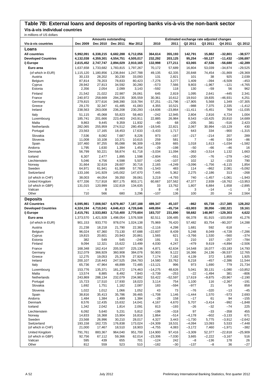# **Table 7B: External loans and deposits of reporting banks vis-à-vis the non-bank sector**

**Vis-à-vis individual countries**

| in millions of US dollars  |                                 |                  |                                 |                   |                  |              |                                          |                  |                |                 |
|----------------------------|---------------------------------|------------------|---------------------------------|-------------------|------------------|--------------|------------------------------------------|------------------|----------------|-----------------|
|                            |                                 |                  | <b>Amounts outstanding</b>      |                   |                  |              | Estimated exchange rate adjusted changes |                  |                |                 |
| Vis-à-vis countries        | Dec 2009                        | Dec 2010         | Dec 2011                        | Mar 2012          | 2010             | 2011         | Q2 2011                                  | Q3 2011          | Q4 2011        | Q1 2012         |
| Loans                      |                                 |                  |                                 |                   |                  |              |                                          |                  |                |                 |
| <b>All countries</b>       | 5,992,091                       | 6,338,215        | 6,682,288                       | 6,712,056         | 364,614          | 355,193      | 142,791                                  | 15,882           | $-32,801$      | $-38,577$       |
| <b>Developed Countries</b> | 4,132,038                       | 4,359,301        | 4,554,751                       | 4,505,017         | 232,292          | 203,125      | 95,254                                   | $-50,127$        | $-11,432$      | $-106,697$      |
| i) Europe                  | 2,615,452                       | 2,747,747        | 2,894,029                       | 2,910,165         | 132,998          | 177,211      | 63,065                                   | 47,536           | $-56,680$      | $-42,289$       |
| Euro area                  | 1,637,658                       | 1,733,682        | 1,783,815                       | 1,797,267         | 70,172           | 57,689       | 16,804                                   | 53,039           | $-34,874$      | $-29,525$       |
| (of which in EUR)          | 1,115,120                       | 1,180,856        | 1,236,844                       | 1,247,788         | 49,135           | 62,335       | 20,848                                   | 74,454           | $-31,869$      | $-28,369$       |
| Austria                    | 30,133                          | 28,202           | 30,230                          | 33,093            | 131              | 2,821        | 101                                      | 38               | 925            | 2,039           |
| Belgium                    | 87,814                          | 78,203           | 78,833                          | 80,423            | $-7,276$         | 3,277        | 1,409                                    | $-394$           | $-6,509$       | $-453$          |
| Cyprus                     | 28,942                          | 27,813           | 34,592                          | 30,280            | $-573$           | 7,566        | 9,803                                    | $-1,967$         | $-121$         | $-4,765$        |
| Estonia                    | 2,356                           | 2,054            | 2,099                           | 3,143             | $-592$           | 118          | 130                                      | $-59$            | 56             | 962             |
| Finland                    | 21,542                          | 21,022           | 22,987                          | 26,061            | 645              | 2,819        | 1,095                                    | 2,641            | $-445$         | 2,341           |
| France                     | 240.972                         | 258,669          | 294,235                         | 305,559           | 30,361           | 10,612       | 19,910                                   | 19,835           | $-46,931$      | 4,251           |
| Germany                    | 279,815                         | 377,616          | 348,390                         | 319,784           | 57,251           | $-21,796$    | $-17,905$                                | 5,568            | 1,349          | $-37,305$       |
| Greece                     | 29,170                          | 32,347           | 41,485                          | 41,083            | 4,355            | 10,521       | $-988$                                   | 7,375            | 2,335          | $-1,412$        |
| Ireland                    | 238,563                         | 263,008          | 236,208                         | 230,293           | $-14,606$        | $-23,864$    | $-11,411$                                | $-5,451$         | 769            | $-11,035$       |
| Italy                      | 51,115                          | 45,068           | 55,823                          | 58,463            | $-242$           | 12,945       | 2,804                                    | 2,816            | 4,724          | 1,004           |
| Luxembourg<br>Malta        | 185,741<br>9,863                | 201,666<br>9,445 | 223,463<br>9,359                | 243,911<br>11,932 | 22,885<br>$-60$  | 26,984<br>68 | 8,543<br>$-205$                          | $-10,425$<br>381 | 20,810<br>-516 | 14,689<br>2,423 |
| Netherlands                | 282,065                         | 255,959          | 274,512                         | 280,459           | $-18,545$        | 22,821       | 2,067                                    | 30,994           | $-10,129$      | 430             |
| Portugal                   | 23,563                          | 17,165           | 18,453                          | 17,633            | $-3,433$         | 1,717        | 643                                      | 334              | $-900$         | $-1,315$        |
| Slovakia                   | 7,536                           | 8,082            | 7,687                           | 8,226             | 973              | $-167$       | $-217$                                   | $-214$           | 207            | 289             |
| Slovenia                   | 11,008                          | 10,108           | 10,371                          | 10,615            | 259              | 581          | 7                                        | $-46$            | 534            | -86             |
| Spain                      | 107,460                         | 97,255           | 95,088                          | 96,309            | $-1,359$         | 665          | 1,018                                    | 1,613            | $-1,034$       | $-1,582$        |
| Andorra                    | 1,795                           | 1,630            | 1,394                           | 1,454             | $-29$            | $-198$       | $-50$                                    | $-66$            | $-46$          | 16              |
| Denmark                    | 56,799                          | 50,221           | 58,874                          | 61,718            | $-3,034$         | 11,094       | $-363$                                   | $-3,514$         | 1,132          | 1,663           |
| Iceland                    | 6,307                           | 2,477            | 1,895                           | 1,598             | $-2,604$         | $-551$       | $-200$                                   | $-76$            | $-279$         | $-342$          |
| Liechtenstein              | 5,046                           | 4,756            | 4,598                           | 5,507             | $-140$           | $-107$       | 102                                      | 12               | $-153$         | 790             |
| Norway                     | 31,664                          | 32,619           | 28,607                          | 30,716            | 2,165            | $-4,249$     | $-3,096$                                 | $-1,756$         | $-6, 115$      | 1,854           |
| Sweden                     | 64,971                          | 61,941           | 61,989                          | 57,765            | $-1,543$         | 483          | 114                                      | $-862$           | 2,081          | $-5,092$        |
| Switzerland                | 133,166                         | 141,929          | 145,002                         | 147,670           | 7,445            | 5,362        | 2,275                                    | $-2,186$         | 313            | $-268$          |
| (of which in CHF)          | 38,003                          | 44,054           | 39,350                          | 39,061            | 3,219            | $-4,793$     | 740                                      | $-1,457$         | $-1,061$       | $-1,943$        |
| United Kingdom             | 677,336                         | 717,918          | 807,175                         | 803,171           | 60,667           | 107,562      | 47,377                                   | 2,939            | $-18,762$      | $-13,953$       |
| (of which in GBP)          | 131,015                         | 120,999          | 132,819                         | 134,635           | 33               | 13,762       | 1,807                                    | 6,884            | 1,658          | $-2,895$        |
| Vatican<br>Other           | $\overline{\phantom{0}}$<br>710 | 8<br>566         | $\overline{\phantom{0}}$<br>680 | 3<br>3,296        | 8<br>$-107$      | $-8$<br>136  | 3<br>100                                 | $-14$<br>20      | $-1$<br>24     | 3<br>2,564      |
|                            |                                 |                  |                                 |                   |                  |              |                                          |                  |                |                 |
| <b>Deposits</b>            |                                 |                  |                                 |                   |                  |              |                                          |                  |                |                 |
| <b>All Countries</b>       | 6,595,981                       | 7,008,567        | 6,979,467                       | 7,187,188         | 489,347          | 45,107       | -862                                     | 65,738           | $-217,385$     | 128,202         |
| <b>Developed Countries</b> | 4,324,194                       | 4,710,041        | 4,646,413                       | 4,726,646         | 449,004          | $-45,734$    | $-63,003$                                | 38,056           | $-182,321$     | 19,161          |
| i) Europe                  | 2,415,791                       | 2,533,883        | 2,710,400                       | 2,770,604         | 183,737          | 231,890      | 58,682                                   | 148,997          | $-129,303$     | 4,622           |
| Euro area                  | 1,373,570                       | 1,421,928        | 1,498,054                       | 1,576,508         | 82,511           | 108,485      | 66,378                                   | 81,915           | $-103,858$     | 41,276          |
| (of which in EUR)          | 901,153                         | 933,770          | 978,074                         | 1,024,138         | 75,969           | 76,420       | 57,482                                   | 83,754           | $-90,207$      | 14,288          |
| Austria                    | 21,238                          | 18,218           | 21,790                          | 22,381            | $-2,116$         | 4,298        | 1,681                                    | 592              | 618            |                 |
| Belgium                    | 96,024                          | 67,360           | 73,130                          | 67,688            | $-22,607$        | 8,439        | 5,248                                    | 8,049            | $-4,728$       | $-7,286$        |
| Cyprus                     | 19,815                          | 20,601           | 20,943                          | 20,861            | 1,565            | 621          | $-3,766$                                 | 1,530            | $-560$         | $-374$          |
| Estonia                    | 382                             | 549              | 545                             | $-240$            | 191              | 31           | 210                                      | 157              | $-257$         | $-784$          |
| Finland                    | 9,094                           | 12,321           | 15,622                          | 13,499            | 4,030            | 4,247        | $-479$                                   | 9,619            | $-4,894$       | $-2,506$        |
| France                     | 168,348                         | 162,414          | 205,507                         | 225,136           |                  |              |                                          |                  |                |                 |
| Germany                    |                                 |                  |                                 |                   | 4,871            | 42,634       | 14,548                                   | 16,077           | $-33,183$      | 14,793          |
| Greece                     | 312,079                         | 366,929          | 360,908                         | 384,076           | 50,903           | 9,122        | 16,366                                   | 24,136           | $-36,537$      | 12,765          |
|                            | 12,275                          | 19,053           | 25,378                          | 27,924            | 7,174            | 7,182        | 4,139                                    | 372              | 1,855          | 1,925           |
| Ireland                    | 200,107                         | 218,443          | 247,525                         | 264,783           | 14,580           | 33,762       | 6,218                                    | $-457$           | $-2,386$       | 11,544          |
| Italy                      | 65,736                          | 47,964           | 48,899                          | 72,485            | $-13,121$        | 996          | 973                                      | 1,690            | 779            | 21,734          |
| Luxembourg                 | 153,776                         | 135,371          | 181,272                         | 174,463           | $-14,275$        | 48,626       | 5,041                                    | 30,131           | $-1,080$       | $-10,852$       |
| Malta                      | 13,574                          | 8,885            | 8,492                           | 7,843             | $-3,739$         | $-253$       | $-22$                                    | $-1,494$         | 381            | $-806$          |
| Netherlands                | 243,869                         | 288,134          | 232,079                         | 234,982           | 53,422           | $-52,597$    | 17,619                                   | $-9,875$         | $-20,967$      | $-2,190$        |
| Portugal<br>Slovakia       | 15,723<br>1,692                 | 17,510<br>1,751  | 17,930<br>1,182                 | 18,023<br>2,087   | 3,114<br>183     | 754<br>-594  | 1,100<br>$-977$                          | 116<br>21        | $-2,367$<br>54 | $-191$<br>858   |
| Slovenia                   | 1,022                           | 1,012            | 1,066                           | 1,052             | 43               | 73           | $-76$                                    | $-320$           | $-13$          | $-45$           |
| Spain                      | 38,816                          | 35,413           | 35,786                          | 39,465            | $-1,708$         | 1,146        | $-1,444$                                 | 1,570            | $-573$         | 2,693           |
| Andorra                    | 1,484                           | 1,384            | 1,499                           | 1,384             | $-28$            | 158          | $-17$                                    | 61               | 94             | $-155$          |
| Denmark                    | 8,576                           | 12,435           | 15,632                          | 14,041            | 4,167            | 4,670        | 5,707                                    | $-3,414$         | $-992$         | $-1,848$        |
| Iceland                    | 1,342                           | 2,042            | 1,814                           | 2,091             | 813              | $-193$       | $-26$                                    | $-32$            | $-74$          | 225             |
| Liechtenstein              | 6,092                           | 5,640            | 5,231                           | 5,812             | $-199$           | $-318$       | 97                                       | $-33$            | $-358$         | 455             |
| Norway                     | 14,833                          | 16,368           | 15,904                          | 16,816            | 1,864            | $-514$       | $-4,178$                                 | $-602$           | $-3,133$       | 671             |
| Sweden                     | 23,568                          | 26,996           | 30,210                          | 28,017            | 4,327            | 3,443        | $-1,730$                                 | 5,775            | $-3,912$       | $-2,642$        |
| Switzerland                | 193,158                         | 162,725          | 176,838                         | 173,024           | $-24,309$        | 18,531       | $-4,094$                                 | 13,093           | 5,533          | $-7,448$        |
| (of which in CHF)          | 21,000                          | 17,467           | 18,510                          | 18,903            | $-4,755$         | 4,083        | -3,172                                   | 7,460            | $-1,971$       | $-382$          |
| United Kingdom             | 791,761                         | 883,367          | 964,040                         | 951,700           | 114,900          | 97,416       | $-3,309$                                 | 52,377           | $-22,818$      | $-25,909$       |
| (of which in GBP)          | 92,756                          | 67,112           | 59,366                          | 62,014            | $-23,306$        | $-7,030$     | 3,665                                    | $-2,222$         | $-3,167$       | 516             |
| Vatican<br>Other           | 595<br>812                      | 439<br>559       | 655<br>523                      | 701<br>510        | $-124$<br>$-182$ | 242<br>$-30$ | $-8$<br>$-137$                           | $-136$<br>$-8$   | 178<br>36      | 26<br>$-27$     |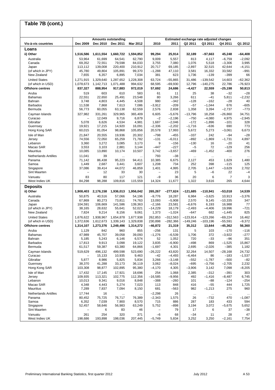# **Table 7B (cont.)**

|                                              |                      |                      | <b>Amounts outstanding</b> |                     |                          |                      |                    | Estimated exchange rate adjusted changes |                     |                       |
|----------------------------------------------|----------------------|----------------------|----------------------------|---------------------|--------------------------|----------------------|--------------------|------------------------------------------|---------------------|-----------------------|
| Vis-à-vis countries                          | Dec 2009             | Dec 2010             | Dec 2011                   | Mar 2012            | 2010                     | 2011                 | Q2 2011            | Q3 2011                                  | Q4 2011             | Q1 2012               |
| Loans                                        |                      |                      |                            |                     |                          |                      |                    |                                          |                     |                       |
| ii) Other<br>Australia                       | 1,516,586<br>53,964  | 1,611,554<br>61,699  | 1,660,722<br>64,541        | 1,594,852<br>62,790 | 99,294<br>9,009          | 25,914<br>5,557      | 32,189<br>813      | $-97,663$<br>4,117                       | 45,248<br>$-6,759$  | $-64,408$<br>$-2,092$ |
| Canada                                       | 69,352               | 72,551               | 79,598                     | 84,033              | 3,755                    | 7,080                | 1,076              | 5,518                                    | $-3,306$            | 3,995                 |
| Japan                                        | 113,112              | 139,008              | 220,400                    | 210,912             | 20,717                   | 69,185               | $-2,897$           | 32,515                                   | 42,644              | $-4,151$              |
| (of which in JPY)                            | 45,780               | 49,804               | 105,891                    | 99,370              | $-1,288$                 | 47,110               | 3,581              | 16,332                                   | 33,582              | $-991$                |
| New Zealand                                  | 7,655                | 6,357                | 6,895                      | 7,034               | 381                      | 623                  | 1,736              | $-139$                                   | $-399$              | 66                    |
| <b>United States</b>                         | 1,271,915            | 1,329,640            | 1,287,652                  | 1,228,308           | 63,724                   | $-55,865$            | 31,486             | $-139,542$                               | 14,603              | $-62,362$             |
| (of which in USD)<br><b>Offshore centres</b> | 1,078,673<br>837,327 | 1,142,713<br>888,954 | 1,071,488<br>917,883       | 994,632<br>972,019  | 68,595<br>57,692         | $-69,930$<br>24,686  | 12,796<br>$-4,427$ | $-140,275$<br>22,559                     | 22,786<br>$-25,198$ | $-76,923$<br>50,813   |
| Aruba                                        | 519                  | 603                  | 610                        | 583                 | 61                       | 11                   | 25                 | 38                                       | $-32$               | $-28$                 |
| <b>Bahamas</b>                               | 22,551               | 22,650               | 25,491                     | 23,548              | 80                       | 3,266                | 611                | $-41$                                    | 5,811               | $-2,232$              |
| Bahrain                                      | 3,748                | 4,803                | 4,445                      | 4,508               | 980                      | $-342$               | $-128$             | $-162$                                   | $-28$               | 40                    |
| <b>Barbados</b>                              | 11,538               | 7,868                | 7,613                      | 7,086               | $-3,912$                 | $-209$               | $-57$              | $-1,044$                                 | 676                 | $-605$                |
| Bermuda                                      | 56,773               | 60,055               | 63,138                     | 62,559              | 2,576                    | 2,838                | 1,358              | 3,394                                    | $-2,737$            | $-773$                |
| Cayman Islands                               | 327,982              | 331,261              | 329,965                    | 365,409             | 6,605                    | $-5,676$             | $-13,796$          | 18,258                                   | $-26,860$           | 34,751                |
| Curacao<br>Gibraltar                         | ÷<br>5,078           | 12,049<br>6,626      | 9,716<br>4,534             | 6,879<br>4,981      | $-2$<br>1,687            | $-2,196$<br>$-2,046$ | $-750$<br>$-172$   | $-4,080$<br>$-1,896$                     | 4,975<br>$-101$     | $-2,945$<br>328       |
| Guernsey                                     | 19,921               | 17,215               | 14,920                     | 16,091              | $-2,336$                 | $-2,202$             | $-1,716$           | $-636$                                   | 690                 | 773                   |
| Hong Kong SAR                                | 60,015               | 81,054               | 98,868                     | 105,856             | 20,578                   | 17,993               | 5,672              | 5,273                                    | $-3,061$            | 6,673                 |
| Isle of Man                                  | 21,847               | 20,555               | 19,936                     | 20,302              | $-798$                   | $-455$               | $-337$             | 242                                      | $-94$               | $-28$                 |
| Jersey                                       | 74,556               | 72,050               | 65,259                     | 71,782              | $-131$                   | $-6,011$             | $-892$             | $-1,869$                                 | $-1,731$            | 4,897                 |
| Lebanon                                      | 3,360                | 3,272                | 3,085                      | 3,173               | 9                        | $-156$               | $-130$             | 16                                       | $-20$               | 41                    |
| Macao SAR                                    | 3,553                | 3,103                | 2,881                      | 3,144               | $-447$                   | $-227$               | $-5$               | 72                                       | $-129$              | 256<br>276            |
| Mauritius                                    | 10,085               | 13,890               | 10,174                     | 10,507              | 3,742                    | $-3,657$             | -469               | $-1,452$                                 | $-400$              |                       |
| <b>Netherlands Antilles</b><br>Panama        | 11,041<br>71,142     | 39<br>86,438         | $\ldots$<br>95,223         | $\ddotsc$<br>94,411 | 793<br>10,385            | $-38$<br>6,675       | $\cdots$<br>2,127  | $\ddotsc$<br>453                         | $\cdots$<br>1,629   | <br>1,480             |
| Samoa                                        | 1,449                | 2,687                | 3,441                      | 3,607               | 1,208                    | 734                  | 252                | 398                                      | $-115$              | 125                   |
| Singapore                                    | 37,086               | 39,414               | 44,072                     | 46,859              | 1,401                    | 4,995                | 2,705              | 1,447                                    | $-3,629$            | 2,702                 |
| Sint Maarten                                 |                      | 12                   | 33                         | 30                  | $\overline{\phantom{0}}$ | 23                   | 5                  | $-6$                                     | 22                  | $-4$                  |
| Vanuatu                                      | 83                   | 80                   | 117                        | 121                 | $-9$                     | 36                   | 20                 | 6                                        | 7                   | 3                     |
| West Indies UK                               | 84,298               | 98,288               | 109,816                    | 115,559             | 14,324                   | 11,677               | 1,322              | 3,616                                    | 265                 | 4,644                 |
| <b>Deposits</b>                              |                      |                      |                            |                     |                          |                      |                    |                                          |                     |                       |
| ii) Other                                    | 1,908,403            | 2,176,158            | 1,936,013                  | 1,956,042           | 265,267                  | $-277,624$           | $-121,685$         | $-110,941$                               | $-53,018$           | 14,539                |
| Australia<br>Canada                          | 50,875<br>67,869     | 40,516<br>80,273     | 57,066<br>73,811           | 54,196<br>74,763    | $-9,776$<br>13,093       | 18,287<br>$-5,908$   | 6,984<br>2,570     | $-3,625$<br>9,145                        | 10,913<br>$-10,335$ | $-3,376$<br>347       |
| Japan                                        | 104,591              | 106,669              | 141,586                    | 139,363             | $-2,166$                 | 23,581               | $-6,676$           | 6,193                                    | 16,988              | 77                    |
| (of which in JPY)                            | 38,165               | 28,632               | 55,641                     | 52,021              | $-14,229$                | 18,179               | $-2,493$           | $-4,406$                                 | 19,996              | $-721$                |
| New Zealand                                  | 7,824                | 9,214                | 8,156                      | 9,061               | 1,373                    | $-1,024$             | $-647$             | 682                                      | $-1,445$            | 825                   |
| <b>United States</b>                         | 1,676,622            | 1,938,967            | 1,654,878                  | 1,677,938           | 262,853                  | $-312,563$           | $-123,914$         | $-123,266$                               | $-69,224$           | 16,462                |
| (of which in USD)                            | 1,372,636            | 1,612,673            | 1,339,143                  | 1,329,838           | 230,898                  | $-282,366$           | $-149,246$         | $-103,196$                               | $-55,591$           | $-9,372$              |
| <b>Offshore centres</b>                      | 1,314,107            | 1,273,376            | 1,249,496                  | 1,314,272           | $-46,872$                | 21,319               | 35,312             | 13,644                                   | $-45,362$           | 56,360                |
| Aruba<br><b>Bahamas</b>                      | 1,129<br>47,989      | 842<br>45,707        | 960<br>39,058              | 855<br>39,093       | $-256$<br>$-1,276$       | 131<br>$-6,539$      | 5<br>1,706         | 103<br>372                               | $-170$<br>$-3,922$  | $-116$<br>$-277$      |
| Bahrain                                      | 5,185                | 5,243                | 6,146                      | 6,574               | 52                       | 1,052                | 720                | $-33$                                    | -96                 | 351                   |
| <b>Barbados</b>                              | 17,813               | 9,913                | 3,098                      | 19,122              | 3,835                    | $-6,900$             | $-498$             | 869                                      | $-1,525$            | 15,867                |
| Bermuda                                      | 61,517               | 59,387               | 63,380                     | 64,866              | $-1,697$                 | 4,301                | 2,695              | $-2,026$                                 | $-385$              | 1,182                 |
| Cayman Islands                               | 519,629              | 496,132              | 499,598                    | 523,690             | $-26,222$                | 43,820               | 32,264             | 14,507                                   | $-28,168$           | 24,732                |
| Curacao                                      |                      | 15,133               | 10,935                     | 9,463               | $-42$                    | $-4,493$             | $-6,464$           | 86                                       | $-183$              | $-1,537$              |
| Gibraltar<br>Guernsey                        | 5,877<br>38,370      | 8,986<br>41,288      | 5,825<br>33,173            | 5,834<br>36,119     | 3,266<br>3,062           | $-3,148$<br>$-8,024$ | $-552$<br>$-695$   | $-1,787$<br>$-3,756$                     | $-500$<br>$-2,705$  | $-82$<br>2,232        |
| Hong Kong SAR                                | 103,308              | 98,877               | 102,895                    | 95,380              | $-4,170$                 | 4,305                | $-3,906$           | 3,142                                    | 7,098               | $-8,205$              |
| Isle of Man                                  | 17,432               | 17,145               | 17,921                     | 18,696              | 254                      | 1,068                | 2,385              | $-312$                                   | $-391$              | 303                   |
| Jersey                                       | 109,935              | 113,321              | 102,775                    | 112,356             | $-16,585$                | $-9,956$             | 492                | $-1,416$                                 | $-8,487$            | 6,745                 |
| Lebanon                                      | 10,013               | 9,341                | 9,016                      | 8,848               | $-388$                   | $-260$               | 101                | $-88$                                    | $-124$              | $-254$                |
| Macao SAR                                    | 4,348                | 4,443                | 5,274                      | 7,023               | 113                      | 848                  | 416                | $-55$                                    | 444                 | 1,725                 |
| <b>Mauritius</b>                             | 7,289                | 7,837                | 7,094                      | 8,150               | 681                      | $-563$               | 982                | $-1,213$                                 | 275                 | 960                   |
| <b>Netherlands Antilles</b><br>Panama        | 17,744<br>80,452     | 16<br>75,725         | $\ldots$<br>76,717         | 76,389              | $-2,298$<br>$-2,343$     | 26<br>1,575          | $\cdots$<br>26     | $\cdots$<br>$-732$                       | $\cdots$<br>470     | $-1,087$              |
| Samoa                                        | 6,352                | 7,039                | 7,900                      | 8,570               | 715                      | 886                  | 287                | 183                                      | 433                 | 594                   |
| Singapore                                    | 52,457               | 58,646               | 56,983                     | 63,249              | 5,752                    | $-898$               | 3,194              | 3,072                                    | $-5,675$            | 5,652                 |
| Sint Maarten                                 |                      | 6                    | 83                         | 46                  | $\overline{\phantom{0}}$ | 79                   | 17                 | 6                                        | 37                  | $-38$                 |
| Vanuatu                                      | 261                  | 254                  | 320                        | 371                 | $-6$                     | 68                   | $-34$              | 11                                       | 28                  | 47                    |
| West Indies UK                               | 198,686              | 193,898              | 198,036                    | 207,445             | $-5,749$                 | 5,834                | 3,252              | 3,250                                    | $-2,161$            | 7,754                 |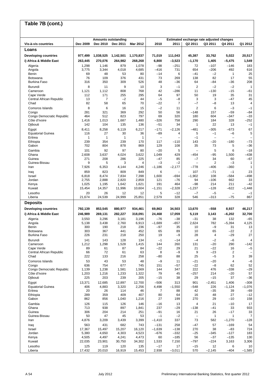#### **Vis-à-vis countries Dec 2009 Dec 2010 Dec 2011 Mar 2012 2010 2011 Q2 2011 Q3 2011 Q4 2011 Q1 2012 Loans Developing countries 977,499 1,038,525 1,142,501 1,170,837 71,019 111,043 45,387 33,762 5,022 20,517 i) Africa & Middle East 263,445 270,076 264,982 268,268 6,800 –3,523 –1,170 1,405 –5,475 1,549**  Algeria 1,298 1,146 879 1,078 –98 –251 72 –107 –146 183 Angola 3,775 3,344 4,018 4,685 –416 731 654 –206 492 616 Benin 69 48 53 80 –14 6 –41 –2 1 25 Botswana 76 109 376 431 73 269 138 82 17 55 Burkina Faso 316 350 309 526 48 –36 64 –84 –36 208 Burundi 8 11 9 10 3 –1 2 –2 –2 1 Cameroon 1,121 1,112 808 768 42 –286 11 –130 –15 –61 Cape Verde 112 171 255 295 64 97 50 19 35 31 Central African Republic | 13 7 −2 44 −5 −8 3 3 −47 45<br>Chad Chad 13 58 65 70 −22 7 −7 −8 13 4 Chad 82 58 65 70 –22 7 –7 –8 13 4 Comoros Islands 8 6 16 15 –2 11 2 6 –3 –1 Congo 281 321 369 292 50 56 –148 157 –59 –84 Congo Democratic Republic 464 512 823 797 69 320 180 604 –347 –33 Côte d'Ivoire 1,416 1,013 1,687 1,480 –326 758 290 184 328 –252 Djibouti 142 104 135 136 –51 34 1 22 13 –1 Egypt 8,411 8,258 6,119 6,217 –171 –2,126 –481 –305 –673 67 Equatorial Guinea 116 27 30 36 –89 4 5 –1 –6 5 Eritrea 1 1 1 1 – – –1 – – – Ethiopia 239 354 239 170 117 –110 143 –20 –180 –73 Gabon 702 804 878 869 129 108 35 73 5 –36 Gambia 101 92 97 80 –20 5 – 5 6 –18 Ghana 2,608 3,637 4,024 3,622 1,049 429 –454 –95 1,500 –438 Guinea 271 208 286 225 –47 85 –7 34 60 –67 Guinea-Bissau 9 5 3 4 –3 –2 – 2 –3 1 Iran 7,926 6,353 4,144 4,246 –1,186 –2,177 –778 –406 –360 1 Iraq 859 823 809 849 6 – 107 –71 –1 23 Israel 6,818 8,474 7,834 7,398 1,600 –694 –1,902 108 –584 –498 Jordan 2,755 2,888 2,820 2,859 121 –76 94 –106 662 33 Kenya 1,025 1,195 1,642 1,621 191 464 –98 214 211 –42 Kuwait 15,454 14,357 11,996 10,604 –1,151 –2,328 –1,237 –128 –622 –1,448 Lesotho 20 26 12 12 5 –12 –7 –5 – –1 Liberia 21,674 24,539 24,999 25,851 2,579 328 546 –313 –75 867 **Deposits Developing countries 792,139 853,545 880,977 934,461 69,863 34,503 13,670 –558 8,937 46,217 i) Africa & Middle East 246,989 269,131 282,227 318,091 24,468 17,059 5,119 3,143 –6,202 32,700**  Algeria 3,550 3,296 3,181 3,196 –76 –38 –31 38 132 –65 Angola 5,138 3,438 2,760 6,913 –1,689 –657 2,624 782 –5,394 4,125 Benin 300 190 218 236 –97 35 10 –9 31 13 Botswana 303 367 441 452 65 89 10 65 –22 2 Burkina Faso 226 231 218 250 19 –9 28 4 –29 27 Burundi 141 143 128 134 –1 –14 –4 –2 –6 4 Cameroon 1,212 1,298 1,528 1,415 144 260 131 –20 290 –142 Cape Verde 89 61 87 84 | —22 29 | 21 —22 16 —5 Central African Republic | 66 72 61 63 8 −9 9 −23 2 −<br>Chad 222 133 216 258 −80 88 25 −5 3 39 Chad 222 133 216 258 –80 88 25 –5 3 39 Comoros Islands 53 43 53 48 –9 11 –21 –20 4 –6 Congo 636 754 677 745 151 –57 –22 –8 62 52 Congo Democratic Republic  $\begin{array}{|c|c|c|c|c|c|c|}\n\hline\n1,139 & 1,238 & 1,581 & 1,569 & 144 & 347 & 222 & 476 & -338 & -29 \\
\hline\n\hline\n\text{Côte d'Ivoire} & & 1,203 & 1,216 & 1,233 & 1,322 & 79 & 45 & -257 & 214 & -20 & 57\n\end{array}$ Côte d'Ivoire 1,203 1,216 1,233 1,322 79 45 –257 214 –20 57 Djibouti 225 203 239 205 –15 38 29 –15 37 –36 Egypt 13,371 12,685 12,897 12,700 –506 313 901 –2,451 1,406 –308 Equatorial Guinea 406 4,883 3,320 2,256 4,498 –1,550 –548 226 –1,124 –1,076 Eritrea 20 26 114 46 7 88 42 –35 39 –69 Ethiopia 289 359 409 407 80 64 16 48 27 –12 Gabon 862 856 1,040 1,216 27 199 270 29 –10 158 Gambia 126 115 126 146 –16 13 4 21 –10 17 Ghana 713 938 897 1,841 237 –29 –138 –41 33 933 Guinea 306 204 214 251 –91 16 21 26 –17 33 Guinea-Bissau 50 47 45 53 –1 –2 – 1 1 7 Iran 4,876 3,209 3,439 3,399 –1,410 337 73 582 –1,270 –128 Iraq 563 431 682 743 –131 258 –47 57 –169 54 Israel 17,367 15,497 15,207 16,120 –1,639 –138 270 38 –83 724 Jordan 5,380 4,650 4,303 4,523 –676 –332 –25 –345 –127 183 Kenya 4,505 4,497 4,241 4,473 60 –185 56 –37 –135 130 Kuwait 22,035 23,901 30,750 34,302 1,533 7,150 –797 –224 3,163 3,306 Lesotho 125 119 120 135 –17 17 –15 12 6 10 Liberia 17,432 20,010 16,919 15,453 2,938 –3,011 570 –2,145 –404 –1,585 **Table 7B (cont.) Amounts outstanding Estimated exchange rate adjusted changes**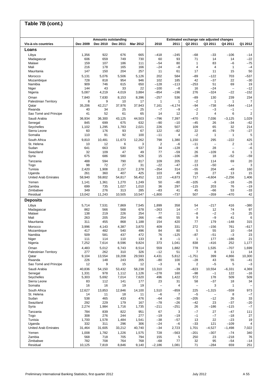|                                       |               |               | <b>Amounts outstanding</b> |                 |                          |                 | Estimated exchange rate adjusted changes |                                 |                          |                          |
|---------------------------------------|---------------|---------------|----------------------------|-----------------|--------------------------|-----------------|------------------------------------------|---------------------------------|--------------------------|--------------------------|
| Vis-à-vis countries                   | Dec 2009      | Dec 2010      | Dec 2011                   | <b>Mar 2012</b> | 2010                     | 2011            | Q2 2011                                  | Q3 2011                         | Q4 2011                  | Q1 2012                  |
| Loans                                 |               |               |                            |                 |                          |                 |                                          |                                 |                          |                          |
| Libya                                 | 1,356         | 922           | 676                        | 665             | $-418$                   | $-245$          | $-68$                                    | $-33$                           | $-106$                   | $-14$                    |
| Madagascar<br>Malawi                  | 606<br>159    | 659<br>107    | 749<br>186                 | 730<br>111      | 60<br>-54                | 93<br>80        | 71<br>1                                  | 14<br>83                        | 14<br>$-6$               | $-22$<br>$-75$           |
| Mali                                  | 216           | 178           | 165                        | 166             | $-24$                    | -8              | 4                                        | $\overline{4}$                  | $\mathbf{1}$             | $-4$                     |
| Mauritania                            | 147           | 150           | 204                        | 257             | 11                       | 61              | 17                                       | 11                              | 15                       | 50                       |
| Morocco                               | 5,131         | 5,076         | 5,506                      | 5,126           | 202                      | 584             | -89                                      | $-122$                          | 703                      | $-537$                   |
| Mozambique                            | 728           | 818           | 954                        | 946             | 102                      | 185             | 42                                       | $-37$                           | 22                       | $-30$                    |
| Namibia                               | 909           | 746           | 615                        | 650             | $-128$                   | $-113$          | $-253$                                   | 51                              | 69                       | 19                       |
| Niger                                 | 144           | 43            | 33                         | 22              | $-100$                   | $-8$            | 16                                       | $-24$                           | $\overline{\phantom{0}}$ | $-12$                    |
| Nigeria                               | 5,087         | 4,219         | 4,019                      | 3,884           | $-854$                   | $-196$          | 276                                      | $-324$                          | $-22$                    | $-152$                   |
| Oman                                  | 7,840         | 7,630         | 8,153                      | 8,396           | $-257$                   | 536             | -89                                      | 130                             | 239                      | 234                      |
| <b>Palestinian Territory</b><br>Qatar | 8<br>35,206   | 9<br>42,217   | 10<br>37,976               | 17<br>37,943    | 1<br>7,161               | 1<br>-4,174     | $-2$<br>-94                              | $\mathbf{1}$<br>$-738$          | 1<br>-544                | $\overline{7}$<br>$-114$ |
| Rwanda                                | 40            | 34            | 25                         | 25              | $-7$                     | $-9$            | $-2$                                     | $-3$                            | $-1$                     |                          |
| Sao Tomé and Principe                 | 41            | 52            | 61                         | 65              | 14                       | 12              | 2                                        | $\overline{4}$                  | 6                        | $\overline{2}$           |
| Saudi Arabia                          | 36,934        | 36,300        | 43,125                     | 44,503          | $-796$                   | 7,397           | $-470$                                   | 7,036                           | $-3,125$                 | 1,029                    |
| Senegal                               | 845           | 699           | 675                        | 632             | $-90$                    | $-10$           | $-45$                                    | 26                              | $-34$                    | $-62$                    |
| Seychelles                            | 1,102         | 1,295         | 1,783                      | 2,021           | 226                      | 507             | 109                                      | 65                              | 32                       | 214                      |
| Sierra Leone                          | 60            | 176           | 93                         | 67              | 122                      | $-82$           | 22                                       | 45                              | $-79$                    | $-27$                    |
| Somalia                               | 110           | 91            | 92                         | 100             | $-11$                    | 4               | $-2$                                     | 1                               | $\mathbf{1}$             | 5                        |
| South Africa<br>St. Helena            | 9,810<br>10   | 10,481<br>12  | 11,673<br>6                | 12,262<br>3     | 798<br>$\overline{2}$    | 1,380<br>$-6$   | 1,150<br>$-11$                           | 295<br>$\overline{\phantom{0}}$ | $-222$<br>$\overline{2}$ | 425<br>$-3$              |
| Sudan                                 | 641           | 663           | 530                        | 537             | 34                       | $-128$          | $-9$                                     | 28                              | $\overline{\phantom{0}}$ | $-6$                     |
| Swaziland                             | 32            | 109           | 47                         | 49              | 77                       | $-59$           | 26                                       | $-109$                          | 6                        | $\mathbf{1}$             |
| Syria                                 | 675           | 686           | 580                        | 526             | 15                       | $-106$          | -28                                      | 18                              | $-52$                    | -59                      |
| Tanzania                              | 488           | 594           | 790                        | 817             | 109                      | 205             | 22                                       | 114                             | 69                       | 20                       |
| Togo                                  | 98            | 72            | 27                         | 31              | $-22$                    | $-47$           | $-13$                                    | $-50$                           | $\overline{\phantom{0}}$ | 3                        |
| Tunisia                               | 2,420         | 1,908         | 2,157                      | 2,378           | $-354$                   | 314             | $-55$                                    | 204                             | $-49$                    | 160                      |
| Uganda<br><b>United Arab Emirates</b> | 261<br>58,940 | 360<br>59,802 | 407<br>54,817              | 425<br>56,452   | 103<br>122               | 49<br>$-4,873$  | 16<br>717                                | 27<br>$-4,604$                  | 13<br>$-2,256$           | 15<br>1,406              |
|                                       |               |               |                            |                 | 50                       |                 |                                          | $-9$                            |                          |                          |
| Yemen<br>Zambia                       | 1,141<br>699  | 1,361<br>735  | 1,270<br>1,027             | 1,249<br>1,010  | 36                       | $-80$<br>297    | $-105$<br>$-115$                         | 203                             | $-18$<br>76              | $-26$<br>$-19$           |
| Zimbabwe                              | 349           | 276           | 313                        | 285             | $-83$                    | 41              | 45                                       | $-66$                           | 53                       | -33                      |
| Residual                              | 13,042        | 11,243        | 10,505                     | 10,547          | $-1,800$                 | $-737$          | 507                                      | $-359$                          | $-470$                   | 42                       |
| <b>Deposits</b>                       |               |               |                            |                 |                          |                 |                                          |                                 |                          |                          |
| Libya                                 | 5,714         | 7,531         | 7,869                      | 7,545           | 1,899                    | 358             | 54                                       | $-217$                          | 416                      | -380                     |
| Madagascar                            | 862           | 566           | 568                        | 678             | $-263$                   | 14              | $-7$                                     | 12                              | 74                       | 97                       |
| Malawi                                | 138           | 219           | 226                        | 254             | 77                       | 11              | $-8$                                     | $-2$                            | $-3$                     | 25                       |
| Mali                                  | 263           | 205           | 254                        | 266             | $-46$                    | 55              | 9                                        | $-9$                            | 41                       | 6                        |
| Mauritania                            | 311           | 455           | 868                        | 1,188           | 154                      | 420             | 77                                       | 179                             | $-148$                   | 315                      |
| Morocco<br>Mozambique                 | 3,996<br>417  | 4,143<br>482  | 4,387<br>540               | 3,870<br>496    | 409<br>84                | 331<br>80       | 272<br>5                                 | $-156$<br>55                    | 761<br>10                | $-617$<br>-54            |
| Namibia                               | 509           | 581           | 437                        | 472             | 76                       | $-125$          | $-87$                                    | $-51$                           | $-3$                     | 23                       |
| Niger                                 | 111           | 114           | 110                        | 133             | 8                        | $-1$            | $\mathbf{1}$                             | 177                             | $-186$                   | 21                       |
| Nigeria                               | 7,252         | 7,614         | 8,596                      | 9,824           | 373                      | 1,041           | 838                                      | $-416$                          | 252                      | 1,177                    |
| Oman                                  | 4,483         | 5,012         | 6,743                      | 8,514           | 559                      | 1,882           | 778                                      | 1,535                           | $-707$                   | 1,699                    |
| <b>Palestinian Territory</b>          | 277           | 262           | 310                        | 326             | $-12$                    | 51              | $\overline{7}$                           | 8                               | 11                       | 14                       |
| Qatar                                 | 9,104         | 13,554        | 19,208                     | 29,593          | 4,431                    | 5,812           | $-1,751$                                 | 399                             | 4,866                    | 10,300                   |
| Rwanda<br>Sao Tomé and Principe       | 226<br>12     | 148<br>9      | 243<br>15                  | 205<br>12       | $-80$<br>-3              | 100<br>6        | $-28$<br>$\overline{2}$                  | 43<br>$-5$                      | 55<br>5                  | $-41$<br>$-3$            |
| Saudi Arabia                          | 40,836        | 54,150        | 53,432                     | 58,238          | 13,310                   | $-39$           | -823                                     | 10,554                          | $-6,331$                 | 4,369                    |
| Senegal                               | 1,331         | 978           | 1,112                      | 1,126           | $-278$                   | 160             | $-98$                                    | $-1$                            | 122                      | $-16$                    |
| Seychelles                            | 5,303         | 5,692         | 7,014                      | 7,620           | 496                      | 1,422           | 572                                      | 178                             | 509                      | 509                      |
| Sierra Leone                          | 83            | 112           | 141                        | 177             | 23                       | 31              | 58                                       | $-37$                           | 18                       | 34                       |
| Somalia                               | 16            | 16            | 19                         | 19              | $\overline{\phantom{0}}$ | 4               | $\qquad \qquad -$                        | 3                               | $\mathbf{1}$             |                          |
| South Africa                          | 12,627        | 13,853        | 12,846                     | 14,100          | 1,510                    | $-859$          | 225                                      | $-1,315$                        | $-559$                   | 973                      |
| St. Helena                            | 14            | 11            | 18                         | 11              | -6                       | 7               | $-5$                                     | $\qquad \qquad -$               | 8                        | $-7$                     |
| Sudan                                 | 538           | 465           | 433                        | 476             | $-64$                    | $-30$           | $-205$                                   | $-12$                           | 26                       | 33                       |
| Swaziland<br>Syria                    | 292<br>2,274  | 229<br>1,984  | 179<br>1,716               | 167<br>1,735    | $-78$<br>$-211$          | $-26$<br>$-251$ | $-42$<br>26                              | 23<br>$-186$                    | $-37$<br>$-115$          | $-20$<br>$-7$            |
| Tanzania                              | 784           | 839           | 822                        | 951             | 67                       | 3               | $-7$                                     | 27                              | $-47$                    | 111                      |
| Togo                                  | 308           | 276           | 244                        | 277             | $-19$                    | $-19$           | $-1$                                     | $-7$                            | $-18$                    | 27                       |
| Tunisia                               | 1,700         | 1,578         | 1,484                      | 1,541           | $-38$                    | $-57$           | 13                                       | 22                              | $-23$                    | 19                       |
| Uganda                                | 332           | 311           | 296                        | 306             | $-24$                    | $-6$            | $-33$                                    | 121                             | $-109$                   | $\overline{4}$           |
| <b>United Arab Emirates</b>           | 31,464        | 31,605        | 33,212                     | 40,740          | $-34$                    | 2,723           | 1,701                                    | $-4,527$                        | $-1,498$                 | 7,022                    |
| Yemen                                 | 1,008         | 1,782         | 1,226                      | 1,575           | 728                      | $-563$          | $-201$                                   | $-307$                          | $-74$                    | 340                      |
| Zambia                                | 568           | 718           | 705                        | 794             | 155                      | 5               | 250                                      | 23                              | $-218$                   | 76                       |
| Zimbabwe                              | 782           | 708           | 764                        | 768             | $-68$                    | 77              | 32                                       | 95                              | $-54$                    | $-14$                    |
| Residual                              | 10,125        | 7,819         | 8,846                      | 9,140           | $-2,186$                 | 1,081           | 71                                       | $-284$                          | 659                      | 251                      |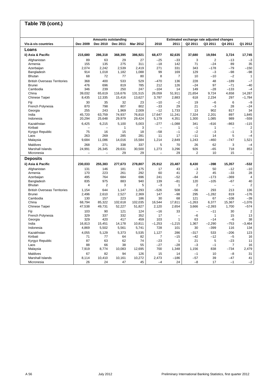#### **Vis-à-vis countries Dec 2009 Dec 2010 Dec 2011 Mar 2012 2010 2011 Q2 2011 Q3 2011 Q4 2011 Q1 2012 Loans ii) Asia & Pacific 215,680 286,318 368,395 386,921 68,477 82,635 37,680 19,594 3,724 17,745**  Afghanistan | 89 63 29 27 –25 –33 | 3 2 –13 –3 Armenia 155 135 275 311 –18 142 71 –24 89 35 Azerbaijan 2,074 2,242 2,539 2,419 271 331 343 –178 –79 –150 Bangladesh 914 1,018 1,182 1,088 99 169 129 –3 –98 –98 Bhutan 68 72 77 80 8 7 10 –10 –2 1 British Overseas Territories 368 400 533 529 –470 136 228 48 –189 –7 Brunei 476 696 819 785 212 126 –24 97 –71 –40 Cambodia 346 239 250 247 –104 14 149 –28 –133 –4 China 39,032 65,619 116,676 131,515 26,059 51,911 21,654 9,724 4,658 14,287 Chinese Taipei 8,435 12,335 15,416 13,627 3,787 2,883 618 2,234 297 –1,784 Fiji 30 35 32 23 –10 –2 19 –6 6 –9 French Polynesia 870 798 807 802 –33 29 21 –3 28 –24 Georgia 255 243 1,969 2,009 –12 1,733 13 902 817 34 India 45,720 63,759 74,937 76,810 17,647 11,241 7,324 2,201 897 1,845 Indonesia 20,294 25,648 29,979 29,424 5,179 4,351 1,300 1,085 989 –559 Kazakhstan 6,425 6,215 5,100 5,003 –277 –1,088 341 –616 –863 –115 Kiribati – – 1 3 – 1 –1 1 – 2 Kyrgyz Republic 75 16 15 18 –58 –1 –2 –3 –1 3 Laos 263 269 285 281 11 17 –11 14 5 –4 Malaysia 9,684 11,086 14,016 15,584 1,214 2,849 1,243 –460 –747 1,521 Maldives 268 271 338 337 5 70 26 62 3 –4 Marshall Islands | 24,991 26,345 29,631 30,500 | 1,273 3,296 | 926 —65 718 853 Micronesia – – – 29 29 – 29 29 – 29 10 15 – **Deposits ii) Asia & Pacific 230,033 255,383 277,673 278,807 25,912 23,487 8,430 –398 15,357 –532**  Afghanistan | 131 146 181 175 | 17 43 | –3 50 –12 –10 Armenia 170 223 261 292 60 41 2 45 –33 28 Azerbaijan 495 764 684 696 241 –52 –84 –173 –369 4 Bangladesh 835 975 883 940 139 –81 120 –105 –67 40 Bhutan 4 2 3 5 –3 1 2 – – 2 British Overseas Territories 1,154 644 1,147 1,293 –526 508 –56 293 213 136 Brunei 2,496 2,610 2,527 2,369 147 –98 295 –1,282 819 –176 Cambodia 130 157 223 186 30 68 121 67 –108 –39 China 68,794 85,322 102,618 102,035 16,544 17,811 –1,263 6,377 15,367 –1,076 Chinese Taipei 47,538 49,731 52,227 51,827 2,120 2,654 3,666 –2,393 1,700 –574 Fiji 103 90 121 124 –16 33 – –11 30 2 French Polynesia 329 337 332 352 17 – –6 1 15 13 Georgia 329 420 417 459 103 1 63 –14 –6 38 India 16,813 15,451 14,178 10,811 –1,253 –1,215 1,367 –2,290 –753 –3,464 Indonesia 4,869 5,502 5,561 5,741 728 101 30 –399 116 134 Kazakhstan | 4,055 5,129 5,373 5,535 1,127 286 –317 533 –206 123 Kiribati 71 77 64 82 7 –15 –42 –12 –5 16 Kyrgyz Republic 87 63 62 74 –23 1 21 5 –23 11 Laos 88 66 38 55 –27 –28 –3 –1 7 16 Malaysia 7,919 8,774 10,083 12,695 700 1,348 1,156 838 –734 2,479 Maldives 67 82 94 126 15 14 –1 10 –8 31 Marshall Islands 8,114 10,410 10,161 10,272 2,473 –186 –57 39 –47 41 Micronesia 26 24 47 45 –4 24 –8 17 –1 –2 **Table 7B (cont.) Amounts outstanding Estimated exchange rate adjusted changes**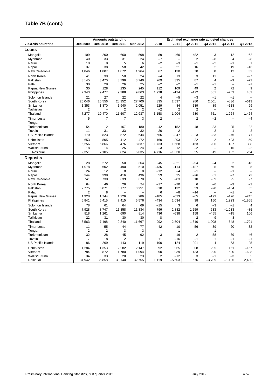#### **Vis-à-vis countries Dec 2009 Dec 2010 Dec 2011 Mar 2012 2010 2011 Q2 2011 Q3 2011 Q4 2011 Q1 2012 Loans** Mongolia 109 200 660 598 89 460 482 –3 12 –62 Myanmar 40 33 31 24 –7 – 2 –8 4 –8 Nauru 10 8 5 6 –2 –3 –1 –2 –1 1 Nepal 37 38 58 42 – 21 16 2 19 –16 New Caledonia 1,846 1,807 1,872 1,964 | 67 130 | 70 8 12 32 North Korea | 41 39 50 24 | —4 13 | 3 11 — —27 Pakistan 3,145 3,470 3,796 3,740 269 335 87 4 –9 –72 Palau 30 28 26 25 –2 –2 –1 –1 – –1 Papua New Guinea 30 128 235 245 112 109 49 2 72 9 Philippines 7,343 9,477 9,388 9,863 1,928 –124 –172 381 –703 483 Solomon Islands 21 27 22 22 4 –5 –3 –1 –1 – South Korea 25,046 25,556 28,352 27,700 335 2,537 280 2,601 –836 –613 Sri Lanka 1,353 1,870 1,940 2,051 529 84 139 89 –118 99 Tajikistan 2 – 2 2 –2 2 2 – – – Thailand 7,277 10,470 11,507 12,937 3,158 1,004 780 751 –1,264 1,424 Timor Leste 5 7 7 3 | 2 —| 2 —2 — —4 Tonga – – – – – – – – – – – – – – – – – Turkmenistan 54 12 167 180 –42 152 48 83 25 22 Tuvalu 11 31 33 32 20 2 – 2 1 –2 US Pacific Islands 170 823 572 644 656 –247 –323 –33 –76 71 Uzbekistan 653 805 412 472 160 –393 22 2 –423 59 Vietnam 5,256 6,866 8,476 8,837 1,733 1,668 463 206 487 308 Wallis/Futuna 18 14 25 24 –3 12 –2 – 15 –2 Residual 2,351 7,105 5,824 6,035 4,716 –1,330 1,355 519 182 264 **Deposits** Mongolia 28 272 50 364 245 –221 –94 –4 2 313 Myanmar 1,078 602 490 510 –435 –114 –187 5 66 5 Nauru 24 12 8 8 –12 –4 –1 – –1 – Nepal 344 398 416 496 59 25 –26 61 –7 73 New Caledonia 741 730 639 678 5 –83 10 –59 25 27 North Korea 64 46 26 24 | –17 –20 | 6 –6 –3 –2 Pakistan 2,775 3,071 3,177 3,251 310 132 53 –20 –104 35 Palau 2 8 – – 6 –8 –14 – –1 – Papua New Guinea 1,928 1,744 1,226 986 –185 –523 –65 –193 –196 –245 Philippines 5,841 5,415 7,415 5,576 –434 2,034 38 150 1,923 –1,865 Solomon Islands 78 61 64 69 –15 3 6 –3 –1 4 South Korea 7,928 8,747 11,858 11,834 796 2,882 1,259 633 –1,033 –85 Sri Lanka 818 1,261 690 814 436 –538 158 –455 –15 106 Tajikistan 22 31 30 30 8 – 2 –9 8 – Thailand 6,563 7,498 9,840 11,667 992 2,504 1,310 1,008 –648 1,701 Timor Leste 11 55 44 77 42 –10 56 –39 –20 32 Tonga 2 2 3 3 – 1 – 1 – – Turkmenistan 32 28 45 92 –3 19 –2 58 –39 46 Tuvalu 7 18 2 1 11 –16 –1 1 –1 –1 US Pacific Islands 86 269 143 119 190 –124 –201 4 –53 –25 Uzbekistan 1,284 1,353 2,282 2,147 92 965 308 295 151 –157 Vietnam 784 872 1,780 1,094 90 939 133 290 520 –698 Wallis/Futuna 34 33 20 23 2 –12 3 –1 –3 2 Residual 34,942 35,858 30,140 32,755 1,119 –5,603 676 –3,709 –1,106 2,430 **Table 7B (cont.) Amounts outstanding Estimated exchange rate adjusted changes**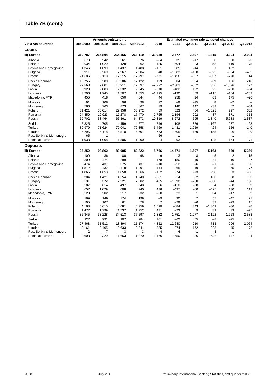| Table 7B (cont.)         |                |          |                            |                 |                |           |                                          |                          |          |                          |
|--------------------------|----------------|----------|----------------------------|-----------------|----------------|-----------|------------------------------------------|--------------------------|----------|--------------------------|
|                          |                |          |                            |                 |                |           |                                          |                          |          |                          |
|                          |                |          | <b>Amounts outstanding</b> |                 |                |           | Estimated exchange rate adjusted changes |                          |          |                          |
| Vis-à-vis countries      | Dec 2009       | Dec 2010 | Dec 2011                   | <b>Mar 2012</b> | 2010           | 2011      | Q2 2011                                  | Q3 2011                  | Q4 2011  | Q1 2012                  |
| Loans                    |                |          |                            |                 |                |           |                                          |                          |          |                          |
| iii) Europe              | 310,787        | 265,804  | 264,156                    | 266,110         | $-33,030$      | 2,777     | 2,407                                    | $-1,315$                 | 3,304    | $-2,904$                 |
| Albania                  | 670            | 542      | 561                        | 576             | $-84$          | 35        | $-17$                                    | 6                        | 50       | $-3$                     |
| <b>Belarus</b>           | 934            | 1,029    | 428                        | 362             | 135            | $-604$    | 3                                        | $-58$                    | $-119$   | $-75$                    |
| Bosnia and Herzegovina   | 1,346          | 1,099    | 1,437                      | 1,488           | $-161$         | 385       | $-14$                                    | $\mathbf{1}$             | 422      | 5                        |
| Bulgaria                 | 9,911          | 9,269    | 7,967                      | 7,804           | 48             | $-1,083$  | $-168$                                   | $-322$                   | $-354$   | $-402$                   |
| Croatia                  | 21,686         | 19,110   | 17,215                     | 17,797          | $-771$         | $-1,456$  | $-507$                                   | $-837$                   | $-770$   | 44                       |
| Czech Republic           | 16,755         | 16,280   | 16,506                     | 17,122          | 199            | 604       | 364                                      | $-69$                    | 166      | 218                      |
| Hungary                  | 29.868         | 19,601   | 16,911                     | 17,597          | $-9,222$       | $-2,302$  | $-502$                                   | 356                      | $-1,076$ | 177                      |
| Latvia                   | 3,923          | 2,883    | 2,332                      | 2,345           | $-510$         | $-482$    | 122                                      | 22                       | $-260$   | $-54$                    |
| Lithuania                | 3,206          | 1,945    | 1,707                      | 1,553           | $-1,195$       | $-190$    | 59                                       | $-115$                   | $-164$   | $-202$                   |
| Macedonia, FYR           | 455            | 418      | 650                        | 644             | 44             | 258       | 14                                       | 63                       | 175      | $-26$                    |
| Moldova                  | 91             | 108      | 96                         | 98              | 22             | $-9$      | $-15$                                    | 8                        | $-2$     | $\overline{\phantom{0}}$ |
| Montenegro               | 766            | 763      | 873                        | 867             | 39             | 146       | 147                                      | $-33$                    | 82       | -34                      |
| Poland                   | 31,421         | 30,014   | 29,958                     | 30,972          | 59             | 623       | 464                                      | $-1,621$                 | 297      | 302                      |
| Romania                  | 24,450         | 19,923   | 17,278                     | 17,470          | $-2,765$       | $-2,194$  | $-202$                                   | $-437$                   | $-371$   | $-313$                   |
| Russia                   | 69,702         | 58,464   | 66,361                     | 64,373          | $-10,819$      | 8,272     | 595                                      | 2,340                    | 5,738    | $-2,537$                 |
| Serbia                   | 5,825          | 4.705    | 4,459                      | 4,577           | $-746$         | $-108$    | 326                                      | $-167$                   | $-277$   | $-23$                    |
| Turkey                   | 80,979         | 71,624   | 72,041                     | 72,858          | $-6,469$       | 1,481     | 1,959                                    | $-424$                   | $-156$   | $-140$                   |
| Ukraine                  | 6,796          | 6,118    | 5,570                      | 5,707           | $-763$         | $-505$    | $-159$                                   | $-155$                   | 96       | 89                       |
| Res. Serbia & Montenegro | 65             | 1        |                            |                 | $-66$          | $-1$      | $\equiv$                                 | $\overline{\phantom{0}}$ | $-1$     | $\overline{\phantom{0}}$ |
| <b>Residual Europe</b>   | 1.938          | 1,908    | 1.806                      | 1,900           | $-4$           | $-93$     | $-61$                                    | 128                      | $-174$   | 71                       |
| <b>Deposits</b>          |                |          |                            |                 |                |           |                                          |                          |          |                          |
| iii) Europe              | 93,252         | 98,862   | 83,085                     | 89,822          | 8.766          | $-14,771$ | $-1.607$                                 | $-5,163$                 | 539      | 5,366                    |
| Albania                  | 100            | 86       | 80                         | 98              | $-9$           | -3        | $-8$                                     | $-5$                     | 2        | 15                       |
| <b>Belarus</b>           | 309            | 474      | 299                        | 311             | 178            | $-180$    | 10                                       | $-241$                   | 10       | $\overline{7}$           |
| Bosnia and Herzegovina   | 474            | 437      | 375                        | 437             | $-10$          | $-52$     | -6                                       | $-1$                     | $-6$     | 50                       |
| <b>Bulgaria</b>          | 1,872          | 2,432    | 2,118                      | 1,991           | 414            | $-265$    | 19                                       | 5                        | $-75$    | $-177$                   |
| Croatia                  | 1,865          | 1,653    | 1,850                      | 1,866           | $-122$         | 274       | -73                                      | 298                      | 3        | $-36$                    |
| <b>Czech Republic</b>    | 5.204          | 4.421    | 4.554                      | 4.740           | $-581$         | 214       | 32                                       | 160                      | 98       | 93                       |
| Hungary                  | 9,531          | 9,372    | 7,221                      | 7,602           | 405            | $-1.998$  | $-250$                                   | $-568$                   | $-44$    | 198                      |
| Latvia                   | 587            | 614      | 497                        | 548             | 56             | $-110$    | $-28$                                    | 4                        | $-58$    | 39                       |
| Lithuania                | 657            | 1,029    | 608                        | 740             | 436            | $-437$    | $-80$                                    | $-425$                   | 130      | 113                      |
| Macedonia, FYR           | 228            | 202      | 217                        | 232             | $-28$          | 23        | 1                                        | 34                       | -17      | 9                        |
| Moldova                  | 169            | 149      | 174                        | 199             | -9             | 30        | $\overline{7}$                           | 55                       | $-47$    | 21                       |
| Montenegro               | 105            | 107      | 61                         | 78              | $\overline{7}$ | $-29$     | $-6$                                     | 32                       | $-29$    | 15                       |
| Poland                   | 4,163          | 5,615    | 4,681                      | 4,759           | 1,590          | $-884$    | 343                                      | $-1.349$                 | -66      | $-8$                     |
| Romania                  | 1,477          | 1,799    | 1,737                      | 1,752           | 431            | $-23$     | 9                                        | 39                       | 33       | $-25$                    |
| Russia                   | 32,345         | 33,228   | 34,513                     | 37,597          | 1,882          | 1,751     | $-1,277$                                 | $-2,122$                 | 1,728    | 2,583                    |
| Serbia                   | 927            | 991      | 907                        | 984             | 101            | $-62$     | 55                                       | $-8$                     | $-25$    | 51                       |
| Turkey                   | 27,468         | 31,512   | 18,894                     | 21,174          | 4,852          | $-12,640$ | $-210$                                   | $-713$                   | $-906$   | 2,064                    |
| Ukraine                  | 2,161          | 2,405    | 2,633                      | 2,841           | 335            | 274       | $-172$                                   | 328                      | $-45$    | 172                      |
| Res. Serbia & Montenegro | $\overline{2}$ | 7        | 3                          | 3               | 4              | $-4$      | $\mathbf{1}$                             | $-3$                     | $-1$     |                          |
| <b>Residual Europe</b>   | 3,608          | 2,329    | 1,663                      | 1,870           | $-1,166$       | $-650$    | 26                                       | $-682$                   | $-147$   | 184                      |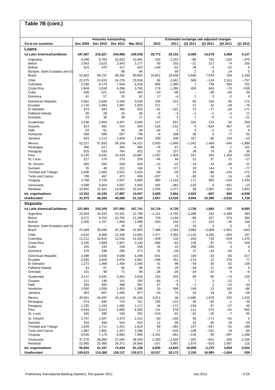# **Table 7B (cont.)**

|                                          |                  | <b>Amounts outstanding</b> |                  |                   |                  |                 |                       | Estimated exchange rate adjusted changes |                 | Q1 2012           |
|------------------------------------------|------------------|----------------------------|------------------|-------------------|------------------|-----------------|-----------------------|------------------------------------------|-----------------|-------------------|
| Vis-à-vis countries                      | Dec 2009         | Dec 2010                   | Dec 2011         | Mar 2012          | 2010             | 2011            | Q2 2011               | Q3 2011                                  | Q4 2011         |                   |
| Loans<br>iv) Latin America/Caribbean     | 187,587          | 216,327                    | 244,968          | 249,538           | 28,772           | 29,152          | 6,469                 | 14,078                                   | 3,469           | 4,127             |
| Argentina                                | 9,498            | 9,782                      | 10,932           | 10,481            | 224              | 1,163           | $-86$                 | 792                                      | $-125$          | $-470$            |
| <b>Belize</b>                            | 2,663            | 2,623                      | 2,943            | 3,177             | 93               | 333             | -21                   | 317                                      | 74              | 205               |
| <b>Bolivia</b>                           | 610              | 470                        | 417              | 423               | $-140$           | -52             | 26                    | $-3$                                     | $-22$           | 6                 |
| Bonaire, Saint Eustatius and Sa          |                  |                            | 88               | 94                |                  | 89              | $\overline{2}$        | 3                                        | 24              | 5                 |
| Brazil                                   | 52,602           | 69,237                     | 88,392           | 90,893            | 16,821           | 19,448          | 5,640                 | 7,978                                    | 329             | 2,340             |
| Chile<br>Colombia                        | 21,575<br>5,166  | 21,633<br>6,179            | 24,276<br>7,558  | 23,535            | 68<br>965        | 2,662<br>1,380  | 589<br>$\overline{7}$ | $-118$<br>739                            | 2,151<br>593    | $-757$<br>752     |
| Costa Rica                               | 2,849            | 3,028                      | 4,298            | 8,319<br>3,765    | 179              | 1,280           | 459                   | 843                                      | $-70$           | $-538$            |
| Cuba                                     | 596              | 521                        | 419              | 464               | $-53$            | -96             | $\qquad \qquad -$     | $-38$                                    | -64             | 38                |
| Dominica                                 | 41               | 57                         | 53               | 62                | 17               | $-4$            | $\mathbf{1}$          | 2                                        | $-2$            | 8                 |
| Dominican Republic                       | 2,661            | 2,849                      | 3,349            | 3,540             | 234              | 515             | 85                    | 104                                      | 82              | 172               |
| Ecuador                                  | 1,716            | 1,994                      | 1,997            | 1,925             | 271              | 7               | 21                    | 42                                       | $-29$           | $-76$             |
| El Salvador<br><b>Falkland Islands</b>   | 674<br>35        | 583<br>28                  | 480<br>24        | 652<br>36         | -91<br>$-5$      | $-101$<br>$-3$  | 74<br>$-1$            | $-77$<br>$-1$                            | $-26$<br>$-2$   | 171<br>11         |
| Grenada                                  | 23               | 36                         | 38               | 17                | 10               | 2               | $\mathbf{1}$          | $-4$                                     | $-1$            | $-21$             |
| Guatemala                                | 2,536            | 2,654                      | 3,307            | 3,565             | 117              | 657             | 191                   | 223                                      | 55              | 256               |
| Guyana                                   | 813              | 681                        | 524              | 534               | $-135$           | $-152$          | 5                     | -634                                     | 467             | 10                |
| Haiti                                    | 93               | 61                         | 63               | 69                | $-30$            | $\overline{2}$  | 3                     | $-2$                                     | $-2$            | 6                 |
| Honduras<br>Jamaica                      | 599<br>923       | 589<br>1,113               | 697<br>1,609     | 748<br>1,608      | $-4$<br>209      | 108<br>506      | 36<br>327             | $\overline{4}$<br>66                     | 77<br>154       | 50<br>$-10$       |
| Mexico                                   | 52,227           | 57,933                     | 56,169           | 54,321            | 5,503            | $-1,669$        | $-1,041$              | 1,469                                    | $-340$          | $-1,989$          |
| Nicaragua                                | 396              | 317                        | 383              | 485               | $-76$            | 67              | $-4$                  | 49                                       | 1               | 101               |
| Paraguay                                 | 625              | 633                        | 784              | 822               | 10               | 157             | 28                    | 74                                       | 26              | 36                |
| Peru                                     | 6,145            | 8,432                      | 10,329           | 10,867            | 2,297            | 1,909           | 107                   | 342                                      | 1,306           | 529               |
| St. Lucia                                | 227              | 178                        | 270              | 254               | -46              | 94              | 21                    | 57                                       | 21              | $-17$             |
| St. Vincent<br>Surinam                   | 560<br>35        | 550<br>46                  | 528<br>221       | 559               | $-10$<br>9       | -22<br>177      | $-14$                 | 44<br>144                                | -46<br>5        | 21                |
| <b>Trinidad and Tobago</b>               | 2,646            | 2,582                      | 2,541            | 146<br>2,820      | $-58$            | -39             | 20<br>25              | $-96$                                    | $-154$          | $-77$<br>272      |
| <b>Turks and Caicos</b>                  | 706              | 467                        | 472              | 458               | $-237$           | 9               | $-95$                 | 24                                       | 15              | $-19$             |
| Uruguay                                  | 2,768            | 3,726                      | 2,557            | 3,856             | 880              | $-1,163$        | 171                   | 650                                      | $-416$          | 1,294             |
| Venezuela                                | 4,588            | 5,004                      | 4,587            | 4,600             | 455              | $-381$          | $-143$                | 6                                        | $-451$          | $-13$             |
| Residual                                 | 10,991           | 12,341                     | 14,663           | 16,443            | 1,294            | 2,277           | 38                    | 1,081                                    | $-161$          | 1,832             |
| Int. organisations<br><b>Unallocated</b> | 13,252<br>31,975 | 15,235<br>36,200           | 17,887<br>49,266 | 13,057<br>51,126  | 2,055<br>1,557   | 2,804<br>13,534 | 2,023<br>4,554        | -697<br>10,385                           | 840<br>$-2,033$ | $-4,938$<br>1,728 |
| <b>Deposits</b>                          |                  |                            |                  |                   |                  |                 |                       |                                          |                 |                   |
| iv) Latin America/Caribbean              | 221,865          | 230,169                    | 237,992          |                   | 10,719           | 8,728           | 1,728                 | 1,860                                    | -757            | 8,683             |
| Argentina                                | 25,554           | 24,193                     | 22,331           | 247,741<br>22,799 | $-1,131$         | $-1,792$        | $-1,089$              | 242                                      | $-1,469$        | 383               |
| <b>Belize</b>                            | 9,272            | 9,702                      | 10,782           | 11,298            | 729              | 1,194           | $-85$                 | 327                                      | 570             | 384               |
| <b>Bolivia</b>                           | 2,005            | 1,707                      | 1,858            | 1,998             | $-283$           | 155             | $-17$                 | 102                                      | $-35$           | 136               |
| Bonaire, Saint Eustatius and Sa          |                  |                            | 28               | 32                |                  | 29              | 10                    | 3                                        | 5               | 3                 |
| <b>Brazil</b>                            | 23,368           | 30,036                     | 32,396           | 31,905            | 7,388            | 2,393           | 3,883                 | $-3,808$                                 | $-1,921$        | -643              |
| Chile                                    | 6,615            | 8,069                      | 12,338           | 12,652            | 1,477            | 4,392           | $-1,120$              | 4,305                                    | $-283$          | 247<br>1,375      |
| Colombia<br>Costa Rica                   | 11,212<br>3,435  | 10,915<br>2,989            | 11,032<br>2,907  | 12,426<br>3,130   | $-439$<br>$-386$ | 133<br>$-65$    | $-203$<br>138         | 729<br>67                                | $-529$<br>$-73$ | 204               |
| Cuba                                     | 220              | 243                        | 249              | 258               | 35               | 15              | 298                   | -326                                     | 4               | 5                 |
| Dominica                                 | 270              | 296                        | 266              | 273               | 31               | -26             | 37                    | $-24$                                    | $-40$           | 3                 |
| Dominican Republic                       | 4,498            | 3,938                      | 4,068            | 4,299             | $-541$           | 143             | 109                   | $-33$                                    | $-83$           | 217               |
| Ecuador                                  | 4,926            | 4,629                      | 4,876            | 4,961             | $-286$           | 251             | $-174$                | 22                                       | 276             | 77                |
| El Salvador<br><b>Falkland Islands</b>   | 1,273<br>43      | 1,306<br>67                | 1,400<br>92      | 1,540<br>99       | 41<br>25         | 96<br>26        | $-49$<br>$-34$        | 30<br>21                                 | 62<br>$-19$     | 138<br>5          |
| Grenada                                  | 131              | 98                         | 71               | 66                | $-28$            | -26             | $-19$                 | $-10$                                    | 6               | $-6$              |
| Guatemala                                | 3,147            | 3,291                      | 3,491            | 3,620             | 153              | 203             | 65                    | 65                                       | $-74$           | 125               |
| Guyana                                   | 211              | 148                        | 141              | 150               | -64              | $-5$            | 7                     | 3                                        | $-12$           | 7                 |
| Haiti                                    | 329              | 392                        | 398              | 452               | 57               | 8               | $-1$                  | $\overline{c}$                           | $-15$           | 53                |
| Honduras<br>Jamaica                      | 1,050<br>953     | 1,058<br>937               | 1,453<br>1,005   | 1,368<br>977      | 10<br>$-10$      | 396<br>74       | 149<br>16             | 13<br>19                                 | 142<br>25       | $-86$<br>-36      |
| Mexico                                   | 40,561           | 43,497                     | 43,416           | 45,106            | 3,012            | 46              | $-1,685$              | 1,678                                    | 232             | 1,523             |
| Nicaragua                                | 674              | 835                        | 710              | 761               | 165              | $-123$          | 36                    | $-55$                                    | $-1$            | 49                |
| Paraguay                                 | 1,225            | 1,243                      | 1,065            | 1,117             | 34               | $-172$          | $-158$                | 87                                       | $-27$           | 46                |
| Peru                                     | 4,916            | 5,022                      | 5,685            | 6,355             | 131              | 678             | 111                   | 570                                      | $-61$           | 655               |
| St. Lucia                                | 445              | 285                        | 194              | 292               | $-153$           | $-91$           | -52                   | $-25$                                    | $-7$            | 95                |
| St. Vincent<br>Surinam                   | 2,767<br>433     | 2,587<br>458               | 2,370<br>544     | 2,412<br>610      | $-50$<br>12      | $-193$<br>98    | 58<br>10              | $-171$<br>85                             | $-61$<br>24     | 5<br>55           |
| <b>Trinidad and Tobago</b>               | 1,629            | 1,711                      | 1,421            | 1,619             | 89               | $-284$          | 147                   | $-437$                                   | $-31$           | 189               |
| <b>Turks and Caicos</b>                  | 1,887            | 1,862                      | 1,337            | 1,296             | 17               | $-526$          | $-109$                | $-322$                                   | 24              | $-66$             |
| Uruguay                                  | 8,635            | 7,176                      | 6,693            | 7,995             | $-1,341$         | -461            | $-135$                | 95                                       | $-297$          | 1,268             |
| Venezuela                                | 37,276           | 38,990                     | 37,004           | 39,309            | 2,283            | $-1,834$        | $-291$                | $-841$                                   | 505             | 2,156             |
| Residual<br>Int. organisations           | 22,905<br>55,926 | 22,489<br>61,337           | 26,371<br>74,444 | 26,566<br>81,238  | $-257$<br>6,835  | 3,997<br>14,843 | 1,874<br>10,009       | $-553$<br>$-2,270$                       | 2,407<br>3,054  | 115<br>5,524      |
| <b>Unallocated</b>                       | 109,615          | 110,268                    | 128,137          | 130,571           | 10,517           | 20,173          | 3,150                 | 16,865                                   | $-1,694$        | 939               |
|                                          |                  |                            |                  |                   |                  |                 |                       |                                          |                 |                   |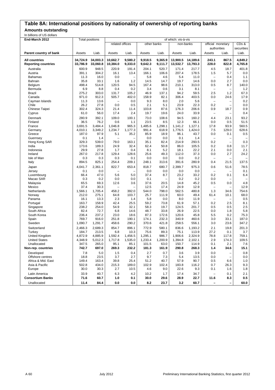### **Table 8A: International positions by nationality of ownership of reporting banks**

#### **Amounts outstanding**

In billions of US dollars

| <b>DILION OF OU AUTOR</b><br>End-March 2012 |                  | <b>Total positions</b> | of which: vis-à-vis |                |                |                   |                |                |                          |                          |                   |
|---------------------------------------------|------------------|------------------------|---------------------|----------------|----------------|-------------------|----------------|----------------|--------------------------|--------------------------|-------------------|
|                                             |                  |                        | related offices     |                | other banks    |                   | non-banks      |                | official monetary        |                          | CD <sub>s</sub> & |
|                                             |                  |                        |                     |                |                |                   |                |                | authorities              |                          | securities        |
| Parent country of bank                      | Assets           | Liab.                  | Assets              | Liab.          | Assets         | Liab.             | Assets         | Liab.          | Assets                   | Liab.                    | Liab.             |
|                                             |                  |                        |                     |                |                |                   |                |                |                          |                          |                   |
| <b>All countries</b>                        | 34,724.9         | 34.003.3               | 10,662.7            | 9,580.2        | 9,918.5        | 9,365.9           | 13,900.5       | 14,189.6       | 243.1                    | 867.5                    | 4,849.2           |
| <b>Reporting countries</b>                  | 33,786.9         | 33,060.8               | 10,384.0            | 9,333.0        | 9,642.3        | 9,111.7           | 13,532.7       | 13,793.3       | 228.0                    | 822.8                    | 4,765.8           |
| Australia                                   | 600.9            | 948.5                  | 220.9               | 191.4          | 204.1          | 520.7             | 171.4          | 217.7          | 4.5                      | 18.7                     | 401.8             |
| Austria                                     | 391.1            | 304.2                  | 16.1                | 13.4           | 166.1          | 106.6             | 207.4          | 178.5          | 1.5                      | 5.7                      | 0.0               |
| Bahamas                                     | 11.3             | 16.0                   | 0.0                 |                | 5.8            | 4.6               | 5.4            | 11.0           | $\qquad \qquad -$        | 0.4                      | 1.1               |
| Bahrain                                     | 35.8             | 33.1                   | 1.6                 | 1.2            | 14.5           | 14.7              | 19.7           | 14.6           | 0.0                      | 2.7                      | 0.0               |
| Belgium                                     | 498.4            | 514.8                  | 120.5               | 94.5           | 167.4          | 98.6              | 210.1          | 313.0          | 0.5                      | 8.7                      | 140.0             |
| Bermuda                                     | 6.9              | 8.8                    | 0.4<br>131.7        | 0.2            | 3.4<br>46.9    | 0.6               | 3.1            | 8.1            | $\qquad \qquad -$<br>2.5 | $\overline{\phantom{0}}$ | 1.2               |
| <b>Brazil</b><br>Canada                     | 275.2<br>971.0   | 303.0<br>912.3         | 505.7               | 105.2<br>402.0 | 158.9          | 137.1<br>82.1     | 94.2<br>306.4  | 59.5<br>403.5  | 0.0                      | 1.2<br>24.6              | 67.3<br>17.9      |
| Cayman Islands                              | 11.3             | 13.6                   | $\qquad \qquad -$   | 0.0            | 9.3            | 8.0               | 2.0            | 5.6            | $\qquad \qquad -$        | -                        | 0.2               |
| Chile                                       | 26.2             | 27.8                   | 0.0                 | 0.5            | 2.1            | 5.1               | 23.9           | 22.3           | 0.2                      | -                        | 0.0               |
| Chinese Taipei                              | 302.4            | 324.3                  | 21.4                | 11.4           | 103.8          | 87.6              | 176.3          | 206.6          | 0.9                      | 18.7                     | 0.9               |
| Cyprus                                      | 61.0             | 56.0                   | 17.4                | 2.4            | 19.7           | 19.6              | 24.0           | 33.9           | $\qquad \qquad -$        |                          | 0.4               |
| Denmark                                     | 280.9            | 392.1                  | 109.0               | 100.1          | 73.0           | 108.6             | 94.5           | 160.2          | 4.4                      | 23.1                     | 93.2              |
| Finland                                     | 36.5             | 76.2                   | 0.6                 | 1.1            | 23.5           | 8.5               | 12.3           | 66.1           | 0.0                      | 0.5                      | 51.5              |
| France                                      | 3,691.5          | 3.484.4                | 1.046.8             | 965.3          | 1,485.6        | 1,298.1           | 1,141.2        | 1,127.1        | 17.8                     | 93.9                     | 560.5             |
| Germany                                     | 4,010.1          | 3,349.2                | 1,234.7             | 1,177.3        | 991.4          | 618.9             | 1,776.5        | 1,424.0        | 7.5                      | 129.0                    | 628.6             |
| Greece                                      | 187.0            | 97.9                   | 5.1                 | 35.2           | 85.9           | 18.9              | 96.1           | 43.7           | 0.0                      | 0.1                      | 0.5               |
| Guernsey                                    | 0.1              | 1.4                    | $\qquad \qquad -$   |                | 0.0            | 0.0               | 0.1            | 1.4            | $\overline{\phantom{0}}$ |                          |                   |
| Hong Kong SAR                               | 329.3            | 539.0                  | 79.0                | 163.1          | 35.1           | 82.4              | 214.9          | 293.5          | 0.2                      | -                        | 0.3               |
| India                                       | 173.6            | 189.3                  | 24.9                | 32.4           | 62.4           | 50.8              | 86.0           | 105.5          | 0.2                      | 0.8                      | 11.7              |
| Indonesia                                   | 29.9             | 27.8                   | 1.7                 | 0.4            | 8.1            | 5.2               | 18.1           | 22.2           | 2.1                      | 0.0                      | 2.1               |
| Ireland                                     | 267.0            | 217.8                  | 129.4               | 128.6          | 25.6           | 49.3              | 112.0          | 37.3           | 0.0                      | 2.7                      | 24.2              |
| Isle of Man                                 | 0.3              | 0.3                    | 0.3                 | 0.1            | 0.0            | 0.0               | 0.0            | 0.2            | $\qquad \qquad -$        | -                        |                   |
| Italy                                       | 894.5            | 825.1                  | 254.4               | 209.1          | 248.1          | 313.6             | 391.6          | 280.9          | 0.4                      | 21.5                     | 137.5             |
| Japan                                       | 4,041.7          | 2,361.1                | 822.7               | 653.4          | 818.7          | 680.7             | 2,399.7        | 975.3          | 0.6                      | 51.6                     | 78.5              |
| Jersey                                      | 0.1              | 0.0                    | L.                  |                | 0.0            | 0.0               | 0.0            | 0.0            | $\qquad \qquad -$        |                          | 0.1               |
| Luxembourg                                  | 66.4             | 47.0                   | 5.6                 | 5.0            | 37.4           | 8.7               | 23.2           | 33.2           | 0.2                      | 0.1                      | 6.4               |
| Macao SAR                                   | 0.3              | 0.2                    | 0.0                 | 0.0            | 0.1            | $\qquad \qquad -$ | 0.2            | 0.2            | 0.0                      | $\overline{\phantom{0}}$ |                   |
| Malaysia                                    | 65.5             | 69.3                   | 12.6                | 3.6            | 37.6           | 20.5              | 14.8           | 45.2           | 0.5                      | 0.0                      | 4.8               |
| Mexico                                      | 37.4             | 30.3                   |                     |                | 12.5           | 17.4              | 24.9           | 12.9           | $\qquad \qquad -$        | $\overline{\phantom{0}}$ | 12.9              |
| Netherlands                                 | 1,566.1          | 1,705.4                | 458.2               | 392.0          | 544.0          | 798.0             | 562.5          | 480.8          | 1.3                      | 34.6                     | 754.6             |
| Norway                                      | 212.0            | 275.1                  | 64.8                | 103.7          | 25.7           | 111.9             | 60.0           | 49.4           | 61.4                     | 10.1                     | 68.0              |
| Panama                                      | 16.1             | 13.3                   | 2.3                 | 1.4            | 5.8            | 0.0               | 8.0            | 11.9           | $\qquad \qquad -$        |                          | 0.5               |
| Portugal                                    | 163.7            | 158.9                  | 42.4                | 25.5           | 59.2           | 73.8              | 61.9           | 57.1           | 0.2                      | 2.5                      | 8.1               |
| Singapore                                   | 238.2            | 254.0                  | 54.9                | 32.1           | 58.3           | 19.7              | 124.5          | 201.7          | 0.5                      | 0.5                      | 2.5               |
| South Africa                                | 82.4             | 72.7                   | 6.8                 | 14.6           | 48.7           | 33.8              | 26.9           | 22.5           | 0.0                      | 1.8                      | 5.8               |
| South Korea                                 | 236.4            | 237.2                  | 23.0                | 18.6           | 87.3           | 172.6             | 120.6          | 45.8           | 5.5                      | 0.2                      | 75.3              |
| Spain<br>Sweden                             | 769.7<br>1,090.7 | 916.0<br>1,291.7       | 251.8<br>458.6      | 190.1<br>290.2 | 174.1<br>370.6 | 232.3<br>421.8    | 340.9<br>258.5 | 460.6<br>556.1 | 3.0<br>3.0               | 33.1<br>23.6             | 187.0<br>347.2    |
|                                             |                  |                        |                     |                |                |                   |                |                |                          |                          |                   |
| Switzerland                                 | 2,466.3          | 2,689.3                | 854.7               | 896.1          | 772.9          | 580.1             | 836.6          | 1,193.2        | 2.1                      | 19.8                     | 201.3             |
| Turkey                                      | 184.7            | 213.5                  | 6.8                 | 10.3           | 75.6           | 89.3              | 75.1           | 113.9          | 27.2                     | 0.1                      | 3.7               |
| United Kingdom                              | 4,872.9          | 4,885.9                | 1,592.4             | 1,456.5        | 1,295.1        | 986.7             | 1,906.6        | 2,324.9        | 78.8<br>2.9              | 117.8                    | 759.1             |
| <b>United States</b>                        | 4,348.9          | 5,012.3                | 1,717.8             | 1,535.0        | 1,233.4        | 1,200.9           | 1,394.8        | 2,102.1        |                          | 174.3                    | 109.5             |
| Unallocated<br>Non-rep. countries           | 347.5<br>742.7   | 265.0<br>697.0         | 95.1<br>269.3       | 85.1<br>232.2  | 101.5<br>181.3 | 63.0<br>161.9     | 150.7<br>290.8 | 114.9<br>268.3 | 0.1<br>1.4               | 2.1<br>34.6              | 7.6<br>15.1       |
|                                             |                  |                        |                     |                |                |                   |                |                |                          |                          |                   |
| Developed                                   | 7.8              | 5.0                    | 1.5                 | 0.4            | 2.7            | 0.7               | 3.6            | 3.9            | 0.0                      |                          | 0.8<br>0.0        |
| Offshore centres<br>Africa & Mid. East      | 18.8             | 23.5                   | 3.7                 | 2.7            | 9.7            | 7.3               | 5.4            | 13.5<br>90.7   | 0.0                      | -<br>6.6                 |                   |
| Asia & Pacific                              | 149.4<br>502.8   | 163.4<br>434.0         | 39.8<br>215.3       | 25.4<br>189.0  | 51.2<br>102.9  | 40.7<br>102.4     | 57.9<br>183.8  | 116.2          | 0.5<br>0.7               | 26.3                     | 1.0<br>9.3        |
| Europe                                      | 30.0             | 30.3                   | 2.7                 | 10.5           | 4.6            | 9.0               | 22.6           | 9.3            | 0.1                      | 1.6                      | 1.8               |
|                                             |                  |                        |                     |                |                |                   |                |                |                          |                          |                   |
| Latin America<br><b>Consortium Banks</b>    | 33.9             | 40.7                   | 6.3                 | 4.2            | 10.2           | 1.7               | 17.4           | 34.7           | $\overline{\phantom{0}}$ | 0.1                      | 2.1               |
|                                             | 71.6             | 60.7                   | 1.0                 | 0.1            | 30.0           | 29.6              | 28.9           | 22.7           | 11.6                     | 8.3                      | $0.5\,$           |
| Unallocated                                 | 11.4             | 84.4                   | 0.0                 | 0.0            | 8.2            | 23.7              | 3.2            | 60.7           | $\qquad \qquad -$        | $\qquad \qquad -$        | 60.0              |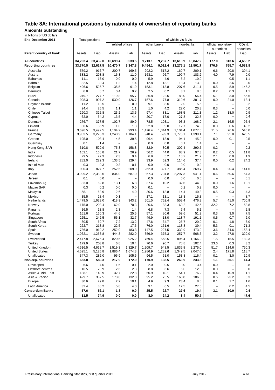### **Table 8A: International positions by nationality of ownership of reporting banks**

**Amounts outstanding**

| In billions of US dollars  |                        |          |                          |                          |             |                          |          |           |                          |                          |                   |
|----------------------------|------------------------|----------|--------------------------|--------------------------|-------------|--------------------------|----------|-----------|--------------------------|--------------------------|-------------------|
| End-December 2011          | <b>Total positions</b> |          |                          |                          |             | of which: vis-à-vis      |          |           |                          |                          |                   |
|                            |                        |          | related offices          |                          | other banks |                          |          | non-banks | official monetary        |                          | CD <sub>s</sub> & |
|                            |                        |          |                          |                          |             |                          |          |           | authorities              |                          | securities        |
| Parent country of bank     | Assets                 | Liab.    | Assets                   | Liab.                    | Assets      | Liab.                    | Assets   | Liab.     | Assets                   | Liab.                    | Liab.             |
|                            |                        |          |                          |                          |             |                          |          |           |                          |                          |                   |
| <b>All countries</b>       | 34,203.4               | 33,432.0 | 10,699.4                 | 9,533.5                  | 9,713.1     | 9.237.7                  | 13,613.9 | 13,847.2  | 177.0                    | 813.6                    | 4,653.2           |
| <b>Reporting countries</b> | 33,370.5               | 32,627.5 | 10,470.7                 | 9,347.8                  | 9,454.1     | 9,012.4                  | 13,275.1 | 13,501.7  | 170.6                    | 765.7                    | 4,583.8           |
| Australia                  | 579.2                  | 916.7    | 200.7                    | 169.5                    | 202.2       | 517.2                    | 169.7    | 209.1     | 6.6                      | 20.8                     | 394.1             |
| Austria                    | 383.2                  | 298.8    | 16.3                     | 11.0                     | 163.1       | 96.7                     | 199.7    | 183.2     | 4.0                      | 7.9                      | 0.0               |
| Bahamas                    | 11.1                   | 16.0     | 0.0                      | 0.0                      | 5.9         | 4.6                      | 5.2      | 10.9      | $\overline{\phantom{m}}$ | 0.5                      | 1.1               |
| Bahrain                    | 32.5                   | 30.4     | 1.2                      | 1.4                      | 12.8        | 13.1                     | 18.4     | 13.3      | 0.0                      | 2.6                      | 0.0               |
| Belgium                    | 496.6                  | 525.7    | 135.5                    | 91.9                     | 153.1       | 113.8                    | 207.6    | 311.1     | 0.5                      | 8.9                      | 145.2             |
| Bermuda                    | 6.8                    | 8.7      | 0.4                      | 0.2                      | 2.5         | 0.2                      | 3.7      | 8.0       | 0.2                      | 0.3                      | 1.1               |
| <b>Brazil</b>              | 249.7                  | 277.7    | 119.8                    | 95.7                     | 36.8        | 122.6                    | 88.0     | 56.4      | 5.1                      | 3.0                      | 55.6              |
| Canada                     | 998.3                  | 907.2    | 530.0                    | 426.7                    | 157.6       | 77.8                     | 310.6    | 381.7     | 0.0                      | 21.0                     | 18.4              |
| Cayman Islands             | 11.2                   | 13.5     | $\overline{\phantom{0}}$ | 0.0                      | 9.1         | 8.0                      | 2.0      | 5.5       | $\overline{\phantom{a}}$ |                          | 0.2               |
| Chile                      | 24.4                   | 25.5     | 1.1                      | 1.1                      | 1.0         | 4.2                      | 22.0     | 20.3      | 0.3                      | ÷                        | 0.0               |
| Chinese Taipei             | 290.3                  | 325.8    | 23.2                     | 13.5                     | 97.4        | 83.1                     | 168.5    | 211.3     | 1.2                      | 18.0                     | 0.9               |
| Cyprus                     | 62.0                   | 54.2     | 13.5                     | 4.4                      | 20.7        | 17.0                     | 27.8     | 32.8      | 0.0                      | $\overline{\phantom{0}}$ | 0.4               |
| Denmark                    | 276.7                  | 377.5    | 102.7                    | 89.9                     | 78.5        | 103.1                    | 93.3     | 168.0     | 2.1                      | 16.5                     | 95.4              |
| Finland                    | 36.6                   | 85.9     | 1.0                      | 1.3                      | 22.8        | 9.0                      | 12.7     | 74.9      | 0.0                      | 0.6                      | 49.2              |
| France                     | 3,696.5                | 3.492.5  | 1,104.2                  | 993.4                    | 1,476.4     | 1,344.9                  | 1,104.4  | 1,077.6   | 11.5                     | 76.6                     | 545.0             |
| Germany                    | 3,963.5                | 3,278.3  | 1,240.9                  | 1,184.1                  | 940.4       | 599.3                    | 1,775.1  | 1,399.1   | 7.1                      | 95.8                     | 620.5             |
| Greece                     | 195.0                  | 103.4    | 4.5                      | 39.5                     | 96.4        | 18.9                     | 94.1     | 45.0      | 0.0                      | 0.1                      | 0.5               |
| Guernsey                   | 0.1                    | 1.4      | $\overline{\phantom{0}}$ | $\overline{\phantom{0}}$ | 0.0         | 0.0                      | 0.1      | 1.4       | $\overline{\phantom{a}}$ |                          |                   |
| Hong Kong SAR              | 310.8                  | 529.9    | 75.3                     | 158.8                    | 32.9        | 80.5                     | 202.4    | 290.5     | 0.2                      | ۳                        | 0.2               |
| India                      | 162.1                  | 168.8    | 21.7                     | 26.9                     | 56.2        | 44.0                     | 83.9     | 97.3      | 0.2                      | 0.5                      | 11.8              |
| Indonesia                  | 29.5                   | 27.3     | 2.3                      | 0.4                      | 6.9         | 5.2                      | 18.2     | 21.7      | 2.1                      | 0.0                      | 1.9               |
| Ireland                    | 282.0                  | 229.3    | 133.5                    | 129.4                    | 33.9        | 62.3                     | 114.6    | 37.4      | 0.0                      | 0.2                      | 24.2              |
| Isle of Man                | 0.3                    | 0.3      | 0.3                      | 0.1                      | 0.0         | 0.0                      | 0.0      | 0.2       | $\qquad \qquad -$        |                          |                   |
| Italy                      | 900.3                  | 827.7    | 252.5                    | 209.9                    | 262.0       | 327.7                    | 385.4    | 269.7     | 0.4                      | 20.4                     | 141.6             |
| Japan                      | 3,999.2                | 2,383.6  | 834.0                    | 687.0                    | 867.3       | 704.8                    | 2,297.3  | 941.1     | 0.6                      | 50.6                     | 57.3              |
| Jersey                     | 0.1                    | 0.0      | $\overline{\phantom{0}}$ | ۳                        | 0.0         | 0.0                      | 0.0      | 0.0       | $\overline{\phantom{m}}$ | ۳                        | 0.1               |
| Luxembourg                 | 83.0                   | 62.8     | 13.1                     | 6.8                      | 37.4        | 10.2                     | 32.6     | 44.3      | 0.0                      | 1.6                      | 10.1              |
| Macao SAR                  | 0.3                    | 0.2      | 0.0                      | 0.0                      | 0.1         | $\overline{\phantom{a}}$ | 0.2      | 0.2       | 0.0                      | ÷                        |                   |
| Malaysia                   | 58.1                   | 63.9     | 12.6                     | 4.0                      | 30.6        | 18.8                     | 14.4     | 40.8      | 0.5                      | 0.3                      | 4.3               |
| Mexico                     | 35.5                   | 28.4     | 0.1                      | -                        | 17.1        | 13.1                     | 18.3     | 15.3      | $\overline{\phantom{a}}$ | ۳                        | 8.7               |
| Netherlands                | 1,479.5                | 1,623.0  | 418.9                    | 343.2                    | 501.5       | 762.4                    | 553.4    | 476.3     | 5.7                      | 41.0                     | 700.9             |
| Norway                     | 175.0                  | 208.4    | 62.0                     | 70.3                     | 20.6        | 88.3                     | 60.2     | 42.6      | 32.2                     | 7.2                      | 53.8              |
| Panama                     | 16.5                   | 13.8     | 2.3                      | 1.4                      | 6.8         | 7.3                      | 7.4      | 5.1       | $\qquad \qquad -$        |                          | 2.8               |
| Portugal                   | 161.6                  | 160.3    | 44.6                     | 25.5                     | 57.1        | 80.6                     | 59.6     | 51.2      | 0.3                      | 3.0                      | 7.5               |
| Singapore                  | 225.1                  | 242.5    | 56.1                     | 32.7                     | 49.9        | 18.0                     | 118.7    | 191.1     | 0.5                      | 0.7                      | 2.0               |
| South Africa               | 80.5                   | 69.7     | 7.2                      | 13.2                     | 47.6        | 34.7                     | 25.7     | 20.0      | 0.1                      | 1.8                      | 5.0               |
| South Korea                | 222.7                  | 218.8    | 22.5                     | 17.6                     | 76.0        | 161.6                    | 118.8    | 39.4      | 5.3                      | 0.1                      | 71.3              |
| Spain                      | 736.0                  | 919.2    | 252.0                    | 183.3                    | 147.5       | 227.5                    | 332.9    | 473.9     | 3.6                      | 34.6                     | 158.4             |
| Sweden                     | 1,062.1                | 1,253.8  | 444.3                    | 282.0                    | 356.9       | 375.3                    | 257.7    | 568.6     | 3.2                      | 27.8                     | 329.0             |
| Switzerland                | 2,477.8                | 2,675.4  | 820.5                    | 925.2                    | 759.4       | 568.5                    | 896.4    | 1,166.2   | 1.5                      | 15.5                     | 189.3             |
| Turkey                     | 179.9                  | 203.8    | 6.8                      | 10.4                     | 70.6        | 90.7                     | 78.8     | 102.4     | 23.6                     | 0.3                      | 3.2               |
| United Kingdom             | 4,616.5                | 4,662.7  | 1,519.3                  | 1,329.7                  | 1,209.7     | 943.5                    | 1,835.8  | 2,275.0   | 51.7                     | 114.6                    | 750.3             |
| <b>United States</b>       | 4,525.1                | 5,125.8  | 1,886.4                  | 1,674.3                  | 1,286.9     | 1,232.6                  | 1,349.5  | 2,047.0   | 2.4                      | 171.8                    | 118.7             |
| Unallocated                | 347.3                  | 286.0    | 96.9                     | 105.6                    | 96.5        | 61.0                     | 153.8    | 116.4     | 0.1                      | 3.0                      | 10.9              |
| Non-rep. countries         | 653.8                  | 580.3    | 217.9                    | 172.0                    | 170.9       | 138.5                    | 263.9    | 233.8     | 1.1                      | 36.1                     | 14.4              |
| Developed                  | 6.6                    | 4.0      | 1.6                      | 0.1                      | 2.0         | 0.5                      | 3.0      | 3.4       | 0.0                      | ÷                        | 0.8               |
| Offshore centres           | 16.5                   | 20.9     | 2.6                      | 2.3                      | 8.8         | 6.6                      | 5.0      | 12.0      | 0.0                      | $\overline{\phantom{0}}$ | 0.0               |
| Africa & Mid. East         | 138.1                  | 149.9    | 32.7                     | 22.8                     | 50.9        | 40.1                     | 54.1     | 76.2      | 0.4                      | 10.9                     | 1.1               |
| Asia & Pacific             | 429.7                  | 337.5    | 173.0                    | 132.8                    | 95.2        | 75.5                     | 160.8    | 106.0     | 0.6                      | 23.2                     | 6.3               |
| Europe                     | 30.6                   | 29.8     | 2.2                      | 10.1                     | 4.9         | 9.3                      | 23.4     | 8.8       | 0.1                      | 1.7                      | 1.6               |
| Latin America              | 32.4                   | 38.2     | 5.8                      | 4.0                      | 9.1         | 6.5                      | 17.5     | 27.5      | $\overline{\phantom{a}}$ | 0.2                      | 4.5               |
| <b>Consortium Banks</b>    | 57.6                   | 52.1     | 1.3                      | 0.0                      | 25.5        | 22.7                     | 27.6     | 19.4      | 3.1                      | 10.0                     | 0.4               |
| Unallocated                | 11.5                   | 74.9     | 0.0                      | 0.0                      | 8.0         | 24.2                     | 3.4      | 50.7      | -                        | -                        | 47.6              |
|                            |                        |          |                          |                          |             |                          |          |           |                          |                          |                   |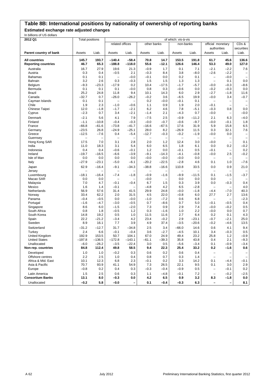# **Table 8B: International positions by nationality of ownership of reporting banks**

**Estimated exchange rate adjusted changes**

| In billions of US dollars                          |                        |                          |                             |                     |                          |                                 |                     |                          |                                               |                                    |                                 |
|----------------------------------------------------|------------------------|--------------------------|-----------------------------|---------------------|--------------------------|---------------------------------|---------------------|--------------------------|-----------------------------------------------|------------------------------------|---------------------------------|
| 2012 Q1                                            | <b>Total positions</b> |                          |                             |                     |                          |                                 | of which: vis-à-vis |                          |                                               |                                    |                                 |
|                                                    |                        |                          | related offices             |                     | other banks              |                                 | non-banks           |                          | official monetary<br>authorities              |                                    | CD <sub>s</sub> &<br>securities |
| Parent country of bank                             | Assets                 | Liab.                    | Assets                      | Liab.               | Assets                   | Liab.                           | Assets              | Liab.                    | Assets                                        | Liab.                              | Liab.                           |
| <b>All countries</b><br><b>Reporting countries</b> | 145.7<br>46.7          | 193.7<br>65.3            | $-140.4$<br>$-188.8$        | $-58.4$<br>$-118.0$ | 70.8<br>55.6             | 14.7<br>$-12.1$                 | 153.5<br>126.6      | 191.8<br>146.4           | 61.7<br>53.3                                  | 45.6<br>49.0                       | 136.6<br>127.0                  |
| Australia                                          | 16.7                   | 27.9                     | 19.6                        | 21.3                | $-0.9$                   | 1.7                             | 0.1                 | 7.1                      | $-2.1$                                        | $-2.2$                             | 7.6                             |
| Austria                                            | 0.3                    | 0.4                      | $-0.5$                      | 2.1                 | $-0.3$                   | 8.4                             | 3.8                 | $-8.0$                   | $-2.6$                                        | $-2.2$                             |                                 |
| Bahamas                                            | 0.1                    | 0.1                      | $\qquad \qquad -$           | $-0.0$              | $-0.1$                   | 0.0                             | 0.2                 | 0.1                      | $\overline{\phantom{0}}$                      | $-0.0$                             | $\overline{\phantom{0}}$        |
| Bahrain                                            | 3.2                    | 2.6                      | 0.3                         | $-0.3$              | 1.5                      | 1.5                             | 1.3                 | 1.3                      | $\overline{\phantom{0}}$                      | 0.1                                | 0.0                             |
| Belgium                                            | $-9.3$                 | $-23.3$                  | $-17.9$                     | 0.2                 | 10.4                     | $-17.5$                         | $-1.7$              | $-5.7$                   | $-0.0$                                        | $-0.3$                             | $-8.6$                          |
| Bermuda                                            | 0.1                    | 0.1                      | 0.1                         | $-0.0$              | 0.8                      | 0.3                             | $-0.6$              | 0.0                      | $-0.2$                                        | $-0.3$                             | 0.0                             |
| <b>Brazil</b><br>Canada                            | 25.2<br>$-32.7$        | 24.8<br>0.7              | 11.8<br>$-26.0$             | 9.4<br>$-26.2$      | 10.1<br>$-0.2$           | 14.3<br>3.6                     | 6.0<br>$-6.5$       | 2.9<br>19.9              | $-2.7$<br>$-0.0$                              | $-1.8$<br>3.4                      | 11.6<br>$-0.7$                  |
| Cayman Islands                                     | 0.1                    | 0.1                      | $\overline{\phantom{0}}$    |                     | 0.2                      | $-0.0$                          | $-0.1$              | 0.1                      | $\overline{\phantom{0}}$                      |                                    |                                 |
| Chile                                              | 1.9                    | 2.3                      | $-1.0$                      | $-0.6$              | 1.1                      | 0.9                             | 1.9                 | 2.0                      | $-0.1$                                        | -                                  |                                 |
| Chinese Taipei                                     | 12.0                   | $-1.8$                   | $-1.7$                      | $-2.1$              | 6.2                      | 4.6                             | 7.8                 | $-5.1$                   | $-0.3$                                        | 0.8                                | 0.0                             |
| Cyprus                                             | $-2.3$                 | 0.7                      | 3.4                         | $-2.1$              | $-1.4$                   | 2.1                             | $-4.3$              | 0.7                      | $-0.0$                                        | $\qquad \qquad -$                  | $-0.0$                          |
| Denmark                                            | $-2.1$                 | 5.6                      | 4.1                         | 7.9                 | $-7.5$                   | 2.5                             | $-0.9$              | $-11.2$                  | 2.1                                           | 6.3                                | $-4.0$                          |
| Finland                                            | $-1.1$                 | $-10.8$                  | $-0.4$                      | $-0.3$              | $-0.0$                   | $-0.7$                          | $-0.6$              | $-9.7$                   | $-0.0$                                        | $-0.1$                             | 1.8                             |
| France                                             | $-66.8$                | $-61.6$                  | $-73.8$                     | $-41.7$             | $-16.6$                  | $-67.5$                         | 17.6                | 31.9                     | 5.9                                           | 15.8                               | 6.5                             |
| Germany                                            | $-23.5$                | 26.8                     | $-24.9$                     | $-25.1$             | 28.0                     | 8.2                             | $-26.9$             | 11.5                     | 0.3                                           | 32.1                               | 7.6                             |
| Greece                                             | $-12.5$                | $-7.6$                   | 0.4                         | $-5.4$              | $-12.7$                  | $-0.3$                          | $-0.2$              | $-1.9$                   | $-0.0$                                        | 0.0                                | $\overline{\phantom{0}}$        |
| Guernsey                                           | L,                     | $\overline{\phantom{0}}$ | $\overline{\phantom{0}}$    | ÷                   | $\overline{\phantom{0}}$ | $\qquad \qquad -$               | L.                  | $\overline{\phantom{0}}$ | $\overline{\phantom{0}}$                      | $\qquad \qquad -$                  |                                 |
| Hong Kong SAR                                      | 17.5                   | 7.0                      | 3.1                         | 2.8                 | 2.0                      | 1.2                             | 12.4                | 3.0                      | $-0.0$                                        | $\overline{\phantom{0}}$           | 0.1                             |
| India                                              | 11.0                   | 18.3                     | 3.1                         | 5.4                 | 6.0                      | 6.5                             | 1.8                 | 6.1                      | 0.0                                           | 0.2                                | $-0.2$                          |
| Indonesia                                          | 0.4                    | 0.4                      | $-0.6$                      | $-0.1$              | 1.2                      | 0.0                             | $-0.1$              | 0.5                      | $-0.1$                                        | -                                  | 0.2                             |
| Ireland                                            | $-19.7$                | $-16.5$                  | $-6.6$                      | $-3.9$              | $-9.1$                   | $-14.3$                         | $-4.1$              | $-0.8$                   | $-0.0$                                        | 2.5                                | $-0.2$                          |
| Isle of Man                                        | 0.0                    | 0.0                      | 0.0                         | 0.0                 | $-0.0$                   | $-0.0$                          | $-0.0$              | 0.0                      | $\qquad \qquad -$                             |                                    |                                 |
| Italy                                              | $-27.9$                | $-23.1$                  | $-5.0$                      | $-6.1$              | $-20.2$                  | $-22.5$                         | $-2.8$              | 4.6                      | 0.1                                           | 1.0                                | $-7.6$                          |
| Japan                                              | 62.9                   | $-16.4$                  | $-9.1$                      | $-34.3$             | $-38.8$                  | $-16.6$                         | 110.8               | 33.5                     | 0.0                                           | 0.9                                | 21.0                            |
| Jersey                                             | $\qquad \qquad -$      |                          | $\qquad \qquad -$           |                     |                          | -                               | $\qquad \qquad -$   |                          | $\qquad \qquad -$                             | -                                  |                                 |
| Luxembourg                                         | $-18.1$                | $-16.4$                  | $-7.4$<br>$\qquad \qquad -$ | $-1.8$<br>÷         | $-0.9$                   | $-1.6$                          | $-9.9$              | $-11.5$                  | 0.1                                           | $-1.5$                             | $-3.7$                          |
| Macao SAR<br>Malaysia                              | 0.0<br>7.0             | 0.0<br>4.7               | $-0.1$                      | $-0.4$              | $-0.0$<br>6.7            | $\overline{\phantom{0}}$<br>1.5 | 0.0<br>0.3          | 0.0<br>3.9               | 0.0<br>0.0                                    | $\overline{\phantom{0}}$<br>$-0.3$ | 0.4                             |
| Mexico                                             | 1.6                    | 1.4                      | $-0.1$                      |                     | $-4.8$                   | 4.2                             | 6.5                 | $-2.8$                   | $\qquad \qquad -$                             | $\overline{\phantom{0}}$           | 4.0                             |
| Netherlands                                        | 56.9                   | 57.6                     | 31.4                        | 41.5                | 29.9                     | 24.8                            | $-0.0$              | $-1.8$                   | $-4.4$                                        | $-7.0$                             | 40.3                            |
| Norway                                             | 33.4                   | 62.2                     | 2.0                         | 31.5                | 4.5                      | 22.0                            | $-0.8$              | 6.0                      | 27.7                                          | 2.7                                | 13.6                            |
| Panama                                             | $-0.4$                 | $-0.5$                   | 0.0                         | $-0.0$              | $-1.0$                   | $-7.2$                          | 0.6                 | 6.8                      | $\overline{\phantom{0}}$                      | -                                  | $-2.3$                          |
| Portugal                                           | $-1.6$                 | $-4.7$                   | $-3.0$                      | $-0.5$              | 0.7                      | $-8.6$                          | 0.7                 | 5.0                      | $-0.1$                                        | $-0.5$                             | 0.4                             |
| Singapore                                          | 8.6                    | 6.0                      | $-1.5$                      | $-2.0$              | 7.3                      | 0.9                             | 2.9                 | 7.4                      | $-0.0$                                        | $-0.2$                             | 0.5                             |
| South Africa                                       | 0.8                    | 1.8                      | $-0.5$                      | 1.2                 | 0.3                      | $-1.6$                          | 1.0                 | 2.2                      | $-0.0$                                        | 0.0                                | 0.7                             |
| South Korea                                        | 14.8                   | 19.2                     | 0.5                         | 1.0                 | 11.5                     | 11.6                            | 2.7                 | 6.4                      | 0.2                                           | 0.1                                | 4.3                             |
| Spain                                              | 22.2                   | $-21.2$                  | $-3.4$                      | 4.2                 | 23.4                     | $-0.2$                          | 2.9                 | $-23.1$                  | $-0.7$                                        | $-2.1$                             | 25.0                            |
| Sweden                                             | 8.9                    | 16.1                     | 7.7                         | 3.9                 | 4.9                      | 37.4                            | $-3.5$              | $-20.6$                  | $-0.2$                                        | $-4.6$                             | 13.5                            |
| Switzerland                                        | $-31.2$                | $-12.7$                  | 31.7                        | $-34.8$             | 2.5                      | 3.4                             | $-66.0$             | 14.6                     | 0.6                                           | 4.1                                | 9.4                             |
| Turkey                                             | 2.4                    | 6.6                      | $-0.1$                      | $-0.4$              | 3.6                      | $-2.7$                          | $-4.5$              | 10.1                     | 3.4                                           | $-0.3$                             | 0.5                             |
| United Kingdom                                     | 192.9                  | 153.5                    | 50.7                        | 104.1               | 67.0                     | 24.9                            | 49.4                | 23.2                     | 25.8                                          | 1.2                                | $-0.9$                          |
| <b>United States</b><br>Unallocated                | $-197.8$<br>$-6.0$     | $-136.5$<br>$-26.2$      | $-172.8$<br>$-3.5$          | $-143.1$<br>$-22.4$ | $-61.1$<br>3.0           | $-39.3$<br>0.5                  | 35.8<br>$-5.6$      | 43.8<br>$-3.4$           | 0.4<br>0.1                                    | 2.1<br>$-0.9$                      | $-9.3$<br>$-3.4$                |
| Non-rep. countries                                 | 84.8                   | 112.4                    | 49.8                        | 58.5                | 9.4                      | 22.3                            | 25.4                | 33.2                     | 0.2                                           | $-1.6$                             | 0.6                             |
|                                                    |                        |                          |                             |                     |                          |                                 |                     |                          |                                               |                                    |                                 |
| Developed<br>Offshore centres                      | 1.0<br>2.2             | 1.0<br>2.5               | $-0.2$<br>1.0               | 0.3<br>0.4          | 0.6<br>0.8               | 0.2<br>0.7                      | 0.6<br>0.3          | 0.4<br>1.4               | $\qquad \qquad -$<br>$\overline{\phantom{a}}$ | -<br>-                             |                                 |
| Africa & Mid. East                                 | 10.1                   | 12.3                     | 6.8                         | 2.3                 | $-0.1$                   | 0.2                             | 3.3                 | 14.2                     | 0.1                                           | $-4.4$                             | $-0.1$                          |
| Asia & Pacific                                     | 70.7                   | 93.9                     | 41.1                        | 54.9                | 7.3                      | 26.5                            | 22.1                | 9.5                      | 0.1                                           | 3.0                                | 2.9                             |
| Europe                                             | $-0.8$                 | 0.2                      | 0.4                         | 0.3                 | $-0.3$                   | $-0.4$                          | $-0.9$              | 0.5                      | $\qquad \qquad -$                             | $-0.1$                             | 0.2                             |
| Latin America                                      | 1.5                    | 2.5                      | 0.6                         | 0.3                 | 1.1                      | $-4.8$                          | $-0.1$              | 7.2                      | $\qquad \qquad -$                             | $-0.2$                             | $-2.5$                          |
| <b>Consortium Banks</b>                            | 13.1                   | 8.0                      | $-0.3$                      | 0.0                 | 4.2                      | 6.5                             | 0.9                 | 3.2                      | 8.3                                           | $-1.8$                             | 0.0                             |
| Unallocated                                        | $-0.2$                 | 5.8                      | $-0.0$                      | $\qquad \qquad -$   | 0.1                      | $-0.4$                          | $-0.3$              | 6.3                      | $\qquad \qquad -$                             | —                                  | 8.1                             |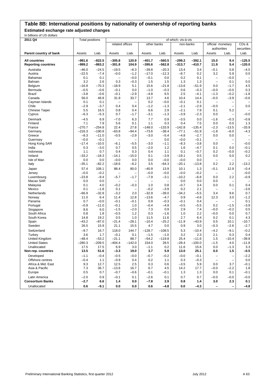# **Table 8B: International positions by nationality of ownership of reporting banks**

**Estimated exchange rate adjusted changes**

| In billions of US dollars                          |                        |                      |                          |                          |                          |                          |                      |                      |                                  |                          |                                 |
|----------------------------------------------------|------------------------|----------------------|--------------------------|--------------------------|--------------------------|--------------------------|----------------------|----------------------|----------------------------------|--------------------------|---------------------------------|
| 2011 Q4                                            | <b>Total positions</b> |                      |                          |                          |                          |                          | of which: vis-à-vis  |                      |                                  |                          |                                 |
|                                                    |                        |                      | related offices          |                          | other banks              |                          | non-banks            |                      | official monetary<br>authorities |                          | CD <sub>s</sub> &<br>securities |
| Parent country of bank                             | Assets                 | Liab.                | Assets                   | Liab.                    | Assets                   | Liab.                    | Assets               | Liab.                | Assets                           | Liab.                    | Liab.                           |
| <b>All countries</b><br><b>Reporting countries</b> | $-991.6$<br>$-999.2$   | $-822.5$<br>$-863.2$ | $-305.8$<br>$-301.8$     | 120.9<br>104.9           | $-401.7$<br>$-395.6$     | $-560.5$<br>$-562.8$     | $-299.2$<br>$-313.7$ | $-392.1$<br>$-410.7$ | 15.0<br>11.9                     | 9.4<br>5.4               | $-125.5$<br>$-120.0$            |
| Australia                                          | $-46.0$                | $-24.5$              | $-19.5$                  | $-8.3$                   | $-39.8$                  | $-20.3$                  | 13.4                 | 3.4                  | $-0.1$                           | 0.8                      | $-4.5$                          |
| Austria                                            | $-22.5$                | $-7.4$               | $-0.0$                   | $-1.2$                   | $-17.0$                  | $-12.3$                  | $-8.7$               | 0.2                  | 3.2                              | 5.9                      | 0.0                             |
| <b>Bahamas</b>                                     | 0.1                    | 0.1                  | $\overline{\phantom{0}}$ | $-0.0$                   | $-0.1$                   | 0.0                      | 0.2                  | 0.1                  | $\overline{\phantom{0}}$         | $-0.0$                   |                                 |
| Bahrain                                            | 3.2                    | 2.6                  | 0.3                      | $-0.3$                   | 1.5                      | 1.5                      | 1.3                  | 1.3                  | $\overline{\phantom{a}}$         | 0.1                      | 0.0                             |
| Belgium                                            | $-16.9$                | -70.3                | $-18.9$                  | 5.1                      | 15.6                     | $-21.8$                  | $-13.6$              | $-51.9$              | 0.0                              | $-1.7$                   | 4.5                             |
| Bermuda                                            | $-0.5$                 | $-0.6$               | $-0.1$                   | 0.0                      | $-1.0$                   | $-0.3$                   | 0.6                  | $-0.3$               | $-0.0$                           | $-0.0$                   | 0.3                             |
| <b>Brazil</b>                                      | $-3.8$                 | $-0.6$               | $-0.1$                   | $-2.9$                   | $-4.8$                   | 6.5                      | 2.5                  | $-4.1$               | $-1.3$                           | $-0.2$                   | $-1.8$                          |
| Canada                                             | 56.0                   | 48.8                 | 31.9                     | 33.7                     | 13.7                     | 4.6                      | 10.4                 | 14.4                 | $-0.0$                           | $-3.9$                   | $-0.6$                          |
| Cayman Islands                                     | 0.1                    | 0.1                  | $\qquad \qquad -$        | $\qquad \qquad -$        | 0.2                      | $-0.0$                   | $-0.1$               | 0.1                  | $\qquad \qquad -$                | -                        | -                               |
| Chile                                              | $-2.9$<br>5.5          | $-3.7$               | 0.4                      | 0.4                      | $-1.2$<br>6.6            | $-1.3$<br>2.9            | $-2.1$               | $-2.9$               | $-0.0$                           | $\overline{\phantom{0}}$ | 0.0                             |
| Chinese Taipei                                     |                        | 16.5                 | 0.8                      | 0.4<br>$-1.7$            |                          |                          | $-2.1$               | 7.9                  | 0.1<br>0.0                       | 5.2                      |                                 |
| Cyprus                                             | $-6.3$                 | $-5.3$               | 0.7                      |                          | $-3.1$                   | $-1.3$                   | $-3.9$               | $-2.3$               |                                  | -                        | $-0.0$                          |
| Denmark                                            | $-4.5$                 | 6.9                  | $-7.0$                   | 6.3                      | 7.7                      | 0.9                      | $-3.5$               | 0.0                  | $-1.6$                           | $-0.3$                   | $-0.8$                          |
| Finland                                            | 7.1                    | 7.9                  | 5.6                      | 0.1                      | 1.1                      | 0.3                      | 0.4                  | 7.5                  | 0.0                              | 0.0                      | 1.3                             |
| France                                             | $-270.7$<br>$-216.3$   | $-254.8$<br>$-190.8$ | 22.4<br>$-63.8$          | 27.8                     | $-148.0$                 | $-133.9$<br>$-38.4$      | $-142.8$<br>$-77.1$  | $-135.4$<br>$-51.9$  | $-2.3$                           | $-13.5$                  | $-33.9$                         |
| Germany<br>Greece                                  | $-8.3$                 | $-11.0$              | $-0.5$                   | -94.4<br>$-2.9$          | $-73.6$<br>$-3.0$        | $-5.4$                   | $-4.8$               | $-2.7$               | $-1.8$<br>0.0                    | $-6.0$<br>0.0            | $-4.3$                          |
| Guernsey                                           | $-0.0$                 | $-0.1$               | $\overline{\phantom{0}}$ | $\overline{\phantom{0}}$ | $\overline{\phantom{0}}$ | 0.0                      | $-0.0$               | $-0.1$               | -                                | $\overline{\phantom{0}}$ | $\qquad \qquad -$<br>-          |
| Hong Kong SAR                                      | $-17.4$                | $-10.5$              | $-6.1$                   | $-5.5$                   | $-3.0$                   | $-1.1$                   | $-8.3$               | $-3.8$               | 0.0                              | $\overline{\phantom{0}}$ | $-0.0$                          |
| India                                              | 0.3                    | $-3.0$               | 0.7                      | 0.5                      | $-2.0$                   | $1.2$                    | 1.6                  | $-4.7$               | 0.1                              | 0.0                      | $-0.1$                          |
| Indonesia                                          | 1.1                    | 0.7                  | 0.4                      | 0.3                      | 0.4                      | 1.1                      | 0.1                  | $-0.7$               | 0.2                              | $-0.0$                   | $-0.2$                          |
| Ireland                                            | $-33.2$                | $-18.3$              | $-14.1$                  | $-15.0$                  | 0.1                      | $-3.9$                   | $-19.1$              | 0.5                  | 0.0                              | 0.0                      | 0.2                             |
| Isle of Man                                        | 0.0                    | 0.0                  | $-0.0$                   | 0.0                      | 0.0                      | $-0.0$                   | $-0.0$               | 0.0                  | $\overline{\phantom{a}}$         |                          |                                 |
| Italy                                              | $-35.1$                | $-82.2$              | $-18.6$                  | $-6.2$                   | 3.5                      | $-64.3$                  | $-20.1$              | $-13.8$              | 0.2                              | 2.2                      | $-13.2$                         |
| Japan                                              | 57.4                   | 108.1                | 88.4                     | 80.0                     | $-40.9$                  | 13.9                     | 10.1                 | 1.3                  | $-0.1$                           | 12.9                     | $-0.4$                          |
| Jersey                                             | $-0.0$                 | $-0.2$               | $\equiv$                 | $\overline{\phantom{0}}$ | $-0.0$                   | $-0.0$                   | $-0.0$               | $-0.2$               | $\qquad \qquad -$                | $\overline{\phantom{0}}$ | $-0.0$                          |
| Luxembourg                                         | $-23.8$                | $-9.4$               | $-5.7$                   | $-1.7$                   | $-7.9$                   | $-3.1$                   | $-10.2$              | $-6.8$               | 0.0                              | 2.2                      | $-0.9$                          |
| Macao SAR                                          | 0.0                    | 0.0                  | $\overline{\phantom{0}}$ |                          | $\overline{\phantom{0}}$ | $\overline{\phantom{0}}$ | 0.0                  | 0.0                  | 0.0                              |                          |                                 |
| Malaysia                                           | 0.1                    | 4.0                  | $-0.2$                   | $-0.3$                   | 1.0                      | 0.8                      | $-0.7$               | 3.4                  | 0.0                              | 0.1                      | 0.4                             |
| Mexico                                             | 0.1                    | $-1.8$               | 0.1                      | $\qquad \qquad -$        | $-0.2$                   | $-3.9$                   | 0.2                  | 2.1                  | $\qquad \qquad -$                |                          | $-3.6$                          |
| Netherlands                                        | $-66.9$                | $-32.8$              | $-3.2$                   | 2.0                      | $-32.9$                  | $-39.0$                  | $-34.2$              | $-5.5$               | 3.4                              | 9.6                      | 0.7                             |
| Norway                                             | 11.0                   | 6.4                  | 11.4                     | 12.8                     | $-13.6$                  | $-4.7$                   | 0.9                  | $-4.6$               | 12.3                             | 3.0                      | $-1.2$                          |
| Panama                                             | 0.7                    | $-0.0$               | $-0.1$                   | $-0.1$                   | 0.9                      | $-0.3$                   | $-0.1$               | 0.4                  | $\overline{\phantom{0}}$         | -                        | 0.1                             |
| Portugal                                           | $-0.9$                 | $-11.0$              | $-0.1$                   | 1.0                      | $-0.4$                   | $-4.9$                   | $-0.5$               | $-5.5$               | 0.2                              | $-1.5$                   | $-3.9$                          |
| Singapore                                          | 8.6                    | 6.0                  | $-1.5$                   | $-2.0$                   | 7.3                      | 0.9                      | 2.9                  | 7.4                  | $-0.0$                           | $-0.2$                   | 0.5                             |
| South Africa                                       | 0.8                    | 1.8                  | $-0.5$                   | 1.2                      | 0.3                      | $-1.6$                   | 1.0                  | 2.2                  | $-0.0$                           | 0.0                      | 0.7                             |
| South Korea                                        | 14.8                   | 19.2                 | 0.5                      | 1.0                      | 11.5                     | 11.6                     | 2.7                  | 6.4                  | 0.2                              | 0.1                      | 4.3                             |
| Spain                                              | $-43.2$                | $-87.0$              | $-21.4$                  | $-28.1$                  | $-10.4$                  | $-25.2$                  | $-11.9$              | $-43.9$              | 0.5                              | 10.1                     | $-10.7$                         |
| Sweden                                             | 26.5                   | 15.9                 | 21.1                     | 15.5                     | 4.7                      | 0.0                      | 0.9                  | 3.0                  | $-0.3$                           | $-2.6$                   | $-2.7$                          |
| Switzerland                                        | $-9.7$                 | 16.7                 | 118.0                    | 144.7                    | $-128.7$                 | $-108.5$                 | 5.3                  | $-10.4$              | $-4.2$                           | $-9.1$                   | $-0.2$                          |
| Turkey                                             | 3.6                    | 1.7                  | $-0.1$                   | 0.1                      | $-1.5$                   | $-1.0$                   | 3.2                  | 2.3                  | 2.1                              | 0.3                      | 0.4                             |
| United Kingdom                                     | $-48.4$                | -53.2                | $-21.1$                  | 88.7                     | $-54.2$                  | $-119.8$                 | 25.4                 | $-11.6$              | 1.5                              | $-10.4$                  | $-39.8$                         |
| <b>United States</b>                               | $-280.3$               | $-209.5$             | $-404.4$                 | $-142.0$                 | 154.0                    | 28.5                     | -28.4                | $-100.0$             | $-1.5$                           | 4.0                      | –11.8                           |
| Unallocated                                        | 17.5                   | 17.5                 | 6.9                      | 3.0                      | $-1.1$                   | 0.2                      | 11.6                 | 15.6                 | 0.0                              | $-1.3$                   | 3.3                             |
| Non-rep. countries                                 | 13.5                   | 51.6                 | $-3.3$                   | 19.0                     | 3.7                      | 5.9                      | 13.0                 | 25.1                 | 0.0                              | 1.5                      | $-0.5$                          |
| Developed                                          | $-1.1$                 | $-0.4$               | $-0.5$                   | $-0.0$                   | $-0.7$                   | $-0.2$                   | $-0.0$               | $-0.1$               | $\overline{\phantom{a}}$         | -                        | $-2.2$                          |
| Offshore centres                                   | $-0.4$                 | 1.1                  | $-0.9$                   | 0.4                      | 0.2                      | 1.1                      | 0.3                  | $-0.3$               | $\overline{\phantom{a}}$         |                          | 0.0                             |
| Africa & Mid. East                                 | 9.3                    | 12.7                 | 12.5                     | 2.5                      | 0.3                      | 0.6                      | $-3.5$               | 5.9                  | 0.0                              | 3.7                      | $-0.1$                          |
| Asia & Pacific                                     | 7.3                    | 36.7                 | $-13.6$                  | 16.7                     | 6.7                      | 4.5                      | 14.2                 | 17.7                 | $-0.0$                           | $-2.2$                   | 1.8                             |
| Europe                                             | 0.5                    | 0.7                  | $-0.7$                   | $-0.6$                   | $-0.1$                   | $-0.1$                   | 1.3                  | 1.3                  | 0.0                              | 0.1                      | $-0.1$                          |
| Latin America                                      | $-2.0$                 | 0.9                  | $-0.1$                   | 0.1                      | $-2.6$                   | 0.1                      | 0.7                  | 0.7                  | $-0.0$                           | $-0.0$                   | $-0.0$                          |
| <b>Consortium Banks</b>                            | $-2.7$                 | 6.6                  | 1.4                      | 0.0                      | $-7.8$                   | 2.9                      | 0.8                  | 1.4                  | 3.0                              | 2.3                      | 0.1                             |
| Unallocated                                        | 0.6                    | $-9.1$               | 0.0                      | 0.0                      | 0.6                      | $-4.8$                   | 0.0                  | $-4.3$               | $\qquad \qquad -$                |                          | -4.8                            |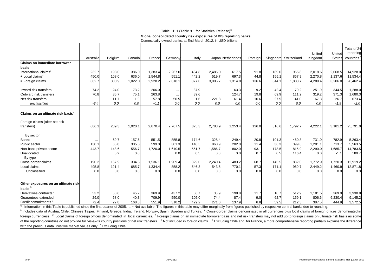#### Table CB 1 (Table 9.1 for Statistical Release)<sup>@</sup>

#### **Global consolidated country risk exposures of BIS reporting banks**

|                                                           |           |         |         |          | Domestically-owned banks, at End-March 2012, in USD billions |        |           | Giobal consolidated country risk exposures of BIS reporting banks |          |         |                       |                   |                         |                                       |
|-----------------------------------------------------------|-----------|---------|---------|----------|--------------------------------------------------------------|--------|-----------|-------------------------------------------------------------------|----------|---------|-----------------------|-------------------|-------------------------|---------------------------------------|
|                                                           | Australia | Belgium | Canada  | France   | Germany                                                      | Italy  |           | Japan Netherlands                                                 | Portugal |         | Singapore Switzerland | United<br>Kingdom | United<br><b>States</b> | Total of 24<br>reporting<br>countries |
|                                                           |           |         |         |          |                                                              |        |           |                                                                   |          |         |                       |                   |                         |                                       |
| Claims on immediate borrower                              |           |         |         |          |                                                              |        |           |                                                                   |          |         |                       |                   |                         |                                       |
| basis                                                     |           |         |         |          |                                                              |        |           |                                                                   |          |         |                       |                   |                         |                                       |
| International claims <sup>2</sup>                         | 232.7     | 193.0   | 386.0   | 1,383.4  | 2,267.0                                                      | 434.8  | 2,486.0   | 617.5                                                             | 91.8     | 189.0   | 965.8                 | 2,018.6           | 2,068.5                 | 14,928.0                              |
| $+$ Local claims <sup>3</sup>                             | 450.0     | 108.0   | 636.0   | 1,544.8  | 551.1                                                        | 442.2  | 519.7     | 697.3                                                             | 44.8     | 155.1   | 867.9                 | 2,270.8           | 1,137.6                 | 11,534.4                              |
| = Foreign claims                                          | 682.7     | 300.9   | 1,022.0 | 2,928.2  | 2,818.1                                                      | 877.0  | 3,005.7   | 1,314.8                                                           | 136.6    | 344.1   | 1,833.7               | 4,289.4           | 3,206.0                 | 26,462.4                              |
| Inward risk transfers                                     | 74.2      | 24.0    | 73.2    | 206.0    | $\cdots$                                                     | 37.9   | $\ddotsc$ | 63.3                                                              | 9.2      | 42.4    | 70.2                  | 251.9             | 344.5                   | 1,288.0                               |
| Outward risk transfers                                    | 70.8      | 35.7    | 75.1    | 263.8    | $\cdots$                                                     | 39.6   | $\cdots$  | 124.7                                                             | 19.8     | 69.9    | 111.2                 | 319.2             | 371.3                   | 1,680.3                               |
| Net risk transfers                                        | $\cdots$  | $-11.7$ | $-1.9$  | $-57.8$  | $-50.5$                                                      | $-1.6$ | $-221.8$  | $-61.4$                                                           | $-10.6$  | $-27.5$ | $-41.0$               | $-67.3$           | $-26.7$                 | $-673.4$                              |
| unclassified                                              | $-3.4$    | 0.0     | 0.0     | $-0.1$   | 0.0                                                          | 0.0    | 0.0       | 0.0                                                               | 0.0      | 0.0     | 0.0                   | 0.0               | $-1.9$                  | $-2.0$                                |
| Claims on an ultimate risk basis <sup>4</sup>             |           |         |         |          |                                                              |        |           |                                                                   |          |         |                       |                   |                         |                                       |
| Foreign claims (after net risk<br>transfers)              | 686.1     | 289.3   | 1,020.1 | 2,870.4  | 2.767.5                                                      | 875.3  | 2,783.9   | 1,253.4                                                           | 126.0    | 316.6   | 1,792.7               | 4,222.1           | 3,181.2                 | 25,791.0                              |
| By sector                                                 |           |         |         |          |                                                              |        |           |                                                                   |          |         |                       |                   |                         |                                       |
| <b>Banks</b>                                              | $\ldots$  | 69.7    | 157.6   | 551.5    | 855.8                                                        | 174.6  | 328.4     | 249.4                                                             | 20.8     | 101.3   | 460.8                 | 731.0             | 782.9                   | 5,263.4                               |
| Public sector                                             | 130.1     | 65.8    | 305.8   | 599.0    | 301.3                                                        | 148.5  | 868.9     | 202.0                                                             | 11.4     | 36.3    | 399.6                 | 1,201.1           | 713.7                   | 5,563.5                               |
| Non-bank private sector                                   | 443.7     | 148.6   | 556.7   | 1,720.0  | 1,610.5                                                      | 551.7  | 1,586.7   | 802.0                                                             | 93.1     | 178.5   | 815.9                 | 2,290.0           | 1,685.7                 | 14,783.5                              |
| Unallocated                                               | $\ldots$  | 5.2     | 0.0     | $\cdots$ | 0.0                                                          | 0.5    | 0.0       | 0.0                                                               | 0.7      | 0.5     | 116.4                 | 0.0               | $-1.1$                  | 180.7                                 |
| By type                                                   |           |         |         |          |                                                              |        |           |                                                                   |          |         |                       |                   |                         |                                       |
| Cross-border claims                                       | 190.2     | 167.9   | 334.3   | 1,536.1  | 1,909.4                                                      | 329.0  | 2,240.4   | 483.2                                                             | 68.7     | 145.5   | 832.0                 | 1,772.9           | 1,720.3                 | 12,919.2                              |
| Local claims                                              | 495.8     | 121.4   | 685.7   | 1,334.4  | 858.2                                                        | 546.3  | 543.5     | 770.1                                                             | 57.3     | 171.1   | 960.7                 | 2,449.2           | 1,460.9                 | 12,871.8                              |
| Unclassified                                              | 0.0       | 0.0     | 0.0     | 0.0      | 0.0                                                          | 0.0    | 0.0       | 0.0                                                               | 0.0      | 0.0     | 0.0                   | 0.0               | 0.0                     | 0.0                                   |
| Other exposures on an ultimate risk<br>basis <sup>5</sup> |           |         |         |          |                                                              |        |           |                                                                   |          |         |                       |                   |                         |                                       |
| Derivatives contracts <sup>6</sup>                        | 53.2      | 50.6    | 45.7    | 369.9    | 437.2                                                        | 56.7   | 33.9      | 198.8                                                             | 11.7     | 18.7    | 512.9                 | 1,181.5           | 369.0                   | 3,930.8                               |
| Guarantees extended                                       | 29.0      | 68.0    | 40.3    | 709.9    | 550.0                                                        | 105.0  | 74.4      | 87.4                                                              | 9.0      | 62.7    | 159.1                 | 806.6             | 6,230.4                 | 9,145.2                               |
| Credit commitments                                        | 72.4      | 22.8    | 168.3   | 551.9    | 310.2                                                        | 429.2  | 271.0     | 137.9                                                             | 6.8      | 59.5    | 212.3                 | 387.5             | 444.9                   | 3,572.5                               |

®: Information in this Table is published since the first quarter of 2005. .. = Not available. The figures in this table may differ marginally from figures published by respective central banks due to rounding.

<sup>1</sup> includes data of Austria, Chile, Chinese Taipei, Finland, Greece, India, Ireland, Norway, Spain, Sweden and Turkey. <sup>2</sup> Cross-border claims denominated in all currencies plus local claims of foreign offices denominated foreign currenciess. <sup>3</sup> Local claims of foreign offices denominated in local currencies. <sup>4</sup> Foreign claims on an immediate borrower basis and net risk transfers may not add up to foreign claims on ultimate risk basis as of the reporting countries do not provide full vis-à-vis country positions of net risk transfers. <sup>5</sup> Not included in foreign claims. <sup>6</sup> Excluding Chile and for France, a more comprehensive reporting partially explains th with the previous data. Positive market values only.  $7$  Excluding Chile.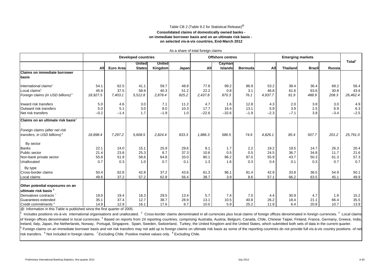#### Table CB 2 (Table 9.2 for Statistical Release)@

#### **Consolidated claims of domestically owned banks on immediate borrower basis and on an ultimate risk basis on selected vis-à-vis countries, End-March 2012**

|                                               |            | <b>Developed countries</b> |               |               |       |         | <b>Offshore centres</b> |                | <b>Emerging markets</b> |                 |               |        |                    |
|-----------------------------------------------|------------|----------------------------|---------------|---------------|-------|---------|-------------------------|----------------|-------------------------|-----------------|---------------|--------|--------------------|
|                                               |            |                            | United        | <b>United</b> |       |         | Cayman                  |                |                         |                 |               |        | Total <sup>1</sup> |
|                                               | <b>All</b> | <b>Euro Area</b>           | <b>States</b> | Kingdom       | Japan | All     | <b>Islands</b>          | <b>Bermuda</b> | All                     | <b>Thailand</b> | <b>Brazil</b> | Russia |                    |
| <b>Claims on immediate borrower</b>           |            |                            |               |               |       |         |                         |                |                         |                 |               |        |                    |
| basis                                         |            |                            |               |               |       |         |                         |                |                         |                 |               |        |                    |
| International claims <sup>2</sup>             | 54.1       | 62.5                       | 41.1          | 59.7          | 48.8  | 77.8    | 99.2                    | 96.9           | 53.2                    | 38.4            | 36.4          | 69.2   | 56.4               |
| Local claims $^3$                             | 45.9       | 37.5                       | 58.9          | 40.3          | 51.2  | 22.2    | 0.8                     | 3.1            | 46.8                    | 61.6            | 63.6          | 30.8   | 43.6               |
| Foreign claims (in USD billions) <sup>4</sup> | 18,927.5   | 7,403.1                    | 5,512.8       | 2,878.4       | 825.2 | 2,437.8 | 870.3                   | 76.1           | 4,937.7                 | 91.9            | 488.9         | 208.3  | 26,462.4           |
| Inward risk transfers                         | 5.0        | 4.6                        | 3.0           | 7.1           | 11.2  | 4.7     | 1.6                     | 12.8           | 4.3                     | 2.0             | 3.8           | 3.0    | 4.9                |
| Outward risk transfers                        | 5.0        | 5.1                        | 3.0           | 8.0           | 10.3  | 17.7    | 16.4                    | 13.1           | 5.9                     | 3.9             | 2.5           | 6.9    | 6.3                |
| Net risk transfers                            | $-0.2$     | $-1.4$                     | 1.7           | $-1.9$        | 1.0   | $-22.6$ | $-32.6$                 | $-1.9$         | $-2.3$                  | $-7.1$          | 3.8           | $-3.4$ | $-2.5$             |
| Claims on an ultimate risk basis <sup>4</sup> |            |                            |               |               |       |         |                         |                |                         |                 |               |        |                    |
| Foreign claims (after net risk                |            |                            |               |               |       |         |                         |                |                         |                 |               |        |                    |
| transfers, in USD billions) <sup>5</sup>      | 18,898.4   | 7,297.2                    | 5,608.5       | 2,824.4       | 833.3 | 1,886.3 | 586.5                   | 74.6           | 4,826.1                 | 85.4            | 507.7         | 201.2  | 25,791.0           |
| By sector                                     |            |                            |               |               |       |         |                         |                |                         |                 |               |        |                    |
| <b>Banks</b>                                  | 22.1       | 24.0                       | 15.1          | 25.9          | 29.6  | 8.1     | 1.7                     | 2.2            | 19.2                    | 19.5            | 14.7          | 26.3   | 20.4               |
| Public sector                                 | 21.4       | 23.8                       | 25.3          | 8.7           | 37.3  | 10.6    | 0.5                     | 0.5            | 24.5                    | 36.7            | 34.8          | 11.7   | 21.6               |
| Non-bank private sector                       | 55.8       | 51.9                       | 58.6          | 64.8          | 33.0  | 80.1    | 96.2                    | 97.0           | 55.9                    | 43.7            | 50.3          | 61.3   | 57.3               |
| Unallocated                                   | 0.7        | 0.3                        | 1.0           | 0.7           | 0.1   | 1.3     | 1.6                     | 0.3            | 0.4                     | 0.1             | 0.3           | 0.7    | 0.7                |
| By type                                       |            |                            |               |               |       |         |                         |                |                         |                 |               |        |                    |
| Cross-border claims                           | 50.4       | 62.8                       | 42.8          | 37.2          | 43.6  | 61.3    | 96.1                    | 91.4           | 42.9                    | 33.8            | 36.5          | 54.9   | 50.1               |
| Local claims                                  | 49.6       | 37.2                       | 57.2          | 62.8          | 56.4  | 38.7    | 3.9                     | 8.6            | 57.1                    | 66.2            | 63.5          | 45.1   | 49.9               |
| Other potential exposures on an               |            |                            |               |               |       |         |                         |                |                         |                 |               |        |                    |
| ultimate risk basis 6                         |            |                            |               |               |       |         |                         |                |                         |                 |               |        |                    |
| Derivatives contracts <sup>7</sup>            | 19.0       | 19.4                       | 16.3          | 29.5          | 13.4  | 5.7     | 7.4                     | 7.0            | 4.4                     | 30.9            | 4.7           | 1.9    | 15.2               |
| Guarantees extended                           | 35.1       | 37.4                       | 12.7          | 38.7          | 28.9  | 13.1    | 10.5                    | 40.8           | 26.2                    | 18.4            | 21.1          | 66.4   | 35.5               |
| Credit commitments <sup>8</sup>               | 14.9       | 12.9                       | 16.1          | 17.6          | 9.7   | 10.0    | 5.9                     | 25.2           | 11.9                    | 6.4             | 20.8          | 10.7   | 13.9               |

As a share of total foreign claims

@: Information in this Table is published since the first quarter of 2005.

1Includes positions vis-à-vis international organisations and unallocated. <sup>2</sup> Cross-border claims denominated in all currencies plus local claims of foreign offices denominated in foreign currencies. <sup>3</sup> Local claims of foreign offices denominated in local currencies. <sup>4</sup> Based on reports from 24 reporting countries, comprising Australia, Austria, Belgium, Canada, Chile, Chinese Taipei, Finland, France, Germany, Greece, India, Ireland, Italy, Japan, the Netherlands, Norway, Portugal, Singapore, Spain, Sweden, Switzerland, Turkey, the United Kingdom and the United States, which submitted both sets of data in the current quarter. <sup>5</sup> Foreign claims on an immediate borrower basis and net risk transfers may not add up to foreign claims on ultimate risk basis as some of the reporting countries do not provide full vis-à-vis country positions of net risk transfers. <sup>6</sup> Not included in foreign claims. <sup>7</sup> Excluding Chile. Positive market values only. <sup>8</sup> Excluding Chile.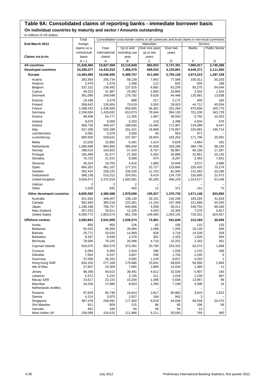### **Table 9A: Consolidated claims of reporting banks - immediate borrower basis On individual countries by maturity and sector / Amounts outstanding**

In millions of US dollars

|                               | Total             |                   |                   | Consolidated cross-border claims in all currencies and local claims in non-local currencies |                  |                  |                      |
|-------------------------------|-------------------|-------------------|-------------------|---------------------------------------------------------------------------------------------|------------------|------------------|----------------------|
| End-March 2012                | foreign           |                   |                   | <b>Maturities</b>                                                                           |                  |                  | Sectors              |
|                               | claims on a       | Total             | Up to and         | Over one year                                                                               | Over two         | <b>Banks</b>     | <b>Public Sector</b> |
|                               | contractual       | international     | including one     | up to two                                                                                   | years            |                  |                      |
| Claims vis-à-vis              | basis             | claims            | year              | years                                                                                       |                  |                  |                      |
|                               | $A + L$           | Α                 | В                 | C                                                                                           | D                | F                | G                    |
| <b>All countries</b>          | 31,528,460        | 19,827,558        | 10,116,949        | 883,053                                                                                     | 5,747,301        | 7.960.017        | 2,740,289            |
| <b>Developed countries</b>    | 23,268,577        | 14,433,033        | 7,368,276         | 606,532                                                                                     | 4,125,861        | 6,645,371        | 2,111,050            |
| <b>Europe</b>                 | 14,463,495        | 10,046,945        | 5,389,707         | 411,005                                                                                     | 2,755,128        | 4,974,223        | 1,287,158            |
| Austria                       | 282,563           | 205,734           | 68,139            | 7,942                                                                                       | 77,086           | 105,011          | 50,203               |
| Andorra                       | 2,479             | 2,478             | 1,488             | 112                                                                                         | 832              | 935              | 198                  |
| Belgium<br>Cyprus             | 537,132<br>49,323 | 238,492<br>41,487 | 137,525<br>20,092 | 8,982<br>2,850                                                                              | 63,259<br>16,894 | 93,275<br>2,502  | 64,544<br>1,424      |
| Denmark                       | 361,090           | 249,848           | 176,792           | 9,626                                                                                       | 44,446           | 125,881          | 13,638               |
| Estonia                       | 19,188            | 3,479             | 888               | 217                                                                                         | 2,172            | 405              | 165                  |
| Finland                       | 308,642           | 126,604           | 70,619            | 3,550                                                                                       | 29,923           | 44,712           | 45,054               |
| France                        | 1,598,433         | 1,436,683         | 855,655           | 56,381                                                                                      | 331,284          | 873,856          | 200,775              |
| Germany                       | 2,206,004         | 1,418,932         | 810,073           | 78,944                                                                                      | 384,130          | 701,330          | 343,729              |
| Greece                        | 99,408            | 54,777            | 11,355            | 1,897                                                                                       | 38,563           | 5,750            | 24,352               |
| Iceland                       | 9,070             | 9,068             | 5,250             | 219                                                                                         | 2,489            | 4,634            | 576                  |
| Ireland                       | 566,728           | 448,427           | 188,630           | 13,483                                                                                      | 171,907          | 134,099          | 9,447                |
| Italy                         | 917,336           | 505,288           | 201,421           | 19,908                                                                                      | 170,857          | 220,891          | 190,714              |
| Liechtenstein<br>Luxembourg   | 5,092<br>660,505  | 5,079<br>528,641  | 3,569<br>237,357  | 59<br>18,654                                                                                | 953<br>163,254   | 971<br>171,796   | 20,591               |
| Malta                         | 22,020            | 15,892            | 6,391             | 1,014                                                                                       | 6,828            | 4,864            | 181                  |
| Netherlands                   | 1,086,588         | 904,856           | 385,640           | 42,838                                                                                      | 326.286          | 384,736          | 98,193               |
| Norway                        | 298,014           | 143,923           | 57,424            | 8,797                                                                                       | 56,997           | 66,166           | 17,267               |
| Portugal                      | 185,469           | 81,477            | 27,300            | 5,562                                                                                       | 30,898           | 32,961           | 20,145               |
| Slovakia                      | 76,722            | 21,515            | 8,568             | 974                                                                                         | 8,287            | 2,463            | 7,831                |
| Slovenia                      | 36,324            | 19,705            | 4,616             | 1,885                                                                                       | 10,849           | 3,572            | 3,968                |
| Spain                         | 684,301           | 461,167           | 177,251           | 22.727                                                                                      | 153,666          | 220,432          | 70,274               |
| Sweden                        | 302,424           | 236,225           | 106,030           | 12,753                                                                                      | 81,940           | 141,583          | 20,296               |
| Switzerland                   | 588,138           | 510,312           | 324,501           | 8,419                                                                                       | 124,728          | 316,680          | 22,472               |
| United Kingdom                | 3,559,471         | 2,375,919         | 1,502,681         | 83,200                                                                                      | 456,229          | 1,314,577        | 61,048               |
| Vatican<br>Other              | 2<br>1,029        | 2<br>935          | 2<br>450          | 12                                                                                          | 371              | 141              | 73                   |
| Other developed countries     | 8,805,082         | 4,386,088         | 1,978,569         | 195,527                                                                                     | 1,370,733        | 1,671,148        | 823,892              |
| Australia                     | 621,932           | 348,407           | 136,130           | 26,101                                                                                      | 134,246          | 183,294          | 41,818               |
| Canada                        | 582,943           | 380,518           | 223,361           | 11,154                                                                                      | 107,498          | 211,680          | 54,343               |
| Japan                         | 1,189,198         | 766,757           | 640,066           | 4,309                                                                                       | 59,311           | 548,755          | 96,030               |
| New Zealand                   | 307,015           | 33,611            | 12,105            | 4,503                                                                                       | 15,394           | 7,079            | 5,817                |
| <b>United States</b>          | 6,099,772         | 2,852,574         | 961,709           | 149,460                                                                                     | 1,054,191        | 720,331          | 624,457              |
| <b>Offshore centres</b>       | 2,583,841         | 2,041,906         | 1,036,574         | 74,961                                                                                      | 541,640          | 313,394          | 30,606               |
| Aruba                         | 955               | 955               | 226               | 62                                                                                          | 195              | 115              | 132                  |
| <b>Bahamas</b><br>Bahrain     | 50,415<br>25,771  | 46,356<br>20,034  | 35.084<br>14,969  | 1,099<br>828                                                                                | 7,205<br>3,718   | 16,130<br>14,109 | 509<br>259           |
| <b>Barbados</b>               | 8,187             | 6,638             | 2,278             | 362                                                                                         | 2,325            | 1,926            | 564                  |
| Bermuda                       | 78,585            | 76,220            | 26,486            | 4,718                                                                                       | 22,252           | 1,343            | 301                  |
| Cayman Islands                | 910,075           | 902,579           | 373,381           | 20,780                                                                                      | 253,332          | 50,273           | 1,858                |
| Curacao                       | 6,094             | 6,093             | 2,504             | 286                                                                                         | 1,559            | 1,233            | 198                  |
| Gibraltar                     | 7,654             | 6,437             | 3,847             | 299                                                                                         | 1,703            | 1,445            | 5                    |
| Guernsey                      | 37,000            | 34,155            | 9,565             | 1,229                                                                                       | 8,657            | 4,293            | $\mathbf{1}$         |
| Hong Kong SAR                 | 634,152           | 277,169           | 175,686           | 15,841                                                                                      | 48,835           | 94,560           | 2,984                |
| Isle of Man                   | 27,607            | 23,309            | 7,665             | 2,866                                                                                       | 12,034           | 1,484            | 11                   |
| Jersey                        | 98,348            | 94,613            | 39,491            | 4,612                                                                                       | 32,536           | 5,907            | 140                  |
| Lebanon                       | 5,572             | 5,242             | 3,745             | 311                                                                                         | 1,018            | 1,158            | 687                  |
| Macau SAR<br><b>Mauritius</b> | 23,617<br>19,326  | 22,115<br>17,680  | 15,204<br>8,653   | 1,096<br>1,390                                                                              | 5,558<br>7,199   | 13,967<br>3,398  | 99<br>16             |
| <b>Netherlands Antilles</b>   |                   | $\ddotsc$         |                   |                                                                                             |                  | $\cdots$         | $\ldots$             |
| Panama                        | 97,629            | 90,736            | 24,814            | 3,817                                                                                       | 60,983           | 3,816            | 1,823                |
| Samoa                         | 4,214             | 3,975             | 2,927             | 184                                                                                         | 863              | 3                |                      |
| Singapore                     | 387,478           | 248,491           | 177,360           | 8,519                                                                                       | 44,038           | 96,559           | 20,470               |
| Sint Maarten                  | 911               | 809               | 215               | 86                                                                                          | 80               | 196              | 59                   |
| Vanuatu                       | 461               | 184               | 84                | 46                                                                                          | 54               | 14               |                      |
| West Indies UK                | 156,089           | 154,415           | 111,946           | 6,211                                                                                       | 26,590           | 769              | 490                  |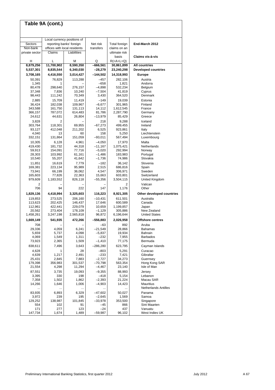|                     | Table 9A (cont.)     |                                                         |                       |                                                      |                                     |
|---------------------|----------------------|---------------------------------------------------------|-----------------------|------------------------------------------------------|-------------------------------------|
|                     |                      |                                                         |                       |                                                      |                                     |
|                     |                      |                                                         |                       |                                                      |                                     |
| Sectors             |                      | Local currency positions of<br>reporting banks' foreign | Net risk              | Total foreign                                        | End-March 2012                      |
| Non-bank            |                      | offices with local residents                            | transfers             | claims on an                                         |                                     |
| private sector      | Claims               | Liabilities                                             |                       | ultimate risk                                        |                                     |
|                     |                      |                                                         |                       | basis                                                | Claims vis-à-vis                    |
| н<br>8,879,256      | L<br>11,700,902      | М<br>8,590,350                                          | Q<br>$-666,561$       | $R(=\mathsf{A}+\mathsf{L}+\mathsf{Q})$<br>30,861,899 | All countries                       |
| 5,537,301           | 8,835,544            | 6,340,030                                               | –28,279               | 23,240,298                                           | <b>Developed countries</b>          |
| 3,708,165           | 4,416,550            | 3,014,427                                               | –144,502              | 14,318,993                                           | <b>Europe</b>                       |
| 50,391              | 76.829               | 113,288                                                 | $-457$                | 282,106                                              | Austria                             |
| 1,345               | 1                    |                                                         | $-658$                | 1,821                                                | Andorra                             |
| 80,478<br>37,348    | 298,640<br>7,836     | 276,157<br>10,240                                       | $-4,898$<br>$-7,504$  | 532,234<br>41,819                                    | Belgium<br>Cyprus                   |
| 98,443              | 111,242              | 70,349                                                  | 3,430                 | 364,520                                              | Denmark                             |
| 2,885               | 15,709               | 11,419                                                  | $-149$                | 19,039                                               | Estonia                             |
| 36,424              | 182,038              | 109,967                                                 | $-6,677$              | 301,965                                              | Finland                             |
| 343,588             | 161,750              | 131,113                                                 | 14,112                | 1,612,545                                            | France                              |
| 366,157<br>24,612   | 787,072<br>44,631    | 614,483<br>26,804                                       | 81,786<br>$-13,979$   | 2,287,790<br>85,429                                  | Germany<br>Greece                   |
| 3,828               | 2                    |                                                         | 218                   | 9,288                                                | Iceland                             |
| 303,764             | 118,301              | 69,955                                                  | $-67,273$             | 499,455                                              | Ireland                             |
| 93,127              | 412,048              | 211,202                                                 | 6,525                 | 923,861                                              | Italy                               |
| 4,040               | 13                   | 60                                                      | 158                   | 5,250                                                | Liechtenstein                       |
| 332,151             | 131,864              | 151,059<br>4,961                                        | $-93,011$             | 567,494<br>17,970                                    | Luxembourg<br>Malta                 |
| 10,305<br>419,430   | 6,128<br>181,732     | 44,318                                                  | $-4,050$<br>$-11,167$ | 1,075,421                                            | Netherlands                         |
| 59,913              | 154,091              | 77,716                                                  | $-5,020$              | 292,994                                              | Norway                              |
| 28,303              | 103,992              | 61,161                                                  | $-1,486$              | 183,983                                              | Portugal                            |
| 10,540              | 55,207               | 41,642                                                  | $-1,736$              | 74,986                                               | Slovakia                            |
| 11,851<br>169,381   | 16,619<br>223,134    | 7,779<br>95,989                                         | $-182$<br>2,515       | 36,142<br>686,816                                    | Slovenia<br>Spain                   |
| 73,941              | 66,199               | 36,062                                                  | 4,547                 | 306,971                                              | Sweden                              |
| 165,603             | 77,826               | 22,363                                                  | 15,663                | 603,801                                              | Switzerland                         |
| 979,609             | 1,183,552            | 826,118                                                 | $-55,356$             | 3,504,115                                            | United Kingdom                      |
| 2<br>706            | 94                   | 222                                                     | 147                   | 2<br>1,176                                           | Vatican<br>Other                    |
| 1,829,136           | 4,418,994            | 3,325,603                                               | 116,223               | 8,921,305                                            | Other developed countries           |
| 119,853             | 273,525              | 206,160                                                 | $-10,431$             | 611,501                                              | Australia                           |
| 113,623             | 202,425              | 146,437                                                 | 17,646                | 600,589                                              | Canada                              |
| 112,961             | 422,441              | 229,079                                                 | 10,659                | 1,199,857                                            | Japan                               |
| 20,562<br>1,458,261 | 273,404<br>3,247,198 | 178,109<br>2,565,818                                    | $-1,129$<br>96,872    | 305,886<br>6,196,644                                 | New Zealand<br><b>United States</b> |
| 1,669,149           | 541,935              | 472,266                                                 | $-556,883$            | 2,026,958                                            | <b>Offshore centres</b>             |
| 708                 |                      |                                                         | -63                   | 892                                                  | Aruba                               |
| 29,336              | 4,059                | 6,241                                                   | –21,549               | 28,866                                               | Bahamas                             |
| 5,659               | 5,737                | 4,098                                                   | $-5,837$              | 19,934                                               | Bahrain                             |
| 4,069<br>73,923     | 1,549<br>2,365       | 1,311<br>1,509                                          | $-232$<br>$-1,410$    | 7,955<br>77,175                                      | <b>Barbados</b><br>Bermuda          |
| 838,611             | 7,496                | 3,643                                                   | $-286,280$            | 623,795                                              | Cayman Islands                      |
| 4,628               | 1                    | 28                                                      | $-803$                | 5,291                                                | Curacao                             |
| 4,639               | 1,217                | 2,491                                                   | $-233$                | 7,421                                                | Gibraltar                           |
| 25,431              | 2,845                | 7,883                                                   | $-2,727$              | 34,273                                               | Guernsey                            |
| 179,398             | 356,983              | 301,537                                                 | $-70,798$             | 563,354                                              | Hong Kong SAR                       |
| 21,554<br>87,551    | 4,298                | 11,294                                                  | $-4,467$              | 23,140                                               | Isle of Man                         |
| 3,395               | 3,735<br>330         | 19,093<br>198                                           | $-9,355$<br>$-418$    | 88,993<br>5,154                                      | Jersey<br>Lebanon                   |
| 7,358               | 1,502                | 1,862                                                   | $-2,393$              | 21,224                                               | Macau SAR                           |
| 14,266              | 1,646                | 1,006                                                   | $-4,903$              | 14,423                                               | Mauritius                           |
|                     |                      |                                                         |                       |                                                      | <b>Netherlands Antilles</b>         |
| 83,935<br>3,972     | 6,893<br>239         | 6,329<br>195                                            | $-47,602$<br>$-2,645$ | 50,027<br>1,569                                      | Panama<br>Samoa                     |
| 129,252             | 138,987              | 101,845                                                 | $-33,978$             | 353,500                                              | Singapore                           |
| 554                 | 102                  | 91                                                      | -45                   | 866                                                  | Sint Maarten                        |
| 171                 | 277                  | 123                                                     | -24                   | 437                                                  | Vanuatu                             |
| 147,734             | 1,674                | 1,489                                                   | $-59,987$             | 96,102                                               | West Indies UK                      |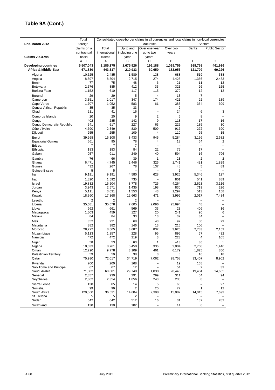| Table 9A (Cont.)                           |                |                |                |                                                                                             |            |                |                      |
|--------------------------------------------|----------------|----------------|----------------|---------------------------------------------------------------------------------------------|------------|----------------|----------------------|
|                                            | Total          |                |                | Consolidated cross-border claims in all currencies and local claims in non-local currencies |            |                |                      |
| End-March 2012                             | foreign        |                |                | <b>Maturities</b>                                                                           |            |                | Sectors              |
|                                            | claims on a    | Total          | Up to and      | Over one year                                                                               | Over two   | <b>Banks</b>   | <b>Public Sector</b> |
|                                            | contractual    | international  | including one  | up to two                                                                                   | years      |                |                      |
| Claims vis-à-vis                           | basis          | claims         | year           | years                                                                                       |            |                |                      |
|                                            | $A + L$        | Α              | в              | С                                                                                           | D          | F              | G                    |
| <b>Developing countries</b>                | 5,507,043      | 3,185,175      | 1,675,926      | 196,188                                                                                     | 1,029,759  | 988,758        | 461,936              |
| Africa & Middle East                       | 671,830        | 443,317        | 210,933        | 30,650                                                                                      | 182,956    | 121,709        | 69,226               |
| Algeria                                    | 10,625         | 2,485          |                | 138                                                                                         | 688        | 519            | 538                  |
| Angola                                     | 8,897          | 8,304          | 1,589<br>2,715 | 274                                                                                         | 4,428      | 1,356          | 2,483                |
| Benin                                      | 77             | 75             | 48             | 6                                                                                           | 21         | 11             | 12                   |
| Botswana                                   | 2,576          | 885            | 412            | 33                                                                                          | 321        | 26             | 155                  |
| Burkina Faso                               | 1,152          | 610            | 117            | 115                                                                                         | 379        | 12             | 12                   |
|                                            |                | 29             |                | 4                                                                                           |            | $\overline{7}$ |                      |
| <b>Burundi</b>                             | 29             |                | 5<br>347       | 174                                                                                         | 13<br>421  | 92             |                      |
| Cameroon<br>Cape Verde                     | 3,351<br>1,707 | 1,017<br>1,052 | 583            | 61                                                                                          | 383        | 354            | 189<br>309           |
| Central African Republic                   | 35             | 35             | 33             | $\overline{\phantom{0}}$                                                                    | 2          |                |                      |
| Chad                                       | 211            | 41             | 16             | $\overline{\phantom{0}}$                                                                    | 24         | 6              | 3                    |
|                                            |                |                |                |                                                                                             |            |                |                      |
| Comoros Islands                            | 20             | 20             | 9              | 2                                                                                           | 6          | 8              |                      |
| Congo                                      | 402            | 285            | 142            | 9                                                                                           | 113        | 17             | 16                   |
| Congo Democratic Republic<br>Côte d'Ivoire | 541            | 517            | 227            | 63                                                                                          | 225        | 185            | 30                   |
| Djibouti                                   | 4,690<br>255   | 2,349<br>255   | 839<br>109     | 509<br>4                                                                                    | 917<br>110 | 272<br>25      | 690<br>15            |
|                                            |                |                |                |                                                                                             |            |                |                      |
| Egypt                                      | 39,958         | 16,108         | 8,433          | 945                                                                                         | 5,284      | 3,156          | 2,682                |
| <b>Equatorial Guinea</b>                   | 561            | 95             | 78             | 4                                                                                           | 13         | 64             | 2                    |
| Eritrea                                    | 7              | $\overline{7}$ | $\overline{7}$ |                                                                                             |            |                |                      |
| Ethiopia                                   | 183            | 183            | 84             | 22                                                                                          | 75         | 17             |                      |
| Gabon                                      | 957            | 911            | 249            | 40                                                                                          | 594        | 16             | 796                  |
| Gambia                                     | 76             | 66             | 39             | 1                                                                                           | 23         | $\overline{2}$ | 2                    |
| Ghana                                      | 6,471          | 4,745          | 2,446          | 326                                                                                         | 1,741      | 431            | 1,829                |
| Guinea                                     | 432            | 267            | 78             | 137                                                                                         | 48         | 5              | 89                   |
| Guinea-Bissau                              | 5              | 5              |                |                                                                                             | 5          |                |                      |
| Iran                                       | 9,191          | 9,191          | 4,580          | 628                                                                                         | 3,926      | 5,346          | 127                  |
| Iraq                                       | 1,820          | 1,592          | 735            |                                                                                             | 801        | 541            | 889                  |
| Israel                                     | 19,832         | 16,504         | 8,778          | 726                                                                                         | 4,264      | 2,623          | 3,116                |
| Jordan                                     | 3,943          | 2,571          | 1,435          | 198                                                                                         | 830        | 719            | 296                  |
| Kenya                                      | 5,111          | 3,031          | 1,553          | 43                                                                                          | 1,297      | 513            | 158                  |
| Kuwait                                     | 18,360         | 17,368         | 12,663         | 471                                                                                         | 3,996      | 2,017          | 7,434                |
| Lesotho                                    | $\overline{2}$ | $\overline{2}$ | 2              |                                                                                             |            |                |                      |
| Liberia                                    | 35,681         | 35.678         | 7,605          | 2,096                                                                                       | 25,694     | 48             |                      |
| Libya                                      | 662            | 661            | 569            | 33                                                                                          | 23         | 406            | 16                   |
| Madagascar                                 | 1,503          | 459            | 127            | 20                                                                                          | 241        | 90             | 6                    |
| Malawi                                     | 84             | 84             | 33             | 13                                                                                          | 32         | 34             |                      |
| Mali                                       | 352            | 221            | 68             | 43                                                                                          | 97         | 80             | 29                   |
| Mauritania                                 | 382            | 382            | 146            | 13                                                                                          | 215        | 106            |                      |
| Morocco                                    | 28,722         | 8,665          | 3,687          | 832                                                                                         | 3,625      | 2,783          | 2,153                |
| Mozambique                                 | 5,113          | 1,257          | 228            | 95                                                                                          | 895        | 67             | 432                  |
| Namibia                                    | 472            | 472            | 219            | 3                                                                                           | 223        | 4              | 105                  |
| Niger                                      | 58             | 53             | 63             | 1                                                                                           | $-13$      | 36             | $\mathbf{1}$         |
| Nigeria                                    | 10,533         | 8,761          | 5,450          | 336                                                                                         | 2,004      | 2,768          | 1,446                |
| Oman                                       | 12,290         | 9,778          | 3,109          | 461                                                                                         | 6,179      | 1,825          | 856                  |
| <b>Palestinian Territory</b>               | 59             | 59             | 38             | 3                                                                                           | 8          | 16             | 18                   |
| Qatar                                      | 75,930         | 72,017         | 34,719         | 7,062                                                                                       | 28,758     | 33,407         | 8,902                |
| Rwanda                                     | 200            | 200            | 168            | -                                                                                           | 19         | 168            |                      |
| Sao Tomé and Principe                      | 67             | 67             | 12             |                                                                                             | 54         | 2              | 33                   |
| Saudi Arabia                               | 71,802         | 60,081         | 29,749         | 1,030                                                                                       | 28,445     | 19,404         | 14,665               |
| Senegal                                    | 2,857          | 930            | 291            | 299                                                                                         | 311        | 54             | 94                   |
| Seychelles                                 | 2,362          | 2,354          | 1,856          | 243                                                                                         | 238        | 8              |                      |
| Sierra Leone                               | 130            | 85             | 14             | 5                                                                                           | 65         |                | 27                   |
| Somalia                                    | 99             | 99             | 2              | 20                                                                                          | 77         | 1              | $12 \overline{ }$    |
| South Africa                               | 129,560        | 36,531         | 14,604         | 2,398                                                                                       | 15,082     | 14,015         | 7,693                |
| St. Helena                                 | 5              | 5              | 2              |                                                                                             | 3          |                |                      |
| Sudan                                      | 642            | 642            | 512            | 16                                                                                          | 31         | 182            | 282                  |
| Swaziland                                  | 130            | 130            | 102            |                                                                                             | 14         | 6              |                      |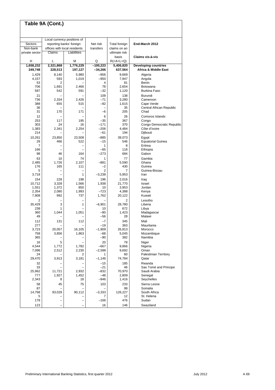|                | Table 9A (Cont.) |                              |                          |                                                     |                                   |
|----------------|------------------|------------------------------|--------------------------|-----------------------------------------------------|-----------------------------------|
|                |                  |                              |                          |                                                     |                                   |
|                |                  | Local currency positions of  |                          |                                                     |                                   |
| Sectors        |                  | reporting banks' foreign     | Net risk                 | Total foreign                                       | End-March 2012                    |
| Non-bank       |                  | offices with local residents | transfers                | claims on an                                        |                                   |
| private sector | Claims           | Liabilities                  |                          | ultimate risk                                       |                                   |
| н              | L                | М                            | Q                        | basis                                               | Claims vis-à-vis                  |
| 1,658,232      | 2,321,868        | 1,776,229                    | $-100,223$               | $R(=\mathsf{A}+\mathsf{L}+\mathsf{Q})$<br>5,406,820 | <b>Developing countries</b>       |
| 249,748        | 228,513          | 197,127                      | -34,266                  | 637,564                                             | Africa & Middle East              |
| 1,429          | 8,140            | 5,980                        | $-956$                   | 9.669                                               | Algeria                           |
| 4,157          | 593              | 1,019                        | $-950$                   | 7,947                                               | Angola                            |
| 53             | 2                |                              | 4                        | 81                                                  | Benin                             |
| 706            | 1,691            | 2,466                        | 78                       | 2,654                                               | Botswana                          |
| 587            | 542              | 591                          | -32                      | 1,120                                               | Burkina Faso                      |
| 21<br>736      |                  |                              | 109<br>$-71$             | 138                                                 | Burundi<br>Cameroon               |
| 388            | 2,334<br>655     | 2,426<br>515                 | $-92$                    | 3,280<br>1,615                                      | Cape Verde                        |
| 36             |                  |                              | $\overline{\phantom{0}}$ | 35                                                  | Central African Republic          |
| 31             | 170              | 171                          | -6                       | 205                                                 | Chad                              |
| 12             |                  |                              | 6                        | 26                                                  | Comoros Islands                   |
| 253            | 117              | 195                          | $-35$                    | 367                                                 | Congo                             |
| 303            | 24               | 16                           | $-171$                   | 370                                                 | Congo Democratic Republic         |
| 1,383          | 2,341            | 2,254                        | $-206$                   | 4.484                                               | Côte d'Ivoire                     |
| 214            |                  |                              | $-61$                    | 194                                                 | Djibouti                          |
| 10,261         | 23,850           | 23,508                       | $-885$                   | 39.073                                              | Egypt<br><b>Equatorial Guinea</b> |
| 29<br>7        | 466              | 522                          | $-15$<br>1               | 546<br>8                                            | Eritrea                           |
| 166            |                  | $\overline{\phantom{0}}$     | $-65$                    | 118                                                 | Ethiopia                          |
| 98             | 46               | 164                          | $-273$                   | 684                                                 | Gabon                             |
| 63             | 10               | 74                           | 1                        | 77                                                  | Gambia                            |
| 2,485          | 1,726            | 2,107                        | $-881$                   | 5,590                                               | Ghana                             |
| 176            | 165              | 111                          | $-2$                     | 430                                                 | Guinea                            |
| 5              |                  | 1                            | 2                        | 7                                                   | Guinea-Bissau<br>Iran             |
| 3,718          | -                |                              | $-3,238$                 | 5,953                                               |                                   |
| 154<br>10,712  | 228<br>3,328     | 198<br>1,566                 | 196<br>1,938             | 2,016<br>21,770                                     | Iraq<br>Israel                    |
| 1,551          | 1,372            | 850                          | 10                       | 3,953                                               | Jordan                            |
| 2,354          | 2,080            | 1,993                        | $-723$                   | 4,388                                               | Kenya                             |
| 7,908          | 992              | 737                          | 1,762                    | 20,122                                              | Kuwait                            |
| 2              |                  |                              |                          | 2                                                   | Lesotho                           |
| 35,429         | 3                | 1                            | $-6,901$                 | 28,780                                              | Liberia                           |
| 238<br>360     | 1<br>1,044       | 1,051                        | 10<br>$-80$              | 672<br>1,423                                        | Libya<br>Madagascar               |
| 49             |                  |                              | -56                      | 28                                                  | Malawi                            |
| 112            | 131              | 112                          | $-7$                     | 345                                                 | Mali                              |
| 277            |                  |                              | $-19$                    | 363                                                 | Mauritania                        |
| 3,723          | 20,057           | 16,105                       | $-1,909$                 | 26,813                                              | Morocco                           |
| 758            | 3,856            | 1,863                        | $-68$                    | 5,045                                               | Mozambique                        |
| 365            |                  |                              | $-90$                    | 382                                                 | Namibia                           |
| 16             | 5                |                              | 20                       | 78                                                  | Niger                             |
| 4,544<br>7,096 | 1,772<br>2,512   | 1,782<br>2,230               | $-667$<br>$-2,598$       | 9,866<br>9,692                                      | Nigeria<br>Oman                   |
| 24             |                  | 2                            | 1                        | 60                                                  | <b>Palestinian Territory</b>      |
| 29,470         | 3,913            | 3,181                        | $-1,146$                 | 74,784                                              | Qatar                             |
| 32             |                  | -                            | $-15$                    | 185                                                 | Rwanda                            |
| 33             |                  |                              | $-21$                    | 46                                                  | Sao Tomé and Principe             |
| 25,962         | 11,721           | 2,932                        | $-832$                   | 70,970                                              | Saudi Arabia                      |
| 777            | 1,927            | 1,452                        | $-48$                    | 2,809                                               | Senegal                           |
| 2,343          | 8                | 18                           | $-946$                   | 1,416                                               | Seychelles                        |
| 58             | 45               | 75                           | 103                      | 233                                                 | Sierra Leone                      |
| 87<br>14,768   | 93,029           | 90,112                       | $-3,333$                 | 99<br>126,227                                       | Somalia<br>South Africa           |
| 5              |                  |                              | 7                        | 12                                                  | St. Helena                        |
| 178            |                  |                              | $-166$                   | 476                                                 | Sudan                             |
| 123            |                  |                              | 16                       | 146                                                 | Swaziland                         |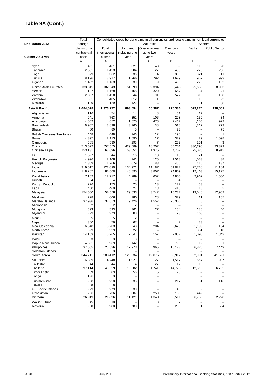|                                     | Total                  |                   | Consolidated cross-border claims in all currencies and local claims in non-local currencies |                                    |                  | Sectors          |                      |
|-------------------------------------|------------------------|-------------------|---------------------------------------------------------------------------------------------|------------------------------------|------------------|------------------|----------------------|
| End-March 2012                      | foreign<br>claims on a | Total             | Up to and                                                                                   | <b>Maturities</b><br>Over one year | Over two         | <b>Banks</b>     | <b>Public Sector</b> |
|                                     | contractual            | international     | including one                                                                               | up to two                          | years            |                  |                      |
| Claims vis-à-vis                    | basis                  | claims            | year                                                                                        | years                              |                  |                  |                      |
|                                     | $A + L$                | Α                 | B                                                                                           | С                                  | D                | F                | G                    |
| Syria<br>Tanzania                   | 461<br>2,561           | 461<br>1,453      | 321<br>904                                                                                  | 48<br>27                           | 39<br>453        | 113<br>228       | 20<br>266            |
| Togo                                | 379                    | 362               | 36                                                                                          | $\overline{4}$                     | 308              | 321              | 11                   |
| Tunisia                             | 8,196                  | 3,917             | 1,266                                                                                       | 792                                | 1,629            | 902              | 993                  |
| Uganda                              | 1,482                  | 1,163             | 539                                                                                         | 9                                  | 498              | 273              | 102                  |
| <b>United Arab Emirates</b>         | 133,345                | 102,543           | 54,899                                                                                      | 9,394                              | 35,445           | 25,653           | 8,903                |
| Yemen                               | 1,187                  | 1,158             | 166                                                                                         | 329                                | 652              | 37               | 21                   |
| Zambia                              | 2,357                  | 1,450             | 644                                                                                         | 91                                 | 572              | 315              | 188                  |
| Zimbabwe<br>Residual                | 561<br>129             | 405<br>129        | 312<br>122                                                                                  | 1<br>L.                            | 85<br>7          | 16<br>1          | 22<br>58             |
| Asia & Pacific                      | 2,084,678              | 1,373,272         | 893,594                                                                                     | 65,387                             | 275,386          | 579,274          | 138,501              |
| Afghanistan                         | 116                    | 74                | 14                                                                                          | 8                                  | 51               | 17               |                      |
| Armenia                             | 941                    | 763               | 352                                                                                         | 106                                | 278              | 139              | 34                   |
| Azerbaijan                          | 4,652                  | 4,652             | 1,675                                                                                       | 476                                | 2,467            | 1.155            | 922                  |
| Bangladesh<br>Bhutan                | 6,907<br>80            | 3,898<br>80       | 3,260<br>5                                                                                  | 38                                 | 518<br>73        | 1,312            | 273<br>75            |
| <b>British Overseas Territories</b> | 448                    | 448               | 246                                                                                         | 12                                 | 190              | Ē,               | 1                    |
| <b>Brunei</b>                       | 4,397                  | 2,113             | 1,690                                                                                       | 17                                 | 379              | 29               | 1,098                |
| Cambodia                            | 585                    | 530               | 293                                                                                         | $\overline{7}$                     | 232              | 201              | 3                    |
| China                               | 713,522                | 557,555           | 429,089                                                                                     | 18.202                             | 65,201           | 330,296          | 23,379               |
| Chinese Taipei                      | 153,131                | 68,696            | 53,651                                                                                      | 1,375                              | 4,707            | 25,028           | 8,915                |
| Fiji                                | 1,527                  | 44                | 16                                                                                          | 13                                 | 16               | 21               |                      |
| French Polynesia                    | 4,996                  | 2,108             | 241                                                                                         | 125                                | 1,513            | 1,033            | 38                   |
| Georgia                             | 1,389                  | 1,266             | 679                                                                                         | 83                                 | 450              | 415              | 137                  |
| India<br>Indonesia                  | 319,517<br>118,287     | 222,099<br>83,600 | 134,971<br>48,895                                                                           | 11,187<br>3,807                    | 51,027<br>24,809 | 77,738<br>12,463 | 11,184<br>15,127     |
| Kazakhstan                          | 17,102                 | 12.717            | 4.289                                                                                       | 652                                | 4,805            | 2,962            | 1,500                |
| Kiribati                            | $\overline{4}$         | 4                 |                                                                                             |                                    | $\overline{4}$   |                  |                      |
| Kyrgyz Republic                     | 276                    | 173               | 25                                                                                          | 13                                 | 127              | 53               |                      |
| Laos                                | 460                    | 460               | 27                                                                                          | 18                                 | 415              | 18               | 5                    |
| Malaysia                            | 154,560                | 58,558            | 29,633                                                                                      | 3,742                              | 16,237           | 13,048           | 12,902               |
| Maldives                            | 728                    | 606               | 180                                                                                         | 28                                 | 329              | 11               | 165                  |
| Marshall Islands                    | 37,936                 | 37,853            | 9,426                                                                                       | 1,557                              | 26,306           | 6                |                      |
| Micronesia<br>Mongolia              | 2<br>593               | 2<br>593          | 2<br>361                                                                                    | 27                                 | 154              | 180              | 46                   |
| Myanmar                             | 279                    | 279               | 200                                                                                         |                                    | 79               | 169              |                      |
| Nauru                               | 5                      | 5                 | $\overline{2}$                                                                              |                                    | 3                |                  |                      |
| Nepal                               | 360                    | 76                | 67                                                                                          | $\overline{\phantom{0}}$           | $\overline{7}$   | 33               |                      |
| New Caledonia                       | 6,548                  | 3,203             | 48                                                                                          | 204                                | 2,620            | 1,199            | 154                  |
| North Korea<br>Pakistan             | 529<br>14,153          | 529<br>5,265      | 522<br>2,647                                                                                | $\overline{\phantom{0}}$<br>157    | 6<br>2,052       | 351<br>1,098     | 10<br>1,842          |
| Palau                               | 3                      | 3                 | 3                                                                                           |                                    |                  |                  |                      |
| Papua New Guinea                    | 4,651                  | 969               | 142                                                                                         | $\overline{\phantom{0}}$           | 798              | 12               | 61                   |
| Philippines                         | 37,665                 | 26,526            | 12,973                                                                                      | 965                                | 10,123           | 6,820            | 7,449                |
| Solomon Islands                     | 181                    | 3                 |                                                                                             |                                    | 3                |                  |                      |
| South Korea                         | 344,711                | 208,412           | 126,834                                                                                     | 19,075                             | 33,917           | 82,991           | 41,591               |
| Sri Lanka                           | 6,839                  | 4,248             | 1,921                                                                                       | 127                                | 1,517            | 664              | 1,937                |
| Tajikistan                          | 44                     | 44                | 4                                                                                           | 27                                 | 12               | 13               |                      |
| Thailand                            | 97,114                 | 40,559            | 16,682                                                                                      | 1,741                              | 14,773           | 12,518           | 6,755                |
| <b>Timor Leste</b><br>Tonga         | 89<br>126              | 89<br>3           | 56                                                                                          | 5<br>$\overline{\phantom{0}}$      | 28<br>3          |                  |                      |
| Turkmenistan                        | 258                    | 258               | 35                                                                                          |                                    | 217              | 81               | 116                  |
| Tuvalu                              | 8                      | 8                 |                                                                                             |                                    | 8                |                  |                      |
| <b>US Pacific Islands</b>           | 279                    | 279               | 230                                                                                         |                                    | 48               | 2                |                      |
| Uzbekistan                          | 736                    | 736               | 307                                                                                         | 250                                | 166              | 442              |                      |
| Vietnam                             | 26,919                 | 21,896            | 11,121                                                                                      | 1,340                              | 8,511            | 6,755            | 2,228                |
| Wallis/Futuna                       | 45                     | 10                |                                                                                             | 3                                  | $\overline{7}$   |                  |                      |
| Residual                            | 980                    | 980               | 780                                                                                         |                                    | 200              | 1                | 554                  |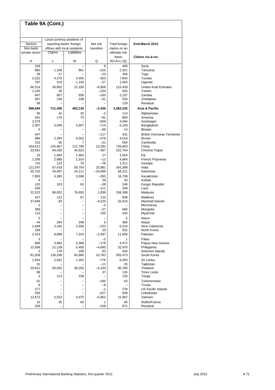|                | Table 9A (Cont.) |                              |                  |                                        |                                     |
|----------------|------------------|------------------------------|------------------|----------------------------------------|-------------------------------------|
|                |                  |                              |                  |                                        |                                     |
|                |                  | Local currency positions of  |                  |                                        |                                     |
| Sectors        |                  | reporting banks' foreign     | Net risk         | Total foreign                          | End-March 2012                      |
| Non-bank       |                  | offices with local residents | transfers        | claims on an                           |                                     |
| private sector | Claims           | Liabilities                  |                  | ultimate risk<br>basis                 | Claims vis-à-vis                    |
| н              | L                | M                            | Q                | $R(=\mathsf{A}+\mathsf{L}+\mathsf{Q})$ |                                     |
| 328            |                  |                              | 8                | 469                                    | Syria                               |
| 960<br>29      | 1,108<br>17      | 961                          | –210<br>$-23$    | 2,351<br>356                           | Tanzania<br>Togo                    |
| 2,022          | 4,279            | 3,455                        | $-353$           | 7,843                                  | Tunisia                             |
| 787            | 319              | 1,145                        | $-27$            | 1,455                                  | Uganda                              |
| 66,314         | 30,802           | 22,330                       | $-9,906$         | 123,439                                | <b>United Arab Emirates</b>         |
| 1,100<br>947   | 29<br>907        | 658                          | $-254$<br>$-160$ | 933<br>2,197                           | Yemen<br>Zambia                     |
| 367            | 156              | 198                          | $-41$            | 520                                    | Zimbabwe                            |
| 69             |                  |                              |                  | 129                                    | Residual                            |
| 598,694        | 711,406          | 482,135                      | $-2,436$         | 2,082,242                              | Asia & Pacific                      |
| 56             | 42               | 32                           | $-2$             | 114                                    | Afghanistan                         |
| 591            | 178              | 75                           | -91<br>$-558$    | 850<br>4,094                           | Armenia<br>Azerbaiian               |
| 2,578<br>2,307 | 3,009            | 3,407                        | $-714$           | 6,193                                  | Bangladesh                          |
| 5              |                  |                              | $-66$            | 14                                     | <b>Bhutan</b>                       |
| 447            |                  |                              | $-117$           | 331                                    | <b>British Overseas Territories</b> |
| 986            | 2,284            | 6,552                        | $-379$           | 4,018                                  | <b>Brunei</b>                       |
| 232<br>164,611 | 55<br>155,967    | 7<br>112,780                 | $-21$<br>13,281  | 564<br>726,803                         | Cambodia<br>China                   |
| 33,561         | 84,435           | 44,523                       | $-367$           | 152,764                                | Chinese Taipei                      |
| 23             | 1,483            | 1,462                        | 27               | 1,554                                  | Fiji                                |
| 1,036          | 2,888            | 2,314                        | $-12$            | 4,984                                  | French Polynesia                    |
| 710<br>121,547 | 123<br>97,418    | 70<br>58,754                 | $-78$<br>23,881  | 1,311<br>343,398                       | Georgia<br>India                    |
| 55,702         | 34,687           | 24,111                       | $-24,066$        | 94,221                                 | Indonesia                           |
| 7,955          | 4,385            | 3,596                        | $-393$           | 16,709                                 | Kazakhstan                          |
| 4              |                  |                              | 29               | 33                                     | Kiribati                            |
| 120<br>436     | 103              | 63                           | $-28$<br>$-111$  | 248<br>349                             | Kyrgyz Republic<br>Laos             |
| 31,522         | 96,002           | 76,650                       | 1,838            | 156,398                                | Malaysia                            |
| 427            | 122              | 67                           | 110              | 838                                    | <b>Maldives</b>                     |
| 37,846         | 83               |                              | $-4,520$         | 33.416                                 | Marshall Islands                    |
| 2              |                  |                              | $-2$             |                                        | Micronesia                          |
| 369<br>110     |                  |                              | $-27$<br>155     | 566<br>434                             | Mongolia<br>Myanmar                 |
| 5              |                  |                              |                  | 5                                      | Nauru                               |
| 44             | 284              | 348                          | 6                | 366                                    | Nepal                               |
| 1,848<br>168   | 3,345            | 2,450                        | -232<br>23       | 6,316<br>552                           | New Caledonia<br>North Korea        |
| 2,319          | 8,888            | 7,324                        | $-2,497$         | 11,656                                 | Pakistan                            |
| 3              |                  |                              | $-2$             | 1                                      | Palau                               |
| 896            | 3,682            | 3,368                        | $-179$           | 4,472                                  | Papua New Guinea                    |
| 12,058         | 11,139           | 5,456                        | $-4,695$         | 32,970                                 | Philippines<br>Solomon Islands      |
| 3<br>81,939    | 178<br>136,299   | 169<br>83,680                | 83<br>10,762     | 264<br>355,473                         | South Korea                         |
| 1,644          | 2,591            | 1,292                        | $-776$           | 6,063                                  | Sri Lanka                           |
| 31             |                  |                              | $-11$            | 33                                     | Tajikistan                          |
| 20,811         | 56,555           | 39,292                       | $-6,334$         | 90,780                                 | Thailand                            |
| 89<br>3        | 123              | 158                          | 37               | 126<br>126                             | <b>Timor Leste</b><br>Tonga         |
| 61             |                  |                              | $-195$           | 63                                     | Turkmenistan                        |
| 8              |                  | $\overline{\phantom{0}}$     | $-8$             |                                        | Tuvalu                              |
| 277            |                  | -                            | $-1$             | 278                                    | <b>US Pacific Islands</b>           |
| 293            |                  |                              | $-227$           | 509                                    | Uzbekistan                          |
| 12,672<br>10   | 5,023<br>35      | 4,075<br>60                  | $-5,852$<br>1    | 21,067<br>46                           | Vietnam<br>Wallis/Futuna            |
| 329            |                  | $\overline{\phantom{0}}$     | $-108$           | 872                                    | Residual                            |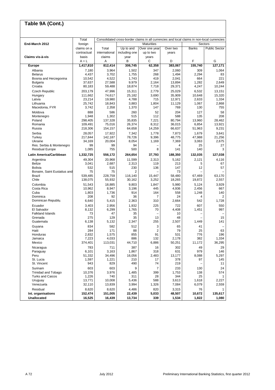|                                          | Total<br>Consolidated cross-border claims in all currencies and local claims in non-local currencies |                |                |                          |                |                |                       |
|------------------------------------------|------------------------------------------------------------------------------------------------------|----------------|----------------|--------------------------|----------------|----------------|-----------------------|
| End-March 2012                           | foreign                                                                                              |                |                | <b>Maturities</b>        |                |                | Sectors               |
|                                          | claims on a                                                                                          | Total          | Up to and      | Over one year            | Over two       | <b>Banks</b>   | <b>Public Sector</b>  |
|                                          | contractual                                                                                          | international  | including one  | up to two                | years          |                |                       |
| Claims vis-à-vis                         | basis                                                                                                | claims         | year           | years                    |                |                | G                     |
|                                          | $A + L$                                                                                              | Α              | В              | С                        | D              | F              |                       |
| <b>Europe</b>                            | 1,417,810                                                                                            | 812,414        | 306,745        | 62,358                   | 383,067        | 155,740        | 127,171               |
| Albania                                  | 7,180                                                                                                | 3,964          | 1,502          | 347                      | 2,060          | 309            | 1,064                 |
| <b>Belarus</b><br>Bosnia and Herzegovina | 4,437<br>10,542                                                                                      | 3,702<br>4,522 | 1,755<br>1,743 | 268<br>419               | 1,494<br>2,041 | 2,294<br>664   | 83<br>221             |
| <b>Bulgaria</b>                          | 37,637                                                                                               | 27,588         | 9,979          | 2,164                    | 13,894         | 1,282          | 2,649                 |
| Croatia                                  | 80,183                                                                                               | 59,488         | 18,874         | 7,718                    | 29,371         | 4,247          | 10,244                |
| Czech Republic                           | 203,179                                                                                              | 47,996         | 15,311         | 2,779                    | 25,029         | 6,532          | 13,151                |
| Hungary                                  | 111,662                                                                                              | 74,617         | 25,182         | 3,690                    | 35,909         | 10,648         | 15,320                |
| Latvia                                   | 23,214                                                                                               | 19,980         | 4,788          | 715                      | 12,971         | 2,633          | 1,334                 |
| Lithuania                                | 25,742                                                                                               | 18,843         | 3,883          | 1,804                    | 11,129         | 1,067          | 2,868                 |
| Macedonia, FYR                           | 3,742                                                                                                | 2,358          | 1,370          | 147                      | 769            | 130            | 755                   |
| Moldova                                  | 888                                                                                                  | 586            | 260            | 52                       | 204            | 127            | 58                    |
| Montenegro                               | 1,948                                                                                                | 1,302          | 515            | 112                      | 588            | 135            | 208                   |
| Poland                                   | 298,405                                                                                              | 137,328        | 35,835         | 7,221                    | 80.794         | 13,960         | 28,462                |
| Romania                                  | 109,491                                                                                              | 75,016         | 26,374         | 8,312                    | 36,015         | 6,854          | 13,921                |
| Russia                                   | 218,306                                                                                              | 154,157        | 64,658         | 14,259                   | 66,637         | 51,963         | 9,231                 |
| Serbia                                   | 28,057                                                                                               | 17,922         | 7,342          | 1,778                    | 7,873          | 1,679          | 3,641                 |
| Turkey                                   | 217,844                                                                                              | 142,187        | 78,726         | 9,396                    | 48,775         | 47,988         | 21,256                |
| Ukraine                                  | 34,169                                                                                               | 20,004         | 8,054          | 1,169                    | 7,369          | 3,063          | 2,675                 |
| Res. Serbia & Montenegro                 | 99                                                                                                   | 99             | 94             |                          | 4              | 25             | 27                    |
| <b>Residual Europe</b>                   | 1,085                                                                                                | 755            | 500            | 8                        | 141            | 140            | 3                     |
| Latin America/Caribbean                  | 1,332,725                                                                                            | 556,172        | 264,654        | 37,793                   | 188,350        | 132,035        | 127,038               |
| Argentina                                | 49,304                                                                                               | 20,968         | 11,599         | 2,313                    | 5,162          | 2,121          | 4,116                 |
| <b>Belize</b>                            | 3,041                                                                                                | 2,687          | 2,313          | 119                      | 213            | 5              | 67                    |
| <b>Bolivia</b>                           | 532                                                                                                  | 515            | 230            | 136                      | 147            | 12             | 57                    |
| Bonaire, Saint Eustatius and             | 75                                                                                                   | 75             | 2              |                          | 73             |                |                       |
| <b>Brazil</b><br>Chile                   | 539,485                                                                                              | 228,759        | 116,140        | 15,447                   | 58,480         | 67,469         | 63,170                |
|                                          | 138,075                                                                                              | 55,932         | 30,162         | 3,252                    | 18,265         | 19,872         | 2,557                 |
| Colombia                                 | 51,543                                                                                               | 18,885         | 9,803          | 1,847                    | 5,980          | 5,124          | 3,929                 |
| Costa Rica<br>Cuba                       | 10,962<br>1,803                                                                                      | 8,947<br>1,736 | 3,196<br>914   | 445<br>164               | 4,936<br>558   | 2,456<br>1,248 | 667<br>140            |
| Dominica                                 | 208                                                                                                  | 92             | 36             | $\overline{7}$           | 24             | 4              | $\overline{2}$        |
| Dominican Republic                       | 6,640                                                                                                | 5,415          | 2,363          | 310                      | 2,664          | 542            | 1,728                 |
| Ecuador                                  | 3,403                                                                                                | 2,956          | 1,932          | 225                      | 722            | 607            | 550                   |
| El Salvador                              | 8.132                                                                                                | 6,299          | 1,765          | 70                       | 4,408          | 1,451          | 997                   |
| <b>Falkland Islands</b>                  | 73                                                                                                   | 47             | 35             | $\overline{\phantom{0}}$ | 10             |                |                       |
| Grenada                                  | 275                                                                                                  | 129            | 35             | 13                       | 48             |                | 15                    |
| Guatemala                                | 6,138                                                                                                | 5,132          | 2,347          | 255                      | 2,507          | 1,449          | 141                   |
| Guyana                                   | 834                                                                                                  | 582            | 512            | 3                        | 65             | 41             |                       |
| Haiti                                    | 284                                                                                                  | 171            | 88             | $\boldsymbol{2}$         | 79             | 25             | 63                    |
| Honduras                                 | 2,832                                                                                                | 1,575          | 855            | 91                       | 531            | 776            | 196                   |
| Jamaica                                  | 7,223                                                                                                | 4,033          | 886            | 132                      | 2,178          | 382            | 1,334                 |
| Mexico                                   | 374,401                                                                                              | 113,031        | 44,710         | 6,886                    | 50,251         | 11,172         | 36,295                |
| Nicaragua                                | 783                                                                                                  | 711            | 387            | 16                       | 302            | 49             | 29                    |
| Paraguay                                 | 6,101                                                                                                | 3,163          | 1,867          | 318                      | 631            | 979            | 146                   |
| Peru                                     | 51,332                                                                                               | 34,496         | 16,056         | 2,483                    | 13,177         | 8,088          | 5,297                 |
| St. Lucia                                | 1,597                                                                                                | 1,221          | 210            | 17                       | 378            | 97             | 145                   |
| St. Vincent                              | 943                                                                                                  | 829            | 490            | 74                       | 219            |                | 11                    |
| Surinam                                  | 603                                                                                                  | 603            | 9              | $\overline{7}$           | 233            | 130            | 24                    |
| Trinidad and Tobago                      | 10,376                                                                                               | 3,976          | 1,485          | 399                      | 1,753          | 138            | 574                   |
| <b>Turks and Caicos</b><br>Uruguay       | 1,226<br>13,771                                                                                      | 740<br>10,008  | 311<br>5,436   | 28<br>588                | 344<br>3,613   | 25<br>1,618    | $\mathbf{1}$<br>2,227 |
| Venezuela                                | 32,110                                                                                               | 13,839         | 3,994          | 1,326                    | 7,084          | 6,079          | 2,559                 |
| Residual                                 | 8,620                                                                                                | 8,620          | 4,486          | 820                      | 3,315          | 76             |                       |
| Int. organisations                       | 152,474                                                                                              | 151,005        | 22,439         | 5,033                    | 48,507         | 10,672         | 1<br>135,617          |
|                                          |                                                                                                      |                |                |                          |                |                |                       |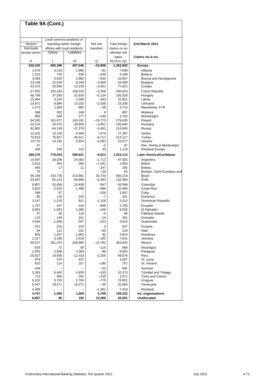|                  | Table 9A (Cont.)  |                              |                       |                                        |                                           |
|------------------|-------------------|------------------------------|-----------------------|----------------------------------------|-------------------------------------------|
|                  |                   | Local currency positions of  |                       |                                        |                                           |
| Sectors          |                   | reporting banks' foreign     | Net risk              | Total foreign                          | End-March 2012                            |
| Non-bank         |                   | offices with local residents | transfers             | claims on an                           |                                           |
| private sector   | Claims            | Liabilities                  |                       | ultimate risk                          |                                           |
|                  |                   |                              |                       | basis                                  | Claims vis-à-vis                          |
| н                | Г                 | М                            | Q                     | $R(=\mathsf{A}+\mathsf{L}+\mathsf{Q})$ |                                           |
| 520,520          | 605,396           | 497,046                      | $-53,908$             | 1,363,902                              | Europe                                    |
| 2,578            | 3.216             | 2,995                        | $-81$                 | 7,099                                  | Albania                                   |
| 1,215            | 735               | 539                          | $-248$                | 4,189                                  | <b>Belarus</b>                            |
| 3,393<br>23,158  | 6,020<br>10,049   | 3,960<br>9,249               | $-535$<br>$-3,069$    | 10,007<br>34,568                       | Bosnia and Herzegovina<br><b>Bulgaria</b> |
| 43,275           | 20,695            | 12,229                       | $-2,561$              | 77,622                                 | Croatia                                   |
| 27,655           | 155,183           | 139,323                      | $-2,556$              | 200,623                                | <b>Czech Republic</b>                     |
| 46,798           | 37,045            | 32,834                       | $-6,134$              | 105,528                                | Hungary                                   |
| 15,964           | 3,234             | 3,506                        | $-393$                | 22,821                                 | Latvia                                    |
| 14,871           | 6,899             | 13,102                       | $-2,536$              | 23,206                                 | Lithuania                                 |
| 1,473            | 1,384             | 960                          | $-28$                 | 3,714                                  | Macedonia, FYR                            |
| 388              | 302               | 169                          | 9                     | 897                                    | Moldova                                   |
| 895              | 646               | 277                          | $-246$                | 1,702                                  | Montenegro                                |
| 94,260<br>53,576 | 161,077<br>34,475 | 140,181<br>29,928            | $-19,770$<br>$-3,851$ | 278,635<br>105,640                     | Poland<br>Romania                         |
| 91,862           | 64,149            | 47,278                       | $-3,461$              | 214,845                                | Russia                                    |
| 12,101           | 10,135            | 4,469                        | $-670$                | 27,387                                 | Serbia                                    |
| 72,813           | 75,657            | 46,911                       | $-4,717$              | 213,127                                | Turkey                                    |
| 13.770           | 14,165            | 8,924                        | $-3,092$              | 31,077                                 | Ukraine                                   |
| 47               |                   |                              | $-2$                  | 97                                     | Res. Serbia & Montenegro                  |
| 428              | 330               | 212                          | 33                    | 1,118                                  | <b>Residual Europe</b>                    |
| 289,270          | 776,553           | 599,921                      | -9,613                | 1,323,112                              | <b>Latin America/Caribbean</b>            |
| 14,597           | 28,336            | 24,083                       | $-1,712$              | 47,592                                 | Argentina                                 |
| 2,615            | 354               | 265                          | $-1,091$<br>$-247$    | 1,950                                  | Belize<br>Bolivia                         |
| 445<br>75        | 17                | 11                           | $-20$                 | 285<br>55                              | Bonaire, Saint Eustatius and              |
| 95,158           | 310,726           | 213,961                      | 20,734                | 560,219                                | Brazil                                    |
| 33,487           | 82,143            | 59,866                       | $-5,482$              | 132,593                                | Chile                                     |
| 9,807            | 32,658            | 24,838                       | $-947$                | 50,596                                 | Colombia                                  |
| 5,822            | 2,015             | 1,498                        | $-496$                | 10,466                                 | Costa Rica                                |
| 346              | 67                |                              | $-206$                | 1,597                                  | Cuba                                      |
| 85<br>3,147      | 116<br>1,225      | 152<br>911                   | $-7$<br>$-1,128$      | 201<br>5,512                           | Dominica<br>Dominican Republic            |
| 1,797            | 447               | 514                          | $-698$                | 2,705                                  | Ecuador                                   |
| 3,853            | 1,833             | 1,395                        | $-106$                | 8,026                                  | El Salvador                               |
| 47               | 26                | 118                          | $-5$                  | 68                                     | <b>Falkland Islands</b>                   |
| 115              | 146               | 161                          | $-14$                 | 261                                    | Grenada                                   |
| 3,540            | 1,006             | 567                          | $-223$                | 5,915                                  | Guatemala                                 |
| 541              | 252               | 223                          | 3                     | 837                                    | Guyana                                    |
| 84<br>605        | 113<br>1,257      | 101<br>1,082                 | -65<br>92             | 219<br>2,924                           | Haiti<br>Honduras                         |
| 2,317            | 3,190             | 1,418                        | $-182$                | 7,041                                  | Jamaica                                   |
| 65,527           | 261,370           | 228,965                      | $-12,781$             | 361,620                                | Mexico                                    |
| 633              | 72                | 50                           | $-115$                | 668                                    | Nicaragua                                 |
| 1,932            | 2,938             | 2,584                        | -98                   | 6,003                                  | Paraguay                                  |
| 20,927           | 16,836            | 12,433                       | $-2,256$              | 49,076                                 | Peru                                      |
| 979<br>810       | 376<br>114        | 337<br>107                   | $-186$                | 1,597<br>757                           | St. Lucia<br>St. Vincent                  |
| 448              |                   |                              | $-22$                 | 581                                    | Surinam                                   |
| 3,263            | 6,400             | 4,935                        | $-103$                | 10,273                                 | Trinidad and Tobago                       |
| 713              | 486               | 291                          | $-155$                | 1,071                                  | <b>Turks and Caicos</b>                   |
| 6,102            | 3,763             | 2,784                        | $-770$                | 13,001                                 | Uruguay                                   |
| 5,047            | 18,271            | 16,271                       | -26                   | 32,084                                 | Venezuela                                 |
| 4,406<br>4,707   | 1,469             | 1,665                        | $-1,301$<br>6,758     | 7,319<br>159,232                       | Residual<br>Int. organisations            |
| 9,867            | 86                | 160                          | 12,066                | 28,591                                 | <b>Unallocated</b>                        |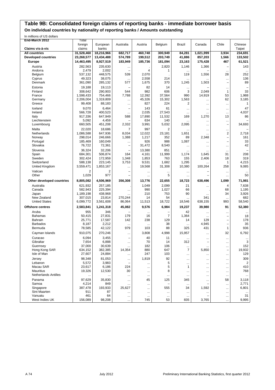# **Table 9B: Consolidated foreign claims of reporting banks - immediate borrower basis**

**On individual countries by nationality of reporting banks / Amounts outstanding**

In millions of US dollars

| End-March 2012                                     | Total                    |                          |                                 |                        |                    |                  |                       |                                      |                       |
|----------------------------------------------------|--------------------------|--------------------------|---------------------------------|------------------------|--------------------|------------------|-----------------------|--------------------------------------|-----------------------|
| Claims vis-à-vis                                   | foreign<br>claims        | European<br>banks        | Australia                       | Austria                | Belgium            | Brazil           | Canada                | Chile                                | Chinese<br>Taipei     |
| <b>All countries</b><br><b>Developed countries</b> | 31,528,460<br>23,268,577 | 18,216,966<br>13,434,488 | 682,717<br>574,789              | 460,748<br>199,512     | 300,949<br>203,749 | 84,281<br>41,886 | 1,021,999<br>857,203  | 3,934<br>1,566                       | 234,691<br>133,502    |
| Europe                                             | 14,463,495               | 8,927,519                | 183,949                         | 185.736                | 181,094            | 23,163           | 175,428               | 467                                  | 61,521                |
| Austria                                            | 282,563                  | 235,630                  |                                 |                        | 2,820              | 1,146            | 1,366                 | $\qquad \qquad -$                    | 143                   |
| Andorra                                            | 2,479                    | 2,002                    | <br>$\overline{\phantom{0}}$    | 4                      | 1                  | $\ddotsc$        |                       | $\cdots$                             |                       |
| Belgium                                            | 537,132                  | 448,575                  | 539                             | 2,070                  |                    | 119              | 1,556                 | 28                                   | 252                   |
| Cyprus                                             | 49,323                   | 38,075                   | $\cdots$                        | 2,558                  | 214                |                  |                       | $\cdots$                             | 136                   |
| Denmark                                            | 361,090                  | 285,132                  | 577                             | 1,675                  | 370                | 1,245            | 1,503                 | $\overline{\phantom{0}}$             | 89                    |
| Estonia                                            | 19,188                   | 19,113                   | L,                              | 82                     | 14                 |                  |                       | $\cdots$                             |                       |
| Finland                                            | 308,642                  | 290,903                  | 544                             | 982                    | 606                | 3                | 2,049                 | $\mathbf{1}$                         | 33                    |
| France                                             | 1,598,433                | 754,466                  | 7,788                           | 12,392                 | 37,564             | 990              | 14,919                | 53                                   | 1,988                 |
| Germany                                            | 2,206,004                | 1,319,809                |                                 | 45,326                 | 15,302             | 1,563            |                       | 62                                   | 3,185                 |
| Greece                                             | 99,408                   | 88,183                   |                                 | 827                    | 224                | 2                | $\cdots$              | $\cdots$                             | 1                     |
| Iceland                                            | 9,070                    | 6,464                    |                                 | 143                    | 61                 |                  | $\ddotsc$             | $\ldots$                             | 47                    |
| Ireland                                            | 566,728                  | 400,523                  |                                 | 2,035                  | 27,543             |                  |                       | $\cdots$                             | 4,037                 |
| Italy                                              | 917,336                  | 647,949                  | 588                             | 17,890                 | 11,532             | 169              | 1,270                 | 13                                   | 86                    |
| Liechtenstein                                      | 5,092                    | 4,459                    |                                 | 634                    | 140                | $\ddotsc$        | $\ddotsc$             | $\cdots$                             |                       |
| Luxembourg                                         | 660,505                  | 451,208                  | 2,332                           | 3,991                  | 5,032              | 2,095            | $\cdots$              | $\overline{\phantom{0}}$             | 34,693                |
| Malta                                              | 22,020                   | 18,686                   | $\overline{7}$                  | 997                    | $\overline{2}$     |                  | $\ddotsc$             | $\cdots$                             |                       |
| Netherlands                                        | 1,086,588                | 647,936                  | 8,034                           | 12,022                 | 23,181             | 1,651            |                       | 2                                    | 2,718                 |
| Norway<br>Portugal                                 | 298,014<br>185,469       | 246,666<br>160,049       | 1,388                           | 1,217<br>926           | 352<br>988         | 89<br>1,087      | 2,348                 | $\overline{\phantom{0}}$             | 161<br>33             |
| Slovakia                                           | 76,722                   | 72,361                   | <br>$\overline{\phantom{0}}$    | 31,472                 | 8,540              |                  |                       | -                                    | 42                    |
| Slovenia                                           | 36,324                   | 32,206                   | $\overline{\phantom{0}}$        | 13,380                 | 851                |                  | $\ddotsc$             | $\cdots$                             |                       |
| Spain                                              | 684,301                  | 506,874                  | 164                             | 4,161                  | 11,999             | <br>1,174        | $\ddotsc$<br>1,645    | $\cdots$<br>31                       | 208                   |
| Sweden                                             | 302.424                  | 172,959                  | 1,348                           | 1,853                  | 763                | 155              | 2,406                 | 18                                   | 319                   |
| Switzerland                                        | 588,138                  | 223,145                  | 3,753                           | 9,531                  | 1,682              | 1,295            | .                     | $\mathbf{1}$                         | 4,215                 |
| United Kingdom                                     | 3,559,471                | 1,853,167                |                                 | 19,568                 | 31,308             | 10,380           | 100,264               | 258                                  | 9,085                 |
| Vatican                                            | $\overline{2}$           | $\overline{2}$           | $\overline{\phantom{0}}$        | $\cdots$               |                    |                  |                       | $\ldots$                             | $\cdots$              |
| Other                                              | 1,029                    | 977                      | $\overline{a}$                  |                        | 5                  |                  |                       | $\cdots$                             | 50                    |
| Other developed countries                          | 8,805,082                | 4,506,969                | 356,308                         | 13,776                 | 22,655             | 18,723           | 638,496               | 1,099                                | 71,981                |
| Australia                                          | 621,932                  | 257,185                  |                                 | 1,049                  | 2,099              | 21               | $\cdots$              | 4                                    | 7,638                 |
| Canada                                             | 582,943                  | 225,394                  |                                 | 990                    | 1,027              | 66               |                       | 68                                   | 1,195                 |
| Japan<br>New Zealand                               | 1,189,198<br>307,015     | 438,968<br>23,814        | 270,244                         | 210<br>14              | 753<br>54          | 90               | $\ddotsc$<br>341      | 34                                   | 3,926<br>682          |
| <b>United States</b>                               | 6,099,772                | 3,561,608                | 86,064                          | 11,513                 | 18,722             | 18,546           | 638,155               | $\cdots$<br>993                      | 58,540                |
| <b>Offshore centres</b>                            | 2,583,841                | 1,241,318                | 45,082                          | 9,576                  | 6,984              | 19,237           | 39,980                | 91                                   | 52,380                |
| Aruba                                              | 955                      | 346                      |                                 |                        |                    | 42               |                       |                                      |                       |
| <b>Bahamas</b>                                     | 50,415                   | 27,831                   | 179                             | $\ddotsc$<br>16        | 7                  | 1,364            | $\ddotsc$<br>$\ldots$ | $\cdots$<br>$\overline{\phantom{0}}$ | 18                    |
| <b>Bahrain</b>                                     | 25,771                   | 17,587                   | 142                             | 238                    | 129                | 14               | 129                   | -                                    | 178                   |
| <b>Barbados</b>                                    | 8,187                    | 2,212                    |                                 | $\ddotsc$              | 38                 |                  | 4,945                 | $\qquad \qquad -$                    | 35                    |
| Bermuda                                            | 78,585                   | 42,122                   | 979                             | 103                    | 88                 | 325              | 431                   | 1                                    | 936                   |
| Cayman Islands                                     | 910,075                  | 270,246                  |                                 | 3,808                  | 4,998              | 15,957           | $\ddotsc$             | 32                                   | 6,792                 |
| Curacao                                            | 6,094                    | 3,455                    | $\overline{\phantom{0}}$        | 40                     | 11                 |                  |                       | $\cdots$                             | $\cdots$              |
| Gibraltar                                          | 7,654                    | 6,888                    |                                 | 70                     | 14                 | 312              | L.                    | $\ldots$                             | 3                     |
| Guernsey                                           | 37,000                   | 30,639                   | $\cdots$                        | 182                    | 106                |                  |                       | $\cdots$                             | 152                   |
| Hong Kong SAR                                      | 634,152                  | 382,385                  | 14,354                          | 880                    | 647                | 7                | 5,850                 | $\qquad \qquad -$                    | 19,932                |
| Isle of Man                                        | 27,607                   | 24,884                   |                                 | 247                    | 103                |                  |                       |                                      | 129                   |
| Jersey                                             | 98,348                   | 81,053                   | $\cdots$                        | 1,819                  | 92                 |                  |                       | $\ldots$                             | 309                   |
| Lebanon<br>Macau SAR                               | 5,572<br>23,617          | 3,983<br>6,186           | $\overline{\phantom{0}}$<br>224 | $\ddotsc$              | 5<br>5             | <br>1            | $\ddotsc$             | $\cdots$                             | $\overline{2}$<br>410 |
| <b>Mauritius</b>                                   | 19,326                   | 12,530                   | 30                              |                        | 8                  |                  | $\cdots$              | $\cdots$                             | 768                   |
| <b>Netherlands Antilles</b>                        | $\ldots$                 | $\cdots$                 |                                 | $\ddotsc$<br>$\ddotsc$ | $\cdots$           | <br>             | $\ddotsc$<br>         | $\cdots$<br>$\cdots$                 | $\ldots$              |
| Panama                                             | 97,629                   | 35,830                   |                                 | 45                     | 125                | 345              |                       | 58                                   | 3,118                 |
| Samoa                                              | 4,214                    | 849                      | <br>                            |                        |                    | $\ddotsc$        | $\cdots$              | $\ldots$                             | 2,771                 |
| Singapore                                          | 387,478                  | 193,933                  | 25,627                          | $\cdots$               | 555                | 34               | 1,592                 | $\ldots$                             | 6,801                 |
| Sint Maarten                                       | 911                      | 87                       |                                 |                        |                    | $\cdots$         |                       | $\ldots$                             | $\ldots$              |
| Vanuatu                                            | 461                      | 64                       |                                 |                        |                    | $\ddotsc$        |                       | $\cdots$                             | 31                    |
| West Indies UK                                     | 156,089                  | 98,208                   |                                 | 745                    | 53                 | 835              | 3,765                 | $\cdots$                             | 9,995                 |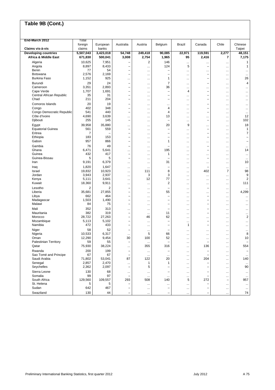| End-March 2012                             | Total             |                   |                                               |                        |                          |                      |                                       |                                      |                          |
|--------------------------------------------|-------------------|-------------------|-----------------------------------------------|------------------------|--------------------------|----------------------|---------------------------------------|--------------------------------------|--------------------------|
| Claims vis-à-vis                           | foreign<br>claims | European<br>banks | Australia                                     | Austria                | Belgium                  | <b>Brazil</b>        | Canada                                | Chile                                | Chinese<br>Taipei        |
| <b>Developing countries</b>                | 5,507,043         | 3,423,018         | 54,748                                        | 249,418                | 90,085                   | 22,971               | 119,591                               | 2,277                                | 48,151                   |
| <b>Africa &amp; Middle East</b>            | 671,830           | 500,041           | 3,008                                         | 2,754                  | 1,965                    | 95                   | 2,416                                 | $\overline{7}$                       | 7,175                    |
| Algeria                                    | 10,625            | 7,951             | $\overline{\phantom{0}}$                      | $\overline{c}$         | 146                      |                      |                                       | $\cdots$                             | $\mathbf{1}$             |
| Angola                                     | 8,897             | 8,433             | ÷                                             | $\ddotsc$              | 124                      | 5                    | $\overline{\phantom{0}}$              | $\cdots$                             | $\mathbf{1}$             |
| Benin                                      | 77                | 54                | $\equiv$                                      | $\ddotsc$              | ÷                        |                      | $\cdots$                              |                                      | $\ddotsc$                |
| Botswana<br><b>Burkina Faso</b>            | 2,576<br>1,152    | 2,169<br>925      | $\overline{\phantom{0}}$                      | $\ddotsc$              | ۰<br>$\mathbf{1}$        | $\cdots$             | $\overline{\phantom{0}}$<br>-         | $\cdots$                             | $\ldots$<br>26           |
|                                            |                   |                   |                                               | $\ddotsc$              |                          | $\cdots$             |                                       |                                      |                          |
| Burundi<br>Cameroon                        | 29<br>3,351       | 24<br>2,893       | $\qquad \qquad -$<br>$\overline{\phantom{0}}$ | $\ddotsc$<br>$\cdots$  | 7<br>36                  | $\cdots$<br>$\cdots$ | -<br>                                 | $\cdots$<br>$\cdots$                 | 4<br>                    |
| Cape Verde                                 | 1,707             | 1,691             | $\overline{\phantom{0}}$                      | $\cdots$               | $\overline{\phantom{0}}$ | 4                    | $\overline{\phantom{0}}$              |                                      | $\cdots$                 |
| Central African Republic                   | 35                | 31                | $\equiv$                                      | $\cdots$               | ÷                        |                      | L,                                    |                                      | $\cdots$                 |
| Chad                                       | 211               | 204               | $\overline{\phantom{0}}$                      | $\ddotsc$              | ۳                        | $\cdots$             | -                                     | $\cdots$                             | $\cdots$                 |
| Comoros Islands                            | 20                | 19                | $\overline{\phantom{0}}$                      | $\cdots$               |                          | $\cdots$             | L,                                    | $\cdots$                             | $\ddotsc$                |
| Congo                                      | 402               | 348               | $\overline{\phantom{0}}$                      | $\cdots$               | 4                        | $\cdots$             | -                                     | $\cdots$                             | $\cdots$                 |
| Congo Democratic Republic<br>Côte d'Ivoire | 541<br>4,690      | 440<br>3,639      | $\overline{\phantom{0}}$                      |                        | $\overline{4}$<br>13     | $\cdots$             | $\overline{\phantom{0}}$              |                                      | $\cdots$<br>12           |
| Djibouti                                   | 255               | 145               | <br>$\overline{\phantom{a}}$                  | $\cdots$<br>$\cdots$   | $\overline{\phantom{0}}$ | $\cdots$<br>$\cdots$ | $\cdots$<br>$\overline{\phantom{0}}$  | $\cdots$<br>                         | 102                      |
| Egypt                                      | 39,958            | 35,880            |                                               |                        | 20                       | 9                    |                                       |                                      | 18                       |
| <b>Equatorial Guinea</b>                   | 561               | 559               | <br>$\qquad \qquad -$                         | $\ddotsc$<br>$\cdots$  | ۳                        | $\cdots$             | $\ddotsc$<br>$\overline{\phantom{0}}$ | $\cdots$<br>$\cdots$                 | $\mathbf{1}$             |
| Eritrea                                    | $\overline{7}$    |                   | $\overline{\phantom{0}}$                      | $\cdots$               | ۳                        | $\cdots$             | -                                     | $\cdots$                             | $\overline{7}$           |
| Ethiopia                                   | 183               | 153               | $\overline{\phantom{0}}$                      |                        | $\overline{\phantom{0}}$ | $\cdots$             | $\overline{\phantom{0}}$              |                                      | $\overline{\phantom{0}}$ |
| Gabon                                      | 957               | 866               | $\overline{\phantom{0}}$                      | $\cdots$               | 1                        | $\cdots$             | $\cdots$                              | $\cdots$                             | $\overline{\phantom{0}}$ |
| Gambia                                     | 76                | 49                | $\qquad \qquad -$                             | $\ddotsc$              |                          | $\ddotsc$            | $\overline{\phantom{0}}$              |                                      | $\cdots$                 |
| Ghana                                      | 6,471             | 5,641             |                                               | $\ddotsc$              | 195                      | $\cdots$             | L,                                    | $\cdots$                             | 14                       |
| Guinea<br>Guinea-Bissau                    | 432<br>5          | 417<br>5          | $\qquad \qquad -$<br>$\qquad \qquad -$        | $\cdots$               | 1                        | $\cdots$             | $\cdots$<br>-                         | $\ddotsc$                            | $\ddotsc$                |
| Iran                                       | 9,191             | 6,379             |                                               | $\cdots$<br>$\cdots$   | 31                       | $\cdots$<br>$\cdots$ |                                       | $\ddotsc$<br>                        | $\ddotsc$<br>10          |
| Iraq                                       | 1,820             | 1,647             |                                               | $\ddotsc$              | -                        |                      |                                       |                                      | $\ldots$                 |
| Israel                                     | 19,832            | 10,923            | $\cdots$                                      | 111                    | 8                        | $\cdots$             | 402                                   | $\overline{7}$                       | 98                       |
| Jordan                                     | 3,943             | 2,937             | $\cdots$                                      | 3                      | 3                        | $\cdots$             | $\ddotsc$                             |                                      | 9                        |
| Kenya                                      | 5,111             | 3,641             |                                               | 12                     | 77                       | $\cdots$             |                                       | $\cdots$                             | $\overline{\mathbf{c}}$  |
| Kuwait                                     | 18,360            | 9,911             |                                               | $\ddotsc$              | $\overline{2}$           | $\cdots$             | $\cdots$                              | $\cdots$                             | 111                      |
| Lesotho                                    | $\overline{2}$    | 2                 | $\overline{\phantom{0}}$                      | $\cdots$               | ۳                        | $\cdots$             | -                                     | $\cdots$                             | $\ddotsc$                |
| Liberia                                    | 35,681<br>662     | 27,855            | $\qquad \qquad -$<br>$\overline{\phantom{0}}$ | $\ddotsc$              | 55<br>÷                  | $\ddotsc$            |                                       |                                      | 4,299                    |
| Libya<br>Madagascar                        | 1,503             | 464<br>1,490      | $\overline{\phantom{0}}$                      | $\ddotsc$<br>$\ddotsc$ | ۰                        | $\cdots$             | $\overline{\phantom{0}}$<br>-         | <br>$\ddotsc$                        | $\ddotsc$<br>$\ddotsc$   |
| Malawi                                     | 84                | 75                | $\overline{\phantom{0}}$                      | $\cdots$               | ۳                        | $\cdots$<br>$\cdots$ | $\overline{\phantom{0}}$              | $\cdots$                             | $\cdots$                 |
| Mali                                       | 352               | 313               |                                               | $\ddotsc$              | $\overline{\phantom{0}}$ | $\cdots$             | -                                     | $\ddotsc$                            | $\ddotsc$                |
| Mauritania                                 | 382               | 319               | $\qquad \qquad -$                             | $\ddotsc$              | 11                       | $\ddotsc$            | $\overline{\phantom{0}}$              | $\cdots$                             | $\cdots$                 |
| Morocco                                    | 28,722            | 27,263            | $\qquad \qquad -$                             | 46                     | 62                       | $\ddotsc$            |                                       |                                      | $\overline{\mathbf{c}}$  |
| Mozambique                                 | 5,113             | 5,102             | $\overline{\phantom{0}}$                      | $\ddotsc$              | ÷                        |                      | -                                     |                                      | $\ddotsc$                |
| Namibia                                    | 472               | 433               | $\overline{\phantom{0}}$                      | $\ddotsc$              | ۳                        | 1                    | -                                     | $\cdots$                             | $\ddotsc$                |
| Niger                                      | 58                | 52                | $\overline{\phantom{0}}$                      | $\ddotsc$              | ۰                        | $\ddotsc$            | $\cdots$                              | $\cdots$                             | $\ddotsc$                |
| Nigeria<br>Oman                            | 10,533<br>12,290  | 6,317<br>9,454    | $\ddotsc$<br>30                               | 5<br>100               | 66<br>52                 | $\ddotsc$            |                                       | <br>$\cdots$                         | 8<br>10                  |
| Palestinian Territory                      | 59                | 55                | $\overline{\phantom{0}}$                      | $\cdots$               |                          | $\ldots$<br>$\cdots$ | $\ddotsc$                             | $\cdots$                             |                          |
| Qatar                                      | 75,930            | 38,224            |                                               | 355                    | 316                      | $\cdots$             | 136                                   | $\cdots$                             | 554                      |
| Rwanda                                     | 200               | 199               | $\overline{\phantom{0}}$                      | $\cdots$               | ÷                        | $\cdots$             | -                                     | $\cdots$                             |                          |
| Sao Tomé and Principe                      | 67                | 67                | $\overline{\phantom{0}}$                      | $\ddotsc$              | $\cdots$                 | $\cdots$             |                                       | $\ldots$                             | $\ldots$                 |
| Saudi Arabia                               | 71,802            | 53,041            | 87                                            | 122                    | 20                       | $\cdots$             | 204                                   |                                      | 140                      |
| Senegal<br>Seychelles                      | 2,857<br>2,362    | 2,470<br>2,097    | <br>$\qquad \qquad -$                         | $\mathbf{1}$<br>5      | 1<br>۳                   | $\ddotsc$            | -                                     |                                      | $\ldots$<br>90           |
|                                            |                   |                   |                                               |                        |                          | $\cdots$             |                                       | $\cdots$                             |                          |
| Sierra Leone<br>Somalia                    | 130<br>99         | 68<br>97          | $\cdots$<br>$\qquad \qquad -$                 | $\cdots$               | ÷                        | $\ldots$             | -<br>-                                | $\cdots$                             | $\cdots$                 |
| South Africa                               | 129,560           | 109,557           | 293                                           | $\cdots$<br>508        | $\ddotsc$<br>140         | $\cdots$<br>5        | 272                                   | $\cdots$<br>$\overline{\phantom{0}}$ | $\ldots$<br>957          |
| St. Helena                                 | 5                 | 5                 | $\overline{\phantom{0}}$                      | $\cdots$               |                          | $\cdots$             | $\overline{\phantom{0}}$              | $\cdots$                             | $\cdots$                 |
| Sudan                                      | 642               | 467               |                                               | $\ddotsc$              | ۳                        | $\ldots$             | -                                     | $\cdots$                             | $\ddotsc$                |
| Swaziland                                  | 130               | 44                |                                               | $\cdots$               | ÷                        | $\cdots$             | $\overline{\phantom{0}}$              | $\ldots$                             | 74                       |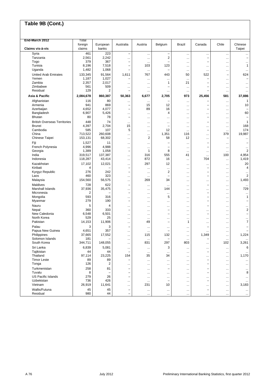| End-March 2012                      |                       |                          |                          |                            |                                            |                       |                                      |                          |                                      |
|-------------------------------------|-----------------------|--------------------------|--------------------------|----------------------------|--------------------------------------------|-----------------------|--------------------------------------|--------------------------|--------------------------------------|
|                                     | Total<br>foreign      | European                 | Australia                | Austria                    | Belgium                                    | <b>Brazil</b>         | Canada                               | Chile                    | Chinese                              |
| Claims vis-à-vis                    | claims                | banks                    |                          |                            |                                            |                       |                                      |                          | Taipei                               |
| Syria<br>Tanzania                   | 461<br>2,561          | 223<br>2,242             | $\overline{\phantom{0}}$ | $\cdots$                   | $\overline{\phantom{0}}$<br>$\overline{2}$ | $\ddotsc$             | <br>$\qquad \qquad -$                |                          | $\cdots$<br>$\overline{\phantom{0}}$ |
| Togo                                | 379                   | 367                      |                          |                            |                                            |                       | -                                    |                          |                                      |
| Tunisia                             | 8,196                 | 7,518                    | $\overline{\phantom{0}}$ | 103                        | 123                                        | <br>$\ddotsc$         | $\cdots$                             | <br>                     | $\ddotsc$<br>$\mathbf{1}$            |
| Uganda                              | 1,482                 | 1,068                    | $\overline{\phantom{0}}$ | $\ddotsc$                  | ÷                                          | $\cdots$              | $\cdots$                             | $\ddotsc$                | $\ddotsc$                            |
| United Arab Emirates                | 133,345               | 91,564                   | 1,611                    | 767                        | 443                                        | 50                    | 522                                  | $\overline{\phantom{0}}$ | 624                                  |
| Yemen                               | 1,187                 | 1,027                    |                          | $\ddotsc$                  | $\ddotsc$                                  |                       | -                                    |                          | $\overline{\phantom{0}}$             |
| Zambia                              | 2,357                 | 2,017                    |                          |                            | 1                                          | 21                    | $\overline{\phantom{0}}$             |                          | $\ddotsc$                            |
| Zimbabwe                            | 561                   | 509                      |                          | $\cdots$                   |                                            |                       | -                                    |                          | $\ddotsc$                            |
| Residual                            | 129                   | 2                        | $\overline{\phantom{0}}$ | $\ddotsc$                  |                                            | $\ddotsc$             | L,                                   | $\ldots$                 | $\ddotsc$                            |
| Asia & Pacific                      | 2,084,678             | 860,387                  | 50,363                   | 6,677                      | 2,705                                      | 973                   | 25,456                               | 581                      | 37,886                               |
| Afghanistan                         | 116                   | 80                       |                          | $\ddotsc$                  | -                                          | $\cdots$              | $\overline{\phantom{0}}$             | $\cdots$                 | 1                                    |
| Armenia                             | 941                   | 869                      | $\qquad \qquad -$        | 15                         | 12                                         |                       | $\qquad \qquad -$                    | $\cdots$                 | 10                                   |
| Azerbaijan                          | 4,652                 | 4,077                    | -                        | 89                         | 16                                         |                       | $\overline{\phantom{0}}$             |                          |                                      |
| Bangladesh                          | 6,907                 | 5,426                    |                          | $\ddotsc$                  | 4                                          | $\ddotsc$             | $\cdots$                             |                          | 60                                   |
| <b>Bhutan</b>                       | 80                    | 78                       | $\overline{\phantom{0}}$ | $\cdots$                   | $\ddotsc$                                  | $\cdots$              | $\overline{\phantom{0}}$             | $\ddotsc$                |                                      |
| <b>British Overseas Territories</b> | 448                   | 74                       | $\cdots$                 | $\cdots$                   | $\ddotsc$                                  | $\ddotsc$             | $\overline{\phantom{0}}$             | $\cdots$                 | 1                                    |
| <b>Brunei</b><br>Cambodia           | 4,397<br>585          | 2,704<br>107             | 15<br>5                  | $\cdots$                   | ÷<br>12                                    | $\ddotsc$             | $\cdots$<br>$\qquad \qquad -$        | $\ldots$                 | 168<br>174                           |
| China                               | 713,522               | 260,608                  |                          | $\cdots$                   | 1,351                                      | $\ddotsc$<br>116      |                                      | $\ddotsc$<br>379         | 19,987                               |
| Chinese Taipei                      | 153,131               | 68,302                   | <br>                     | $\cdots$<br>$\overline{2}$ | 58                                         | 12                    | <br>$\cdots$                         | ÷                        | $\ddotsc$                            |
| Fiji                                | 1,527                 | 11                       |                          |                            |                                            |                       | $\overline{\phantom{0}}$             |                          |                                      |
| French Polynesia                    | 4,996                 | 4,988                    | <br>                     | $\cdots$<br>$\ddotsc$      | -                                          | <br>$\cdots$          | $\overline{\phantom{0}}$             | <br>$\cdots$             | $\ddotsc$                            |
| Georgia                             | 1,389                 | 1,058                    | $\overline{\phantom{0}}$ | $\mathbf{1}$               | 8                                          | $\ddotsc$             | $\ddotsc$                            |                          | $\overline{\mathbf{c}}$              |
| India                               | 319.517               | 137,387                  |                          | 316                        | 555                                        | 41                    |                                      | 100                      | 4,954                                |
| Indonesia                           | 118,287               | 43,414                   |                          | 872                        | 16                                         |                       | 704                                  | $\cdots$                 | 1,419                                |
| Kazakhstan                          | 17,102                | 12,021                   |                          | 297                        | 12                                         |                       |                                      |                          | 20                                   |
| Kiribati                            | 4                     |                          | $\equiv$                 | $\cdots$                   | $\cdots$                                   |                       | $\equiv$                             | $\cdots$                 | 4                                    |
| Kyrgyz Republic                     | 276                   | 242                      | $\overline{\phantom{0}}$ | $\cdots$                   | 2                                          | $\cdots$              | $\overline{\phantom{0}}$             |                          | $\ddotsc$                            |
| Laos                                | 460                   | 323                      |                          | $\cdots$                   | ۳                                          |                       | -                                    | $\cdots$                 | $\overline{\mathbf{c}}$              |
| Malaysia                            | 154,560               | 56,575                   |                          | 269                        | 34                                         |                       |                                      |                          | 1,493                                |
| Maldives                            | 728                   | 622                      | $\overline{\phantom{0}}$ | $\cdots$                   | $\ddotsc$                                  |                       | $\qquad \qquad -$                    | $\cdots$                 | $\cdots$                             |
| Marshall Islands                    | 37,936                | 35,475                   |                          |                            | 144                                        |                       |                                      |                          | 729                                  |
| Micronesia<br>Mongolia              | $\overline{2}$<br>593 | 316                      | $\overline{\phantom{0}}$ | $\cdots$                   | $\cdots$<br>5                              |                       | $\equiv$<br>$\overline{\phantom{0}}$ |                          | $\cdots$<br>1                        |
| Myanmar                             | 279                   | 190                      | <br>$\qquad \qquad -$    | $\cdots$                   |                                            | $\ddotsc$             | $\overline{\phantom{0}}$             | $\cdots$                 |                                      |
| Nauru                               | 5                     | 4                        |                          | $\cdots$                   |                                            |                       | $\overline{\phantom{0}}$             |                          |                                      |
| Nepal                               | 360                   | 333                      | <br>$\qquad \qquad -$    | $\cdots$<br>               | $\ddotsc$<br>÷                             | <br>                  |                                      | $\cdots$<br>             | <br>$\boldsymbol{2}$                 |
| New Caledonia                       | 6,548                 | 6,501                    |                          | $\cdots$                   | $\overline{\phantom{0}}$                   |                       | $\overline{\phantom{0}}$             |                          | $\equiv$                             |
| North Korea                         | 529                   | 25                       |                          | $\cdots$                   | $\cdots$                                   |                       | $\cdots$                             | $\cdots$                 | $\cdots$                             |
| Pakistan                            | 14,153                | 11,906                   |                          | 49                         | ÷                                          | 1                     | $\cdots$                             | $\ddotsc$                | $\overline{7}$                       |
| Palau                               | 3                     | 3                        | $\overline{\phantom{0}}$ | $\ddotsc$                  | $\cdots$                                   | $\cdots$              |                                      |                          |                                      |
| Papua New Guinea                    | 4,651                 | 357                      |                          | $\cdots$                   | ۳                                          |                       |                                      |                          |                                      |
| Philippines                         | 37,665                | 17,552                   |                          | 115                        | 132                                        | $\ddotsc$             | 1,349                                | $\cdots$                 | 1,224                                |
| Solomon Islands                     | 181                   | $\overline{\phantom{0}}$ |                          | $\cdots$                   | ÷                                          |                       | $\overline{\phantom{0}}$             | $\ldots$                 | $\ddotsc$                            |
| South Korea                         | 344,711               | 148,055                  |                          | 831                        | 297                                        | 803                   | $\cdots$                             | 102                      | 3,261                                |
| Sri Lanka                           | 6,839                 | 5,081                    | $\cdots$                 | $\cdots$                   | 3                                          |                       | $\cdots$                             | $\ldots$                 | 6                                    |
| Tajikistan                          | 44                    | 44                       | $\overline{\phantom{0}}$ | $\ddotsc$                  | $\ddotsc$                                  | $\ddotsc$             | $\overline{\phantom{0}}$             | $\cdots$                 | $\ldots$                             |
| Thailand<br><b>Timor Leste</b>      | 97,114                | 23,225                   | 154<br>-                 | 35                         | 34                                         | $\ddotsc$             | $\cdots$                             | $\cdots$                 | 1,170                                |
| Tonga                               | 89<br>126             | 89<br>2                  |                          | $\cdots$                   | $\cdots$                                   |                       | $\qquad \qquad -$                    | $\cdots$                 | $\ldots$                             |
| Turkmenistan                        | 258                   | 81                       |                          | $\cdots$                   |                                            |                       |                                      | $\cdots$                 | $\cdots$                             |
| Tuvalu                              | 8                     |                          |                          | $\cdots$                   | -<br>$\cdots$                              |                       | -<br>L,                              | $\cdots$<br>$\cdots$     | $\ddotsc$<br>8                       |
| <b>US Pacific Islands</b>           | 279                   | 26                       | $\overline{\phantom{0}}$ | $\cdots$<br>$\cdots$       | $\cdots$                                   | $\cdots$<br>$\ddotsc$ | $\cdots$                             | $\cdots$                 | $\cdots$                             |
| Uzbekistan                          | 736                   | 426                      |                          | $\cdots$                   | ۳                                          |                       | $\qquad \qquad -$                    | $\cdots$                 | $\cdots$                             |
| Vietnam                             | 26,919                | 11,641                   |                          | 231                        | 10                                         |                       |                                      | $\ldots$                 | 3,183                                |
| Wallis/Futuna                       | 45                    | 45                       |                          | $\cdots$                   | $\cdots$                                   |                       |                                      | $\ldots$                 | $\cdots$                             |
| Residual                            | 980                   | 44                       |                          | $\cdots$                   | $\cdots$                                   | $\ddotsc$             |                                      | $\ldots$                 | $\cdots$                             |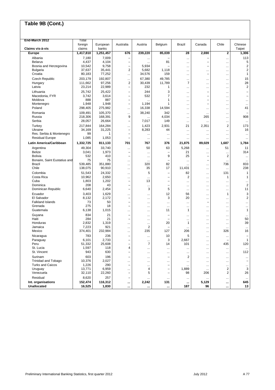| End-March 2012<br>Total<br>foreign<br>European<br>Belgium<br>Chile<br>Australia<br>Austria<br>Brazil<br>Canada<br>Claims vis-à-vis<br>claims<br>banks<br>1,251,457<br>676<br>239,220<br>85,039<br>28<br>2,690<br><b>Europe</b><br>1,417,810<br>7,180<br>7,009<br>Albania<br>$\overline{\phantom{0}}$<br><br><b>Belarus</b><br>4,437<br>4,104<br>81<br>$\overline{\phantom{0}}$<br>-<br><br>$\cdots$<br>Bosnia and Herzegovina<br>10,542<br>9,758<br>5,934<br>$\overline{\phantom{0}}$<br>$\overline{\phantom{0}}$<br>$\ddotsc$<br>2<br>37,637<br>35,441<br>5,682<br>Bulgaria<br>1,118 | Chinese<br>Taipei<br>$\mathbf{2}$<br>1,306<br>113<br><br>5<br><br>$\boldsymbol{2}$<br><br>$\boldsymbol{2}$<br><br>$\mathbf{1}$<br><br>15<br><br>28 |
|---------------------------------------------------------------------------------------------------------------------------------------------------------------------------------------------------------------------------------------------------------------------------------------------------------------------------------------------------------------------------------------------------------------------------------------------------------------------------------------------------------------------------------------------------------------------------------------|----------------------------------------------------------------------------------------------------------------------------------------------------|
|                                                                                                                                                                                                                                                                                                                                                                                                                                                                                                                                                                                       |                                                                                                                                                    |
|                                                                                                                                                                                                                                                                                                                                                                                                                                                                                                                                                                                       |                                                                                                                                                    |
|                                                                                                                                                                                                                                                                                                                                                                                                                                                                                                                                                                                       |                                                                                                                                                    |
|                                                                                                                                                                                                                                                                                                                                                                                                                                                                                                                                                                                       |                                                                                                                                                    |
|                                                                                                                                                                                                                                                                                                                                                                                                                                                                                                                                                                                       |                                                                                                                                                    |
|                                                                                                                                                                                                                                                                                                                                                                                                                                                                                                                                                                                       |                                                                                                                                                    |
| <br>$\cdots$                                                                                                                                                                                                                                                                                                                                                                                                                                                                                                                                                                          |                                                                                                                                                    |
| 77,252<br>Croatia<br>80,183<br>34,576<br>159<br>$\overline{\phantom{0}}$<br><br>                                                                                                                                                                                                                                                                                                                                                                                                                                                                                                      |                                                                                                                                                    |
| 192,807<br>49,785<br>Czech Republic<br>203,179<br>67,380<br><br><br>$\ddotsc$                                                                                                                                                                                                                                                                                                                                                                                                                                                                                                         |                                                                                                                                                    |
| 111,662<br>97,256<br>$\overline{\mathbf{c}}$<br>11,789<br>$\overline{7}$<br>30,439<br>Hungary<br>$\ddotsc$                                                                                                                                                                                                                                                                                                                                                                                                                                                                            |                                                                                                                                                    |
| 22,989<br>Latvia<br>23,214<br>232<br>1<br>$\overline{\phantom{0}}$<br>$\ddotsc$<br>$\cdots$                                                                                                                                                                                                                                                                                                                                                                                                                                                                                           | $\overline{2}$<br>$\cdots$                                                                                                                         |
| 25,742<br>25,422<br>244<br>3<br>Lithuania<br>-<br>$\cdots$                                                                                                                                                                                                                                                                                                                                                                                                                                                                                                                            |                                                                                                                                                    |
| 3,742<br>3,614<br>$\overline{7}$<br>Macedonia, FYR<br>532<br>L,<br>$\overline{\phantom{0}}$<br>                                                                                                                                                                                                                                                                                                                                                                                                                                                                                       | $\overline{\phantom{0}}$<br>                                                                                                                       |
| 887<br>Moldova<br>888<br>1<br>$\overline{\phantom{0}}$<br>$\overline{\phantom{0}}$<br>$\ddotsc$<br>                                                                                                                                                                                                                                                                                                                                                                                                                                                                                   | <br>$\ddotsc$                                                                                                                                      |
| Montenegro<br>1,948<br>1,948<br>1,194<br>$\overline{\phantom{0}}$<br>1<br>$\overline{\phantom{0}}$<br>                                                                                                                                                                                                                                                                                                                                                                                                                                                                                | <br>$\ddotsc$                                                                                                                                      |
| 275,982<br>Poland<br>298,405<br>16,338<br>14,594<br><br>$\ddotsc$<br>                                                                                                                                                                                                                                                                                                                                                                                                                                                                                                                 | 41<br>                                                                                                                                             |
| 109,491<br>105,370<br>38,240<br>342<br>Romania<br><br><br>$\ddotsc$                                                                                                                                                                                                                                                                                                                                                                                                                                                                                                                   |                                                                                                                                                    |
| 4,034<br>Russia<br>218,306<br>168,391<br>9<br>265<br>$\cdots$                                                                                                                                                                                                                                                                                                                                                                                                                                                                                                                         | 908<br>                                                                                                                                            |
| 26,664<br>Serbia<br>28,057<br>7,017<br>149<br>$\overline{\phantom{0}}$<br>$\ddotsc$<br>                                                                                                                                                                                                                                                                                                                                                                                                                                                                                               | <br>$\ddotsc$                                                                                                                                      |
| 164,284<br>2,931<br>Turkey<br>217,844<br>1,423<br>21<br>2,351<br>$\cdots$                                                                                                                                                                                                                                                                                                                                                                                                                                                                                                             | $\overline{2}$<br>173                                                                                                                              |
| Ukraine<br>34,169<br>31,225<br>8,283<br>44<br>$\qquad \qquad -$<br>$\ddotsc$<br>$\ddotsc$                                                                                                                                                                                                                                                                                                                                                                                                                                                                                             | 16<br>                                                                                                                                             |
| Res. Serbia & Montenegro<br>99<br>1<br>Ē,<br>$\cdots$<br>$\ddotsc$<br>$\ddotsc$<br>$\ddotsc$                                                                                                                                                                                                                                                                                                                                                                                                                                                                                          | <br>$\cdots$                                                                                                                                       |
| <b>Residual Europe</b><br>1,085<br>1,053<br>$\overline{\phantom{0}}$<br><br><br><br>                                                                                                                                                                                                                                                                                                                                                                                                                                                                                                  | <br>$\cdots$                                                                                                                                       |
| Latin America/Caribbean<br>1,332,725<br>811,133<br>701<br>767<br>376<br>21,875<br>89.029<br>1,687                                                                                                                                                                                                                                                                                                                                                                                                                                                                                     | 1,784                                                                                                                                              |
| 49,304<br>Argentina<br>33,740<br>50<br>63<br>5,268<br><br>$\ddotsc$                                                                                                                                                                                                                                                                                                                                                                                                                                                                                                                   | 11<br>51                                                                                                                                           |
| <b>Belize</b><br>3,041<br>1,973<br>21<br>$\qquad \qquad -$<br>۳<br>$\ddotsc$<br>$\cdots$                                                                                                                                                                                                                                                                                                                                                                                                                                                                                              | 314<br>                                                                                                                                            |
| 9<br><b>Bolivia</b><br>532<br>410<br>25<br>L,<br>L.<br>$\ddotsc$                                                                                                                                                                                                                                                                                                                                                                                                                                                                                                                      | 2<br>$\ldots$                                                                                                                                      |
| 75<br>75<br>Bonaire, Saint Eustatius and<br>$\overline{\phantom{0}}$<br><br>$\cdots$<br>$\cdots$                                                                                                                                                                                                                                                                                                                                                                                                                                                                                      | <br>$\cdots$                                                                                                                                       |
| 539,485<br>351,880<br>82<br><b>Brazil</b><br>320<br><br>$\cdots$<br>$\cdots$                                                                                                                                                                                                                                                                                                                                                                                                                                                                                                          | 833<br>736                                                                                                                                         |
| Chile<br>90,910<br>138,075<br>35<br>17<br>11,431<br><br>$\ddotsc$                                                                                                                                                                                                                                                                                                                                                                                                                                                                                                                     | 238<br>$\ddotsc$                                                                                                                                   |
| Colombia<br>51,543<br>24,332<br>5<br>82<br>÷<br>$\cdots$<br>$\cdots$                                                                                                                                                                                                                                                                                                                                                                                                                                                                                                                  | 131<br>1                                                                                                                                           |
| Costa Rica<br>10,962<br>2,650<br>2<br>÷<br>$\cdots$<br>$\cdots$<br>$\cdots$<br>Cuba<br>1,803<br>1,202<br>13<br>$\overline{\phantom{0}}$<br>۳                                                                                                                                                                                                                                                                                                                                                                                                                                          | 1<br>1                                                                                                                                             |
| <br>$\ddotsc$<br>208<br>43<br>Dominica<br>$\overline{\phantom{0}}$<br>$\overline{\phantom{0}}$<br>$\cdots$<br><br>$\cdots$                                                                                                                                                                                                                                                                                                                                                                                                                                                            | <br><br>$\sqrt{2}$<br>                                                                                                                             |
| 3<br>5<br>Dominican Republic<br>6,640<br>2,454<br>L,<br>$\cdots$<br>$\cdots$                                                                                                                                                                                                                                                                                                                                                                                                                                                                                                          | 11<br>                                                                                                                                             |
| 1,629<br>12<br>Ecuador<br>3,403<br>56                                                                                                                                                                                                                                                                                                                                                                                                                                                                                                                                                 | 3<br>1                                                                                                                                             |
| <br><br><br>3<br>El Salvador<br>8,132<br>2,172<br>20<br>$\overline{\phantom{0}}$<br>$\cdots$<br>$\ddotsc$                                                                                                                                                                                                                                                                                                                                                                                                                                                                             | $\overline{2}$<br>                                                                                                                                 |
| <b>Falkland Islands</b><br>73<br>50<br>$\overline{\phantom{0}}$<br>$\ddotsc$<br>$\ddotsc$<br>$\ddotsc$                                                                                                                                                                                                                                                                                                                                                                                                                                                                                | <br>$\ddotsc$                                                                                                                                      |
| 275<br>Grenada<br>18<br>$\overline{\phantom{0}}$<br>$\cdots$<br><br><br>$\cdots$                                                                                                                                                                                                                                                                                                                                                                                                                                                                                                      | <br>$\cdots$                                                                                                                                       |
| 1,015<br>Guatemala<br>6,138<br>11<br>1<br><br>$\cdots$<br>$\cdots$                                                                                                                                                                                                                                                                                                                                                                                                                                                                                                                    | $\mathbf{1}$<br>                                                                                                                                   |
| 834<br>21<br>Guyana<br>۰<br><br><br>$\ddotsc$                                                                                                                                                                                                                                                                                                                                                                                                                                                                                                                                         | <br>$\ddotsc$                                                                                                                                      |
| 284<br>21<br>Haiti<br>-<br><br><br>                                                                                                                                                                                                                                                                                                                                                                                                                                                                                                                                                   | 50<br>                                                                                                                                             |
| Honduras<br>2,832<br>1,319<br>20<br>1<br>$\cdots$<br>$\cdots$<br>$\ddotsc$                                                                                                                                                                                                                                                                                                                                                                                                                                                                                                            | 39<br>                                                                                                                                             |
| Jamaica<br>7,223<br>921<br>$\overline{2}$<br>$\cdots$<br>$\ddotsc$<br>$\cdots$                                                                                                                                                                                                                                                                                                                                                                                                                                                                                                        | $\ddotsc$<br>$\cdots$                                                                                                                              |
| 374,401<br>Mexico<br>232,984<br>235<br>127<br>206<br><br>$\ddotsc$                                                                                                                                                                                                                                                                                                                                                                                                                                                                                                                    | 326<br>16                                                                                                                                          |
| 5<br>783<br>236<br>10<br>Nicaragua<br>$\overline{\phantom{0}}$<br>$\cdots$<br>$\ddotsc$                                                                                                                                                                                                                                                                                                                                                                                                                                                                                               | $\overline{\phantom{0}}$<br>                                                                                                                       |
| 2,733<br>3<br>2,667<br>6.101<br>Paraguay                                                                                                                                                                                                                                                                                                                                                                                                                                                                                                                                              | $\mathbf{1}$                                                                                                                                       |
| 51,332<br>25,608<br>$\overline{7}$<br>101<br>Peru<br>14<br>-<br>$\ddotsc$                                                                                                                                                                                                                                                                                                                                                                                                                                                                                                             | 435<br>120                                                                                                                                         |
| 1,597<br>St. Lucia<br>118<br>4<br>$\ddotsc$<br>$\cdots$<br>$\cdots$<br>$\ddotsc$<br>St. Vincent<br>943<br>630<br>-                                                                                                                                                                                                                                                                                                                                                                                                                                                                    | $\cdots$<br>$\ldots$<br>112                                                                                                                        |
| $\cdots$<br><br><br>$\cdots$                                                                                                                                                                                                                                                                                                                                                                                                                                                                                                                                                          | $\cdots$                                                                                                                                           |
| Surinam<br>603<br>196<br>$\overline{2}$<br>$\overline{\phantom{0}}$<br>-<br>$\cdots$<br>$\ddotsc$                                                                                                                                                                                                                                                                                                                                                                                                                                                                                     | $\cdots$<br>$\cdots$                                                                                                                               |
| Trinidad and Tobago<br>10,376<br>2,027<br><br><br><br>$\ddotsc$<br>$\ddotsc$<br><b>Turks and Caicos</b><br>1,226<br>290<br>$\overline{\phantom{0}}$<br>$\overline{\phantom{0}}$                                                                                                                                                                                                                                                                                                                                                                                                       | $\overline{\phantom{0}}$<br>                                                                                                                       |
| <br>$\ddotsc$<br><br>13,771<br>6,959<br>Uruguay<br>4<br>1,889<br>$\cdots$<br>$\cdots$                                                                                                                                                                                                                                                                                                                                                                                                                                                                                                 | <br>$\cdots$<br>3<br>2                                                                                                                             |
| Venezuela<br>32,110<br>22,260<br>5<br>98<br>206<br>L,<br>-                                                                                                                                                                                                                                                                                                                                                                                                                                                                                                                            | $\overline{2}$<br>26                                                                                                                               |
| Residual<br>8,620<br>257<br>-<br>$\cdots$                                                                                                                                                                                                                                                                                                                                                                                                                                                                                                                                             | $\ddotsc$                                                                                                                                          |
| $\cdots$<br>Int. organisations<br>152,474<br>116,312<br>5,129<br>2,242<br>131<br><br>                                                                                                                                                                                                                                                                                                                                                                                                                                                                                                 | $\cdots$<br>645<br>                                                                                                                                |
| <b>Unallocated</b><br>16,525<br>1,830<br>96<br>187<br>$\cdots$<br><br>                                                                                                                                                                                                                                                                                                                                                                                                                                                                                                                | 13<br>                                                                                                                                             |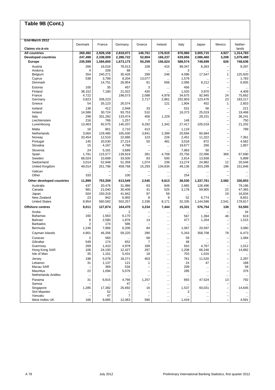| End-March 2012              |           |                          |                |                          |                          |           |           |                               |           |
|-----------------------------|-----------|--------------------------|----------------|--------------------------|--------------------------|-----------|-----------|-------------------------------|-----------|
|                             | Denmark   | France                   | Germany        | Greece                   | Ireland                  | Italy     | Japan     | Mexico                        | Nether-   |
| Claims vis-à-vis            |           |                          |                |                          |                          |           |           |                               | lands     |
| <b>All countries</b>        | 260,492   | 2,928,158                | 2,818,071      | 146,761                  | 176,915                  | 876,980   | 3,005,715 | 4,927                         | 1,314,783 |
| <b>Developed countries</b>  | 247,498   | 2,338,009                | 2,286,722      | 52,804                   | 166,237                  | 629,656   | 2,086,460 | 3,208                         | 1,079,489 |
| <b>Europe</b>               | 235,599   | 1,584,650                | 1,673,173      | 50,259                   | 156,624                  | 588,574   | 748,699   | 626                           | 748,636   |
| Austria                     | 266       | 16,016                   | 78,513         | 108                      | 415                      | 99,347    | 6,263     | $\qquad \qquad -$             | 9,297     |
| Andorra                     | 4         | 208                      | 68             |                          | $\ddotsc$                | 3         |           | $\overline{\phantom{0}}$      |           |
| Belgium                     | 354       | 240,271                  | 30,426         | 299                      | 246                      | 4,096     | 17,547    | 1                             | 125,920   |
| Cyprus                      | 538       | 3,789                    | 8,204          | 13,077                   | $\cdots$                 | 1,579     | $\ddotsc$ | $\overline{\phantom{0}}$      | 1,783     |
| Denmark                     |           | 14,751                   | 26,954         | 81                       | 656                      | 2,066     | 8,212     | $\qquad \qquad -$             | 6,935     |
| Estonia                     | 100       | 35                       | 457            | 3                        | $\ddotsc$                | 456       |           | -                             |           |
| Finland                     | 38,152    | 7,180                    | 21,022         | 430                      | $\ddotsc$                | 1,020     | 3,970     | $\overline{a}$                | 4,409     |
| France                      | 4,722     |                          | 198,573        | 2,088                    | 4,978                    | 34,675    | 92,945    | 24                            | 75,662    |
| Germany                     | 3,823     | 208,223                  |                | 2,717                    | 2,861                    | 252,803   | 123,476   | 23                            | 183,217   |
| Greece                      | 54        | 35,123                   | 26,574         |                          | 121                      | 1,904     | 452       | $\mathbf{1}$                  | 2,653     |
| Iceland                     | 138       | 412                      | 2,948          | 33                       | $\overline{\phantom{0}}$ | 531       | 56        | $\overline{\phantom{0}}$      | 221       |
| Ireland                     | 14,586    | 30,724                   | 93,753         | 510                      |                          | 16,373    | 25,019    | $\qquad \qquad -$             | 19,468    |
| Italy                       | 299       | 331,282                  | 133,474        | 456                      | 1,229                    |           | 28,231    | $\overline{a}$                | 36,241    |
| Liechtenstein               | 216       | 766                      | 1,257          | 7                        |                          | 148       |           | $\overline{\phantom{0}}$      | 750       |
| Luxembourg                  | 13,463    | 92.075                   | 140,207        | 9,292                    | 1,342                    | 27,417    | 105,019   | $\overline{\phantom{0}}$      | 21,202    |
| Malta                       | 16        | 901                      | 2,710          | 413                      |                          | 1,119     |           | -                             | 789       |
| Netherlands                 | 3,064     | 129,485                  | 165,030        | 3,841                    | 2,399                    | 20,694    | 60,684    | $\overline{\phantom{0}}$      |           |
| Norway                      | 33,454    | 12.510                   | 22,686         | 123                      | 226                      | 2,451     | 11,322    | $\qquad \qquad -$             | 7,361     |
| Portugal                    | 145       | 20,530                   | 27,214         | 50                       | 481                      | 3,018     | 872       | $\equiv$                      | 4,582     |
| Slovakia                    | 15        | 4,167                    | 4,768          |                          | $\cdots$                 | 19,677    | 266       | $\overline{\phantom{0}}$      | 1,857     |
| Slovenia                    | 24        | 5,191                    | 3,689          |                          |                          | 7,963     | 50        | $\overline{\phantom{0}}$      |           |
| Spain                       | 1,781     | 115,577                  | 139,919        | 281                      | 4,708                    | 25,756    | 22,096    | 369                           | 67,690    |
| Sweden                      | 68,024    | 10,689                   | 33,500         | 83                       | 500                      | 2,814     | 13,938    | $\qquad \qquad -$             | 5,899     |
| Switzerland                 | 3,014     | 52,948                   | 51,359         | 1,074                    | 239                      | 13,274    | 24,982    | 12                            | 20,546    |
| United Kingdom              | 49,014    | 251,796                  | 459,768        | 15,293                   | 134,834                  | 49,136    | 203,299   | 196                           | 151,846   |
| Vatican                     | $\ddotsc$ | $\overline{\phantom{0}}$ |                |                          | $\ddotsc$                | $\ddotsc$ | $\cdots$  | -                             | $\ddotsc$ |
| Other                       | 333       | L,                       | 100            | $\overline{\phantom{0}}$ | $\cdots$                 | 254       | $\ddotsc$ | $\overline{\phantom{0}}$      |           |
| Other developed countries   | 11,899    | 753,359                  | 613,549        | 2,545                    | 9,613                    | 38,530    | 1,337,761 | 2,582                         | 330,853   |
| Australia                   | 437       | 20,476                   | 31,986         | 63                       | 849                      | 2,965     | 126,496   | $\qquad \qquad -$             | 79,186    |
| Canada                      | 981       | 21,040                   | 30,409         | 41                       | 525                      | 3,178     | 59,905    | 22                            | 47,365    |
| Japan                       | 504       | 150,319                  | 41,942         | 97                       | 59                       | $\cdots$  |           | 19                            | 16,834    |
| New Zealand                 | 23        | 942                      | 6,955          | 8                        | 9                        | 52        | 6,774     | $\overline{\phantom{0}}$      | 8,651     |
| <b>United States</b>        | 9,954     | 560,582                  | 502,257        | 2,336                    | 8,171                    | 32,335    | 1,144,586 | 2,541                         | 178,817   |
| Offshore centres            | 9,011     | 127,874                  | 164,470        | 3,234                    | 7,444                    | 15,331    | 576,754   | 138                           | 53,593    |
| Aruba                       |           |                          | 2              |                          | $\cdots$                 | $\ddotsc$ |           | $\overline{\phantom{0}}$      | 34        |
| <b>Bahamas</b>              | 160       | 1,563                    | 6,170          |                          |                          | 567       | 1,394     | 46                            | 619       |
| <b>Bahrain</b>              | 8<br>2    | 2,590                    | 1,876<br>586   | 14                       | $\cdots$                 | 477       | 1,204     | -                             | 1,515     |
| <b>Barbados</b><br>Bermuda  | 1,246     | 174<br>7,966             | 6,206          | 84                       |                          |           | 20,597    | -<br>$\overline{\phantom{0}}$ | 3,080     |
|                             |           |                          |                |                          | $\ddotsc$                | 1,067     |           |                               |           |
| Cayman Islands              | 4,901     | 46,356                   | 59,220         | 290                      | $\cdots$                 | 5,343     | 358,708   | 79                            | 6,473     |
| Curacao                     | 2         | 560                      | $\cdots$       | 68                       | $\cdots$                 | 59        | $\cdots$  | $\overline{\phantom{0}}$      | 1,084     |
| Gibraltar                   | 549       | 174                      | 652            | $\overline{7}$           |                          | 48        |           |                               |           |
| Guernsey                    | 269       | 1,410                    | 4,978          | 189                      | $\ddotsc$                | 910       | 4,767     | $\qquad \qquad -$             | 1,012     |
| Hong Kong SAR               | 106       | 24,193                   | 12,427         | 297                      | $\ddotsc$                | 1,208     | 66,246    | -                             | 14,882    |
| Isle of Man                 | 35        | 1,101                    | 5,431          | 18                       | $\ddotsc$                | 703       | 1,016     | $\overline{\phantom{0}}$      | $\ldots$  |
| Jersey                      | 198       | 5,078                    | 18,271         | 403                      | $\cdots$                 | 761       | 11,520    | $\overline{\phantom{0}}$      | 2,297     |
| Lebanon                     | 31        | 1,137                    | 121            | 1                        | $\cdots$                 | 24        | 47        | $\overline{\phantom{0}}$      | 188       |
| Macau SAR                   |           | 369                      | 534            |                          | $\ddotsc$                | 209       |           | $\overline{\phantom{0}}$      | 58        |
| Mauritius                   | 22        | 1,094                    | 5,076          |                          | $\ddotsc$                | 285       | $\ddotsc$ | -                             | 376       |
| <b>Netherlands Antilles</b> |           |                          | $\ddotsc$      |                          | $\cdots$                 | $\cdots$  | $\ddotsc$ | $\cdots$                      | $\ddotsc$ |
| Panama                      | 31        | 6,815                    | 4,766          | 1,257                    | $\ddotsc$                | 693       | 47,524    | 13                            | 792       |
| Samoa                       |           |                          | 47             |                          | $\cdots$                 | $\ldots$  |           | $\overline{\phantom{0}}$      |           |
| Singapore                   | 1,285     | 17,382                   | 25,692         | 16                       | $\cdots$                 | 1,537     | 60,031    | $\overline{\phantom{0}}$      | 14,645    |
| Sint Maarten                | $\ddotsc$ | 52                       |                |                          |                          | 3         |           | $\cdots$                      |           |
| Vanuatu                     |           | 47                       | $\overline{7}$ |                          | $\ddotsc$                |           |           | -                             |           |
| West Indies UK              | 166       | 9,685                    | 12,063         | 590                      | $\cdots$                 | 1,419     | $\cdots$  |                               | 4,591     |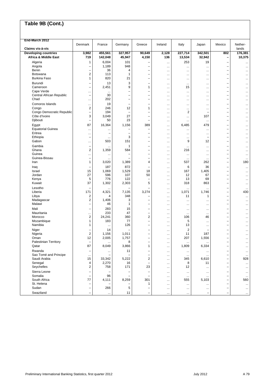| End-March 2012                   | Denmark                              | France           | Germany                       | Greece                                               | Ireland               | Italy            | Japan                                | Mexico                                               | Nether-          |
|----------------------------------|--------------------------------------|------------------|-------------------------------|------------------------------------------------------|-----------------------|------------------|--------------------------------------|------------------------------------------------------|------------------|
| Claims vis-à-vis                 |                                      |                  |                               |                                                      |                       |                  |                                      |                                                      | lands            |
| <b>Developing countries</b>      | 3,982                                | 455,561          | 327,957                       | 90,649                                               | 2,128                 | 227,714          | 342,501                              | 802                                                  | 176,381          |
| <b>Africa &amp; Middle East</b>  | 719                                  | 142,048          | 45,947                        | 4,150                                                | 136                   | 13,534           | 32,942                               | -                                                    | 10,375           |
| Algeria<br>Angola                | 1<br>-                               | 6,004<br>1,189   | 101<br>948                    |                                                      | $\cdots$              | 253              | 19                                   | ۳<br>-                                               |                  |
| Benin                            | ÷                                    | 36               | 4                             | $\equiv$                                             | $\cdots$<br>$\cdots$  | <br>             | $\cdots$<br>$\ddotsc$                | $\overline{\phantom{0}}$                             | <br>$\ddotsc$    |
| <b>Botswana</b>                  | $\overline{\mathbf{c}}$              | 113              | 1                             | $\overline{\phantom{0}}$                             |                       |                  | $\cdots$                             | ÷                                                    |                  |
| <b>Burkina Faso</b>              | 1                                    | 820              | 21                            | $\overline{\phantom{0}}$                             |                       |                  | $\cdots$                             | $\overline{\phantom{0}}$                             |                  |
| Burundi                          | ÷                                    | 13               | 3                             | $\overline{\phantom{0}}$                             |                       | $\ddotsc$        | $\cdots$                             | ÷                                                    |                  |
| Cameroon                         | ÷                                    | 2,451            | 9                             | 1                                                    | $\ddotsc$             | 15               |                                      | $\overline{\phantom{0}}$                             |                  |
| Cape Verde                       |                                      | $\cdots$         |                               |                                                      |                       |                  | $\cdots$                             | -                                                    |                  |
| Central African Republic<br>Chad | $\overline{\phantom{0}}$             | 30<br>202        | Ē,<br>÷                       | $\overline{\phantom{0}}$<br>$\overline{\phantom{0}}$ | $\cdots$              |                  | $\ddotsc$                            | ÷<br>÷                                               |                  |
| Comoros Islands                  | $\ddotsc$                            | 19               | Ē,                            | $\overline{\phantom{0}}$                             |                       |                  | $\cdots$                             | $\overline{\phantom{0}}$                             |                  |
| Congo                            | $\ddotsc$<br>$\overline{\mathbf{c}}$ | 246              | 12                            | 1                                                    | <br>$\cdots$          | <br>             | $\cdots$<br>$\cdots$                 | L,                                                   | $\ddotsc$<br>    |
| Congo Democratic Republic        | $\overline{\phantom{0}}$             | 194              | $\overline{\phantom{0}}$      | $\overline{\phantom{0}}$                             | $\ddotsc$             | $\overline{c}$   | L.                                   | $\overline{\phantom{0}}$                             |                  |
| Côte d'Ivoire                    | 3                                    | 3,049            | 27                            | $\overline{\phantom{0}}$                             | $\cdots$              |                  | 107                                  | $\overline{\phantom{0}}$                             |                  |
| Djibouti                         | $\overline{\phantom{0}}$             | 50               | 23                            | -                                                    | $\cdots$              |                  | $\ddotsc$                            | $\overline{\phantom{0}}$                             | $\ddotsc$        |
| Egypt                            | 87                                   | 16,364           | 1,156                         | 389                                                  | $\cdots$              | 6,485            | 479                                  | ۳                                                    |                  |
| <b>Equatorial Guinea</b>         | $\ddotsc$                            | $\ddotsc$        |                               |                                                      | $\cdots$              | $\ddotsc$        | $\ddotsc$                            | ۳                                                    | $\ddotsc$        |
| Eritrea                          | $\cdots$<br>$\overline{\phantom{0}}$ | ÷                | $\overline{\phantom{0}}$<br>3 | $\overline{\phantom{0}}$<br>$\overline{\phantom{0}}$ | $\cdots$              |                  | $\cdots$<br>$\overline{\phantom{0}}$ | ÷<br>$\overline{\phantom{0}}$                        |                  |
| Ethiopia<br>Gabon                |                                      | $\ddotsc$<br>503 | 151                           | $\overline{\phantom{0}}$                             |                       | <br>9            | 12                                   | $\overline{\phantom{0}}$                             |                  |
| Gambia                           | <br>$\qquad \qquad -$                |                  | 1                             | $\overline{\phantom{0}}$                             | $\cdots$              |                  |                                      | $\overline{\phantom{0}}$                             |                  |
| Ghana                            | 2                                    | 1,359            | 584                           | $\overline{\phantom{0}}$                             | $\ddotsc$<br>$\cdots$ | $\ddotsc$<br>216 | $\cdots$<br>$\ddotsc$                | ÷                                                    | <br>             |
| Guinea                           | $\ddotsc$                            | $\ddotsc$        |                               | $\overline{\phantom{0}}$                             | $\cdots$              | $\ddotsc$        | $\ddotsc$                            | -                                                    | $\ddotsc$        |
| Guinea-Bissau                    | $\overline{\phantom{0}}$             | $\cdots$         |                               | $\overline{\phantom{0}}$                             | $\cdots$              | $\ddotsc$        | $\ldots$                             | ÷                                                    |                  |
| Iran                             | 1                                    | 3,020            | 1,389                         | 4                                                    | $\cdots$              | 537              | 262                                  | $\overline{\phantom{0}}$                             | 180              |
| Iraq                             | -                                    | 187              | 872                           |                                                      |                       | 6                | 36                                   | -                                                    | $\ddotsc$        |
| Israel                           | 15                                   | 1,069            | 1,529                         | 18                                                   | $\ddotsc$             | 167              | 1,405                                | ÷                                                    | $\ddotsc$        |
| Jordan<br>Kenya                  | 27<br>5                              | 596<br>776       | 107<br>122                    | 50                                                   |                       | 12<br>13         | 67<br>69                             | $\overline{\phantom{0}}$<br>۳                        |                  |
| Kuwait                           | 37                                   | 1,302            | 2,303                         | 5                                                    | $\cdots$<br>          | 318              | 863                                  | $\overline{\phantom{0}}$                             | <br>             |
| Lesotho                          | ۰                                    |                  |                               |                                                      |                       |                  |                                      | -                                                    | $\cdots$         |
| Liberia                          | 171                                  | 4,321            | 7,135                         | 3,274                                                |                       | 1,071            | 1,746                                | -                                                    | 430              |
| Libya                            | $\overline{\mathbf{c}}$              | 4                | 348                           | $\overline{\phantom{0}}$                             | $\cdots$              | 11               | 1                                    | ÷                                                    | $\ldots$         |
| Madagascar                       | 2                                    | 1,406            | 3                             | $\overline{\phantom{0}}$                             |                       |                  | $\cdots$                             | $\overline{\phantom{0}}$                             | $\ddotsc$        |
| Malawi                           | $\overline{\phantom{0}}$             | 46               | 1                             | $\overline{\phantom{0}}$                             | $\cdots$              |                  |                                      | $\overline{\phantom{0}}$                             |                  |
| Mali                             | $\overline{\phantom{0}}$             | 283              | 15                            | $\overline{\phantom{0}}$                             |                       | $\ddotsc$        | $\cdots$                             | $\overline{\phantom{0}}$                             | $\ddotsc$        |
| Mauritania<br>Morocco            | <br>$\overline{\mathbf{c}}$          | 233<br>24,241    | 47<br>360                     | $\overline{\phantom{m}}$<br>$\overline{2}$           | $\ddotsc$             | $\ddotsc$<br>106 | $\cdots$<br>46                       | $\overline{\phantom{0}}$<br>-                        |                  |
| Mozambique                       | 1                                    | 183              | 77                            | $\overline{\phantom{0}}$                             | <br>$\ddotsc$         | 5                | $\cdots$                             | ÷                                                    | <br>             |
| Namibia                          | 1                                    | $\ddotsc$        | 126                           | $\overline{\phantom{0}}$                             |                       | 13               | $\cdots$                             | L,                                                   |                  |
| Niger                            | -                                    | 14               |                               | $\overline{\phantom{0}}$                             |                       | $\overline{c}$   | $\overline{\phantom{0}}$             | -                                                    | $\ddotsc$        |
| Nigeria                          | $\overline{2}$                       | 1,156            | 1,011                         | $\overline{\phantom{0}}$                             | $\ddotsc$             | 11               | 187                                  | $\overline{\phantom{0}}$                             |                  |
| Oman                             | 12                                   | 2,005            | 1,757                         | $\overline{\phantom{0}}$                             | $\ddotsc$             | 207              | 1,556                                | $\overline{\phantom{0}}$                             |                  |
| Palestinian Territory            |                                      |                  | 8                             |                                                      |                       |                  |                                      |                                                      |                  |
| Qatar                            | 87                                   | 8,049            | 3,866                         | 1                                                    | $\cdots$              | 1,809            | 6,334                                | -                                                    | $\cdots$         |
| Rwanda<br>Sao Tomé and Principe  | $\overline{\phantom{0}}$             | $\cdots$         | 11                            | $\overline{\phantom{0}}$                             | $\cdots$              | $\cdots$         |                                      | -<br>-                                               | $\cdots$         |
| Saudi Arabia                     | $\ddotsc$<br>15                      | 33,342           | 5,222                         | $\overline{c}$                                       | $\cdots$<br>$\cdots$  | $\ddotsc$<br>345 | $\cdots$<br>6,610                    | $\overline{\phantom{0}}$                             | $\ddotsc$<br>928 |
| Senegal                          | 4                                    | 2,270            | 16                            |                                                      |                       | 8                | 11                                   | $\overline{\phantom{0}}$                             | $\ldots$         |
| Seychelles                       | $\overline{\mathbf{c}}$              | 758              | 171                           | 23                                                   | $\cdots$              | 12               | $\ddotsc$                            | $\overline{\phantom{0}}$                             | $\cdots$         |
| Sierra Leone                     | $\overline{\phantom{0}}$             |                  | $\overline{\phantom{0}}$      |                                                      | $\ddotsc$             | $\ddotsc$        | $\cdots$                             | -                                                    | $\ddotsc$        |
| Somalia                          | $\overline{\phantom{0}}$             | 96               | Ē,                            | $\overline{\phantom{m}}$                             | $\cdots$              | $\cdots$         |                                      | $\overline{\phantom{0}}$                             | $\cdots$         |
| South Africa                     | 77                                   | 4,111            | 8,259                         | 301                                                  | $\cdots$              | 555              | 5,103                                | -                                                    | 560              |
| St. Helena<br>Sudan              | ۰<br>$\qquad \qquad -$               | 266              | 5                             | 1                                                    | $\cdots$              | $\ddotsc$        |                                      | $\overline{\phantom{0}}$<br>$\overline{\phantom{0}}$ | $\ldots$         |
| Swaziland                        |                                      |                  | 11                            |                                                      | $\ddotsc$             |                  |                                      |                                                      |                  |
|                                  |                                      | $\cdots$         |                               |                                                      | $\cdots$              |                  | -                                    |                                                      |                  |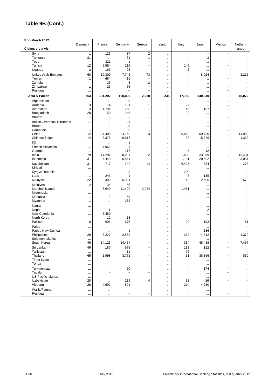| End-March 2012                          |                                 |                          |             |                                                      |                       |                       |                                      |                                                      |                        |
|-----------------------------------------|---------------------------------|--------------------------|-------------|------------------------------------------------------|-----------------------|-----------------------|--------------------------------------|------------------------------------------------------|------------------------|
|                                         | Denmark                         | France                   | Germany     | Greece                                               | Ireland               | Italy                 | Japan                                | Mexico                                               | Nether-                |
| Claims vis-à-vis                        |                                 |                          |             |                                                      |                       |                       |                                      |                                                      | lands                  |
| Syria<br>Tanzania                       | $\mathbf{1}$<br>81              | 123                      | 37<br>31    | $\overline{2}$<br>$\mathbf{1}$                       |                       | $\ddotsc$             | $\qquad \qquad -$<br>3               | $\overline{\phantom{0}}$                             |                        |
| Togo                                    | $\overline{\phantom{0}}$        | $\ddotsc$<br>321         | 1           |                                                      |                       | $\ddotsc$             |                                      | $\overline{\phantom{0}}$<br>-                        |                        |
| Tunisia                                 | 12                              | 6,584                    | 216         | $\overline{\phantom{0}}$                             | $\ddotsc$<br>$\cdots$ | <br>145               | <br>$\ddotsc$                        | -                                                    | <br>$\ddotsc$          |
| Uganda                                  | $\overline{2}$                  | 163                      | 23          | $\overline{\phantom{0}}$                             | $\ddotsc$             | 5                     | $\ddotsc$                            | $\overline{\phantom{0}}$                             | $\ddotsc$              |
| <b>United Arab Emirates</b>             | 60                              | 10,309                   | 7,746       | 73                                                   | $\cdots$              |                       | 8,024                                | ۳                                                    | 3,216                  |
| Yemen                                   | $\mathbf{1}$                    | 684                      | 15          | $\overline{\phantom{0}}$                             | $\cdots$              |                       | 1                                    | $\overline{\phantom{0}}$                             |                        |
| Zambia                                  | $\overline{\phantom{0}}$        | 25                       | 8           | $\overline{2}$                                       | $\cdots$              |                       | 1                                    | $\overline{\phantom{0}}$                             | $\ddotsc$              |
| Zimbabwe                                | 1                               | 26                       | 55          | $\overline{\phantom{0}}$                             | $\cdots$              |                       | $\cdots$                             | $\overline{\phantom{0}}$                             |                        |
| Residual                                | $\ldots$                        | $\cdots$                 | ۳           | -                                                    | $\ddotsc$             |                       |                                      | -                                                    | $\ddotsc$              |
| Asia & Pacific                          | 663                             | 101,292                  | 100,809     | 2,950                                                | 235                   | 17,159                | 230,040                              | $\overline{a}$                                       | 46,072                 |
| Afghanistan                             | $\overline{\phantom{0}}$        | $\ddotsc$                | 9           |                                                      | $\cdots$              | $\ddotsc$             |                                      | $\overline{\phantom{0}}$                             |                        |
| Armenia                                 | 3                               | 74                       | 131         | 1                                                    | $\cdots$              | 27                    | $\overline{\phantom{0}}$             | -                                                    |                        |
| Azerbaijan                              | 4                               | 1,794                    | 768         | $\overline{\phantom{0}}$                             |                       | 48                    | 137                                  | ÷                                                    |                        |
| Bangladesh                              | 20                              | 150                      | 146         | 1                                                    | $\cdots$              | 22                    | $\ddotsc$                            | $\overline{\phantom{0}}$                             | $\ddotsc$              |
| Bhutan                                  | $\overline{\phantom{0}}$        | $\overline{\phantom{0}}$ | ÷           | $\overline{\phantom{0}}$                             |                       |                       |                                      | ÷                                                    |                        |
| <b>British Overseas Territories</b>     | $\ddotsc$                       | $\ddotsc$                | 21          | $\overline{\phantom{0}}$                             |                       | $\ddotsc$             | $\ddotsc$                            | ÷                                                    |                        |
| <b>Brunei</b>                           | $\overline{\phantom{0}}$        | $\ddotsc$                | 9           | $\overline{\phantom{0}}$                             | $\cdots$              |                       |                                      | L,                                                   |                        |
| Cambodia<br>China                       | $\overline{\phantom{0}}$<br>212 | $\ddotsc$                | 8<br>24,160 | 3                                                    |                       | <br>5,029             | $\cdots$<br>59,780                   | -                                                    | 14,999                 |
| Chinese Taipei                          | 14                              | 27,498<br>5,378          | 6,816       | $\overline{\phantom{0}}$                             | $\cdots$              | 38                    | 15,826                               | $\overline{\phantom{0}}$<br>$\overline{\phantom{0}}$ | 1,332                  |
|                                         |                                 |                          |             |                                                      | $\cdots$              |                       |                                      | ÷                                                    |                        |
| Fiji<br>French Polynesia                |                                 | <br>4,952                | 1<br>1      | $\overline{\phantom{0}}$<br>$\overline{\phantom{0}}$ | $\cdots$              |                       |                                      | $\overline{\phantom{0}}$                             | $\ddotsc$              |
| Georgia                                 | $\cdots$<br>$\mathbf{1}$        |                          | 117         | $\overline{\phantom{0}}$                             | <br>                  | <br>5                 | $\cdots$<br>12                       | $\overline{\phantom{0}}$                             | $\ddotsc$              |
| India                                   | 79                              | 14,291                   | 20,237      | $\overline{2}$                                       | $\cdots$              | 1,408                 | 23,059                               | $\overline{\phantom{0}}$                             | 13,431                 |
| Indonesia                               | 31                              | 4,449                    | 6,841       | $\overline{\phantom{0}}$                             | $\cdots$              | 1,191                 | 20,502                               | -                                                    | 3,037                  |
| Kazakhstan                              | 31                              | 717                      | 742         | 14                                                   | $\ddotsc$             | 6,425                 | 384                                  | ۳                                                    | 275                    |
| Kiribati                                | $\ddotsc$                       |                          |             |                                                      | $\cdots$              | $\ddotsc$             | $\ddotsc$                            | ÷                                                    | $\ddotsc$              |
| Kyrgyz Republic                         | $\overline{\phantom{0}}$        | $\cdots$                 | 3           | $\overline{\phantom{0}}$                             |                       | 200                   | $\overline{\phantom{0}}$             | $\overline{\phantom{0}}$                             | $\ddotsc$              |
| Laos                                    | $\mathbf{1}$                    | 245                      | 1           | $\overline{\phantom{0}}$                             |                       | 6                     | 135                                  | $\overline{\phantom{0}}$                             | $\ddotsc$              |
| Malaysia                                | 22                              | 2,399                    | 5,931       | $\mathbf{1}$                                         | $\ddotsc$             | 142                   | 12,606                               | $\overline{\phantom{0}}$                             | 570                    |
| Maldives                                | $\overline{\mathbf{c}}$         | 34                       | 65          |                                                      | $\ddotsc$             |                       |                                      | $\overline{\phantom{0}}$                             |                        |
| Marshall Islands                        | $\overline{\phantom{0}}$        | 6,649                    | 11,492      | 2,924                                                | $\ddotsc$             | 1,481                 | $\ddotsc$                            | ÷                                                    | $\ddotsc$              |
| Micronesia                              | $\cdots$                        |                          |             |                                                      |                       |                       | $\cdots$                             | ÷                                                    |                        |
| Mongolia                                | 1<br>1                          | $\overline{\mathbf{c}}$  | 59<br>182   | -<br>$\overline{\phantom{0}}$                        | $\cdots$              |                       | $\cdots$<br>$\overline{\phantom{0}}$ | ۳<br>L,                                              |                        |
| Myanmar                                 |                                 | $\cdots$                 |             |                                                      | $\cdots$              |                       |                                      |                                                      |                        |
| Nauru<br>Nepal                          | .<br>$\mathbf{1}$               | -<br>$\mathbf{1}$        | -<br>Ē,     | -<br>$\overline{\phantom{0}}$                        | $\ddotsc$             |                       | $\cdots$<br>$\overline{2}$           | -<br>÷                                               |                        |
| New Caledonia                           | $\ddotsc$                       | 6,450                    | ÷,          | $\overline{\phantom{0}}$                             | $\cdots$              | <br>$\ddotsc$         | $\ddotsc$                            | ÷                                                    | $\ddotsc$<br>$\ddotsc$ |
| North Korea                             | $\qquad \qquad -$               | 12                       | 13          | $\overline{\phantom{0}}$                             | <br>                  | $\ddotsc$             | $\overline{\phantom{0}}$             | ÷                                                    | $\cdots$               |
| Pakistan                                | 8                               | 606                      | 676         | -                                                    |                       | 20                    | 193                                  | $\qquad \qquad -$                                    | 81                     |
| Palau                                   | $\ddotsc$                       |                          |             | $\overline{\phantom{0}}$                             |                       |                       |                                      | -                                                    |                        |
| Papua New Guinea                        | ۰                               |                          | 1           | -                                                    | $\ddotsc$             | $\ddotsc$             | 136                                  | -                                                    |                        |
| Philippines                             | 29                              | 3,227                    | 2,584       | $\overline{\phantom{0}}$                             | $\ddotsc$             | 262                   | 4,812                                | -                                                    | 1,370                  |
| Solomon Islands                         | $\ddotsc$                       | $\equiv$                 |             | $\overline{\phantom{0}}$                             | $\ddotsc$             | $\ddotsc$             | $\ddotsc$                            | $\overline{\phantom{0}}$                             | $\ddotsc$              |
| South Korea                             | 46                              | 14,123                   | 14,454      |                                                      |                       | 384                   | 48,488                               |                                                      | 7,437                  |
| Sri Lanka                               | 46                              | 187                      | 578         | $\overline{\phantom{m}}$                             | $\cdots$              | 113                   | 122                                  | -                                                    | $\cdots$               |
| Tajikistan                              | $\ddotsc$                       |                          | 11          | $\qquad \qquad -$                                    | $\cdots$              | 25                    |                                      | $\overline{\phantom{0}}$                             | $\ddotsc$              |
| Thailand                                | 65                              | 1,998                    | 3,772       | -                                                    | $\ddotsc$             | 61                    | 38,866                               | -                                                    | 850                    |
| <b>Timor Leste</b>                      | $\ddotsc$                       |                          |             |                                                      | $\cdots$              | $\ddotsc$             | $\ddotsc$                            | -                                                    | $\ddotsc$              |
| Tonga                                   | $\ddotsc$                       | $\overline{\phantom{0}}$ | Ē,          | $\overline{\phantom{0}}$                             | $\cdots$              | $\ddotsc$             | $\cdots$                             | $\overline{\phantom{0}}$                             | $\ddotsc$              |
| Turkmenistan                            | $\ddotsc$                       | -                        | 60          |                                                      |                       | $\ddotsc$             | 174                                  |                                                      | $\ddotsc$              |
| Tuvalu                                  | $\cdots$                        | $\overline{\phantom{0}}$ | Ē,          | $\overline{\phantom{0}}$                             | $\ddotsc$             |                       | $\ddotsc$                            |                                                      |                        |
| <b>US Pacific Islands</b><br>Uzbekistan | $\ddotsc$<br>20                 | $\overline{\phantom{0}}$ | 119         | $\overline{\phantom{0}}$<br>4                        | $\cdots$              | $\ddotsc$<br>18       | $\cdots$<br>26                       | $\overline{\phantom{0}}$                             |                        |
| Vietnam                                 | 26                              | 4,692                    | 801         |                                                      | $\ddotsc$<br>$\cdots$ | 214                   | 4,780                                |                                                      |                        |
| Wallis/Futuna                           |                                 |                          | -           | $\overline{\phantom{0}}$                             |                       |                       |                                      | -                                                    | $\cdots$               |
| Residual                                | $\cdots$<br>$\cdots$            | $\ldots$<br>$\ddotsc$    |             |                                                      | $\cdots$<br>$\cdots$  | $\cdots$<br>$\ddotsc$ | $\cdots$<br>$\ddotsc$                |                                                      | $\cdots$<br>$\ldots$   |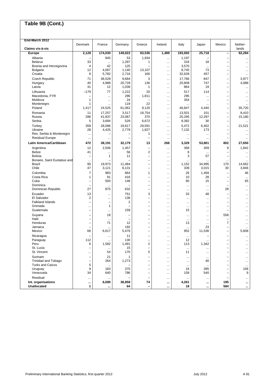| End-March 2012                      |                          |                                   |                                               |                                                      |                       |                |                                       |                                                      |                 |
|-------------------------------------|--------------------------|-----------------------------------|-----------------------------------------------|------------------------------------------------------|-----------------------|----------------|---------------------------------------|------------------------------------------------------|-----------------|
|                                     | Denmark                  | France                            | Germany                                       | Greece                                               | Ireland               | Italy          | Japan                                 | Mexico                                               | Nether-         |
| Claims vis-à-vis<br><b>Europe</b>   | 2,128                    | 174,030                           | 149,022                                       | 83,536                                               | 1,489                 | 193,692        | 25,718                                | $\qquad \qquad -$                                    | lands<br>92,284 |
| Albania                             |                          | 945                               | 53                                            | 1,934                                                | $\cdots$              | 1,197          |                                       | $\overline{\phantom{0}}$                             |                 |
| <b>Belarus</b>                      | 33                       |                                   | 1,297                                         | 1                                                    | $\cdots$              | 318            | 18                                    | -                                                    | <br>            |
| Bosnia and Herzegovina              | 4                        | 42                                | 125                                           |                                                      | $\cdots$              | 3,570          | $\ddotsc$                             | $\overline{\phantom{0}}$                             |                 |
| <b>Bulgaria</b>                     | 12                       | 4,067                             | 1,140                                         | 13,107                                               | $\ddotsc$             | 8,745          | 73                                    | $\overline{\phantom{0}}$                             | $\ddotsc$       |
| Croatia                             | 8                        | 5,782                             | 2,716                                         | 166                                                  | $\cdots$              | 32,628         | 457                                   | $\overline{\phantom{0}}$                             |                 |
| <b>Czech Republic</b>               | 71                       | 36,529                            | 9,684                                         | 3                                                    | $\ddotsc$             | 17,766         | 847                                   | $\overline{\phantom{0}}$                             | 3,977           |
| Hungary                             | 40<br>31                 | 4,988                             | 20,728                                        | 136<br>1                                             | $\cdots$              | 20,808         | 747<br>19                             | $\overline{\phantom{0}}$                             | 4,088           |
| Latvia                              |                          | 12                                | 1,038                                         |                                                      | $\ldots$              | 864            |                                       | -                                                    |                 |
| Lithuania<br>Macedonia, FYR         | -179<br>۰                | 77                                | 1,222<br>286                                  | 20<br>1,811                                          | $\cdots$              | 517<br>295     | 114                                   | $\overline{\phantom{0}}$<br>-                        | $\ddotsc$       |
| Moldova                             | 1                        | $\ddotsc$<br>$\cdots$             | 24                                            |                                                      | $\cdots$<br>$\cdots$  | 354            | $\ddotsc$<br>$\overline{\phantom{0}}$ | $\overline{\phantom{0}}$                             | <br>$\cdots$    |
| Montenegro                          | 1                        | $\cdots$                          | 119                                           | 22                                                   | $\ddotsc$             |                | $\ddotsc$                             | $\overline{\phantom{0}}$                             | $\cdots$        |
| Poland                              | 1,417                    | 24,525                            | 61,062                                        | 9,120                                                | $\cdots$              | 46,847         | 4,440                                 | $\overline{\phantom{0}}$                             | 35,720          |
| Romania                             | 11                       | 17,257                            | 3,517                                         | 18,754                                               | $\cdots$              | 13,501         | 101                                   | $\qquad \qquad -$                                    | 8,410           |
| Russia                              | 286                      | 41,837                            | 23,087                                        | 370                                                  | $\ddotsc$             | 25,295         | 12,297                                | $\overline{\phantom{0}}$                             | 15,180          |
| Serbia                              | 5                        | 3,684                             | 529                                           | 6,672                                                | $\ddotsc$             | 8,382          | 30                                    | -                                                    |                 |
| Turkey                              | 359                      | 28,086                            | 19,617                                        | 29,591                                               | $\cdots$              | 5,472          | 6,402                                 | $\overline{\phantom{0}}$                             | 21,521          |
| Ukraine<br>Res. Serbia & Montenegro | 28                       | 4,425<br>$\overline{\phantom{0}}$ | 2,778<br>-                                    | 1,827<br>1                                           | $\ddotsc$             | 7,132          | 173                                   | $\overline{\phantom{0}}$<br>$\overline{\phantom{0}}$ |                 |
| <b>Residual Europe</b>              | $\ddotsc$<br>$\ddotsc$   |                                   | $\overline{\phantom{0}}$                      | $\overline{\phantom{0}}$                             | $\ddotsc$<br>$\cdots$ | <br>           | <br>                                  | $\qquad \qquad -$                                    | $\cdots$        |
| Latin America/Caribbean             | 472                      | 38,191                            | 32,179                                        | 13                                                   | 268                   | 3,329          | 53,801                                | 802                                                  | 27,650          |
| Argentina                           | 12                       | 2,506                             | 1,457                                         | $\overline{\phantom{0}}$                             |                       | 368            | 309                                   | 9                                                    | 1,842           |
| <b>Belize</b>                       | 41                       |                                   | 56                                            | $\overline{2}$                                       | $\cdots$<br>$\cdots$  | 8              | $\ddotsc$                             | ÷                                                    |                 |
| Bolivia                             |                          | $\mathbf{1}$                      | 11                                            | L,                                                   | $\cdots$              | 3              | 57                                    | $\overline{\phantom{0}}$                             | $\ddotsc$       |
| Bonaire, Saint Eustatius and        | $\ddotsc$                |                                   |                                               | $\overline{\phantom{0}}$                             | $\ddotsc$             |                | .                                     | $\cdots$                                             |                 |
| <b>Brazil</b>                       | 90                       | 19.973                            | 11.484                                        | $\overline{\phantom{0}}$                             | $\ddotsc$             | 1,152          | 34,995                                | 170                                                  | 14,662          |
| Chile                               | 47                       | 3,121                             | 6,131                                         | $\overline{\phantom{0}}$                             | $\ddotsc$             | 339            | 3,015                                 | 30                                                   | 3,846           |
| Colombia                            | $\overline{7}$           | 983                               | 864                                           | 1                                                    | $\cdots$              | 26             | 1,458                                 | ۳                                                    | 46              |
| Costa Rica<br>Cuba                  | 1<br>۰                   | 91<br>500                         | 416<br>148                                    | $\equiv$<br>$\overline{\phantom{0}}$                 | $\cdots$              | 10<br>90       | 28<br>15                              | $\overline{\phantom{0}}$<br>$\overline{\phantom{0}}$ | $\ddotsc$<br>65 |
| Dominica                            | $\overline{\phantom{0}}$ | $\ddotsc$                         | $\overline{\phantom{0}}$                      | $\overline{\phantom{0}}$                             | $\cdots$<br>$\ddotsc$ | $\cdots$       |                                       | $\overline{\phantom{0}}$                             |                 |
| Dominican Republic                  | 27                       | 875                               | 632                                           | $\overline{\phantom{0}}$                             | $\ddotsc$             |                | $\ddotsc$                             | 28                                                   | $\ddotsc$       |
| Ecuador                             | 13                       | $\cdots$                          | 751                                           | 3                                                    | $\cdots$              | 33             | 48                                    | ۳                                                    |                 |
| El Salvador                         | $\overline{2}$           | $\ldots$                          | 136                                           | L,                                                   | $\cdots$              |                |                                       | $\overline{\phantom{0}}$                             |                 |
| <b>Falkland Islands</b>             | L.                       | $\equiv$                          | $\overline{\mathbf{c}}$                       | $\overline{\phantom{0}}$                             | $\cdots$              |                |                                       | $\equiv$                                             |                 |
| Grenada<br>Guatemala                | $\ddotsc$                | $\mathbf{1}$                      | $\qquad \qquad -$<br>159                      | $\overline{\phantom{0}}$<br>$\overline{\phantom{0}}$ | $\cdots$              | $\cdots$<br>15 |                                       | -<br>$\overline{\phantom{0}}$                        |                 |
|                                     | $\overline{\phantom{0}}$ | $\ddotsc$                         |                                               |                                                      | $\ddotsc$             |                | $\ddotsc$                             |                                                      |                 |
| Guyana<br>Haiti                     |                          | 18                                | $\overline{\phantom{0}}$<br>$\qquad \qquad -$ | ۰<br>L,                                              | $\cdots$              | $\ddotsc$      | $\ddotsc$                             | 558<br>۰                                             |                 |
| Honduras                            | ۳                        | $\cdots$<br>71                    | 12                                            | $\overline{\phantom{0}}$                             | $\cdots$<br>$\cdots$  | <br>13         | <br>$\cdots$                          | $\overline{7}$                                       | <br>            |
| Jamaica                             | Ē.                       | .                                 | 192                                           | $\equiv$                                             | $\cdots$              | $\ddotsc$      | 23                                    | ÷                                                    |                 |
| Mexico                              | 66                       | 6,617                             | 5,476                                         | $\overline{\phantom{0}}$                             | $\cdots$              | 952            | 11,536                                | -                                                    | 5,608           |
| Nicaragua                           |                          | $\cdots$                          | 11                                            | L.                                                   | $\cdots$              | $\cdots$       | L.                                    | $\overline{\phantom{0}}$                             | $\ddotsc$       |
| Paraguay                            | 112                      |                                   | 130                                           | $\overline{\phantom{0}}$                             | $\cdots$              | 12             |                                       | $\overline{\phantom{0}}$                             |                 |
| Peru<br>St. Lucia                   | 6<br>۳                   | 1,582                             | 1,491<br>15                                   | $\overline{\mathbf{c}}$<br>$\equiv$                  | $\cdots$              | 113            | 1,342                                 | -<br>$\overline{\phantom{0}}$                        |                 |
| St. Vincent                         |                          | $\ldots$<br>54                    | 170                                           | 5                                                    | $\ddotsc$<br>$\cdots$ | $\cdots$<br>11 | <br>$\ddotsc$                         | $\overline{\phantom{0}}$                             | <br>            |
| Surinam                             | -                        | 21                                | $\mathbf{1}$                                  | $\overline{\phantom{0}}$                             | $\cdots$              | $\ddotsc$      | $\ddotsc$                             | $\overline{\phantom{0}}$                             |                 |
| Trinidad and Tobago                 | ۰                        | 264                               | 1,273                                         | L,                                                   | $\cdots$              | $\cdots$       | 40                                    | ÷                                                    | $\cdots$        |
| <b>Turks and Caicos</b>             | 5                        | $\ldots$                          |                                               | $\overline{\phantom{0}}$                             | $\cdots$              | $\ldots$       | $\ddotsc$                             | -                                                    |                 |
| Uruguay                             | 9                        | 183                               | 375                                           | $\overline{\phantom{0}}$                             | $\cdots$              | 16             | 395                                   |                                                      | 156             |
| Venezuela                           | 34                       | 640                               | 786                                           | $\overline{\phantom{0}}$                             | $\cdots$              | 159            | 540                                   | $\overline{\phantom{0}}$                             | 9               |
| Residual<br>Int. organisations      |                          | $\cdots$                          |                                               | -<br>74                                              | $\cdots$              |                |                                       | -<br>195                                             |                 |
| <b>Unallocated</b>                  | <br>1                    | 6,690<br>$\cdots$                 | 38,858<br>64                                  | -                                                    | <br>$\cdots$          | 4,261<br>18    | <br>                                  | 584                                                  | <br>            |
|                                     |                          |                                   |                                               |                                                      |                       |                |                                       |                                                      |                 |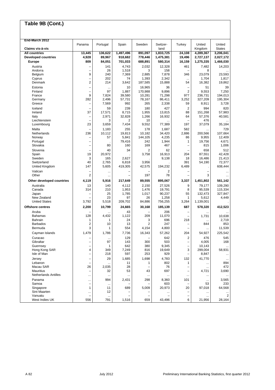| End-March 2012              |                                |                    |              |                          |                  |                                 |                          |                         |
|-----------------------------|--------------------------------|--------------------|--------------|--------------------------|------------------|---------------------------------|--------------------------|-------------------------|
| Claims vis-à-vis            | Panama                         | Portugal           | Spain        | Sweden                   | Switzer-<br>land | Turkey                          | United<br>Kingdom        | United<br><b>States</b> |
| <b>All countries</b>        | 13,445                         | 136,622            | 1,497,496    | 891,097                  | 1,833,725        | 24,108                          | 4,289,367                | 3,206,041               |
| <b>Developed countries</b>  | 4,928                          | 89,967             | 918,682      | 778,446                  | 1,475,381        | 19,496                          | 2,727,137                | 2,027,172               |
| <b>Europe</b>               | 809                            | 84,051             | 701,033      | 688,891                  | 580,314          | 16,159                          | 1,275,335                | 1,466,030               |
| Austria                     |                                | 141                | 4,743        | 2.032                    | 12,328           | 461                             | 7,482                    | 14,203                  |
| Andorra                     |                                | 26                 | 1,518        | 3                        | 158              | L,                              | 8                        |                         |
| Belgium                     | 9                              | 240                | 7,369        | 2,885                    | 7,878            | 346                             | 23,079                   | 23,593                  |
| Cyprus                      | L,                             | 202                | 74           | 1,393                    | 2,342            | $\cdots$                        | 1,704                    | 1,817                   |
| Denmark                     | $\overline{2}$                 | 214                | 3,642        | 187,585                  | 15,888           | 54                              | 16,382                   | 19,862                  |
| Estonia                     |                                | $\ddotsc$          | 10           | 16,965                   | 36               | $\overline{\phantom{0}}$        | 51                       | 39                      |
| Finland                     |                                | 97                 | 1,887        | 170,988                  | 9,896            | $\overline{2}$                  | 9,553                    | 7,250                   |
| France                      | 9                              | 7,824              | 39,580       | 10,281                   | 71,298           | 977                             | 236,731                  | 194,013                 |
| Germany                     | 282                            | 2,496              | 57,731       | 78,167                   | 86,411           | 3,252                           | 327,209                  | 195,304                 |
| Greece                      |                                | 7,569              | 992          | 265                      | 2,338            | 59                              | 8,911                    | 3,728                   |
| Iceland                     |                                | 59                 | 239          | 180                      | 427              | $\overline{2}$                  | 994                      | 820                     |
| Ireland                     | 37                             | 17,571             | 8,715        | 1,955                    | 13,815           | 88                              | 151,268                  | 57,983                  |
| Italy                       |                                | 2,971              | 32,828       | 1,266                    | 16,932           | 64                              | 57,376                   | 40,581                  |
| Liechtenstein               |                                | 3                  | 2            | 10                       |                  |                                 | 476                      |                         |
| Luxembourg                  | 23                             | 3,659              | 7,434        | 9,552                    | 77,389           | 197                             | 37,079                   | 35,184                  |
| Malta                       |                                | 1,183              | 255          | 178                      | 1,687            | 582                             | $\ddotsc$                | 729                     |
| Netherlands                 | 236                            | 10,112             | 19,813       | 10.182                   | 34,420           | 2,886                           | 200,566                  | 107,664                 |
| Norway                      |                                | 57                 | 5,841        | 144,105                  | 4,235            | 86                              | 9,955                    | 12,409                  |
| Portugal                    | Ē,                             |                    | 79,416       | 242                      | 1,944            | 1                               | 19,756                   | 4,671                   |
| Slovakia                    |                                | 80                 | 160          | 169                      | 467              | $\overline{\phantom{0}}$        | 815                      | 1,006                   |
| Slovenia                    |                                | 40                 | 34           | 2                        | 62               |                                 | 658                      | 512                     |
| Spain                       | 19                             | 20,972             |              | 3,758                    | 16,913           | 204                             | 87,551                   | 42,428                  |
| Sweden                      | 3                              | 165                | 2,627        |                          | 9,138            | 18                              | 16,486                   | 21,413                  |
| Switzerland                 | 40                             | 2,765              | 6,818        | 3,956                    |                  | 391                             | 54,190                   | 72,377                  |
| United Kingdom              | 147                            | 5,605              | 419,305      | 42,575                   | 194,232          | 6,489                           |                          | 608,444                 |
| Vatican                     |                                | $\cdots$           |              |                          | $\overline{2}$   | $\overline{\phantom{0}}$        | $\overline{\phantom{0}}$ |                         |
| Other                       | 2                              | $\ddotsc$          | ÷,           | 197                      | 78               | ۳                               | 3                        |                         |
| Other developed countries   | 4,119                          | 5,916              | 217,649      | 89,555                   | 895,067          | 3,337                           | 1,451,802                | 561,142                 |
| Australia                   | 13                             | 140                | 4,112        | 2,150                    | 27,526           | 9                               | 79,177                   | 109,290                 |
| Canada                      | 314                            | 210                | 1,953        | 1,476                    | 19,791           | 8                               | 95,539                   | 115,334                 |
| Japan                       |                                | 25                 | 1,785        | 1,017                    | 90,237           | 55                              | 132,473                  | 327,847                 |
| New Zealand                 |                                | 23                 | 97           | 26                       | 1,258            | 1                               | 5,612                    | 4,449                   |
| <b>United States</b>        | 3,792                          | 5,518              | 209,702      | 84,886                   | 756,255          | 3,264                           | 1,139,001                |                         |
| <b>Offshore centres</b>     | 2,200                          | 10,799             | 24,665       | 30,168                   | 185,139          | 687                             | 578,320                  | 412,523                 |
| Aruba                       |                                |                    | 43           |                          | 206              |                                 |                          |                         |
| <b>Bahamas</b>              | 128                            | 4,432              | 1,122        | 209                      | 11,070           |                                 | 1,731                    | 10,638                  |
| Bahrain                     | 1                              | 1                  | 24           | 3<br>2                   | 696<br>247       | 218                             | $\ddotsc$                | 2,719                   |
| <b>Barbados</b><br>Bermuda  | 2<br>3                         | 10<br>1            | 13<br>554    | 4,154                    | 4,800            | ۳<br>$\overline{\phantom{0}}$   | 844                      | 853<br>11,539           |
|                             |                                |                    |              |                          |                  |                                 |                          |                         |
| Cayman Islands              | 1,479                          | 1,786              | 7,736        | 16,343                   | 57,262           | 204                             | 54,927                   | 225,542                 |
| Curacao                     |                                | $\ddotsc$          | 129          |                          | 642              | $\overline{\mathbf{c}}$         | 476                      | 545                     |
| Gibraltar                   |                                | 97                 | 143          | 300                      | 503              |                                 | 4,005                    | 168                     |
| Guernsey<br>Hong Kong SAR   |                                | $\mathbf{1}$       | 642          | 380                      | 9,345            | -                               | 10,143<br>299,004        |                         |
| Isle of Man                 | 4                              | 349<br>218         | 7,249<br>597 | 816<br>253               | 19,649<br>929    | 3<br>$\overline{\phantom{0}}$   | 8,847                    | 58,931                  |
|                             | -                              |                    |              |                          |                  |                                 |                          | $\ldots$                |
| Jersey                      | $\overline{\phantom{0}}$       | 29                 | 1,685        | 1,698                    | 4,783            | 132                             | 41,770                   | $\cdots$                |
| Lebanon<br>Macau SAR        | $\overline{\phantom{0}}$<br>26 | $\ddotsc$<br>2,035 | 11<br>28     | 1                        | 802<br>76        | 1<br>$\overline{\phantom{0}}$   |                          | 894<br>472              |
| <b>Mauritius</b>            |                                | 32                 | 53           | 43                       | 697              |                                 | $\ddotsc$<br>4,721       | 3,690                   |
| <b>Netherlands Antilles</b> |                                |                    |              |                          |                  |                                 |                          |                         |
|                             | $\cdots$                       | $\ddotsc$          |              |                          |                  | $\ddotsc$                       |                          | $\ddotsc$               |
| Panama<br>Samoa             |                                | 994                | 2,431        | 298                      | 8,360<br>603     | 101<br>$\overline{\phantom{0}}$ | $\ldots$<br>53           | 3,565<br>233            |
| Singapore                   | 1                              | $\cdots$<br>11     | 689          | 5,009                    | 20,973           | 20                              | 97,018                   | 64,568                  |
| Sint Maarten                |                                | 12                 |              |                          |                  | -                               | $\ddotsc$                |                         |
| Vanuatu                     |                                | $\ldots$           |              | $\overline{\phantom{0}}$ |                  | $\overline{\phantom{0}}$        | $\cdots$                 | $\overline{2}$          |
| West Indies UK              | 556                            | 791                | 1,516        | 659                      | 43,496           | 6                               | 21,956                   | 28,164                  |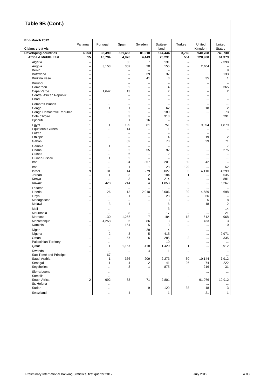| End-March 2012                  |                          |                           |                          |                          |                          |                               |                          |                         |
|---------------------------------|--------------------------|---------------------------|--------------------------|--------------------------|--------------------------|-------------------------------|--------------------------|-------------------------|
| Claims vis-à-vis                | Panama                   | Portugal                  | Spain                    | Sweden                   | Switzer-<br>land         | Turkey                        | United<br>Kingdom        | United<br><b>States</b> |
| <b>Developing countries</b>     | 6,253                    | 35,490                    | 551,453                  | 81,010                   | 164,444                  | 3,760                         | 940,768                  | 740,730                 |
| <b>Africa &amp; Middle East</b> | 15                       | 10,794                    | 4,878                    | 4,443                    | 26,231                   | 554                           | 228,980                  | 61,373                  |
|                                 |                          |                           |                          |                          |                          |                               |                          |                         |
| Algeria                         | $\overline{\phantom{0}}$ | $\ddotsc$                 | 65                       | $\overline{7}$           | 131                      | Ē,                            | $\ddotsc$                | 2,398                   |
| Angola                          | $\overline{\phantom{0}}$ | 3,153                     | 302                      | 20                       | 155                      | $\overline{\phantom{0}}$      | 2,404                    |                         |
| Benin                           |                          |                           | L                        |                          |                          |                               |                          | 9                       |
| Botswana                        |                          | $\ddotsc$                 |                          | 39                       | 37                       | -                             | $\cdots$                 | 133                     |
| <b>Burkina Faso</b>             | $\overline{\phantom{0}}$ | $\ddotsc$                 | $\overline{\phantom{0}}$ | 41                       | 3                        | $\overline{\phantom{0}}$      | 35                       | 1                       |
| Burundi                         | ÷                        | $\ddotsc$                 | ÷                        | $\overline{\phantom{0}}$ | -                        | -                             | $\overline{\phantom{0}}$ |                         |
| Cameroon                        | ÷.                       | $\ddotsc$                 | $\overline{2}$           | L.                       | 4                        | $\overline{\phantom{0}}$      | $\cdots$                 | 365                     |
| Cape Verde                      | $\overline{\phantom{0}}$ | 1,647                     | 13                       | L.                       | $\overline{7}$           | $\overline{\phantom{0}}$      | $\overline{\phantom{0}}$ | $\overline{\mathbf{c}}$ |
| Central African Republic        |                          |                           | Ē,                       | $\overline{\phantom{0}}$ | $\overline{\phantom{0}}$ | Ē,                            | $\overline{\phantom{a}}$ | ä.                      |
| Chad                            |                          | $\cdots$                  | -                        | $\overline{\phantom{0}}$ | $\overline{\phantom{0}}$ | -                             | $\cdots$                 | ÷                       |
| Comoros Islands                 |                          |                           | -                        | $\overline{\phantom{0}}$ | $\overline{\phantom{0}}$ | -                             | $\overline{\phantom{0}}$ |                         |
| Congo                           | $\overline{\phantom{0}}$ | $\ddotsc$<br>$\mathbf{1}$ | $\mathbf{1}$             | $\overline{\phantom{0}}$ | 62                       | $\overline{\phantom{0}}$      | 18                       | <br>$\overline{2}$      |
| Congo Democratic Republic       |                          |                           | $\overline{c}$           | L.                       |                          | Ē,                            |                          | 73                      |
|                                 |                          | $\ddotsc$                 | 3                        | $\overline{\phantom{0}}$ | 189                      | Ē,                            | $\ddotsc$                | 291                     |
| Côte d'Ivoire                   |                          | $\ddotsc$                 |                          |                          | 313                      |                               |                          |                         |
| Djibouti                        | -                        | $\cdots$                  | 1                        | 16                       | $\overline{\phantom{0}}$ |                               | $\cdots$                 |                         |
| Egypt                           | 1                        | $\mathbf{1}$              | 199                      | 81                       | 751                      | 59                            | 9,894                    | 1,879                   |
| <b>Equatorial Guinea</b>        |                          | $\ddotsc$                 | 14                       | -                        | 1                        |                               |                          |                         |
| Eritrea                         | $\overline{\phantom{0}}$ | $\ddotsc$                 |                          | $\overline{\phantom{0}}$ | $\overline{\phantom{0}}$ | $\overline{\phantom{0}}$      | $\overline{\phantom{0}}$ | $\ddotsc$               |
| Ethiopia                        | $\overline{\phantom{0}}$ | $\ddotsc$                 | Ē,                       | $\overline{\phantom{0}}$ | 4                        | L,                            | 19                       | $\overline{2}$          |
| Gabon                           | $\overline{\phantom{0}}$ |                           | 82                       | $\overline{\phantom{0}}$ | 73                       |                               | 29                       | 71                      |
| Gambia                          | $\overline{\phantom{0}}$ | 1                         | $\overline{\phantom{0}}$ | -                        | -                        | $\overline{\phantom{0}}$      | $\ddotsc$                | $\overline{7}$          |
| Ghana                           | $\overline{\phantom{0}}$ |                           | $\overline{\mathbf{c}}$  | 55                       | 92                       | $\overline{\phantom{0}}$      |                          | 275                     |
| Guinea                          | ÷                        | $\ddotsc$                 | 6                        | -                        | 2                        |                               | $\ddotsc$                |                         |
| Guinea-Bissau                   |                          | <br>$\mathbf{1}$          | $\overline{2}$           | $\overline{\phantom{0}}$ | $\overline{\phantom{0}}$ | -<br>$\overline{\phantom{0}}$ | $\ddotsc$                |                         |
|                                 | $\overline{\phantom{0}}$ |                           |                          |                          |                          |                               | $\ddotsc$                | $\ddotsc$               |
| Iran                            | $\overline{\phantom{0}}$ | $\ddotsc$                 | 94                       | 357                      | 201                      | 80                            | 342                      |                         |
| Iraq                            | $\overline{\phantom{0}}$ | $\ddotsc$                 | 1                        | 1                        | 28                       | 129                           |                          | 52                      |
| Israel                          | 9                        | 31                        | 14                       | 279                      | 3,027                    | 3                             | 4,110                    | 4,299                   |
| Jordan                          | $\overline{\phantom{0}}$ | $\mathbf{1}$              | 3                        | 2                        | 184                      | $\mathbf{1}$                  | $\cdots$                 | 535                     |
| Kenya                           | $\overline{\phantom{0}}$ | $\ddotsc$                 | 3                        | 6                        | 214                      |                               | $\ddotsc$                | 881                     |
| Kuwait                          | $\overline{\phantom{0}}$ | 428                       | 214                      | 4                        | 1,853                    | 2                             | $\cdots$                 | 6,267                   |
| Lesotho                         |                          | $\ddotsc$                 | $\overline{\phantom{0}}$ |                          |                          | L.                            | $\ddotsc$                |                         |
| Liberia                         | $\overline{\phantom{0}}$ | 26                        | 13                       | 2,010                    | 3,006                    | 39                            | 4,689                    | 698                     |
| Libya                           | $\overline{\phantom{0}}$ |                           | 1                        | -                        | 28                       | $\overline{\phantom{0}}$      | 66                       |                         |
| Madagascar                      | $\overline{\phantom{0}}$ | $\ddotsc$<br>$\ddotsc$    | $\overline{\phantom{0}}$ | $\overline{\phantom{0}}$ | 3                        |                               | 5                        | 8                       |
| Malawi                          |                          | 3                         | 1                        | L,                       | 6                        | L.                            | 18                       | $\overline{2}$          |
|                                 |                          |                           |                          |                          |                          |                               |                          |                         |
| Mali                            |                          | $\ddotsc$                 |                          | $\overline{\phantom{0}}$ | 3                        | $\overline{\phantom{0}}$      |                          | 14                      |
| Mauritania                      | $\overline{\phantom{0}}$ | $\ddotsc$                 | 8                        | $\overline{\phantom{0}}$ | 17                       | $\overline{\phantom{0}}$      | $\cdots$                 | 21                      |
| Morocco                         | $\overline{\phantom{0}}$ | 130                       | 1,256                    | $\overline{7}$           | 184                      | 18                            | 612                      | 968                     |
| Mozambique                      | $\overline{\phantom{0}}$ | 4,258                     | 6                        | 86                       | 3                        | $\overline{\phantom{0}}$      | 433                      | 3                       |
| Namibia                         | $\overline{\phantom{0}}$ | $\overline{2}$            | 151                      | 5                        | 3                        | $\overline{\phantom{0}}$      | $\ddotsc$                | 10                      |
| Niger                           |                          |                           |                          | 29                       | 4                        |                               | $\cdots$                 |                         |
| Nigeria                         | $\overline{\phantom{0}}$ | $\overline{2}$            | 3                        | 5                        | 415                      | Ē,                            | $\ddotsc$                | 2,971                   |
| Oman                            | $\overline{\phantom{0}}$ | $\ddotsc$                 | 57                       | 6                        | 285                      | 2                             | $\ddotsc$                | 335                     |
| <b>Palestinian Territory</b>    |                          |                           |                          |                          | 10                       |                               |                          |                         |
| Qatar                           |                          | 1                         | 1,157                    | 418                      | 1,429                    | 1                             |                          | 3,912                   |
|                                 |                          |                           |                          |                          |                          |                               | $\ddotsc$                |                         |
| Rwanda                          |                          | $\cdots$                  |                          | 4                        | 1                        |                               | $\overline{\phantom{0}}$ |                         |
| Sao Tomé and Principe           |                          | 67                        | Ē,                       | L,                       |                          | -                             |                          | $\cdots$                |
| Saudi Arabia                    | $\overline{\phantom{0}}$ | 1                         | 366                      | 209                      | 2,273                    | 30                            | 10,144                   | 7,912                   |
| Senegal                         | ۰                        | 1                         | 4                        | 2                        | 41                       | 26                            | 74                       | 222                     |
| Seychelles                      | $\overline{\phantom{0}}$ |                           | 3                        | 1                        | 875                      | $\overline{\phantom{0}}$      | 216                      | 31                      |
| Sierra Leone                    | $\overline{\phantom{0}}$ | $\cdots$                  | $\overline{\phantom{0}}$ | $\overline{\phantom{0}}$ | -                        | $\overline{\phantom{0}}$      | $\cdots$                 | $\cdots$                |
| Somalia                         | $\overline{\phantom{0}}$ | $\cdots$                  | Ē,                       | $\overline{\phantom{0}}$ |                          | L,                            |                          |                         |
| South Africa                    | $\overline{\mathbf{c}}$  | 992                       | 83                       | 71                       | 2,801                    | -                             | 91,076                   | 10,912                  |
| St. Helena                      | $\overline{\phantom{0}}$ |                           | $\overline{\phantom{0}}$ | $\qquad \qquad -$        |                          | $\overline{\phantom{0}}$      |                          |                         |
| Sudan                           | $\overline{\phantom{0}}$ | $\cdots$                  | $\overline{\phantom{0}}$ | 9                        | 129                      | 38                            | $\cdots$<br>18           | $\cdots$<br>3           |
|                                 |                          | $\ddotsc$                 |                          |                          |                          |                               |                          |                         |
| Swaziland                       | $\overline{\phantom{0}}$ | $\cdots$                  | 4                        | $\overline{\phantom{0}}$ | $\mathbf{1}$             | $\overline{\phantom{0}}$      | 21                       | $\mathbf{1}$            |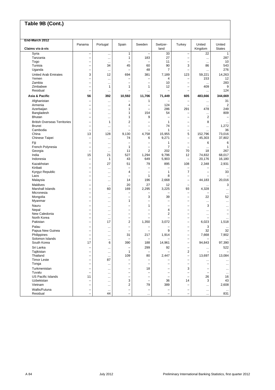| End-March 2012                      |                          |                        |                                                      | Sweden                                               | Switzer-       |                               | United                               | United               |
|-------------------------------------|--------------------------|------------------------|------------------------------------------------------|------------------------------------------------------|----------------|-------------------------------|--------------------------------------|----------------------|
| Claims vis-à-vis                    | Panama                   | Portugal               | Spain                                                |                                                      | land           | Turkey                        | Kingdom                              | <b>States</b>        |
| Syria                               | $\overline{\phantom{0}}$ | $\ddotsc$              | 1                                                    |                                                      | 33             | $\overline{\phantom{0}}$      | 22                                   | $\mathbf{1}$         |
| Tanzania                            | -                        | $\ddotsc$              | 1                                                    | 183                                                  | 27             | -                             | $\cdots$                             | 287                  |
| Togo                                | ۳                        | $\ddotsc$              | 45                                                   |                                                      | 11             | -<br>3                        | $\ddotsc$                            | 10                   |
| Tunisia<br>Uganda                   | $\overline{\phantom{0}}$ | 34                     |                                                      | 60<br>48                                             | 90<br>7        | ÷                             | 86                                   | 543<br>276           |
| <b>United Arab Emirates</b>         | 3                        | $\ddotsc$<br>12        | 694                                                  | 381                                                  | 7,189          | 123                           | <br>59,221                           | 14,263               |
| Yemen                               |                          | $\ddotsc$              |                                                      | -                                                    | 4              | -                             | 153                                  | 12                   |
| Zambia                              | ÷.                       | $\ddotsc$              | ÷                                                    | L,                                                   | 10             | Ē,                            | $\ddotsc$                            | 283                  |
| Zimbabwe                            | $\overline{\phantom{0}}$ | 1                      | 1                                                    | 1                                                    | 12             | $\overline{\phantom{0}}$      | 409                                  | 9                    |
| Residual                            |                          |                        |                                                      |                                                      |                |                               |                                      | 124                  |
| Asia & Pacific                      | 56                       | 392                    | 10,592                                               | 11,706                                               | 71,449         | 605                           | 483,666                              | 344,669              |
| Afghanistan                         |                          | $\ddotsc$              | -                                                    | 1                                                    |                | $\overline{\phantom{0}}$      | $\cdots$                             | 31                   |
| Armenia                             |                          | $\ddotsc$              | 4                                                    | -                                                    | 124            |                               | $\ddotsc$                            | $\overline{2}$       |
| Azerbaijan<br>Bangladesh            |                          | $\ddotsc$              | 1<br>1                                               | L,<br>154                                            | 286<br>54      | 291                           | 478                                  | 249<br>809           |
| <b>Bhutan</b>                       |                          | $\ddotsc$<br>          | 1                                                    | 9                                                    |                | ÷                             | $\ddotsc$<br>$\overline{\mathbf{c}}$ |                      |
| <b>British Overseas Territories</b> | $\overline{\phantom{0}}$ | 1                      | 2                                                    | -                                                    | 1              | $\overline{\phantom{0}}$      | 8                                    |                      |
| <b>Brunei</b>                       | $\overline{\phantom{0}}$ | $\ddotsc$              | ÷                                                    | -                                                    | 74             | $\overline{\phantom{0}}$      |                                      | 1,272                |
| Cambodia                            |                          | $\ddotsc$              |                                                      |                                                      | $\mathbf{1}$   | -                             |                                      | 36                   |
| China                               | 13                       | 128                    | 9,130                                                | 4,758                                                | 15,955         | 5                             | 152,796                              | 73,016               |
| Chinese Taipei                      | ÷                        | $\ddotsc$              | 74                                                   | 6                                                    | 9,271          | $\overline{\phantom{0}}$      | 45,303                               | 37,802               |
| Fiji                                | $\overline{\phantom{0}}$ | $\ddotsc$              | $\overline{\phantom{0}}$                             | $\overline{\phantom{0}}$                             | 1              | $\overline{\phantom{0}}$      | 6                                    | 6                    |
| French Polynesia                    |                          | $\ddotsc$              | $\mathbf{1}$                                         | -                                                    | $\overline{7}$ | -                             | $\ddotsc$                            | $\mathbf{1}$         |
| Georgia<br>India                    | -<br>15                  | $\ddotsc$<br>21        | 11<br>527                                            | 2<br>1,294                                           | 202<br>9,796   | 70<br>12                      | 18<br>74,832                         | 267<br>68,017        |
| Indonesia                           | $\overline{\phantom{0}}$ | 1                      | 43                                                   | 649                                                  | 5,903          | Ē,                            | 20,176                               | 16,180               |
| Kazakhstan                          | $\overline{\phantom{0}}$ | 27                     | 51                                                   | 79                                                   | 895            | 108                           | 2,348                                | 2,931                |
| Kiribati                            | $\overline{\phantom{0}}$ | $\ddotsc$              |                                                      |                                                      |                |                               |                                      |                      |
| Kyrgyz Republic                     | -                        | $\ddotsc$              | 4                                                    | -                                                    | 1              | 7                             | -                                    | 33                   |
| Laos                                | $\overline{\phantom{0}}$ | $\ddotsc$              | ÷                                                    | 1                                                    | 8              | $\overline{\phantom{0}}$      |                                      |                      |
| Malaysia                            | $\overline{\phantom{0}}$ | $\ddotsc$              | 14                                                   | 196                                                  | 2,668          | $\overline{\phantom{0}}$      | 44,183                               | 20,016               |
| Maldives                            |                          | $\ddotsc$              | 20                                                   | 27                                                   | 12             |                               |                                      | 3                    |
| Marshall Islands<br>Micronesia      | $\overline{\phantom{0}}$ | 60                     | 169<br>$\overline{\phantom{0}}$                      | 2,295                                                | 3,225          | 93<br>-                       | 4,328                                | $\ddotsc$            |
| Mongolia                            | ۳                        | $\ddotsc$<br>$\ddotsc$ | ÷                                                    | 3                                                    | 39             | $\overline{\phantom{0}}$      | 22                                   | $\ddotsc$<br>52      |
| Myanmar                             | $\overline{\phantom{0}}$ | $\ddotsc$              | 1                                                    | $\overline{\phantom{0}}$                             |                |                               | $\ddotsc$                            | $\ddotsc$            |
| Nauru                               |                          |                        |                                                      | 1                                                    |                |                               | 3                                    |                      |
| Nepal                               | $\overline{\phantom{0}}$ | $\ddotsc$              | $\overline{\phantom{0}}$                             | $\overline{\phantom{0}}$                             | 4              | $\overline{\phantom{0}}$      | $\cdots$                             |                      |
| New Caledonia                       | $\overline{\phantom{0}}$ | $\ddotsc$              | $\overline{\phantom{0}}$                             | $\overline{\phantom{0}}$                             | 2              | $\overline{\phantom{0}}$      | $\cdots$                             |                      |
| North Korea                         | $\overline{\phantom{0}}$ | $\ddotsc$              | $\overline{\phantom{0}}$                             |                                                      |                | $\overline{\phantom{0}}$      |                                      |                      |
| Pakistan                            | $\overline{\phantom{0}}$ | 17                     | $\overline{\mathbf{c}}$                              | 1,350                                                | 3,072          | $\overline{\phantom{0}}$      | 6,023                                | 1,518                |
| Palau<br>Papua New Guinea           |                          | $\ddotsc$              |                                                      |                                                      | 9              | -                             | 3<br>32                              | 32                   |
| Philippines                         |                          | <br>$\ddotsc$          | 31                                                   | 217                                                  | 1,914          | $\overline{\phantom{0}}$      | 7,668                                | 7,902                |
| Solomon Islands                     | $\overline{\phantom{0}}$ | $\ddotsc$              | -                                                    | ۰                                                    |                | $\overline{\phantom{0}}$      |                                      | $\ddotsc$            |
| South Korea                         | 17                       | 6                      | 390                                                  | 188                                                  | 14,961         |                               | 94,843                               | 97,390               |
| Sri Lanka                           |                          | $\ddotsc$              | ۰                                                    | 299                                                  | 92             | -                             | $\cdots$                             | 522                  |
| Tajikistan                          |                          | $\ddotsc$              | 1                                                    |                                                      |                | 2                             |                                      |                      |
| Thailand                            |                          | $\ddotsc$              | 109                                                  | 80                                                   | 2,447          | $\overline{\phantom{0}}$      | 13,697                               | 13,084               |
| <b>Timor Leste</b><br>Tonga         | $\overline{\phantom{0}}$ | 87                     | $\overline{\phantom{0}}$<br>$\overline{\phantom{0}}$ | $\overline{\phantom{0}}$<br>$\overline{\phantom{0}}$ |                | $\overline{\phantom{0}}$<br>- | $\cdots$                             | $\ddotsc$            |
| Turkmenistan                        |                          | $\ddotsc$              |                                                      |                                                      |                |                               |                                      | $\cdots$             |
| Tuvalu                              | ۰                        | $\ddotsc$<br>$\cdots$  | $\overline{\phantom{0}}$<br>$\overline{\phantom{0}}$ | 18<br>$\overline{\phantom{0}}$                       | -              | 3                             |                                      | $\cdots$<br>$\cdots$ |
| <b>US Pacific Islands</b>           | 11                       | $\cdots$               | $\overline{\phantom{0}}$                             | $\overline{\phantom{0}}$                             |                |                               | 26                                   | 16                   |
| Uzbekistan                          |                          |                        | 3                                                    | $\overline{\phantom{0}}$                             | 36             | 14                            | 3                                    | 43                   |
| Vietnam                             | $\overline{\phantom{0}}$ | $\cdots$               | $\overline{\mathbf{c}}$                              | 79                                                   | 389            | $\overline{\phantom{0}}$      | $\cdots$                             | 2,608                |
| Wallis/Futuna                       |                          | $\ddotsc$              | $\overline{\phantom{0}}$                             |                                                      |                | -                             | $\cdots$                             | $\ddotsc$            |
| Residual                            | ۰                        | 44                     | $\overline{\phantom{0}}$                             | $\cdots$                                             | L,             | -                             | $\ldots$                             | 831                  |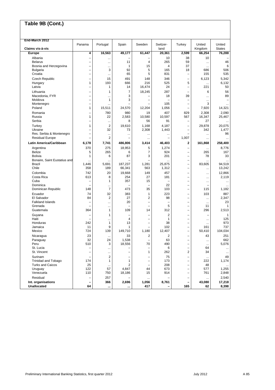| End-March 2012               |                          |                |            |                          |                          |                               |                          |                         |
|------------------------------|--------------------------|----------------|------------|--------------------------|--------------------------|-------------------------------|--------------------------|-------------------------|
| Claims vis-à-vis             | Panama                   | Portugal       | Spain      | Sweden                   | Switzer-<br>land         | Turkey                        | United<br>Kingdom        | United<br><b>States</b> |
| Europe                       | 4                        | 16,563         | 49,177     | 61,447                   | 20,361                   | 2,599                         | 66,254                   | 76,288                  |
| Albania                      | $\overline{\phantom{0}}$ |                |            |                          | 10                       | 38                            | 10                       |                         |
| <b>Belarus</b>               | $\overline{\phantom{0}}$ |                | 11         | 4                        | 265                      | 59                            |                          | 46                      |
| Bosnia and Herzegovina       | L,                       |                | 1          | 15                       | 4                        | 37                            | $\ddotsc$                | 6                       |
| <b>Bulgaria</b>              | L,                       | <br>3          | 92         | 5                        | 165                      | 18                            | $\ddotsc$<br>686         | 506                     |
| Croatia                      | $\overline{\phantom{0}}$ |                | 65         | 5                        | 831                      | ÷                             | 155                      | 535                     |
|                              | L.                       |                |            |                          |                          |                               |                          |                         |
| Czech Republic               | $\mathbf{1}$             | 15<br>193      | 491<br>666 | 148<br>216               | 346<br>525               | $\overline{\phantom{0}}$<br>5 | 6,123                    | 5,342<br>6,132          |
| Hungary<br>Latvia            | $\overline{\phantom{0}}$ | $\mathbf{1}$   | 14         | 16,474                   | 24                       | $\overline{\phantom{0}}$      | $\ddotsc$<br>221         | 50                      |
|                              |                          |                |            |                          |                          |                               |                          |                         |
| Lithuania                    | -                        | 1              | 7          | 18,245                   | 287                      | ÷                             | 6                        | 56                      |
| Macedonia, FYR               | $\overline{\phantom{0}}$ | .              | 3          |                          | 18                       | 39                            | $\ddotsc$                | 89                      |
| Moldova                      |                          | 1              | 3          | $\overline{\phantom{0}}$ |                          | ÷                             | $\ddotsc$                |                         |
| Montenegro                   | L,                       |                |            |                          | 105                      | Ē,                            | 3                        |                         |
| Poland                       | 1                        | 15,511         | 24,570     | 12,204                   | 1,056                    |                               | 7,920                    | 14,321                  |
| Romania                      | $\overline{\phantom{0}}$ | 780            | 980        | 19                       | 407                      | 829                           | 2,308                    | 2,090                   |
| Russia                       | $\mathbf{1}$             | 22             | 2,583      | 10,580                   | 10,597                   | 567                           | 16,347                   | 25,467                  |
| Serbia                       | $\overline{\phantom{0}}$ | $\ddotsc$      | 8          | 56                       | 91                       | Ē,                            | 27                       | $\ddotsc$               |
| Turkey                       | $\mathbf{1}$             | 2              | 19,610     | 1,168                    | 4,187                    | ÷                             | 29,878                   | 20.075                  |
| Ukraine                      | $\overline{\phantom{0}}$ | 32             | 73         | 2,308                    | 1,443                    | $\overline{\phantom{0}}$      | 342                      | 1,477                   |
| Res. Serbia & Montenegro     | L,                       |                |            |                          |                          |                               | $\ddotsc$                | 96                      |
| <b>Residual Europe</b>       |                          | 2              |            |                          | -                        | 1,007                         | $\ddotsc$                | $\ddotsc$               |
| Latin America/Caribbean      | 6,178                    | 7,741          | 486,806    | 3,414                    | 46,403                   | $\mathbf 2$                   | 161,868                  | 258,400                 |
| Argentina                    | 370                      | 275            | 18,953     | 5                        | 1,274                    | $\overline{\phantom{0}}$      | $\cdots$                 | 8,776                   |
| <b>Belize</b>                | 5                        | 265            | 6          | 7                        | 924                      | $\overline{\phantom{0}}$      | 265                      | 167                     |
| <b>Bolivia</b>               | 1                        | 6              | 87         | 3                        | 201                      | ÷,                            | 78                       | 33                      |
| Bonaire, Saint Eustatius and |                          | $\ddotsc$      |            | $\equiv$                 |                          | ÷                             | $\ddotsc$                |                         |
| <b>Brazil</b>                | 1,446                    | 5.691          | 187,237    | 1,281                    | 25,875                   | $\overline{\phantom{0}}$      | 83,605                   | 94,519                  |
| Chile                        | 358                      | 189            | 66,341     | 563                      | 1,312                    | $\overline{\phantom{0}}$      | $\ddotsc$                | 13,242                  |
| Colombia                     | 742                      | 20             | 19,668     | 149                      | 457                      | $\overline{\phantom{0}}$      | $\ddotsc$                | 12,866                  |
| Costa Rica                   | 613                      | 8              | 254        | 27                       | 181                      | Ē,                            | $\cdots$                 | 2,119                   |
| Cuba                         | -                        | 1              | 357        | 15                       | $\overline{\phantom{0}}$ | ÷,                            | $\ddotsc$                | $\ddotsc$               |
| Dominica                     |                          |                |            | L,                       | 22                       | $\overline{\phantom{0}}$      | $\overline{\phantom{0}}$ |                         |
| Dominican Republic           | 148                      | $\overline{7}$ | 473        | 35                       | 103                      | $\overline{\phantom{0}}$      | 115                      | 1,182                   |
| Ecuador                      | 74                       | 32             | 383        | 1                        | 223                      |                               | 103                      | 887                     |
| El Salvador                  | 84                       | 2              | 27         | 2                        | 98                       | $\overline{\phantom{0}}$      | $\ddotsc$                | 2,347                   |
| <b>Falkland Islands</b>      | L,                       |                | 20         | $\equiv$                 | $\overline{\phantom{0}}$ | $\overline{\phantom{0}}$      | $\cdots$                 | 23                      |
| Grenada                      |                          |                |            | $\overline{\phantom{0}}$ | 5                        | ÷,                            | 11                       | 1                       |
| Guatemala                    | 364                      | 1              | 109        | 14                       | 312                      | ÷                             | 296                      | 2,513                   |
| Guyana                       | -                        | 1              | -          | L,                       | $\overline{\mathbf{c}}$  | Ē,                            | $\overline{\phantom{a}}$ | $\mathbf{1}$            |
| Haiti                        |                          | .              | 4          | L,                       | 1                        | L,                            | $\ddotsc$                | 125                     |
| Honduras                     | 242                      | $\mathbf{1}$   | 13         | $\overline{\phantom{0}}$ | 38                       | $\overline{\phantom{0}}$      | $\ddotsc$                | 973                     |
| Jamaica                      | 11                       | 9              | 1          | -                        | 102                      | Ē,                            | 161                      | 737                     |
| Mexico                       | 724                      | 139            | 149,710    | 1,180                    | 12,407                   | $\overline{\phantom{0}}$      | 50,410                   | 104,034                 |
| Nicaragua                    | 23                       | $\ddotsc$      | 33         | 2                        | 2                        | $\overline{\phantom{0}}$      | 43                       | 251                     |
| Paraguay                     | 32                       | 24             | 1,538      | $\overline{\phantom{0}}$ | 63                       | Ē,                            | $\ddotsc$                | 662                     |
| Peru                         | 510                      | З              | 18,556     | 70                       | 490                      |                               | $\cdots$                 | 5,076                   |
| St. Lucia                    | $\overline{\phantom{0}}$ |                |            | -                        | 6                        | $\qquad \qquad -$             | 64                       | $\cdots$                |
| St. Vincent                  | -                        |                | -          | 1                        | 262                      | $\overline{\mathbf{c}}$       | 34                       | $\ldots$                |
| Surinam                      | $\overline{\phantom{0}}$ | 2              |            | -                        | 75                       | -                             |                          | 49                      |
| <b>Trinidad and Tobago</b>   | 174                      | 1              | 1          | $\overline{\phantom{0}}$ | 173                      | -                             | $\ddotsc$<br>222         | 1,174                   |
| <b>Turks and Caicos</b>      | 25                       |                | 2          | $\overline{\phantom{0}}$ | 208                      | ÷                             | 48                       |                         |
| Uruguay                      | 122                      | $\ldots$<br>57 | 4,847      | 44                       | 673                      | -                             | 577                      | $\ddotsc$<br>1,255      |
| Venezuela                    | 110                      | 750            | 18,186     | 15                       | 914                      | $\overline{\phantom{0}}$      | 761                      | 2,848                   |
| Residual                     |                          | 257            |            |                          |                          | -                             |                          | 2,540                   |
| Int. organisations           |                          | 366            | 2,696      | <br>1,056                | 8,761                    | -                             | $\cdots$<br>43,080       | 17,218                  |
| Unallocated                  | 64                       |                |            | 417                      |                          | 165                           | 62                       | 8,398                   |
|                              |                          |                |            |                          |                          |                               |                          |                         |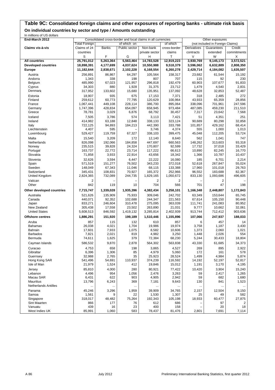#### **Table 9C: Consolidated foreign claims and other exposures of reporting banks - ultimate risk basis On individual countries by sector and type / Amounts outstanding**

In millions of US dollars

| End-March 2012             | Consolidated cross-border and local claims in all currencies<br>Other exposures |                   |                   |                    |                    |                   |                                  |                  |
|----------------------------|---------------------------------------------------------------------------------|-------------------|-------------------|--------------------|--------------------|-------------------|----------------------------------|------------------|
|                            | <b>Total Foreign</b>                                                            |                   | of which on       |                    | of which           |                   | (not included in Foreign Claims) |                  |
| Claims vis-à-vis           | Claims of 24                                                                    | <b>Banks</b>      | Public sector     | Non-bank           | cross-border       | Derivatives       | Guarantees                       | Credit           |
|                            | countries                                                                       |                   |                   | private sector     | claims             | contracts         | extended                         | commitments      |
|                            | S                                                                               | F                 | G                 | н                  | T                  | V                 | W                                | X                |
| <b>All countries</b>       | 25,791,012                                                                      | 5,263,364         | 5,563,464         | 14,783,528         | 12,919,223         | 3,930,769         | 9,145,173                        | 3,572,521        |
| <b>Developed countries</b> | 18,898,391                                                                      | 4,177,699         | 4,037,624         | 10,550,988         | 9,518,379          | 3,596,062         | 6,632,889                        | 2,808,350        |
| Europe                     | 11,182,644                                                                      | 2,838,671         | 2,102,228         | 6,168,554          | 6,260,278          | 2,429,714         | 4,184,082                        | 1,635,507        |
| Austria                    | 256,891                                                                         | 86,867            | 64,297            | 105,564            | 158,317            | 23,682            | 61,544                           | 15,192           |
| Andorra                    | 1,343                                                                           | 338               | 198               | 807                | 707                | 115               | 92                               | 230              |
| Belgium                    | 485,990                                                                         | 67,023            | 121,957           | 296,818            | 192,479            | 60,903            | 107,677                          | 91,833           |
| Cyprus                     | 34,303                                                                          | 880               | 1,928             | 31,375             | 23,712             | 1,479             | 4,540                            | 2,831            |
| Denmark                    | 317,952                                                                         | 133,602           | 15,680            | 135,951            | 137,092            | 48,628            | 32,853                           | 52,487           |
| Estonia                    | 18,907                                                                          | 935               | 675               | 17,153             | 7,371              | 318               | 2,485                            | 272              |
| Finland                    | 259,612                                                                         | 60,773            | 77,795            | 120,629            | 100,964            | 43,933            | 65,359                           | 28,856           |
| France                     | 1,067,441                                                                       | 449,108           | 228,114           | 386,700            | 895,064            | 338,096           | 701,961                          | 247,596          |
| Germany                    | 1,747,396                                                                       | 428,834           | 654,097           | 658,945            | 973,484            | 487,085           | 459,230                          | 211,510          |
| Greece                     | 78,781                                                                          | 3,029             | 6,876             | 68,792             | 30,457             | 7,317             | 23,642                           | 7,568            |
| Iceland                    | 7,505                                                                           | 3,786             | 574               | 3,113              | 7,421              | 51                | 4,351                            | 251              |
| Ireland                    | 414,982                                                                         | 63,188            | 12,848            | 338,133            | 323,124            | 90,689            | 80,298                           | 32,858           |
| Italy                      | 722,125                                                                         | 94,893<br>595     | 184,213           | 442,390            | 333,788            | 101,857           | 429,162                          | 68,414           |
| Liechtenstein              | 4,407<br>529,427                                                                |                   |                   | 3,746              | 4,374              | 555               | 1,000                            | 1,013            |
| Luxembourg                 |                                                                                 | 119,759           | 67,327            | 338,103            | 399,475            | 45,048            | 112,205                          | 53,724           |
| Malta                      | 15,540                                                                          | 3,209             | 172               | 12,140             | 8,640              | 562               | 1,041                            | 747              |
| Netherlands<br>Norway      | 826,098<br>235,515                                                              | 192,066<br>39,828 | 184,858<br>24,324 | 447,697<br>170,807 | 660,563<br>92,599  | 148,262<br>17,732 | 313,603<br>37,018                | 93,318<br>33,429 |
| Portugal                   | 163,737                                                                         | 22,772            | 23,714            | 117,222            | 66,613             | 10,890            | 82,245                           | 16,770           |
| Slovakia                   | 71,858                                                                          | 3,933             | 22,914            | 43,656             | 18,342             | 1,366             | 10,787                           | 10,437           |
| Slovenia                   | 32,626                                                                          | 3,594             | 6,447             | 22,222             | 16,080             | 185               | 6,701                            | 2,214            |
| Spain                      | 571,519                                                                         | 151,277           | 76,502            | 343,233            | 372,018            | 52,618            | 267,847                          | 55,024           |
| Sweden                     | 148,049                                                                         | 67,343            | 11,046            | 68,115             | 133,388            | 17,960            | 101,018                          | 29,763           |
| Switzerland                | 345,431                                                                         | 108,831           | 70,927            | 165,372            | 252,966            | 96,552            | 183,688                          | 82,367           |
| <b>United Kingdom</b>      | 2,824,365                                                                       | 732,089           | 244,735           | 1,829,165          | 1,050,672          | 833,130           | 1,093,686                        | 496,605          |
| Vatican                    | $\overline{2}$                                                                  |                   |                   | 2                  | 2                  |                   | 2                                |                  |
| Other                      | 842                                                                             | 119               | 10                | 704                | 566                | 701               | 47                               | 198              |
| Other developed countries  | 7,715,747                                                                       | 1,339,028         | 1,935,396         | 4,382,434          | 3,258,101          | 1,166,348         | 2,448,807                        | 1,172,843        |
|                            |                                                                                 |                   |                   |                    |                    |                   |                                  |                  |
| Australia                  | 521,626<br>440,071                                                              | 135,909           | 75,933<br>102,688 | 309,046<br>244,347 | 242,702            | 63,349            | 153,644                          | 65,745           |
| Canada<br>Japan            | 833,271                                                                         | 92,352<br>246,604 | 310,478           | 275,095            | 221,563<br>363,039 | 67,614<br>111,741 | 105,150<br>241,083               | 90,448<br>80,952 |
| New Zealand                | 305,438                                                                         | 17,558            | 23,502            | 263,890            | 21,031             | 9,777             | 10,662                           | 32,061           |
| <b>United States</b>       | 5,608,513                                                                       | 846,592           | 1,419,132         | 3,285,814          | 2,402,939          | 913,744           | 712,412                          | 903,636          |
| <b>Offshore centres</b>    | 1,886,291                                                                       | 151,920           | 199,189           | 1,510,446          | 1,155,896          | 107,066           | 247,937                          | 188,033          |
|                            |                                                                                 |                   |                   |                    |                    |                   |                                  |                  |
| Aruba<br><b>Bahamas</b>    | 857<br>26,038                                                                   | 115<br>4,021      | 132<br>1,704      | 610<br>19,986      | 857<br>19,974      | 6<br>3,758        | 457                              | 14<br>3,430      |
| Bahrain                    | 17,601                                                                          | 7,933             | 1,075             | 8,582              | 10,606             | 1,373             | 1,187<br>2,060                   | 1,021            |
| <b>Barbados</b>            | 7,821                                                                           | 2,021             | 819               | 4,982              | 3,250              | 1,448             | 2,026                            | 554              |
| Bermuda                    | 74,611                                                                          | 1,625             | 379               | 72,384             | 68,230             | 5,244             | 30,433                           | 18,804           |
| Cayman Islands             | 586,532                                                                         | 9,870             | 2,878             | 564,302            | 563,838            | 43,330            | 61,685                           | 34,373           |
|                            |                                                                                 |                   |                   |                    |                    |                   |                                  |                  |
| Curacao<br>Gibraltar       | 4,753<br>6,396                                                                  | 658<br>1,306      | 198<br>85         | 3,865<br>4,979     | 4,527<br>5,060     | 269<br>172        | 895<br>161                       | 2,922<br>578     |
| Guernsey                   | 32,988                                                                          | 2,765             | 35                | 25,923             | 28,524             | 1,499             | 4,984                            | 5,874            |
| Hong Kong SAR              | 541,496                                                                         | 54,691            | 110,937           | 374,239            | 116,592            | 14,192            | 52,197                           | 52,817           |
| Isle of Man                | 21,979                                                                          | 1,524             | 412               | 19,846             | 15,012             | 1,191             | 3,170                            | 4,195            |
| Jersey                     | 85,810                                                                          | 4,000             | 280               | 80,921             | 77,422             | 10,420            | 3,904                            | 15,240           |
| Lebanon                    | 4,496                                                                           | 954               | 1,056             | 2,476              | 3,263              | 59                | 2,417                            | 1,265            |
| Macau SAR                  | 6,431                                                                           | 622               | 903               | 4,905              | 2,942              | 59                | 682                              | 1,680            |
| Mauritius                  | 13,796                                                                          | 6,243             | 369               | 7,181              | 9,643              | 130               | 841                              | 1,523            |
| Netherlands Antilles       | $\ldots$                                                                        |                   | $\cdots$          |                    | $\cdots$           |                   |                                  | $\ldots$         |
| Panama                     | 45,246                                                                          | 3,296             | 1,959             | 39,909             | 34,765             | 2,157             | 12,504                           | 8,150            |
| Samoa                      | 1,561                                                                           | 9                 | 22                | 1,530              | 1,307              | 25                | 49                               | 582              |
| Singapore                  | 318,017                                                                         | 48,482            | 75,264            | 192,343            | 105,198            | 18,933            | 60,477                           | 27,875           |
| Sint Maarten               | 866                                                                             | 177               | 76                | 612                | 686                |                   | 97                               | 2                |
| Vanuatu                    | 439                                                                             | 16                | 23                | 400                | 158                |                   | 20                               | 18               |
| West Indies UK             | 85,991                                                                          | 1,060             | 583               | 78,437             | 81,476             | 2,801             | 7,691                            | 7,114            |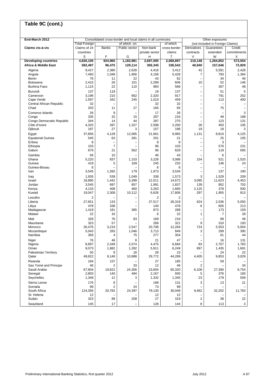| Table 9C (cont.)                           |                           |                |                          |                                                              |                        |                                                      |                                  |                       |  |
|--------------------------------------------|---------------------------|----------------|--------------------------|--------------------------------------------------------------|------------------------|------------------------------------------------------|----------------------------------|-----------------------|--|
|                                            |                           |                |                          |                                                              |                        |                                                      |                                  |                       |  |
| End-March 2012                             |                           |                |                          | Consolidated cross-border and local claims in all currencies |                        | Other exposures                                      |                                  |                       |  |
|                                            | <b>Total Foreign</b>      |                | of which on              |                                                              | of which               |                                                      | (not included in Foreign Claims) |                       |  |
| Claims vis-à-vis                           | Claims of 24<br>countries | <b>Banks</b>   | Public sector            | Non-bank<br>private sector                                   | cross-border<br>claims | <b>Derivatives</b>                                   | Guarantees<br>extended           | Credit<br>commitments |  |
|                                            | S                         | F              | G                        | Н                                                            | Т                      | contracts<br>$\vee$                                  | W                                | Х                     |  |
| <b>Developing countries</b>                | 4,826,105                 | 924,960        | 1,183,981                | 2,697,005                                                    | 2,068,897              | 210,148                                              | 1,264,852                        | 573,554               |  |
| <b>Africa &amp; Middle East</b>            | 582,487                   | 96,475         | 129,114                  | 356,345                                                      | 336,542                | 40,940                                               | 157,646                          | 72,929                |  |
| Algeria                                    | 9,427                     | 2,380          | 2,628                    | 4,418                                                        | 3,412                  | 42                                                   | 5,591                            | 2,428                 |  |
| Angola<br>Benin                            | 7,493<br>76               | 1,048<br>11    | 1,956<br>22              | 4,158<br>43                                                  | 5,428<br>62            | 7<br>Ē,                                              | 793<br>34                        | 1,394<br>46           |  |
| Botswana                                   | 2,415                     | 26             | 101                      | 2,289                                                        | 606                    | 10                                                   | 52                               | 146                   |  |
| <b>Burkina Faso</b>                        | 1,115                     | 22             | 110                      | 983                                                          | 568                    | $\overline{\phantom{0}}$                             | 307                              | 48                    |  |
| Burundi                                    | 137                       | 119            |                          | 18                                                           | 137                    |                                                      | 51                               | 5                     |  |
| Cameroon                                   | 3,196<br>1,597            | 215<br>342     | 662                      | 2,320<br>1,010                                               | 917<br>459             |                                                      | 791                              | 252<br>400            |  |
| Cape Verde<br>Central African Republic     | 32                        |                | 245                      | 32                                                           | 32                     |                                                      | 113                              |                       |  |
| Chad                                       | 203                       | 11             | 27                       | 165                                                          | 65                     | $\overline{\phantom{0}}$                             | 75                               | $\qquad \qquad -$     |  |
| Comoros Islands                            | 26                        | 9              |                          | 17                                                           | 26                     | -                                                    |                                  | 3                     |  |
| Congo                                      | 335                       | 32             | 15                       | 287                                                          | 216                    | $\overline{\phantom{0}}$                             | 49                               | 188                   |  |
| Congo Democratic Republic<br>Côte d'Ivoire | 344<br>4,325              | 14<br>397      | 44<br>1,327              | 287<br>2,598                                                 | 275<br>2,200           | $\overline{\phantom{0}}$<br>26                       | 123<br>450                       | 131<br>105            |  |
| Djibouti                                   | 187                       | 27             | 3                        | 157                                                          | 188                    | 19                                                   | 18                               | 3                     |  |
| Egypt                                      | 37,856                    | 4,128          | 12,065                   | 21,661                                                       | 9,965                  | 1,131                                                | 8,810                            | 4,125                 |  |
| <b>Equatorial Guinea</b>                   | 545                       | 63             | 281                      | 201                                                          | 21                     | ۳                                                    | 25                               | 105                   |  |
| Eritrea<br>Ethiopia                        | 8<br>103                  | 7              |                          | 8<br>96                                                      | 8<br>103               | -                                                    | 3<br>570                         | 231                   |  |
| Gabon                                      | 679                       | 21             | 562                      | 96                                                           | 629                    |                                                      | 119                              | 695                   |  |
| Gambia                                     | 56                        | 10             |                          | 46                                                           | 43                     |                                                      | 6                                |                       |  |
| Ghana                                      | 5,220                     | 837            | 1,153                    | 3,228                                                        | 3,086                  | 154                                                  | 521                              | 1,520                 |  |
| Guinea<br>Guinea-Bissau                    | 419<br>6                  | 5              | 169                      | 245<br>6                                                     | 232<br>6               | $\overline{\phantom{0}}$<br>$\overline{\phantom{0}}$ | 146                              | 24                    |  |
| Iran                                       | 3,545                     | 1,392          | 179                      | 1,973                                                        | 3,534                  | $\overline{\phantom{0}}$                             | 137                              | 190                   |  |
| Iraq                                       | 1,935                     | 539            | 1,049                    | 338                                                          | 1,573                  | 3                                                    | 1,529                            | 209                   |  |
| Israel<br>Jordan                           | 18,895<br>3,545           | 1,442<br>697   | 5,399<br>857             | 12,011<br>1,991                                              | 14,672<br>1,837        | 3,095<br>139                                         | 11,623<br>852                    | 4,453<br>703          |  |
| Kenya                                      | 4,133                     | 408            | 460                      | 3,263                                                        | 1,665                  | 2,125                                                | 378                              | 930                   |  |
| Kuwait                                     | 19,047                    | 2,308          | 10,112                   | 6,626                                                        | 17,806                 | 297                                                  | 1,955                            | 813                   |  |
| Lesotho                                    | $\overline{c}$            |                | -                        | $\overline{2}$                                               | $\overline{2}$         |                                                      |                                  |                       |  |
| Liberia<br>Libya                           | 27,651<br>478             | 133<br>338     | $\overline{\phantom{0}}$ | 27,517<br>140                                                | 26,319<br>478          | 624<br>6                                             | 2,536<br>605                     | 5,050<br>213          |  |
| Madagascar                                 | 1,419                     | 181            | 365                      | 873                                                          | 288                    |                                                      | 173                              | 159                   |  |
| Malawi                                     | 22                        | 16             |                          | 6                                                            | 22                     | 1                                                    | 7                                | 28                    |  |
| Mali                                       | 328                       | 76             | 83                       | 169                                                          | 216                    |                                                      | 88                               | 49                    |  |
| Mauritania<br>Morocco                      | 323<br>26,476             | 57<br>3.219    | 2,547                    | 266<br>20,708                                                | 321<br>12,284          | 9<br>724                                             | 310<br>5,553                     | 193<br>5,004          |  |
| Mozambique                                 | 5,043                     | 283            | 1,046                    | 3,713                                                        | 849                    | 3                                                    | 299                              | 395                   |  |
| Namibia                                    | 356                       | 4              | 75                       | 277                                                          | 354                    |                                                      | 61                               | 44                    |  |
| Niger                                      | 76                        | 46             | 8                        | 21                                                           | 47                     |                                                      | 16                               | 131                   |  |
| Nigeria<br>Oman                            | 8,897<br>9,073            | 2,349<br>1,882 | 2,074<br>1,282           | 4,475<br>5,911                                               | 6,684<br>6,249         | 83<br>897                                            | 2,707<br>1,435                   | 1,783<br>1,691        |  |
| <b>Palestinian Territory</b>               | 55                        | 9              | 18                       | 28                                                           | 23                     |                                                      | 24                               | 22                    |  |
| Qatar                                      | 49,822                    | 9,146          | 10,888                   | 29,772                                                       | 44,289                 | 4,405                                                | 9,853                            | 3,029                 |  |
| Rwanda                                     | 184                       | 157            |                          | 27                                                           | 185                    |                                                      | 59                               |                       |  |
| Sao Tomé and Principe<br>Saudi Arabia      | 46<br>67,804              | 2<br>19,822    | 33<br>24,356             | 12<br>23,604                                                 | 46<br>65,320           | $\overline{2}$<br>6,108                              | 27,390                           | 34<br>6,754           |  |
| Senegal                                    | 2,803                     | 140            | 494                      | 2,167                                                        | 930                    | 5                                                    | 376                              | 183                   |  |
| Seychelles                                 | 1,348                     | 12             | 3                        | 1,332                                                        | 1,345                  | 23                                                   | 179                              | 559                   |  |
| Sierra Leone                               | 176                       | 8              |                          | 168                                                          | 131                    | 3                                                    | 13                               | 21                    |  |
| Somalia<br>South Africa                    | 99<br>124,356             | 2<br>20,782    | 24<br>24,397             | 73<br>79,130                                                 | 99<br>30,048           | 9,462                                                | 32,202                           | 11,783                |  |
| St. Helena                                 | 12                        |                |                          | 12                                                           | 12                     |                                                      |                                  |                       |  |
| Sudan                                      | 323                       | 89             | 208                      | 27                                                           | 319                    | 2                                                    | 38                               | 22                    |  |
| Swaziland                                  | 145                       | 17             |                          | 128                                                          | 144                    | 8                                                    | 113                              | 3                     |  |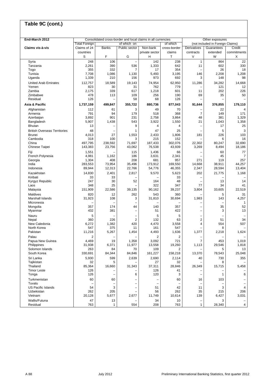| Table 9C (cont.)                    |                      |                               |                                                      |                                                              |                  |                          |                                                     |                                            |
|-------------------------------------|----------------------|-------------------------------|------------------------------------------------------|--------------------------------------------------------------|------------------|--------------------------|-----------------------------------------------------|--------------------------------------------|
|                                     |                      |                               |                                                      |                                                              |                  |                          |                                                     |                                            |
| End-March 2012                      | <b>Total Foreign</b> |                               | of which on                                          | Consolidated cross-border and local claims in all currencies | of which         |                          | Other exposures<br>(not included in Foreign Claims) |                                            |
| Claims vis-à-vis                    | Claims of 24         | Banks                         | Public sector                                        | Non-bank                                                     | cross-border     | Derivatives              | Guarantees                                          | Credit                                     |
|                                     | countries            |                               |                                                      | private sector                                               | claims           | contracts                | extended                                            | commitments                                |
|                                     | S                    | F                             | G                                                    | н                                                            | Τ                | V                        | W                                                   | X                                          |
| Syria                               | 248                  | 106                           | $\overline{\phantom{0}}$                             | 142                                                          | 238              | $\mathbf{1}$             | 864                                                 | 22                                         |
| Tanzania                            | 2,261                | 390                           | 536                                                  | 1,333                                                        | 642              | 11                       | 602                                                 | 330                                        |
| Togo                                | 355                  | 332                           | 7                                                    | 17                                                           | 354              |                          | 26                                                  | 18                                         |
| Tunisia<br>Uganda                   | 7,708<br>1,339       | 1,086<br>210                  | 1,130<br>156                                         | 5,493<br>973                                                 | 3,195<br>692     | 146<br>3                 | 2,208<br>148                                        | 1,208<br>98                                |
| <b>United Arab Emirates</b>         | 112,757              | 18,589                        | 19,143                                               | 74,954                                                       | 62,950           | 11,286                   | 34,282                                              | 14,668                                     |
| Yemen                               | 823                  | 30                            | 31                                                   | 762                                                          | 779              |                          | 121                                                 | 12                                         |
| Zambia                              | 2,175                | 339                           | 617                                                  | 1,218                                                        | 601              | 11                       | 202                                                 | 226                                        |
| Zimbabwe                            | 478                  | 113                           | 109                                                  | 256                                                          | 190              | 69                       | 35                                                  | 50                                         |
| Residual                            | 126                  |                               | 58                                                   | 68                                                           | 126              |                          |                                                     |                                            |
| Asia & Pacific                      | 1,737,159            | 499,847                       | 355,722                                              | 880,736                                                      | 877,043          | 91,644                   | 376,855                                             | 179,110                                    |
| Afghanistan                         | 112                  | 61                            | 3                                                    | 49                                                           | 70               |                          | 22                                                  | $\overline{4}$                             |
| Armenia<br>Azerbaijan               | 791<br>3,892         | 94<br>901                     | 179<br>231                                           | 518<br>2,758                                                 | 368<br>3,864     | $\overline{7}$<br>48     | 149<br>381                                          | 171<br>1,329                               |
| Bangladesh                          | 5,907                | 1,438                         | 543                                                  | 3,922                                                        | 1,550            | 21                       | 1,043                                               | 1,358                                      |
| <b>Bhutan</b>                       | 13                   |                               | 9                                                    | $\overline{4}$                                               | 4                |                          | 17                                                  | 25                                         |
| <b>British Overseas Territories</b> | 48                   |                               | 1                                                    | 47                                                           | 25               |                          | 5                                                   | 3                                          |
| <b>Brunei</b>                       | 4,013                | 27                            | 1,553                                                | 2,433                                                        | 1,806            | 181                      | 226                                                 | 103                                        |
| Cambodia                            | 318                  | 100                           | 3                                                    | 215                                                          | 152              |                          | 6                                                   | 16                                         |
| China                               | 497,795              | 238,592                       | 71,697                                               | 187,433                                                      | 302,076          | 22,302                   | 80,247                                              | 32,690                                     |
| Chinese Taipei                      | 143,383              | 23,756                        | 43,062                                               | 76,538                                                       | 43,939           | 3,269                    | 8,494                                               | 18,186                                     |
| Fiji<br>French Polynesia            | 1,551<br>4,981       | 1,162                         | 115<br>186                                           | 1,436<br>3,631                                               | 66<br>2,341      |                          | 60<br>45                                            | 77<br>$\overline{7}$                       |
| Georgia                             | 1,304                | 408                           | 208                                                  | 681                                                          | 957              | 271                      | 119                                                 | 257                                        |
| India                               | 283,553              | 73,954                        | 35,496                                               | 173,912                                                      | 169,550          | 14,668                   | 38,911                                              | 44,257                                     |
| Indonesia                           | 89,944               | 12,313                        | 22,766                                               | 54,776                                                       | 46,355           | 2,347                    | 28,594                                              | 13,404                                     |
| Kazakhstan                          | 14,830               | 2,401                         | 2,817                                                | 9,570                                                        | 5,623            | 202                      | 21,775                                              | 1,168                                      |
| Kiribati                            | 33                   | 33                            |                                                      |                                                              | 33               |                          |                                                     |                                            |
| Kyrgyz Republic                     | 247                  | 30                            | 52<br>L.                                             | 164                                                          | 48               |                          | 13                                                  | 14                                         |
| Laos<br>Malaysia                    | 348<br>151,909       | 25<br>22,586                  | 39,135                                               | 322<br>90,162                                                | 347<br>39,237    | 77<br>3,804              | 34<br>33,605                                        | 41<br>22,519                               |
| Maldives                            | 820                  | 12                            | 262                                                  | 543                                                          | 360              |                          | 5                                                   | 31                                         |
| Marshall Islands                    | 31,923               | 108                           | 3                                                    | 31,810                                                       | 30,694           | 1,983                    | 143                                                 | 4,257                                      |
| Micronesia                          |                      |                               | -                                                    |                                                              |                  |                          |                                                     | 1                                          |
| Mongolia                            | 357                  | 174                           | 44                                                   | 140                                                          | 357              | -                        | 35                                                  | 52                                         |
| Myanmar                             | 432                  | 381                           | -                                                    | 51                                                           | 422              |                          | 3                                                   | 13                                         |
| Nauru                               | 5                    |                               |                                                      | 5                                                            | 5                |                          |                                                     | 34                                         |
| Nepal<br>New Caledonia              | 360<br>6,272         | 226<br>1,382                  | $\overline{2}$<br>420                                | 132<br>4,470                                                 | 63<br>3,558      | $\overline{2}$<br>4      | 51<br>554                                           | 507                                        |
| North Korea                         | 54/                  | 375                           | 11                                                   | 161                                                          | 547              |                          | 8                                                   |                                            |
| Pakistan                            | 11,216               | 5,267                         | 1,454                                                | 4,493                                                        | 1,636            | 1,377                    | 2,218                                               | 1,624                                      |
| Palau                               | 2                    |                               |                                                      | 2                                                            | 2                |                          |                                                     |                                            |
| Papua New Guinea                    | 4,469                | 19                            | 1,358                                                | 3,092                                                        | 721              | $\overline{7}$           | 453                                                 | 1,019                                      |
| Philippines                         | 31,938               | 6,371                         | 11,977                                               | 13,558                                                       | 19,260           | 1,113                    | 29,546                                              | 1,818                                      |
| Solomon Islands<br>South Korea      | 263<br>330,691       | 84<br>84,344                  | 70<br>84,846                                         | 109                                                          | 2                | 13,370                   | 5<br>78,543                                         | 13<br>25,048                               |
| Sri Lanka                           | 5,930                | 599                           | 2,639                                                | 161,227<br>2,690                                             | 158,218<br>2,114 | 40                       | 730                                                 | 355                                        |
| Tajikistan                          | 32                   | 5                             |                                                      | 27                                                           | 32               |                          | 8                                                   |                                            |
| Thailand                            | 85,364               | 16,660                        | 31,343                                               | 37,311                                                       | 28,846           | 26,349                   | 15,715                                              | 5,458                                      |
| <b>Timor Leste</b>                  | 126                  |                               |                                                      | 126                                                          | 41               |                          |                                                     |                                            |
| Tonga                               | 126                  | $\overline{\phantom{0}}$      | 6                                                    | 120                                                          | 3                | $\overline{\phantom{0}}$ | $\mathbf{1}$                                        | 6                                          |
| Turkmenistan                        | 60                   | 60                            | $\overline{\phantom{0}}$                             |                                                              | 60               | 16                       | 103                                                 | $\qquad \qquad -$                          |
| Tuvalu<br><b>US Pacific Islands</b> | L.<br>54             | $\overline{\phantom{0}}$<br>3 | $\overline{\phantom{0}}$<br>$\overline{\phantom{0}}$ | $\overline{\phantom{0}}$<br>51                               | ۰<br>42          | 11                       | 3                                                   | $\overline{\phantom{m}}$<br>$\overline{4}$ |
| Uzbekistan                          | 262                  | 205                           | -                                                    | 56                                                           | 262              | 35                       | 215                                                 | 206                                        |
| Vietnam                             | 20,128               | 5,677                         | 2,677                                                | 11,749                                                       | 10,614           | 139                      | 6,427                                               | 3,031                                      |
| Wallis/Futuna                       | 47                   | 13                            |                                                      | 34                                                           | 10               | $\qquad \qquad -$        | 3                                                   | $\qquad \qquad -$                          |
| Residual                            | 763                  | $\mathbf{1}$                  | 554                                                  | 208                                                          | 763              | $\mathbf{1}$             | 28,340                                              | $\overline{\mathbf{4}}$                    |

٦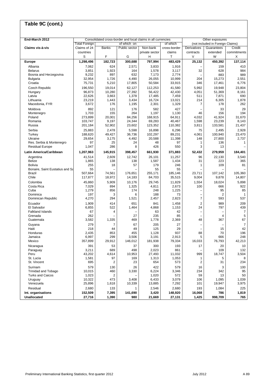| Table 9C (cont.)                                      |                      |                 |                   |                                                              |                   |                          |                                                     |                   |
|-------------------------------------------------------|----------------------|-----------------|-------------------|--------------------------------------------------------------|-------------------|--------------------------|-----------------------------------------------------|-------------------|
|                                                       |                      |                 |                   |                                                              |                   |                          |                                                     |                   |
| End-March 2012                                        | <b>Total Foreign</b> |                 | of which on       | Consolidated cross-border and local claims in all currencies | of which          |                          | Other exposures<br>(not included in Foreign Claims) |                   |
| Claims vis-à-vis                                      | Claims of 24         | <b>Banks</b>    | Public sector     | Non-bank                                                     | cross-border      | <b>Derivatives</b>       | Guarantees                                          | Credit            |
|                                                       | countries<br>S       | F               | G                 | private sector<br>Н                                          | claims<br>Т       | contracts<br>$\vee$      | extended<br>W                                       | commitments<br>X  |
| <b>Europe</b>                                         | 1,298,496            | 182,723         | 300,688           | 797,994                                                      | 483,429           | 25,132                   | 450,392                                             | 137,114           |
| Albania                                               | 7,062                | 624             | 2,571             | 3,833                                                        | 1,916             |                          | 159                                                 | 410               |
| <b>Belarus</b>                                        | 3,851                | 1,923           | 164               | 1,578                                                        | 3,117             | 32                       | 628                                                 | 984               |
| Bosnia and Herzegovina                                | 9,232<br>32,954      | 897             | 632<br>4,490      | 7,173                                                        | 2,774<br>10,999   | 204                      | 883<br>15,273                                       | 989<br>2,551      |
| <b>Bulgaria</b><br>Croatia                            | 75,731               | 1,726<br>5,210  | 17,805            | 26,055<br>50,584                                             | 33,915            | 346                      | 17,461                                              | 6,776             |
| Czech Republic                                        | 196,550              | 19,014          | 62,127            | 112,253                                                      | 41,580            | 5,992                    | 19,948                                              | 23,804            |
| Hungary                                               | 96,873               | 10,280          | 27,392            | 56,422                                                       | 42,430            | 4,051                    | 51,369                                              | 8,161             |
| Latvia                                                | 22,626               | 3,663           | 1,378             | 17,485                                                       | 7,459             | 511                      | 7,871                                               | 690               |
| Lithuania                                             | 23,219               | 1,443           | 3,434             | 16,724                                                       | 13,021            | 214                      | 6,305                                               | 1,878             |
| Macedonia, FYR                                        | 3,672                | 176             | 1,195             | 2,301                                                        | 1,329             | 7                        | 178                                                 | 262               |
| Moldova<br>Montenegro                                 | 892<br>1,703         | 121<br>155      | 176<br>264        | 582<br>1,197                                                 | 427<br>1,130      | 46                       | 33<br>156                                           | 29<br>194         |
| Poland                                                | 273,899              | 20,001          | 84,256            | 168,915                                                      | 64,911            | 4,032                    | 41,924                                              | 31,670            |
| Romania                                               | 103,747              | 9,197           | 24,344            | 69,283                                                       | 40,467            | 1,598                    | 23,239                                              | 8,143             |
| Russia                                                | 201,184              | 52,902          | 23,602            | 123,352                                                      | 110,382           | 3,811                    | 133,581                                             | 21,437            |
| Serbia                                                | 25,883               | 2,478           | 5,598             | 16,898                                                       | 6,296             | 75                       | 2,495                                               | 2,928             |
| Turkev                                                | 188,620              | 49,427          | 36,736            | 102,297                                                      | 89,231            | 4,061                    | 100,940                                             | 23,470            |
| Ukraine<br>Res. Serbia & Montenegro                   | 29.654<br>97         | 3,175<br>25     | 4,492<br>24       | 20,588<br>48                                                 | 11,398<br>97      | 148<br>1                 | 27,800<br>136                                       | 2,737<br>1        |
| <b>Residual Europe</b>                                | 1,047                | 286             | 8                 | 426                                                          | 550               | 3                        | 13                                                  |                   |
| Latin America/Caribbean                               | 1,207,963            | 145,915         | 398,457           | 661,930                                                      | 371,883           | 52,432                   | 279,959                                             | 184,401           |
| Argentina                                             | 41,514               | 2,609           | 12,742            | 26,101                                                       | 11,257            | 96                       | 22,130                                              | 3,540             |
| <b>Belize</b>                                         | 1,865                | 138             | 138               | 1,587                                                        | 1,434             | 31                       | 223                                                 | 365               |
| <b>Bolivia</b>                                        | 255                  | 18              | 57                | 179                                                          | 246               | 1                        | 109                                                 | 81                |
| Bonaire, Saint Eustatius and Sa                       | 55                   |                 |                   | 55                                                           | 55                |                          |                                                     |                   |
| <b>Brazil</b><br>Chile                                | 507,664<br>117,877   | 74,561          | 176,651<br>14,183 | 255,171<br>84,703                                            | 185,146<br>35,515 | 23,711<br>9,004          | 107,142<br>9,878                                    | 105,360<br>14,807 |
| Colombia                                              | 45,860               | 18,972<br>5,909 | 10,176            | 29,745                                                       | 11,829            | 1,554                    | 18,024                                              | 5,898             |
| Costa Rica                                            | 7,029                | 894             | 1,325             | 4,811                                                        | 2,673             | 100                      | 666                                                 | 922               |
| Cuba                                                  | 1,279                | 856             | 174               | 248                                                          | 1,225             |                          | 95                                                  | 85                |
| Dominica                                              | 197                  | 3               | 6                 | 188                                                          | 73                |                          | 2                                                   | 1                 |
| Dominican Republic                                    | 4,270                | 294             | 1,521             | 2,457                                                        | 2,823             | 7                        | 593                                                 | 537               |
| Ecuador                                               | 1,909                | 414             | 651               | 841                                                          | 1,458             | $\overline{2}$           | 989                                                 | 209               |
| El Salvador<br><b>Falkland Islands</b>                | 6,855<br>67          | 522<br>4        | 1,464             | 4,868<br>63                                                  | 1,153<br>42       | 24                       | 797                                                 | 439<br>7          |
| Grenada                                               | 262                  |                 | 27                | 235                                                          | 85                |                          | $\overline{4}$                                      | 5                 |
| Guatemala                                             | 3,582                | 1,335           | 469               | 1,778                                                        | 2,369             | 48                       | 367                                                 | 67                |
| Guyana                                                | 279                  | 7               | 67                | 205                                                          | 27                | $\overline{\phantom{0}}$ |                                                     | $\overline{7}$    |
| Haiti                                                 | 218                  | 44              | 49                | 125                                                          | 29                |                          | 15                                                  | 42                |
| Honduras                                              | 2,435                | 853             | 455               | 1,128                                                        | 937               | 88                       | 70                                                  | 196               |
| Jamaica<br>Mexico                                     | 6,997<br>357,899     | 299<br>29,912   | 3,506<br>146,012  | 3,191                                                        | 2,913<br>79,334   | 5<br>16,033              | 666<br>76,793                                       | 248<br>42,213     |
| Nicaragua                                             | 391                  | 53              | 37                | 181,938<br>300                                               | 193               | 17                       | 20                                                  | 10                |
| Paraguay                                              | 3,211                | 689             | 498               | 2,023                                                        | 861               |                          | 109                                                 | 132               |
| Peru                                                  | 43,202               | 4,614           | 10,953            | 27,493                                                       | 11,032            | 999                      | 18,747                                              | 3,504             |
| St. Lucia                                             | 1,581                | 97              | 169               | 1,313                                                        | 1,053             | 1                        | 5                                                   | 8                 |
| St. Vincent                                           | 695                  | 2               | 23                | 654                                                          | 573               | 2                        | 31                                                  | 234               |
| Surinam                                               | 579                  | 130             | 26                | 422                                                          | 579               | 16                       | 3                                                   | 100               |
| <b>Trinidad and Tobago</b><br><b>Turks and Caicos</b> | 10,015<br>1,023      | 460<br>2        | 3,330             | 6,224<br>1,020                                               | 3,346<br>572      | 234<br>59                | 342<br>13                                           | 95<br>50          |
| Uruguay                                               | 10,322               | 473             | 3,408             | 6,433                                                        | 3,079             | 106                      | 1,095                                               | 1,039             |
| Venezuela                                             | 25,896               | 1,618           | 10,339            | 13,885                                                       | 7,292             | 101                      | 19,947                                              | 3,975             |
| Residual                                              | 2,680                | 133             | 1                 | 2,546                                                        | 2,680             | 193                      | 1,084                                               | 225               |
| Int. organisations                                    | 152,509              | 7,395           | 141,690           | 3,420                                                        | 148,920           | 16,068                   | 786                                                 | 1,819             |
| Unallocated                                           | 27,716               | 1,390           | 980               | 21,669                                                       | 27,131            | 1,425                    | 998,709                                             | 765               |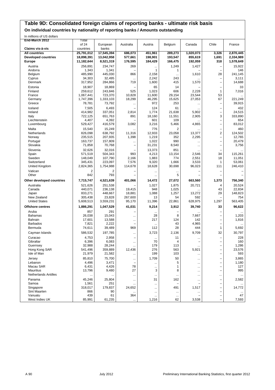#### **Table 9D: Consolidated foreign claims of reporting banks - ultimate risk basis**

**On individual countries by nationality of reporting banks / Amounts outstanding**

In millions of US dollars

| End-March 2012                | Total               |                   |                          |                 |                   |               |                          |                   |
|-------------------------------|---------------------|-------------------|--------------------------|-----------------|-------------------|---------------|--------------------------|-------------------|
|                               | of 24               | European          | Australia                | Austria         | Belgium           | Canada        | Chile                    | France            |
| Claims vis-à-vis              | countries           | banks             |                          |                 |                   |               |                          |                   |
| <b>All countries</b>          | 25,791,012          | 17,545,394        | 686,073                  | 451,961         | 289,273           | 1,020,073     | 3,326                    | 2,870,445         |
| <b>Developed countries</b>    | 18,898,391          | 13,042,958        | 577,661                  | 198,901         | 193,547           | 855,619       | 1,691                    | 2,334,989         |
| <b>Europe</b>                 | 11,182,644          | 8,521,319         | 176,595                  | 184,429         | 166,475           | 192,059       | 318                      | 1,578,649         |
| Austria                       |                     |                   | 269                      |                 |                   |               |                          |                   |
| Andorra                       | 256,891<br>1,343    | 234,747<br>1,341  |                          | $\mathbf{1}$    | 1,249<br>1        | 1,427         | $\qquad \qquad -$<br>L,  | 15,922<br>146     |
| Belgium                       | 485,990             | 445,030           | 866                      | 2,158           |                   | 1,610         | 28                       | 241,145           |
| Cyprus                        | 34,303              | 32,495            |                          | 2,242           | $\cdots$<br>243   |               | -                        | 3,111             |
| Denmark                       | 317,952             | 284,866           | $\cdots$<br>719          | 1,600           | 415               | 1,570         | $\overline{\phantom{0}}$ | 14,688            |
|                               |                     |                   |                          |                 |                   |               |                          |                   |
| Estonia                       | 18.907              | 18,869            |                          | 65              | 14                |               | -                        | 33                |
| Finland                       | 259.612             | 243,846           | 525                      | 1,023           | 606               | 2,228         | $\mathbf{1}$             | 7,016             |
| France                        | 1,067,441           | 723,370           | 10,828                   | 11,600          | 29,154            | 23,544        | 53<br>67                 |                   |
| Germany<br>Greece             | 1,747,396<br>78,781 | 1,333,103         | 18,299                   | 46,295<br>972   | 15,625<br>253     | 27,053        |                          | 221,249<br>39,915 |
|                               |                     | 73,792            | $\cdots$                 |                 |                   |               |                          |                   |
| Iceland                       | 7,505               | 6,493             |                          | 124             | 61                | $\cdots$      | -                        | 432               |
| Ireland                       | 414,982             | 337,051           | 2,814                    | 1,774           | 21,638            | 5,902         | $\overline{\phantom{0}}$ | 24,515            |
| Italy                         | 722,125             | 651,763           | 891                      | 18,160          | 11,551            | 2,905         | 3                        | 333,890           |
| Liechtenstein                 | 4,407               | 4,392             |                          | 601             | 109               |               | -                        | 654               |
| Luxembourg                    | 529,427             | 416,579           | 3,082                    | 3,216           | 5,466             | 4,865         | -                        | 83,012            |
| Malta                         | 15.540              | 15,249            |                          | 776             | $\overline{2}$    |               | -                        | 460               |
| Netherlands                   | 826,098             | 638,792           | 11,316                   | 12,933          | 23,058            | 13,377        | $\overline{\mathbf{c}}$  | 124,502           |
| Norway                        | 235,515             | 207,935           | 1,398                    | 1,219           | 352               | 2,295         | $\overline{\phantom{0}}$ | 12,765            |
| Portugal                      | 163,737             | 157,809           |                          | 1,022           | 990               | $\ddotsc$     | $\overline{\phantom{0}}$ | 20,479            |
| Slovakia                      | 71,858              | 70,768            | $\overline{\phantom{0}}$ | 31,231          | 8,540             |               | -                        | 3,756             |
| Slovenia                      | 32,626              | 32,016            |                          | 13,373          | 851               |               |                          |                   |
| Spain                         | 571,519             | 504,343           | 993                      | 4,213           | 13,154            | 2,546         | 34                       | 115,261           |
| Sweden                        | 148,049             | 107,790           | 2,166                    | 1,883           | 774               | 2,551         | 18                       | 11,051            |
| Switzerland                   | 345,431             | 223,097           | 7,576                    | 9,320           | 1,666             | 3,533         | 1                        | 53,061            |
| <b>United Kingdom</b>         | 2,824,365           | 1,754,988         | 114,678                  | 18,628          | 30,698            | 96,023        | 111                      | 246,410           |
| Vatican                       | $\overline{2}$      | $\overline{2}$    |                          |                 |                   |               | ÷                        |                   |
| Other                         | 842                 | 793               |                          |                 | 5                 |               | -                        |                   |
| Other developed countries     | 7,715,747           | 4,521,639         | 401,066                  | 14,472          | 27,072            | 663,560       | 1,373                    | 756,340           |
| Australia                     | 521,626             | 251,538           |                          | 1,027           | 1,875             | 20,721        | 4                        | 20,524            |
| Canada                        | 440,071             | 236,138           | 19,415                   | 948             | 1,025             |               | 43                       | 22,834            |
| Japan                         | 833,271             | 448,667           | 18,881                   | 1,088           | 1,257             | 13,272        | 29                       | 148,823           |
| New Zealand                   | 305,438             | 23,828            | 267,600                  | 13              | 54                | 592           |                          | 754               |
| <b>United States</b>          | 5,608,513           | 3,559,231         | 95,170                   | 11,396          | 22,861            | 628,975       | 1,297                    | 563,405           |
| <b>Offshore centres</b>       | 1,886,291           | 1,047,529         | 41,031                   | 9,214           | 3,912             | 39,740        | 33                       | 96,622            |
| Aruba                         | 857                 | 291               |                          |                 |                   |               |                          |                   |
| <b>Bahamas</b>                | 26,038              | 15,043            | $\cdots$                 | $\ddotsc$<br>28 | 8                 | 7,667         | -                        | 1,203             |
| Bahrain                       | 17,601              | 13,588            |                          | 217             | 124               | 142           | L,                       | 1,816             |
| <b>Barbados</b>               | 7,821               | 2,222             | L,                       |                 | 43                | 4,965         | -                        |                   |
| Bermuda                       | 74,611              | 39,489            | 969                      | 112             | 28                | 444           | 1                        | 5,692             |
| Cayman Islands                | 586,532             | 197,785           | $\cdots$                 | 3,723           | 2,136             | 9,709         | 32                       | 30,797            |
|                               |                     |                   |                          |                 |                   |               |                          |                   |
| Curacao<br>Gibraltar          | 4,753<br>6,396      | 2,958<br>6,083    |                          | <br>70          | 11<br>4           | $\cdots$<br>÷ | $\overline{\phantom{0}}$ | 228<br>160        |
|                               |                     |                   | $\cdots$                 | 179             | 113               |               |                          | 1,286             |
| Guernsey                      | 32,988              | 28,244<br>359,889 | 12,436                   | 276             | 563               | 5,921         |                          |                   |
| Hong Kong SAR<br>Isle of Man  | 541,496<br>21,979   | 21,582            |                          | 199             | 103               |               | $\qquad \qquad -$<br>-   | 23,576<br>593     |
|                               |                     |                   |                          |                 |                   |               |                          |                   |
| Jersey                        | 85,810              | 75,700            | $\cdots$                 | 1,709           | 50                | $\cdots$      | -                        | 3,865             |
| Lebanon                       | 4,496               | 3,471             | $\overline{\phantom{0}}$ |                 | 5                 | $\cdots$      | ÷                        | 1,180             |
| Macau SAR<br><b>Mauritius</b> | 6,431               | 4,426             | 78<br>27                 |                 | 1                 | $\cdots$      | $\overline{\phantom{0}}$ | 127               |
| <b>Netherlands Antilles</b>   | 13,796              | 9,480             |                          | 3               | 8                 | $\cdots$      | -                        | 995               |
|                               |                     | $\cdots$          |                          |                 | $\ldots$          |               |                          | $\cdots$          |
| Panama                        | 45,246              | 25,804            | $\cdots$                 | 31              | 162               | $\cdots$      | ۰                        | 2,582             |
| Samoa                         | 1,561               | 251               |                          |                 | $\qquad \qquad -$ |               | ÷                        |                   |
| Singapore                     | 318,017             | 179,837           | 24,652                   |                 | 491               | 1,517         | -                        | 14,772            |
| Sint Maarten<br>Vanuatu       | 866<br>439          | 90<br>61          | $\cdots$<br>364          |                 | $\cdots$          | $\cdots$      | -<br>-                   | 47                |
| West Indies UK                | 85,991              | 61,235            |                          | 1,216           | $\ddotsc$<br>62   | 3,538         | -                        | 7,593             |
|                               |                     |                   |                          |                 |                   |               |                          |                   |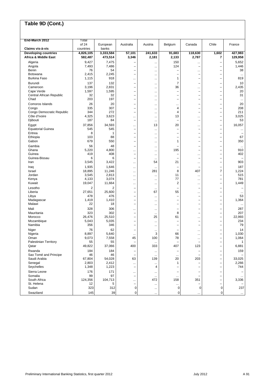| End-March 2012                    |                 | Total           |                                                      |                        |                          |                                                      |                                                      |                  |  |
|-----------------------------------|-----------------|-----------------|------------------------------------------------------|------------------------|--------------------------|------------------------------------------------------|------------------------------------------------------|------------------|--|
|                                   | of 24           | European        | Australia                                            | Austria                | Belgium                  | Canada                                               | Chile                                                | France           |  |
| Claims vis-à-vis                  | countries       | banks           |                                                      |                        |                          |                                                      |                                                      |                  |  |
| <b>Developing countries</b>       | 4,826,105       | 3,333,584       | 57,101                                               | 241,633                | 91,683                   | 118,630                                              | 1,602                                                | 427,983          |  |
| <b>Africa &amp; Middle East</b>   | 582,487         | 473,514         | 3,346                                                | 2,181                  | 2,133                    | 2,787                                                | 7                                                    | 129,958          |  |
| Algeria                           | 9,427           | 7,475           |                                                      | $\ddotsc$              | 150                      |                                                      | $\qquad \qquad -$                                    | 5,652            |  |
| Angola                            | 7,493           | 7,486           | $\overline{\phantom{0}}$                             | $\ddotsc$              | 124                      | $\overline{\phantom{0}}$                             | $\overline{\phantom{0}}$                             | 1,446            |  |
| Benin                             | 76              | 54              | L.                                                   | $\cdots$               |                          |                                                      | $\overline{\phantom{0}}$                             | 38               |  |
| Botswana<br><b>Burkina Faso</b>   | 2,415<br>1,115  | 2,245<br>918    |                                                      |                        | 1                        | $\overline{\phantom{0}}$                             | $\overline{\phantom{0}}$<br>$\overline{\phantom{0}}$ | $\ddotsc$<br>819 |  |
| Burundi                           | 137             | 132             |                                                      |                        | 7                        | $\overline{\phantom{0}}$                             |                                                      | 10               |  |
| Cameroon                          | 3,196           | 2,831           | $\qquad \qquad -$<br>$\overline{\phantom{0}}$        | $\ddotsc$<br>$\ddotsc$ | 36                       |                                                      | -<br>$\overline{\phantom{0}}$                        | 2,435            |  |
| Cape Verde                        | 1,597           | 1,595           | $\overline{\phantom{0}}$                             | $\ddotsc$              | ÷                        | ÷                                                    | $\overline{\phantom{0}}$                             | 20               |  |
| Central African Republic          | 32              | 32              | L.                                                   | $\cdots$               | L,                       |                                                      | $\overline{\phantom{0}}$                             | 31               |  |
| Chad                              | 203             | 197             |                                                      |                        |                          |                                                      | -                                                    | $\ddotsc$        |  |
| Comoros Islands                   | 26              | 20              | $\overline{\phantom{0}}$                             |                        |                          |                                                      | -                                                    | 20               |  |
| Congo                             | 335             | 307             | $\qquad \qquad -$                                    | $\ddotsc$              | 4                        | $\overline{\phantom{0}}$                             | -                                                    | 208              |  |
| Congo Democratic Republic         | 344             | 272             | $\overline{\phantom{0}}$                             | $\cdots$               | 4                        | ÷                                                    | $\overline{\phantom{0}}$                             | 211              |  |
| Côte d'Ivoire<br>Djibouti         | 4,325<br>187    | 3,623<br>84     | <br>$\qquad \qquad -$                                |                        | 13<br>L,                 | <br>$\qquad \qquad -$                                | $\overline{\phantom{0}}$                             | 3,025<br>53      |  |
|                                   |                 |                 |                                                      | $\cdots$               |                          |                                                      | -                                                    |                  |  |
| Egypt<br><b>Equatorial Guinea</b> | 37,856<br>545   | 34,593<br>545   | <br>$\qquad \qquad -$                                | 13                     | 20                       | <br>۰                                                | $\qquad \qquad -$<br>-                               | 16,057           |  |
| Eritrea                           | 8               | 1               | $\qquad \qquad -$                                    | $\ddotsc$<br>$\ddotsc$ | ۳                        | $\overline{\phantom{0}}$                             | -                                                    | $\ddotsc$        |  |
| Ethiopia                          | 103             | 88              | $\overline{\phantom{0}}$                             | $\cdots$               | ÷                        | ÷                                                    | L,                                                   | 67               |  |
| Gabon                             | 679             | 550             | $\qquad \qquad -$                                    |                        | 1                        | ÷                                                    | $\qquad \qquad -$                                    | 350              |  |
| Gambia                            | 56              | 48              | $\overline{\phantom{0}}$                             | $\ddotsc$              |                          | $\overline{\phantom{0}}$                             | -                                                    | $\ddots$         |  |
| Ghana                             | 5,220           | 4,800           |                                                      | $\ddotsc$              | 195                      | ÷                                                    | $\overline{\phantom{0}}$                             | 910              |  |
| Guinea                            | 419             | 408             | $\qquad \qquad -$                                    | $\ddotsc$              | -                        |                                                      | -                                                    | 402              |  |
| Guinea-Bissau                     | 6               | 6               | $\overline{\phantom{0}}$                             | $\ddotsc$              | ۰                        | ÷                                                    | $\overline{\phantom{0}}$                             |                  |  |
| Iran                              | 3,545           | 3,422           | $\cdots$                                             | 54                     | 21                       | $\ddotsc$                                            | L,                                                   | 903              |  |
| Iraq                              | 1,935           | 1,646           | $\cdots$                                             | $\ddotsc$              | ۰                        | $\overline{\phantom{0}}$                             | $\qquad \qquad -$                                    | 187              |  |
| Israel<br>Jordan                  | 18,895<br>3,545 | 11,246<br>2,813 |                                                      | 281                    | 8<br>11                  | 407                                                  | $\overline{7}$                                       | 1,224<br>515     |  |
| Kenya                             | 4,133           | 3,074           | <br>                                                 | <br>$\ddotsc$          | 77                       | $\ddotsc$<br>$\ddotsc$                               | -<br>-                                               | 781              |  |
| Kuwait                            | 19,047          | 11,664          |                                                      | $\ddotsc$              | 2                        | $\ddotsc$                                            | $\overline{\phantom{0}}$                             | 1,449            |  |
| Lesotho                           | $\overline{2}$  | 2               | $\overline{\phantom{0}}$                             | $\ddotsc$              |                          | $\overline{\phantom{0}}$                             | $\overline{\phantom{0}}$                             |                  |  |
| Liberia                           | 27,651          | 25,600          | $\overline{\phantom{0}}$                             | 67                     | 55                       | $\ddotsc$                                            | $\overline{\phantom{0}}$                             | $\ddotsc$        |  |
| Libya                             | 478             | 476             | $\overline{\phantom{0}}$                             | $\ddotsc$              | ۳                        | $\overline{\phantom{m}}$                             | -                                                    | 53               |  |
| Madagascar                        | 1,419           | 1,410           | $\qquad \qquad -$                                    |                        | -                        |                                                      | -                                                    | 1,364            |  |
| Malawi                            | 22              | 18              | $\overline{\phantom{0}}$                             | $\ddotsc$              | ÷                        | $\overline{\phantom{0}}$                             | $\overline{\phantom{0}}$                             | $\ddotsc$        |  |
| Mali                              | 328             | 306             |                                                      | $\ddotsc$              |                          |                                                      | -                                                    | 287              |  |
| Mauritania                        | 323             | 302             | $\overline{\phantom{0}}$                             |                        | 8                        | $\overline{\phantom{0}}$                             | -                                                    | 207              |  |
| Morocco<br>Mozambique             | 26,476<br>5,043 | 25,510<br>5,035 | $\overline{\phantom{0}}$<br>$\overline{\phantom{0}}$ | 25                     | 61<br>۰                  | $\ddotsc$<br>$\overline{\phantom{m}}$                | $\qquad \qquad -$<br>-                               | 22,993<br>234    |  |
| Namibia                           | 356             | 346             | $\qquad \qquad -$                                    | $\ddotsc$<br>$\ddotsc$ | -                        |                                                      | -                                                    | 79               |  |
| Niger                             | 76              | 62              |                                                      |                        |                          |                                                      | -                                                    | 14               |  |
| Nigeria                           | 8,897           | 5,640           |                                                      | <br>3                  | 66                       | <br>$\ddotsc$                                        | $\overline{\phantom{0}}$                             | 1,030            |  |
| Oman                              | 9,073           | 7,558           | 45                                                   | 100                    | 78                       | $\cdots$                                             | $\overline{\phantom{0}}$                             | 1,064            |  |
| <b>Palestinian Territory</b>      | 55              | 55              | $\overline{\phantom{0}}$                             |                        |                          |                                                      |                                                      | 1                |  |
| Qatar                             | 49,822          | 37,066          | 400                                                  | 333                    | 407                      | 123                                                  | $\overline{\phantom{0}}$                             | 6,881            |  |
| Rwanda                            | 184             | 184             |                                                      |                        |                          |                                                      | $\qquad \qquad -$                                    | 159              |  |
| Sao Tomé and Principe             | 46              | 46              |                                                      |                        |                          |                                                      | -                                                    |                  |  |
| Saudi Arabia                      | 67,804          | 54,028          | 63                                                   | 139                    | 20                       | 203                                                  | $\qquad \qquad -$                                    | 33,025           |  |
| Senegal<br>Seychelles             | 2,803           | 2,412<br>1,223  | $\cdots$<br>$\overline{\phantom{0}}$                 | $\ddotsc$<br>4         | 1<br>۳                   | $\overline{\phantom{0}}$<br>$\overline{\phantom{0}}$ | $\overline{\phantom{0}}$<br>$\qquad \qquad -$        | 2,266<br>744     |  |
|                                   | 1,348           |                 |                                                      |                        |                          |                                                      |                                                      |                  |  |
| Sierra Leone<br>Somalia           | 176<br>99       | 171<br>97       | $\cdots$<br>$\overline{\phantom{0}}$                 | $\cdots$               | $\overline{\phantom{0}}$ |                                                      | $\qquad \qquad -$<br>$\overline{\phantom{0}}$        |                  |  |
| South Africa                      | 124,356         | 104,713         |                                                      | <br>472                | <br>158                  | 351                                                  | -                                                    | 3,336            |  |
| St. Helena                        | 12              | 5               | $\overline{\phantom{m}}$                             | $\cdots$               |                          | ۰                                                    | $\qquad \qquad -$                                    |                  |  |
| Sudan                             | 323             | 312             | 0                                                    | $\ddotsc$              | 0                        | 0                                                    | 0                                                    | 237              |  |
| Swaziland                         | 145             | 39              | 0                                                    |                        | 0                        | $\ddotsc$                                            | 0                                                    | $\ldots$         |  |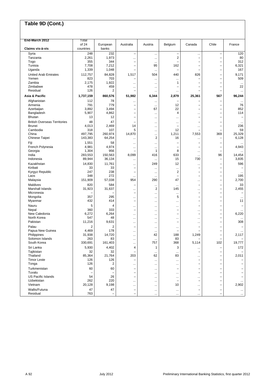| End-March 2012                      | Total              |                   |                              |                |                          |                          |                               |                          |
|-------------------------------------|--------------------|-------------------|------------------------------|----------------|--------------------------|--------------------------|-------------------------------|--------------------------|
| Claims vis-à-vis                    | of 24<br>countries | European<br>banks | Australia                    | Austria        | Belgium                  | Canada                   | Chile                         | France                   |
| Syria                               | 248                | 232               | $\overline{\phantom{0}}$     |                | -                        |                          | $\qquad \qquad -$             | 120                      |
| Tanzania                            | 2,261              | 1,973             |                              | $\cdots$       | 2                        | <br>÷                    | $\overline{\phantom{0}}$      | 80                       |
| Togo                                | 355                | 344               | <br>L.                       | $\ddotsc$<br>  |                          |                          | $\qquad \qquad -$             | 312                      |
| Tunisia                             | 7,708              | 7,212             |                              | 95             | 162                      |                          | -                             | 6,321                    |
| Uganda                              | 1,339              | 1,048             | $\overline{\phantom{0}}$     | $\cdots$       | ÷                        | -                        | $\qquad \qquad -$             | 167                      |
| <b>United Arab Emirates</b>         | 112,757            | 84,828            |                              | 504            | 440                      | 826                      |                               | 9,171                    |
| Yemen                               | 823                | 703               | 1,517                        |                |                          |                          | -<br>$\overline{\phantom{0}}$ | 509                      |
| Zambia                              | 2,175              | 1,922             |                              | $\cdots$       | <br>1                    |                          | -                             |                          |
| Zimbabwe                            | 478                | 459               |                              |                | L,                       |                          | $\qquad \qquad -$             | $\ldots$<br>22           |
| Residual                            | 126                | 2                 | <br>$\overline{\phantom{0}}$ | <br>$\cdots$   |                          | $\overline{\phantom{0}}$ | $\overline{\phantom{0}}$      | $\ddotsc$                |
|                                     |                    |                   |                              |                |                          |                          |                               |                          |
| Asia & Pacific                      | 1,737,159          | 860,576           | 51,982                       | 6,344          | 2,879                    | 25,361                   | 567                           | 96,244                   |
| Afghanistan                         | 112                | 78                |                              | $\ddotsc$      |                          |                          | $\overline{\phantom{0}}$      | $\cdots$                 |
| Armenia                             | 791                | 779               | $\overline{\phantom{0}}$     | $\cdots$       | 12                       |                          | -                             | 76                       |
| Azerbaijan                          | 3,892              | 3,494             |                              | 67             | 22                       |                          | -                             | 852                      |
| Bangladesh                          | 5,907              | 4,862             | Ē,                           |                | 4                        | $\cdots$                 | $\overline{\phantom{0}}$      | 114                      |
| Bhutan                              | 13                 | 12                | $\overline{\phantom{0}}$     | $\cdots$       |                          | $\sim$                   | $\overline{\phantom{0}}$      | $\overline{\phantom{0}}$ |
| <b>British Overseas Territories</b> | 48                 | 47                |                              | $\ddotsc$      |                          |                          | -                             | $\ddotsc$                |
| <b>Brunei</b>                       | 4,013              | 2,469             | 14                           | $\ddotsc$      | ÷                        |                          | $\qquad \qquad -$             | 236                      |
| Cambodia                            | 318                | 107               | 5                            | $\ddotsc$      | 12                       |                          | $\overline{\phantom{0}}$      | 59                       |
| China                               | 497,795            | 260,974           | 14,870                       |                | 1,211                    | 7,553                    | 369                           | 25,329                   |
| Chinese Taipei                      | 143,383            | 64,254            |                              | $\overline{2}$ | 16                       | $\cdots$                 | -                             | 6,128                    |
| Fiji                                | 1,551              | 58                |                              |                |                          |                          | $\overline{\phantom{0}}$      | $\ddotsc$                |
| French Polynesia                    | 4,981              | 4,974             |                              | $\ddotsc$      |                          |                          | -                             | 4,943                    |
| Georgia                             | 1,304              | 956               |                              | 1              | 8                        | $\cdots$                 | $\overline{\phantom{0}}$      | $\ddotsc$                |
| India                               | 283,553            | 150,563           | 8,099                        | 416            | 633                      | $\ldots$                 | 96                            | 14,454                   |
| Indonesia                           | 89,944             | 36,134            |                              | $\ddotsc$      | 15                       | 730                      | $\qquad \qquad -$             | 3,835                    |
| Kazakhstan                          | 14,830             | 11,761            |                              | 249            | 12                       | $\cdots$                 | $\overline{\phantom{0}}$      | 596                      |
| Kiribati                            | 33                 | 33                | -                            |                |                          |                          | $\overline{\phantom{0}}$      |                          |
| Kyrgyz Republic                     | 247                | 238               | $\overline{\phantom{0}}$     | $\ddotsc$      | 2                        | $\equiv$                 | L.                            | $\ddotsc$                |
| Laos                                | 348                | 272               |                              | $\cdots$       | ÷                        | $\overline{\phantom{0}}$ | $\overline{\phantom{0}}$      | 195                      |
| Malaysia                            | 151,909            | 57,038            | 954                          | 290            | 47                       | $\cdots$                 | $\qquad \qquad -$             | 2,700                    |
| Maldives                            | 820                | 584               | $\overline{\phantom{0}}$     | $\ddotsc$      | $\ddotsc$                | $\overline{\phantom{0}}$ | $\overline{\phantom{0}}$      | 33                       |
| Marshall Islands                    | 31,923             | 31,637            |                              | $\overline{2}$ | 145                      |                          | $\qquad \qquad -$             | 2,455                    |
| Micronesia                          |                    |                   | -                            |                |                          |                          | -                             |                          |
| Mongolia                            | 357                | 295               |                              | $\ddotsc$      | 5                        |                          | -                             | $\ddotsc$                |
| Myanmar                             | 432                | 414               | $\overline{\phantom{0}}$     | $\cdots$       |                          |                          | $\overline{\phantom{0}}$      | 11                       |
| Nauru                               | 5                  | $\overline{4}$    |                              |                |                          | $\overline{\phantom{0}}$ | $\overline{\phantom{0}}$      |                          |
| Nepal                               | 360                | 333               | <br>$\overline{\phantom{0}}$ | $\cdots$       | <br>۳                    |                          | $\overline{\phantom{0}}$      |                          |
| New Caledonia                       | 6,272              | 6,264             |                              | <br>$\ddotsc$  | $\overline{\phantom{0}}$ | <br>÷                    | $\overline{\phantom{0}}$      | $\ddotsc$<br>6,220       |
| North Korea                         | 547                | 48                |                              |                |                          |                          | $\overline{\phantom{0}}$      |                          |
| Pakistan                            | 11,216             | 9,631             | <br>$\ddotsc$                | <br>$\ddotsc$  | <br>۳                    | $\cdots$                 | $\qquad \qquad -$             | $\ddotsc$<br>308         |
|                                     | $\overline{2}$     |                   | $\overline{\phantom{0}}$     |                |                          | $\equiv$                 | Ē,                            |                          |
| Palau<br>Papua New Guinea           | 4,469              | 2<br>178          |                              |                | <br>۳                    |                          | $\overline{\phantom{0}}$      |                          |
| Philippines                         | 31,938             | 14,720            | $\ddotsc$                    | $\cdots$<br>42 | 188                      | 1,249                    | -                             | $\cdots$<br>2,117        |
| Solomon Islands                     | 263                | 83                |                              |                | 83                       |                          |                               |                          |
| South Korea                         | 330,691            | 161,403           |                              | <br>757        | 368                      | 5,114                    | -<br>102                      | -<br>19,777              |
|                                     |                    |                   |                              |                |                          |                          |                               |                          |
| Sri Lanka                           | 5,930              | 4,402             | 4                            | 1              | 3                        | $\cdots$                 | -                             | 172                      |
| Tajikistan                          | 32                 | 32                |                              | $\cdots$       | $\cdots$                 | $\overline{\phantom{0}}$ | -                             |                          |
| Thailand                            | 85,364             | 21,764            | 203                          | 62             | 83                       | $\ldots$                 | $\overline{\phantom{0}}$      | 2,011                    |
| <b>Timor Leste</b>                  | 126                | 126               |                              |                |                          | -                        | $\qquad \qquad -$             |                          |
| Tonga                               | 126                | 2                 |                              | $\ddotsc$      |                          |                          | -                             |                          |
| Turkmenistan                        | 60                 | 60                |                              | $\ddotsc$      |                          |                          | -                             |                          |
| Tuvalu                              | $\qquad \qquad -$  |                   | $\overline{\phantom{0}}$     | $\ddotsc$      |                          |                          | $\overline{\phantom{0}}$      |                          |
| <b>US Pacific Islands</b>           | 54                 | 26                | $\overline{\phantom{0}}$     | $\ddotsc$      | $\cdots$                 | $\cdots$                 | $\qquad \qquad -$             |                          |
| Uzbekistan                          | 262                | 220               |                              | $\cdots$       | -                        |                          | -                             | $\cdots$                 |
| Vietnam                             | 20,128             | 9,198             |                              | $\ddotsc$      | 10                       | $\cdots$                 | $\qquad \qquad -$             | 2,902                    |
| Wallis/Futuna                       | 47                 | 47                | $\overline{\phantom{0}}$     | $\cdots$       | $\ldots$                 |                          | $\qquad \qquad -$             | $\ldots$                 |
| Residual                            | 763                |                   |                              |                |                          | $\cdots$                 | -                             | $\ldots$                 |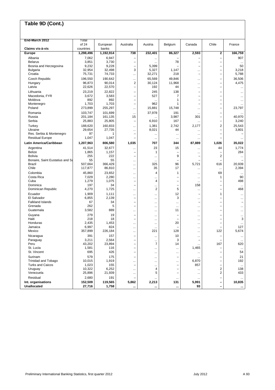| Chile<br>of 24<br>European<br>Australia<br>Austria<br>Belgium<br>Canada<br>France<br>Claims vis-à-vis<br>countries<br>banks<br>1,298,496<br>1,192,914<br>738<br>232,401<br>86,327<br>2,593<br>2<br>166,759<br><b>Europe</b><br>Albania<br>7,062<br>6,947<br>907<br>-<br><br>3,851<br>3,730<br><b>Belarus</b><br>78<br>$\overline{\phantom{0}}$<br>$\overline{\phantom{0}}$<br>$\overline{\phantom{0}}$<br>$\ddotsc$<br>$\ddotsc$<br>9,232<br>9,228<br>Bosnia and Herzegovina<br>5,399<br>50<br>$\overline{\phantom{0}}$<br>$\overline{\phantom{0}}$<br>$\qquad \qquad -$<br>32,954<br>32,498<br>3<br>5,327<br>1,147<br>3,218<br>Bulgaria<br>-<br><br>Croatia<br>75,731<br>74,733<br>32,271<br>218<br>5,788<br>$\overline{\phantom{0}}$<br>-<br><br><b>Czech Republic</b><br>196,550<br>36,506<br>190,642<br>65,569<br>49,846<br>-<br><br><br>96,873<br>90,014<br>2<br>30,124<br>11,968<br>4,475<br>Hungary<br>-<br><br>22,626<br>22,570<br>Latvia<br>192<br>44<br>$\overline{a}$<br>-<br><br><br>23,219<br>22,822<br>245<br>138<br>Lithuania<br>-<br>-<br><br>3,583<br>7<br>Macedonia, FYR<br>3,672<br>527<br>-<br>$\ddotsc$<br>$\mathbf{1}$<br>Moldova<br>892<br>892<br>$\overline{\phantom{0}}$<br>-<br>$\ddotsc$<br>$\cdots$<br>1,703<br>Montenegro<br>1,703<br>962<br>1<br>$\qquad \qquad -$<br>$\overline{\phantom{0}}$<br><br>273,899<br>255,297<br>Poland<br>15,881<br>15,748<br>23,797<br>-<br><br><br>103,747<br>101,699<br>37,978<br>191<br>Romania<br>-<br><br><br>3,987<br>Russia<br>201,184<br>161,135<br>15<br>301<br>40,970<br>$\overline{\phantom{0}}$<br>.<br>Serbia<br>25,883<br>25,805<br>6,910<br>167<br>3,240<br>$\overline{\phantom{0}}$<br>-<br><br>188,620<br>160,833<br>$\overline{2}$<br>25,543<br>Turkey<br>1,381<br>2,742<br>2,177<br><br>Ukraine<br>29,654<br>8,021<br>3,801<br>27,735<br>44<br>$\overline{\phantom{0}}$<br>$\cdots$<br><br>Res. Serbia & Montenegro<br>97<br>1<br>$\overline{\phantom{0}}$<br>-<br><br>$\cdots$<br><br>1,047<br><b>Residual Europe</b><br>1,047<br>-<br>-<br><br>$\ddotsc$<br><br>$\ddotsc$<br>Latin America/Caribbean<br>1,207,963<br>806,580<br>1,035<br>707<br>344<br>87,889<br>1,026<br>35,022<br>32,677<br>23<br>1,774<br>Argentina<br>41,514<br>15<br>44<br><br><br><b>Belize</b><br>1,865<br>1,157<br>284<br>$\mathbf{1}$<br>L.<br>÷<br>$\qquad \qquad -$<br>$\cdots$<br>255<br>222<br>9<br>$\overline{\mathbf{c}}$<br><b>Bolivia</b><br>$\overline{\phantom{0}}$<br>$\overline{\phantom{0}}$<br><br>$\ddotsc$<br>55<br>55<br>Bonaire, Saint Eustatius and Sa<br>۳<br>-<br><br>$\ddotsc$<br>366,429<br>325<br>96<br><b>Brazil</b><br>507.664<br>5,721<br>616<br>20.939<br><br>Chile<br>117,877<br>86,810<br>35<br>17<br>2,394<br><br>$\ldots$<br>$\ddotsc$<br>Colombia<br>45,860<br>23,652<br>$\overline{4}$<br>69<br>1<br>$\ddotsc$<br>$\cdots$<br>$\ddotsc$<br>7,029<br>Costa Rica<br>2,280<br>90<br>1<br>÷<br>$\ldots$<br><br><br>1,279<br>1,075<br>498<br>Cuba<br>$\overline{4}$<br>$\overline{\phantom{0}}$<br>$\overline{\phantom{0}}$<br>$\overline{\phantom{0}}$<br>$\ddotsc$<br>197<br>34<br>158<br>Dominica<br>$\overline{\phantom{0}}$<br>-<br>-<br><br>$\ddotsc$<br>4,270<br>1,725<br>$\overline{2}$<br>5<br>468<br>Dominican Republic<br>-<br><br><br>1,909<br>1,111<br>12<br>Ecuador<br>1<br>$\overline{\phantom{0}}$<br><br><br><br>6,855<br>2,139<br>3<br>El Salvador<br>-<br>$\overline{\phantom{0}}$<br><br>$\ddotsc$<br><br><b>Falkland Islands</b><br>67<br>34<br>$\overline{\phantom{0}}$<br>$\overline{\phantom{0}}$<br>-<br>$\overline{\phantom{a}}$<br><br>$\cdots$<br>262<br>5<br>Grenada<br>$\overline{\phantom{0}}$<br>$\overline{\phantom{0}}$<br><br><br><br><br>3,582<br>889<br>Guatemala<br>11<br>$\overline{\phantom{0}}$<br><br><br><br><br>279<br>Guyana<br>19<br>Ē,<br>$\overline{\phantom{0}}$<br>$\cdots$<br><br>$\cdots$<br>Haiti<br>218<br>18<br>3<br>$\overline{\phantom{0}}$<br>÷<br>$\overline{\phantom{0}}$<br><br><br>Honduras<br>2,435<br>1,453<br>20<br>$\overline{\phantom{0}}$<br><br><br><br>$\ddotsc$<br>6,997<br>824<br>127<br>Jamaica<br>-<br><br><br>$\ddotsc$<br>357,899<br>5,674<br>Mexico<br>226,184<br>221<br>128<br>122<br><br><br>391<br>157<br>10<br>Nicaragua<br>$\overline{\phantom{0}}$<br>-<br>$\cdots$<br>$\cdots$<br>$\cdots$<br>3,211<br>2,564<br>3<br>Paraguay<br>-<br>$\overline{\phantom{0}}$<br>-<br><br>$\cdots$<br>23,894<br>Peru<br>43,202<br>7<br>14<br>167<br>620<br>-<br>$\cdots$<br>1,581<br>St. Lucia<br>116<br>1,465<br>L,<br>$\overline{\phantom{0}}$<br>$\cdots$<br>$\cdots$<br>$\ddotsc$<br>St. Vincent<br>695<br>426<br>54<br>$\overline{\phantom{0}}$<br>$\overline{\phantom{0}}$<br><br><br><br>579<br>175<br>Surinam<br>21<br>$\overline{\phantom{0}}$<br>$\overline{\phantom{0}}$<br>-<br>$\cdots$<br>$\cdots$<br>1,919<br><b>Trinidad and Tobago</b><br>10,015<br>6,870<br>192<br>$\overline{\phantom{0}}$<br><br><br>$\cdots$<br><b>Turks and Caicos</b><br>1,023<br>155<br>857<br>$\overline{\phantom{0}}$<br>-<br>$\ldots$<br><br>10,322<br>6,252<br>$\overline{\mathbf{c}}$<br>138<br>Uruguay<br>4<br>-<br><br><br>Venezuela<br>25,896<br>5<br>21,939<br>2<br>433<br>-<br>$\cdots$<br>$\cdots$<br>Residual<br>2,680<br>191<br>-<br><br>$\cdots$<br><br>$\cdots$<br>Int. organisations<br>152,509<br>119,565<br>5,862<br>2,213<br>131<br>5,991<br>10,835<br>-<br><b>Unallocated</b><br>27,716<br>1,758<br>93<br>-<br>$\cdots$<br><br><br> | End-March 2012 | Total |  |  |  |  |
|------------------------------------------------------------------------------------------------------------------------------------------------------------------------------------------------------------------------------------------------------------------------------------------------------------------------------------------------------------------------------------------------------------------------------------------------------------------------------------------------------------------------------------------------------------------------------------------------------------------------------------------------------------------------------------------------------------------------------------------------------------------------------------------------------------------------------------------------------------------------------------------------------------------------------------------------------------------------------------------------------------------------------------------------------------------------------------------------------------------------------------------------------------------------------------------------------------------------------------------------------------------------------------------------------------------------------------------------------------------------------------------------------------------------------------------------------------------------------------------------------------------------------------------------------------------------------------------------------------------------------------------------------------------------------------------------------------------------------------------------------------------------------------------------------------------------------------------------------------------------------------------------------------------------------------------------------------------------------------------------------------------------------------------------------------------------------------------------------------------------------------------------------------------------------------------------------------------------------------------------------------------------------------------------------------------------------------------------------------------------------------------------------------------------------------------------------------------------------------------------------------------------------------------------------------------------------------------------------------------------------------------------------------------------------------------------------------------------------------------------------------------------------------------------------------------------------------------------------------------------------------------------------------------------------------------------------------------------------------------------------------------------------------------------------------------------------------------------------------------------------------------------------------------------------------------------------------------------------------------------------------------------------------------------------------------------------------------------------------------------------------------------------------------------------------------------------------------------------------------------------------------------------------------------------------------------------------------------------------------------------------------------------------------------------------------------------------------------------------------------------------------------------------------------------------------------------------------------------------------------------------------------------------------------------------------------------------------------------------------------------------------------------------------------------------------------------------------------------------------------------------------------------------------------------------------------------------------------------------------------------------------------------------------------------------------------------------------------------------------------------------------------------------------------------------------------------------------------------------------------------------------------------------------------------------------------------------------------------------------------------------------------------------------------------------------------------------------------------------------------------------------------------------------------------------------------------------------------------------------------------------------------------------------------------------------------------------------------------------------------------------------------------------------------------------------------------------------------------------------------------------------------------------------------------------------------------------------------------------------------------------------------------------------------------------------------------------------------------------------------------------------------------------|----------------|-------|--|--|--|--|
|                                                                                                                                                                                                                                                                                                                                                                                                                                                                                                                                                                                                                                                                                                                                                                                                                                                                                                                                                                                                                                                                                                                                                                                                                                                                                                                                                                                                                                                                                                                                                                                                                                                                                                                                                                                                                                                                                                                                                                                                                                                                                                                                                                                                                                                                                                                                                                                                                                                                                                                                                                                                                                                                                                                                                                                                                                                                                                                                                                                                                                                                                                                                                                                                                                                                                                                                                                                                                                                                                                                                                                                                                                                                                                                                                                                                                                                                                                                                                                                                                                                                                                                                                                                                                                                                                                                                                                                                                                                                                                                                                                                                                                                                                                                                                                                                                                                                                                                                                                                                                                                                                                                                                                                                                                                                                                                                                                                                            |                |       |  |  |  |  |
|                                                                                                                                                                                                                                                                                                                                                                                                                                                                                                                                                                                                                                                                                                                                                                                                                                                                                                                                                                                                                                                                                                                                                                                                                                                                                                                                                                                                                                                                                                                                                                                                                                                                                                                                                                                                                                                                                                                                                                                                                                                                                                                                                                                                                                                                                                                                                                                                                                                                                                                                                                                                                                                                                                                                                                                                                                                                                                                                                                                                                                                                                                                                                                                                                                                                                                                                                                                                                                                                                                                                                                                                                                                                                                                                                                                                                                                                                                                                                                                                                                                                                                                                                                                                                                                                                                                                                                                                                                                                                                                                                                                                                                                                                                                                                                                                                                                                                                                                                                                                                                                                                                                                                                                                                                                                                                                                                                                                            |                |       |  |  |  |  |
|                                                                                                                                                                                                                                                                                                                                                                                                                                                                                                                                                                                                                                                                                                                                                                                                                                                                                                                                                                                                                                                                                                                                                                                                                                                                                                                                                                                                                                                                                                                                                                                                                                                                                                                                                                                                                                                                                                                                                                                                                                                                                                                                                                                                                                                                                                                                                                                                                                                                                                                                                                                                                                                                                                                                                                                                                                                                                                                                                                                                                                                                                                                                                                                                                                                                                                                                                                                                                                                                                                                                                                                                                                                                                                                                                                                                                                                                                                                                                                                                                                                                                                                                                                                                                                                                                                                                                                                                                                                                                                                                                                                                                                                                                                                                                                                                                                                                                                                                                                                                                                                                                                                                                                                                                                                                                                                                                                                                            |                |       |  |  |  |  |
|                                                                                                                                                                                                                                                                                                                                                                                                                                                                                                                                                                                                                                                                                                                                                                                                                                                                                                                                                                                                                                                                                                                                                                                                                                                                                                                                                                                                                                                                                                                                                                                                                                                                                                                                                                                                                                                                                                                                                                                                                                                                                                                                                                                                                                                                                                                                                                                                                                                                                                                                                                                                                                                                                                                                                                                                                                                                                                                                                                                                                                                                                                                                                                                                                                                                                                                                                                                                                                                                                                                                                                                                                                                                                                                                                                                                                                                                                                                                                                                                                                                                                                                                                                                                                                                                                                                                                                                                                                                                                                                                                                                                                                                                                                                                                                                                                                                                                                                                                                                                                                                                                                                                                                                                                                                                                                                                                                                                            |                |       |  |  |  |  |
|                                                                                                                                                                                                                                                                                                                                                                                                                                                                                                                                                                                                                                                                                                                                                                                                                                                                                                                                                                                                                                                                                                                                                                                                                                                                                                                                                                                                                                                                                                                                                                                                                                                                                                                                                                                                                                                                                                                                                                                                                                                                                                                                                                                                                                                                                                                                                                                                                                                                                                                                                                                                                                                                                                                                                                                                                                                                                                                                                                                                                                                                                                                                                                                                                                                                                                                                                                                                                                                                                                                                                                                                                                                                                                                                                                                                                                                                                                                                                                                                                                                                                                                                                                                                                                                                                                                                                                                                                                                                                                                                                                                                                                                                                                                                                                                                                                                                                                                                                                                                                                                                                                                                                                                                                                                                                                                                                                                                            |                |       |  |  |  |  |
|                                                                                                                                                                                                                                                                                                                                                                                                                                                                                                                                                                                                                                                                                                                                                                                                                                                                                                                                                                                                                                                                                                                                                                                                                                                                                                                                                                                                                                                                                                                                                                                                                                                                                                                                                                                                                                                                                                                                                                                                                                                                                                                                                                                                                                                                                                                                                                                                                                                                                                                                                                                                                                                                                                                                                                                                                                                                                                                                                                                                                                                                                                                                                                                                                                                                                                                                                                                                                                                                                                                                                                                                                                                                                                                                                                                                                                                                                                                                                                                                                                                                                                                                                                                                                                                                                                                                                                                                                                                                                                                                                                                                                                                                                                                                                                                                                                                                                                                                                                                                                                                                                                                                                                                                                                                                                                                                                                                                            |                |       |  |  |  |  |
|                                                                                                                                                                                                                                                                                                                                                                                                                                                                                                                                                                                                                                                                                                                                                                                                                                                                                                                                                                                                                                                                                                                                                                                                                                                                                                                                                                                                                                                                                                                                                                                                                                                                                                                                                                                                                                                                                                                                                                                                                                                                                                                                                                                                                                                                                                                                                                                                                                                                                                                                                                                                                                                                                                                                                                                                                                                                                                                                                                                                                                                                                                                                                                                                                                                                                                                                                                                                                                                                                                                                                                                                                                                                                                                                                                                                                                                                                                                                                                                                                                                                                                                                                                                                                                                                                                                                                                                                                                                                                                                                                                                                                                                                                                                                                                                                                                                                                                                                                                                                                                                                                                                                                                                                                                                                                                                                                                                                            |                |       |  |  |  |  |
|                                                                                                                                                                                                                                                                                                                                                                                                                                                                                                                                                                                                                                                                                                                                                                                                                                                                                                                                                                                                                                                                                                                                                                                                                                                                                                                                                                                                                                                                                                                                                                                                                                                                                                                                                                                                                                                                                                                                                                                                                                                                                                                                                                                                                                                                                                                                                                                                                                                                                                                                                                                                                                                                                                                                                                                                                                                                                                                                                                                                                                                                                                                                                                                                                                                                                                                                                                                                                                                                                                                                                                                                                                                                                                                                                                                                                                                                                                                                                                                                                                                                                                                                                                                                                                                                                                                                                                                                                                                                                                                                                                                                                                                                                                                                                                                                                                                                                                                                                                                                                                                                                                                                                                                                                                                                                                                                                                                                            |                |       |  |  |  |  |
|                                                                                                                                                                                                                                                                                                                                                                                                                                                                                                                                                                                                                                                                                                                                                                                                                                                                                                                                                                                                                                                                                                                                                                                                                                                                                                                                                                                                                                                                                                                                                                                                                                                                                                                                                                                                                                                                                                                                                                                                                                                                                                                                                                                                                                                                                                                                                                                                                                                                                                                                                                                                                                                                                                                                                                                                                                                                                                                                                                                                                                                                                                                                                                                                                                                                                                                                                                                                                                                                                                                                                                                                                                                                                                                                                                                                                                                                                                                                                                                                                                                                                                                                                                                                                                                                                                                                                                                                                                                                                                                                                                                                                                                                                                                                                                                                                                                                                                                                                                                                                                                                                                                                                                                                                                                                                                                                                                                                            |                |       |  |  |  |  |
|                                                                                                                                                                                                                                                                                                                                                                                                                                                                                                                                                                                                                                                                                                                                                                                                                                                                                                                                                                                                                                                                                                                                                                                                                                                                                                                                                                                                                                                                                                                                                                                                                                                                                                                                                                                                                                                                                                                                                                                                                                                                                                                                                                                                                                                                                                                                                                                                                                                                                                                                                                                                                                                                                                                                                                                                                                                                                                                                                                                                                                                                                                                                                                                                                                                                                                                                                                                                                                                                                                                                                                                                                                                                                                                                                                                                                                                                                                                                                                                                                                                                                                                                                                                                                                                                                                                                                                                                                                                                                                                                                                                                                                                                                                                                                                                                                                                                                                                                                                                                                                                                                                                                                                                                                                                                                                                                                                                                            |                |       |  |  |  |  |
|                                                                                                                                                                                                                                                                                                                                                                                                                                                                                                                                                                                                                                                                                                                                                                                                                                                                                                                                                                                                                                                                                                                                                                                                                                                                                                                                                                                                                                                                                                                                                                                                                                                                                                                                                                                                                                                                                                                                                                                                                                                                                                                                                                                                                                                                                                                                                                                                                                                                                                                                                                                                                                                                                                                                                                                                                                                                                                                                                                                                                                                                                                                                                                                                                                                                                                                                                                                                                                                                                                                                                                                                                                                                                                                                                                                                                                                                                                                                                                                                                                                                                                                                                                                                                                                                                                                                                                                                                                                                                                                                                                                                                                                                                                                                                                                                                                                                                                                                                                                                                                                                                                                                                                                                                                                                                                                                                                                                            |                |       |  |  |  |  |
|                                                                                                                                                                                                                                                                                                                                                                                                                                                                                                                                                                                                                                                                                                                                                                                                                                                                                                                                                                                                                                                                                                                                                                                                                                                                                                                                                                                                                                                                                                                                                                                                                                                                                                                                                                                                                                                                                                                                                                                                                                                                                                                                                                                                                                                                                                                                                                                                                                                                                                                                                                                                                                                                                                                                                                                                                                                                                                                                                                                                                                                                                                                                                                                                                                                                                                                                                                                                                                                                                                                                                                                                                                                                                                                                                                                                                                                                                                                                                                                                                                                                                                                                                                                                                                                                                                                                                                                                                                                                                                                                                                                                                                                                                                                                                                                                                                                                                                                                                                                                                                                                                                                                                                                                                                                                                                                                                                                                            |                |       |  |  |  |  |
|                                                                                                                                                                                                                                                                                                                                                                                                                                                                                                                                                                                                                                                                                                                                                                                                                                                                                                                                                                                                                                                                                                                                                                                                                                                                                                                                                                                                                                                                                                                                                                                                                                                                                                                                                                                                                                                                                                                                                                                                                                                                                                                                                                                                                                                                                                                                                                                                                                                                                                                                                                                                                                                                                                                                                                                                                                                                                                                                                                                                                                                                                                                                                                                                                                                                                                                                                                                                                                                                                                                                                                                                                                                                                                                                                                                                                                                                                                                                                                                                                                                                                                                                                                                                                                                                                                                                                                                                                                                                                                                                                                                                                                                                                                                                                                                                                                                                                                                                                                                                                                                                                                                                                                                                                                                                                                                                                                                                            |                |       |  |  |  |  |
|                                                                                                                                                                                                                                                                                                                                                                                                                                                                                                                                                                                                                                                                                                                                                                                                                                                                                                                                                                                                                                                                                                                                                                                                                                                                                                                                                                                                                                                                                                                                                                                                                                                                                                                                                                                                                                                                                                                                                                                                                                                                                                                                                                                                                                                                                                                                                                                                                                                                                                                                                                                                                                                                                                                                                                                                                                                                                                                                                                                                                                                                                                                                                                                                                                                                                                                                                                                                                                                                                                                                                                                                                                                                                                                                                                                                                                                                                                                                                                                                                                                                                                                                                                                                                                                                                                                                                                                                                                                                                                                                                                                                                                                                                                                                                                                                                                                                                                                                                                                                                                                                                                                                                                                                                                                                                                                                                                                                            |                |       |  |  |  |  |
|                                                                                                                                                                                                                                                                                                                                                                                                                                                                                                                                                                                                                                                                                                                                                                                                                                                                                                                                                                                                                                                                                                                                                                                                                                                                                                                                                                                                                                                                                                                                                                                                                                                                                                                                                                                                                                                                                                                                                                                                                                                                                                                                                                                                                                                                                                                                                                                                                                                                                                                                                                                                                                                                                                                                                                                                                                                                                                                                                                                                                                                                                                                                                                                                                                                                                                                                                                                                                                                                                                                                                                                                                                                                                                                                                                                                                                                                                                                                                                                                                                                                                                                                                                                                                                                                                                                                                                                                                                                                                                                                                                                                                                                                                                                                                                                                                                                                                                                                                                                                                                                                                                                                                                                                                                                                                                                                                                                                            |                |       |  |  |  |  |
|                                                                                                                                                                                                                                                                                                                                                                                                                                                                                                                                                                                                                                                                                                                                                                                                                                                                                                                                                                                                                                                                                                                                                                                                                                                                                                                                                                                                                                                                                                                                                                                                                                                                                                                                                                                                                                                                                                                                                                                                                                                                                                                                                                                                                                                                                                                                                                                                                                                                                                                                                                                                                                                                                                                                                                                                                                                                                                                                                                                                                                                                                                                                                                                                                                                                                                                                                                                                                                                                                                                                                                                                                                                                                                                                                                                                                                                                                                                                                                                                                                                                                                                                                                                                                                                                                                                                                                                                                                                                                                                                                                                                                                                                                                                                                                                                                                                                                                                                                                                                                                                                                                                                                                                                                                                                                                                                                                                                            |                |       |  |  |  |  |
|                                                                                                                                                                                                                                                                                                                                                                                                                                                                                                                                                                                                                                                                                                                                                                                                                                                                                                                                                                                                                                                                                                                                                                                                                                                                                                                                                                                                                                                                                                                                                                                                                                                                                                                                                                                                                                                                                                                                                                                                                                                                                                                                                                                                                                                                                                                                                                                                                                                                                                                                                                                                                                                                                                                                                                                                                                                                                                                                                                                                                                                                                                                                                                                                                                                                                                                                                                                                                                                                                                                                                                                                                                                                                                                                                                                                                                                                                                                                                                                                                                                                                                                                                                                                                                                                                                                                                                                                                                                                                                                                                                                                                                                                                                                                                                                                                                                                                                                                                                                                                                                                                                                                                                                                                                                                                                                                                                                                            |                |       |  |  |  |  |
|                                                                                                                                                                                                                                                                                                                                                                                                                                                                                                                                                                                                                                                                                                                                                                                                                                                                                                                                                                                                                                                                                                                                                                                                                                                                                                                                                                                                                                                                                                                                                                                                                                                                                                                                                                                                                                                                                                                                                                                                                                                                                                                                                                                                                                                                                                                                                                                                                                                                                                                                                                                                                                                                                                                                                                                                                                                                                                                                                                                                                                                                                                                                                                                                                                                                                                                                                                                                                                                                                                                                                                                                                                                                                                                                                                                                                                                                                                                                                                                                                                                                                                                                                                                                                                                                                                                                                                                                                                                                                                                                                                                                                                                                                                                                                                                                                                                                                                                                                                                                                                                                                                                                                                                                                                                                                                                                                                                                            |                |       |  |  |  |  |
|                                                                                                                                                                                                                                                                                                                                                                                                                                                                                                                                                                                                                                                                                                                                                                                                                                                                                                                                                                                                                                                                                                                                                                                                                                                                                                                                                                                                                                                                                                                                                                                                                                                                                                                                                                                                                                                                                                                                                                                                                                                                                                                                                                                                                                                                                                                                                                                                                                                                                                                                                                                                                                                                                                                                                                                                                                                                                                                                                                                                                                                                                                                                                                                                                                                                                                                                                                                                                                                                                                                                                                                                                                                                                                                                                                                                                                                                                                                                                                                                                                                                                                                                                                                                                                                                                                                                                                                                                                                                                                                                                                                                                                                                                                                                                                                                                                                                                                                                                                                                                                                                                                                                                                                                                                                                                                                                                                                                            |                |       |  |  |  |  |
|                                                                                                                                                                                                                                                                                                                                                                                                                                                                                                                                                                                                                                                                                                                                                                                                                                                                                                                                                                                                                                                                                                                                                                                                                                                                                                                                                                                                                                                                                                                                                                                                                                                                                                                                                                                                                                                                                                                                                                                                                                                                                                                                                                                                                                                                                                                                                                                                                                                                                                                                                                                                                                                                                                                                                                                                                                                                                                                                                                                                                                                                                                                                                                                                                                                                                                                                                                                                                                                                                                                                                                                                                                                                                                                                                                                                                                                                                                                                                                                                                                                                                                                                                                                                                                                                                                                                                                                                                                                                                                                                                                                                                                                                                                                                                                                                                                                                                                                                                                                                                                                                                                                                                                                                                                                                                                                                                                                                            |                |       |  |  |  |  |
|                                                                                                                                                                                                                                                                                                                                                                                                                                                                                                                                                                                                                                                                                                                                                                                                                                                                                                                                                                                                                                                                                                                                                                                                                                                                                                                                                                                                                                                                                                                                                                                                                                                                                                                                                                                                                                                                                                                                                                                                                                                                                                                                                                                                                                                                                                                                                                                                                                                                                                                                                                                                                                                                                                                                                                                                                                                                                                                                                                                                                                                                                                                                                                                                                                                                                                                                                                                                                                                                                                                                                                                                                                                                                                                                                                                                                                                                                                                                                                                                                                                                                                                                                                                                                                                                                                                                                                                                                                                                                                                                                                                                                                                                                                                                                                                                                                                                                                                                                                                                                                                                                                                                                                                                                                                                                                                                                                                                            |                |       |  |  |  |  |
|                                                                                                                                                                                                                                                                                                                                                                                                                                                                                                                                                                                                                                                                                                                                                                                                                                                                                                                                                                                                                                                                                                                                                                                                                                                                                                                                                                                                                                                                                                                                                                                                                                                                                                                                                                                                                                                                                                                                                                                                                                                                                                                                                                                                                                                                                                                                                                                                                                                                                                                                                                                                                                                                                                                                                                                                                                                                                                                                                                                                                                                                                                                                                                                                                                                                                                                                                                                                                                                                                                                                                                                                                                                                                                                                                                                                                                                                                                                                                                                                                                                                                                                                                                                                                                                                                                                                                                                                                                                                                                                                                                                                                                                                                                                                                                                                                                                                                                                                                                                                                                                                                                                                                                                                                                                                                                                                                                                                            |                |       |  |  |  |  |
|                                                                                                                                                                                                                                                                                                                                                                                                                                                                                                                                                                                                                                                                                                                                                                                                                                                                                                                                                                                                                                                                                                                                                                                                                                                                                                                                                                                                                                                                                                                                                                                                                                                                                                                                                                                                                                                                                                                                                                                                                                                                                                                                                                                                                                                                                                                                                                                                                                                                                                                                                                                                                                                                                                                                                                                                                                                                                                                                                                                                                                                                                                                                                                                                                                                                                                                                                                                                                                                                                                                                                                                                                                                                                                                                                                                                                                                                                                                                                                                                                                                                                                                                                                                                                                                                                                                                                                                                                                                                                                                                                                                                                                                                                                                                                                                                                                                                                                                                                                                                                                                                                                                                                                                                                                                                                                                                                                                                            |                |       |  |  |  |  |
|                                                                                                                                                                                                                                                                                                                                                                                                                                                                                                                                                                                                                                                                                                                                                                                                                                                                                                                                                                                                                                                                                                                                                                                                                                                                                                                                                                                                                                                                                                                                                                                                                                                                                                                                                                                                                                                                                                                                                                                                                                                                                                                                                                                                                                                                                                                                                                                                                                                                                                                                                                                                                                                                                                                                                                                                                                                                                                                                                                                                                                                                                                                                                                                                                                                                                                                                                                                                                                                                                                                                                                                                                                                                                                                                                                                                                                                                                                                                                                                                                                                                                                                                                                                                                                                                                                                                                                                                                                                                                                                                                                                                                                                                                                                                                                                                                                                                                                                                                                                                                                                                                                                                                                                                                                                                                                                                                                                                            |                |       |  |  |  |  |
|                                                                                                                                                                                                                                                                                                                                                                                                                                                                                                                                                                                                                                                                                                                                                                                                                                                                                                                                                                                                                                                                                                                                                                                                                                                                                                                                                                                                                                                                                                                                                                                                                                                                                                                                                                                                                                                                                                                                                                                                                                                                                                                                                                                                                                                                                                                                                                                                                                                                                                                                                                                                                                                                                                                                                                                                                                                                                                                                                                                                                                                                                                                                                                                                                                                                                                                                                                                                                                                                                                                                                                                                                                                                                                                                                                                                                                                                                                                                                                                                                                                                                                                                                                                                                                                                                                                                                                                                                                                                                                                                                                                                                                                                                                                                                                                                                                                                                                                                                                                                                                                                                                                                                                                                                                                                                                                                                                                                            |                |       |  |  |  |  |
|                                                                                                                                                                                                                                                                                                                                                                                                                                                                                                                                                                                                                                                                                                                                                                                                                                                                                                                                                                                                                                                                                                                                                                                                                                                                                                                                                                                                                                                                                                                                                                                                                                                                                                                                                                                                                                                                                                                                                                                                                                                                                                                                                                                                                                                                                                                                                                                                                                                                                                                                                                                                                                                                                                                                                                                                                                                                                                                                                                                                                                                                                                                                                                                                                                                                                                                                                                                                                                                                                                                                                                                                                                                                                                                                                                                                                                                                                                                                                                                                                                                                                                                                                                                                                                                                                                                                                                                                                                                                                                                                                                                                                                                                                                                                                                                                                                                                                                                                                                                                                                                                                                                                                                                                                                                                                                                                                                                                            |                |       |  |  |  |  |
|                                                                                                                                                                                                                                                                                                                                                                                                                                                                                                                                                                                                                                                                                                                                                                                                                                                                                                                                                                                                                                                                                                                                                                                                                                                                                                                                                                                                                                                                                                                                                                                                                                                                                                                                                                                                                                                                                                                                                                                                                                                                                                                                                                                                                                                                                                                                                                                                                                                                                                                                                                                                                                                                                                                                                                                                                                                                                                                                                                                                                                                                                                                                                                                                                                                                                                                                                                                                                                                                                                                                                                                                                                                                                                                                                                                                                                                                                                                                                                                                                                                                                                                                                                                                                                                                                                                                                                                                                                                                                                                                                                                                                                                                                                                                                                                                                                                                                                                                                                                                                                                                                                                                                                                                                                                                                                                                                                                                            |                |       |  |  |  |  |
|                                                                                                                                                                                                                                                                                                                                                                                                                                                                                                                                                                                                                                                                                                                                                                                                                                                                                                                                                                                                                                                                                                                                                                                                                                                                                                                                                                                                                                                                                                                                                                                                                                                                                                                                                                                                                                                                                                                                                                                                                                                                                                                                                                                                                                                                                                                                                                                                                                                                                                                                                                                                                                                                                                                                                                                                                                                                                                                                                                                                                                                                                                                                                                                                                                                                                                                                                                                                                                                                                                                                                                                                                                                                                                                                                                                                                                                                                                                                                                                                                                                                                                                                                                                                                                                                                                                                                                                                                                                                                                                                                                                                                                                                                                                                                                                                                                                                                                                                                                                                                                                                                                                                                                                                                                                                                                                                                                                                            |                |       |  |  |  |  |
|                                                                                                                                                                                                                                                                                                                                                                                                                                                                                                                                                                                                                                                                                                                                                                                                                                                                                                                                                                                                                                                                                                                                                                                                                                                                                                                                                                                                                                                                                                                                                                                                                                                                                                                                                                                                                                                                                                                                                                                                                                                                                                                                                                                                                                                                                                                                                                                                                                                                                                                                                                                                                                                                                                                                                                                                                                                                                                                                                                                                                                                                                                                                                                                                                                                                                                                                                                                                                                                                                                                                                                                                                                                                                                                                                                                                                                                                                                                                                                                                                                                                                                                                                                                                                                                                                                                                                                                                                                                                                                                                                                                                                                                                                                                                                                                                                                                                                                                                                                                                                                                                                                                                                                                                                                                                                                                                                                                                            |                |       |  |  |  |  |
|                                                                                                                                                                                                                                                                                                                                                                                                                                                                                                                                                                                                                                                                                                                                                                                                                                                                                                                                                                                                                                                                                                                                                                                                                                                                                                                                                                                                                                                                                                                                                                                                                                                                                                                                                                                                                                                                                                                                                                                                                                                                                                                                                                                                                                                                                                                                                                                                                                                                                                                                                                                                                                                                                                                                                                                                                                                                                                                                                                                                                                                                                                                                                                                                                                                                                                                                                                                                                                                                                                                                                                                                                                                                                                                                                                                                                                                                                                                                                                                                                                                                                                                                                                                                                                                                                                                                                                                                                                                                                                                                                                                                                                                                                                                                                                                                                                                                                                                                                                                                                                                                                                                                                                                                                                                                                                                                                                                                            |                |       |  |  |  |  |
|                                                                                                                                                                                                                                                                                                                                                                                                                                                                                                                                                                                                                                                                                                                                                                                                                                                                                                                                                                                                                                                                                                                                                                                                                                                                                                                                                                                                                                                                                                                                                                                                                                                                                                                                                                                                                                                                                                                                                                                                                                                                                                                                                                                                                                                                                                                                                                                                                                                                                                                                                                                                                                                                                                                                                                                                                                                                                                                                                                                                                                                                                                                                                                                                                                                                                                                                                                                                                                                                                                                                                                                                                                                                                                                                                                                                                                                                                                                                                                                                                                                                                                                                                                                                                                                                                                                                                                                                                                                                                                                                                                                                                                                                                                                                                                                                                                                                                                                                                                                                                                                                                                                                                                                                                                                                                                                                                                                                            |                |       |  |  |  |  |
|                                                                                                                                                                                                                                                                                                                                                                                                                                                                                                                                                                                                                                                                                                                                                                                                                                                                                                                                                                                                                                                                                                                                                                                                                                                                                                                                                                                                                                                                                                                                                                                                                                                                                                                                                                                                                                                                                                                                                                                                                                                                                                                                                                                                                                                                                                                                                                                                                                                                                                                                                                                                                                                                                                                                                                                                                                                                                                                                                                                                                                                                                                                                                                                                                                                                                                                                                                                                                                                                                                                                                                                                                                                                                                                                                                                                                                                                                                                                                                                                                                                                                                                                                                                                                                                                                                                                                                                                                                                                                                                                                                                                                                                                                                                                                                                                                                                                                                                                                                                                                                                                                                                                                                                                                                                                                                                                                                                                            |                |       |  |  |  |  |
|                                                                                                                                                                                                                                                                                                                                                                                                                                                                                                                                                                                                                                                                                                                                                                                                                                                                                                                                                                                                                                                                                                                                                                                                                                                                                                                                                                                                                                                                                                                                                                                                                                                                                                                                                                                                                                                                                                                                                                                                                                                                                                                                                                                                                                                                                                                                                                                                                                                                                                                                                                                                                                                                                                                                                                                                                                                                                                                                                                                                                                                                                                                                                                                                                                                                                                                                                                                                                                                                                                                                                                                                                                                                                                                                                                                                                                                                                                                                                                                                                                                                                                                                                                                                                                                                                                                                                                                                                                                                                                                                                                                                                                                                                                                                                                                                                                                                                                                                                                                                                                                                                                                                                                                                                                                                                                                                                                                                            |                |       |  |  |  |  |
|                                                                                                                                                                                                                                                                                                                                                                                                                                                                                                                                                                                                                                                                                                                                                                                                                                                                                                                                                                                                                                                                                                                                                                                                                                                                                                                                                                                                                                                                                                                                                                                                                                                                                                                                                                                                                                                                                                                                                                                                                                                                                                                                                                                                                                                                                                                                                                                                                                                                                                                                                                                                                                                                                                                                                                                                                                                                                                                                                                                                                                                                                                                                                                                                                                                                                                                                                                                                                                                                                                                                                                                                                                                                                                                                                                                                                                                                                                                                                                                                                                                                                                                                                                                                                                                                                                                                                                                                                                                                                                                                                                                                                                                                                                                                                                                                                                                                                                                                                                                                                                                                                                                                                                                                                                                                                                                                                                                                            |                |       |  |  |  |  |
|                                                                                                                                                                                                                                                                                                                                                                                                                                                                                                                                                                                                                                                                                                                                                                                                                                                                                                                                                                                                                                                                                                                                                                                                                                                                                                                                                                                                                                                                                                                                                                                                                                                                                                                                                                                                                                                                                                                                                                                                                                                                                                                                                                                                                                                                                                                                                                                                                                                                                                                                                                                                                                                                                                                                                                                                                                                                                                                                                                                                                                                                                                                                                                                                                                                                                                                                                                                                                                                                                                                                                                                                                                                                                                                                                                                                                                                                                                                                                                                                                                                                                                                                                                                                                                                                                                                                                                                                                                                                                                                                                                                                                                                                                                                                                                                                                                                                                                                                                                                                                                                                                                                                                                                                                                                                                                                                                                                                            |                |       |  |  |  |  |
|                                                                                                                                                                                                                                                                                                                                                                                                                                                                                                                                                                                                                                                                                                                                                                                                                                                                                                                                                                                                                                                                                                                                                                                                                                                                                                                                                                                                                                                                                                                                                                                                                                                                                                                                                                                                                                                                                                                                                                                                                                                                                                                                                                                                                                                                                                                                                                                                                                                                                                                                                                                                                                                                                                                                                                                                                                                                                                                                                                                                                                                                                                                                                                                                                                                                                                                                                                                                                                                                                                                                                                                                                                                                                                                                                                                                                                                                                                                                                                                                                                                                                                                                                                                                                                                                                                                                                                                                                                                                                                                                                                                                                                                                                                                                                                                                                                                                                                                                                                                                                                                                                                                                                                                                                                                                                                                                                                                                            |                |       |  |  |  |  |
|                                                                                                                                                                                                                                                                                                                                                                                                                                                                                                                                                                                                                                                                                                                                                                                                                                                                                                                                                                                                                                                                                                                                                                                                                                                                                                                                                                                                                                                                                                                                                                                                                                                                                                                                                                                                                                                                                                                                                                                                                                                                                                                                                                                                                                                                                                                                                                                                                                                                                                                                                                                                                                                                                                                                                                                                                                                                                                                                                                                                                                                                                                                                                                                                                                                                                                                                                                                                                                                                                                                                                                                                                                                                                                                                                                                                                                                                                                                                                                                                                                                                                                                                                                                                                                                                                                                                                                                                                                                                                                                                                                                                                                                                                                                                                                                                                                                                                                                                                                                                                                                                                                                                                                                                                                                                                                                                                                                                            |                |       |  |  |  |  |
|                                                                                                                                                                                                                                                                                                                                                                                                                                                                                                                                                                                                                                                                                                                                                                                                                                                                                                                                                                                                                                                                                                                                                                                                                                                                                                                                                                                                                                                                                                                                                                                                                                                                                                                                                                                                                                                                                                                                                                                                                                                                                                                                                                                                                                                                                                                                                                                                                                                                                                                                                                                                                                                                                                                                                                                                                                                                                                                                                                                                                                                                                                                                                                                                                                                                                                                                                                                                                                                                                                                                                                                                                                                                                                                                                                                                                                                                                                                                                                                                                                                                                                                                                                                                                                                                                                                                                                                                                                                                                                                                                                                                                                                                                                                                                                                                                                                                                                                                                                                                                                                                                                                                                                                                                                                                                                                                                                                                            |                |       |  |  |  |  |
|                                                                                                                                                                                                                                                                                                                                                                                                                                                                                                                                                                                                                                                                                                                                                                                                                                                                                                                                                                                                                                                                                                                                                                                                                                                                                                                                                                                                                                                                                                                                                                                                                                                                                                                                                                                                                                                                                                                                                                                                                                                                                                                                                                                                                                                                                                                                                                                                                                                                                                                                                                                                                                                                                                                                                                                                                                                                                                                                                                                                                                                                                                                                                                                                                                                                                                                                                                                                                                                                                                                                                                                                                                                                                                                                                                                                                                                                                                                                                                                                                                                                                                                                                                                                                                                                                                                                                                                                                                                                                                                                                                                                                                                                                                                                                                                                                                                                                                                                                                                                                                                                                                                                                                                                                                                                                                                                                                                                            |                |       |  |  |  |  |
|                                                                                                                                                                                                                                                                                                                                                                                                                                                                                                                                                                                                                                                                                                                                                                                                                                                                                                                                                                                                                                                                                                                                                                                                                                                                                                                                                                                                                                                                                                                                                                                                                                                                                                                                                                                                                                                                                                                                                                                                                                                                                                                                                                                                                                                                                                                                                                                                                                                                                                                                                                                                                                                                                                                                                                                                                                                                                                                                                                                                                                                                                                                                                                                                                                                                                                                                                                                                                                                                                                                                                                                                                                                                                                                                                                                                                                                                                                                                                                                                                                                                                                                                                                                                                                                                                                                                                                                                                                                                                                                                                                                                                                                                                                                                                                                                                                                                                                                                                                                                                                                                                                                                                                                                                                                                                                                                                                                                            |                |       |  |  |  |  |
|                                                                                                                                                                                                                                                                                                                                                                                                                                                                                                                                                                                                                                                                                                                                                                                                                                                                                                                                                                                                                                                                                                                                                                                                                                                                                                                                                                                                                                                                                                                                                                                                                                                                                                                                                                                                                                                                                                                                                                                                                                                                                                                                                                                                                                                                                                                                                                                                                                                                                                                                                                                                                                                                                                                                                                                                                                                                                                                                                                                                                                                                                                                                                                                                                                                                                                                                                                                                                                                                                                                                                                                                                                                                                                                                                                                                                                                                                                                                                                                                                                                                                                                                                                                                                                                                                                                                                                                                                                                                                                                                                                                                                                                                                                                                                                                                                                                                                                                                                                                                                                                                                                                                                                                                                                                                                                                                                                                                            |                |       |  |  |  |  |
|                                                                                                                                                                                                                                                                                                                                                                                                                                                                                                                                                                                                                                                                                                                                                                                                                                                                                                                                                                                                                                                                                                                                                                                                                                                                                                                                                                                                                                                                                                                                                                                                                                                                                                                                                                                                                                                                                                                                                                                                                                                                                                                                                                                                                                                                                                                                                                                                                                                                                                                                                                                                                                                                                                                                                                                                                                                                                                                                                                                                                                                                                                                                                                                                                                                                                                                                                                                                                                                                                                                                                                                                                                                                                                                                                                                                                                                                                                                                                                                                                                                                                                                                                                                                                                                                                                                                                                                                                                                                                                                                                                                                                                                                                                                                                                                                                                                                                                                                                                                                                                                                                                                                                                                                                                                                                                                                                                                                            |                |       |  |  |  |  |
|                                                                                                                                                                                                                                                                                                                                                                                                                                                                                                                                                                                                                                                                                                                                                                                                                                                                                                                                                                                                                                                                                                                                                                                                                                                                                                                                                                                                                                                                                                                                                                                                                                                                                                                                                                                                                                                                                                                                                                                                                                                                                                                                                                                                                                                                                                                                                                                                                                                                                                                                                                                                                                                                                                                                                                                                                                                                                                                                                                                                                                                                                                                                                                                                                                                                                                                                                                                                                                                                                                                                                                                                                                                                                                                                                                                                                                                                                                                                                                                                                                                                                                                                                                                                                                                                                                                                                                                                                                                                                                                                                                                                                                                                                                                                                                                                                                                                                                                                                                                                                                                                                                                                                                                                                                                                                                                                                                                                            |                |       |  |  |  |  |
|                                                                                                                                                                                                                                                                                                                                                                                                                                                                                                                                                                                                                                                                                                                                                                                                                                                                                                                                                                                                                                                                                                                                                                                                                                                                                                                                                                                                                                                                                                                                                                                                                                                                                                                                                                                                                                                                                                                                                                                                                                                                                                                                                                                                                                                                                                                                                                                                                                                                                                                                                                                                                                                                                                                                                                                                                                                                                                                                                                                                                                                                                                                                                                                                                                                                                                                                                                                                                                                                                                                                                                                                                                                                                                                                                                                                                                                                                                                                                                                                                                                                                                                                                                                                                                                                                                                                                                                                                                                                                                                                                                                                                                                                                                                                                                                                                                                                                                                                                                                                                                                                                                                                                                                                                                                                                                                                                                                                            |                |       |  |  |  |  |
|                                                                                                                                                                                                                                                                                                                                                                                                                                                                                                                                                                                                                                                                                                                                                                                                                                                                                                                                                                                                                                                                                                                                                                                                                                                                                                                                                                                                                                                                                                                                                                                                                                                                                                                                                                                                                                                                                                                                                                                                                                                                                                                                                                                                                                                                                                                                                                                                                                                                                                                                                                                                                                                                                                                                                                                                                                                                                                                                                                                                                                                                                                                                                                                                                                                                                                                                                                                                                                                                                                                                                                                                                                                                                                                                                                                                                                                                                                                                                                                                                                                                                                                                                                                                                                                                                                                                                                                                                                                                                                                                                                                                                                                                                                                                                                                                                                                                                                                                                                                                                                                                                                                                                                                                                                                                                                                                                                                                            |                |       |  |  |  |  |
|                                                                                                                                                                                                                                                                                                                                                                                                                                                                                                                                                                                                                                                                                                                                                                                                                                                                                                                                                                                                                                                                                                                                                                                                                                                                                                                                                                                                                                                                                                                                                                                                                                                                                                                                                                                                                                                                                                                                                                                                                                                                                                                                                                                                                                                                                                                                                                                                                                                                                                                                                                                                                                                                                                                                                                                                                                                                                                                                                                                                                                                                                                                                                                                                                                                                                                                                                                                                                                                                                                                                                                                                                                                                                                                                                                                                                                                                                                                                                                                                                                                                                                                                                                                                                                                                                                                                                                                                                                                                                                                                                                                                                                                                                                                                                                                                                                                                                                                                                                                                                                                                                                                                                                                                                                                                                                                                                                                                            |                |       |  |  |  |  |
|                                                                                                                                                                                                                                                                                                                                                                                                                                                                                                                                                                                                                                                                                                                                                                                                                                                                                                                                                                                                                                                                                                                                                                                                                                                                                                                                                                                                                                                                                                                                                                                                                                                                                                                                                                                                                                                                                                                                                                                                                                                                                                                                                                                                                                                                                                                                                                                                                                                                                                                                                                                                                                                                                                                                                                                                                                                                                                                                                                                                                                                                                                                                                                                                                                                                                                                                                                                                                                                                                                                                                                                                                                                                                                                                                                                                                                                                                                                                                                                                                                                                                                                                                                                                                                                                                                                                                                                                                                                                                                                                                                                                                                                                                                                                                                                                                                                                                                                                                                                                                                                                                                                                                                                                                                                                                                                                                                                                            |                |       |  |  |  |  |
|                                                                                                                                                                                                                                                                                                                                                                                                                                                                                                                                                                                                                                                                                                                                                                                                                                                                                                                                                                                                                                                                                                                                                                                                                                                                                                                                                                                                                                                                                                                                                                                                                                                                                                                                                                                                                                                                                                                                                                                                                                                                                                                                                                                                                                                                                                                                                                                                                                                                                                                                                                                                                                                                                                                                                                                                                                                                                                                                                                                                                                                                                                                                                                                                                                                                                                                                                                                                                                                                                                                                                                                                                                                                                                                                                                                                                                                                                                                                                                                                                                                                                                                                                                                                                                                                                                                                                                                                                                                                                                                                                                                                                                                                                                                                                                                                                                                                                                                                                                                                                                                                                                                                                                                                                                                                                                                                                                                                            |                |       |  |  |  |  |
|                                                                                                                                                                                                                                                                                                                                                                                                                                                                                                                                                                                                                                                                                                                                                                                                                                                                                                                                                                                                                                                                                                                                                                                                                                                                                                                                                                                                                                                                                                                                                                                                                                                                                                                                                                                                                                                                                                                                                                                                                                                                                                                                                                                                                                                                                                                                                                                                                                                                                                                                                                                                                                                                                                                                                                                                                                                                                                                                                                                                                                                                                                                                                                                                                                                                                                                                                                                                                                                                                                                                                                                                                                                                                                                                                                                                                                                                                                                                                                                                                                                                                                                                                                                                                                                                                                                                                                                                                                                                                                                                                                                                                                                                                                                                                                                                                                                                                                                                                                                                                                                                                                                                                                                                                                                                                                                                                                                                            |                |       |  |  |  |  |
|                                                                                                                                                                                                                                                                                                                                                                                                                                                                                                                                                                                                                                                                                                                                                                                                                                                                                                                                                                                                                                                                                                                                                                                                                                                                                                                                                                                                                                                                                                                                                                                                                                                                                                                                                                                                                                                                                                                                                                                                                                                                                                                                                                                                                                                                                                                                                                                                                                                                                                                                                                                                                                                                                                                                                                                                                                                                                                                                                                                                                                                                                                                                                                                                                                                                                                                                                                                                                                                                                                                                                                                                                                                                                                                                                                                                                                                                                                                                                                                                                                                                                                                                                                                                                                                                                                                                                                                                                                                                                                                                                                                                                                                                                                                                                                                                                                                                                                                                                                                                                                                                                                                                                                                                                                                                                                                                                                                                            |                |       |  |  |  |  |
|                                                                                                                                                                                                                                                                                                                                                                                                                                                                                                                                                                                                                                                                                                                                                                                                                                                                                                                                                                                                                                                                                                                                                                                                                                                                                                                                                                                                                                                                                                                                                                                                                                                                                                                                                                                                                                                                                                                                                                                                                                                                                                                                                                                                                                                                                                                                                                                                                                                                                                                                                                                                                                                                                                                                                                                                                                                                                                                                                                                                                                                                                                                                                                                                                                                                                                                                                                                                                                                                                                                                                                                                                                                                                                                                                                                                                                                                                                                                                                                                                                                                                                                                                                                                                                                                                                                                                                                                                                                                                                                                                                                                                                                                                                                                                                                                                                                                                                                                                                                                                                                                                                                                                                                                                                                                                                                                                                                                            |                |       |  |  |  |  |
|                                                                                                                                                                                                                                                                                                                                                                                                                                                                                                                                                                                                                                                                                                                                                                                                                                                                                                                                                                                                                                                                                                                                                                                                                                                                                                                                                                                                                                                                                                                                                                                                                                                                                                                                                                                                                                                                                                                                                                                                                                                                                                                                                                                                                                                                                                                                                                                                                                                                                                                                                                                                                                                                                                                                                                                                                                                                                                                                                                                                                                                                                                                                                                                                                                                                                                                                                                                                                                                                                                                                                                                                                                                                                                                                                                                                                                                                                                                                                                                                                                                                                                                                                                                                                                                                                                                                                                                                                                                                                                                                                                                                                                                                                                                                                                                                                                                                                                                                                                                                                                                                                                                                                                                                                                                                                                                                                                                                            |                |       |  |  |  |  |
|                                                                                                                                                                                                                                                                                                                                                                                                                                                                                                                                                                                                                                                                                                                                                                                                                                                                                                                                                                                                                                                                                                                                                                                                                                                                                                                                                                                                                                                                                                                                                                                                                                                                                                                                                                                                                                                                                                                                                                                                                                                                                                                                                                                                                                                                                                                                                                                                                                                                                                                                                                                                                                                                                                                                                                                                                                                                                                                                                                                                                                                                                                                                                                                                                                                                                                                                                                                                                                                                                                                                                                                                                                                                                                                                                                                                                                                                                                                                                                                                                                                                                                                                                                                                                                                                                                                                                                                                                                                                                                                                                                                                                                                                                                                                                                                                                                                                                                                                                                                                                                                                                                                                                                                                                                                                                                                                                                                                            |                |       |  |  |  |  |
|                                                                                                                                                                                                                                                                                                                                                                                                                                                                                                                                                                                                                                                                                                                                                                                                                                                                                                                                                                                                                                                                                                                                                                                                                                                                                                                                                                                                                                                                                                                                                                                                                                                                                                                                                                                                                                                                                                                                                                                                                                                                                                                                                                                                                                                                                                                                                                                                                                                                                                                                                                                                                                                                                                                                                                                                                                                                                                                                                                                                                                                                                                                                                                                                                                                                                                                                                                                                                                                                                                                                                                                                                                                                                                                                                                                                                                                                                                                                                                                                                                                                                                                                                                                                                                                                                                                                                                                                                                                                                                                                                                                                                                                                                                                                                                                                                                                                                                                                                                                                                                                                                                                                                                                                                                                                                                                                                                                                            |                |       |  |  |  |  |
|                                                                                                                                                                                                                                                                                                                                                                                                                                                                                                                                                                                                                                                                                                                                                                                                                                                                                                                                                                                                                                                                                                                                                                                                                                                                                                                                                                                                                                                                                                                                                                                                                                                                                                                                                                                                                                                                                                                                                                                                                                                                                                                                                                                                                                                                                                                                                                                                                                                                                                                                                                                                                                                                                                                                                                                                                                                                                                                                                                                                                                                                                                                                                                                                                                                                                                                                                                                                                                                                                                                                                                                                                                                                                                                                                                                                                                                                                                                                                                                                                                                                                                                                                                                                                                                                                                                                                                                                                                                                                                                                                                                                                                                                                                                                                                                                                                                                                                                                                                                                                                                                                                                                                                                                                                                                                                                                                                                                            |                |       |  |  |  |  |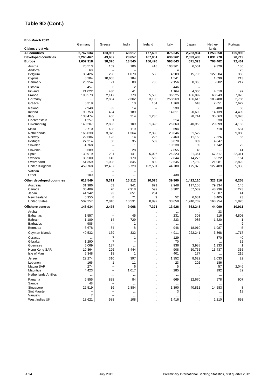| End-March 2012              | Germany           | Greece                        | India          | Ireland              | Italy            | Japan            | Nether-          | Portugal       |
|-----------------------------|-------------------|-------------------------------|----------------|----------------------|------------------|------------------|------------------|----------------|
| Claims vis-à-vis            |                   |                               |                |                      |                  |                  | lands            |                |
| <b>All countries</b>        | 2,767,534         | 133,967                       | 48,517         | 177,692              | 875,345          | 2,783,934        | 1,253,350        | 125,996        |
| <b>Developed countries</b>  | 2,266,467         | 43,687                        | 28,657         | 167,051              | 636,262          | 2,093,433        | 1,031,778        | 78,719         |
| <b>Europe</b>               | 1,652,918         | 38,376                        | 13,545         | 156,476              | 593,643          | 671,323          | 708,462          | 72,461         |
| Austria                     | 78,513            | 109                           | 106            | 418                  | 103,361          | 6,501            | 9,329            | 180            |
| Andorra<br>Belgium          | 68<br>30,426      | 298                           | 1,070          | <br>538              | 4<br>4,503       | <br>15,705       | <br>122,804      | 25<br>350      |
| Cyprus                      | 8,204             | 10,668                        | 184            | $\ddotsc$            | 1,541            |                  | 1,699            | 213            |
| Denmark                     | 26,954            | 21                            | 88             | 736                  | 2,156            | 8,066            | 5,382            | 217            |
| Estonia                     | 457               | 3                             | $\overline{2}$ | $\cdots$             | 446              |                  |                  | $\ddotsc$      |
| Finland                     | 21.022            | 430                           | 41             |                      | 1,164            | 4,000            | 4,510            | 97             |
| France                      | 198,573           | 2,147                         | 770            | 5,535                | 36,525           | 106,892          | 68,943           | 7,826          |
| Germany                     |                   | 2,884                         | 2,302          | 3,193                | 258,969          | 136,616          | 183,488          | 2,786          |
| Greece                      | 6,319             |                               | 10             | 164                  | 1,760            | 643              | 2,851            | 7,622          |
| Iceland                     | 2,948             | 33                            | 14             | -                    | 530              | 56               | 480              | 60             |
| Ireland<br>Italy            | 93,753<br>133,474 | 494<br>456                    | 189<br>214     | 1,235                | 14,811           | 20,690<br>28,744 | 14,139<br>35,663 | 4,499<br>3,078 |
| Liechtenstein               | 1,257             | 1                             |                |                      | $\ddotsc$<br>214 |                  | 630              | 2              |
| Luxembourg                  | 140,207           | 2,893                         | 109            | 1,328                | 26,863           | 40,953           | 20,399           | 4,183          |
| Malta                       | 2,710             | 408                           | 119            |                      | 594              |                  | 718              | 584            |
| Netherlands                 | 165.030           | 3,379                         | 1,364          | 2,398                | 20,646           | 51,522           | .                | 9,880          |
| Norway                      | 22,686            | 123                           | 14             | 226                  | 2,463            | 11,158           | 7,526            | 56             |
| Portugal                    | 27,214            | 50                            | 35             | 509                  | 3,070            | 839              | 4,847            | $\ldots$       |
| Slovakia                    | 4,768             |                               | 1              |                      | 19,238           | 89               | 1,742            | 79             |
| Slovenia                    | 3,689             |                               | 28             |                      | 7,855            | 48               |                  | 41             |
| Spain                       | 139,919           | 281                           | 141            | 5,026                | 26,323           | 21,361           | 67,517           | 22,311         |
| Sweden<br>Switzerland       | 33,500<br>51,359  | 143<br>1,098                  | 170<br>845     | 559<br>800           | 2,844<br>12,545  | 14,276<br>27,789 | 6,922<br>21,081  | 164<br>2,820   |
| United Kingdom              | 459,768           | 12,457                        | 5,729          | 132,501              | 44,780           | 175,375          | 127,483          | 5,388          |
| Vatican                     |                   |                               |                | $\ddotsc$            |                  |                  |                  | $\ddotsc$      |
| Other                       | 100               | -                             |                |                      | 438              |                  |                  |                |
| Other developed countries   | 613,549           | 5,311                         | 15,112         | 10,575               | 39,960           | 1,422,110        | 323,316          | 6,258          |
| Australia                   | 31,986            | 63                            | 941            | 871                  | 2,948            | 117,108          | 79,334           | 145            |
| Canada                      | 30,409            | 70                            | 2,918          | 599                  | 3,302            | 57,589           | 48,936           | 223            |
| Japan                       | 41,942            | 93                            | 651            | 204                  | $\ddotsc$        |                  | 17,687           | 41             |
| New Zealand                 | 6,955             | 8                             | 71             | 9                    | 52               | 6,681            | 8,405            | 23             |
| <b>United States</b>        | 502,257           | 2,840                         | 10,531         | 8,892                | 33,658           | 1,240,732        | 168,954          | 5,826          |
| <b>Offshore centres</b>     | 143,934           | 2,475                         | 9,068          | 7,371                | 13,926           | 362,245          | 44,090           | 10,911         |
| Aruba                       |                   |                               |                |                      |                  |                  | 33               |                |
| <b>Bahamas</b><br>Bahrain   | 1,557<br>1,189    | 14                            | 45<br>729      | $\cdots$             | 231<br>233       | 308<br>985       | 516<br>1,520     | 4,808<br>1     |
| <b>Barbados</b>             | 986               |                               | 1              | $\cdots$<br>$\cdots$ | $\ddotsc$        | $\ddotsc$        | $\ddotsc$        | 9              |
| Bermuda                     | 6,678             | 84                            | 8              | $\ddotsc$            | 946              | 18,910           | 1,987            | 5              |
| Cayman Islands              | 40,532            | 169                           | 332            |                      | 4,911            | 222,241          | 3,868            | 1,717          |
| Curacao                     |                   | $\overline{\mathcal{I}}$      | 1              | $\cdots$             | 129              | $\ddotsc$        | 870              | 40             |
| Gibraltar                   | 1,290             | 7                             |                |                      | 70               |                  |                  | 32             |
| Guernsey                    | 5,069             | 137                           |                |                      | 936              | 3,988            | 1,133            | $\mathbf{1}$   |
| Hong Kong SAR               | 10,364            | 296                           | 3,444          | $\ddotsc$            | 908              | 50,765           | 13,437           | 355            |
| Isle of Man                 | 5,348             | 18                            | 1              | $\ddotsc$            | 401              | 177              | $\ldots$         | 215            |
| Jersey                      | 22,274            | 310                           | 397            | $\ddotsc$            | 1,352            | 8,622            | 2,033            | 29             |
| Lebanon<br>Macau SAR        | 166<br>274        | 1                             | 11<br>6        |                      | 23<br>5          | 202              | 186              | 2,046          |
| <b>Mauritius</b>            | 4,423             | -<br>$\overline{\phantom{0}}$ | 1,017          |                      | 285              |                  | 57<br>192        | 32             |
| <b>Netherlands Antilles</b> | $\ddotsc$         | $\ddotsc$                     | $\ddotsc$      | <br>$\ddotsc$        | $\ddotsc$        | <br>$\cdots$     | $\ddotsc$        | $\ldots$       |
| Panama                      | 6,855             | 828                           | 84             | $\ddotsc$            | 669              | 12,670           | 578              | 907            |
| Samoa                       | 48                | -                             |                | $\ddotsc$            |                  |                  |                  | $\ldots$       |
| Singapore                   | 22,519            | 16                            | 2,884          |                      | 1,390            | 40,811           | 14,583           | 8              |
| Sint Maarten                |                   |                               |                |                      | 3                |                  | $\cdots$         | 13             |
| Vanuatu                     | $\overline{7}$    |                               | $\cdots$       | $\ddotsc$            | $\cdots$         | $\cdots$         | $\ddotsc$        | $\ldots$       |
| West Indies UK              | 13,621            | 588                           | 108            | $\cdots$             | 1,416            |                  | 2,210            | 693            |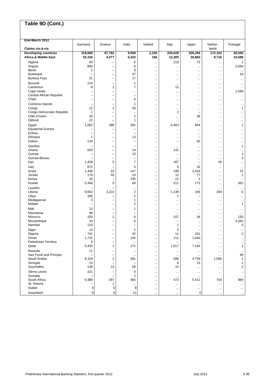| End-March 2012                                      |                          |                 |                          |                        |                         |                                      |                        |                         |
|-----------------------------------------------------|--------------------------|-----------------|--------------------------|------------------------|-------------------------|--------------------------------------|------------------------|-------------------------|
| Claims vis-à-vis                                    | Germany                  | Greece          | India                    | Ireland                | Italy                   | Japan                                | Nether-<br>lands       | Portugal                |
| <b>Developing countries</b><br>Africa & Middle East | 318,680<br>53,156        | 87,782<br>4,077 | 9,569<br>5,322           | 2,165<br>166           | 220,628<br>12,305       | 328,256<br>30,863                    | 172,162<br>8,716       | 36,000<br>10,588        |
| Algeria                                             | 93                       |                 | 6                        | $\cdots$               | 219                     | 72                                   | $\cdots$               | 1                       |
| Angola                                              | 893                      | ۳               | 6                        | $\ddotsc$              |                         | $\cdots$                             | $\cdots$               | 3,094                   |
| Benin                                               | 2                        | -               | 9                        | $\ddotsc$              |                         | $\ddotsc$                            | $\ddotsc$              | $\ddotsc$               |
| <b>Botswana</b><br><b>Burkina Faso</b>              | -<br>21                  | -<br>-          | 37<br>17                 | $\ddotsc$              |                         | $\ddotsc$                            | $\cdots$               | 18                      |
| Burundi                                             | 114                      |                 | 1                        | $\ddotsc$              |                         | $\ddotsc$                            | $\ddotsc$              | $\ddotsc$               |
| Cameroon                                            | 8                        | 1               | $\overline{7}$           | $\ddotsc$              | $\ddotsc$<br>13         | $\ddotsc$<br>                        | $\cdots$<br>$\ddotsc$  | <br>                    |
| Cape Verde                                          | L.                       | L.              |                          | <br>                   |                         | $\cdots$                             | $\cdots$               | 1,569                   |
| Central African Republic                            | -                        | -               | $\overline{\phantom{0}}$ | $\cdots$               |                         | $\ddotsc$                            | $\ddotsc$              |                         |
| Chad                                                | -                        | -               | 6                        | $\ddotsc$              |                         | $\ddotsc$                            | $\ddotsc$              | $\ddotsc$               |
| Comoros Islands                                     | ۳                        | -               | 1                        | $\ddotsc$              |                         | $\ddotsc$                            | $\cdots$               |                         |
| Congo                                               | 12                       | 1               | 26                       | $\ddotsc$              |                         | $\cdots$                             | $\ddotsc$              | 1                       |
| Congo Democratic Republic<br>Côte d'Ivoire          | 1<br>33                  | L.<br>-         | <br>$\overline{2}$       |                        | 2                       | $\overline{\phantom{0}}$<br>28       | $\ddotsc$              |                         |
| Djibouti                                            | 22                       | -               | 1                        | $\ddotsc$<br>$\cdots$  | <br>                    | $\ddotsc$                            | $\ddotsc$<br>$\ddotsc$ | <br>                    |
| Egypt                                               | 1,062                    | 389             | 291                      |                        | 6,403                   | 664                                  |                        | 1                       |
| <b>Equatorial Guinea</b>                            |                          | -               |                          | $\ddotsc$<br>$\cdots$  |                         | $\ddotsc$                            | $\ddotsc$<br>$\ddotsc$ |                         |
| Eritrea                                             | ۳                        |                 |                          | $\ddotsc$              |                         | $\cdots$                             | $\ddotsc$              |                         |
| Ethiopia                                            | 1                        | Ē,              | 13                       | $\ddotsc$              |                         | $\overline{\phantom{0}}$             | $\ddotsc$              |                         |
| Gabon                                               | 134                      | -               | -                        | $\ddotsc$              | ۰                       | 62                                   | $\ddotsc$              |                         |
| Gambia                                              | ۳                        | L               | $\overline{\phantom{0}}$ | $\ddotsc$              | .                       | $\ddotsc$                            | $\ddotsc$              | 1                       |
| Ghana                                               | 503                      | -               | 14                       | $\ddotsc$              | 141                     | $\ddotsc$                            | $\cdots$               |                         |
| Guinea                                              | ۳<br>÷                   |                 | 10                       | $\ddotsc$              |                         | $\ddotsc$                            | $\ddotsc$              | 1                       |
| Guinea-Bissau<br>Iran                               | 1,428                    | L<br>5          | 7                        | $\ddotsc$              | $\ddotsc$<br>167        | $\cdots$<br>$\overline{\phantom{a}}$ | $\cdots$<br>29         | 3                       |
| Iraq                                                | 872                      | Ē,              | 5                        | $\ddotsc$              | 6                       | 32                                   |                        |                         |
| Israel                                              | 1,446                    | 19              | 147                      | $\ddotsc$<br>$\cdots$  | 199                     | 2,416                                | $\ddotsc$<br>$\ddotsc$ | $\ddotsc$<br>31         |
| Jordan                                              | 179                      | 50              | 10                       | $\ddotsc$              | 12                      | 77                                   | $\cdots$               | 1                       |
| Kenya                                               | 33                       | L,              | 235                      |                        | 12                      | $\overline{2}$                       | $\ddotsc$              | $\ddotsc$               |
| Kuwait                                              | 5,446                    | 5               | 66                       |                        | 211                     | 771                                  | $\cdots$               | 391                     |
| Lesotho                                             |                          | -               |                          | $\ddotsc$              |                         |                                      | $\ddotsc$              | $\ddotsc$               |
| Liberia                                             | 9,652                    | 3,222           | $\overline{2}$           | $\ddotsc$              | 1,139                   | 345                                  | 264                    | 6                       |
| Libya                                               | 348<br>3                 | -               | $\overline{2}$<br>1      | $\cdots$               | 1                       |                                      | $\ddotsc$              |                         |
| Madagascar<br>Malawi                                | $\overline{\phantom{0}}$ | L               | $\overline{2}$           | $\cdots$<br>$\ddotsc$  | <br>                    | $\ddotsc$<br>$\cdots$                | $\ddotsc$<br>$\ddotsc$ | <br>1                   |
| Mali                                                | 13                       | ۰               | 1                        |                        |                         |                                      |                        |                         |
| Mauritania                                          | 68                       | -               | $\overline{\phantom{0}}$ | $\ddotsc$<br>$\ddotsc$ |                         | $\ddotsc$                            | <br>$\ddotsc$          | $\ddotsc$<br>$\ddotsc$  |
| Morocco                                             | 330                      | 2               | 6                        | $\ddotsc$              | 107                     | 34                                   | $\ddotsc$              | 130                     |
| Mozambique                                          | 33                       | -               | 6                        | $\cdots$               |                         | $\cdots$                             | $\cdots$               | 4,262                   |
| Namibia                                             | 110                      | -               |                          | $\ddotsc$              | 1                       | $\ddotsc$                            | $\ddotsc$              | 3                       |
| Niger                                               | 13                       | -               | $\overline{c}$           | $\ddotsc$              | $\overline{\mathbf{c}}$ |                                      |                        |                         |
| Nigeria                                             | 741                      | -               | 42                       | $\ddotsc$              | 11                      | 251                                  | $\ddotsc$              | $\overline{c}$          |
| Oman<br><b>Palestinian Territory</b>                | 1,715<br>8               | -<br>-          | 135                      | $\ddotsc$              | 111                     | 1,040                                | $\ddotsc$              | $\ddotsc$               |
| Qatar                                               | 5,435                    | 1               | $\cdots$<br>171          | $\ddotsc$<br>$\cdots$  | $\cdots$<br>1,517       | <br>7,194                            | $\cdots$<br>           | $\cdots$<br>1           |
| Rwanda                                              | 11                       | -               |                          |                        |                         |                                      |                        | $\ddotsc$               |
| Sao Tomé and Principe                               |                          | -               | $\cdots$                 | $\ddotsc$              |                         | $\ddotsc$<br>$\ddotsc$               | $\cdots$<br>$\cdots$   | 46                      |
| Saudi Arabia                                        | 8,319                    | 2               | 281                      | $\ddotsc$              | 286                     | 4,759                                | 1,006                  | $\mathbf{1}$            |
| Senegal                                             | 13                       | ÷               | $\qquad \qquad -$        | $\ddotsc$              | 6                       | 21                                   | $\cdots$               | 1                       |
| Seychelles                                          | 138                      | 14              | 56                       | $\cdots$               | 14                      | $\ddotsc$                            | $\ddotsc$              | $\overline{\mathbf{c}}$ |
| Sierra Leone                                        | 101                      | ÷               | 4                        |                        |                         | $\ddotsc$                            | $\ldots$               | $\cdots$                |
| Somalia                                             |                          | -               | $\overline{2}$           | $\cdots$               | $\cdots$                | $\cdots$                             | $\ddotsc$              | $\ddotsc$               |
| South Africa<br>St. Helena                          | 5,389                    | 287<br>1        | 465                      | $\ddotsc$              | 473                     | 5,411                                | 704                    | 984                     |
| Sudan                                               | 5                        | 0               | $\cdots$<br>8            | $\ddotsc$<br>          | <br>                    | <br>$\cdots$                         | $\cdots$<br>$\cdots$   | $\ddotsc$<br>           |
| Swaziland                                           | 8                        | 0               | 11                       |                        |                         | 0                                    | $\cdots$               |                         |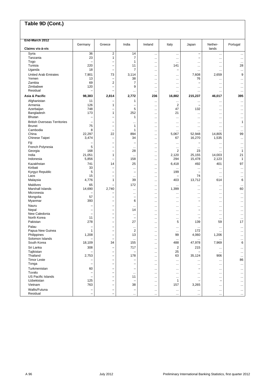| End-March 2012                      | Germany                        | Greece                   | India                                 | Ireland                | Italy                   | Japan                          | Nether-                | Portugal        |
|-------------------------------------|--------------------------------|--------------------------|---------------------------------------|------------------------|-------------------------|--------------------------------|------------------------|-----------------|
| Claims vis-à-vis                    |                                |                          |                                       |                        |                         |                                | lands                  |                 |
| Syria                               | 36                             | $\overline{\mathbf{c}}$  | 14                                    |                        |                         | $\overline{\phantom{0}}$       | $\cdots$               |                 |
| Tanzania                            | 23                             | 1                        | 7                                     | $\ddotsc$              |                         |                                | $\ddotsc$              |                 |
| Togo                                |                                | ۳                        | 1                                     | $\ddotsc$              | $\cdots$                | $\cdots$                       | $\ddotsc$              | $\ddotsc$       |
| Tunisia<br>Uganda                   | 220<br>18                      | ۰<br>۰                   | 11<br>7                               | $\cdots$               | 141                     | $\cdots$                       |                        | 28              |
| <b>United Arab Emirates</b>         | 7,901                          | 73                       | 3,114                                 |                        |                         | $\cdots$<br>7,608              | <br>2,659              | <br>9           |
| Yemen                               | 13                             | -                        | 38                                    | $\ddotsc$<br>          | <br>                    | 76                             |                        |                 |
| Zambia                              | 69                             | 2                        | 7                                     | $\ddotsc$              |                         |                                | $\ddotsc$              |                 |
| Zimbabwe                            | 120                            |                          | 9                                     | $\ddotsc$              |                         | $\cdots$                       | $\cdots$               | $\cdots$        |
| Residual                            |                                |                          |                                       | $\ddotsc$              |                         | $\cdots$                       | $\ddotsc$              | $\ddotsc$       |
| Asia & Pacific                      | 98,383                         | 2,814                    | 2,772                                 | 236                    | 16,882                  | 215,237                        | 46,017                 | 395             |
| Afghanistan                         | 11                             | -                        | 1                                     | $\ddotsc$              |                         | $\cdots$                       |                        | $\ddotsc$       |
| Armenia                             | 126                            | 1                        |                                       | $\ddotsc$              | $\overline{\mathbf{c}}$ |                                | $\ddotsc$              |                 |
| Azerbaijan                          | 748                            |                          | 5                                     |                        | 47                      | 132                            | $\ddotsc$              |                 |
| Bangladesh                          | 173                            | 1                        | 252                                   |                        | 21                      | $\cdots$                       |                        | $\cdots$        |
| <b>Bhutan</b>                       |                                | -                        | 1                                     | $\ddotsc$              |                         | $\cdots$                       | $\ddotsc$              |                 |
| <b>British Overseas Territories</b> |                                | ۰                        | $\cdots$                              | $\ddotsc$              |                         | $\cdots$                       | $\ddotsc$              | 1               |
| <b>Brunei</b><br>Cambodia           | 75<br>8                        | -<br>-                   | 1<br>1                                | $\ddotsc$              |                         | $\cdots$                       | $\ddotsc$              | $\ddotsc$       |
| China                               | 22,297                         | 22                       | 894                                   | $\ddotsc$<br>$\ddotsc$ | 5,067                   | 52,948                         | 14,805                 | $\ddotsc$<br>99 |
| Chinese Taipei                      | 3,474                          |                          | 34                                    | $\cdots$               | 67                      | 16,270                         | 1,535                  | $\cdots$        |
| Fiji                                |                                | -                        | $\overline{\phantom{0}}$              | $\cdots$               |                         | -                              | $\ddotsc$              | $\ddotsc$       |
| French Polynesia                    | 5                              | -                        | $\ddotsc$                             | $\ddotsc$              |                         | $\cdots$                       | $\ddotsc$              | $\ddotsc$       |
| Georgia                             | 168                            | -                        | 28                                    | $\ddotsc$              | 2                       | 23                             |                        | 1               |
| India                               | 21,051                         | 1                        | $\cdots$                              | $\ddotsc$              | 2,120                   | 25,155                         | 14,003                 | 21              |
| Indonesia                           | 5,856                          | Ē,                       | 158                                   | $\ddotsc$              | 294                     | 15,478                         | 2,123                  | 1               |
| Kazakhstan                          | 741                            | 14                       | 25                                    | $\ddotsc$              | 6,418                   | 492                            | 401                    | 97              |
| Kiribati                            | 33                             | ۰                        | $\cdots$                              | $\cdots$               |                         | $\cdots$                       | $\ddotsc$              | $\ddotsc$       |
| Kyrgyz Republic<br>Laos             | 5<br>15                        | -<br>-                   | $\overline{\phantom{0}}$              | $\ddotsc$              | 199                     | $\overline{\phantom{0}}$<br>74 | $\ddotsc$              |                 |
| Malaysia                            | 4,776                          | 1                        | $\ddotsc$<br>39                       | $\ddotsc$<br>$\ddotsc$ | 403                     | 13,712                         | <br>614                | <br>6           |
| Maldives                            | 65                             |                          | 172                                   |                        |                         | $\cdots$                       |                        |                 |
| Marshall Islands                    | 14,690                         | 2,740                    | $\cdots$                              | $\cdots$               | 1,399                   | $\cdots$                       | $\ddotsc$              | 60              |
| Micronesia                          |                                |                          |                                       | $\ddotsc$              |                         | $\cdots$                       | $\ddotsc$              | $\ddotsc$       |
| Mongolia                            | 57                             | -                        | $\overline{\phantom{0}}$              | $\ddotsc$              |                         | $\cdots$                       | $\ddotsc$              | $\ddotsc$       |
| Myanmar                             | 393                            | -                        | 6                                     | $\ddotsc$              |                         |                                | $\ddotsc$              |                 |
| Nauru                               |                                |                          | $\cdots$                              | $\ddotsc$              |                         | $\cdots$                       | $\ddotsc$              | $\ddotsc$       |
| Nepal                               | $\overline{\phantom{0}}$       | Ē,                       | 14                                    |                        |                         | $\overline{\phantom{0}}$       | $\ddotsc$              |                 |
| New Caledonia<br>North Korea        | $\overline{\phantom{0}}$<br>11 | -                        | $\ddotsc$<br>$\overline{\phantom{0}}$ | $\cdots$               |                         | $\cdots$                       | $\cdots$               | $\ddotsc$       |
| Pakistan                            | 278                            | -<br>-                   | 27                                    | $\cdots$               | <br>5                   | 139                            | <br>59                 | $\ddotsc$<br>17 |
| Palau                               |                                |                          |                                       | $\ddotsc$              |                         |                                |                        |                 |
| Papua New Guinea                    | 1                              |                          | <br>$\overline{\mathbf{c}}$           | $\ddotsc$<br>$\ddotsc$ | <br>$\ddotsc$           | $\cdots$<br>172                | $\ddotsc$<br>$\ddotsc$ | <br>            |
| Philippines                         | 1,208                          | ۰                        | 13                                    | $\ddotsc$              | 99                      | 4,060                          | 1,206                  | $\ddotsc$       |
| Solomon Islands                     | $\overline{\phantom{0}}$       | $\overline{\phantom{0}}$ | $\cdots$                              | $\cdots$               |                         | $\cdots$                       |                        |                 |
| South Korea                         | 18,109                         | 34                       | 155                                   |                        | 488                     | 47,978                         | 7,969                  | 6               |
| Sri Lanka                           | 308                            | -                        | 717                                   | $\cdots$               | 2                       | 215                            | $\cdots$               | $\cdots$        |
| Tajikistan                          |                                | Ē,                       |                                       | $\ddotsc$              | 25                      |                                | $\cdots$               | $\cdots$        |
| Thailand                            | 2,753                          |                          | 178                                   |                        | 63                      | 35,124                         | 906                    | $\cdots$        |
| <b>Timor Leste</b>                  | $\overline{\phantom{0}}$       | -                        | $\overline{\phantom{0}}$              |                        |                         | $\ldots$                       | $\cdots$               | 86              |
| Tonga                               |                                | -                        |                                       | $\ddotsc$              |                         | $\cdots$                       | $\cdots$               | $\cdots$        |
| Turkmenistan<br>Tuvalu              | 60                             |                          |                                       | $\cdots$               |                         |                                | $\cdots$               | $\cdots$        |
| US Pacific Islands                  | ۰                              | ۰                        | $\cdots$<br>11                        | $\ddotsc$              | $\ddotsc$               | $\cdots$                       | $\cdots$               | $\cdots$        |
| Uzbekistan                          | 125                            |                          |                                       | $\cdots$<br>$\ddotsc$  | <br>1                   | $\cdots$                       | $\cdots$<br>-          | $\cdots$<br>    |
| Vietnam                             | 763                            | -                        | 38                                    | $\cdots$               | 157                     | 3,265                          | $\cdots$               | $\cdots$        |
| Wallis/Futuna                       | -                              | -                        | $\overline{\phantom{0}}$              |                        |                         | $\cdots$                       | $\cdots$               | $\cdots$        |
| Residual                            | -                              | -                        | $\cdots$                              | $\cdots$               | $\cdots$                | $\ldots$                       | $\ldots$               | $\cdots$        |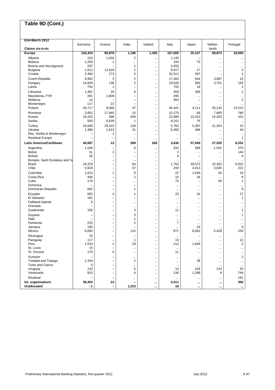| Germany<br>Greece<br>India<br>Ireland<br>Italy<br>Nether-<br>Portugal<br>Japan<br>Claims vis-à-vis<br>lands<br>126,454<br>80,878<br>1,186<br>1,495<br>187,805<br>25,107<br>89,874<br>16,665<br><b>Europe</b><br>$\overline{c}$<br>Albania<br>103<br>1,934<br>1,140<br><br>$\ddotsc$<br>$\cdots$<br>1,256<br>243<br>70<br><b>Belarus</b><br>$\mathbf{1}$<br><br><br>$\cdots$<br>$\cdots$<br>297<br>Bosnia and Herzegovina<br>1<br>3,455<br><br>$\ddotsc$<br>$\ddotsc$<br>$\cdots$<br>$\overline{\mathbf{c}}$<br>3<br><b>Bulgaria</b><br>1,512<br>11,618<br>8,617<br>17<br>$\ddotsc$<br>$\ddotsc$<br>5<br>Croatia<br>497<br>2,494<br>173<br>32,511<br>1<br>$\cdots$<br>$\cdots$<br>15<br><b>Czech Republic</b><br>9,942<br>3<br>2<br>17,383<br>644<br>3,887<br>$\cdots$<br>$\overline{2}$<br>14,828<br>136<br>20,628<br>940<br>3,701<br>193<br>Hungary<br>$\cdots$<br>793<br>755<br>$\mathbf{1}$<br>Latvia<br>$\mathbf{1}$<br>19<br>$\overline{\phantom{0}}$<br><br>$\cdots$<br>1,461<br>6<br>459<br>Lithuania<br>20<br>369<br>1<br>$\ddotsc$<br><br>281<br>1,809<br>295<br>Macedonia, FYR<br>-<br><br><br>$\ddotsc$<br><br>$\overline{2}$<br>Moldova<br>14<br>354<br>-<br>$\overline{\phantom{a}}$<br><br>$\ddotsc$<br>22<br>117<br>Montenegro<br>$\overline{\phantom{0}}$<br><br>$\ddotsc$<br><br>$\cdots$<br>$\cdots$<br>47<br>Poland<br>43,717<br>9,066<br>15,513<br>46,441<br>4,111<br>35,142<br><br>Romania<br>3,852<br>17,945<br>10<br>12,270<br>68<br>7,865<br>780<br><br>24,202<br>396<br>949<br>15,303<br>101<br>Russia<br>22,890<br>12,413<br><br>6,628<br>Serbia<br>550<br>1<br>8,151<br>76<br>$\cdots$<br>$\cdots$<br>$\ddotsc$<br>19,649<br>29,310<br>128<br>5,762<br>5,387<br>Turkey<br>21,363<br>10<br><br>1,815<br>Ukraine<br>1,386<br>31<br>6,450<br>496<br>44<br>$\ldots$<br>$\ddotsc$<br>Res. Serbia & Montenegro<br>1<br>۳<br>$\ddotsc$<br>$\ddotsc$<br>$\ddotsc$<br>$\cdots$<br>$\ddotsc$<br>$\ddotsc$<br>$\mathbf{1}$<br><b>Residual Europe</b><br>-<br>-<br><br><br><br><br>$\ddotsc$<br>Latin America/Caribbean<br>289<br>268<br>8,352<br>40,687<br>13<br>3,636<br>57,049<br>27,555<br>6<br>332<br>589<br>1,591<br>275<br>Argentina<br>1,546<br><br><b>Belize</b><br>$\overline{2}$<br>51<br>3<br>144<br>L,<br><br><br>$\cdots$<br>Bolivia<br>3<br>26<br>4<br>$\overline{\phantom{0}}$<br>÷<br><br><br>$\ddotsc$<br>Bonaire, Saint Eustatius and Sa<br>$\overline{\phantom{0}}$<br>$\overline{\phantom{0}}$<br><br><br><br>$\cdots$<br>$\ddotsc$<br><b>Brazil</b><br>19,225<br>64<br>1,762<br>39,572<br>15,302<br>6,501<br>$\overline{\phantom{m}}$<br><br>Chile<br>200<br>3,835<br>222<br>5,918<br>37<br>3,013<br>-<br><br>1,013<br>9<br>22<br>1,648<br>16<br>Colombia<br>1<br>26<br><br>Costa Rica<br>406<br>2<br>10<br>26<br>8<br>L.<br>$\ddotsc$<br>$\cdots$<br>75<br>Cuba<br>179<br>56<br>1<br>÷<br>$\overline{\phantom{m}}$<br><br><br>Dominica<br>-<br>۰<br>-<br>$\ddotsc$<br>$\ddotsc$<br>$\ddotsc$<br><br><br>662<br>6<br>Dominican Republic<br>1<br>-<br><br>$\ddotsc$<br>$\ddotsc$<br>$\ddotsc$<br>563<br>3<br>27<br>Ecuador<br>23<br>24<br>1<br>$\ddotsc$<br>$\ddotsc$<br>181<br>$\mathbf{1}$<br>El Salvador<br>$\overline{\phantom{0}}$<br>L,<br>$\cdots$<br><br><br>$\ddotsc$<br><b>Falkland Islands</b><br>6<br>L.<br><br><br>$\cdots$<br><br>$\ddotsc$<br><br>Grenada<br>÷<br>$\overline{\phantom{m}}$<br><br><br>$\ddotsc$<br><br>$\ddotsc$<br>$\ddotsc$<br>3<br>Guatemala<br>156<br>11<br>1<br>-<br><br><br>$\ddotsc$<br>5<br>Guyana<br>1<br>$\overline{\phantom{0}}$<br>$\overline{\phantom{0}}$<br><br>$\cdots$<br>$\cdots$<br>$\cdots$<br>Haiti<br>1<br><br><br><br><br>$\ddotsc$<br>$\overline{2}$<br>$\overline{7}$<br>Honduras<br>225<br><br>$\cdots$<br><br><br>195<br>9<br>Jamaica<br>24<br>L.<br>۰<br><br>$\ddotsc$<br>$\cdots$<br>Mexico<br>6,093<br>115<br>871<br>8,562<br>5,429<br>150<br>$\overline{\phantom{m}}$<br>$\cdots$<br>15<br>Nicaragua<br>۰<br>$\overline{\phantom{0}}$<br>$\ddotsc$<br>$\cdots$<br>$\cdots$<br>$\cdots$<br>117<br>13<br>12<br>Paraguay<br>1<br>$\overline{\phantom{0}}$<br><br>$\cdots$<br>$\cdots$<br>1,846<br>Peru<br>1,543<br>$\mathbf{z}$<br>29<br>113<br>$\mathbf{z}$<br>$\ldots$<br><br>St. Lucia<br>15<br>$\qquad \qquad -$<br>$\cdots$<br><br><br>$\cdots$<br>$\cdots$<br><br>St. Vincent<br>5<br>170<br>11<br><br>$\cdots$<br>$\cdots$<br><br>$\cdots$<br>Surinam<br>2<br><br><br>$\ddotsc$<br>$\ddotsc$<br><br><b>Trinidad and Tobago</b><br>1,334<br>2<br>39<br>-<br>$\cdots$<br>$\cdots$<br>$\cdots$<br>$\cdots$<br><b>Turks and Caicos</b><br>5<br>$\overline{\phantom{0}}$<br><br><br>$\ddotsc$<br>$\cdots$<br>$\cdots$<br>$\cdots$<br>5<br>Uruguay<br>133<br>418<br>123<br>35<br>14<br><br>Venezuela<br>910<br>6<br>136<br>1,288<br>8<br>744<br>$\overline{\phantom{m}}$<br>$\cdots$<br>Residual<br>191<br>$\cdots$<br>$\cdots$<br><br>$\ldots$<br><br>Int. organisations<br>366<br>38,454<br>23<br>4,511<br>$\cdots$<br><br>$\cdots$ | End-March 2012     |      |                   |       |        |              |          |
|---------------------------------------------------------------------------------------------------------------------------------------------------------------------------------------------------------------------------------------------------------------------------------------------------------------------------------------------------------------------------------------------------------------------------------------------------------------------------------------------------------------------------------------------------------------------------------------------------------------------------------------------------------------------------------------------------------------------------------------------------------------------------------------------------------------------------------------------------------------------------------------------------------------------------------------------------------------------------------------------------------------------------------------------------------------------------------------------------------------------------------------------------------------------------------------------------------------------------------------------------------------------------------------------------------------------------------------------------------------------------------------------------------------------------------------------------------------------------------------------------------------------------------------------------------------------------------------------------------------------------------------------------------------------------------------------------------------------------------------------------------------------------------------------------------------------------------------------------------------------------------------------------------------------------------------------------------------------------------------------------------------------------------------------------------------------------------------------------------------------------------------------------------------------------------------------------------------------------------------------------------------------------------------------------------------------------------------------------------------------------------------------------------------------------------------------------------------------------------------------------------------------------------------------------------------------------------------------------------------------------------------------------------------------------------------------------------------------------------------------------------------------------------------------------------------------------------------------------------------------------------------------------------------------------------------------------------------------------------------------------------------------------------------------------------------------------------------------------------------------------------------------------------------------------------------------------------------------------------------------------------------------------------------------------------------------------------------------------------------------------------------------------------------------------------------------------------------------------------------------------------------------------------------------------------------------------------------------------------------------------------------------------------------------------------------------------------------------------------------------------------------------------------------------------------------------------------------------------------------------------------------------------------------------------------------------------------------------------------------------------------------------------------------------------------------------------------------------------------------------------------------------------------------------------------------------------------------------------------------------------------------------------------------------------------------------------------------------------------------------------------------------------------------------------------------------------------------------------------------------------------------------------------------------------------------------------------------------------------------------------------------------------------------------------------------------------------------------------------------------------------------------------------------------------------------------------------------------------------------------------------------------------------------------------------------|--------------------|------|-------------------|-------|--------|--------------|----------|
|                                                                                                                                                                                                                                                                                                                                                                                                                                                                                                                                                                                                                                                                                                                                                                                                                                                                                                                                                                                                                                                                                                                                                                                                                                                                                                                                                                                                                                                                                                                                                                                                                                                                                                                                                                                                                                                                                                                                                                                                                                                                                                                                                                                                                                                                                                                                                                                                                                                                                                                                                                                                                                                                                                                                                                                                                                                                                                                                                                                                                                                                                                                                                                                                                                                                                                                                                                                                                                                                                                                                                                                                                                                                                                                                                                                                                                                                                                                                                                                                                                                                                                                                                                                                                                                                                                                                                                                                                                                                                                                                                                                                                                                                                                                                                                                                                                                                                                                                       |                    |      |                   |       |        |              |          |
|                                                                                                                                                                                                                                                                                                                                                                                                                                                                                                                                                                                                                                                                                                                                                                                                                                                                                                                                                                                                                                                                                                                                                                                                                                                                                                                                                                                                                                                                                                                                                                                                                                                                                                                                                                                                                                                                                                                                                                                                                                                                                                                                                                                                                                                                                                                                                                                                                                                                                                                                                                                                                                                                                                                                                                                                                                                                                                                                                                                                                                                                                                                                                                                                                                                                                                                                                                                                                                                                                                                                                                                                                                                                                                                                                                                                                                                                                                                                                                                                                                                                                                                                                                                                                                                                                                                                                                                                                                                                                                                                                                                                                                                                                                                                                                                                                                                                                                                                       |                    |      |                   |       |        |              |          |
|                                                                                                                                                                                                                                                                                                                                                                                                                                                                                                                                                                                                                                                                                                                                                                                                                                                                                                                                                                                                                                                                                                                                                                                                                                                                                                                                                                                                                                                                                                                                                                                                                                                                                                                                                                                                                                                                                                                                                                                                                                                                                                                                                                                                                                                                                                                                                                                                                                                                                                                                                                                                                                                                                                                                                                                                                                                                                                                                                                                                                                                                                                                                                                                                                                                                                                                                                                                                                                                                                                                                                                                                                                                                                                                                                                                                                                                                                                                                                                                                                                                                                                                                                                                                                                                                                                                                                                                                                                                                                                                                                                                                                                                                                                                                                                                                                                                                                                                                       |                    |      |                   |       |        |              |          |
|                                                                                                                                                                                                                                                                                                                                                                                                                                                                                                                                                                                                                                                                                                                                                                                                                                                                                                                                                                                                                                                                                                                                                                                                                                                                                                                                                                                                                                                                                                                                                                                                                                                                                                                                                                                                                                                                                                                                                                                                                                                                                                                                                                                                                                                                                                                                                                                                                                                                                                                                                                                                                                                                                                                                                                                                                                                                                                                                                                                                                                                                                                                                                                                                                                                                                                                                                                                                                                                                                                                                                                                                                                                                                                                                                                                                                                                                                                                                                                                                                                                                                                                                                                                                                                                                                                                                                                                                                                                                                                                                                                                                                                                                                                                                                                                                                                                                                                                                       |                    |      |                   |       |        |              |          |
|                                                                                                                                                                                                                                                                                                                                                                                                                                                                                                                                                                                                                                                                                                                                                                                                                                                                                                                                                                                                                                                                                                                                                                                                                                                                                                                                                                                                                                                                                                                                                                                                                                                                                                                                                                                                                                                                                                                                                                                                                                                                                                                                                                                                                                                                                                                                                                                                                                                                                                                                                                                                                                                                                                                                                                                                                                                                                                                                                                                                                                                                                                                                                                                                                                                                                                                                                                                                                                                                                                                                                                                                                                                                                                                                                                                                                                                                                                                                                                                                                                                                                                                                                                                                                                                                                                                                                                                                                                                                                                                                                                                                                                                                                                                                                                                                                                                                                                                                       |                    |      |                   |       |        |              |          |
|                                                                                                                                                                                                                                                                                                                                                                                                                                                                                                                                                                                                                                                                                                                                                                                                                                                                                                                                                                                                                                                                                                                                                                                                                                                                                                                                                                                                                                                                                                                                                                                                                                                                                                                                                                                                                                                                                                                                                                                                                                                                                                                                                                                                                                                                                                                                                                                                                                                                                                                                                                                                                                                                                                                                                                                                                                                                                                                                                                                                                                                                                                                                                                                                                                                                                                                                                                                                                                                                                                                                                                                                                                                                                                                                                                                                                                                                                                                                                                                                                                                                                                                                                                                                                                                                                                                                                                                                                                                                                                                                                                                                                                                                                                                                                                                                                                                                                                                                       |                    |      |                   |       |        |              |          |
|                                                                                                                                                                                                                                                                                                                                                                                                                                                                                                                                                                                                                                                                                                                                                                                                                                                                                                                                                                                                                                                                                                                                                                                                                                                                                                                                                                                                                                                                                                                                                                                                                                                                                                                                                                                                                                                                                                                                                                                                                                                                                                                                                                                                                                                                                                                                                                                                                                                                                                                                                                                                                                                                                                                                                                                                                                                                                                                                                                                                                                                                                                                                                                                                                                                                                                                                                                                                                                                                                                                                                                                                                                                                                                                                                                                                                                                                                                                                                                                                                                                                                                                                                                                                                                                                                                                                                                                                                                                                                                                                                                                                                                                                                                                                                                                                                                                                                                                                       |                    |      |                   |       |        |              |          |
|                                                                                                                                                                                                                                                                                                                                                                                                                                                                                                                                                                                                                                                                                                                                                                                                                                                                                                                                                                                                                                                                                                                                                                                                                                                                                                                                                                                                                                                                                                                                                                                                                                                                                                                                                                                                                                                                                                                                                                                                                                                                                                                                                                                                                                                                                                                                                                                                                                                                                                                                                                                                                                                                                                                                                                                                                                                                                                                                                                                                                                                                                                                                                                                                                                                                                                                                                                                                                                                                                                                                                                                                                                                                                                                                                                                                                                                                                                                                                                                                                                                                                                                                                                                                                                                                                                                                                                                                                                                                                                                                                                                                                                                                                                                                                                                                                                                                                                                                       |                    |      |                   |       |        |              |          |
|                                                                                                                                                                                                                                                                                                                                                                                                                                                                                                                                                                                                                                                                                                                                                                                                                                                                                                                                                                                                                                                                                                                                                                                                                                                                                                                                                                                                                                                                                                                                                                                                                                                                                                                                                                                                                                                                                                                                                                                                                                                                                                                                                                                                                                                                                                                                                                                                                                                                                                                                                                                                                                                                                                                                                                                                                                                                                                                                                                                                                                                                                                                                                                                                                                                                                                                                                                                                                                                                                                                                                                                                                                                                                                                                                                                                                                                                                                                                                                                                                                                                                                                                                                                                                                                                                                                                                                                                                                                                                                                                                                                                                                                                                                                                                                                                                                                                                                                                       |                    |      |                   |       |        |              |          |
|                                                                                                                                                                                                                                                                                                                                                                                                                                                                                                                                                                                                                                                                                                                                                                                                                                                                                                                                                                                                                                                                                                                                                                                                                                                                                                                                                                                                                                                                                                                                                                                                                                                                                                                                                                                                                                                                                                                                                                                                                                                                                                                                                                                                                                                                                                                                                                                                                                                                                                                                                                                                                                                                                                                                                                                                                                                                                                                                                                                                                                                                                                                                                                                                                                                                                                                                                                                                                                                                                                                                                                                                                                                                                                                                                                                                                                                                                                                                                                                                                                                                                                                                                                                                                                                                                                                                                                                                                                                                                                                                                                                                                                                                                                                                                                                                                                                                                                                                       |                    |      |                   |       |        |              |          |
|                                                                                                                                                                                                                                                                                                                                                                                                                                                                                                                                                                                                                                                                                                                                                                                                                                                                                                                                                                                                                                                                                                                                                                                                                                                                                                                                                                                                                                                                                                                                                                                                                                                                                                                                                                                                                                                                                                                                                                                                                                                                                                                                                                                                                                                                                                                                                                                                                                                                                                                                                                                                                                                                                                                                                                                                                                                                                                                                                                                                                                                                                                                                                                                                                                                                                                                                                                                                                                                                                                                                                                                                                                                                                                                                                                                                                                                                                                                                                                                                                                                                                                                                                                                                                                                                                                                                                                                                                                                                                                                                                                                                                                                                                                                                                                                                                                                                                                                                       |                    |      |                   |       |        |              |          |
|                                                                                                                                                                                                                                                                                                                                                                                                                                                                                                                                                                                                                                                                                                                                                                                                                                                                                                                                                                                                                                                                                                                                                                                                                                                                                                                                                                                                                                                                                                                                                                                                                                                                                                                                                                                                                                                                                                                                                                                                                                                                                                                                                                                                                                                                                                                                                                                                                                                                                                                                                                                                                                                                                                                                                                                                                                                                                                                                                                                                                                                                                                                                                                                                                                                                                                                                                                                                                                                                                                                                                                                                                                                                                                                                                                                                                                                                                                                                                                                                                                                                                                                                                                                                                                                                                                                                                                                                                                                                                                                                                                                                                                                                                                                                                                                                                                                                                                                                       |                    |      |                   |       |        |              |          |
|                                                                                                                                                                                                                                                                                                                                                                                                                                                                                                                                                                                                                                                                                                                                                                                                                                                                                                                                                                                                                                                                                                                                                                                                                                                                                                                                                                                                                                                                                                                                                                                                                                                                                                                                                                                                                                                                                                                                                                                                                                                                                                                                                                                                                                                                                                                                                                                                                                                                                                                                                                                                                                                                                                                                                                                                                                                                                                                                                                                                                                                                                                                                                                                                                                                                                                                                                                                                                                                                                                                                                                                                                                                                                                                                                                                                                                                                                                                                                                                                                                                                                                                                                                                                                                                                                                                                                                                                                                                                                                                                                                                                                                                                                                                                                                                                                                                                                                                                       |                    |      |                   |       |        |              |          |
|                                                                                                                                                                                                                                                                                                                                                                                                                                                                                                                                                                                                                                                                                                                                                                                                                                                                                                                                                                                                                                                                                                                                                                                                                                                                                                                                                                                                                                                                                                                                                                                                                                                                                                                                                                                                                                                                                                                                                                                                                                                                                                                                                                                                                                                                                                                                                                                                                                                                                                                                                                                                                                                                                                                                                                                                                                                                                                                                                                                                                                                                                                                                                                                                                                                                                                                                                                                                                                                                                                                                                                                                                                                                                                                                                                                                                                                                                                                                                                                                                                                                                                                                                                                                                                                                                                                                                                                                                                                                                                                                                                                                                                                                                                                                                                                                                                                                                                                                       |                    |      |                   |       |        |              |          |
|                                                                                                                                                                                                                                                                                                                                                                                                                                                                                                                                                                                                                                                                                                                                                                                                                                                                                                                                                                                                                                                                                                                                                                                                                                                                                                                                                                                                                                                                                                                                                                                                                                                                                                                                                                                                                                                                                                                                                                                                                                                                                                                                                                                                                                                                                                                                                                                                                                                                                                                                                                                                                                                                                                                                                                                                                                                                                                                                                                                                                                                                                                                                                                                                                                                                                                                                                                                                                                                                                                                                                                                                                                                                                                                                                                                                                                                                                                                                                                                                                                                                                                                                                                                                                                                                                                                                                                                                                                                                                                                                                                                                                                                                                                                                                                                                                                                                                                                                       |                    |      |                   |       |        |              |          |
|                                                                                                                                                                                                                                                                                                                                                                                                                                                                                                                                                                                                                                                                                                                                                                                                                                                                                                                                                                                                                                                                                                                                                                                                                                                                                                                                                                                                                                                                                                                                                                                                                                                                                                                                                                                                                                                                                                                                                                                                                                                                                                                                                                                                                                                                                                                                                                                                                                                                                                                                                                                                                                                                                                                                                                                                                                                                                                                                                                                                                                                                                                                                                                                                                                                                                                                                                                                                                                                                                                                                                                                                                                                                                                                                                                                                                                                                                                                                                                                                                                                                                                                                                                                                                                                                                                                                                                                                                                                                                                                                                                                                                                                                                                                                                                                                                                                                                                                                       |                    |      |                   |       |        |              |          |
|                                                                                                                                                                                                                                                                                                                                                                                                                                                                                                                                                                                                                                                                                                                                                                                                                                                                                                                                                                                                                                                                                                                                                                                                                                                                                                                                                                                                                                                                                                                                                                                                                                                                                                                                                                                                                                                                                                                                                                                                                                                                                                                                                                                                                                                                                                                                                                                                                                                                                                                                                                                                                                                                                                                                                                                                                                                                                                                                                                                                                                                                                                                                                                                                                                                                                                                                                                                                                                                                                                                                                                                                                                                                                                                                                                                                                                                                                                                                                                                                                                                                                                                                                                                                                                                                                                                                                                                                                                                                                                                                                                                                                                                                                                                                                                                                                                                                                                                                       |                    |      |                   |       |        |              |          |
|                                                                                                                                                                                                                                                                                                                                                                                                                                                                                                                                                                                                                                                                                                                                                                                                                                                                                                                                                                                                                                                                                                                                                                                                                                                                                                                                                                                                                                                                                                                                                                                                                                                                                                                                                                                                                                                                                                                                                                                                                                                                                                                                                                                                                                                                                                                                                                                                                                                                                                                                                                                                                                                                                                                                                                                                                                                                                                                                                                                                                                                                                                                                                                                                                                                                                                                                                                                                                                                                                                                                                                                                                                                                                                                                                                                                                                                                                                                                                                                                                                                                                                                                                                                                                                                                                                                                                                                                                                                                                                                                                                                                                                                                                                                                                                                                                                                                                                                                       |                    |      |                   |       |        |              |          |
|                                                                                                                                                                                                                                                                                                                                                                                                                                                                                                                                                                                                                                                                                                                                                                                                                                                                                                                                                                                                                                                                                                                                                                                                                                                                                                                                                                                                                                                                                                                                                                                                                                                                                                                                                                                                                                                                                                                                                                                                                                                                                                                                                                                                                                                                                                                                                                                                                                                                                                                                                                                                                                                                                                                                                                                                                                                                                                                                                                                                                                                                                                                                                                                                                                                                                                                                                                                                                                                                                                                                                                                                                                                                                                                                                                                                                                                                                                                                                                                                                                                                                                                                                                                                                                                                                                                                                                                                                                                                                                                                                                                                                                                                                                                                                                                                                                                                                                                                       |                    |      |                   |       |        |              |          |
|                                                                                                                                                                                                                                                                                                                                                                                                                                                                                                                                                                                                                                                                                                                                                                                                                                                                                                                                                                                                                                                                                                                                                                                                                                                                                                                                                                                                                                                                                                                                                                                                                                                                                                                                                                                                                                                                                                                                                                                                                                                                                                                                                                                                                                                                                                                                                                                                                                                                                                                                                                                                                                                                                                                                                                                                                                                                                                                                                                                                                                                                                                                                                                                                                                                                                                                                                                                                                                                                                                                                                                                                                                                                                                                                                                                                                                                                                                                                                                                                                                                                                                                                                                                                                                                                                                                                                                                                                                                                                                                                                                                                                                                                                                                                                                                                                                                                                                                                       |                    |      |                   |       |        |              |          |
|                                                                                                                                                                                                                                                                                                                                                                                                                                                                                                                                                                                                                                                                                                                                                                                                                                                                                                                                                                                                                                                                                                                                                                                                                                                                                                                                                                                                                                                                                                                                                                                                                                                                                                                                                                                                                                                                                                                                                                                                                                                                                                                                                                                                                                                                                                                                                                                                                                                                                                                                                                                                                                                                                                                                                                                                                                                                                                                                                                                                                                                                                                                                                                                                                                                                                                                                                                                                                                                                                                                                                                                                                                                                                                                                                                                                                                                                                                                                                                                                                                                                                                                                                                                                                                                                                                                                                                                                                                                                                                                                                                                                                                                                                                                                                                                                                                                                                                                                       |                    |      |                   |       |        |              |          |
|                                                                                                                                                                                                                                                                                                                                                                                                                                                                                                                                                                                                                                                                                                                                                                                                                                                                                                                                                                                                                                                                                                                                                                                                                                                                                                                                                                                                                                                                                                                                                                                                                                                                                                                                                                                                                                                                                                                                                                                                                                                                                                                                                                                                                                                                                                                                                                                                                                                                                                                                                                                                                                                                                                                                                                                                                                                                                                                                                                                                                                                                                                                                                                                                                                                                                                                                                                                                                                                                                                                                                                                                                                                                                                                                                                                                                                                                                                                                                                                                                                                                                                                                                                                                                                                                                                                                                                                                                                                                                                                                                                                                                                                                                                                                                                                                                                                                                                                                       |                    |      |                   |       |        |              |          |
|                                                                                                                                                                                                                                                                                                                                                                                                                                                                                                                                                                                                                                                                                                                                                                                                                                                                                                                                                                                                                                                                                                                                                                                                                                                                                                                                                                                                                                                                                                                                                                                                                                                                                                                                                                                                                                                                                                                                                                                                                                                                                                                                                                                                                                                                                                                                                                                                                                                                                                                                                                                                                                                                                                                                                                                                                                                                                                                                                                                                                                                                                                                                                                                                                                                                                                                                                                                                                                                                                                                                                                                                                                                                                                                                                                                                                                                                                                                                                                                                                                                                                                                                                                                                                                                                                                                                                                                                                                                                                                                                                                                                                                                                                                                                                                                                                                                                                                                                       |                    |      |                   |       |        |              |          |
|                                                                                                                                                                                                                                                                                                                                                                                                                                                                                                                                                                                                                                                                                                                                                                                                                                                                                                                                                                                                                                                                                                                                                                                                                                                                                                                                                                                                                                                                                                                                                                                                                                                                                                                                                                                                                                                                                                                                                                                                                                                                                                                                                                                                                                                                                                                                                                                                                                                                                                                                                                                                                                                                                                                                                                                                                                                                                                                                                                                                                                                                                                                                                                                                                                                                                                                                                                                                                                                                                                                                                                                                                                                                                                                                                                                                                                                                                                                                                                                                                                                                                                                                                                                                                                                                                                                                                                                                                                                                                                                                                                                                                                                                                                                                                                                                                                                                                                                                       |                    |      |                   |       |        |              |          |
|                                                                                                                                                                                                                                                                                                                                                                                                                                                                                                                                                                                                                                                                                                                                                                                                                                                                                                                                                                                                                                                                                                                                                                                                                                                                                                                                                                                                                                                                                                                                                                                                                                                                                                                                                                                                                                                                                                                                                                                                                                                                                                                                                                                                                                                                                                                                                                                                                                                                                                                                                                                                                                                                                                                                                                                                                                                                                                                                                                                                                                                                                                                                                                                                                                                                                                                                                                                                                                                                                                                                                                                                                                                                                                                                                                                                                                                                                                                                                                                                                                                                                                                                                                                                                                                                                                                                                                                                                                                                                                                                                                                                                                                                                                                                                                                                                                                                                                                                       |                    |      |                   |       |        |              |          |
|                                                                                                                                                                                                                                                                                                                                                                                                                                                                                                                                                                                                                                                                                                                                                                                                                                                                                                                                                                                                                                                                                                                                                                                                                                                                                                                                                                                                                                                                                                                                                                                                                                                                                                                                                                                                                                                                                                                                                                                                                                                                                                                                                                                                                                                                                                                                                                                                                                                                                                                                                                                                                                                                                                                                                                                                                                                                                                                                                                                                                                                                                                                                                                                                                                                                                                                                                                                                                                                                                                                                                                                                                                                                                                                                                                                                                                                                                                                                                                                                                                                                                                                                                                                                                                                                                                                                                                                                                                                                                                                                                                                                                                                                                                                                                                                                                                                                                                                                       |                    |      |                   |       |        |              |          |
|                                                                                                                                                                                                                                                                                                                                                                                                                                                                                                                                                                                                                                                                                                                                                                                                                                                                                                                                                                                                                                                                                                                                                                                                                                                                                                                                                                                                                                                                                                                                                                                                                                                                                                                                                                                                                                                                                                                                                                                                                                                                                                                                                                                                                                                                                                                                                                                                                                                                                                                                                                                                                                                                                                                                                                                                                                                                                                                                                                                                                                                                                                                                                                                                                                                                                                                                                                                                                                                                                                                                                                                                                                                                                                                                                                                                                                                                                                                                                                                                                                                                                                                                                                                                                                                                                                                                                                                                                                                                                                                                                                                                                                                                                                                                                                                                                                                                                                                                       |                    |      |                   |       |        |              |          |
|                                                                                                                                                                                                                                                                                                                                                                                                                                                                                                                                                                                                                                                                                                                                                                                                                                                                                                                                                                                                                                                                                                                                                                                                                                                                                                                                                                                                                                                                                                                                                                                                                                                                                                                                                                                                                                                                                                                                                                                                                                                                                                                                                                                                                                                                                                                                                                                                                                                                                                                                                                                                                                                                                                                                                                                                                                                                                                                                                                                                                                                                                                                                                                                                                                                                                                                                                                                                                                                                                                                                                                                                                                                                                                                                                                                                                                                                                                                                                                                                                                                                                                                                                                                                                                                                                                                                                                                                                                                                                                                                                                                                                                                                                                                                                                                                                                                                                                                                       |                    |      |                   |       |        |              |          |
|                                                                                                                                                                                                                                                                                                                                                                                                                                                                                                                                                                                                                                                                                                                                                                                                                                                                                                                                                                                                                                                                                                                                                                                                                                                                                                                                                                                                                                                                                                                                                                                                                                                                                                                                                                                                                                                                                                                                                                                                                                                                                                                                                                                                                                                                                                                                                                                                                                                                                                                                                                                                                                                                                                                                                                                                                                                                                                                                                                                                                                                                                                                                                                                                                                                                                                                                                                                                                                                                                                                                                                                                                                                                                                                                                                                                                                                                                                                                                                                                                                                                                                                                                                                                                                                                                                                                                                                                                                                                                                                                                                                                                                                                                                                                                                                                                                                                                                                                       |                    |      |                   |       |        |              |          |
|                                                                                                                                                                                                                                                                                                                                                                                                                                                                                                                                                                                                                                                                                                                                                                                                                                                                                                                                                                                                                                                                                                                                                                                                                                                                                                                                                                                                                                                                                                                                                                                                                                                                                                                                                                                                                                                                                                                                                                                                                                                                                                                                                                                                                                                                                                                                                                                                                                                                                                                                                                                                                                                                                                                                                                                                                                                                                                                                                                                                                                                                                                                                                                                                                                                                                                                                                                                                                                                                                                                                                                                                                                                                                                                                                                                                                                                                                                                                                                                                                                                                                                                                                                                                                                                                                                                                                                                                                                                                                                                                                                                                                                                                                                                                                                                                                                                                                                                                       |                    |      |                   |       |        |              |          |
|                                                                                                                                                                                                                                                                                                                                                                                                                                                                                                                                                                                                                                                                                                                                                                                                                                                                                                                                                                                                                                                                                                                                                                                                                                                                                                                                                                                                                                                                                                                                                                                                                                                                                                                                                                                                                                                                                                                                                                                                                                                                                                                                                                                                                                                                                                                                                                                                                                                                                                                                                                                                                                                                                                                                                                                                                                                                                                                                                                                                                                                                                                                                                                                                                                                                                                                                                                                                                                                                                                                                                                                                                                                                                                                                                                                                                                                                                                                                                                                                                                                                                                                                                                                                                                                                                                                                                                                                                                                                                                                                                                                                                                                                                                                                                                                                                                                                                                                                       |                    |      |                   |       |        |              |          |
|                                                                                                                                                                                                                                                                                                                                                                                                                                                                                                                                                                                                                                                                                                                                                                                                                                                                                                                                                                                                                                                                                                                                                                                                                                                                                                                                                                                                                                                                                                                                                                                                                                                                                                                                                                                                                                                                                                                                                                                                                                                                                                                                                                                                                                                                                                                                                                                                                                                                                                                                                                                                                                                                                                                                                                                                                                                                                                                                                                                                                                                                                                                                                                                                                                                                                                                                                                                                                                                                                                                                                                                                                                                                                                                                                                                                                                                                                                                                                                                                                                                                                                                                                                                                                                                                                                                                                                                                                                                                                                                                                                                                                                                                                                                                                                                                                                                                                                                                       |                    |      |                   |       |        |              |          |
|                                                                                                                                                                                                                                                                                                                                                                                                                                                                                                                                                                                                                                                                                                                                                                                                                                                                                                                                                                                                                                                                                                                                                                                                                                                                                                                                                                                                                                                                                                                                                                                                                                                                                                                                                                                                                                                                                                                                                                                                                                                                                                                                                                                                                                                                                                                                                                                                                                                                                                                                                                                                                                                                                                                                                                                                                                                                                                                                                                                                                                                                                                                                                                                                                                                                                                                                                                                                                                                                                                                                                                                                                                                                                                                                                                                                                                                                                                                                                                                                                                                                                                                                                                                                                                                                                                                                                                                                                                                                                                                                                                                                                                                                                                                                                                                                                                                                                                                                       |                    |      |                   |       |        |              |          |
|                                                                                                                                                                                                                                                                                                                                                                                                                                                                                                                                                                                                                                                                                                                                                                                                                                                                                                                                                                                                                                                                                                                                                                                                                                                                                                                                                                                                                                                                                                                                                                                                                                                                                                                                                                                                                                                                                                                                                                                                                                                                                                                                                                                                                                                                                                                                                                                                                                                                                                                                                                                                                                                                                                                                                                                                                                                                                                                                                                                                                                                                                                                                                                                                                                                                                                                                                                                                                                                                                                                                                                                                                                                                                                                                                                                                                                                                                                                                                                                                                                                                                                                                                                                                                                                                                                                                                                                                                                                                                                                                                                                                                                                                                                                                                                                                                                                                                                                                       |                    |      |                   |       |        |              |          |
|                                                                                                                                                                                                                                                                                                                                                                                                                                                                                                                                                                                                                                                                                                                                                                                                                                                                                                                                                                                                                                                                                                                                                                                                                                                                                                                                                                                                                                                                                                                                                                                                                                                                                                                                                                                                                                                                                                                                                                                                                                                                                                                                                                                                                                                                                                                                                                                                                                                                                                                                                                                                                                                                                                                                                                                                                                                                                                                                                                                                                                                                                                                                                                                                                                                                                                                                                                                                                                                                                                                                                                                                                                                                                                                                                                                                                                                                                                                                                                                                                                                                                                                                                                                                                                                                                                                                                                                                                                                                                                                                                                                                                                                                                                                                                                                                                                                                                                                                       |                    |      |                   |       |        |              |          |
|                                                                                                                                                                                                                                                                                                                                                                                                                                                                                                                                                                                                                                                                                                                                                                                                                                                                                                                                                                                                                                                                                                                                                                                                                                                                                                                                                                                                                                                                                                                                                                                                                                                                                                                                                                                                                                                                                                                                                                                                                                                                                                                                                                                                                                                                                                                                                                                                                                                                                                                                                                                                                                                                                                                                                                                                                                                                                                                                                                                                                                                                                                                                                                                                                                                                                                                                                                                                                                                                                                                                                                                                                                                                                                                                                                                                                                                                                                                                                                                                                                                                                                                                                                                                                                                                                                                                                                                                                                                                                                                                                                                                                                                                                                                                                                                                                                                                                                                                       |                    |      |                   |       |        |              |          |
|                                                                                                                                                                                                                                                                                                                                                                                                                                                                                                                                                                                                                                                                                                                                                                                                                                                                                                                                                                                                                                                                                                                                                                                                                                                                                                                                                                                                                                                                                                                                                                                                                                                                                                                                                                                                                                                                                                                                                                                                                                                                                                                                                                                                                                                                                                                                                                                                                                                                                                                                                                                                                                                                                                                                                                                                                                                                                                                                                                                                                                                                                                                                                                                                                                                                                                                                                                                                                                                                                                                                                                                                                                                                                                                                                                                                                                                                                                                                                                                                                                                                                                                                                                                                                                                                                                                                                                                                                                                                                                                                                                                                                                                                                                                                                                                                                                                                                                                                       |                    |      |                   |       |        |              |          |
|                                                                                                                                                                                                                                                                                                                                                                                                                                                                                                                                                                                                                                                                                                                                                                                                                                                                                                                                                                                                                                                                                                                                                                                                                                                                                                                                                                                                                                                                                                                                                                                                                                                                                                                                                                                                                                                                                                                                                                                                                                                                                                                                                                                                                                                                                                                                                                                                                                                                                                                                                                                                                                                                                                                                                                                                                                                                                                                                                                                                                                                                                                                                                                                                                                                                                                                                                                                                                                                                                                                                                                                                                                                                                                                                                                                                                                                                                                                                                                                                                                                                                                                                                                                                                                                                                                                                                                                                                                                                                                                                                                                                                                                                                                                                                                                                                                                                                                                                       |                    |      |                   |       |        |              |          |
|                                                                                                                                                                                                                                                                                                                                                                                                                                                                                                                                                                                                                                                                                                                                                                                                                                                                                                                                                                                                                                                                                                                                                                                                                                                                                                                                                                                                                                                                                                                                                                                                                                                                                                                                                                                                                                                                                                                                                                                                                                                                                                                                                                                                                                                                                                                                                                                                                                                                                                                                                                                                                                                                                                                                                                                                                                                                                                                                                                                                                                                                                                                                                                                                                                                                                                                                                                                                                                                                                                                                                                                                                                                                                                                                                                                                                                                                                                                                                                                                                                                                                                                                                                                                                                                                                                                                                                                                                                                                                                                                                                                                                                                                                                                                                                                                                                                                                                                                       |                    |      |                   |       |        |              |          |
|                                                                                                                                                                                                                                                                                                                                                                                                                                                                                                                                                                                                                                                                                                                                                                                                                                                                                                                                                                                                                                                                                                                                                                                                                                                                                                                                                                                                                                                                                                                                                                                                                                                                                                                                                                                                                                                                                                                                                                                                                                                                                                                                                                                                                                                                                                                                                                                                                                                                                                                                                                                                                                                                                                                                                                                                                                                                                                                                                                                                                                                                                                                                                                                                                                                                                                                                                                                                                                                                                                                                                                                                                                                                                                                                                                                                                                                                                                                                                                                                                                                                                                                                                                                                                                                                                                                                                                                                                                                                                                                                                                                                                                                                                                                                                                                                                                                                                                                                       |                    |      |                   |       |        |              |          |
|                                                                                                                                                                                                                                                                                                                                                                                                                                                                                                                                                                                                                                                                                                                                                                                                                                                                                                                                                                                                                                                                                                                                                                                                                                                                                                                                                                                                                                                                                                                                                                                                                                                                                                                                                                                                                                                                                                                                                                                                                                                                                                                                                                                                                                                                                                                                                                                                                                                                                                                                                                                                                                                                                                                                                                                                                                                                                                                                                                                                                                                                                                                                                                                                                                                                                                                                                                                                                                                                                                                                                                                                                                                                                                                                                                                                                                                                                                                                                                                                                                                                                                                                                                                                                                                                                                                                                                                                                                                                                                                                                                                                                                                                                                                                                                                                                                                                                                                                       |                    |      |                   |       |        |              |          |
|                                                                                                                                                                                                                                                                                                                                                                                                                                                                                                                                                                                                                                                                                                                                                                                                                                                                                                                                                                                                                                                                                                                                                                                                                                                                                                                                                                                                                                                                                                                                                                                                                                                                                                                                                                                                                                                                                                                                                                                                                                                                                                                                                                                                                                                                                                                                                                                                                                                                                                                                                                                                                                                                                                                                                                                                                                                                                                                                                                                                                                                                                                                                                                                                                                                                                                                                                                                                                                                                                                                                                                                                                                                                                                                                                                                                                                                                                                                                                                                                                                                                                                                                                                                                                                                                                                                                                                                                                                                                                                                                                                                                                                                                                                                                                                                                                                                                                                                                       |                    |      |                   |       |        |              |          |
|                                                                                                                                                                                                                                                                                                                                                                                                                                                                                                                                                                                                                                                                                                                                                                                                                                                                                                                                                                                                                                                                                                                                                                                                                                                                                                                                                                                                                                                                                                                                                                                                                                                                                                                                                                                                                                                                                                                                                                                                                                                                                                                                                                                                                                                                                                                                                                                                                                                                                                                                                                                                                                                                                                                                                                                                                                                                                                                                                                                                                                                                                                                                                                                                                                                                                                                                                                                                                                                                                                                                                                                                                                                                                                                                                                                                                                                                                                                                                                                                                                                                                                                                                                                                                                                                                                                                                                                                                                                                                                                                                                                                                                                                                                                                                                                                                                                                                                                                       |                    |      |                   |       |        |              |          |
|                                                                                                                                                                                                                                                                                                                                                                                                                                                                                                                                                                                                                                                                                                                                                                                                                                                                                                                                                                                                                                                                                                                                                                                                                                                                                                                                                                                                                                                                                                                                                                                                                                                                                                                                                                                                                                                                                                                                                                                                                                                                                                                                                                                                                                                                                                                                                                                                                                                                                                                                                                                                                                                                                                                                                                                                                                                                                                                                                                                                                                                                                                                                                                                                                                                                                                                                                                                                                                                                                                                                                                                                                                                                                                                                                                                                                                                                                                                                                                                                                                                                                                                                                                                                                                                                                                                                                                                                                                                                                                                                                                                                                                                                                                                                                                                                                                                                                                                                       |                    |      |                   |       |        |              |          |
|                                                                                                                                                                                                                                                                                                                                                                                                                                                                                                                                                                                                                                                                                                                                                                                                                                                                                                                                                                                                                                                                                                                                                                                                                                                                                                                                                                                                                                                                                                                                                                                                                                                                                                                                                                                                                                                                                                                                                                                                                                                                                                                                                                                                                                                                                                                                                                                                                                                                                                                                                                                                                                                                                                                                                                                                                                                                                                                                                                                                                                                                                                                                                                                                                                                                                                                                                                                                                                                                                                                                                                                                                                                                                                                                                                                                                                                                                                                                                                                                                                                                                                                                                                                                                                                                                                                                                                                                                                                                                                                                                                                                                                                                                                                                                                                                                                                                                                                                       |                    |      |                   |       |        |              |          |
|                                                                                                                                                                                                                                                                                                                                                                                                                                                                                                                                                                                                                                                                                                                                                                                                                                                                                                                                                                                                                                                                                                                                                                                                                                                                                                                                                                                                                                                                                                                                                                                                                                                                                                                                                                                                                                                                                                                                                                                                                                                                                                                                                                                                                                                                                                                                                                                                                                                                                                                                                                                                                                                                                                                                                                                                                                                                                                                                                                                                                                                                                                                                                                                                                                                                                                                                                                                                                                                                                                                                                                                                                                                                                                                                                                                                                                                                                                                                                                                                                                                                                                                                                                                                                                                                                                                                                                                                                                                                                                                                                                                                                                                                                                                                                                                                                                                                                                                                       |                    |      |                   |       |        |              |          |
|                                                                                                                                                                                                                                                                                                                                                                                                                                                                                                                                                                                                                                                                                                                                                                                                                                                                                                                                                                                                                                                                                                                                                                                                                                                                                                                                                                                                                                                                                                                                                                                                                                                                                                                                                                                                                                                                                                                                                                                                                                                                                                                                                                                                                                                                                                                                                                                                                                                                                                                                                                                                                                                                                                                                                                                                                                                                                                                                                                                                                                                                                                                                                                                                                                                                                                                                                                                                                                                                                                                                                                                                                                                                                                                                                                                                                                                                                                                                                                                                                                                                                                                                                                                                                                                                                                                                                                                                                                                                                                                                                                                                                                                                                                                                                                                                                                                                                                                                       |                    |      |                   |       |        |              |          |
|                                                                                                                                                                                                                                                                                                                                                                                                                                                                                                                                                                                                                                                                                                                                                                                                                                                                                                                                                                                                                                                                                                                                                                                                                                                                                                                                                                                                                                                                                                                                                                                                                                                                                                                                                                                                                                                                                                                                                                                                                                                                                                                                                                                                                                                                                                                                                                                                                                                                                                                                                                                                                                                                                                                                                                                                                                                                                                                                                                                                                                                                                                                                                                                                                                                                                                                                                                                                                                                                                                                                                                                                                                                                                                                                                                                                                                                                                                                                                                                                                                                                                                                                                                                                                                                                                                                                                                                                                                                                                                                                                                                                                                                                                                                                                                                                                                                                                                                                       |                    |      |                   |       |        |              |          |
|                                                                                                                                                                                                                                                                                                                                                                                                                                                                                                                                                                                                                                                                                                                                                                                                                                                                                                                                                                                                                                                                                                                                                                                                                                                                                                                                                                                                                                                                                                                                                                                                                                                                                                                                                                                                                                                                                                                                                                                                                                                                                                                                                                                                                                                                                                                                                                                                                                                                                                                                                                                                                                                                                                                                                                                                                                                                                                                                                                                                                                                                                                                                                                                                                                                                                                                                                                                                                                                                                                                                                                                                                                                                                                                                                                                                                                                                                                                                                                                                                                                                                                                                                                                                                                                                                                                                                                                                                                                                                                                                                                                                                                                                                                                                                                                                                                                                                                                                       |                    |      |                   |       |        |              |          |
|                                                                                                                                                                                                                                                                                                                                                                                                                                                                                                                                                                                                                                                                                                                                                                                                                                                                                                                                                                                                                                                                                                                                                                                                                                                                                                                                                                                                                                                                                                                                                                                                                                                                                                                                                                                                                                                                                                                                                                                                                                                                                                                                                                                                                                                                                                                                                                                                                                                                                                                                                                                                                                                                                                                                                                                                                                                                                                                                                                                                                                                                                                                                                                                                                                                                                                                                                                                                                                                                                                                                                                                                                                                                                                                                                                                                                                                                                                                                                                                                                                                                                                                                                                                                                                                                                                                                                                                                                                                                                                                                                                                                                                                                                                                                                                                                                                                                                                                                       |                    |      |                   |       |        |              |          |
|                                                                                                                                                                                                                                                                                                                                                                                                                                                                                                                                                                                                                                                                                                                                                                                                                                                                                                                                                                                                                                                                                                                                                                                                                                                                                                                                                                                                                                                                                                                                                                                                                                                                                                                                                                                                                                                                                                                                                                                                                                                                                                                                                                                                                                                                                                                                                                                                                                                                                                                                                                                                                                                                                                                                                                                                                                                                                                                                                                                                                                                                                                                                                                                                                                                                                                                                                                                                                                                                                                                                                                                                                                                                                                                                                                                                                                                                                                                                                                                                                                                                                                                                                                                                                                                                                                                                                                                                                                                                                                                                                                                                                                                                                                                                                                                                                                                                                                                                       |                    |      |                   |       |        |              |          |
|                                                                                                                                                                                                                                                                                                                                                                                                                                                                                                                                                                                                                                                                                                                                                                                                                                                                                                                                                                                                                                                                                                                                                                                                                                                                                                                                                                                                                                                                                                                                                                                                                                                                                                                                                                                                                                                                                                                                                                                                                                                                                                                                                                                                                                                                                                                                                                                                                                                                                                                                                                                                                                                                                                                                                                                                                                                                                                                                                                                                                                                                                                                                                                                                                                                                                                                                                                                                                                                                                                                                                                                                                                                                                                                                                                                                                                                                                                                                                                                                                                                                                                                                                                                                                                                                                                                                                                                                                                                                                                                                                                                                                                                                                                                                                                                                                                                                                                                                       |                    |      |                   |       |        |              |          |
|                                                                                                                                                                                                                                                                                                                                                                                                                                                                                                                                                                                                                                                                                                                                                                                                                                                                                                                                                                                                                                                                                                                                                                                                                                                                                                                                                                                                                                                                                                                                                                                                                                                                                                                                                                                                                                                                                                                                                                                                                                                                                                                                                                                                                                                                                                                                                                                                                                                                                                                                                                                                                                                                                                                                                                                                                                                                                                                                                                                                                                                                                                                                                                                                                                                                                                                                                                                                                                                                                                                                                                                                                                                                                                                                                                                                                                                                                                                                                                                                                                                                                                                                                                                                                                                                                                                                                                                                                                                                                                                                                                                                                                                                                                                                                                                                                                                                                                                                       |                    |      |                   |       |        |              |          |
|                                                                                                                                                                                                                                                                                                                                                                                                                                                                                                                                                                                                                                                                                                                                                                                                                                                                                                                                                                                                                                                                                                                                                                                                                                                                                                                                                                                                                                                                                                                                                                                                                                                                                                                                                                                                                                                                                                                                                                                                                                                                                                                                                                                                                                                                                                                                                                                                                                                                                                                                                                                                                                                                                                                                                                                                                                                                                                                                                                                                                                                                                                                                                                                                                                                                                                                                                                                                                                                                                                                                                                                                                                                                                                                                                                                                                                                                                                                                                                                                                                                                                                                                                                                                                                                                                                                                                                                                                                                                                                                                                                                                                                                                                                                                                                                                                                                                                                                                       |                    |      |                   |       |        |              |          |
|                                                                                                                                                                                                                                                                                                                                                                                                                                                                                                                                                                                                                                                                                                                                                                                                                                                                                                                                                                                                                                                                                                                                                                                                                                                                                                                                                                                                                                                                                                                                                                                                                                                                                                                                                                                                                                                                                                                                                                                                                                                                                                                                                                                                                                                                                                                                                                                                                                                                                                                                                                                                                                                                                                                                                                                                                                                                                                                                                                                                                                                                                                                                                                                                                                                                                                                                                                                                                                                                                                                                                                                                                                                                                                                                                                                                                                                                                                                                                                                                                                                                                                                                                                                                                                                                                                                                                                                                                                                                                                                                                                                                                                                                                                                                                                                                                                                                                                                                       | <b>Unallocated</b> | $-1$ | $\qquad \qquad -$ | 1,223 | <br>18 | <br>$\cdots$ | $\cdots$ |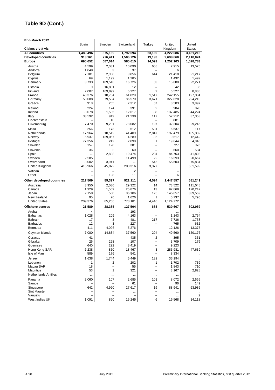| Table 9D (Cont.)                            |                       |                    |                      |                          |                        |                         |
|---------------------------------------------|-----------------------|--------------------|----------------------|--------------------------|------------------------|-------------------------|
|                                             |                       |                    |                      |                          |                        |                         |
| End-March 2012                              |                       |                    |                      |                          |                        |                         |
| Claims vis-à-vis                            | Spain                 | Sweden             | Switzerland          | Turkey                   | United<br>Kingdom      | United<br><b>States</b> |
| <b>All countries</b>                        | 1,480,496             | 875,169            | 1,792,694            | 23,169                   | 4,222,086              | 3,181,216               |
| <b>Developed countries</b><br><b>Europe</b> | 913,161<br>695,652    | 776,411<br>687,014 | 1,506,726<br>585,615 | 19,193<br>14,599         | 2,699,660<br>1,252,103 | 2,110,024<br>1,528,783  |
| Austria                                     | 4,599                 | 2,031              | 10,090               | 608                      | 7,915                  | 13,575                  |
| Andorra                                     | 1,049                 | 3                  | 37                   |                          | 6                      |                         |
| Belgium                                     | 7,181                 | 2,908              | 9,856                | 614                      | 21,418                 | 21,217                  |
| Cyprus                                      | 69                    | 1,199              | 1,285                | $\ddotsc$                | 1,432                  | 1,499                   |
| Denmark                                     | 3,733                 | 189,518            | 16,726               | 53                       | 15,880                 | 22,271                  |
| Estonia<br>Finland                          | 9<br>2,007            | 16,881<br>169,899  | 12<br>5,227          | -<br>2                   | 42<br>6,527            | 36<br>8,888             |
| France                                      | 40,376                | 10,754             | 61,029               | 1,517                    | 242,155                | 197,334                 |
| Germany                                     | 58,088                | 79,504             | 86,570               | 3,671                    | 327,828                | 224,210                 |
| Greece                                      | 918                   | 265                | 2,312                | 67                       | 8,503                  | 3,897                   |
| Iceland                                     | 224                   | 174                | 391                  | 2                        | 984                    | 870                     |
| Ireland<br>Italy                            | 8,078<br>33,592       | 1,535<br>919       | 12,617<br>21,230     | 88<br>117                | 137,485<br>57,212      | 44,224<br>37,353        |
| Liechtenstein                               |                       | 10                 |                      |                          | 881                    |                         |
| Luxembourg                                  | 7,470                 | 9,281              | 78,082               | 197                      | 32,304                 | 29,245                  |
| Malta                                       | 256                   | 173                | 612                  | 581                      | 6,637                  | 117                     |
| Netherlands                                 | 17,964                | 10,512             | 41,409               | 2,847                    | 197,479                | 105,382                 |
| Norway                                      | 5,937                 | 139,057            | 4,289                | 86<br>1                  | 9,617                  | 12,442                  |
| Portugal<br>Slovakia                        | 77,356<br>157         | 242<br>128         | 2,098<br>381         | $\overline{\phantom{0}}$ | 19,644<br>727          | 4,840<br>976            |
| Slovenia                                    | 36                    | $\overline{2}$     | 60                   |                          | 660                    | 504                     |
| Spain                                       | $\ddotsc$             | 2,808              | 19,474               | 204                      | 84.763                 | 41,803                  |
| Sweden                                      | 2,585                 |                    | 11,499               | 22                       | 16,393                 | 20,667                  |
| Switzerland                                 | 8,002                 | 3,941              |                      | 545                      | 55,603                 | 75,834                  |
| United Kingdom                              | 415,966               | 45,072             | 200,316              | 3,377                    |                        | 661,599                 |
| Vatican<br>Other                            |                       | 198                | 2<br>11              |                          | 6                      | $\ddotsc$<br>$\cdots$   |
| Other developed countries                   | 217,509               | 89,397             | 921,111              | 4,594                    | 1,447,557              | 581,241                 |
| Australia                                   | 3,950                 | 2,036              | 29,322               | 14                       | 73,522                 | 111,048                 |
| Canada                                      | 1,929                 | 1,509              | 25,876               | 13                       | 97,869                 | 120,247                 |
| Japan<br>New Zealand                        | 2,159<br>95           | 560<br>26          | 86,106               | 126<br>1                 | 145,657                | 339,559                 |
| <b>United States</b>                        | 209,376               | 85,266             | 1,626<br>778,181     | 4,440                    | 5,737<br>1,124,772     | 5,796                   |
| <b>Offshore centres</b>                     | 21,589                | 28,385             | 127,504              | 685                      | 530,607                | 302,059                 |
| Aruba                                       | 4                     |                    | 193                  | $\overline{\phantom{0}}$ |                        |                         |
| <b>Bahamas</b>                              | 1,028                 | 209                | 4,163                |                          | 1,143                  | 2,754                   |
| Bahrain                                     | 17<br>12              | 3<br>3             | 481                  | 217                      | 7,736                  | 1,758                   |
| <b>Barbados</b><br>Bermuda                  | 411                   | 4,026              | 227<br>5,276         |                          | 765<br>12,126          | 632<br>13,373           |
| Cayman Islands                              | 7,080                 | 14,834             | 37,560               | 204                      | 49,560                 | 150,176                 |
| Curacao                                     | 41                    |                    | 435                  | 2                        | 395                    | 351                     |
| Gibraltar                                   | 26                    | 298                | 107                  | $\overline{\phantom{0}}$ | 3,709                  | 179                     |
| Guernsey                                    | 640                   | 292                | 8,419                | $\qquad \qquad -$        | 9,223                  | $\ddotsc$               |
| Hong Kong SAR                               | 6,238                 | 850                | 18,467               | 3                        | 283,981                | 47,639                  |
| Isle of Man                                 | 589                   | 176                | 541                  | $\overline{\phantom{0}}$ | 8,334                  | $\ldots$                |
| Jersey<br>Lebanon                           | 1,638<br>$\mathbf{1}$ | 1,744<br>2         | 5,449<br>202         | 132<br>1                 | 33,194<br>1,702        | $\ldots$<br>739         |
| Macau SAR                                   | 18                    | -                  | 55                   | $\overline{\phantom{0}}$ | 1,843                  | 710                     |
| <b>Mauritius</b>                            | 53                    | 1                  | 321                  | $\qquad \qquad -$        | 3,167                  | 2,828                   |
| <b>Netherlands Antilles</b>                 |                       |                    |                      |                          |                        | $\ldots$                |
| Panama                                      | 2,060                 | 107                | 2,685                | 101                      | 8,072                  | 2,665                   |
| Samoa<br>Singapore                          | 642                   | 4,990              | 61<br>27,617         | 19                       | 96<br>88,941           | 149<br>63,986           |
| Sint Maarten                                |                       |                    |                      | $\overline{\phantom{0}}$ |                        | $\ldots$                |
| Vanuatu                                     |                       |                    |                      |                          | $\cdots$               | 2                       |
| West Indies UK                              | 1,091                 | 850                | 15,245               | 6                        | 16,568                 | 14,118                  |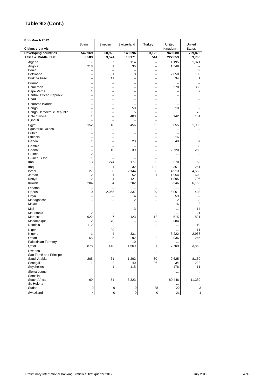| Table 9D (Cont.)                                               |                               |                                                      |                          |                                |                                |                      |
|----------------------------------------------------------------|-------------------------------|------------------------------------------------------|--------------------------|--------------------------------|--------------------------------|----------------------|
|                                                                |                               |                                                      |                          |                                |                                |                      |
| End-March 2012                                                 | Spain                         | Sweden                                               | Switzerland              | Turkey                         | United                         | United               |
| Claims vis-à-vis                                               |                               |                                                      |                          |                                | Kingdom                        | <b>States</b>        |
| <b>Developing countries</b><br><b>Africa &amp; Middle East</b> | 542,969<br>3,583              | 68,922<br>3,574                                      | 149,596<br>18,171        | 3,126<br>544                   | 949,080<br>222,653             | 729,825<br>59,750    |
|                                                                |                               |                                                      |                          |                                |                                |                      |
| Algeria<br>Angola                                              | $\overline{7}$<br>218         | 7<br>1                                               | 114<br>35                | -                              | 1,195<br>1,549                 | 1,871                |
| Benin                                                          |                               |                                                      |                          |                                |                                | 9                    |
| Botswana                                                       | ÷                             | $\mathbf{1}$                                         | 8                        | L,                             | 2,050                          | 133                  |
| <b>Burkina Faso</b>                                            |                               | 41                                                   | L,                       |                                | 34                             | $\mathbf{1}$         |
| Burundi                                                        | $\overline{\phantom{0}}$      | $\overline{\phantom{0}}$                             | $\overline{\phantom{0}}$ | $\overline{\phantom{0}}$       |                                |                      |
| Cameroon                                                       | $\overline{\phantom{0}}$      | $\overline{\phantom{0}}$                             | -                        | ÷                              | 278                            | 356                  |
| Cape Verde                                                     | 1                             |                                                      | -                        |                                |                                | $\overline{2}$       |
| Central African Republic<br>Chad                               | ÷                             | $\overline{\phantom{0}}$                             |                          | L,                             | -                              |                      |
| Comoros Islands                                                |                               |                                                      |                          |                                | $\cdots$                       |                      |
| Congo                                                          | $\overline{\phantom{0}}$<br>÷ | $\overline{\phantom{0}}$<br>$\overline{\phantom{0}}$ | 58                       | ÷<br>$\overline{\phantom{0}}$  | $\overline{\phantom{0}}$<br>18 | .<br>$\overline{2}$  |
| Congo Democratic Republic                                      | $\mathbf{1}$                  | $\overline{\phantom{0}}$                             | 5                        | ÷                              |                                | 72                   |
| Côte d'Ivoire                                                  | 1                             | $\qquad \qquad -$                                    | 403                      | -                              | 142                            | 181                  |
| Djibouti                                                       |                               |                                                      |                          |                                | $\cdots$                       | $\cdots$             |
| Egypt                                                          | 152                           | 18                                                   | 456                      | 59                             | 9,855                          | 1,999                |
| <b>Equatorial Guinea</b>                                       | 1                             | $\overline{\phantom{0}}$                             | 1                        | ÷                              |                                |                      |
| Eritrea                                                        | -                             | $\overline{\phantom{0}}$                             | -                        | ÷                              | $\overline{\phantom{0}}$       | $\ddotsc$            |
| Ethiopia<br>Gabon                                              | 1                             | $\overline{\phantom{0}}$                             | 1<br>23                  | -                              | 16<br>40                       | $\overline{2}$<br>67 |
|                                                                |                               |                                                      |                          |                                |                                |                      |
| Gambia<br>Ghana                                                | $\overline{\phantom{0}}$      | 10                                                   | 39                       | -                              | <br>2,720                      | 8<br>263             |
| Guinea                                                         | $\overline{2}$                | $\overline{\phantom{0}}$                             | 1                        | -                              |                                |                      |
| Guinea-Bissau                                                  | 1                             |                                                      |                          |                                |                                | $\ddotsc$            |
| Iran                                                           | 13                            | 274                                                  | 177                      | 80                             | 270                            | 53                   |
| Iraq                                                           |                               | 1                                                    | 32                       | 129                            | 361                            | 251                  |
| Israel                                                         | 27                            | 90                                                   | 2,144                    | 3                              | 4,913                          | 4,553                |
| Jordan                                                         | 2                             | 1                                                    | 52                       | 1                              | 1,954                          | 620                  |
| Kenya<br>Kuwait                                                | 2<br>204                      | 4<br>4                                               | 121<br>202               | Ē,<br>2                        | 1,895                          | 796                  |
|                                                                |                               |                                                      |                          |                                | 3,546                          | 6,159                |
| Lesotho<br>Liberia                                             | 10                            | 2,065                                                | 2,337                    | Ē,<br>39                       | <br>5,061                      | 408                  |
| Libya                                                          |                               |                                                      | 4                        |                                | 59                             |                      |
| Madagascar                                                     | ÷                             | $\overline{\phantom{0}}$                             | $\overline{2}$           | ÷                              | 2                              | 8                    |
| Malawi                                                         | $\overline{\phantom{0}}$      | $\overline{\phantom{0}}$                             | -                        | $\overline{\phantom{0}}$       | 16                             | $\overline{2}$       |
| Mali                                                           | -                             | -                                                    | 3                        |                                | $\cdots$                       | 14                   |
| Mauritania                                                     | $\overline{2}$                | $\overline{\phantom{0}}$                             | 11                       | Ē,                             | $\cdots$                       | 21                   |
| Morocco                                                        | 922                           | $\overline{7}$                                       | 123                      | 18                             | 615                            | 821                  |
| Mozambique<br>Namibia                                          | 2<br>112                      | 70<br>2                                              | 1                        | -<br>÷                         | 384                            | 2<br>10              |
| Niger                                                          |                               | 29                                                   | 1                        |                                | $\cdots$                       | 11                   |
| Nigeria                                                        | $\mathbf{1}$                  | 4                                                    | 331                      | $\overline{\phantom{0}}$       | $\cdots$<br>3,222              | 2,938                |
| Oman                                                           | 55                            | 6                                                    | 92                       | $\overline{c}$                 | 3,936                          | 266                  |
| Palestinian Territory                                          | $\overline{\phantom{0}}$      | $\qquad \qquad -$                                    | 10                       | -                              | $\cdots$                       | $\sim$               |
| Qatar                                                          | 878                           | 418                                                  | 1,609                    | $\mathbf{1}$                   | 17,709                         | 3,868                |
| Rwanda                                                         |                               | $\qquad \qquad -$                                    |                          | <sup>-</sup>                   |                                |                      |
| Sao Tomé and Principe                                          | $\overline{\phantom{0}}$      | $\overline{\phantom{0}}$                             |                          | $\overline{\phantom{0}}$       |                                | $\ldots$             |
| Saudi Arabia<br>Senegal                                        | 205                           | 61                                                   | 1,292                    | 30                             | 9,625                          | 8,130                |
| Seychelles                                                     | 1                             | $\overline{\mathbf{c}}$<br>1                         | 40<br>115                | 26<br>$\overline{\phantom{0}}$ | 34<br>176                      | 222<br>11            |
| Sierra Leone                                                   |                               |                                                      |                          | $\overline{\phantom{0}}$       |                                |                      |
| Somalia                                                        | $\qquad \qquad -$             | $\qquad \qquad -$                                    |                          | -                              |                                |                      |
| South Africa                                                   | 69                            | 51                                                   | 3,323                    | $\overline{\phantom{0}}$       | 89,446                         | 11,330               |
| St. Helena                                                     | $\overline{\phantom{0}}$      | $\qquad \qquad -$                                    |                          |                                |                                |                      |
| Sudan                                                          | $\mathbf 0$                   | 9                                                    | 0                        | 38                             | 22                             | 3                    |
| Swaziland                                                      | 4                             | 0                                                    | 0                        | $\mathbf 0$                    | 21                             | 1                    |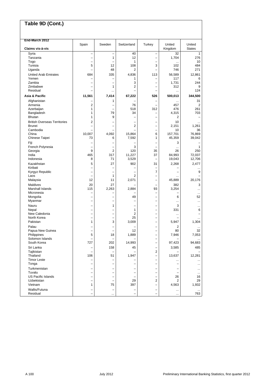| Table 9D (Cont.)                    |                               |                               |                               |                          |                          |                         |
|-------------------------------------|-------------------------------|-------------------------------|-------------------------------|--------------------------|--------------------------|-------------------------|
| End-March 2012                      |                               |                               |                               |                          |                          |                         |
| Claims vis-à-vis                    | Spain                         | Sweden                        | Switzerland                   | Turkey                   | United<br>Kingdom        | United<br><b>States</b> |
| Syria                               | -                             | $\qquad \qquad -$             | 40                            | $\overline{\phantom{0}}$ | 32                       | $\mathbf{1}$            |
| Tanzania                            |                               | 1                             | 12                            | ۳                        | 1,704                    | 276                     |
| Togo                                |                               | $\overline{\phantom{0}}$      | 1                             |                          |                          | 10                      |
| Tunisia                             | 5                             | 12                            | 108                           | 3                        | 102                      | 484                     |
| Uganda                              | L.                            | 48                            | 2                             |                          | 746                      | 271                     |
| <b>United Arab Emirates</b>         | 684                           | 335                           | 4,836                         | 113                      | 56,589                   | 12,861                  |
| Yemen                               | -                             | $\overline{\phantom{0}}$      | 1                             | $\overline{\phantom{0}}$ | 117                      | 6                       |
| Zambia                              |                               |                               | 3                             |                          | 1,731                    | 244                     |
| Zimbabwe<br>Residual                |                               | 1                             | $\overline{2}$                |                          | 312                      | 9<br>124                |
|                                     |                               | $\ddotsc$                     |                               |                          | $\cdots$                 |                         |
| Asia & Pacific                      | 11,561                        | 7,414                         | 67,222                        | 526                      | 500,013                  | 344,500                 |
| Afghanistan                         |                               | 1                             |                               | $\overline{\phantom{0}}$ | $\cdots$                 | 31<br>2                 |
| Armenia<br>Azerbaijan               | 2<br>1                        | $\overline{\phantom{0}}$      | 76<br>518                     | 312                      | 457<br>476               | 261                     |
| Bangladesh                          | 1                             | 79                            | 34                            |                          | 4,315                    | 703                     |
| <b>Bhutan</b>                       | 1                             | 9                             | L.                            | $\overline{\phantom{0}}$ | 2                        |                         |
| <b>British Overseas Territories</b> | 2                             |                               | $\overline{\phantom{0}}$      | -                        | 10                       |                         |
| <b>Brunei</b>                       | $\overline{\phantom{0}}$      | $\overline{\phantom{0}}$      | $\overline{2}$                | Ē,                       | 2,151                    | 1.261                   |
| Cambodia                            |                               |                               |                               | $\overline{\phantom{0}}$ | 10                       | 36                      |
| China                               | 10,007                        | 4,092                         | 15,864                        | 6                        | 157,701                  | 76,869                  |
| Chinese Taipei                      | 73                            | 6                             | 7,592                         | $\mathbf{1}$             | 45,359                   | 39,042                  |
| Fiji                                |                               | $\overline{\phantom{0}}$      |                               |                          | 3                        |                         |
| French Polynesia                    | -                             | $\overline{\phantom{0}}$      | 3                             | $\overline{\phantom{0}}$ | $\cdots$                 | $\mathbf{1}$            |
| Georgia                             | 9                             | $\overline{2}$                | 120                           | 35                       | 26                       | 250                     |
| India                               | 465                           | 317                           | 11,227                        | 37                       | 84,993                   | 72,037                  |
| Indonesia                           | 8                             | 71                            | 3,529                         |                          | 19,043                   | 12,706                  |
| Kazakhstan                          | 5                             | 27                            | 902                           | 31                       | 2,268                    | 2,477                   |
| Kiribati                            |                               | $\overline{\phantom{0}}$      | $\qquad \qquad -$             | $\overline{\phantom{0}}$ |                          | $\cdots$                |
| Kyrgyz Republic<br>Laos             | ÷                             | $\overline{\phantom{0}}$<br>1 | $\overline{\phantom{0}}$<br>2 | $\overline{7}$<br>÷      | $\overline{\phantom{0}}$ | 9                       |
| Malaysia                            | 12                            | 11                            | 2,071                         |                          | <br>45,889               | 20,176                  |
| Maldives                            | 20                            | 27                            |                               | Ē,                       | 382                      | 3                       |
| Marshall Islands                    | 115                           | 2,263                         | 2,884                         | 93                       | 3,254                    | .                       |
| Micronesia                          | -                             | $\overline{\phantom{0}}$      |                               |                          |                          | $\cdots$                |
| Mongolia                            | ÷                             | $\overline{\phantom{0}}$      | 49                            | Ē,                       | 6                        | 52                      |
| Myanmar                             | -                             | $\overline{\phantom{0}}$      | $\overline{\phantom{0}}$      | Ē,                       | $\cdots$                 |                         |
| Nauru                               |                               | 1                             | $\overline{\phantom{0}}$      | Ē,                       | 3                        |                         |
| Nepal                               |                               |                               | 1                             |                          | 331                      | 6                       |
| New Caledonia                       |                               | -                             | 2                             | -                        | $\cdots$                 |                         |
| North Korea                         |                               | $\overline{\phantom{0}}$      | 25                            | -                        |                          | $\ddotsc$               |
| Pakistan                            | 1                             | 3                             | 3,009                         | ÷                        | 5,947                    | 1,304                   |
| Palau                               |                               | -                             | $\overline{\phantom{0}}$      | ÷                        | 2                        | $\ddotsc$               |
| Papua New Guinea                    |                               | $\qquad \qquad -$             | 12                            |                          | 80                       | 32                      |
| Philippines<br>Solomon Islands      | 5<br>$\overline{\phantom{0}}$ | 18<br>$\qquad \qquad -$       | 1,889                         |                          | 7,946                    | 7,053                   |
| South Korea                         | 727                           | 202                           | 14,993                        | $\overline{\phantom{0}}$ | 97,423                   | 94,683                  |
| Sri Lanka                           |                               | 158                           | 45                            |                          | 3,585                    | 485                     |
| Tajikistan                          | -<br>$\overline{a}$           | $\qquad \qquad -$             |                               | -<br>2                   |                          |                         |
| Thailand                            | 106                           | 51                            | 1,947                         | $\overline{\phantom{0}}$ | 13,637                   | 12,281                  |
| <b>Timor Leste</b>                  | $\overline{\phantom{0}}$      | L.                            |                               |                          |                          |                         |
| Tonga                               | -                             | $\qquad \qquad -$             |                               | $\overline{\phantom{0}}$ |                          |                         |
| Turkmenistan                        |                               |                               |                               |                          |                          |                         |
| Tuvalu                              | $\overline{\phantom{0}}$      | $\overline{\phantom{0}}$      | $\qquad \qquad -$             | $\overline{\phantom{0}}$ |                          | $\cdots$                |
| <b>US Pacific Islands</b>           |                               |                               |                               |                          | 26                       | 16                      |
| <b>Uzbekistan</b>                   | $\overline{\phantom{0}}$      | $\qquad \qquad -$             | 29                            | 2                        | 2                        | 29                      |
| Vietnam                             | 1                             | 75                            | 397                           | $\overline{a}$           | 4,563                    | 1,932                   |
| Wallis/Futuna                       |                               | $\qquad \qquad -$             |                               | -                        | $\cdots$                 |                         |
| Residual                            |                               | $\ddotsc$                     |                               |                          | $\cdots$                 | 763                     |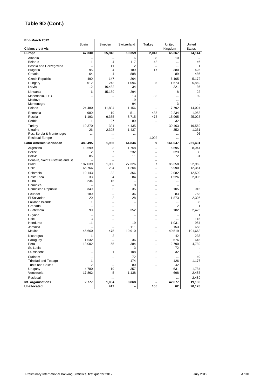| Table 9D (Cont.)                    |                                |                               |                               |                                                      |                      |                         |
|-------------------------------------|--------------------------------|-------------------------------|-------------------------------|------------------------------------------------------|----------------------|-------------------------|
| End-March 2012                      |                                |                               |                               |                                                      |                      |                         |
|                                     | Spain                          | Sweden                        | Switzerland                   | Turkey                                               | United               | United                  |
| Claims vis-à-vis<br>Europe          | 47,330                         | 55,948                        |                               |                                                      | Kingdom              | <b>States</b><br>74,144 |
|                                     |                                |                               | 19,359                        | 2,047                                                | 65,367               |                         |
| Albania<br><b>Belarus</b>           | 1                              | 4                             | 6<br>117                      | 38<br>42                                             | 10                   | 46                      |
| Bosnia and Herzegovina              |                                | 11                            | 2                             |                                                      | $\cdots$<br>$\cdots$ | 1                       |
| Bulgaria                            | 95                             | 4                             | 189                           | 17                                                   | 380                  | 425                     |
| Croatia                             | 64                             | 4                             | 888                           | $\overline{\phantom{0}}$                             | 89                   | 486                     |
| Czech Republic                      | 490                            | 147                           | 264                           |                                                      | 6,105                | 5,172                   |
| Hungary                             | 612                            | 243                           | 1,096                         | 5                                                    | 1,673                | 5.869                   |
| Latvia                              | 12                             | 16,482                        | 34                            |                                                      | 221                  | 36                      |
| Lithuania                           | 6                              | 15,189                        | 294                           |                                                      | 8                    | 22                      |
| Macedonia, FYR                      |                                |                               | 13                            | 33                                                   |                      | 89                      |
| Moldova                             |                                |                               | 19                            | -                                                    | $\cdots$             |                         |
| Montenegro                          |                                |                               | 94                            |                                                      | 3                    | .                       |
| Poland                              | 24,480                         | 11,834                        | 1,156                         |                                                      | 7,792                | 14,024                  |
| Romania                             | 980                            | 19                            | 511                           | 435                                                  | 2,234                | 1,953                   |
| Russia                              | 1.193                          | 9,355                         | 8,715                         | 475                                                  | 15,965               | 25,025                  |
| Serbia                              | $\mathbf{1}$                   | 27                            | 89                            |                                                      | 32                   | $\cdots$                |
| Turkey                              | 19,370                         | 321                           | 4,435                         |                                                      | 30,463               | 19,569                  |
| Ukraine<br>Res. Serbia & Montenegro | 26                             | 2,308                         | 1,437                         |                                                      | 352                  | 1,331<br>96             |
| <b>Residual Europe</b>              |                                | $\cdots$<br>$\cdots$          |                               | 1,002                                                | <br>$\cdots$         | $\ddotsc$               |
| Latin America/Caribbean             |                                |                               |                               | 9                                                    |                      |                         |
|                                     | 480,495                        | 1,986                         | 44,844                        |                                                      | 161,047              | 251,431                 |
| Argentina<br><b>Belize</b>          | 18,699<br>2                    | 3<br>7                        | 1,768<br>232                  |                                                      | 6,595                | 8.044                   |
| <b>Bolivia</b>                      | 85                             | $\overline{\phantom{0}}$      | 11                            | L,                                                   | 323<br>72            | 30<br>31                |
| Bonaire, Saint Eustatius and Sa     |                                |                               | $\ddotsc$                     | Ē,                                                   | $\ddotsc$            | $\ddotsc$               |
| Brazil                              | 187,039                        | 1,080                         | 27,326                        | $\overline{7}$                                       | 86,358               | 92,969                  |
| Chile                               | 65,766                         | 284                           | 1,204                         |                                                      | 5,990                | 12,361                  |
| Colombia                            | 19,143                         | 32                            | 366                           |                                                      | 2,082                | 12,500                  |
| Costa Rica                          | 33                             | 4                             | 84                            | -                                                    | 1,526                | 2,005                   |
| Cuba                                | 234                            | 15                            | $\overline{\phantom{0}}$      | $\overline{\phantom{0}}$                             | $\cdots$             |                         |
| Dominica                            |                                | $\overline{\phantom{0}}$      | 8                             | $\overline{\phantom{0}}$                             |                      | $\cdots$                |
| Dominican Republic                  | 349                            | $\overline{2}$                | 35                            |                                                      | 105                  | 915                     |
| Ecuador                             | 180                            | L.                            | 36                            | L,                                                   | 83                   | 763                     |
| El Salvador                         | 20                             | 2                             | 28                            |                                                      | 1,873                | 2,306                   |
| <b>Falkland Islands</b>             | 1                              | $\overline{\phantom{0}}$      | $\overline{\phantom{0}}$      | -                                                    | $\cdots$             | 33                      |
| Grenada<br>Guatemala                | $\overline{\phantom{0}}$<br>90 | $\overline{\phantom{0}}$<br>- | $\mathbf{1}$<br>352           | $\overline{\phantom{0}}$<br>$\overline{\phantom{0}}$ | 2<br>182             | $\mathbf{1}$<br>2,425   |
|                                     |                                |                               |                               |                                                      |                      |                         |
| Guyana<br>Haiti                     | 3                              | $\overline{\phantom{0}}$      | $\overline{\phantom{0}}$<br>1 | L,                                                   |                      | 1<br>115                |
| Honduras                            | 11                             |                               | 19                            |                                                      | 1,031                | 954                     |
| Jamaica                             | -                              | $\overline{\phantom{0}}$      | 111                           | $\overline{\phantom{0}}$                             | 153                  | 658                     |
| Mexico                              | 146,660                        | 475                           | 10,910                        | ÷                                                    | 49,519               | 101,668                 |
| Nicaragua                           | 1                              | 2                             |                               | ÷                                                    | 42                   | 233                     |
| Paraguay                            | 1,532                          | $\overline{\phantom{0}}$      | 36                            | $\overline{\phantom{0}}$                             | 676                  | 645                     |
| Peru                                | 18,002                         | 55                            | 384                           |                                                      | 2,790                | 4,789                   |
| St. Lucia                           |                                | $\qquad \qquad -$             | 3                             | $\overline{\phantom{0}}$                             | 72                   | $\ldots$                |
| St. Vincent                         | -                              | $\mathbf{1}$                  | 108                           | $\overline{2}$                                       | 32                   | $\cdots$                |
| Surinam                             |                                | -                             | 72                            |                                                      | $\cdots$             | 49                      |
| Trinidad and Tobago                 | 1                              | $\qquad \qquad -$             | 174                           | $\overline{\phantom{0}}$                             | 126                  | 1,176                   |
| <b>Turks and Caicos</b>             | 2                              | $\overline{\phantom{0}}$      | 80                            |                                                      | 42                   | $\cdots$                |
| Uruguay<br>Venezuela                | 4,780<br>17,862                | 19<br>5                       | 357<br>1,138                  | $\overline{\phantom{0}}$                             | 631<br>698           | 1,784<br>2,487          |
|                                     |                                |                               |                               |                                                      |                      |                         |
| Residual<br>Int. organisations      | 2,777                          | 1,034                         | 8,868                         | $\overline{\phantom{0}}$                             | 42,677               | 2,489<br>19,130         |
| <b>Unallocated</b>                  |                                | 417                           |                               | 165                                                  | 62                   | 20,178                  |
|                                     |                                |                               |                               |                                                      |                      |                         |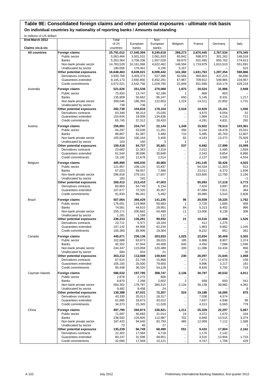#### **Table 9E: Consolidated foreign claims and other potential exposures - ultimate risk basis**

**On individual countries by nationality of reporting banks / Amounts outstanding**

| In millions of US dollars |                           |            |            |           |                |           |           |          |
|---------------------------|---------------------------|------------|------------|-----------|----------------|-----------|-----------|----------|
| End-March 2012            |                           | Total      |            | Non-      |                |           |           |          |
|                           |                           | of 24      | European   | European  | Belgium        | France    | Germany   | Italy    |
| Claims vis-à-vis          |                           | countries  | banks      | banks     |                |           |           |          |
|                           |                           |            |            |           |                |           |           |          |
| <b>All countries</b>      | Foreign claims            | 25,791,012 | 17,545,394 | 8,245,618 | 289,273        | 2,870,445 | 2,767,534 | 875,345  |
|                           | Public sector             | 5,563,464  | 3,501,531  | 2,061,933 | 65,842         | 598,973   | 301,262   | 148,518  |
|                           | Banks                     | 5,263,364  | 3,706,336  | 1,557,028 | 69,670         | 551,493   | 855,762   | 174,613  |
|                           | Non-bank private sector   | 14,783,528 | 10,161,066 | 4.622.462 | 148,594        | 1,719,979 | 1,610,510 | 551,691  |
|                           | Unallocated by sector     | 180,656    | 176,461    | 4,195     | 5,167          |           |           | 523      |
|                           | Other potential exposures | 16,648,463 | 8,639,021  | 8,009,442 | 141,382        | 1,631,763 | 1,297,354 | 590,866  |
|                           | Derivatives contracts     | 3,930,769  | 3,403,373  | 527,396   | 50,566         | 369,903   | 437,215   | 56,690   |
|                           | Guarantees extended       | 9,145,173  | 2,692,892  | 6,452,281 | 67,967         | 709,912   | 549,965   | 104,957  |
|                           | Credit commitments        |            | 2,542,756  |           | 22,849         | 551,948   | 310,174   | 429,219  |
|                           |                           | 3,572,521  |            | 1,029,765 |                |           |           |          |
| Australia                 | Foreign claims            | 521,626    | 251,538    | 270,088   | 1,875          | 20,524    | 31,986    | 2,948    |
|                           | Public sector             | 75,933     | 13,747     | 62,186    | 1              | 868       | 853       |          |
|                           | <b>Banks</b>              | 135,909    | 50,662     | 85,247    | 650            | 5,145     | 8,331     | 1,217    |
|                           | Non-bank private sector   | 309,046    | 186,393    | 122,653   | 1,224          | 14,511    | 22,802    | 1,731    |
|                           |                           |            |            |           |                |           |           |          |
|                           | Unallocated by sector     | 738        | 736        | 2         |                |           |           |          |
|                           | Other potential exposures | 282,738    | 104,634    | 178,104   | 2,518          | 10,929    | 15,101    | 1,056    |
|                           | Derivatives contracts     | 63,349     | 48,314     | 15,035    | $\ddotsc$      | 4,670     | 6,054     | 52       |
|                           | Guarantees extended       | 153,644    | 19,008     | 134,636   |                | 1,968     | 4,216     | 712      |
|                           | Credit commitments        | 65,745     | 37,312     | 28,433    |                | 4,291     | 4,831     | 292      |
|                           |                           |            |            |           |                |           |           |          |
| Austria                   | Foreign claims            | 256.891    | 234,747    | 22,144    | 1,249          | 15,922    | 78,513    | 103,361  |
|                           | Public sector             | 64,297     | 53,036     | 11,261    | 456            | 6,244     | 19,478    | 15,031   |
|                           | <b>Banks</b>              | 86,867     | 81,387     | 5,480     | 710            | 5,485     | 45,763    | 12,807   |
|                           | Non-bank private sector   | 105,564    | 100,164    | 5,400     | 82             | 4,193     | 13,272    | 75,509   |
|                           | Unallocated by sector     | 163        | 160        | 3         | 1              |           |           | 14       |
|                           | Other potential exposures | 100,418    | 64,737     | 35,681    | 537            | 6,682     | 17,899    | 15.099   |
|                           | Derivatives contracts     | 23,682     | 21,363     | 2,319     |                | 2,012     | 5,480     | 1,659    |
|                           |                           |            |            |           |                |           |           |          |
|                           | Guarantees extended       | 61,544     | 30,696     | 30,848    |                | 2,543     | 8,854     | 8,886    |
|                           | Credit commitments        | 15,192     | 12,678     | 2,514     |                | 2,127     | 3,565     | 4,554    |
| Belgium                   | Foreign claims            | 485,990    | 445,030    | 40,960    |                | 241,145   | 30,426    | 4,503    |
|                           | Public sector             |            |            |           |                |           |           | 512      |
|                           |                           | 121,957    | 106,120    | 15,837    |                | 64,534    | 11,303    |          |
|                           | Banks                     | 67,023     | 59,557     | 7,466     |                | 23,011    | 6,373     | 1,836    |
|                           | Non-bank private sector   | 296,818    | 279,161    | 17,657    |                | 153,600   | 12,750    | 2,156    |
|                           | Unallocated by sector     | 192        | 192        |           |                |           |           | $-1$     |
|                           | Other potential exposures | 260,413    | 213,410    | 47,003    |                | 95,093    | 17,218    | 3,773    |
|                           | Derivatives contracts     | 60,903     | 54,749     | 6,154     |                | 7,424     | 3,897     | 803      |
|                           | Guarantees extended       | 107,677    | 72,320     | 35,357    |                | 47,684    | 7,811     | 364      |
|                           | Credit commitments        | 91,833     | 86,341     | 5,492     |                | 39,985    | 5,510     | 2,606    |
|                           |                           |            |            |           |                |           |           |          |
| <b>Brazil</b>             | Foreign claims            | 507,664    | 366,429    | 141,235   | 96             | 20,939    | 19,225    | 1,762    |
|                           | Public sector             | 176,651    | 119,968    | 56,683    | 1              | 2,720     | 1,684     | 458      |
|                           | Banks                     | 74,561     | 44,610     | 29,951    | 84             | 5,213     | 8,402     | 996      |
|                           | Non-bank private sector   | 255,171    | 200,682    | 54,489    | 11             | 13,006    | 9,139     | 308      |
|                           | Unallocated by sector     | 1,281      |            | 112       | -              |           |           |          |
|                           |                           |            | 1,169      |           |                |           |           |          |
|                           | Other potential exposures | 236,213    | 136,281    | 99,932    | 21             | 10,516    | 11,888    | 1,526    |
|                           | Derivatives contracts     | 23,711     | 5,377      | 18,334    |                | 411       | 1,275     |          |
|                           | Guarantees extended       | 107,142    | 44,908     | 62,234    |                | 1,883     | 9,962     | 1,245    |
|                           | Credit commitments        | 105,360    | 85,996     | 19,364    |                | 8,222     | 651       | 281      |
|                           |                           |            |            |           |                |           |           |          |
| Canada                    | Foreign claims            | 440,071    | 236,138    | 203,933   | 1,025          | 22,834    | 30,409    | 3,302    |
|                           | Public sector             | 102,688    | 63,673     | 39,015    | 185            | 6,988     | 8,907     | 1,374    |
|                           | Banks                     | 92,352     | 47,944     | 44,408    | 640            | 4,450     | 7,068     | 1,046    |
|                           | Non-bank private sector   | 244,347    | 123,858    | 120,489   | 200            | 11,396    | 14,434    | 856      |
|                           | Unallocated by sector     | 684        | 663        | 21        |                |           |           | 26       |
|                           | Other potential exposures | 263,212    | 113,568    | 149,644   | 230            | 26,097    | 21,645    | 1,068    |
|                           | Derivatives contracts     | 67,614     | 51,748     | 15,866    |                | 7,471     | 12,678    | 159      |
|                           | Guarantees extended       | 105,150    | 25,500     | 79,650    |                | 9,996     | 3,217     | 191      |
|                           | Credit commitments        | 90,448     |            |           |                |           |           | 718      |
|                           |                           |            | 36,320     | 54,128    |                | 8,630     | 5,750     |          |
| Cayman Islands            | <b>Foreign claims</b>     | 586,532    | 197,785    | 388,747   | 2,136          | 30,797    | 40,532    | 4,911    |
|                           | Public sector             | 2,878      | 2,272      | 606       |                |           |           | $\ldots$ |
|                           | Banks                     | 9,870      | 7,268      | 2,602     | $\overline{2}$ | 658       | 650       | 541      |
|                           |                           | 564,302    | 178,787    | 385,515   |                | 30,139    |           | 4,362    |
|                           | Non-bank private sector   |            |            |           | 2,134          |           | 39,882    |          |
|                           | Unallocated by sector     | 9,482      | 9,458      | 24        |                |           |           | 8        |
|                           | Other potential exposures | 139,388    | 67,031     | 72,357    | 524            | 19,188    | 16,085    | 875      |
|                           | Derivatives contracts     | 43,330     | 25,013     | 18,317    |                | 7,038     | 4,574     |          |
|                           | Guarantees extended       | 61,685     | 18,673     | 43,012    |                | 7,837     | 4,948     | 96       |
|                           | Credit commitments        | 34,373     | 23,345     | 11,028    |                | 4,313     | 6,563     | 779      |
|                           |                           |            |            |           |                |           |           |          |
| China                     | Foreign claims            | 497,795    | 260,974    | 236,821   | 1,211          | 25,329    | 22,297    | 5,067    |
|                           | Public sector             | 71,697     | 40,683     | 31,014    | 24             | 4,372     | 1,670     | 104      |
|                           | <b>Banks</b>              | 238,592    | 125,605    | 112,987   | 702            | 8,948     | 13,515    | 3,374    |
|                           | Non-bank private sector   | 187,433    | 94,640     | 92,793    | 485            | 12,009    | 7,112     | 1,588    |
|                           | Unallocated by sector     | 73         | 46         | 27        |                |           |           |          |
|                           | Other potential exposures | 135,239    | 66,749     | 68,490    | 551            | 9,433     | 17,804    | 2,162    |
|                           | Derivatives contracts     | 22,302     | 17,584     | 4,718     |                | 1,170     | 2,142     |          |
|                           | Guarantees extended       | 80,247     | 31,596     | 48,651    |                | 3,516     | 13,904    | 1,733    |
|                           |                           |            |            |           | $\cdots$       |           |           |          |
|                           | Credit commitments        | 32,690     | 17,569     | 15,121    |                | 4,747     | 1,758     | 429      |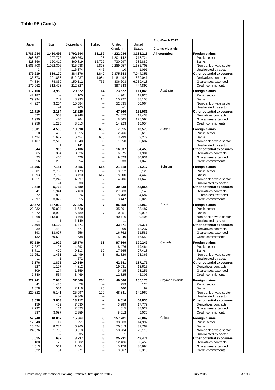| Japan              | Spain                       | Switzerland        | Turkey                                               | United               | United                     | End-March 2012                           |                                                    |
|--------------------|-----------------------------|--------------------|------------------------------------------------------|----------------------|----------------------------|------------------------------------------|----------------------------------------------------|
| 2,783,934          | 1,480,496                   | 1,792,694          | 23,169                                               | Kingdom<br>4,222,086 | <b>States</b><br>3,181,216 | Claims vis-à-vis<br><b>All countries</b> | Foreign claims                                     |
| 868,857            | 297,776                     | 399,563            | 98                                                   | 1,201,142            | 713,724                    |                                          | Public sector                                      |
| 328,366            | 120,410                     | 460,819            | 15,727                                               | 730,997              | 782,880                    |                                          | <b>Banks</b>                                       |
| 1,586,708<br>3     | 1.062.306<br>$\overline{4}$ | 815,938<br>116,374 | 6,898<br>446                                         | 2,289,957<br>$-10$   | 1,685,703<br>$-1,091$      |                                          | Non-bank private sector<br>Unallocated by sector   |
| 379,219            | 589,170                     | 884,376            | 1,840                                                | 2,375,643            | 7,044,351                  |                                          | Other potential exposures                          |
| 33,873             | 201,833                     | 512,937            | 1,084                                                | 1,181,492            | 369,041                    |                                          | Derivatives contracts                              |
| 74,384<br>270,962  | 74,859<br>312,478           | 159,112<br>212,327 | 756<br>$\overline{\phantom{0}}$                      | 806,603<br>387,548   | 6,230,418<br>444,892       |                                          | Guarantees extended<br>Credit commitments          |
| 117,108            | 3,950                       | 29,322             | 14                                                   | 73,522               | 111,048                    | Australia                                | <b>Foreign claims</b>                              |
| 42,187             |                             | 4,100              | $\overline{\phantom{0}}$                             | 4,961                | 12,826                     |                                          | Public sector                                      |
| 29,994             | 747                         | 8,933              | 14                                                   | 15,727               | 38,158                     |                                          | <b>Banks</b>                                       |
| 44,927<br>         | 3,204<br>$-1$               | 15,584<br>705      | $\qquad \qquad -$                                    | 52,835<br>$-1$       | 60,064<br>                 |                                          | Non-bank private sector<br>Unallocated by sector   |
| 11,710             | 2,184                       | 13,225             | -                                                    | 47,660               | 156,081                    |                                          | Other potential exposures                          |
| 522                | 503                         | 9,948              | $\overline{\phantom{0}}$                             | 24,072               | 11,433                     |                                          | Derivatives contracts                              |
| 1,930<br>9,258     | 405<br>1,276                | 264<br>3,013       | $\overline{\phantom{0}}$<br>$\overline{\phantom{0}}$ | 8,665<br>14,923      | 128,594<br>16,054          |                                          | Guarantees extended<br>Credit commitments          |
| 6,501              | 4,599                       | 10,090             | 608                                                  | 7,915                | 13,575                     | Austria                                  | <b>Foreign claims</b>                              |
| 3,610              | 400                         | 1,855              |                                                      | 2,766                | 6,616                      |                                          | Public sector                                      |
| 1,424<br>1,467     | 1,682<br>2,516              | 6,454<br>1,640     | 605<br>3                                             | 3,799<br>1,350       | 3,272<br>3,687             |                                          | <b>Banks</b><br>Non-bank private sector            |
|                    | 1                           | 141                | $\overline{\phantom{0}}$                             |                      |                            |                                          | Unallocated by sector                              |
| 644                | 909                         | 5,106              | -                                                    | 16,537               | 34,458                     |                                          | Other potential exposures                          |
| 65<br>23           | 304<br>400                  | 3,826<br>426       | $\qquad \qquad -$<br>$\overline{\phantom{0}}$        | 6,675<br>9,029       | 1,981<br>30,631            |                                          | Derivatives contracts<br>Guarantees extended       |
| 556                | 205                         | 854                | -                                                    | 833                  | 1,846                      |                                          | Credit commitments                                 |
| 15,705             | 7,181                       | 9,856              | 614                                                  | 21,418               | 21,217                     | Belgium                                  | <b>Foreign claims</b>                              |
| 9,301              | 2,758                       | 1,179              |                                                      | 8,312                | 5,128                      |                                          | Public sector                                      |
| 1,893<br>4,511     | 2,182<br>2,242              | 3,750<br>4,897     | 612<br>2                                             | 8,900<br>4,206       | 4,449<br>11,640            |                                          | <b>Banks</b><br>Non-bank private sector            |
|                    | $-1$                        | 30                 | $\overline{\phantom{0}}$                             |                      |                            |                                          | Unallocated by sector                              |
| 2,510<br>41        | 5,763<br>1,941              | 6,689<br>5,460     | 2<br>2                                               | 39,838<br>27,983     | 42,854<br>5,143            |                                          | Other potential exposures<br>Derivatives contracts |
| 372                | 800                         | 374                | $\overline{\phantom{0}}$                             | 8,408                | 34,682                     |                                          | Guarantees extended                                |
| 2,097              | 3,022                       | 855                | $\overline{\phantom{0}}$                             | 3,447                | 3,029                      |                                          | Credit commitments                                 |
| 39,572             | 187,039                     | 27,326             | 7                                                    | 86,358               | 92,969                     | <b>Brazil</b>                            | Foreign claims                                     |
| 22,332<br>5,272    | 65,024<br>8,923             | 11,620<br>5,789    | -<br>$\overline{7}$                                  | 35,291<br>10,351     | 33,487<br>20,076           |                                          | Public sector<br><b>Banks</b>                      |
| 11,968             | 113,093                     | 8,768              | $\qquad \qquad -$                                    | 40,716               | 39,406                     |                                          | Non-bank private sector                            |
|                    | $-1$                        | 1,149<br>1,871     | $\overline{\phantom{0}}$<br>$\overline{\phantom{0}}$ | 33,871               |                            |                                          | Unallocated by sector<br>Other potential exposures |
| 2,564<br>39        | 74,190<br>1,483             | 577                | $\overline{\phantom{0}}$                             | 1,269                | 96,371<br>18,237           |                                          | Derivatives contracts                              |
| 393                | 13,077                      | 656                | $\overline{\phantom{0}}$                             | 16,762               | 61,581                     |                                          | Guarantees extended                                |
| 2,132              | 59,630                      | 638                |                                                      | 15,840               | 16,553                     |                                          | Credit commitments                                 |
| 57,589<br>17,627   | 1,929<br>27                 | 25,876<br>4,692    | 13                                                   | 97,869<br>18,476     | 120,247<br>19,464          | Canada                                   | Foreign claims<br>Public sector                    |
| 8,711              | 470                         | 9,113              | 10                                                   | 17,565               | 27,418                     |                                          | <b>Banks</b>                                       |
| 31,251             | 1,431<br>1                  | 11,499<br>572      | 3                                                    | 61,829<br>$-1$       | 73,365                     |                                          | Non-bank private sector<br>Unallocated by sector   |
| $\ddotsc$<br>9,176 | 1,875                       | 10,140             | $\qquad \qquad -$<br>$\overline{\phantom{0}}$        | 42,241               | $\cdots$<br>137,171        |                                          | Other potential exposures                          |
| 527                | 1,197                       | 4,812              | $\overline{\phantom{0}}$                             | 19,981               | 13,615                     |                                          | Derivatives contracts                              |
| 809<br>7,840       | 124<br>554                  | 1,859<br>3,469     | $\overline{\phantom{0}}$<br>-                        | 9,435<br>12,825      | 78,251<br>45,305           |                                          | Guarantees extended<br>Credit commitments          |
| 222,241            | 7,080                       | 37,560             | 204                                                  | 49,560               | 150,176                    | Cayman Islands                           | Foreign claims                                     |
| 41                 | 1,435                       | 78                 |                                                      | 759                  | 124                        |                                          | Public sector                                      |
| 1,878<br>220,322   | 504<br>5,141                | 2,116<br>25,997    | 75<br>129                                            | 460<br>48,341        | 92<br>149,960              |                                          | <b>Banks</b><br>Non-bank private sector            |
|                    |                             | 9,369              |                                                      |                      |                            |                                          | Unallocated by sector                              |
| 3,638              | 3,603                       | 13,112             | -                                                    | 9,616                | 64,836                     |                                          | Other potential exposures                          |
| 159<br>2,792       | 452<br>64                   | 7,630<br>2,823     | $\qquad \qquad -$<br>-                               | 3,989<br>615         | 17,779<br>38,027           |                                          | Derivatives contracts<br>Guarantees extended       |
| 687                | 3,087                       | 2,659              | $\overline{\phantom{0}}$                             | 5,012                | 9,030                      |                                          | Credit commitments                                 |
| 52,948             | 10,007                      | 15,864             | 6                                                    | 157,701              | 76,869                     | China                                    | Foreign claims                                     |
| 12,848<br>15,424   | 17<br>8,284                 | 251<br>6,960       | $\qquad \qquad -$<br>3                               | 33,603<br>70,813     | 14,992<br>32,767           |                                          | Public sector<br><b>Banks</b>                      |
| 24,676             | 1,706                       | 8,618              | 3                                                    | 53,284               | 29,110                     |                                          | Non-bank private sector                            |
|                    |                             | 35                 | $\overline{\phantom{0}}$<br>8                        | 1                    |                            |                                          | Unallocated by sector                              |
| 5,615<br>180       | 632<br>20                   | 3,237<br>1,502     | $\overline{\phantom{0}}$                             | 25,731<br>12,486     | 43,471<br>3,459            |                                          | Other potential exposures<br>Derivatives contracts |
| 4,613              | 561                         | 1,464              | 8                                                    | 5,178                | 36,694                     |                                          | Guarantees extended                                |
| 822                | 51                          | 271                | $\overline{\phantom{0}}$                             | 8,067                | 3,318                      |                                          | Credit commitments                                 |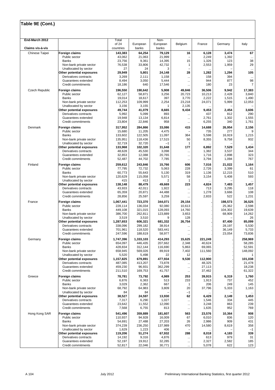| End-March 2012   |                                                    | Total                |                    | Non-              |                          |                    |                  |                      |
|------------------|----------------------------------------------------|----------------------|--------------------|-------------------|--------------------------|--------------------|------------------|----------------------|
|                  |                                                    | of 24                | European           | European          | Belgium                  | France             | Germany          | Italy                |
| Claims vis-à-vis |                                                    | countries            | banks              | banks             |                          |                    |                  |                      |
| Chinese Taipei   | <b>Foreign claims</b><br>Public sector             | 143,383<br>43,062    | 64,254<br>21,063   | 79,129<br>21,999  | 16                       | 6,128<br>2,249     | 3,474<br>1,392   | 67<br>$\ddotsc$      |
|                  | Banks                                              | 23,756               | 9,361              | 14,395            | 15                       | 1,326              | 123              | 38                   |
|                  | Non-bank private sector                            | 76,538               | 33,806             | 42,732            | 1                        | 2,553              | 1,959            | 29                   |
|                  | Unallocated by sector                              | 27                   | 24                 | 3                 | $\overline{\phantom{0}}$ |                    |                  | $\ddotsc$            |
|                  | Other potential exposures                          | 29,949               | 5,801              | 24,148            | 28                       | 1,282              | 1,294            | 105                  |
|                  | Derivatives contracts                              | 3,269                | 2,111              | 1,158             |                          | 158                | 394              |                      |
|                  | Guarantees extended<br>Credit commitments          | 8,494<br>18,186      | 3,050<br>640       | 5,444             |                          | 944<br>180         | 877<br>23        | 98<br>$\overline{7}$ |
|                  |                                                    |                      |                    | 17,546            |                          |                    |                  |                      |
| Czech Republic   | Foreign claims                                     | 196,550              | 190,642            | 5,908             | 49,846                   | 36,506             | 9,942            | 17,383               |
|                  | Public sector<br>Banks                             | 62,127<br>19,014     | 58,871<br>18,617   | 3,256<br>397      | 20,723<br>3,770          | 10,213<br>2,222    | 2,428<br>1,515   | 3,840<br>1,490       |
|                  | Non-bank private sector                            | 112,253              | 109,999            | 2,254             | 23,218                   | 24,071             | 5,999            | 12,053               |
|                  | Unallocated by sector                              | 3,156                | 3,155              | 1                 | 2,135                    |                    |                  |                      |
|                  | Other potential exposures                          | 49,744               | 41,079             | 8,665             | 9,434                    | 9,453              | 2,454            | 3,606                |
|                  | Derivatives contracts                              | 5,992                | 5,099              | 893               |                          | 437                | 812              | 290                  |
|                  | Guarantees extended                                | 19,948               | 13,134             | 6,814             |                          | 2,761              | 1,302            | 1,555                |
|                  | Credit commitments                                 | 23,804               | 22,846             | 958               | $\ddotsc$                | 6,255              | 340              | 1,761                |
| Denmark          | <b>Foreign claims</b>                              | 317,952              | 284,866            | 33,086            | 415                      | 14,688             | 26,954           | 2,156                |
|                  | Public sector                                      | 15,680               | 11,205             | 4,475             |                          | 735                | 277              | 9                    |
|                  | <b>Banks</b><br>Non-bank private sector            | 133,602<br>135,951   | 122,505            | 11,097            | 364<br>50                | 5,598              | 16,919<br>9,758  | 1,215<br>932         |
|                  | Unallocated by sector                              | 32,719               | 118,436<br>32,720  | 17,515<br>$-1$    | 1                        | 8,355<br>$\ddotsc$ |                  |                      |
|                  | Other potential exposures                          | 133,968              | 102,320            | 31,648            | 177                      | 6,892              | 7,529            | 1,434                |
|                  | Derivatives contracts                              | 48,628               | 45,530             | 3,098             |                          | 1,382              | 3,537            | 344                  |
|                  | Guarantees extended                                | 32,853               | 12,088             | 20,765            |                          | 1,716              | 2,898            | 323                  |
|                  | Credit commitments                                 | 52,487               | 44,702             | 7,785             |                          | 3,794              | 1,094            | 767                  |
| Finland          | <b>Foreign claims</b>                              | 259,612              | 243,846            | 15,766            | 606                      | 7,016              | 21,022           | 1,164                |
|                  | Public sector                                      | 77,795               | 72,732             | 5,063             | 228                      | 2,726              | 3,399            | 61                   |
|                  | <b>Banks</b>                                       | 60,773               | 55,643             | 5,130             | 319                      | 1,136              | 12,215           | 510                  |
|                  | Non-bank private sector                            | 120,629              | 115,058            | 5,571             | 58                       | 3,154              | 5,408            | 593                  |
|                  | Unallocated by sector<br>Other potential exposures | 415<br>138,148       | 413<br>88,479      | 2<br>49,669       | 1<br>223                 | 4,824              | 7,483            | 1,457                |
|                  | Derivatives contracts                              | 43,933               | 42,011             | 1,922             |                          | 713                | 3,295            | 118                  |
|                  | Guarantees extended                                | 65,359               | 20,871             | 44,488            |                          | 1,278              | 3,666            | 108                  |
|                  | Credit commitments                                 | 28,856               | 25,597             | 3,259             |                          | 2,833              | 522              | 1,231                |
| France           | <b>Foreign claims</b>                              | 1,067,441            | 723,370            | 344,071           | 29,154                   |                    | 198,573          | 36,525               |
|                  | Public sector                                      | 228,114              | 136,034            | 92,080            | 10,613                   |                    | 25,362           | 2,598                |
|                  | Banks                                              | 449,108              | 321,015            | 128,093           | 14,760                   |                    | 104,302          | 19,639               |
|                  | Non-bank private sector                            | 386,700              | 262,811            | 123,889           | 3,653                    |                    | 68,909           | 14,262               |
|                  | Unallocated by sector                              | 3,519                | 3,510              | 9                 | 128                      |                    |                  | 26<br>85,099         |
|                  | Other potential exposures<br>Derivatives contracts | 1,287,653<br>338,096 | 606,321<br>299,182 | 681,332<br>38,914 | 26,754<br>               |                    | 87,400<br>28,197 | 5,530                |
|                  | Guarantees extended                                | 701,961              | 118,520            | 583,441           |                          |                    | 36,149           | 5,733                |
|                  | Credit commitments                                 | 247,596              | 188,619            | 58,977            |                          |                    | 23,054           | 73,836               |
| Germany          | <b>Foreign claims</b>                              | 1,747,396            | 1,333,103          | 414,293           | 15,625                   | 221,249            |                  | 258.969              |
|                  | Public sector                                      | 654,097              | 446,435            | 207,662           | 2,348                    | 40,624             |                  | 58,285               |
|                  | Banks                                              | 428,834              | 312,144            | 116,690           | 5,863                    | 69,065             |                  | 52,591               |
|                  | Non-bank private sector                            | 658,945              | 569,026            | 89,919            | 7,402                    | 111,560            |                  | 148,092              |
|                  | Unallocated by sector                              | 5,520                | 5,498              | 22                | 12                       |                    |                  |                      |
|                  | Other potential exposures<br>Derivatives contracts | 1,157,825<br>487,085 | 679,891            | 477,934<br>73,878 | 9,530                    | 112,900<br>48,325  |                  | 101,038<br>21,478    |
|                  | Guarantees extended                                | 459,230              | 413,207<br>96,931  | 362,299           | <br>$\cdots$             | 27,113             |                  | 18,238               |
|                  | Credit commitments                                 | 211,510              | 169,753            | 41,757            | $\cdots$                 | 37,462             |                  | 61,322               |
| Greece           | Foreign claims                                     | 78,781               | 73,792             | 4,989             | 253                      | 39,915             | 6,319            | 1,760                |
|                  | Public sector                                      | 6,876                | 6,363              | 513               | 233                      | 1,913              | 737              | 452                  |
|                  | Banks                                              | 3,029                | 2,362              | 667               | 1                        | 206                | 249              | 145                  |
|                  | Non-bank private sector                            | 68,792               | 64,983             | 3,809             | 20                       | 37,796             | 5,333            | 1,163                |
|                  | Unallocated by sector                              | 84                   | 84                 |                   | $-1$                     |                    |                  | $\cdots$             |
|                  | Other potential exposures                          | 38,527               | 24,597             | 13,930            | 62                       | 6,429              | 2,149            | 1,453                |
|                  | Derivatives contracts<br>Guarantees extended       | 7,317<br>23,642      | 6,290<br>11,552    | 1,027<br>12,090   |                          | 1,546<br>3,248     | 334<br>863       | 445<br>239           |
|                  | Credit commitments                                 | 7,568                | 6,755              | 813               | <br>                     | 1,635              | 952              | 769                  |
|                  |                                                    |                      |                    |                   |                          |                    |                  |                      |
| Hong Kong SAR    | Foreign claims<br>Public sector                    | 541,496<br>110,937   | 359,889<br>94,928  | 181,607<br>16,009 | 563<br>67                | 23,576<br>6,010    | 10,364<br>836    | 908<br>120           |
|                  | <b>Banks</b>                                       | 54,691               | 27,488             | 27,203            | 26                       | 2,986              | 909              | 431                  |
|                  | Non-bank private sector                            | 374,239              | 236,250            | 137,989           | 470                      | 14,580             | 8,619            | 358                  |
|                  | Unallocated by sector                              | 1,629                | 1,223              | 406               |                          | $\ddotsc$          |                  | $-1$                 |
|                  | Other potential exposures                          | 119,206              | 51,274             | 67,932            | 288                      | 8,018              | 4,183            | 339                  |
|                  | Derivatives contracts                              | 14,192               | 9,316              | 4,876             |                          | 613                | 979              | 31                   |
|                  | Guarantees extended<br>Credit commitments          | 52,197<br>52,817     | 19,912<br>22,046   | 32,285<br>30,771  |                          | 2,327<br>5,078     | 2,582<br>622     | 185<br>123           |
|                  |                                                    |                      |                    |                   |                          |                    |                  |                      |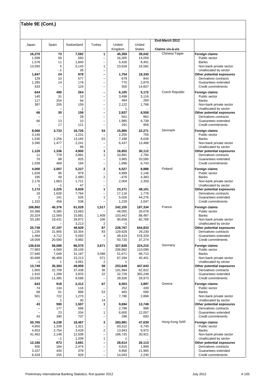|                          |                     |                  |                                                     |                    |                         | End-March 2012   |                                                    |
|--------------------------|---------------------|------------------|-----------------------------------------------------|--------------------|-------------------------|------------------|----------------------------------------------------|
| Japan                    | Spain               | Switzerland      | Turkey                                              | United<br>Kingdom  | United<br><b>States</b> | Claims vis-à-vis |                                                    |
| 16,270                   | 73                  | 7,592            | 1                                                   | 45,359             | 39,042                  | Chinese Taipei   | Foreign claims                                     |
| 1,599                    | 58                  | 583              | -                                                   | 16,305             | 14,059                  |                  | Public sector                                      |
| 1,578<br>13,093          | 11<br>5             | 1,840<br>5,143   | $\overline{\phantom{0}}$<br>1                       | 5,426<br>23,628    | 8,401<br>16,582         |                  | <b>Banks</b><br>Non-bank private sector            |
|                          | $-1$                | 26               | $\overline{\phantom{0}}$                            |                    |                         |                  | Unallocated by sector                              |
| 1,847                    | 24                  | 879              | $\overline{\phantom{0}}$                            | 1,754              | 18,330                  |                  | Other potential exposures                          |
| 129                      | 10                  | 577              | $\overline{\phantom{0}}$                            | 679                | 844                     |                  | Derivatives contracts                              |
| 1,285<br>433             | 14                  | 178<br>124       | $\overline{\phantom{0}}$<br>-                       | 770<br>305         | 2,879<br>14,607         |                  | Guarantees extended<br>Credit commitments          |
|                          |                     |                  |                                                     |                    |                         | Czech Republic   |                                                    |
| 644<br>140               | 490<br>31           | 264<br>10        | -<br>$\overline{\phantom{0}}$                       | 6,105<br>3,498     | 5,172<br>3,116          |                  | <b>Foreign claims</b><br>Public sector             |
| 117                      | 254                 | 94               | -                                                   | 484                | 260                     |                  | Banks                                              |
| 387                      | 205                 | 159              | -                                                   | 2,122              | 1,796                   |                  | Non-bank private sector                            |
| <br>66                   | 30                  | 1<br>159         | -<br>-                                              | 1<br>2,837         | 8,558                   |                  | Unallocated by sector<br>Other potential exposures |
|                          |                     | 28               | -                                                   | 561                | 862                     |                  | Derivatives contracts                              |
| 66                       | 13                  | 10               | $\overline{\phantom{0}}$                            | 1,985              | 6,738                   |                  | Guarantees extended                                |
|                          | 17                  | 121              | $\overline{\phantom{0}}$                            | 291                | 958                     |                  | Credit commitments                                 |
| 8,066                    | 3,733               | 16,726           | 53                                                  | 15,880             | 22,271                  | Denmark          | <b>Foreign claims</b>                              |
| 3,146                    |                     | 1,231            | $\overline{\phantom{0}}$                            | 2,255              | 755                     |                  | Public sector<br><b>Banks</b>                      |
| 1,530<br>3,390           | 2,256<br>1,477      | 13,165<br>2,241  | 53<br>$\overline{\phantom{0}}$                      | 7,188<br>6,437     | 8,028<br>13,488         |                  | Non-bank private sector                            |
|                          |                     | 89               | $\overline{\phantom{0}}$                            |                    |                         |                  | Unallocated by sector                              |
| 1,120                    | 1,336               | 4,900            | 1                                                   | 16,852             | 30,112                  |                  | Other potential exposures                          |
| 11<br>70                 | 779<br>88           | 3,891<br>825     | 1<br>$\overline{\phantom{0}}$                       | 10,891             | 2,784                   |                  | Derivatives contracts<br>Guarantees extended       |
| 1,039                    | 469                 | 184              | $\overline{\phantom{0}}$                            | 3,965<br>1,996     | 20,585<br>6,743         |                  | Credit commitments                                 |
| 4,000                    | 2,007               | 5,227            | 2                                                   | 6,527              | 8,888                   | Finland          | Foreign claims                                     |
| 1,628                    | 96                  | 979              | $\overline{\phantom{0}}$                            | 4,999              | 2,146                   |                  | Public sector                                      |
| 195                      | 49                  | 2,480            | $\overline{c}$                                      | $-476$             | 4,383                   |                  | <b>Banks</b>                                       |
| 2,176                    | 1,863               | 1,721            | $\overline{\phantom{0}}$                            | 2,004              | 2,359                   |                  | Non-bank private sector                            |
| 1<br>1,172               | $-1$<br>2,225       | 47<br>8,828      | $\overline{\phantom{0}}$<br>1                       | 23,371             | 48,101                  |                  | Unallocated by sector<br>Other potential exposures |
| 18                       | 1,628               | 7,764            | $\overline{\phantom{0}}$                            | 17,116             | 1,778                   |                  | Derivatives contracts                              |
| 2                        | 141                 | 526              | 1                                                   | 5,026              | 44,276                  |                  | Guarantees extended                                |
| 1,152                    | 456                 | 538              | $\overline{\phantom{0}}$                            | 1,229              | 2,047                   |                  | Credit commitments                                 |
| 106,892                  | 40,376              | 61,029           | 1,517                                               | 242,155            | 197,334                 | France           | Foreign claims                                     |
| 53,388<br>20,324         | 8,385<br>12,560     | 13,063<br>15,881 | 1,409                                               | 48,055<br>103,442  | 26,078<br>88,487        |                  | Public sector<br><b>Banks</b>                      |
| 33,180                   | 19,431              | 28,872           | 106                                                 | 90,659             | 82,769                  |                  | Non-bank private sector                            |
|                          |                     | 3,213            | 2                                                   | $-1$               |                         |                  | Unallocated by sector                              |
| 20,738<br>1,235          | 47,197<br>21,905    | 48,929<br>33,354 | 87<br>83                                            | 228,767<br>129,628 | 644,833                 |                  | Other potential exposures<br>Derivatives contracts |
| 1,494                    | 4,712               | 5,593            | 4                                                   | 48,419             | 29,230<br>578,329       |                  | Guarantees extended                                |
| 18,009                   | 20,580              | 9.982            | $\overline{\phantom{0}}$                            | 50,720             | 37,274                  |                  | Credit commitments                                 |
| 136,616                  | 58,088              | 86,570           | 3,671                                               | 327,828            | 224,210                 | Germany          | Foreign claims                                     |
| 77,983                   | 4,569               | 28,109           |                                                     | 208,862            | 110,096                 |                  | Public sector                                      |
| 27,946                   | 7,049               | 31,187           | 3,098                                               | 51,671             | 68,713                  |                  | <b>Banks</b>                                       |
| 30,688<br>$-1$           | 46,469<br>1         | 23,213<br>4,061  | 571<br>2                                            | 67,294<br>1        | 45,401                  |                  | Non-bank private sector<br>Unallocated by sector   |
| 13,749                   | 35,383              | 49,959           | 58                                                  | 253,649            | 447,043                 |                  | Other potential exposures                          |
| 1,800                    | 22,709              | 37,438           | 36                                                  | 191,994            | 62,822                  |                  | Derivatives contracts                              |
| 1,910<br>10,039          | 1,289<br>11,385     | 3,933<br>8,588   | 22<br>$\overline{\phantom{0}}$                      | 32,729<br>28,926   | 355,248<br>28,973       |                  | Guarantees extended<br>Credit commitments          |
|                          |                     |                  |                                                     |                    |                         | Greece           |                                                    |
| 643<br>74                | 918<br>134          | 2,312<br>116     | 67                                                  | 8,503<br>252       | 3,897<br>439            |                  | Foreign claims<br>Public sector                    |
| 68                       | 61                  | 896              | 53                                                  | 465                | 590                     |                  | <b>Banks</b>                                       |
| 501                      | 722                 | 1,270            |                                                     | 7,786              | 2,868                   |                  | Non-bank private sector                            |
| $\cdots$<br>43           | $\mathbf{1}$<br>590 | 30<br>1,507      | 14<br>1                                             | <br>9,694          | 13,748                  |                  | Unallocated by sector<br>Other potential exposures |
| $\overline{\phantom{0}}$ | 177                 | 566              | $\overline{\phantom{0}}$                            | 2,798              | 998                     |                  | Derivatives contracts                              |
| $\overline{\phantom{0}}$ | 23                  | 204              | $\mathbf{1}$                                        | 6,600              | 12,057                  |                  | Guarantees extended                                |
| 43                       | 390                 | 737              | $\overline{\phantom{0}}$                            | 296                | 693                     |                  | Credit commitments                                 |
| 50,765                   | 6,238               | 18,467           | 3                                                   | 283,981            | 47,639                  | Hong Kong SAR    | Foreign claims                                     |
| 4,650                    | 1,339               | 1,321            | $\overline{\phantom{0}}$<br>$\overline{\mathbf{c}}$ | 83,312             | 6,745                   |                  | Public sector<br><b>Banks</b>                      |
| 4,653<br>41,462          | 2,754<br>2,146      | 3,429<br>12,508  | -                                                   | 13,943<br>186,725  | 9,973<br>30,921         |                  | Non-bank private sector                            |
|                          | $-1$                | 1,209            | $\mathbf{1}$                                        | 1                  |                         |                  | Unallocated by sector                              |
| 12,166                   | 873                 | 3,681            | -                                                   | 28,614             | 26,113                  |                  | Other potential exposures                          |
| 400<br>3,337             | 184<br>434          | 2,474<br>378     | $\equiv$<br>$\overline{\phantom{0}}$                | 4,615<br>9,956     | 1,908<br>21,965         |                  | Derivatives contracts<br>Guarantees extended       |
| 8,429                    | 255                 | 829              | $\overline{\phantom{0}}$                            | 14,043             | 2,240                   |                  | Credit commitments                                 |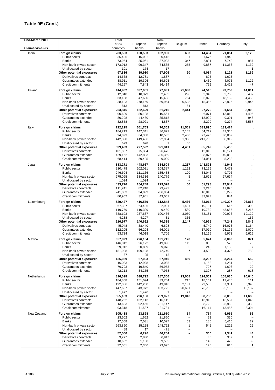| End-March 2012   |                                                    | Total              |                    | Non-               |                          |                  |                  |                    |
|------------------|----------------------------------------------------|--------------------|--------------------|--------------------|--------------------------|------------------|------------------|--------------------|
| Claims vis-à-vis |                                                    | of 24              | European           | European<br>banks  | Belgium                  | France           | Germany          | Italy              |
|                  |                                                    | countries          | banks              |                    |                          |                  |                  |                    |
| India            | <b>Foreign claims</b><br>Public sector             | 283,553<br>35,496  | 150,563<br>15,081  | 132,990<br>20,415  | 633<br>31                | 14,454<br>1,676  | 21,051<br>1,943  | 2,120              |
|                  | Banks                                              | 73,954             | 35,961             | 37,993             | 347                      | 2,891            | 7,742            | 987                |
|                  | Non-bank private sector                            | 173,912            | 99,347             | 74,565             | 255                      | 9,887            | 11,366           | 1,132              |
|                  | Unallocated by sector                              | 191                | 174                | 17                 | ۳                        |                  |                  | $\mathbf{1}$       |
|                  | Other potential exposures                          | 97,836             | 39,930             | 57,906             | 90                       | 5,084            | 8,121            | 1,169              |
|                  | Derivatives contracts                              | 14,668             | 12,781             | 1,887              |                          | 895              | 1,623            |                    |
|                  | Guarantees extended                                | 38,911             | 19,306             | 19,605             |                          | 3,430            | 4,075            | 1,122              |
|                  | Credit commitments                                 | 44,257             | 7,843              | 36,414             | $\cdots$                 | 759              | 2,423            | 47                 |
| Ireland          | <b>Foreign claims</b>                              | 414,982            | 337,051            | 77,931             | 21,638                   | 24,515           | 93,753           | 14,811             |
|                  | Public sector                                      | 12,848             | 10,379             | 2,469              | 298                      | 2,340            | 2,765            | 407                |
|                  | Banks                                              | 63,188             | 47,690             | 15,498             | 754                      | 6,820            | 18,162           | 4,459              |
|                  | Non-bank private sector<br>Unallocated by sector   | 338,133<br>813     | 278,169<br>813     | 59,964             | 20,525<br>61             | 15,355           | 72,826           | 9,946              |
|                  | Other potential exposures                          | 203,845            | 152,629            | 51,216             | 2,441                    | <br>27,270       | 31,684           | $\ddotsc$<br>8,908 |
|                  | Derivatives contracts                              | 90,689             | 80,128             | 10,561             |                          | 6,071            | 13,019           | 1,405              |
|                  | Guarantees extended                                | 80,298             | 44,480             | 35,818             |                          | 18,909           | 9,391            | 946                |
|                  | Credit commitments                                 | 32,858             | 28,021             | 4,837              |                          | 2,290            | 9,274            | 6,557              |
| Italy            | <b>Foreign claims</b>                              | 722,125            | 651,763            | 70,362             | 11,551                   | 333,890          | 133,474          |                    |
|                  | Public sector                                      | 184,213            | 147,341            | 36,872             | 7,107                    | 64.712           | 42,360           |                    |
|                  | <b>Banks</b>                                       | 94,893             | 84,358             | 10,535             | 2,400                    | 27,420           | 30,802           |                    |
|                  | Non-bank private sector                            | 442,390            | 419,436            | 22,954             | 1,988                    | 241,758          | 60,312           |                    |
|                  | Unallocated by sector                              | 629                | 628                | 1                  | 56                       |                  |                  |                    |
|                  | Other potential exposures                          | 599,433            | 277,592            | 321,841            | 4,401                    | 85,742           | 55,468           |                    |
|                  | Derivatives contracts<br>Guarantees extended       | 101,857<br>429,162 | 75,384<br>142,803  | 26,473<br>286,359  |                          | 12,815<br>38,876 | 10,171<br>40,059 |                    |
|                  | Credit commitments                                 | 68,414             | 59,405             | 9,009              | $\cdots$<br>$\cdots$     | 34,051           | 5,238            |                    |
|                  |                                                    |                    |                    |                    |                          |                  |                  |                    |
| Japan            | <b>Foreign claims</b>                              | 833,271            | 448,667            | 384,604            | 1,257                    | 148,823          | 41,942<br>4,472  | $\ddotsc$          |
|                  | Public sector<br>Banks                             | 310,478<br>246,604 | 202,091<br>111,166 | 108,387<br>135,438 | 1,152<br>100             | 73,155<br>33,046 | 9,796            | <br>$\ddotsc$      |
|                  | Non-bank private sector                            | 275,095            | 134,316            | 140,779            | 5                        | 42,622           | 27,674           | $\cdots$           |
|                  | Unallocated by sector                              | 1,094              | 1,094              |                    | $\overline{\phantom{0}}$ |                  |                  |                    |
|                  | Other potential exposures                          | 433,776            | 154,248            | 279,528            | 50                       | 51,298           | 17,944           |                    |
|                  | Derivatives contracts                              | 111,741            | 82,248             | 29,493             | $\cdots$                 | 9,215            | 11,828           | $\ddotsc$          |
|                  | Guarantees extended                                | 241,083            | 34,099             | 206,984            | $\cdots$                 | 10,010           | 5,272            | $\ddotsc$          |
|                  | Credit commitments                                 | 80,952             | 37,901             | 43,051             |                          | 32,073           | 844              | $\cdots$           |
| Luxembourg       | <b>Foreign claims</b>                              | 529,427            | 416,579            | 112,848            | 5,466                    | 83,012           | 140,207          | 26,863             |
|                  | Public sector                                      | 67,327             | 64,406             | 2,921              | 1,491                    | 10,101           | 616              | 303                |
|                  | Banks                                              | 119,759            | 110,329            | 9,430              | 589                      | 19,730           | 48,685           | 7,265              |
|                  | Non-bank private sector<br>Unallocated by sector   | 338,103<br>4,238   | 237,637<br>4,207   | 100,466<br>31      | 3,050<br>336             | 53,181           | 90,906           | 19,129<br>166      |
|                  | Other potential exposures                          | 210,977            | 140,662            | 70,315             | 2,147                    | 40,975           | 47,241           | 9,849              |
|                  | Derivatives contracts                              | 45,048             | 38,440             | 6,608              | $\ddotsc$                | 5,740            | 16,073           | 1,164              |
|                  | Guarantees extended                                | 112,205            | 56,204             | 56,001             |                          | 17,070           | 25,196           | 2,070              |
|                  | Credit commitments                                 | 53,724             | 46,018             | 7,706              |                          | 18,165           | 5,972            | 6,615              |
| Mexico           | <b>Foreign claims</b>                              | 357,899            | 226,184            | 131,715            | 128                      | 5,674            | 6,093            | 871                |
|                  | Public sector                                      | 146,012            | 96,122             | 49,890             | 119                      | 836              | 529              | 75                 |
|                  | Banks                                              | 29,912             | 20,839             | 9,073              | 2                        | 249              | 1,189            | $\overline{7}$     |
|                  | Non-bank private sector                            | 181,938            | 109,198            | 72,740             | $\overline{7}$           | 4,589            | 4,375            | 789                |
|                  | Unallocated by sector                              | 37                 | 25                 | 12                 | 459                      |                  |                  |                    |
|                  | Other potential exposures<br>Derivatives contracts | 135,039<br>16,033  | 67,093<br>12,998   | 67,946<br>3,035    |                          | 3,267<br>1,163   | 3,264<br>1,281   | 652<br>12          |
|                  | Guarantees extended                                | 76,793             | 19,840             | 56,953             |                          | 707              | 1,696            | 22                 |
|                  | Credit commitments                                 | 42,213             | 34,255             | 7,958              | <br>                     | 1,397            | 287              | 618                |
| Netherlands      | <b>Foreign claims</b>                              | 826,098            | 638,792            | 187,306            | 23,058                   | 124,502          | 165,030          | 20,646             |
|                  | Public sector                                      | 184,858            | 151,094            | 33,764             | 215                      | 18,161           | 12,486           | 111                |
|                  | <b>Banks</b>                                       | 192,066            | 142,250            | 49,816             | 2,131                    | 29,586           | 57,381           | 5,348              |
|                  | Non-bank private sector                            | 447,697            | 343,972            | 103,725            | 20,691                   | 76,755           | 95,163           | 15,187             |
|                  | Unallocated by sector                              | 1,477              | 1,476              | 1                  | 21                       | $\cdots$         |                  |                    |
|                  | Other potential exposures                          | 555,183            | 296,156            | 259,027            | 19,816                   | 38,753           | 56,005           | 11,688             |
|                  | Derivatives contracts                              | 148,262            | 132,113            | 16,149             | $\cdots$                 | 13,910           | 16,557           | 1,045              |
|                  | Guarantees extended                                | 313,603            | 92,456             | 221,147            |                          | 8,729            | 25,963           | 2,339              |
|                  | Credit commitments                                 | 93,318             | 71,587             | 21,731             | $\ddotsc$                | 16,114           | 13,485           | 8,304              |
| New Zealand      | Foreign claims                                     | 305,438            | 23,828             | 281,610            | 54                       | 754              | 6,955            | 52                 |
|                  | Public sector                                      | 23,502             | 1,652              | 21,850             |                          | 29               | 330              |                    |
|                  | <b>Banks</b><br>Non-bank private sector            | 17,558<br>263,890  | 7,031<br>15,128    | 10,527<br>248,762  | 53<br>1                  | 180<br>545       | 5,410<br>1,215   | 22<br>29           |
|                  | Unallocated by sector                              | 488                | 17                 | 471                | -                        |                  |                  |                    |
|                  | Other potential exposures                          | 52,500             | 6,296              | 46,204             | $\overline{\phantom{a}}$ | 360              | 1,341            | 44                 |
|                  | Derivatives contracts                              | 9,777              | 2,830              | 6,947              |                          | 38               | 302              | $\overline{4}$     |
|                  | Guarantees extended                                | 10,662             | 1,100              | 9,562              |                          | 146              | 429              | 39                 |
|                  | Credit commitments                                 | 32,061             | 2,366              | 29,695             |                          | 176              | 610              | $\mathbf{1}$       |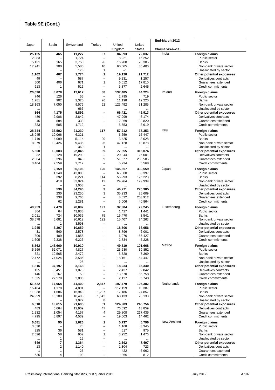|                  |                          |                  |                                                      |                   |                   | End-March 2012            |                                              |
|------------------|--------------------------|------------------|------------------------------------------------------|-------------------|-------------------|---------------------------|----------------------------------------------|
| Japan            | Spain                    | Switzerland      | Turkey                                               | United            | United            |                           |                                              |
|                  |                          |                  |                                                      | Kingdom           | <b>States</b>     | Claims vis-à-vis<br>India |                                              |
| 25,155<br>2,083  | 465                      | 11,227<br>1,724  | 37                                                   | 84,993<br>8,221   | 72,037<br>16,252  |                           | Foreign claims<br>Public sector              |
| 5,131            | 165                      | 3,750            | 26                                                   | 16,708            | 20,385            |                           | <b>Banks</b>                                 |
| 17,941           | 300                      | 5,580            | 10                                                   | 60,065            | 35,400            |                           | Non-bank private sector                      |
|                  | $\overline{\phantom{0}}$ | 173              | 1                                                    | $-1$              |                   |                           | Unallocated by sector                        |
| 1,162            | 407                      | 1,774            | 1                                                    | 19,120            | 21,712            |                           | Other potential exposures                    |
| 49<br>500        | 406                      | 587<br>671       | $\overline{\phantom{0}}$<br>1                        | 9,231<br>6,012    | 1,257<br>17,810   |                           | Derivatives contracts<br>Guarantees extended |
| 613              | 1                        | 516              | $\overline{\phantom{0}}$                             | 3,877             | 2,645             |                           | Credit commitments                           |
|                  |                          |                  |                                                      |                   |                   | Ireland                   |                                              |
| 20,690<br>746    | 8,078<br>126             | 12,617<br>55     | 88<br>$\overline{\phantom{0}}$                       | 137,485<br>2,795  | 44,224<br>719     |                           | <b>Foreign claims</b><br>Public sector       |
| 1,781            | 902                      | 2,320            | 26                                                   | 11,198            | 12,220            |                           | <b>Banks</b>                                 |
| 18,163           | 7,050                    | 9,576            | 62                                                   | 123,492           | 31,285            |                           | Non-bank private sector                      |
|                  |                          | 666              | -                                                    |                   |                   |                           | Unallocated by sector                        |
| 864              | 4,175                    | 5,892            | —                                                    | 66,421            | 45,913            |                           | Other potential exposures                    |
| 486<br>45        | 2,906<br>584             | 3,842<br>338     | -<br>$\overline{\phantom{0}}$                        | 47,999<br>12,869  | 8,174<br>33,820   |                           | Derivatives contracts<br>Guarantees extended |
| 333              | 685                      | 1,712            | -                                                    | 5,553             | 3,919             |                           | Credit commitments                           |
| 28,744           | 33,592                   |                  | 117                                                  | 57,212            | 37,353            | Italy                     | <b>Foreign claims</b>                        |
| 18,945           | 10,066                   | 21,230<br>6,321  |                                                      | 6,659             | 15.447            |                           | Public sector                                |
| 1,719            | 4,099                    | 5,114            | 90                                                   | 3,425             | 8,028             |                           | <b>Banks</b>                                 |
| 8,079            | 19,426                   | 9,435            | 26                                                   | 47,128            | 13,878            |                           | Non-bank private sector                      |
| 1                | 1                        | 360              | 1                                                    |                   |                   |                           | Unallocated by sector                        |
| 5,500            | 19,083                   | 22,845           | 89                                                   | 77,655            | 315,074           |                           | Other potential exposures                    |
| 32<br>2,064      | 3,128<br>8,396           | 19,293<br>840    | 89                                                   | 20,844<br>51,577  | 26,001<br>283,505 |                           | Derivatives contracts<br>Guarantees extended |
| 3,404            | 7,559                    | 2,712            |                                                      | 5,234             | 5,568             |                           | Credit commitments                           |
|                  |                          |                  |                                                      |                   |                   | Japan                     |                                              |
|                  | 2,159<br>1,348           | 86,106<br>43,808 | 126                                                  | 145,657<br>65,600 | 339,559<br>83,397 |                           | <b>Foreign claims</b><br>Public sector       |
|                  | 392                      | 8,221            | 114                                                  | 55,293            | 126,223           |                           | <b>Banks</b>                                 |
|                  | 419                      | 33,024           | 12                                                   | 24,764            | 129,939           |                           | Non-bank private sector                      |
|                  |                          | 1,053            | —                                                    |                   |                   |                           | Unallocated by sector                        |
|                  | 530                      | 34,296           | 3                                                    | 46,271            | 270,385           |                           | Other potential exposures                    |
|                  | 230<br>238               | 23,250<br>9,765  | 3<br>-                                               | 35,233<br>8,032   | 25,609            |                           | Derivatives contracts<br>Guarantees extended |
|                  | 62                       | 1,281            | $\overline{\phantom{0}}$                             | 3,006             | 203,912<br>40,864 |                           | Credit commitments                           |
|                  |                          |                  |                                                      |                   |                   |                           |                                              |
| 40,953<br>364    | 7,470<br>64              | 78,082<br>43,833 | 197                                                  | 32,304<br>1,427   | 29,245<br>1,441   | Luxembourg                | Foreign claims<br>Public sector              |
| 2,011            | 724                      | 10,039           | 75                                                   | 15,470            | 3,541             |                           | <b>Banks</b>                                 |
| 38,578           | 6,681                    | 20,612           | 122                                                  | 15,407            | 24,263            |                           | Non-bank private sector                      |
|                  | 1                        | 3,598            | -                                                    |                   |                   |                           | Unallocated by sector                        |
| 1,945            | 3,307                    | 10,659           | -                                                    | 18,506            | 66,656            |                           | Other potential exposures                    |
| 31<br>309        | 560<br>409               | 2,578            | $\overline{\phantom{0}}$                             | 8,796             | 6,001             |                           | Derivatives contracts<br>Guarantees extended |
| 1,605            | 2,338                    | 1,855<br>6,226   | $\overline{\phantom{0}}$<br>-                        | 6,976<br>2,734    | 55,427<br>5,228   |                           | Credit commitments                           |
|                  |                          |                  |                                                      |                   |                   | Mexico                    |                                              |
| 8,562<br>5,569   | 146,660<br>62,071        | 10,910<br>4,827  | -<br>-                                               | 49,519<br>25,630  | 101,668<br>39,852 |                           | Foreign claims<br>Public sector              |
| 521              | 10,565                   | 2,472            | $\overline{\phantom{0}}$                             | 5,728             | 7,369             |                           | <b>Banks</b>                                 |
| 2,472            | 74,024                   | 3,586            | -                                                    | 18,161            | 54,447            |                           | Non-bank private sector                      |
|                  |                          | 25               | -                                                    |                   |                   |                           | Unallocated by sector                        |
| 1,816            | 37,197                   | 3,168            | $\overline{\phantom{0}}$                             | 18,234            | 65,340            |                           | Other potential exposures                    |
| 135              | 6,451                    | 1,073            | $\overline{\phantom{0}}$                             | 2,437             | 2,842             |                           | Derivatives contracts                        |
| 146<br>1,535     | 3,167<br>27,579          | 59<br>2,036      | $\overline{\phantom{0}}$<br>-                        | 13,670<br>2,127   | 56,758<br>5,740   |                           | Guarantees extended<br>Credit commitments    |
|                  |                          |                  |                                                      |                   |                   |                           |                                              |
| 51,522           | 17,964                   | 41,409           | 2,847                                                | 197,479           | 105,382           | Netherlands               | <b>Foreign claims</b>                        |
| 15,484<br>11,038 | 1,178<br>1,686           | 4,891<br>16,948  | 1,297                                                | 112,159<br>17,186 | 10,387<br>24,857  |                           | Public sector<br><b>Banks</b>                |
| 24,999           | 15,100                   | 18,493           | 1,542                                                | 68,133            | 70,138            |                           | Non-bank private sector                      |
| 1                |                          | 1,077            | 8                                                    | 1                 |                   |                           | Unallocated by sector                        |
| 6,510            | 13,615                   | 21,605           | 51                                                   | 124,903           | 245,756           |                           | Other potential exposures                    |
| 483              | 6,664                    | 12,909           | 47                                                   | 76,092            | 13,859            |                           | Derivatives contracts                        |
| 1,232<br>4,795   | 1,054<br>5,897           | 4,157<br>4,539   | 4<br>$\overline{\phantom{0}}$                        | 29,808<br>19,003  | 217,435<br>14,462 |                           | Guarantees extended<br>Credit commitments    |
|                  |                          |                  |                                                      |                   |                   |                           |                                              |
| 6,681            | 95                       | 1,626            | 1<br>$\overline{\phantom{0}}$                        | 5,737             | 5,796             | New Zealand               | <b>Foreign claims</b>                        |
| 3,830<br>325     | 36                       | 78<br>581        | $\overline{\phantom{0}}$                             | 1,168<br>617      | 3,345<br>975      |                           | Public sector<br><b>Banks</b>                |
| 2,526            | 58                       | 952              | $\mathbf{1}$                                         | 3,952             | 1,476             |                           | Non-bank private sector                      |
|                  | 1                        | 15               | $\overline{\phantom{0}}$                             |                   |                   |                           | Unallocated by sector                        |
| 649              | 7                        | 1,364            | -                                                    | 2,592             | 7,497             |                           | Other potential exposures                    |
| 13               | 2                        | 1,140            | $\overline{a}$                                       | 1,304             | 723               |                           | Derivatives contracts                        |
| 1                | 1<br>4                   | 25               | $\overline{\phantom{0}}$<br>$\overline{\phantom{0}}$ | 422               | 5,962             |                           | Guarantees extended                          |
| 635              |                          | 199              |                                                      | 866               | 812               |                           | Credit commitments                           |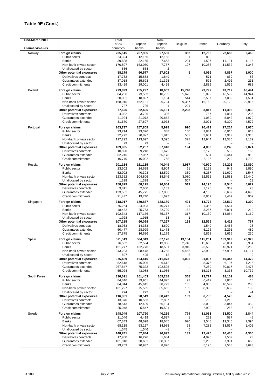| End-March 2012   |                                                    | Total             |                   | Non-              |                |                  |                  |                   |
|------------------|----------------------------------------------------|-------------------|-------------------|-------------------|----------------|------------------|------------------|-------------------|
|                  |                                                    | of 24             | European          | European          | Belgium        | France           | Germany          | Italy             |
| Claims vis-à-vis |                                                    | countries         | banks             | banks             | 352            |                  |                  |                   |
| Norway           | Foreign claims<br>Public sector                    | 235,515<br>24,324 | 207,935<br>12,166 | 27,580<br>12,158  | 1              | 12,765<br>882    | 22,686<br>53     | 2,463<br>2        |
|                  | Banks                                              | 39,828            | 32,165            | 7,663             | 224            | 1,597            | 11,101           | 1,115             |
|                  | Non-bank private sector                            | 170,807           | 163,050           | 7,757             | 127            | 10,286           | 11,532           | 1,346             |
|                  | Unallocated by sector                              | 556               | 554               | 2                 |                |                  |                  |                   |
|                  | Other potential exposures                          | 88,179            | 60,577            | 27,602            | 5              | 4,036            | 4,867            | 1,000             |
|                  | Derivatives contracts<br>Guarantees extended       | 17,732<br>37,018  | 15,883<br>15,693  | 1,849<br>21,325   |                | 571<br>576       | 839<br>2,492     | 86<br>231         |
|                  | Credit commitments                                 | 33,429            | 29,001            | 4,428             | <br>           | 2,889            | 1,536            | 683               |
| Poland           | Foreign claims                                     | 273,899           | 255,297           | 18,602            | 15,748         | 23,797           | 43,717           | 46,441            |
|                  | Public sector                                      | 84,256            | 73,553            | 10,703            | 5,626          | 5,092            | 16,592           | 14,944            |
|                  | <b>Banks</b>                                       | 20,001            | 18,897            | 1,104             | 544            | 2,537            | 7,002            | 1,581             |
|                  | Non-bank private sector                            | 168,915           | 162,121           | 6,794             | 9,357          | 16,168           | 20,123           | 29,916            |
|                  | Unallocated by sector                              | 727<br>77,626     | 726<br>52,495     | 1<br>25,131       | 221<br>2,208   |                  | 11,396           | 6,838             |
|                  | Other potential exposures<br>Derivatives contracts | 4,032             | 3,726             | 306               |                | 3,817<br>757     | 1,054            | 296               |
|                  | Guarantees extended                                | 41,924            | 21,072            | 20,852            |                | 1,059            | 5,042            | 1,970             |
|                  | Credit commitments                                 | 31,670            | 27,697            | 3,973             | $\cdots$       | 2,001            | 5,300            | 4,572             |
| Portugal         | Foreign claims                                     | 163,737           | 157,809           | 5,928             | 990            | 20,479           | 27,214           | 3,070             |
|                  | Public sector                                      | 23,714            | 23,326            | 388               | 160            | 3,884            | 6,915            | 613               |
|                  | Banks                                              | 22,772            | 20,827            | 1,945             | 502            | 3,651            | 7,919            | 1,318             |
|                  | Non-bank private sector                            | 117,222           | 113,627           | 3,595             | 328            | 12,944           | 12,380           | 1,139             |
|                  | Unallocated by sector<br>Other potential exposures | 29<br>109,905     | 29<br>52,287      | 57,618            | 194            | <br>4,883        | 6,245            | 2,874             |
|                  | Derivatives contracts                              | 10.890            | 9,218             | 1,672             |                | 2,173            | 582              | 165               |
|                  | Guarantees extended                                | 82,245            | 27,067            | 55,178            |                | 584              | 5,444            | 910               |
|                  | Credit commitments                                 | 16,770            | 16,002            | 768               |                | 2,126            | 219              | 1,799             |
| Russia           | Foreign claims                                     | 201,184           | 161,135           | 40,049            | 3,987          | 40,970           | 24,202           | 22,890            |
|                  | Public sector                                      | 23,602            | 14,698            | 8,904             | 61             | 3,138            | 949              | 1,890             |
|                  | Banks                                              | 52,902            | 40,303            | 12,599            | 339            | 5,267            | 11,670           | 1,547             |
|                  | Non-bank private sector                            | 123,352           | 104,806           | 18,546            | 3,080          | 32,565           | 11,583           | 19,440            |
|                  | Unallocated by sector<br>Other potential exposures | 1,328<br>158,829  | 1,328<br>68,175   | 90,654            | 507<br>513     | 14,195           | 8,545            | 13<br>5,627       |
|                  | Derivatives contracts                              | 3,811             | 2,660             | 1,151             |                | 1,170            | 369              | 23                |
|                  | Guarantees extended                                | 133,581           | 45,775            | 87,806            |                | 4,163            | 6,687            | 4,695             |
|                  | Credit commitments                                 | 21,437            | 19,740            | 1,697             | $\ddots$       | 8,862            | 1,489            | 909               |
| Singapore        | Foreign claims                                     | 318,017           | 179,837           | 138,180           | 491            | 14,772           | 22,519           | 1,390             |
|                  | Public sector                                      | 75,264            | 34,993            | 40,271            | 21             | 1,355            | 1,564            | 19                |
|                  | Banks                                              | 48,482            | 25,753            | 22,729            | 152<br>317     | 3,287            | 6,891            | 210               |
|                  | Non-bank private sector<br>Unallocated by sector   | 192,343<br>1,928  | 117,176<br>1,915  | 75,167<br>13      | 1              | 10,130           | 14,064           | 1,160<br>$\cdots$ |
|                  | Other potential exposures                          | 107,285           | 60,028            | 47,257            | 198            | 12,529           | 8,412            | 767               |
|                  | Derivatives contracts                              | 18,933            | 14,333            | 4,600             |                | 1,540            | 2,456            | 28                |
|                  | Guarantees extended                                | 60,477            | 28,999            | 31,478            |                | 5,126            | 2,291            | 489               |
|                  | Credit commitments                                 | 27,875            | 16,696            | 11,179            |                | 5,863            | 3,665            | 250               |
| Spain            | Foreign claims                                     | 571,519           | 504,343           | 67,176            | 13.154         | 115,261          | 139,919          | 26,323            |
|                  | Public sector<br>Banks                             | 76,502<br>151,277 | 62,594<br>132,776 | 13,908<br>18,501  | 2,740<br>3,940 | 15,669<br>25,593 | 26,061<br>45,921 | 5,954<br>6,250    |
|                  | Non-bank private sector                            | 343,233           | 308,478           | 34,755            | 6,466          | 73,999           | 67,937           | 14,117            |
|                  | Unallocated by sector                              | 507               | 495               | 12                | 8              |                  |                  | $\overline{2}$    |
|                  | Other potential exposures                          | 375,489           | 164,416           | 211,073           | 1,095          | 31,037           | 40,347           | 14,422            |
|                  | Derivatives contracts                              | 52,618            | 46,006            | 6,612             |                | 8,375            | 6,197            | 1,215             |
|                  | Guarantees extended<br>Credit commitments          | 267,847<br>55,024 | 75,322<br>43,088  | 192,525<br>11,936 | $\cdots$       | 7,289<br>15,373  | 30,817<br>3,333  | 2,475<br>10,732   |
|                  |                                                    |                   |                   |                   |                |                  |                  |                   |
| South Korea      | Foreign claims<br>Public sector                    | 330,691<br>84,846 | 161,403<br>39,951 | 169,288<br>44,895 | 368<br>93      | 19,777<br>6,419  | 18,109<br>1,830  | 488<br>10         |
|                  | Banks                                              | 84,344            | 45,615            | 38,729            | 165            | 4,960            | 10,597           | 280               |
|                  | Non-bank private sector                            | 161,227           | 75,565            | 85,662            | 109            | 8,398            | 5,682            | 199               |
|                  | Unallocated by sector                              | 274               | 272               | 2                 | 1              | $\ddotsc$        |                  | $-1$              |
|                  | Other potential exposures                          | 116,961           | 28,549            | 88,412            | 139            | 6,736            | 4,528            | 478               |
|                  | Derivatives contracts<br>Guarantees extended       | 13,370<br>78,543  | 10,563<br>12,439  | 2,807<br>66,104   |                | 753<br>3,083     | 1,213<br>3,047   | 3<br>459          |
|                  | Credit commitments                                 | 25,048            | 5,547             | 19,501            | <br>$\cdots$   | 2,900            | 268              | 16                |
| Sweden           | Foreign claims                                     | 148,049           | 107,790           | 40,259            | 774            | 11,051           | 33,500           | 2,844             |
|                  | Public sector                                      | 11,046            | 4,419             | 6,627             | 1              | 221              | 587              | 48                |
|                  | <b>Banks</b>                                       | 67,343            | 48,698            | 18,645            | 670            | 3,548            | 19,346           | 1,394             |
|                  | Non-bank private sector                            | 68,115            | 53,127            | 14,988            | 98             | 7,282            | 13,567           | 1,402             |
|                  | Unallocated by sector                              | 1,545             | 1,546             | $-1$              | 5              | $\cdots$         |                  |                   |
|                  | Other potential exposures<br>Derivatives contracts | 148,741<br>17,960 | 57,844<br>16,276  | 90,897<br>1,684   | 132<br>        | 12,426<br>4,976  | 10,436<br>1,507  | 4,306<br>23       |
|                  | Guarantees extended                                | 101,018           | 20,631            | 80,387            | $\cdots$       | 2,260            | 7,391            | 660               |
|                  | Credit commitments                                 | 29,763            | 20,937            | 8,826             |                | 5,190            | 1,538            | 3,623             |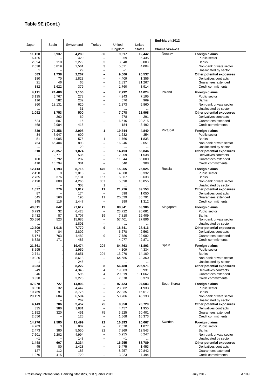## **Table 9E (Cont.)**

| Japan           | Spain         | Switzerland     | Turkey                                               | United          | United           | End-March 2012   |                                                    |
|-----------------|---------------|-----------------|------------------------------------------------------|-----------------|------------------|------------------|----------------------------------------------------|
|                 |               |                 |                                                      | Kingdom         | <b>States</b>    | Claims vis-à-vis |                                                    |
| 11,158          | 5,937         | 4,289           | 86                                                   | 9,617           | 12,442           | Norway           | Foreign claims                                     |
| 6,425<br>2,094  | 118           | 420<br>2,279    | $\overline{\phantom{0}}$<br>83                       | 959<br>3,048    | 5,435<br>3,003   |                  | Public sector<br><b>Banks</b>                      |
| 2,638           | 5,819         | 1,561           | 3                                                    | 5,611           | 4,004            |                  | Non-bank private sector                            |
| 1               |               | 29              | $\overline{a}$                                       | $-1$            |                  |                  | Unallocated by sector                              |
| 583<br>180      | 1,738         | 2,267           | $\overline{a}$<br>$\overline{a}$                     | 9,006           | 26,537           |                  | Other potential exposures<br>Derivatives contracts |
| 21              | 70<br>46      | 1,823<br>65     | $\overline{a}$                                       | 4,409<br>2,837  | 1,356<br>21,267  |                  | Guarantees extended                                |
| 382             | 1,622         | 379             | $\overline{\phantom{0}}$                             | 1,760           | 3,914            |                  | Credit commitments                                 |
| 4,111           | 24,480        | 1,156           | $\qquad \qquad$                                      | 7,792           | 14,024           | Poland           | <b>Foreign claims</b>                              |
| 3,135           | 5,767         | 273             | $\overline{a}$                                       | 4,243           | 7,195            |                  | Public sector                                      |
| 116<br>860      | 582<br>18,131 | 232<br>620      | $\overline{\phantom{0}}$<br>$\overline{\phantom{0}}$ | 676<br>2,873    | 969<br>5,860     |                  | <b>Banks</b><br>Non-bank private sector            |
| $\cdots$        |               | 31              | $\qquad \qquad -$                                    |                 |                  |                  | Unallocated by sector                              |
| 1,092           | 3,753         | 500             | $\overline{\phantom{0}}$                             | 7,078           | 23,998           |                  | Other potential exposures                          |
|                 | 262<br>507    | 69              | $\qquad \qquad -$                                    | 278             | 291              |                  | Derivatives contracts                              |
| 624<br>468      | 2,984         | 16<br>415       | $\qquad \qquad -$<br>$\qquad \qquad -$               | 6,616<br>184    | 20,215<br>3,492  |                  | Guarantees extended<br>Credit commitments          |
| 839             | 77,356        | 2,098           | 1                                                    | 19,644          | 4,840            | Portugal         | <b>Foreign claims</b>                              |
| 34              | 7,947         | 600             | $\qquad \qquad -$                                    | 1,632           | 354              |                  | Public sector                                      |
| 51              | 4,005         | 576             | $\mathbf{1}$                                         | 1,766           | 1,835            |                  | <b>Banks</b>                                       |
| 754             | 65,404        | 893<br>29       | $\overline{\phantom{0}}$<br>$\qquad \qquad -$        | 16,246          | 2,651            |                  | Non-bank private sector                            |
| <br>510         | 20,357        | 1,074           | $\overline{a}$                                       | 14,493          | 56,846           |                  | Unallocated by sector<br>Other potential exposures |
|                 | 2,771         | 536             | $\overline{a}$                                       | 2,909           | 1,538            |                  | Derivatives contracts                              |
| 100             | 6,792         | 237             | $\overline{a}$                                       | 11,044          | 55,000           |                  | Guarantees extended                                |
| 410             | 10,794        | 301             | $\qquad \qquad -$                                    | 540             | 308              |                  | Credit commitments                                 |
| 12,413          | 1,193<br>9    | 8,715<br>2,015  | 475<br>$\overline{\phantom{0}}$                      | 15,965<br>4,508 | 25,025           | Russia           | <b>Foreign claims</b>                              |
| 2,458<br>2,765  | 376           | 2,131           | 167                                                  | 5,867           | 6,332<br>8,638   |                  | Public sector<br><b>Banks</b>                      |
| 7,190           | 808           | 4,266           | 307                                                  | 5,590           | 10,055           |                  | Non-bank private sector                            |
| $\ddotsc$       |               | 303             | 1                                                    |                 |                  |                  | Unallocated by sector                              |
| 1,077<br>87     | 276           | 1,817<br>174    | 11<br>$\overline{\phantom{0}}$                       | 21,726<br>698   | 89,153<br>1,050  |                  | Other potential exposures<br>Derivatives contracts |
| 645             | 160           | 196             | 11                                                   | 20,029          | 86,791           |                  | Guarantees extended                                |
| 345             | 116           | 1,447           | $\qquad \qquad -$                                    | 999             | 1,312            |                  | Credit commitments                                 |
| 40,811          | 642           | 27,617          | 19                                                   | 88,941          | 63,986           | Singapore        | <b>Foreign claims</b>                              |
| 6,793           | 32            | 6,423           | $\overline{\phantom{0}}$                             | 23,722          | 20,681           |                  | Public sector                                      |
| 3,432<br>30,586 | 87<br>523     | 3,707<br>15,686 | 19<br>$\qquad \qquad -$                              | 7,818<br>57,401 | 15,409<br>27,896 |                  | <b>Banks</b><br>Non-bank private sector            |
|                 |               | 1,801           | $\qquad \qquad -$                                    |                 |                  |                  | Unallocated by sector                              |
| 12,709          | 1,018         | 7,770           | 9                                                    | 18,541          | 28,416           |                  | Other potential exposures                          |
| 707<br>5,174    | 84<br>763     | 2,802<br>4,482  | $\qquad \qquad -$<br>9                               | 6,678<br>7,786  | 2,563<br>22,982  |                  | Derivatives contracts<br>Guarantees extended       |
| 6,828           | 171           | 486             |                                                      | 4,077           | 2,871            |                  | Credit commitments                                 |
| 21,361          |               | 19,474          | 204                                                  | 84,763          | 41,803           | Spain            | Foreign claims                                     |
| 8,595           |               | 1,959           |                                                      | 4,109           | 4,334            |                  | Public sector                                      |
| 2,741           |               | 8,651           | 204                                                  | 15,970          | 14,109           |                  | <b>Banks</b>                                       |
| 10,026<br>$-1$  |               | 8,618<br>246    | $\qquad \qquad -$<br>$\qquad \qquad -$               | 64,685<br>$-1$  | 23,360           |                  | Non-bank private sector<br>Unallocated by sector   |
| 3,933           |               | 8,222           | 8                                                    | 56,480          | 205,971          |                  | Other potential exposures                          |
| 249             |               | 4,348           | 4                                                    | 19,083          | 5,931            |                  | Derivatives contracts                              |
| 346<br>3,338    |               | 596<br>3,278    | 4<br>$\qquad \qquad -$                               | 29,819<br>7,578 | 191,662<br>8,378 |                  | Guarantees extended<br>Credit commitments          |
| 47,978          | 727           | 14,993          | $\overline{\phantom{0}}$                             | 97,423          | 94,683           | South Korea      | <b>Foreign claims</b>                              |
| 8,050           | 32            | 4,447           | $\overline{a}$                                       | 23,882          | 31,933           |                  | Public sector                                      |
| 10,769          | 91            | 3,775           | $\overline{\phantom{0}}$                             | 22,835          | 16,617           |                  | <b>Banks</b>                                       |
| 29,159          | 604           | 6,504           | $\overline{a}$                                       | 50,706          | 46,133           |                  | Non-bank private sector                            |
| 4,143           | 706           | 267<br>2,457    | $\overline{\phantom{0}}$<br>75                       | 9,950           | 78,729           |                  | Unallocated by sector<br>Other potential exposures |
| 335             | 386           | 1,881           | $\overline{\phantom{0}}$                             | 4,457           | 1,955            |                  | Derivatives contracts                              |
| 1,152           | 320           | 451             | 75                                                   | 3,925           | 60,401           |                  | Guarantees extended                                |
| 2,656           |               | 125             | $\overline{\phantom{0}}$                             | 1,568           | 16,373           |                  | Credit commitments                                 |
| 14,276<br>4,203 | 2,585<br>3    | 11,499<br>807   | 22<br>$\qquad \qquad -$                              | 16,393<br>2,070 | 20,667<br>1,877  | Sweden           | <b>Foreign claims</b><br>Public sector             |
| 2,473           | 380           | 5,550           | 22                                                   | 7,369           | 12,543           |                  | <b>Banks</b>                                       |
| 7,601           | 2,202         | 4,994           | $\qquad \qquad -$                                    | 6,955           | 6,247            |                  | Non-bank private sector                            |
| $-1$            |               | 148             | $\overline{\phantom{0}}$                             | $-1$            |                  |                  | Unallocated by sector                              |
| 1,448<br>45     | 607<br>80     | 2,334<br>1,428  | $\overline{\phantom{0}}$<br>$\overline{\phantom{0}}$ | 16,955<br>5,475 | 88,789<br>1,453  |                  | Other potential exposures<br>Derivatives contracts |
| 127             | 112           | 186             | -                                                    | 8,257           | 79,842           |                  | Guarantees extended                                |
| 1,276           | 415           | 720             | $\qquad \qquad -$                                    | 3,223           | 7,494            |                  | Credit commitments                                 |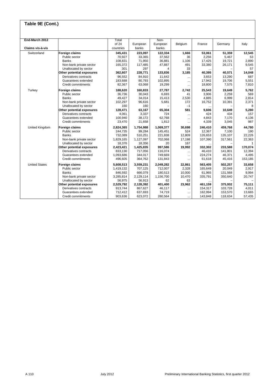## **Table 9E (Cont.)**

| End-March 2012       |                           | Total     |           | Non-      |           |         |         |         |
|----------------------|---------------------------|-----------|-----------|-----------|-----------|---------|---------|---------|
|                      |                           | of 24     | European  | European  | Belgium   | France  | Germany | Italy   |
| Claims vis-à-vis     |                           | countries | banks     | banks     |           |         |         |         |
| Switzerland          | Foreign claims            | 345,431   | 223,097   | 122,334   | 1,666     | 53,061  | 51,359  | 12,545  |
|                      | Public sector             | 70,927    | 33,365    | 37,562    | 36        | 2,256   | 5,467   | 53      |
|                      | <b>Banks</b>              | 108,831   | 71,950    | 36,881    | 1,106     | 17,425  | 19,721  | 2,890   |
|                      | Non-bank private sector   | 165,372   | 117,485   | 47,887    | 491       | 33,380  | 26,171  | 9,545   |
|                      | Unallocated by sector     | 301       | 297       | 4         | 33        |         |         | 57      |
|                      | Other potential exposures | 362,607   | 228,771   | 133,836   | 3,185     | 40,395  | 40.571  | 14,048  |
|                      | Derivatives contracts     | 96,552    | 84,910    | 11,642    | $\cdots$  | 3,653   | 13,290  | 687     |
|                      | Guarantees extended       | 183,688   | 80,793    | 102,895   | $\cdots$  | 17,942  | 19,706  | 5,551   |
|                      | Credit commitments        | 82,367    | 63,068    | 19,299    |           | 18,800  | 7,575   | 7,810   |
| Turkey               | Foreign claims            | 188,620   | 160,833   | 27,787    | 2,742     | 25,543  | 19,649  | 5,762   |
|                      | Public sector             | 36,736    | 30,043    | 6,693     | 41        | 3,906   | 2,259   | 569     |
|                      | <b>Banks</b>              | 49,427    | 34,014    | 15,413    | 2,530     | 4,885   | 6,999   | 2,814   |
|                      | Non-bank private sector   | 102,297   | 96,616    | 5,681     | 172       | 16,752  | 10,391  | 2,371   |
|                      | Unallocated by sector     | 160       | 160       |           | $-1$      |         |         | 8       |
|                      | Other potential exposures | 128,471   | 63,167    | 65,304    | 581       | 9.606   | 10,649  | 5,280   |
|                      | Derivatives contracts     | 4,061     | 3,337     | 724       | $\cdots$  | 424     | 434     | 157     |
|                      | Guarantees extended       | 100,940   | 38,172    | 62,768    | $\ddotsc$ | 4,843   | 7,170   | 4,136   |
|                      | Credit commitments        | 23,470    | 21,658    | 1,812     |           | 4,339   | 3,045   | 987     |
| United Kingdom       | <b>Foreign claims</b>     | 2,824,365 | 1,754,988 | 1,069,377 | 30.698    | 246,410 | 459,768 | 44,780  |
|                      | Public sector             | 244,735   | 99,284    | 145,451   | 524       | 12,367  | 7,100   | 190     |
|                      | <b>Banks</b>              | 732,089   | 510,251   | 221,838   | 12.809    | 126.653 | 135,107 | 22.226  |
|                      | Non-bank private sector   | 1,829,165 | 1,127,097 | 702,068   | 17,198    | 107,390 | 317,561 | 22,363  |
|                      | Unallocated by sector     | 18,376    | 18,356    | 20        | 167       |         |         |         |
|                      | Other potential exposures | 2,423,421 | 1,425,835 | 997,586   | 19,992    | 332,302 | 233,588 | 170,074 |
|                      | Derivatives contracts     | 833,130   | 717,056   | 116,074   | $\ddotsc$ | 46,410  | 141,801 | 12,394  |
|                      | Guarantees extended       | 1,093,686 | 344,017   | 749,669   |           | 224,274 | 46,371  | 4,495   |
|                      | Credit commitments        | 496,605   | 364,762   | 131,843   |           | 61,618  | 45,416  | 153,185 |
| <b>United States</b> | <b>Foreign claims</b>     | 5,608,513 | 3,559,231 | 2,049,282 | 22,861    | 563,405 | 502.257 | 33.658  |
|                      | Public sector             | 1,419,132 | 707,125   | 712,007   | 2,328     | 165,649 | 20,049  | 2,917   |
|                      | Banks                     | 846,592   | 666,079   | 180,513   | 10,000    | 61,965  | 131,568 | 9,994   |
|                      | Non-bank private sector   | 3,285,814 | 2,129,114 | 1,156,700 | 10,470    | 335,791 | 350,640 | 20,747  |
|                      | Unallocated by sector     | 56,975    | 56,913    | 62        | 63        |         |         |         |
|                      | Other potential exposures | 2,529,792 | 2,128,392 | 401,400   | 23,962    | 461,159 | 375,932 | 75.111  |
|                      | Derivatives contracts     | 913,744   | 867,627   | 46,117    | $\cdots$  | 154,317 | 103,728 | 4,011   |
|                      | Guarantees extended       | 712,412   | 637,693   | 74,719    | $\ddotsc$ | 162,994 | 153,570 | 13,665  |
|                      | Credit commitments        | 903,636   | 623,072   | 280,564   | $\ddotsc$ | 143,848 | 118,634 | 57,435  |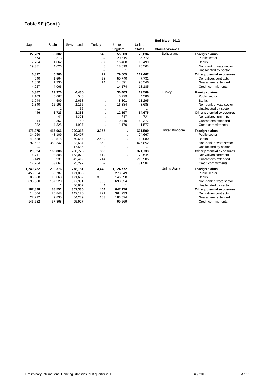| Table 9E (Cont.) |         |             |                          |           |               |                      |                           |
|------------------|---------|-------------|--------------------------|-----------|---------------|----------------------|---------------------------|
|                  |         |             |                          |           |               |                      |                           |
|                  |         |             |                          |           |               | End-March 2012       |                           |
| Japan            | Spain   | Switzerland | Turkey                   | United    | United        |                      |                           |
|                  |         |             |                          | Kingdom   | <b>States</b> | Claims vis-à-vis     |                           |
| 27,789           | 8,002   |             | 545                      | 55,603    | 75,834        | Switzerland          | <b>Foreign claims</b>     |
| 674              | 2,313   |             |                          | 20,515    | 36,772        |                      | Public sector             |
| 7.734            | 1,062   |             | 537                      | 16,468    | 18,499        |                      | <b>Banks</b>              |
| 19,381           | 4,626   |             | 8                        | 18,619    | 20,563        |                      | Non-bank private sector   |
|                  | 1       |             | $\overline{\phantom{0}}$ | 1         |               |                      | Unallocated by sector     |
| 6,817            | 6,960   |             | 72                       | 79,605    | 117,462       |                      | Other potential exposures |
| 940              | 1,564   |             | 58                       | 50,740    | 7,731         |                      | Derivatives contracts     |
| 1,850            | 1,330   |             | 14                       | 14,691    | 96,546        |                      | Guarantees extended       |
| 4,027            | 4,066   |             |                          | 14,174    | 13,185        |                      | Credit commitments        |
| 5,387            | 19,370  | 4,435       |                          | 30,463    | 19,569        | Turkey               | <b>Foreign claims</b>     |
| 2,103            | 6,667   | 546         |                          | 5,779     | 4,586         |                      | Public sector             |
| 1,944            | 509     | 2,668       |                          | 8,301     | 11,295        |                      | <b>Banks</b>              |
| 1,340            | 12,193  | 1,165       |                          | 16,384    | 3,688         |                      | Non-bank private sector   |
|                  | 1       | 56          |                          | $-1$      |               |                      | Unallocated by sector     |
| 446              | 6.723   | 3,358       |                          | 12,197    | 64,675        |                      | Other potential exposures |
|                  | 41      | 1,271       |                          | 617       | 721           |                      | Derivatives contracts     |
| 214              | 2,357   | 150         |                          | 10.410    | 62,377        |                      | Guarantees extended       |
| 232              | 4,325   | 1,937       |                          | 1,170     | 1,577         |                      | Credit commitments        |
| 175,375          | 415,966 | 200,316     | 3,377                    |           | 661,599       | United Kingdom       | Foreign claims            |
| 34,260           | 43,109  | 19,407      |                          |           | 74,667        |                      | Public sector             |
| 43,488           | 22,515  | 79,687      | 2,489                    |           | 110,080       |                      | <b>Banks</b>              |
| 97,627           | 350,342 | 83,637      | 860                      |           | 476,852       |                      | Non-bank private sector   |
|                  |         | 17,585      | 28                       |           |               |                      | Unallocated by sector     |
| 29,624           | 160,806 | 230,776     | 833                      |           | 871,733       |                      | Other potential exposures |
| 6,711            | 93,808  | 163,072     | 619                      |           | 70,644        |                      | Derivatives contracts     |
| 5,149            | 3,931   | 42,412      | 214                      |           | 719,505       |                      | Guarantees extended       |
| 17,764           | 63,067  | 25,292      |                          |           | 81,584        |                      | Credit commitments        |
| 1,240,732        | 209,376 | 778,181     | 4,440                    | 1,124,772 |               | <b>United States</b> | <b>Foreign claims</b>     |
| 456,364          | 35,787  | 171,866     | 90                       | 278,849   |               |                      | Public sector             |
| 88,988           | 16,068  | 171,667     | 3,393                    | 146,998   |               |                      | <b>Banks</b>              |
| 695,380          | 157,520 | 377,991     | 953                      | 698,924   |               |                      | Non-bank private sector   |
|                  | 1       | 56,657      | $\overline{4}$           | 1         |               |                      | Unallocated by sector     |
| 187,898          | 88,551  | 302,336     | 404                      | 647,176   |               |                      | Other potential exposures |
| 14,004           | 20,848  | 142,120     | 221                      | 364,233   |               |                      | Derivatives contracts     |
| 27,212           | 9,835   | 64,289      | 183                      | 183,674   |               |                      | Guarantees extended       |
| 146,682          | 57,868  | 95,927      |                          | 99,269    |               |                      | Credit commitments        |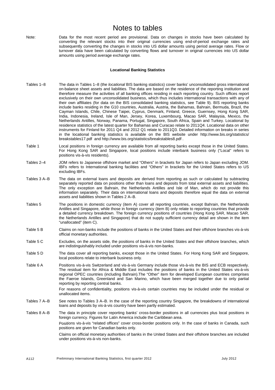# Notes to tables

Note: Data for the most recent period are provisional. Data on changes in stocks have been calculated by converting the relevant stocks into their original currencies using end-of-period exchange rates and subsequently converting the changes in stocks into US dollar amounts using period average rates. Flow or turnover data have been calculated by converting flows and turnover in original currencies into US dollar amounts using period average exchange rates.

#### **Locational Banking Statistics**

- Tables 1–8 The data in Tables 1–8 (the *locational* BIS banking statistics) cover banks' unconsolidated gross international on-balance sheet assets and liabilities. The data are based on the residence of the reporting institution and therefore measure the activities of all banking offices residing in each reporting country. Such offices report exclusively on their own unconsolidated business, which thus includes international transactions with any of their own affiliates (for data on the BIS consolidated banking statistics, see Table 9). BIS reporting banks include banks residing in the G10 countries, Australia, Austria, the Bahamas, Bahrain, Bermuda, Brazil, the Cayman Islands, Chile, Chinese Taipei, Cyprus, Denmark, Finland, Greece, Guernsey, Hong Kong SAR, India, Indonesia, Ireland, Isle of Man, Jersey, Korea, Luxembourg, Macao SAR, Malaysia, Mexico, the Netherlands Antilles, Norway, Panama, Portugal, Singapore, South Africa, Spain and Turkey. Locational by residence statistics of the latest quarter for Bahamas and Curacao relate to 2011Q4. Locational data on other instruments for Finland for 2011 Q4 and 2012 Q1 relate to 2011Q3. Detailed information on breaks in series in the locational banking statistics is available on the BIS website under http://www.bis.org/statistics/ breakstables17.pdf and http://www.bis.org/statistics/breakstables8.pdf .
- Table 1 Local positions in foreign currency are available from all reporting banks except those in the United States. For Hong Kong SAR and Singapore, local positions include interbank business only ("Local" refers to positions vis-à-vis residents).
- Tables 2–4 JOM refers to Japanese offshore market and "Others" in brackets for Japan refers to Japan excluding JOM. IBFs refers to International banking facilities and "Others" in brackets for the United States refers to US excluding IBFs.
- Tables 3 A–B The data on external loans and deposits are derived from reporting as such or calculated by subtracting separately reported data on positions other than loans and deposits from total external assets and liabilities. The only exception are Bahrain, the Netherlands Antilles and Isle of Man, which do not provide this information separately. Their data on international loans and deposits therefore equal the data on external assets and liabilities shown in Tables 2 A–B.
- Tables 5 The positions in domestic currency (item A) cover all reporting countries, except Bahrain, the Netherlands Antilles and Singapore, while those in foreign currency (item B) only relate to reporting countries that provide a detailed currency breakdown. The foreign currency positions of countries (Hong Kong SAR, Macao SAR, the Netherlands Antilles and Singapore) that do not supply sufficient currency detail are shown in the item "unallocated" (item C).
- Table 5 B Claims on non-banks include the positions of banks in the United States and their offshore branches vis-à-vis official monetary authorities.
- Table 5 C Excludes, on the assets side, the positions of banks in the United States and their offshore branches, which are indistinguishably included under positions vis-à-vis non-banks.
- Table 5 D The data cover all reporting banks, except those in the United States. For Hong Kong SAR and Singapore, local positions relate to interbank business only.
- Table 6 A Positions vis-à-vis Switzerland and vis-à-vis Germany include those vis-à-vis the BIS and ECB respectively. The residual item for Africa & Middle East includes the positions of banks in the United States vis-à-vis regional OPEC countries (including Bahrain).The "Other" item for developed European countries comprises the Faeroe Islands, Greenland and San Marino, which have been merged together due to only partial reporting by reporting central banks.

For reasons of confidentiality, positions vis-à-vis certain countries may be included under the residual or unallocated items.

- Tables 7 A–B See notes to Tables 3 A–B. In the case of the reporting country Singapore, the breakdowns of international loans and deposits by vis-à-vis country have been partly estimated.
- Tables 8 A–B The data in principle cover reporting banks' cross-border positions in all currencies plus local positions in foreign currency. Figures for Latin America include the Caribbean area. Positions vis-à-vis "related offices" cover cross-border positions only. In the case of banks in Canada, such positions are given for Canadian banks only.

Claims on official monetary authorities of banks in the United States and their offshore branches are included under positions vis-à-vis non-banks.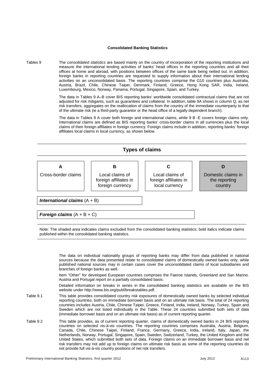### **Consolidated Banking Statistics**

Tables 9 The *consolidated statistics* are based mainly on the country of incorporation of the reporting institutions and measure the international lending activities of banks' head offices in the reporting countries and all their offices at home and abroad, with positions between offices of the same bank being netted out. In addition, foreign banks in reporting countries are requested to supply information about their international lending activities on an unconsolidated basis. The reporting countries comprise the G10 countries plus Australia, Austria, Brazil, Chile, Chinese Taipei, Denmark, Finland, Greece, Hong Kong SAR, India, Ireland, Luxembourg, Mexico, Norway, Panama, Portugal, Singapore, Spain, and Turkey.

> The data in Tables 9 A–B cover BIS reporting banks' worldwide consolidated contractual claims that are not adjusted for risk mitigants, such as guarantees and collateral. In addition, table 9A shows in column Q, as net risk transfers, aggregates on the reallocation of claims from the country of the immediate counterparty to that of the ultimate risk (ie a third-party guarantor or the head office of a legally dependent branch).

> The data in Tables 9 A cover both foreign and international claims, while 9 B -E covers foreign claims only. International claims are defined as BIS reporting banks' cross-border claims in all currencies plus the local claims of their foreign affiliates in foreign currency. Foreign claims include in addition, reporting banks' foreign affiliates local claims in local currency, as shown below.



Note: The shaded area indicates claims excluded from the consolidated banking statistics; bold italics indicate claims published within the consolidated banking statistics.

 The data on individual nationality groups of reporting banks may differ from data published in national sources because the data presented relate to consolidated claims of domestically owned banks only, while published national sources may in certain cases cover the unconsolidated claims of local subsidiaries and branches of foreign banks as well.

Item "Other" for developed European countries comprises the Faeroe Islands, Greenland and San Marino. Austria and Portugal report on a partially consolidated basis.

Detailed information on breaks in series in the consolidated banking statistics are available on the BIS website under http://www.bis.org/publ/breakstables.pdf.

- Table 9.1 This table provides consolidated country risk exposures of domestically owned banks by selected individual reporting countries, both on immediate borrower basis and on an ultimate risk basis. The total of 24 reporting countries includes Austria, Chile, Chinese Taipei, Greece, Finland, India, Ireland, Norway, Turkey, Spain and Sweden which are not listed individually in the Table. These 24 countries submitted both sets of data (immediate borrower basis and on an ultimate risk basis) as of current reporting quarter.
- Table 9.2 This table provides, as of current reporting quarter, claims of domestically owned banks in 24 BIS reporting countries on selected vis-à-vis countries. The reporting countries comprises Australia, Austria, Belgium, Canada, Chile, Chinese Taipei, Finland, France, Germany, Greece, India, Ireland, Italy, Japan, the Netherlands, Norway, Portugal, Singapore, Spain, Sweden, Switzerland, Turkey, the United Kingdom and the United States, which submitted both sets of data. Foreign claims on an immediate borrower basis and net risk transfers may not add up to foreign claims on ultimate risk basis as some of the reporting countries do not provide full vis-à-vis country positions of net risk transfers.